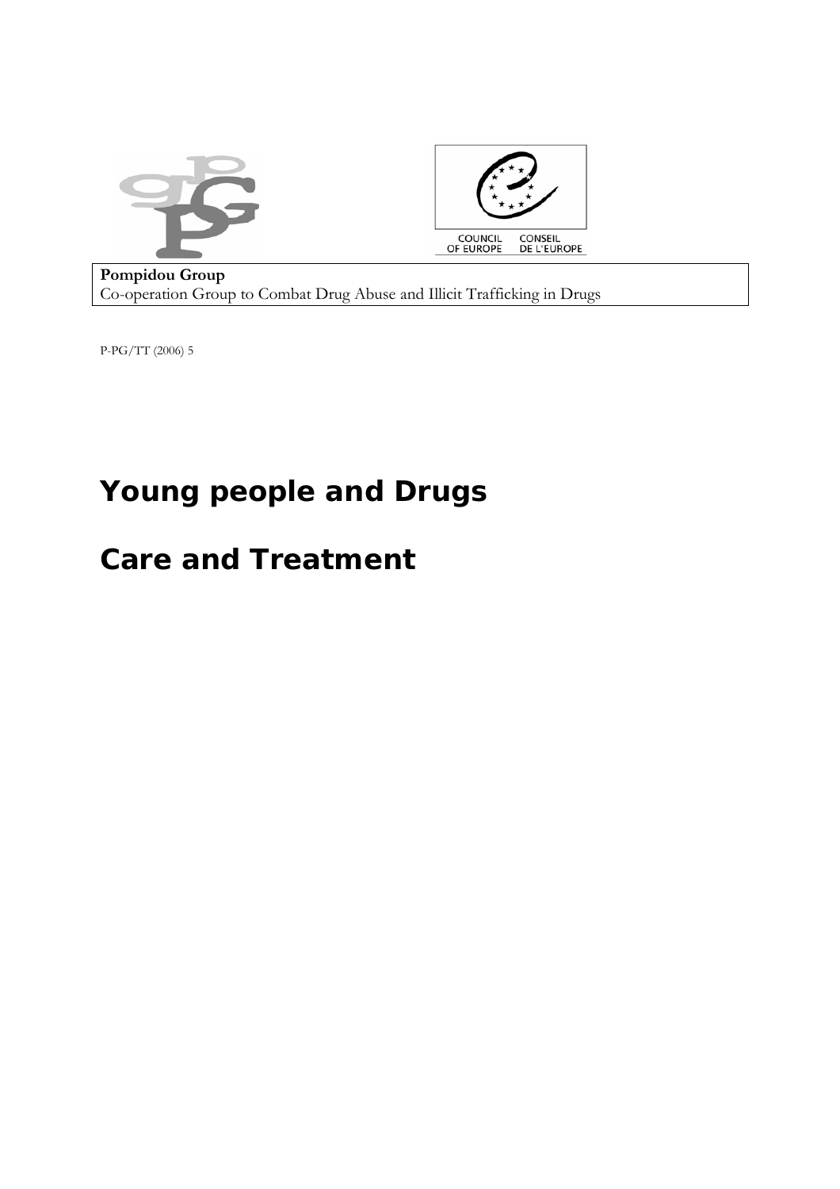



# **Pompidou Group**  Co-operation Group to Combat Drug Abuse and Illicit Trafficking in Drugs

P-PG/TT (2006) 5

# **Young people and Drugs**

# *Care and Treatment*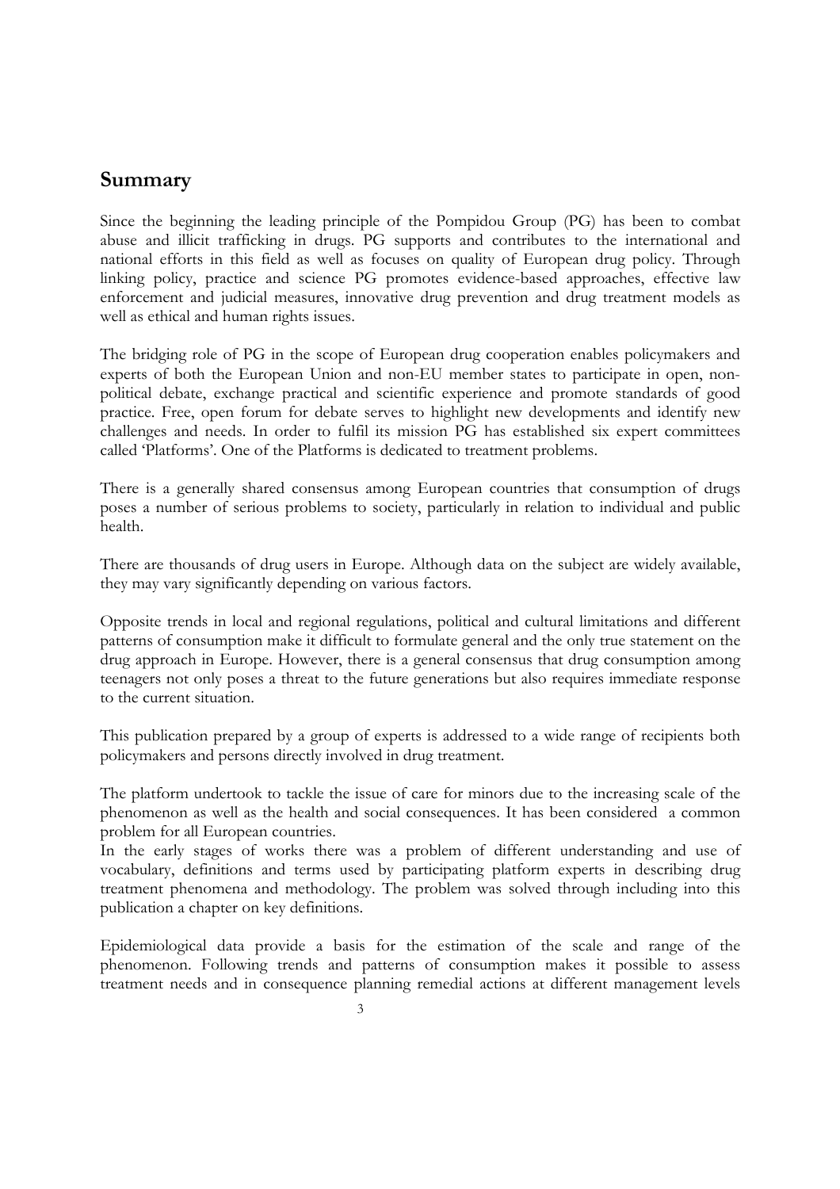# **Summary**

Since the beginning the leading principle of the Pompidou Group (PG) has been to combat abuse and illicit trafficking in drugs. PG supports and contributes to the international and national efforts in this field as well as focuses on quality of European drug policy. Through linking policy, practice and science PG promotes evidence-based approaches, effective law enforcement and judicial measures, innovative drug prevention and drug treatment models as well as ethical and human rights issues.

The bridging role of PG in the scope of European drug cooperation enables policymakers and experts of both the European Union and non-EU member states to participate in open, nonpolitical debate, exchange practical and scientific experience and promote standards of good practice. Free, open forum for debate serves to highlight new developments and identify new challenges and needs. In order to fulfil its mission PG has established six expert committees called 'Platforms'. One of the Platforms is dedicated to treatment problems.

There is a generally shared consensus among European countries that consumption of drugs poses a number of serious problems to society, particularly in relation to individual and public health.

There are thousands of drug users in Europe. Although data on the subject are widely available, they may vary significantly depending on various factors.

Opposite trends in local and regional regulations, political and cultural limitations and different patterns of consumption make it difficult to formulate general and the only true statement on the drug approach in Europe. However, there is a general consensus that drug consumption among teenagers not only poses a threat to the future generations but also requires immediate response to the current situation.

This publication prepared by a group of experts is addressed to a wide range of recipients both policymakers and persons directly involved in drug treatment.

The platform undertook to tackle the issue of care for minors due to the increasing scale of the phenomenon as well as the health and social consequences. It has been considered a common problem for all European countries.

In the early stages of works there was a problem of different understanding and use of vocabulary, definitions and terms used by participating platform experts in describing drug treatment phenomena and methodology. The problem was solved through including into this publication a chapter on key definitions.

Epidemiological data provide a basis for the estimation of the scale and range of the phenomenon. Following trends and patterns of consumption makes it possible to assess treatment needs and in consequence planning remedial actions at different management levels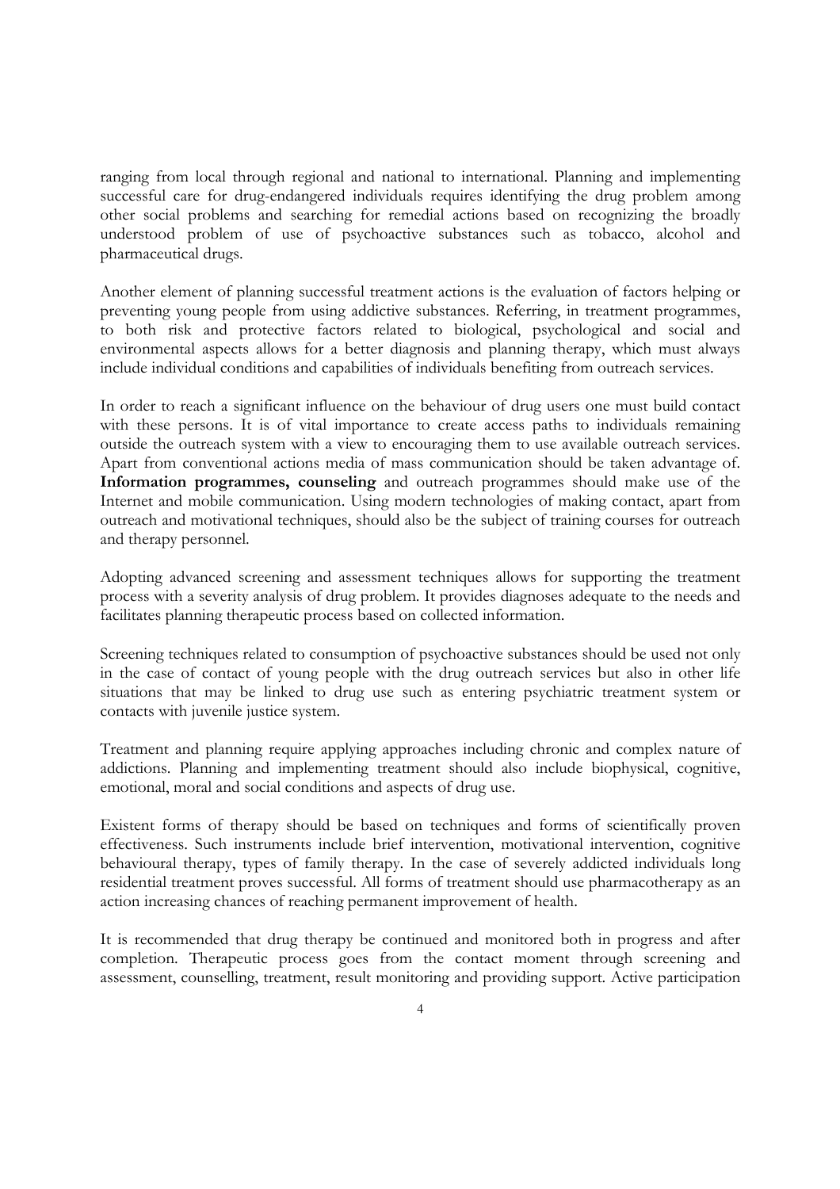ranging from local through regional and national to international. Planning and implementing successful care for drug-endangered individuals requires identifying the drug problem among other social problems and searching for remedial actions based on recognizing the broadly understood problem of use of psychoactive substances such as tobacco, alcohol and pharmaceutical drugs.

Another element of planning successful treatment actions is the evaluation of factors helping or preventing young people from using addictive substances. Referring, in treatment programmes, to both risk and protective factors related to biological, psychological and social and environmental aspects allows for a better diagnosis and planning therapy, which must always include individual conditions and capabilities of individuals benefiting from outreach services.

In order to reach a significant influence on the behaviour of drug users one must build contact with these persons. It is of vital importance to create access paths to individuals remaining outside the outreach system with a view to encouraging them to use available outreach services. Apart from conventional actions media of mass communication should be taken advantage of. **Information programmes, counseling** and outreach programmes should make use of the Internet and mobile communication. Using modern technologies of making contact, apart from outreach and motivational techniques, should also be the subject of training courses for outreach and therapy personnel.

Adopting advanced screening and assessment techniques allows for supporting the treatment process with a severity analysis of drug problem. It provides diagnoses adequate to the needs and facilitates planning therapeutic process based on collected information.

Screening techniques related to consumption of psychoactive substances should be used not only in the case of contact of young people with the drug outreach services but also in other life situations that may be linked to drug use such as entering psychiatric treatment system or contacts with juvenile justice system.

Treatment and planning require applying approaches including chronic and complex nature of addictions. Planning and implementing treatment should also include biophysical, cognitive, emotional, moral and social conditions and aspects of drug use.

Existent forms of therapy should be based on techniques and forms of scientifically proven effectiveness. Such instruments include brief intervention, motivational intervention, cognitive behavioural therapy, types of family therapy. In the case of severely addicted individuals long residential treatment proves successful. All forms of treatment should use pharmacotherapy as an action increasing chances of reaching permanent improvement of health.

It is recommended that drug therapy be continued and monitored both in progress and after completion. Therapeutic process goes from the contact moment through screening and assessment, counselling, treatment, result monitoring and providing support. Active participation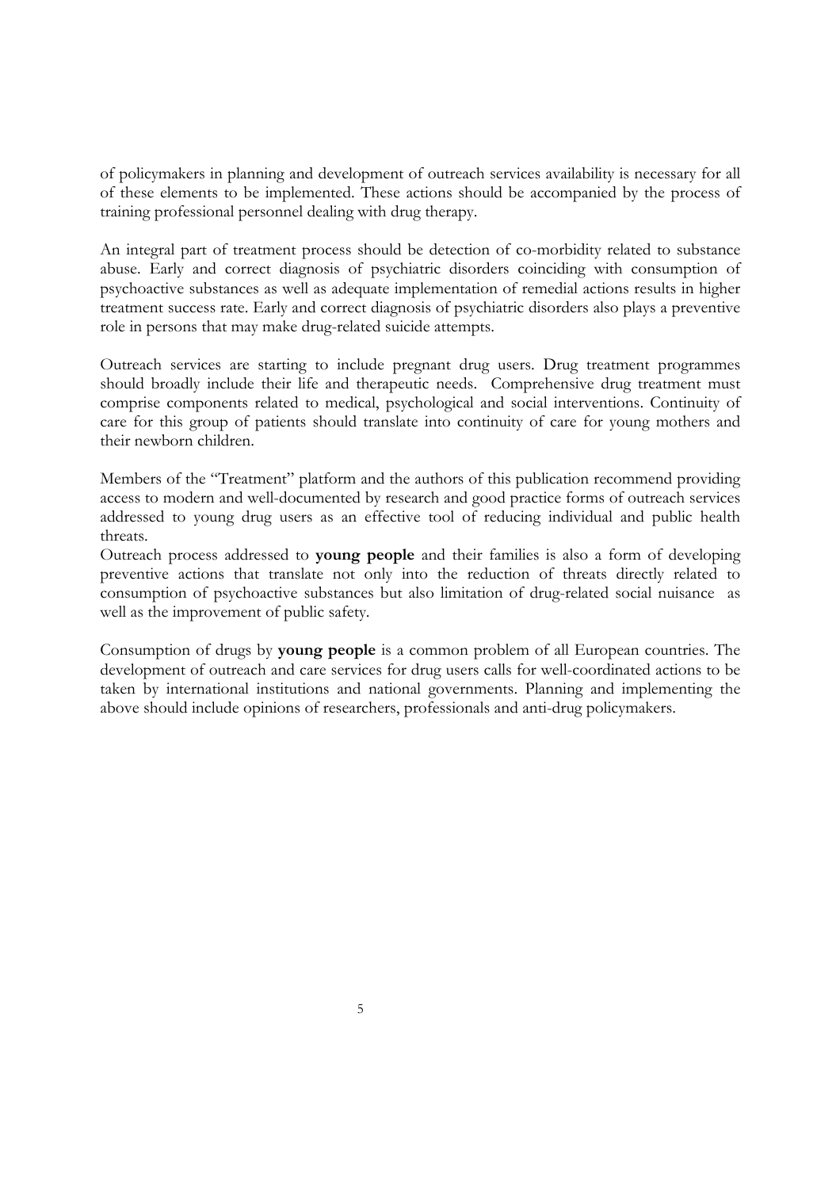of policymakers in planning and development of outreach services availability is necessary for all of these elements to be implemented. These actions should be accompanied by the process of training professional personnel dealing with drug therapy.

An integral part of treatment process should be detection of co-morbidity related to substance abuse. Early and correct diagnosis of psychiatric disorders coinciding with consumption of psychoactive substances as well as adequate implementation of remedial actions results in higher treatment success rate. Early and correct diagnosis of psychiatric disorders also plays a preventive role in persons that may make drug-related suicide attempts.

Outreach services are starting to include pregnant drug users. Drug treatment programmes should broadly include their life and therapeutic needs. Comprehensive drug treatment must comprise components related to medical, psychological and social interventions. Continuity of care for this group of patients should translate into continuity of care for young mothers and their newborn children.

Members of the "Treatment" platform and the authors of this publication recommend providing access to modern and well-documented by research and good practice forms of outreach services addressed to young drug users as an effective tool of reducing individual and public health threats.

Outreach process addressed to **young people** and their families is also a form of developing preventive actions that translate not only into the reduction of threats directly related to consumption of psychoactive substances but also limitation of drug-related social nuisance as well as the improvement of public safety.

Consumption of drugs by **young people** is a common problem of all European countries. The development of outreach and care services for drug users calls for well-coordinated actions to be taken by international institutions and national governments. Planning and implementing the above should include opinions of researchers, professionals and anti-drug policymakers.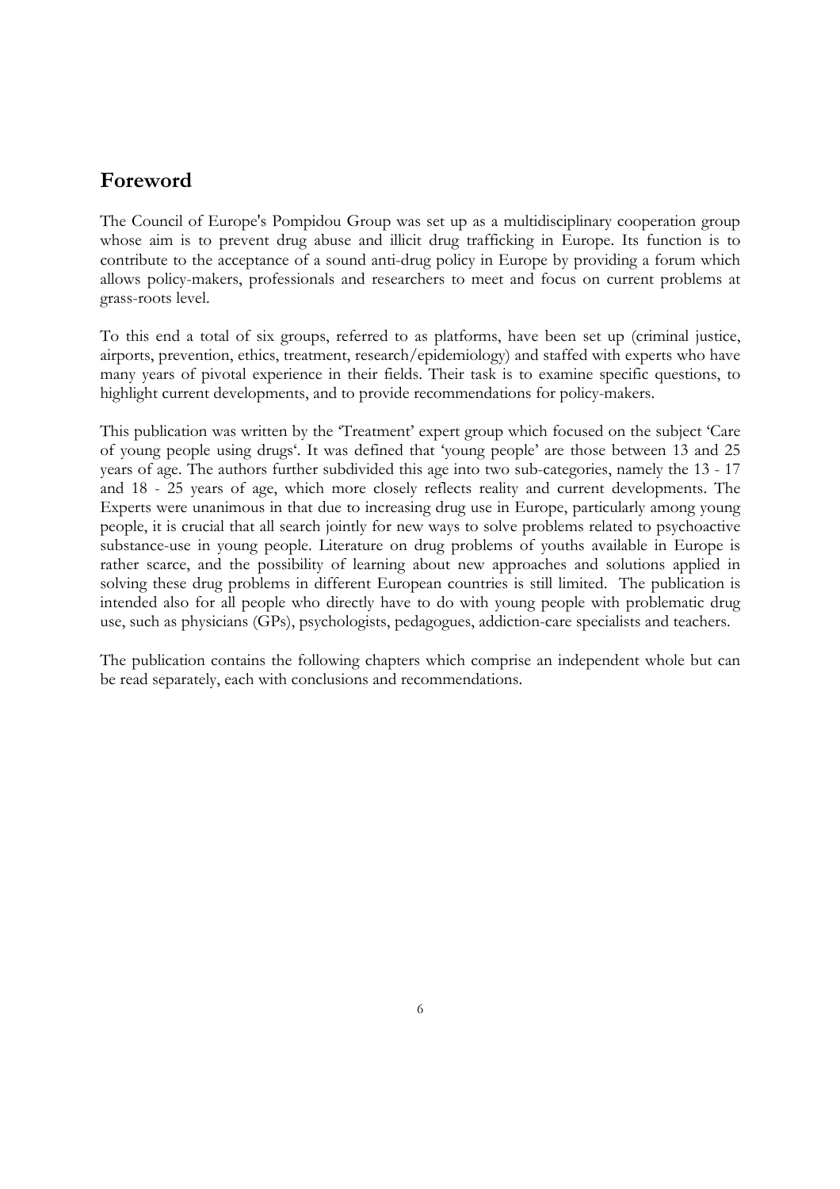# **Foreword**

The Council of Europe's Pompidou Group was set up as a multidisciplinary cooperation group whose aim is to prevent drug abuse and illicit drug trafficking in Europe. Its function is to contribute to the acceptance of a sound anti-drug policy in Europe by providing a forum which allows policy-makers, professionals and researchers to meet and focus on current problems at grass-roots level.

To this end a total of six groups, referred to as platforms, have been set up (criminal justice, airports, prevention, ethics, treatment, research/epidemiology) and staffed with experts who have many years of pivotal experience in their fields. Their task is to examine specific questions, to highlight current developments, and to provide recommendations for policy-makers.

This publication was written by the 'Treatment' expert group which focused on the subject 'Care of young people using drugs'. It was defined that 'young people' are those between 13 and 25 years of age. The authors further subdivided this age into two sub-categories, namely the 13 - 17 and 18 - 25 years of age, which more closely reflects reality and current developments. The Experts were unanimous in that due to increasing drug use in Europe, particularly among young people, it is crucial that all search jointly for new ways to solve problems related to psychoactive substance-use in young people. Literature on drug problems of youths available in Europe is rather scarce, and the possibility of learning about new approaches and solutions applied in solving these drug problems in different European countries is still limited. The publication is intended also for all people who directly have to do with young people with problematic drug use, such as physicians (GPs), psychologists, pedagogues, addiction-care specialists and teachers.

The publication contains the following chapters which comprise an independent whole but can be read separately, each with conclusions and recommendations.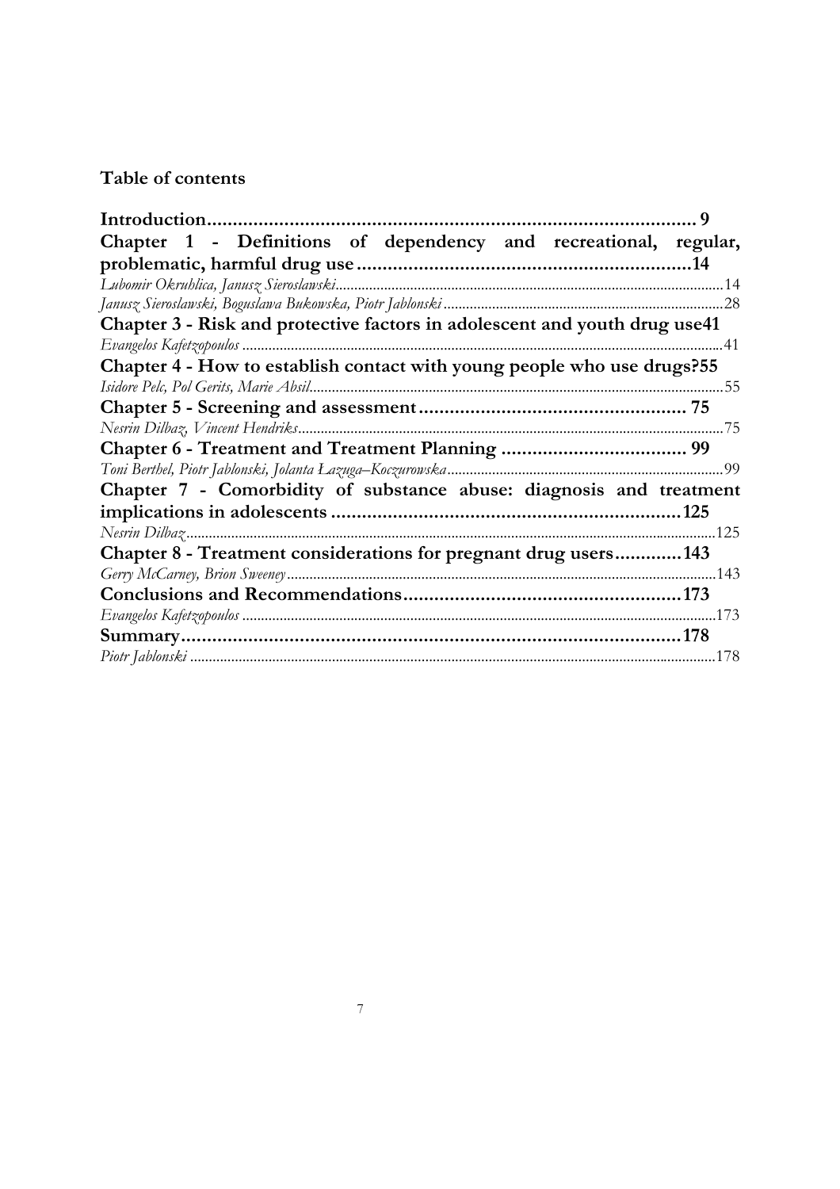# **Table of contents**

| Chapter 1 - Definitions of dependency and recreational, regular,           |  |
|----------------------------------------------------------------------------|--|
|                                                                            |  |
|                                                                            |  |
|                                                                            |  |
| Chapter 3 - Risk and protective factors in adolescent and youth drug use41 |  |
|                                                                            |  |
| Chapter 4 - How to establish contact with young people who use drugs?55    |  |
|                                                                            |  |
|                                                                            |  |
|                                                                            |  |
|                                                                            |  |
|                                                                            |  |
| Chapter 7 - Comorbidity of substance abuse: diagnosis and treatment        |  |
|                                                                            |  |
|                                                                            |  |
| Chapter 8 - Treatment considerations for pregnant drug users143            |  |
|                                                                            |  |
|                                                                            |  |
|                                                                            |  |
|                                                                            |  |
|                                                                            |  |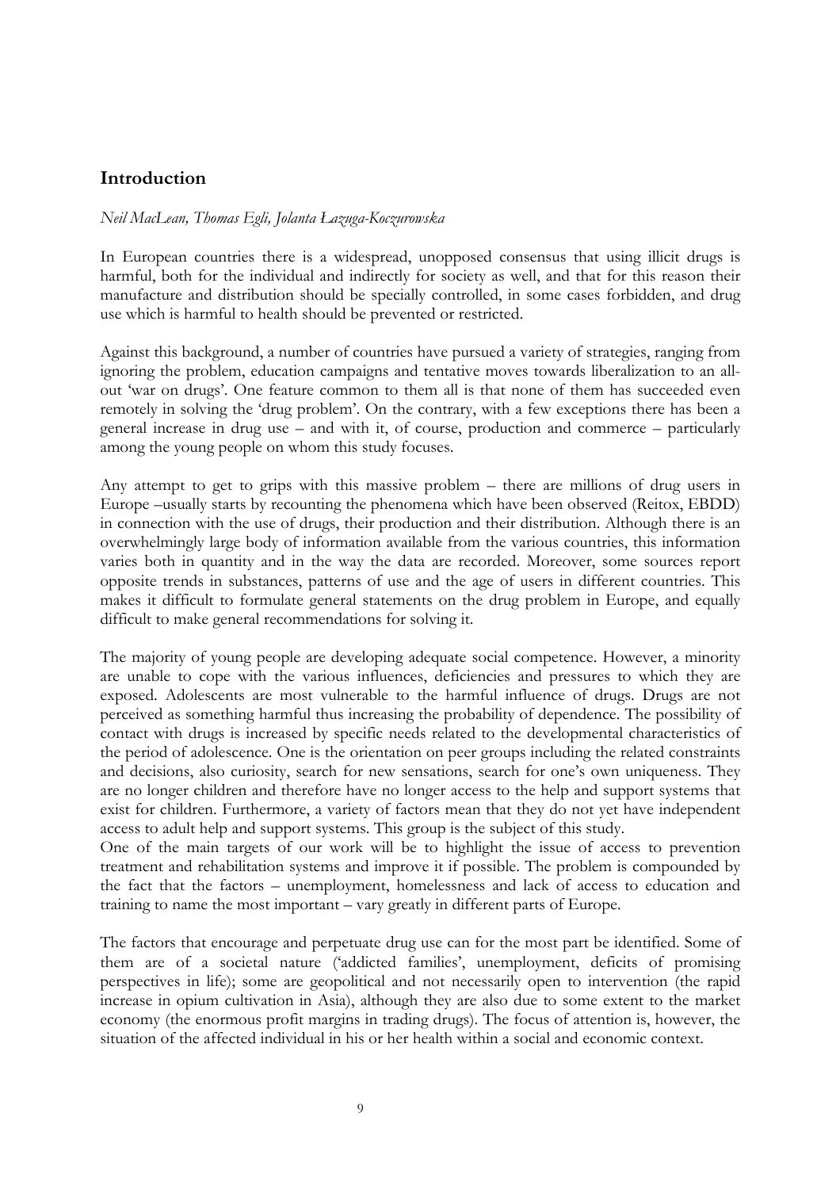# **Introduction**

#### *Neil MacLean, Thomas Egli, Jolanta Łazuga-Koczurowska*

In European countries there is a widespread, unopposed consensus that using illicit drugs is harmful, both for the individual and indirectly for society as well, and that for this reason their manufacture and distribution should be specially controlled, in some cases forbidden, and drug use which is harmful to health should be prevented or restricted.

Against this background, a number of countries have pursued a variety of strategies, ranging from ignoring the problem, education campaigns and tentative moves towards liberalization to an allout 'war on drugs'. One feature common to them all is that none of them has succeeded even remotely in solving the 'drug problem'. On the contrary, with a few exceptions there has been a general increase in drug use – and with it, of course, production and commerce – particularly among the young people on whom this study focuses.

Any attempt to get to grips with this massive problem – there are millions of drug users in Europe –usually starts by recounting the phenomena which have been observed (Reitox, EBDD) in connection with the use of drugs, their production and their distribution. Although there is an overwhelmingly large body of information available from the various countries, this information varies both in quantity and in the way the data are recorded. Moreover, some sources report opposite trends in substances, patterns of use and the age of users in different countries. This makes it difficult to formulate general statements on the drug problem in Europe, and equally difficult to make general recommendations for solving it.

The majority of young people are developing adequate social competence. However, a minority are unable to cope with the various influences, deficiencies and pressures to which they are exposed. Adolescents are most vulnerable to the harmful influence of drugs. Drugs are not perceived as something harmful thus increasing the probability of dependence. The possibility of contact with drugs is increased by specific needs related to the developmental characteristics of the period of adolescence. One is the orientation on peer groups including the related constraints and decisions, also curiosity, search for new sensations, search for one's own uniqueness. They are no longer children and therefore have no longer access to the help and support systems that exist for children. Furthermore, a variety of factors mean that they do not yet have independent access to adult help and support systems. This group is the subject of this study.

One of the main targets of our work will be to highlight the issue of access to prevention treatment and rehabilitation systems and improve it if possible. The problem is compounded by the fact that the factors – unemployment, homelessness and lack of access to education and training to name the most important – vary greatly in different parts of Europe.

The factors that encourage and perpetuate drug use can for the most part be identified. Some of them are of a societal nature ('addicted families', unemployment, deficits of promising perspectives in life); some are geopolitical and not necessarily open to intervention (the rapid increase in opium cultivation in Asia), although they are also due to some extent to the market economy (the enormous profit margins in trading drugs). The focus of attention is, however, the situation of the affected individual in his or her health within a social and economic context.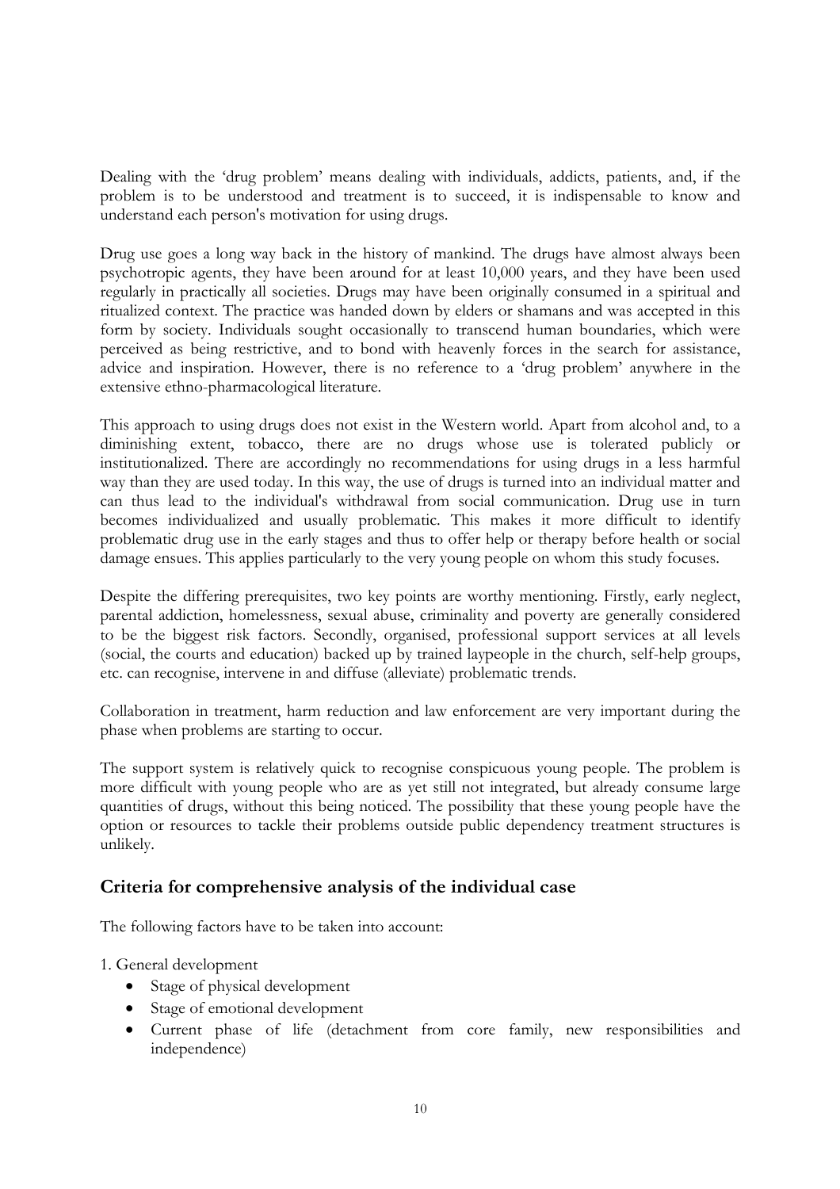Dealing with the 'drug problem' means dealing with individuals, addicts, patients, and, if the problem is to be understood and treatment is to succeed, it is indispensable to know and understand each person's motivation for using drugs.

Drug use goes a long way back in the history of mankind. The drugs have almost always been psychotropic agents, they have been around for at least 10,000 years, and they have been used regularly in practically all societies. Drugs may have been originally consumed in a spiritual and ritualized context. The practice was handed down by elders or shamans and was accepted in this form by society. Individuals sought occasionally to transcend human boundaries, which were perceived as being restrictive, and to bond with heavenly forces in the search for assistance, advice and inspiration. However, there is no reference to a 'drug problem' anywhere in the extensive ethno-pharmacological literature.

This approach to using drugs does not exist in the Western world. Apart from alcohol and, to a diminishing extent, tobacco, there are no drugs whose use is tolerated publicly or institutionalized. There are accordingly no recommendations for using drugs in a less harmful way than they are used today. In this way, the use of drugs is turned into an individual matter and can thus lead to the individual's withdrawal from social communication. Drug use in turn becomes individualized and usually problematic. This makes it more difficult to identify problematic drug use in the early stages and thus to offer help or therapy before health or social damage ensues. This applies particularly to the very young people on whom this study focuses.

Despite the differing prerequisites, two key points are worthy mentioning. Firstly, early neglect, parental addiction, homelessness, sexual abuse, criminality and poverty are generally considered to be the biggest risk factors. Secondly, organised, professional support services at all levels (social, the courts and education) backed up by trained laypeople in the church, self-help groups, etc. can recognise, intervene in and diffuse (alleviate) problematic trends.

Collaboration in treatment, harm reduction and law enforcement are very important during the phase when problems are starting to occur.

The support system is relatively quick to recognise conspicuous young people. The problem is more difficult with young people who are as yet still not integrated, but already consume large quantities of drugs, without this being noticed. The possibility that these young people have the option or resources to tackle their problems outside public dependency treatment structures is unlikely.

# **Criteria for comprehensive analysis of the individual case**

The following factors have to be taken into account:

1. General development

- Stage of physical development
- Stage of emotional development
- Current phase of life (detachment from core family, new responsibilities and independence)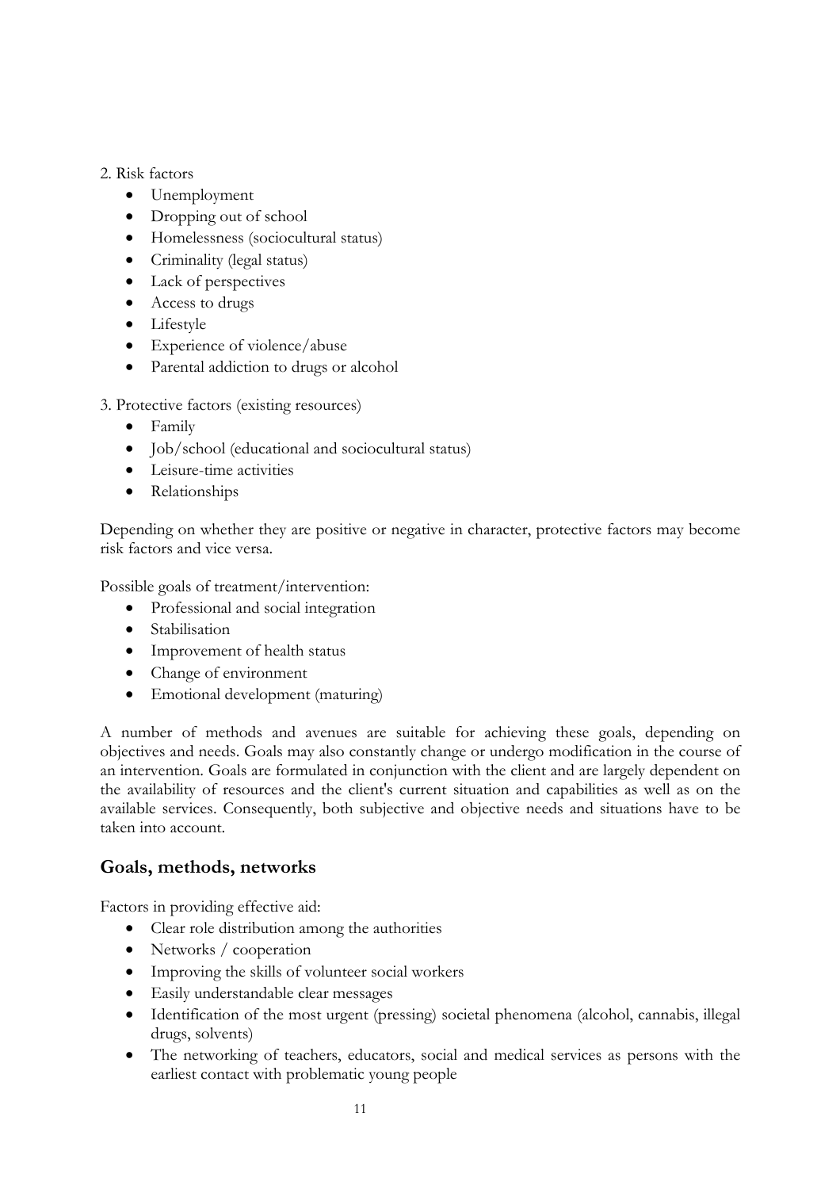# 2. Risk factors

- Unemployment
- Dropping out of school
- Homelessness (sociocultural status)
- Criminality (legal status)
- Lack of perspectives
- Access to drugs
- Lifestyle
- Experience of violence/abuse
- Parental addiction to drugs or alcohol
- 3. Protective factors (existing resources)
	- Family
	- Job/school (educational and sociocultural status)
	- Leisure-time activities
	- Relationships

Depending on whether they are positive or negative in character, protective factors may become risk factors and vice versa.

Possible goals of treatment/intervention:

- Professional and social integration
- Stabilisation
- Improvement of health status
- Change of environment
- Emotional development (maturing)

A number of methods and avenues are suitable for achieving these goals, depending on objectives and needs. Goals may also constantly change or undergo modification in the course of an intervention. Goals are formulated in conjunction with the client and are largely dependent on the availability of resources and the client's current situation and capabilities as well as on the available services. Consequently, both subjective and objective needs and situations have to be taken into account.

# **Goals, methods, networks**

Factors in providing effective aid:

- Clear role distribution among the authorities
- Networks / cooperation
- Improving the skills of volunteer social workers
- Easily understandable clear messages
- Identification of the most urgent (pressing) societal phenomena (alcohol, cannabis, illegal drugs, solvents)
- The networking of teachers, educators, social and medical services as persons with the earliest contact with problematic young people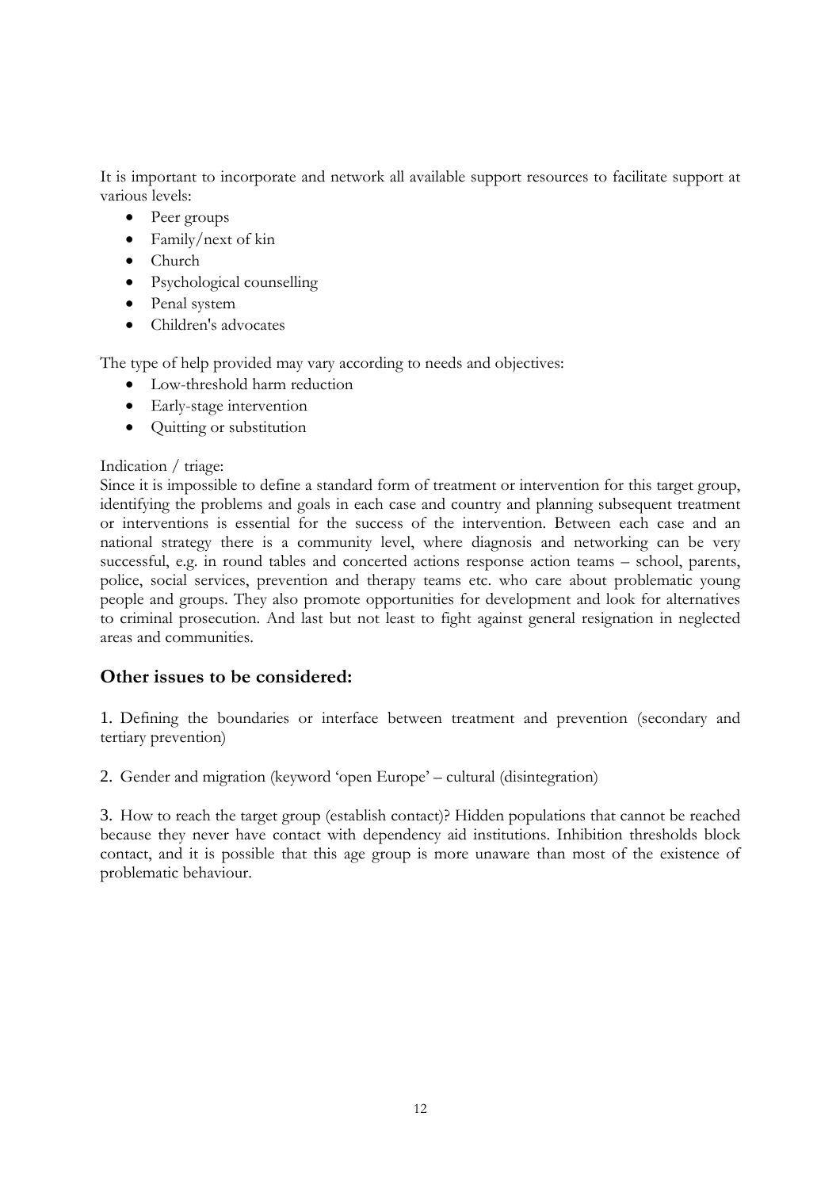It is important to incorporate and network all available support resources to facilitate support at various levels:

- Peer groups
- Family/next of kin
- Church
- Psychological counselling
- Penal system
- Children's advocates

The type of help provided may vary according to needs and objectives:

- Low-threshold harm reduction
- Early-stage intervention
- Quitting or substitution

#### Indication / triage:

Since it is impossible to define a standard form of treatment or intervention for this target group, identifying the problems and goals in each case and country and planning subsequent treatment or interventions is essential for the success of the intervention. Between each case and an national strategy there is a community level, where diagnosis and networking can be very successful, e.g. in round tables and concerted actions response action teams – school, parents, police, social services, prevention and therapy teams etc. who care about problematic young people and groups. They also promote opportunities for development and look for alternatives to criminal prosecution. And last but not least to fight against general resignation in neglected areas and communities.

# **Other issues to be considered:**

1. Defining the boundaries or interface between treatment and prevention (secondary and tertiary prevention)

2. Gender and migration (keyword 'open Europe' – cultural (disintegration)

3. How to reach the target group (establish contact)? Hidden populations that cannot be reached because they never have contact with dependency aid institutions. Inhibition thresholds block contact, and it is possible that this age group is more unaware than most of the existence of problematic behaviour.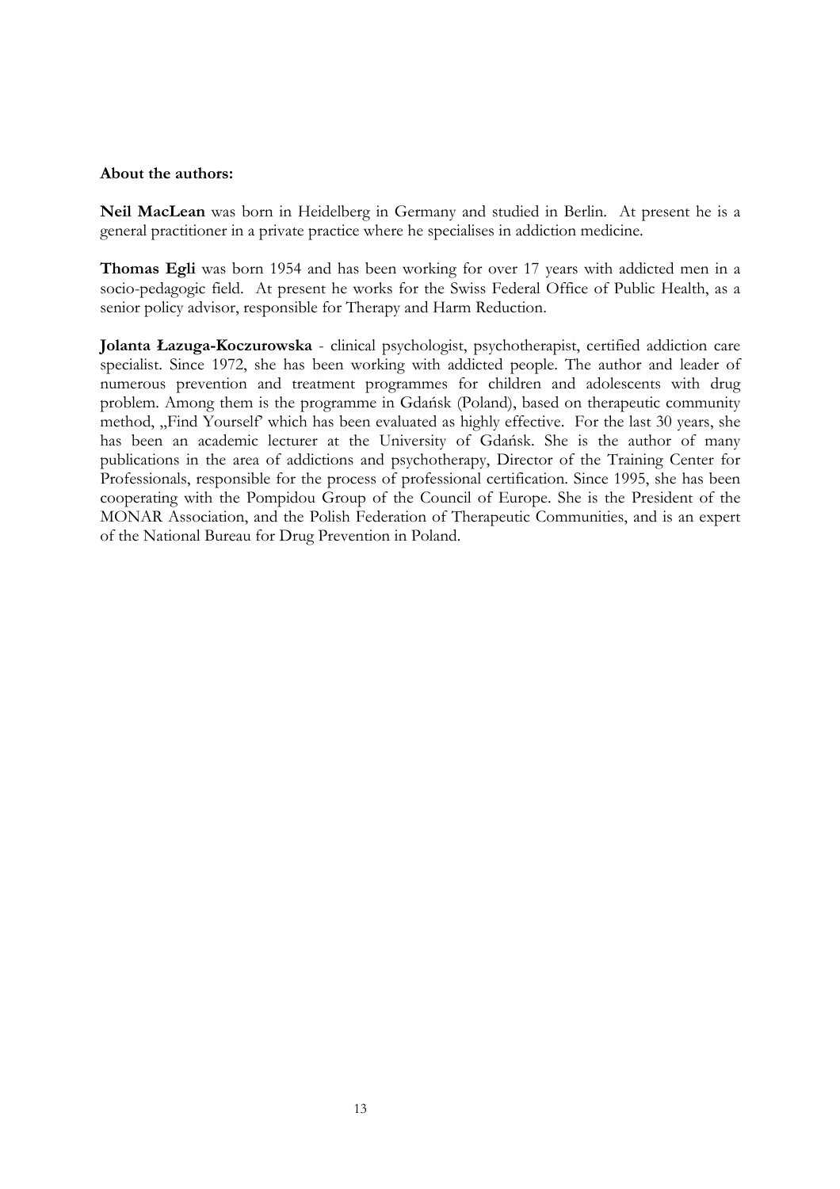#### **About the authors:**

**Neil MacLean** was born in Heidelberg in Germany and studied in Berlin. At present he is a general practitioner in a private practice where he specialises in addiction medicine.

**Thomas Egli** was born 1954 and has been working for over 17 years with addicted men in a socio-pedagogic field. At present he works for the Swiss Federal Office of Public Health, as a senior policy advisor, responsible for Therapy and Harm Reduction.

**Jolanta Łazuga-Koczurowska** - clinical psychologist, psychotherapist, certified addiction care specialist. Since 1972, she has been working with addicted people. The author and leader of numerous prevention and treatment programmes for children and adolescents with drug problem. Among them is the programme in Gdańsk (Poland), based on therapeutic community method, "Find Yourself' which has been evaluated as highly effective. For the last 30 years, she has been an academic lecturer at the University of Gdańsk. She is the author of many publications in the area of addictions and psychotherapy, Director of the Training Center for Professionals, responsible for the process of professional certification. Since 1995, she has been cooperating with the Pompidou Group of the Council of Europe. She is the President of the MONAR Association, and the Polish Federation of Therapeutic Communities, and is an expert of the National Bureau for Drug Prevention in Poland.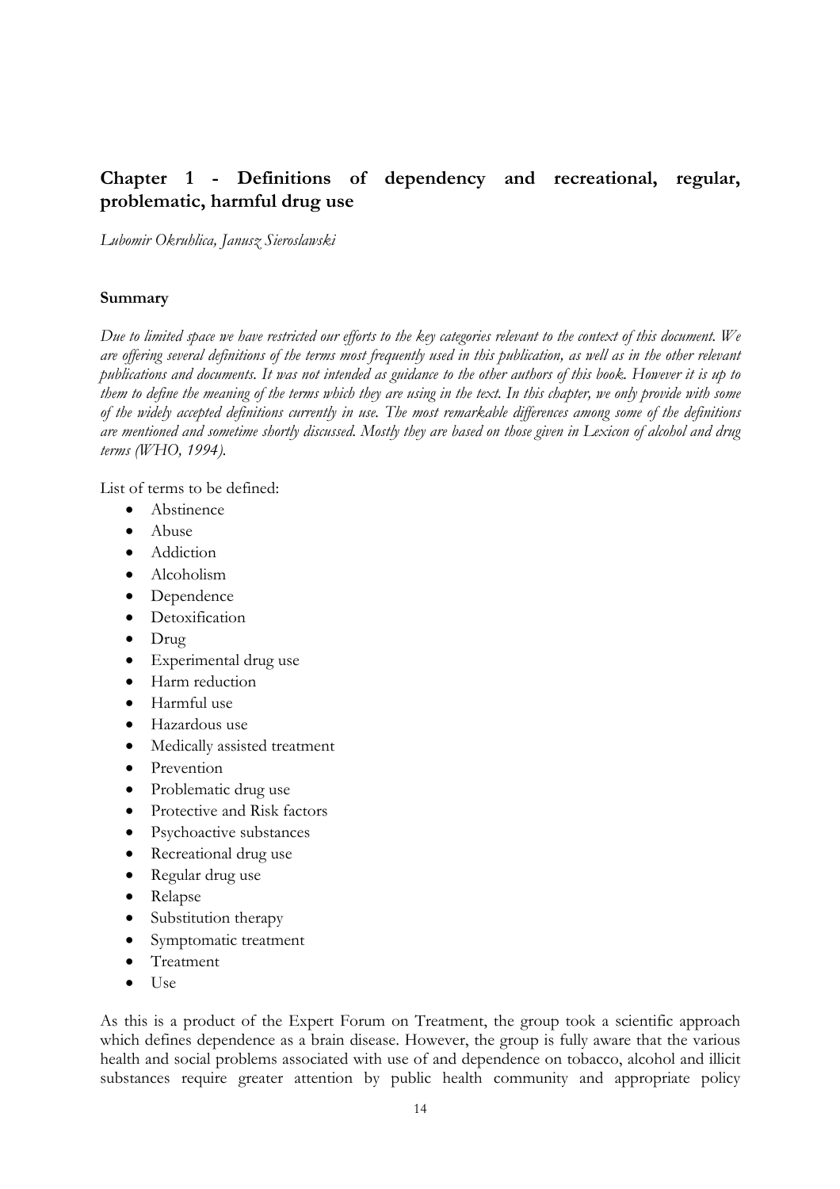# **Chapter 1 - Definitions of dependency and recreational, regular, problematic, harmful drug use**

*Lubomir Okruhlica, Janusz Sieroslawski* 

# **Summary**

*Due to limited space we have restricted our efforts to the key categories relevant to the context of this document. We are offering several definitions of the terms most frequently used in this publication, as well as in the other relevant publications and documents. It was not intended as guidance to the other authors of this book. However it is up to them to define the meaning of the terms which they are using in the text. In this chapter, we only provide with some of the widely accepted definitions currently in use. The most remarkable differences among some of the definitions are mentioned and sometime shortly discussed. Mostly they are based on those given in Lexicon of alcohol and drug terms (WHO, 1994).* 

List of terms to be defined:

- Abstinence
- Abuse
- Addiction
- Alcoholism
- Dependence
- Detoxification
- Drug
- Experimental drug use
- Harm reduction
- Harmful use
- Hazardous use
- Medically assisted treatment
- Prevention
- Problematic drug use
- Protective and Risk factors
- Psychoactive substances
- Recreational drug use
- Regular drug use
- Relapse
- Substitution therapy
- Symptomatic treatment
- Treatment
- Use

As this is a product of the Expert Forum on Treatment, the group took a scientific approach which defines dependence as a brain disease. However, the group is fully aware that the various health and social problems associated with use of and dependence on tobacco, alcohol and illicit substances require greater attention by public health community and appropriate policy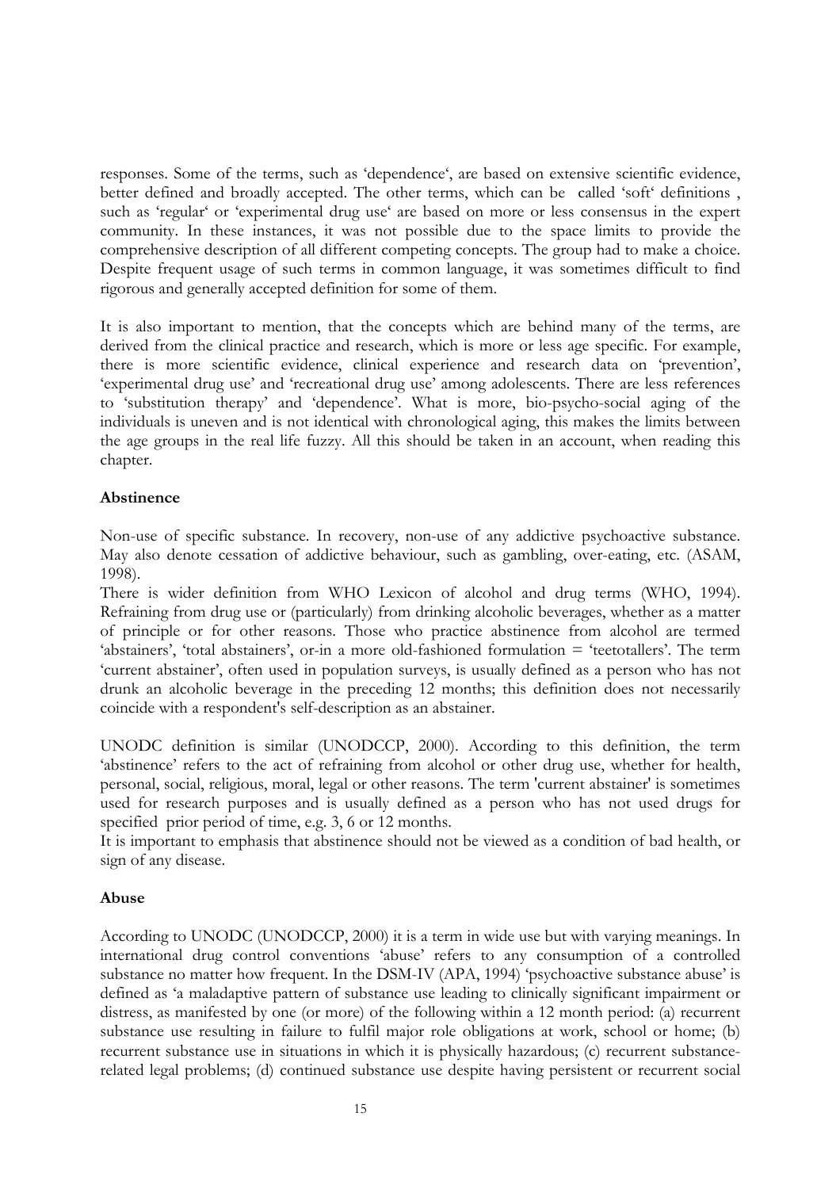responses. Some of the terms, such as 'dependence', are based on extensive scientific evidence, better defined and broadly accepted. The other terms, which can be called 'soft' definitions , such as 'regular' or 'experimental drug use' are based on more or less consensus in the expert community. In these instances, it was not possible due to the space limits to provide the comprehensive description of all different competing concepts. The group had to make a choice. Despite frequent usage of such terms in common language, it was sometimes difficult to find rigorous and generally accepted definition for some of them.

It is also important to mention, that the concepts which are behind many of the terms, are derived from the clinical practice and research, which is more or less age specific. For example, there is more scientific evidence, clinical experience and research data on 'prevention', 'experimental drug use' and 'recreational drug use' among adolescents. There are less references to 'substitution therapy' and 'dependence'. What is more, bio-psycho-social aging of the individuals is uneven and is not identical with chronological aging, this makes the limits between the age groups in the real life fuzzy. All this should be taken in an account, when reading this chapter.

# **Abstinence**

Non-use of specific substance. In recovery, non-use of any addictive psychoactive substance. May also denote cessation of addictive behaviour, such as gambling, over-eating, etc. (ASAM, 1998).

There is wider definition from WHO Lexicon of alcohol and drug terms (WHO, 1994). Refraining from drug use or (particularly) from drinking alcoholic beverages, whether as a matter of principle or for other reasons. Those who practice abstinence from alcohol are termed 'abstainers', 'total abstainers', or-in a more old-fashioned formulation = 'teetotallers'. The term 'current abstainer', often used in population surveys, is usually defined as a person who has not drunk an alcoholic beverage in the preceding 12 months; this definition does not necessarily coincide with a respondent's self-description as an abstainer.

UNODC definition is similar (UNODCCP, 2000). According to this definition, the term 'abstinence' refers to the act of refraining from alcohol or other drug use, whether for health, personal, social, religious, moral, legal or other reasons. The term 'current abstainer' is sometimes used for research purposes and is usually defined as a person who has not used drugs for specified prior period of time, e.g. 3, 6 or 12 months.

It is important to emphasis that abstinence should not be viewed as a condition of bad health, or sign of any disease.

# **Abuse**

According to UNODC (UNODCCP, 2000) it is a term in wide use but with varying meanings. In international drug control conventions 'abuse' refers to any consumption of a controlled substance no matter how frequent. In the DSM-IV (APA, 1994) 'psychoactive substance abuse' is defined as 'a maladaptive pattern of substance use leading to clinically significant impairment or distress, as manifested by one (or more) of the following within a 12 month period: (a) recurrent substance use resulting in failure to fulfil major role obligations at work, school or home; (b) recurrent substance use in situations in which it is physically hazardous; (c) recurrent substancerelated legal problems; (d) continued substance use despite having persistent or recurrent social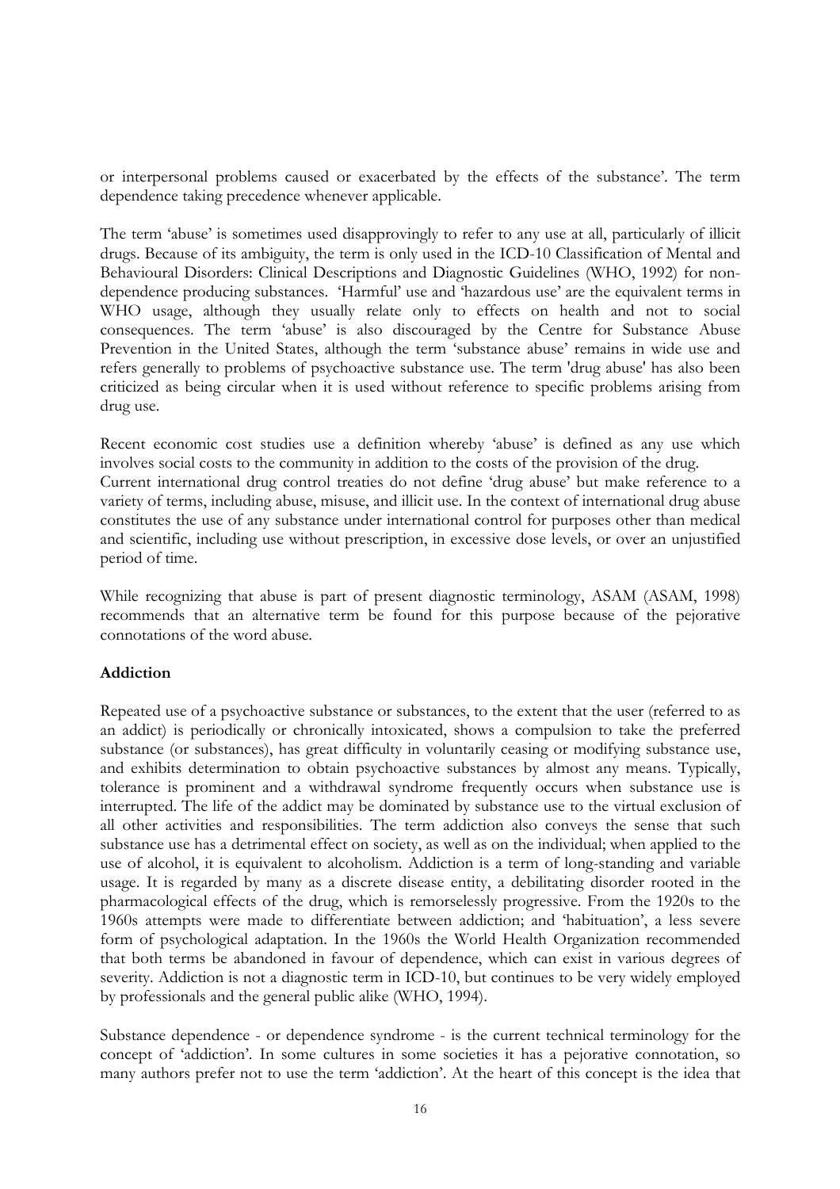or interpersonal problems caused or exacerbated by the effects of the substance'. The term dependence taking precedence whenever applicable.

The term 'abuse' is sometimes used disapprovingly to refer to any use at all, particularly of illicit drugs. Because of its ambiguity, the term is only used in the ICD-10 Classification of Mental and Behavioural Disorders: Clinical Descriptions and Diagnostic Guidelines (WHO, 1992) for nondependence producing substances. 'Harmful' use and 'hazardous use' are the equivalent terms in WHO usage, although they usually relate only to effects on health and not to social consequences. The term 'abuse' is also discouraged by the Centre for Substance Abuse Prevention in the United States, although the term 'substance abuse' remains in wide use and refers generally to problems of psychoactive substance use. The term 'drug abuse' has also been criticized as being circular when it is used without reference to specific problems arising from drug use.

Recent economic cost studies use a definition whereby 'abuse' is defined as any use which involves social costs to the community in addition to the costs of the provision of the drug. Current international drug control treaties do not define 'drug abuse' but make reference to a variety of terms, including abuse, misuse, and illicit use. In the context of international drug abuse constitutes the use of any substance under international control for purposes other than medical and scientific, including use without prescription, in excessive dose levels, or over an unjustified period of time.

While recognizing that abuse is part of present diagnostic terminology, ASAM (ASAM, 1998) recommends that an alternative term be found for this purpose because of the pejorative connotations of the word abuse.

# **Addiction**

Repeated use of a psychoactive substance or substances, to the extent that the user (referred to as an addict) is periodically or chronically intoxicated, shows a compulsion to take the preferred substance (or substances), has great difficulty in voluntarily ceasing or modifying substance use, and exhibits determination to obtain psychoactive substances by almost any means. Typically, tolerance is prominent and a withdrawal syndrome frequently occurs when substance use is interrupted. The life of the addict may be dominated by substance use to the virtual exclusion of all other activities and responsibilities. The term addiction also conveys the sense that such substance use has a detrimental effect on society, as well as on the individual; when applied to the use of alcohol, it is equivalent to alcoholism. Addiction is a term of long-standing and variable usage. It is regarded by many as a discrete disease entity, a debilitating disorder rooted in the pharmacological effects of the drug, which is remorselessly progressive. From the 1920s to the 1960s attempts were made to differentiate between addiction; and 'habituation', a less severe form of psychological adaptation. In the 1960s the World Health Organization recommended that both terms be abandoned in favour of dependence, which can exist in various degrees of severity. Addiction is not a diagnostic term in ICD-10, but continues to be very widely employed by professionals and the general public alike (WHO, 1994).

Substance dependence - or dependence syndrome - is the current technical terminology for the concept of 'addiction'. In some cultures in some societies it has a pejorative connotation, so many authors prefer not to use the term 'addiction'. At the heart of this concept is the idea that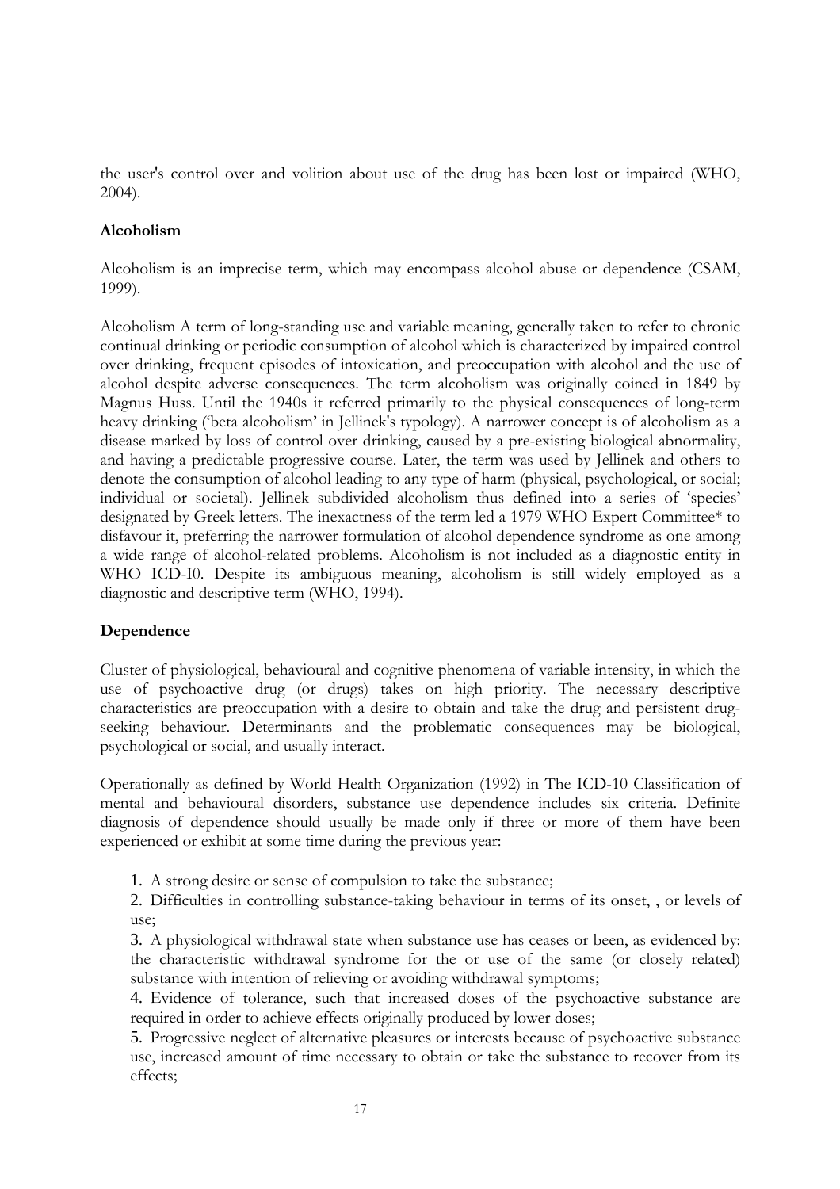the user's control over and volition about use of the drug has been lost or impaired (WHO, 2004).

# **Alcoholism**

Alcoholism is an imprecise term, which may encompass alcohol abuse or dependence (CSAM, 1999).

Alcoholism A term of long-standing use and variable meaning, generally taken to refer to chronic continual drinking or periodic consumption of alcohol which is characterized by impaired control over drinking, frequent episodes of intoxication, and preoccupation with alcohol and the use of alcohol despite adverse consequences. The term alcoholism was originally coined in 1849 by Magnus Huss. Until the 1940s it referred primarily to the physical consequences of long-term heavy drinking ('beta alcoholism' in Jellinek's typology). A narrower concept is of alcoholism as a disease marked by loss of control over drinking, caused by a pre-existing biological abnormality, and having a predictable progressive course. Later, the term was used by Jellinek and others to denote the consumption of alcohol leading to any type of harm (physical, psychological, or social; individual or societal). Jellinek subdivided alcoholism thus defined into a series of 'species' designated by Greek letters. The inexactness of the term led a 1979 WHO Expert Committee\* to disfavour it, preferring the narrower formulation of alcohol dependence syndrome as one among a wide range of alcohol-related problems. Alcoholism is not included as a diagnostic entity in WHO ICD-I0. Despite its ambiguous meaning, alcoholism is still widely employed as a diagnostic and descriptive term (WHO, 1994).

# **Dependence**

Cluster of physiological, behavioural and cognitive phenomena of variable intensity, in which the use of psychoactive drug (or drugs) takes on high priority. The necessary descriptive characteristics are preoccupation with a desire to obtain and take the drug and persistent drugseeking behaviour. Determinants and the problematic consequences may be biological, psychological or social, and usually interact.

Operationally as defined by World Health Organization (1992) in The ICD-10 Classification of mental and behavioural disorders, substance use dependence includes six criteria. Definite diagnosis of dependence should usually be made only if three or more of them have been experienced or exhibit at some time during the previous year:

1. A strong desire or sense of compulsion to take the substance;

2. Difficulties in controlling substance-taking behaviour in terms of its onset, , or levels of use;

3. A physiological withdrawal state when substance use has ceases or been, as evidenced by: the characteristic withdrawal syndrome for the or use of the same (or closely related) substance with intention of relieving or avoiding withdrawal symptoms;

4. Evidence of tolerance, such that increased doses of the psychoactive substance are required in order to achieve effects originally produced by lower doses;

5. Progressive neglect of alternative pleasures or interests because of psychoactive substance use, increased amount of time necessary to obtain or take the substance to recover from its effects;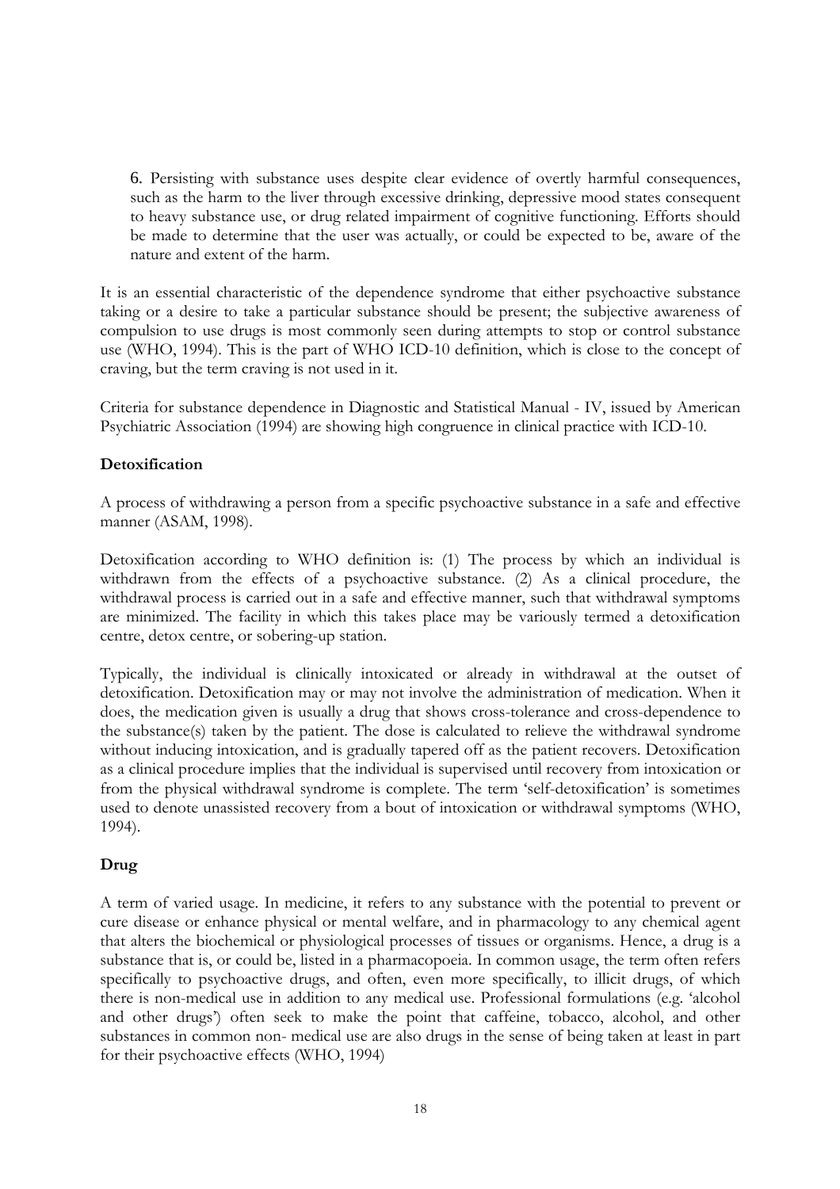6. Persisting with substance uses despite clear evidence of overtly harmful consequences, such as the harm to the liver through excessive drinking, depressive mood states consequent to heavy substance use, or drug related impairment of cognitive functioning. Efforts should be made to determine that the user was actually, or could be expected to be, aware of the nature and extent of the harm.

It is an essential characteristic of the dependence syndrome that either psychoactive substance taking or a desire to take a particular substance should be present; the subjective awareness of compulsion to use drugs is most commonly seen during attempts to stop or control substance use (WHO, 1994). This is the part of WHO ICD-10 definition, which is close to the concept of craving, but the term craving is not used in it.

Criteria for substance dependence in Diagnostic and Statistical Manual - IV, issued by American Psychiatric Association (1994) are showing high congruence in clinical practice with ICD-10.

# **Detoxification**

A process of withdrawing a person from a specific psychoactive substance in a safe and effective manner (ASAM, 1998).

Detoxification according to WHO definition is: (1) The process by which an individual is withdrawn from the effects of a psychoactive substance. (2) As a clinical procedure, the withdrawal process is carried out in a safe and effective manner, such that withdrawal symptoms are minimized. The facility in which this takes place may be variously termed a detoxification centre, detox centre, or sobering-up station.

Typically, the individual is clinically intoxicated or already in withdrawal at the outset of detoxification. Detoxification may or may not involve the administration of medication. When it does, the medication given is usually a drug that shows cross-tolerance and cross-dependence to the substance(s) taken by the patient. The dose is calculated to relieve the withdrawal syndrome without inducing intoxication, and is gradually tapered off as the patient recovers. Detoxification as a clinical procedure implies that the individual is supervised until recovery from intoxication or from the physical withdrawal syndrome is complete. The term 'self-detoxification' is sometimes used to denote unassisted recovery from a bout of intoxication or withdrawal symptoms (WHO, 1994).

# **Drug**

A term of varied usage. In medicine, it refers to any substance with the potential to prevent or cure disease or enhance physical or mental welfare, and in pharmacology to any chemical agent that alters the biochemical or physiological processes of tissues or organisms. Hence, a drug is a substance that is, or could be, listed in a pharmacopoeia. In common usage, the term often refers specifically to psychoactive drugs, and often, even more specifically, to illicit drugs, of which there is non-medical use in addition to any medical use. Professional formulations (e.g. 'alcohol and other drugs') often seek to make the point that caffeine, tobacco, alcohol, and other substances in common non- medical use are also drugs in the sense of being taken at least in part for their psychoactive effects (WHO, 1994)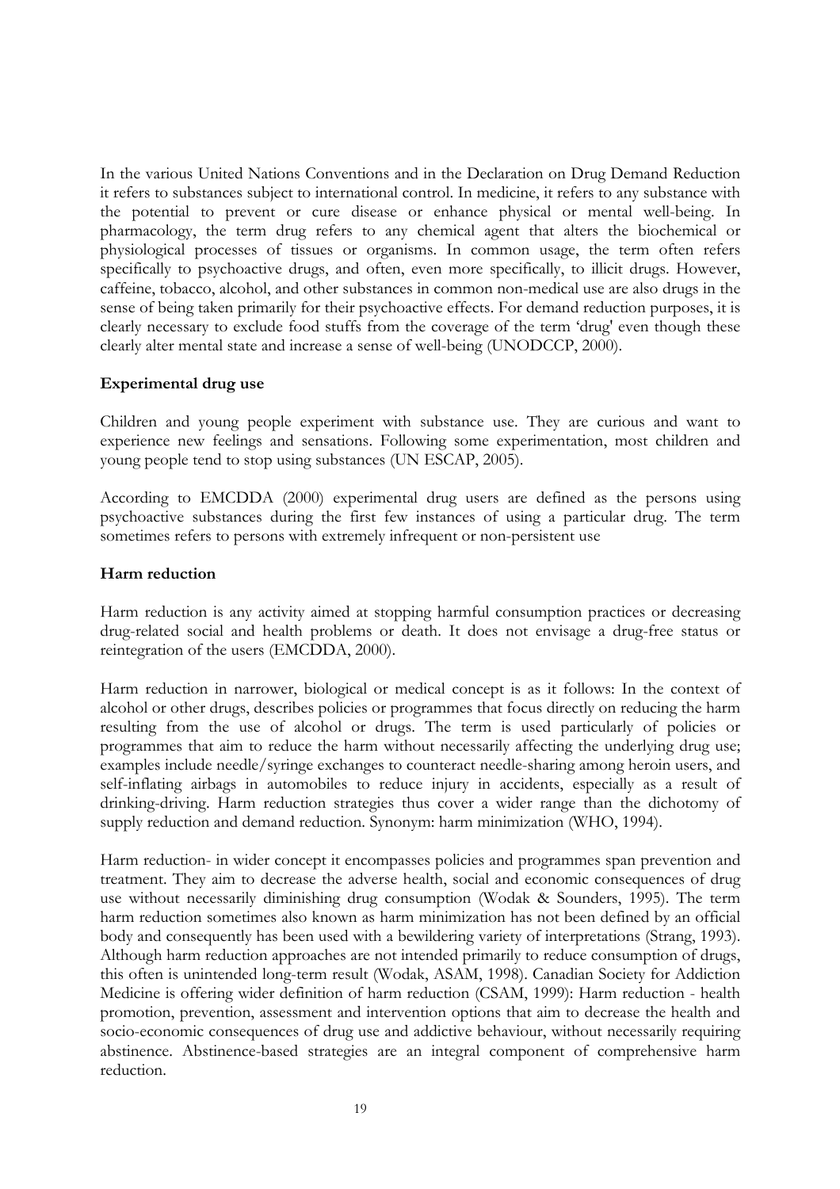In the various United Nations Conventions and in the Declaration on Drug Demand Reduction it refers to substances subject to international control. In medicine, it refers to any substance with the potential to prevent or cure disease or enhance physical or mental well-being. In pharmacology, the term drug refers to any chemical agent that alters the biochemical or physiological processes of tissues or organisms. In common usage, the term often refers specifically to psychoactive drugs, and often, even more specifically, to illicit drugs. However, caffeine, tobacco, alcohol, and other substances in common non-medical use are also drugs in the sense of being taken primarily for their psychoactive effects. For demand reduction purposes, it is clearly necessary to exclude food stuffs from the coverage of the term 'drug' even though these clearly alter mental state and increase a sense of well-being (UNODCCP, 2000).

# **Experimental drug use**

Children and young people experiment with substance use. They are curious and want to experience new feelings and sensations. Following some experimentation, most children and young people tend to stop using substances (UN ESCAP, 2005).

According to EMCDDA (2000) experimental drug users are defined as the persons using psychoactive substances during the first few instances of using a particular drug. The term sometimes refers to persons with extremely infrequent or non-persistent use

# **Harm reduction**

Harm reduction is any activity aimed at stopping harmful consumption practices or decreasing drug-related social and health problems or death. It does not envisage a drug-free status or reintegration of the users (EMCDDA, 2000).

Harm reduction in narrower, biological or medical concept is as it follows: In the context of alcohol or other drugs, describes policies or programmes that focus directly on reducing the harm resulting from the use of alcohol or drugs. The term is used particularly of policies or programmes that aim to reduce the harm without necessarily affecting the underlying drug use; examples include needle/syringe exchanges to counteract needle-sharing among heroin users, and self-inflating airbags in automobiles to reduce injury in accidents, especially as a result of drinking-driving. Harm reduction strategies thus cover a wider range than the dichotomy of supply reduction and demand reduction. Synonym: harm minimization (WHO, 1994).

Harm reduction- in wider concept it encompasses policies and programmes span prevention and treatment. They aim to decrease the adverse health, social and economic consequences of drug use without necessarily diminishing drug consumption (Wodak & Sounders, 1995). The term harm reduction sometimes also known as harm minimization has not been defined by an official body and consequently has been used with a bewildering variety of interpretations (Strang, 1993). Although harm reduction approaches are not intended primarily to reduce consumption of drugs, this often is unintended long-term result (Wodak, ASAM, 1998). Canadian Society for Addiction Medicine is offering wider definition of harm reduction (CSAM, 1999): Harm reduction - health promotion, prevention, assessment and intervention options that aim to decrease the health and socio-economic consequences of drug use and addictive behaviour, without necessarily requiring abstinence. Abstinence-based strategies are an integral component of comprehensive harm reduction.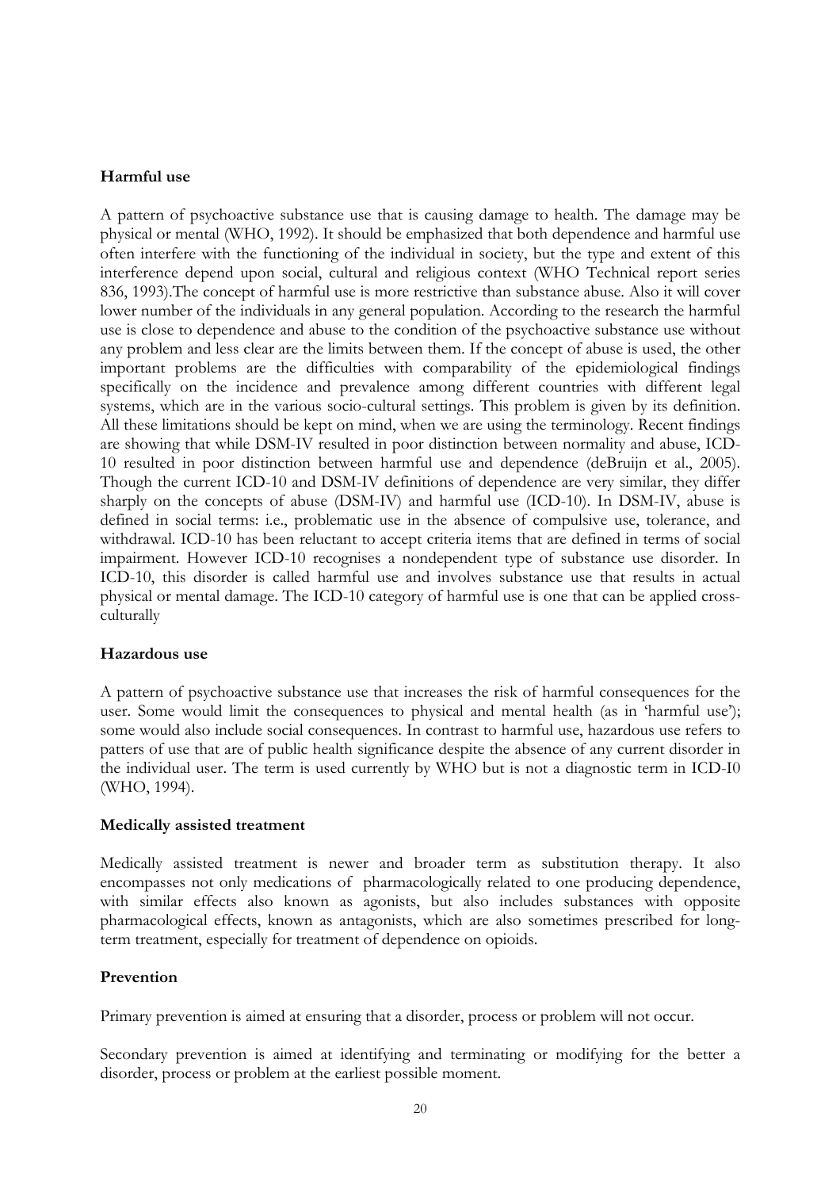# **Harmful use**

A pattern of psychoactive substance use that is causing damage to health. The damage may be physical or mental (WHO, 1992). It should be emphasized that both dependence and harmful use often interfere with the functioning of the individual in society, but the type and extent of this interference depend upon social, cultural and religious context (WHO Technical report series 836, 1993).The concept of harmful use is more restrictive than substance abuse. Also it will cover lower number of the individuals in any general population. According to the research the harmful use is close to dependence and abuse to the condition of the psychoactive substance use without any problem and less clear are the limits between them. If the concept of abuse is used, the other important problems are the difficulties with comparability of the epidemiological findings specifically on the incidence and prevalence among different countries with different legal systems, which are in the various socio-cultural settings. This problem is given by its definition. All these limitations should be kept on mind, when we are using the terminology. Recent findings are showing that while DSM-IV resulted in poor distinction between normality and abuse, ICD-10 resulted in poor distinction between harmful use and dependence (deBruijn et al., 2005). Though the current ICD-10 and DSM-IV definitions of dependence are very similar, they differ sharply on the concepts of abuse (DSM-IV) and harmful use (ICD-10). In DSM-IV, abuse is defined in social terms: i.e., problematic use in the absence of compulsive use, tolerance, and withdrawal. ICD-10 has been reluctant to accept criteria items that are defined in terms of social impairment. However ICD-10 recognises a nondependent type of substance use disorder. In ICD-10, this disorder is called harmful use and involves substance use that results in actual physical or mental damage. The ICD-10 category of harmful use is one that can be applied crossculturally

#### **Hazardous use**

A pattern of psychoactive substance use that increases the risk of harmful consequences for the user. Some would limit the consequences to physical and mental health (as in 'harmful use'); some would also include social consequences. In contrast to harmful use, hazardous use refers to patters of use that are of public health significance despite the absence of any current disorder in the individual user. The term is used currently by WHO but is not a diagnostic term in ICD-I0 (WHO, 1994).

#### **Medically assisted treatment**

Medically assisted treatment is newer and broader term as substitution therapy. It also encompasses not only medications of pharmacologically related to one producing dependence, with similar effects also known as agonists, but also includes substances with opposite pharmacological effects, known as antagonists, which are also sometimes prescribed for longterm treatment, especially for treatment of dependence on opioids.

# **Prevention**

Primary prevention is aimed at ensuring that a disorder, process or problem will not occur.

Secondary prevention is aimed at identifying and terminating or modifying for the better a disorder, process or problem at the earliest possible moment.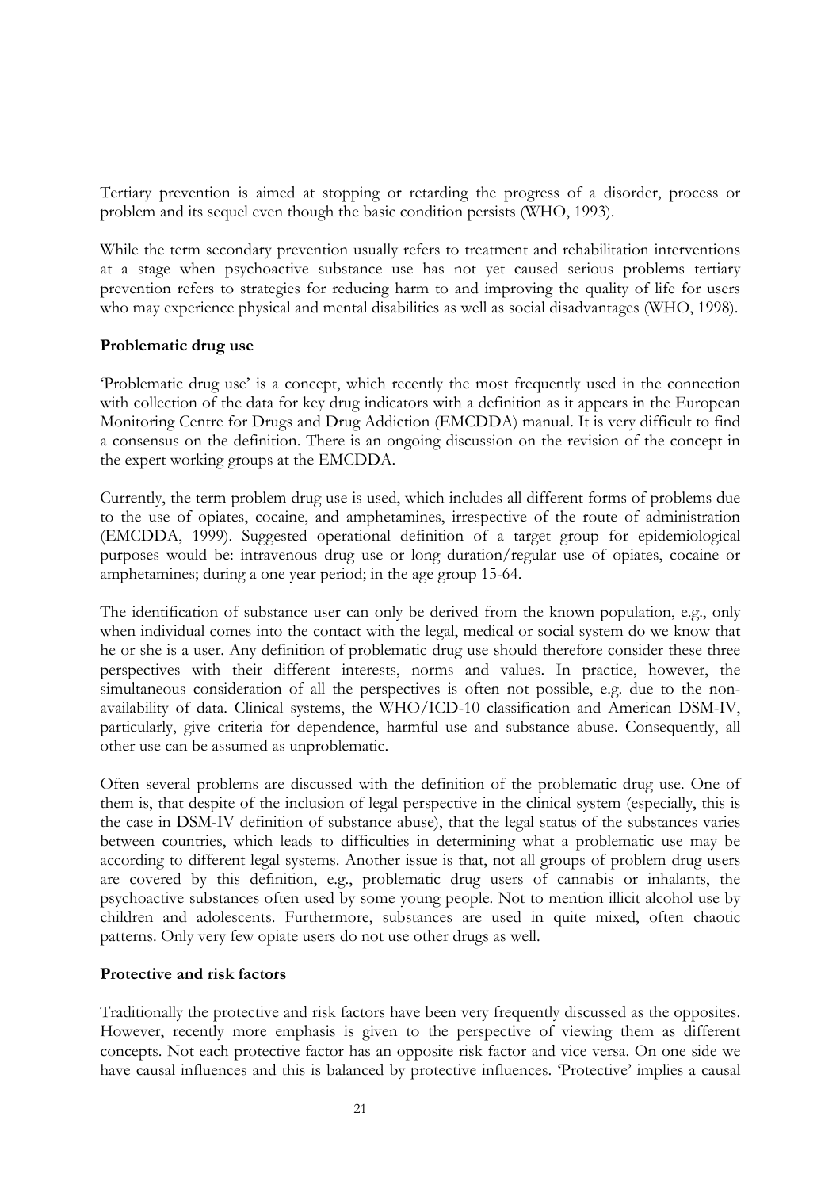Tertiary prevention is aimed at stopping or retarding the progress of a disorder, process or problem and its sequel even though the basic condition persists (WHO, 1993).

While the term secondary prevention usually refers to treatment and rehabilitation interventions at a stage when psychoactive substance use has not yet caused serious problems tertiary prevention refers to strategies for reducing harm to and improving the quality of life for users who may experience physical and mental disabilities as well as social disadvantages (WHO, 1998).

#### **Problematic drug use**

'Problematic drug use' is a concept, which recently the most frequently used in the connection with collection of the data for key drug indicators with a definition as it appears in the European Monitoring Centre for Drugs and Drug Addiction (EMCDDA) manual. It is very difficult to find a consensus on the definition. There is an ongoing discussion on the revision of the concept in the expert working groups at the EMCDDA.

Currently, the term problem drug use is used, which includes all different forms of problems due to the use of opiates, cocaine, and amphetamines, irrespective of the route of administration (EMCDDA, 1999). Suggested operational definition of a target group for epidemiological purposes would be: intravenous drug use or long duration/regular use of opiates, cocaine or amphetamines; during a one year period; in the age group 15-64.

The identification of substance user can only be derived from the known population, e.g., only when individual comes into the contact with the legal, medical or social system do we know that he or she is a user. Any definition of problematic drug use should therefore consider these three perspectives with their different interests, norms and values. In practice, however, the simultaneous consideration of all the perspectives is often not possible, e.g. due to the nonavailability of data. Clinical systems, the WHO/ICD-10 classification and American DSM-IV, particularly, give criteria for dependence, harmful use and substance abuse. Consequently, all other use can be assumed as unproblematic.

Often several problems are discussed with the definition of the problematic drug use. One of them is, that despite of the inclusion of legal perspective in the clinical system (especially, this is the case in DSM-IV definition of substance abuse), that the legal status of the substances varies between countries, which leads to difficulties in determining what a problematic use may be according to different legal systems. Another issue is that, not all groups of problem drug users are covered by this definition, e.g., problematic drug users of cannabis or inhalants, the psychoactive substances often used by some young people. Not to mention illicit alcohol use by children and adolescents. Furthermore, substances are used in quite mixed, often chaotic patterns. Only very few opiate users do not use other drugs as well.

#### **Protective and risk factors**

Traditionally the protective and risk factors have been very frequently discussed as the opposites. However, recently more emphasis is given to the perspective of viewing them as different concepts. Not each protective factor has an opposite risk factor and vice versa. On one side we have causal influences and this is balanced by protective influences. 'Protective' implies a causal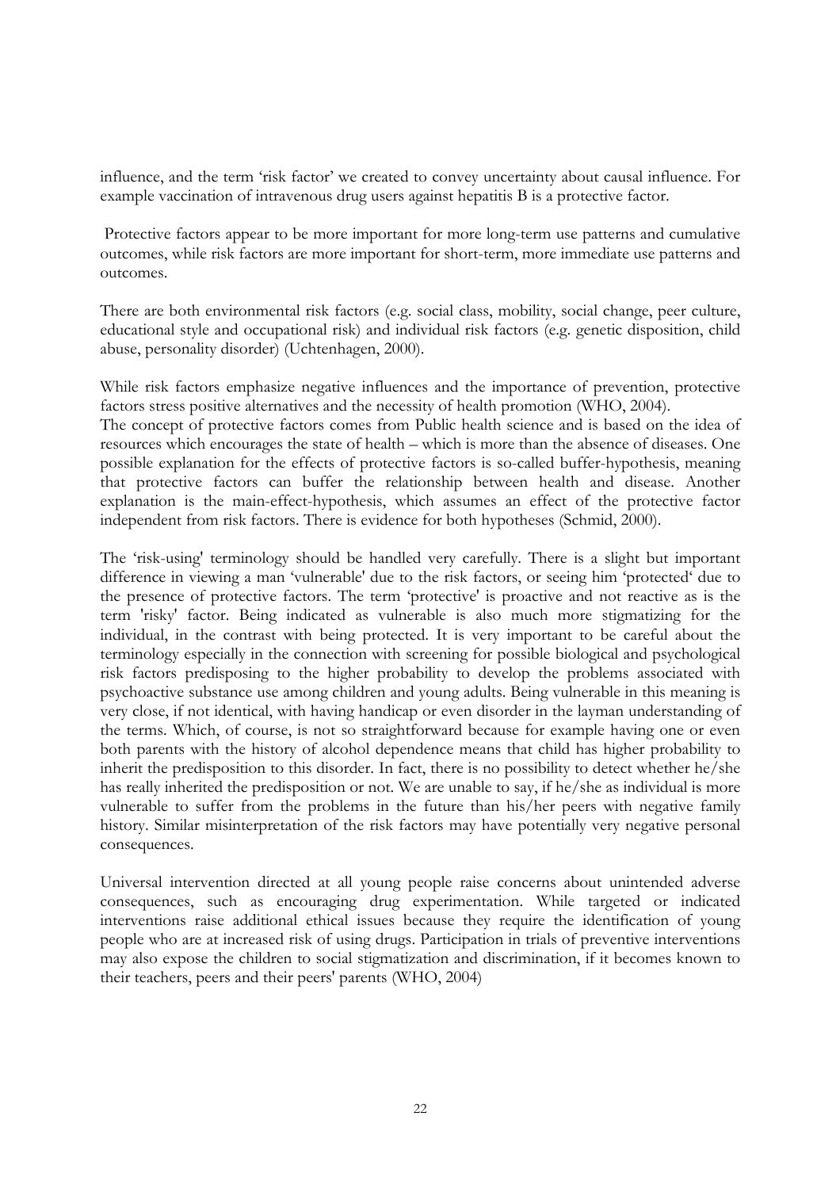influence, and the term 'risk factor' we created to convey uncertainty about causal influence. For example vaccination of intravenous drug users against hepatitis B is a protective factor.

 Protective factors appear to be more important for more long-term use patterns and cumulative outcomes, while risk factors are more important for short-term, more immediate use patterns and outcomes.

There are both environmental risk factors (e.g. social class, mobility, social change, peer culture, educational style and occupational risk) and individual risk factors (e.g. genetic disposition, child abuse, personality disorder) (Uchtenhagen, 2000).

While risk factors emphasize negative influences and the importance of prevention, protective factors stress positive alternatives and the necessity of health promotion (WHO, 2004).

The concept of protective factors comes from Public health science and is based on the idea of resources which encourages the state of health – which is more than the absence of diseases. One possible explanation for the effects of protective factors is so-called buffer-hypothesis, meaning that protective factors can buffer the relationship between health and disease. Another explanation is the main-effect-hypothesis, which assumes an effect of the protective factor independent from risk factors. There is evidence for both hypotheses (Schmid, 2000).

The 'risk-using' terminology should be handled very carefully. There is a slight but important difference in viewing a man 'vulnerable' due to the risk factors, or seeing him 'protected' due to the presence of protective factors. The term 'protective' is proactive and not reactive as is the term 'risky' factor. Being indicated as vulnerable is also much more stigmatizing for the individual, in the contrast with being protected. It is very important to be careful about the terminology especially in the connection with screening for possible biological and psychological risk factors predisposing to the higher probability to develop the problems associated with psychoactive substance use among children and young adults. Being vulnerable in this meaning is very close, if not identical, with having handicap or even disorder in the layman understanding of the terms. Which, of course, is not so straightforward because for example having one or even both parents with the history of alcohol dependence means that child has higher probability to inherit the predisposition to this disorder. In fact, there is no possibility to detect whether he/she has really inherited the predisposition or not. We are unable to say, if he/she as individual is more vulnerable to suffer from the problems in the future than his/her peers with negative family history. Similar misinterpretation of the risk factors may have potentially very negative personal consequences.

Universal intervention directed at all young people raise concerns about unintended adverse consequences, such as encouraging drug experimentation. While targeted or indicated interventions raise additional ethical issues because they require the identification of young people who are at increased risk of using drugs. Participation in trials of preventive interventions may also expose the children to social stigmatization and discrimination, if it becomes known to their teachers, peers and their peers' parents (WHO, 2004)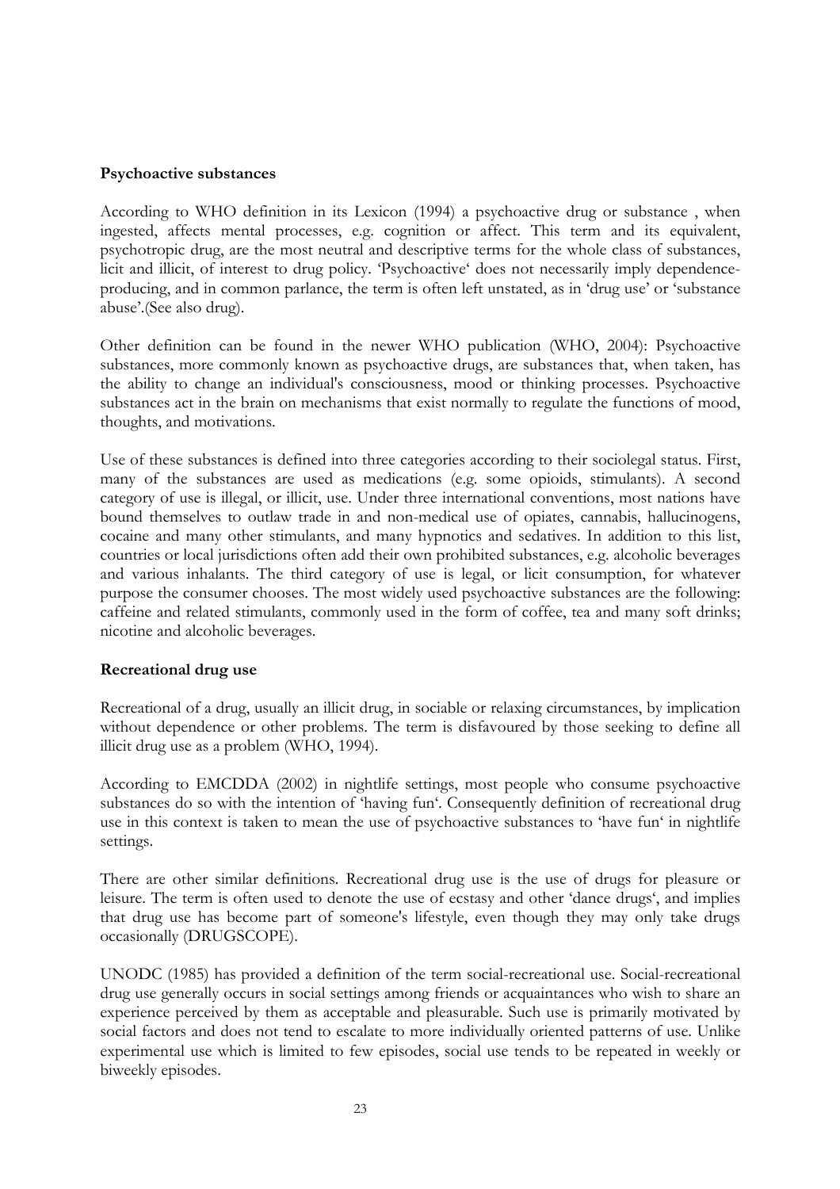### **Psychoactive substances**

According to WHO definition in its Lexicon (1994) a psychoactive drug or substance , when ingested, affects mental processes, e.g. cognition or affect. This term and its equivalent, psychotropic drug, are the most neutral and descriptive terms for the whole class of substances, licit and illicit, of interest to drug policy. 'Psychoactive' does not necessarily imply dependenceproducing, and in common parlance, the term is often left unstated, as in 'drug use' or 'substance abuse'.(See also drug).

Other definition can be found in the newer WHO publication (WHO, 2004): Psychoactive substances, more commonly known as psychoactive drugs, are substances that, when taken, has the ability to change an individual's consciousness, mood or thinking processes. Psychoactive substances act in the brain on mechanisms that exist normally to regulate the functions of mood, thoughts, and motivations.

Use of these substances is defined into three categories according to their sociolegal status. First, many of the substances are used as medications (e.g. some opioids, stimulants). A second category of use is illegal, or illicit, use. Under three international conventions, most nations have bound themselves to outlaw trade in and non-medical use of opiates, cannabis, hallucinogens, cocaine and many other stimulants, and many hypnotics and sedatives. In addition to this list, countries or local jurisdictions often add their own prohibited substances, e.g. alcoholic beverages and various inhalants. The third category of use is legal, or licit consumption, for whatever purpose the consumer chooses. The most widely used psychoactive substances are the following: caffeine and related stimulants, commonly used in the form of coffee, tea and many soft drinks; nicotine and alcoholic beverages.

# **Recreational drug use**

Recreational of a drug, usually an illicit drug, in sociable or relaxing circumstances, by implication without dependence or other problems. The term is disfavoured by those seeking to define all illicit drug use as a problem (WHO, 1994).

According to EMCDDA (2002) in nightlife settings, most people who consume psychoactive substances do so with the intention of 'having fun'. Consequently definition of recreational drug use in this context is taken to mean the use of psychoactive substances to 'have fun' in nightlife settings.

There are other similar definitions. Recreational drug use is the use of drugs for pleasure or leisure. The term is often used to denote the use of ecstasy and other 'dance drugs', and implies that drug use has become part of someone's lifestyle, even though they may only take drugs occasionally (DRUGSCOPE).

UNODC (1985) has provided a definition of the term social-recreational use. Social-recreational drug use generally occurs in social settings among friends or acquaintances who wish to share an experience perceived by them as acceptable and pleasurable. Such use is primarily motivated by social factors and does not tend to escalate to more individually oriented patterns of use. Unlike experimental use which is limited to few episodes, social use tends to be repeated in weekly or biweekly episodes.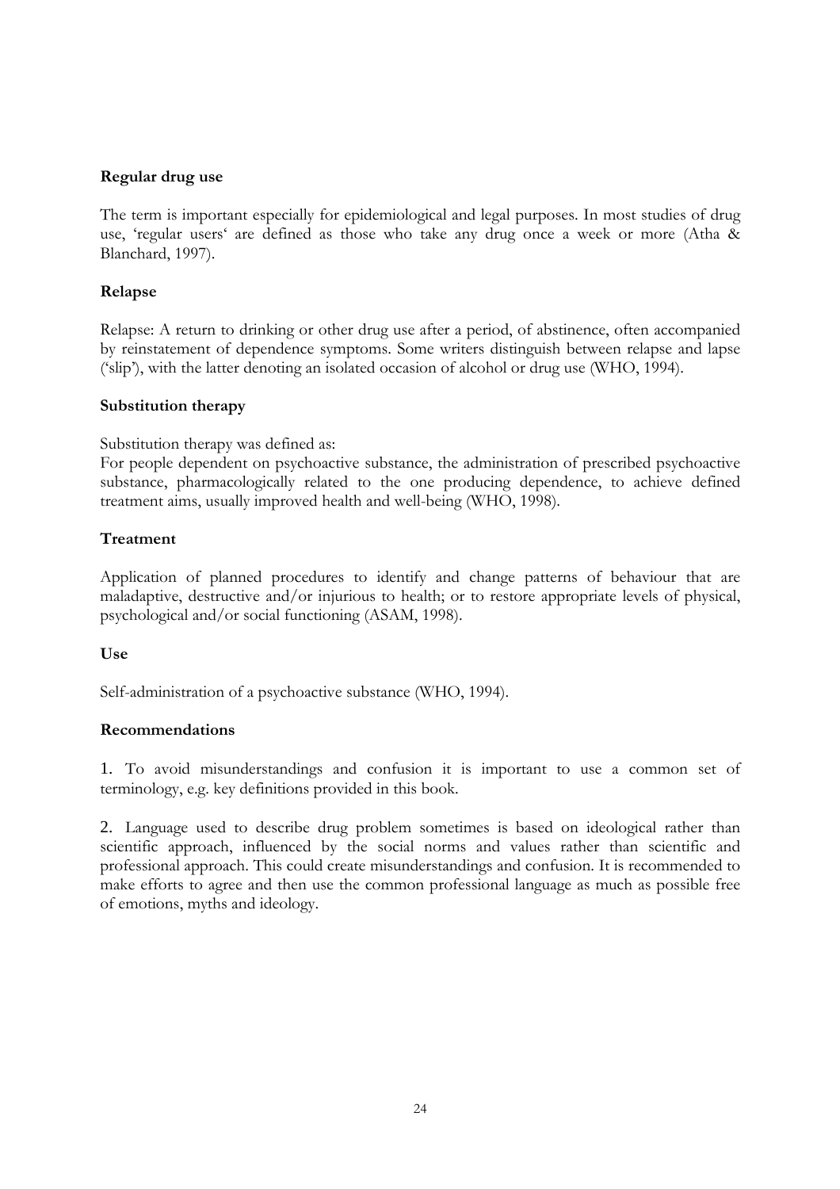# **Regular drug use**

The term is important especially for epidemiological and legal purposes. In most studies of drug use, 'regular users' are defined as those who take any drug once a week or more (Atha & Blanchard, 1997).

# **Relapse**

Relapse: A return to drinking or other drug use after a period, of abstinence, often accompanied by reinstatement of dependence symptoms. Some writers distinguish between relapse and lapse ('slip'), with the latter denoting an isolated occasion of alcohol or drug use (WHO, 1994).

# **Substitution therapy**

Substitution therapy was defined as:

For people dependent on psychoactive substance, the administration of prescribed psychoactive substance, pharmacologically related to the one producing dependence, to achieve defined treatment aims, usually improved health and well-being (WHO, 1998).

# **Treatment**

Application of planned procedures to identify and change patterns of behaviour that are maladaptive, destructive and/or injurious to health; or to restore appropriate levels of physical, psychological and/or social functioning (ASAM, 1998).

# **Use**

Self-administration of a psychoactive substance (WHO, 1994).

# **Recommendations**

1. To avoid misunderstandings and confusion it is important to use a common set of terminology, e.g. key definitions provided in this book.

2. Language used to describe drug problem sometimes is based on ideological rather than scientific approach, influenced by the social norms and values rather than scientific and professional approach. This could create misunderstandings and confusion. It is recommended to make efforts to agree and then use the common professional language as much as possible free of emotions, myths and ideology.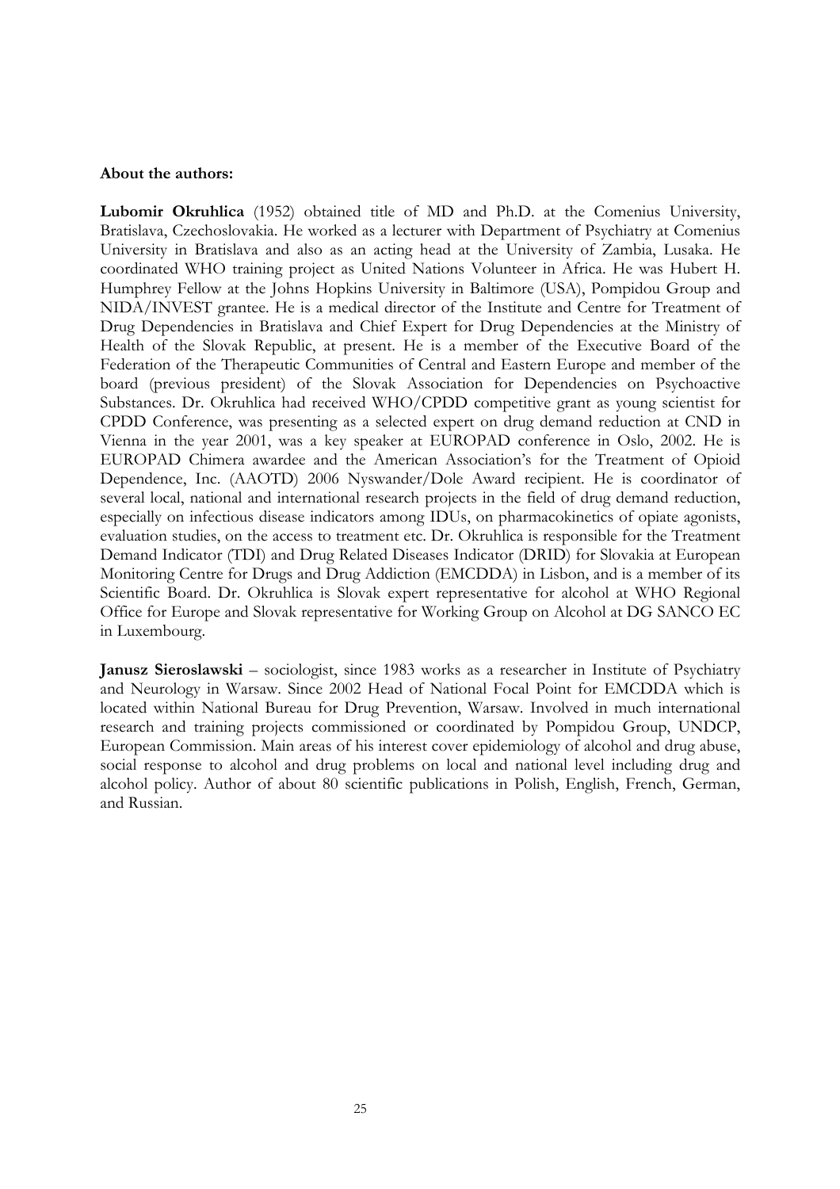#### **About the authors:**

**Lubomir Okruhlica** (1952) obtained title of MD and Ph.D. at the Comenius University, Bratislava, Czechoslovakia. He worked as a lecturer with Department of Psychiatry at Comenius University in Bratislava and also as an acting head at the University of Zambia, Lusaka. He coordinated WHO training project as United Nations Volunteer in Africa. He was Hubert H. Humphrey Fellow at the Johns Hopkins University in Baltimore (USA), Pompidou Group and NIDA/INVEST grantee. He is a medical director of the Institute and Centre for Treatment of Drug Dependencies in Bratislava and Chief Expert for Drug Dependencies at the Ministry of Health of the Slovak Republic, at present. He is a member of the Executive Board of the Federation of the Therapeutic Communities of Central and Eastern Europe and member of the board (previous president) of the Slovak Association for Dependencies on Psychoactive Substances. Dr. Okruhlica had received WHO/CPDD competitive grant as young scientist for CPDD Conference, was presenting as a selected expert on drug demand reduction at CND in Vienna in the year 2001, was a key speaker at EUROPAD conference in Oslo, 2002. He is EUROPAD Chimera awardee and the American Association's for the Treatment of Opioid Dependence, Inc. (AAOTD) 2006 Nyswander/Dole Award recipient. He is coordinator of several local, national and international research projects in the field of drug demand reduction, especially on infectious disease indicators among IDUs, on pharmacokinetics of opiate agonists, evaluation studies, on the access to treatment etc. Dr. Okruhlica is responsible for the Treatment Demand Indicator (TDI) and Drug Related Diseases Indicator (DRID) for Slovakia at European Monitoring Centre for Drugs and Drug Addiction (EMCDDA) in Lisbon, and is a member of its Scientific Board. Dr. Okruhlica is Slovak expert representative for alcohol at WHO Regional Office for Europe and Slovak representative for Working Group on Alcohol at DG SANCO EC in Luxembourg.

**Janusz Sieroslawski** – sociologist, since 1983 works as a researcher in Institute of Psychiatry and Neurology in Warsaw. Since 2002 Head of National Focal Point for EMCDDA which is located within National Bureau for Drug Prevention, Warsaw. Involved in much international research and training projects commissioned or coordinated by Pompidou Group, UNDCP, European Commission. Main areas of his interest cover epidemiology of alcohol and drug abuse, social response to alcohol and drug problems on local and national level including drug and alcohol policy. Author of about 80 scientific publications in Polish, English, French, German, and Russian.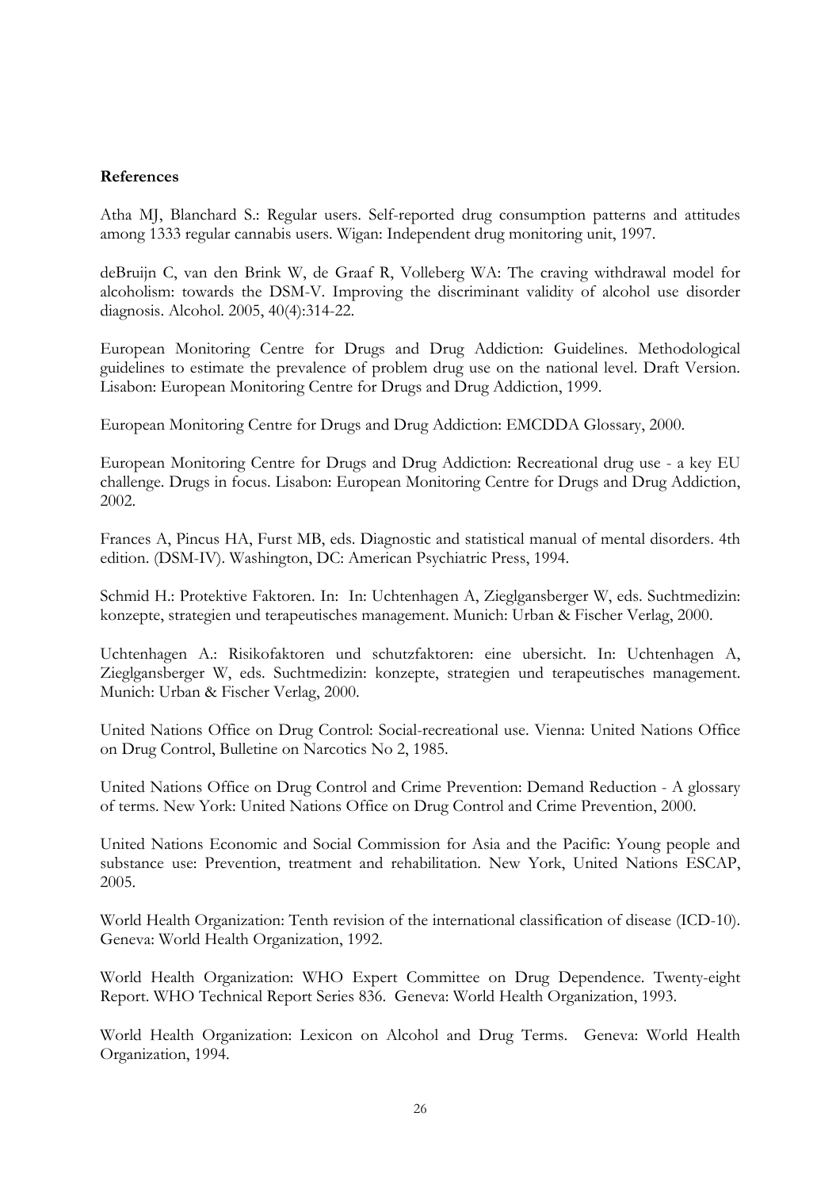#### **References**

Atha MJ, Blanchard S.: Regular users. Self-reported drug consumption patterns and attitudes among 1333 regular cannabis users. Wigan: Independent drug monitoring unit, 1997.

deBruijn C, van den Brink W, de Graaf R, Volleberg WA: The craving withdrawal model for alcoholism: towards the DSM-V. Improving the discriminant validity of alcohol use disorder diagnosis. Alcohol. 2005, 40(4):314-22.

European Monitoring Centre for Drugs and Drug Addiction: Guidelines. Methodological guidelines to estimate the prevalence of problem drug use on the national level. Draft Version. Lisabon: European Monitoring Centre for Drugs and Drug Addiction, 1999.

European Monitoring Centre for Drugs and Drug Addiction: EMCDDA Glossary, 2000.

European Monitoring Centre for Drugs and Drug Addiction: Recreational drug use - a key EU challenge. Drugs in focus. Lisabon: European Monitoring Centre for Drugs and Drug Addiction, 2002.

Frances A, Pincus HA, Furst MB, eds. Diagnostic and statistical manual of mental disorders. 4th edition. (DSM-IV). Washington, DC: American Psychiatric Press, 1994.

Schmid H.: Protektive Faktoren. In: In: Uchtenhagen A, Zieglgansberger W, eds. Suchtmedizin: konzepte, strategien und terapeutisches management. Munich: Urban & Fischer Verlag, 2000.

Uchtenhagen A.: Risikofaktoren und schutzfaktoren: eine ubersicht. In: Uchtenhagen A, Zieglgansberger W, eds. Suchtmedizin: konzepte, strategien und terapeutisches management. Munich: Urban & Fischer Verlag, 2000.

United Nations Office on Drug Control: Social-recreational use. Vienna: United Nations Office on Drug Control, Bulletine on Narcotics No 2, 1985.

United Nations Office on Drug Control and Crime Prevention: Demand Reduction - A glossary of terms. New York: United Nations Office on Drug Control and Crime Prevention, 2000.

United Nations Economic and Social Commission for Asia and the Pacific: Young people and substance use: Prevention, treatment and rehabilitation. New York, United Nations ESCAP, 2005.

World Health Organization: Tenth revision of the international classification of disease (ICD-10). Geneva: World Health Organization, 1992.

World Health Organization: WHO Expert Committee on Drug Dependence. Twenty-eight Report. WHO Technical Report Series 836. Geneva: World Health Organization, 1993.

World Health Organization: Lexicon on Alcohol and Drug Terms. Geneva: World Health Organization, 1994.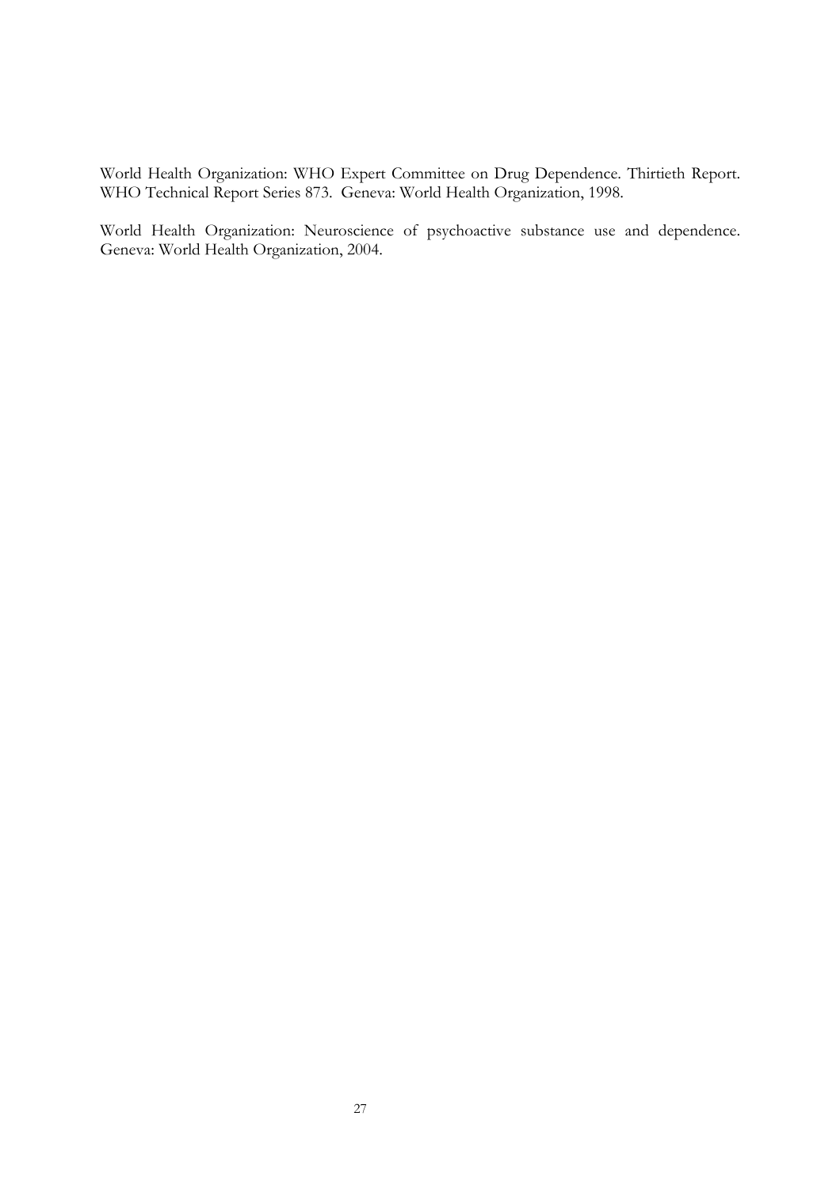World Health Organization: WHO Expert Committee on Drug Dependence. Thirtieth Report. WHO Technical Report Series 873. Geneva: World Health Organization, 1998.

World Health Organization: Neuroscience of psychoactive substance use and dependence. Geneva: World Health Organization, 2004.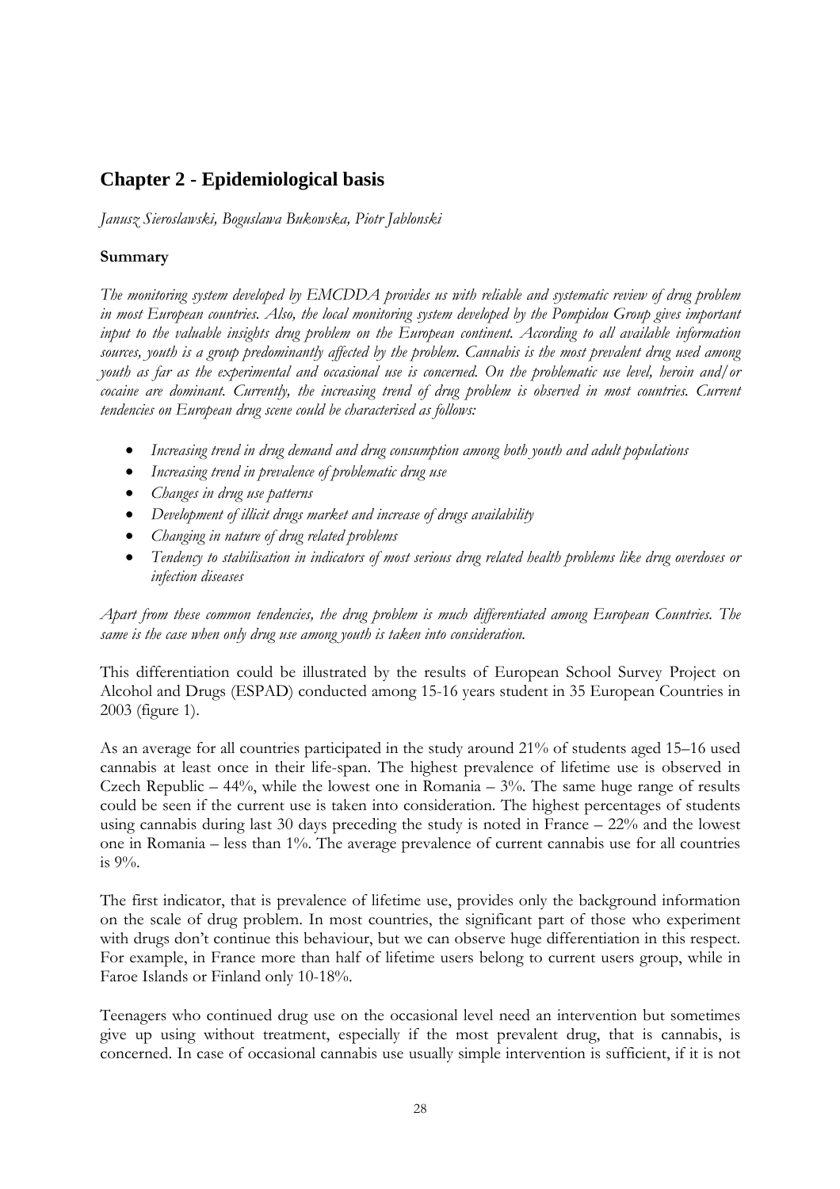# **Chapter 2 - Epidemiological basis**

*Janusz Sieroslawski, Boguslawa Bukowska, Piotr Jablonski* 

# **Summary**

*The monitoring system developed by EMCDDA provides us with reliable and systematic review of drug problem in most European countries. Also, the local monitoring system developed by the Pompidou Group gives important input to the valuable insights drug problem on the European continent. According to all available information sources, youth is a group predominantly affected by the problem. Cannabis is the most prevalent drug used among youth as far as the experimental and occasional use is concerned. On the problematic use level, heroin and/or cocaine are dominant. Currently, the increasing trend of drug problem is observed in most countries. Current tendencies on European drug scene could be characterised as follows:* 

- *Increasing trend in drug demand and drug consumption among both youth and adult populations*
- *Increasing trend in prevalence of problematic drug use*
- *Changes in drug use patterns*
- *Development of illicit drugs market and increase of drugs availability*
- *Changing in nature of drug related problems*
- *Tendency to stabilisation in indicators of most serious drug related health problems like drug overdoses or infection diseases*

*Apart from these common tendencies, the drug problem is much differentiated among European Countries. The same is the case when only drug use among youth is taken into consideration.* 

This differentiation could be illustrated by the results of European School Survey Project on Alcohol and Drugs (ESPAD) conducted among 15-16 years student in 35 European Countries in 2003 (figure 1).

As an average for all countries participated in the study around 21% of students aged 15–16 used cannabis at least once in their life-span. The highest prevalence of lifetime use is observed in Czech Republic  $-44\%$ , while the lowest one in Romania  $-3\%$ . The same huge range of results could be seen if the current use is taken into consideration. The highest percentages of students using cannabis during last 30 days preceding the study is noted in France – 22% and the lowest one in Romania – less than 1%. The average prevalence of current cannabis use for all countries is 9%.

The first indicator, that is prevalence of lifetime use, provides only the background information on the scale of drug problem. In most countries, the significant part of those who experiment with drugs don't continue this behaviour, but we can observe huge differentiation in this respect. For example, in France more than half of lifetime users belong to current users group, while in Faroe Islands or Finland only 10-18%.

Teenagers who continued drug use on the occasional level need an intervention but sometimes give up using without treatment, especially if the most prevalent drug, that is cannabis, is concerned. In case of occasional cannabis use usually simple intervention is sufficient, if it is not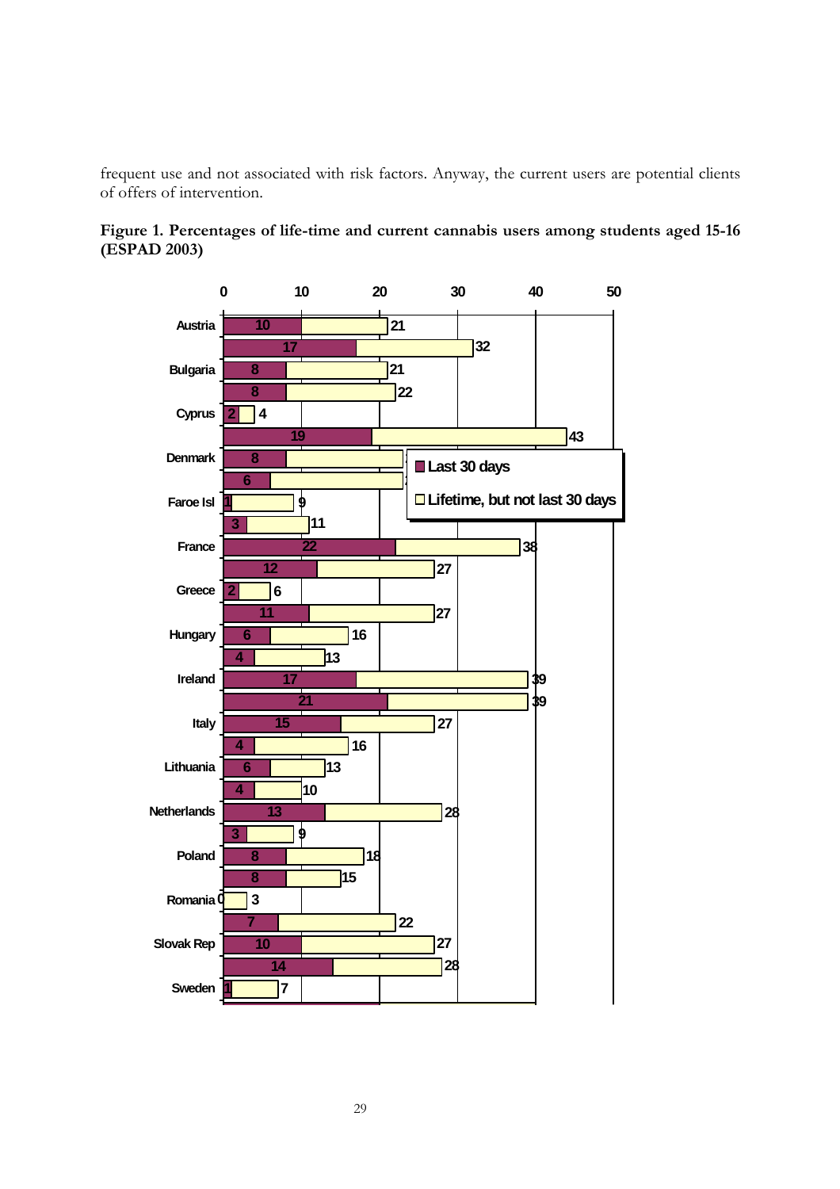frequent use and not associated with risk factors. Anyway, the current users are potential clients of offers of intervention.



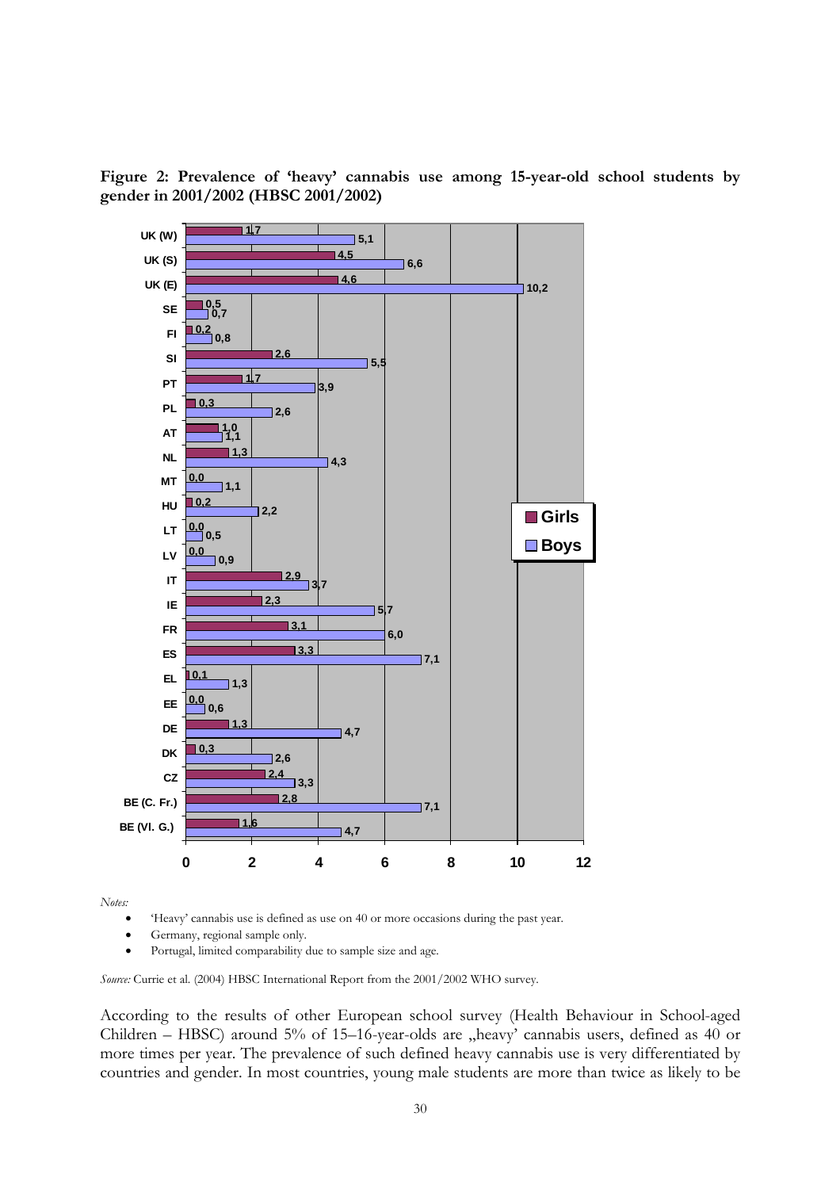

**Figure 2: Prevalence of 'heavy' cannabis use among 15-year-old school students by gender in 2001/2002 (HBSC 2001/2002)** 

*Notes:* 

- 'Heavy' cannabis use is defined as use on 40 or more occasions during the past year.
- Germany, regional sample only.
- Portugal, limited comparability due to sample size and age.

*Source:* Currie et al. (2004) HBSC International Report from the 2001/2002 WHO survey.

According to the results of other European school survey (Health Behaviour in School-aged Children – HBSC) around 5% of 15–16-year-olds are "heavy' cannabis users, defined as 40 or more times per year. The prevalence of such defined heavy cannabis use is very differentiated by countries and gender. In most countries, young male students are more than twice as likely to be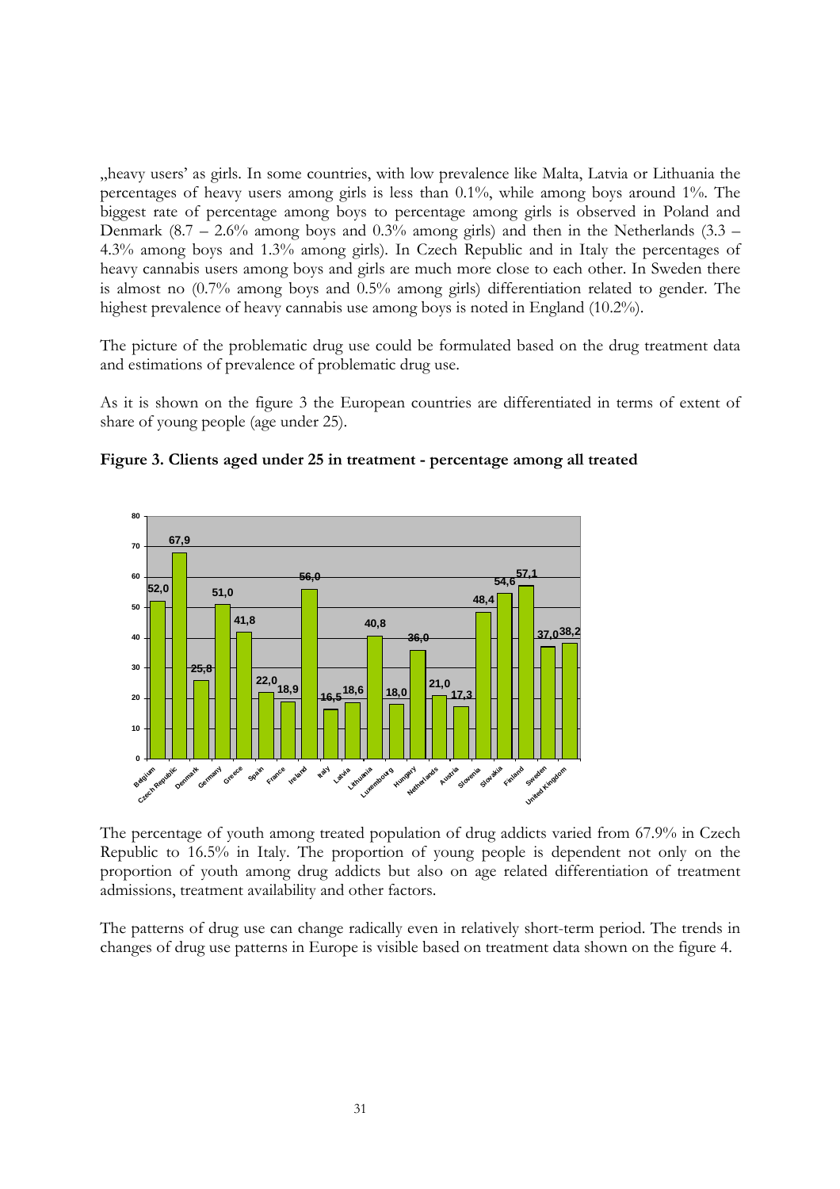"heavy users' as girls. In some countries, with low prevalence like Malta, Latvia or Lithuania the percentages of heavy users among girls is less than 0.1%, while among boys around 1%. The biggest rate of percentage among boys to percentage among girls is observed in Poland and Denmark  $(8.7 - 2.6\%$  among boys and  $0.3\%$  among girls) and then in the Netherlands  $(3.3 -$ 4.3% among boys and 1.3% among girls). In Czech Republic and in Italy the percentages of heavy cannabis users among boys and girls are much more close to each other. In Sweden there is almost no (0.7% among boys and 0.5% among girls) differentiation related to gender. The highest prevalence of heavy cannabis use among boys is noted in England (10.2%).

The picture of the problematic drug use could be formulated based on the drug treatment data and estimations of prevalence of problematic drug use.

As it is shown on the figure 3 the European countries are differentiated in terms of extent of share of young people (age under 25).



**Figure 3. Clients aged under 25 in treatment - percentage among all treated** 

The percentage of youth among treated population of drug addicts varied from 67.9% in Czech Republic to 16.5% in Italy. The proportion of young people is dependent not only on the proportion of youth among drug addicts but also on age related differentiation of treatment admissions, treatment availability and other factors.

The patterns of drug use can change radically even in relatively short-term period. The trends in changes of drug use patterns in Europe is visible based on treatment data shown on the figure 4.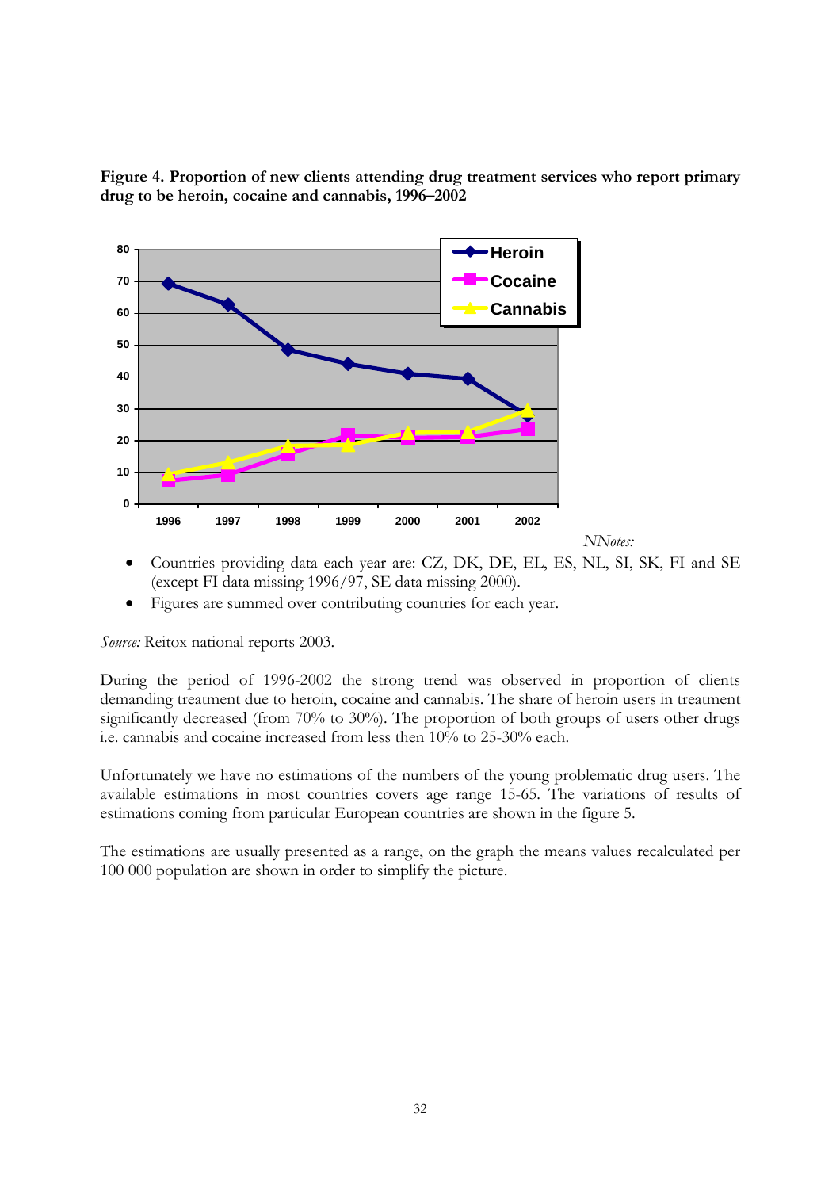**Figure 4. Proportion of new clients attending drug treatment services who report primary drug to be heroin, cocaine and cannabis, 1996–2002** 



- Countries providing data each year are: CZ, DK, DE, EL, ES, NL, SI, SK, FI and SE (except FI data missing 1996/97, SE data missing 2000).
- Figures are summed over contributing countries for each year.

*Source:* Reitox national reports 2003.

During the period of 1996-2002 the strong trend was observed in proportion of clients demanding treatment due to heroin, cocaine and cannabis. The share of heroin users in treatment significantly decreased (from 70% to 30%). The proportion of both groups of users other drugs i.e. cannabis and cocaine increased from less then 10% to 25-30% each.

Unfortunately we have no estimations of the numbers of the young problematic drug users. The available estimations in most countries covers age range 15-65. The variations of results of estimations coming from particular European countries are shown in the figure 5.

The estimations are usually presented as a range, on the graph the means values recalculated per 100 000 population are shown in order to simplify the picture.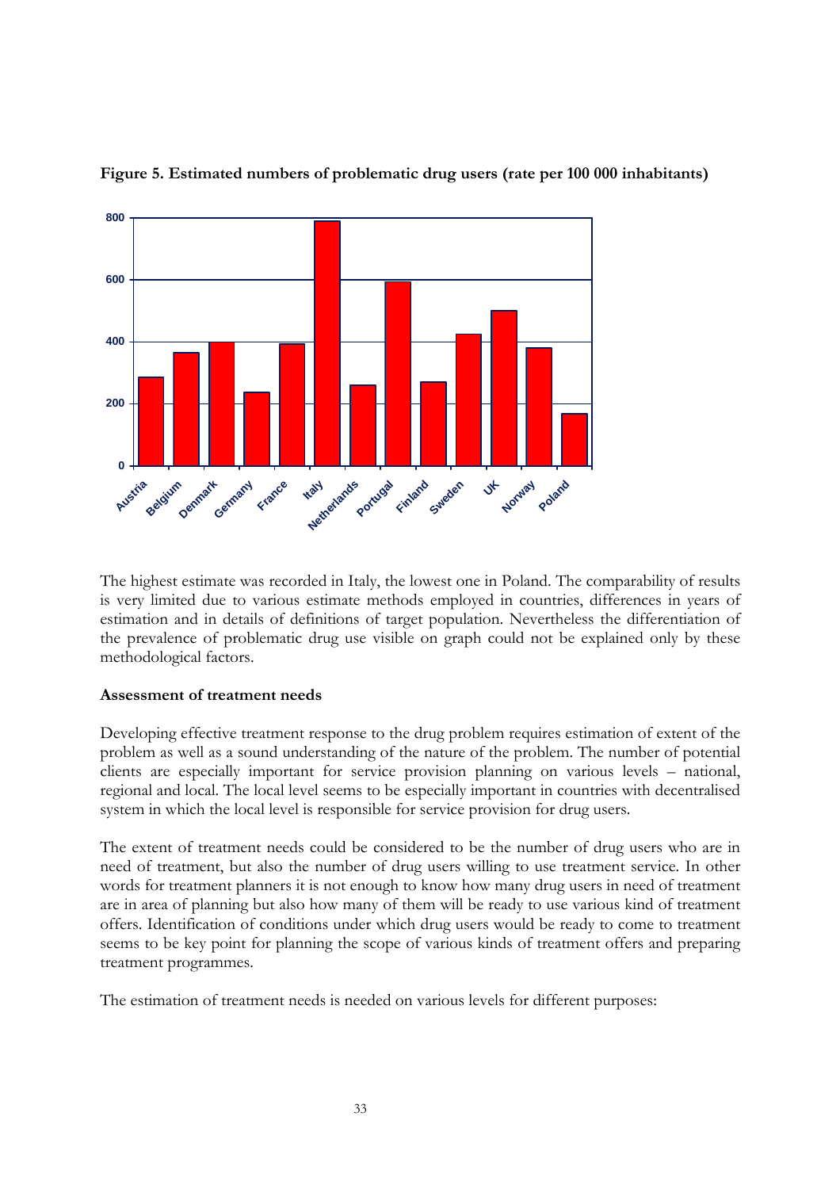

**Figure 5. Estimated numbers of problematic drug users (rate per 100 000 inhabitants)** 

The highest estimate was recorded in Italy, the lowest one in Poland. The comparability of results is very limited due to various estimate methods employed in countries, differences in years of estimation and in details of definitions of target population. Nevertheless the differentiation of the prevalence of problematic drug use visible on graph could not be explained only by these methodological factors.

#### **Assessment of treatment needs**

Developing effective treatment response to the drug problem requires estimation of extent of the problem as well as a sound understanding of the nature of the problem. The number of potential clients are especially important for service provision planning on various levels – national, regional and local. The local level seems to be especially important in countries with decentralised system in which the local level is responsible for service provision for drug users.

The extent of treatment needs could be considered to be the number of drug users who are in need of treatment, but also the number of drug users willing to use treatment service. In other words for treatment planners it is not enough to know how many drug users in need of treatment are in area of planning but also how many of them will be ready to use various kind of treatment offers. Identification of conditions under which drug users would be ready to come to treatment seems to be key point for planning the scope of various kinds of treatment offers and preparing treatment programmes.

The estimation of treatment needs is needed on various levels for different purposes: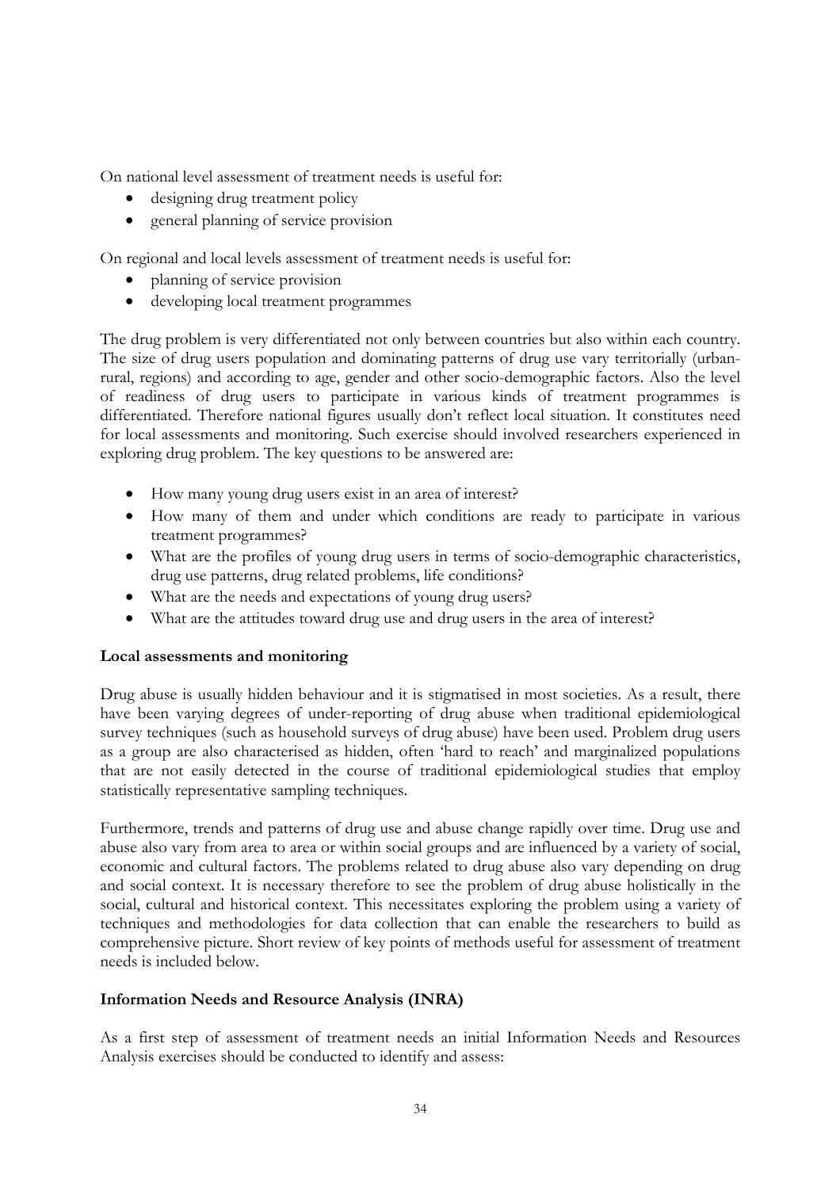On national level assessment of treatment needs is useful for:

- designing drug treatment policy
- general planning of service provision

On regional and local levels assessment of treatment needs is useful for:

- planning of service provision
- developing local treatment programmes

The drug problem is very differentiated not only between countries but also within each country. The size of drug users population and dominating patterns of drug use vary territorially (urbanrural, regions) and according to age, gender and other socio-demographic factors. Also the level of readiness of drug users to participate in various kinds of treatment programmes is differentiated. Therefore national figures usually don't reflect local situation. It constitutes need for local assessments and monitoring. Such exercise should involved researchers experienced in exploring drug problem. The key questions to be answered are:

- How many young drug users exist in an area of interest?
- How many of them and under which conditions are ready to participate in various treatment programmes?
- What are the profiles of young drug users in terms of socio-demographic characteristics, drug use patterns, drug related problems, life conditions?
- What are the needs and expectations of young drug users?
- What are the attitudes toward drug use and drug users in the area of interest?

# **Local assessments and monitoring**

Drug abuse is usually hidden behaviour and it is stigmatised in most societies. As a result, there have been varying degrees of under-reporting of drug abuse when traditional epidemiological survey techniques (such as household surveys of drug abuse) have been used. Problem drug users as a group are also characterised as hidden, often 'hard to reach' and marginalized populations that are not easily detected in the course of traditional epidemiological studies that employ statistically representative sampling techniques.

Furthermore, trends and patterns of drug use and abuse change rapidly over time. Drug use and abuse also vary from area to area or within social groups and are influenced by a variety of social, economic and cultural factors. The problems related to drug abuse also vary depending on drug and social context. It is necessary therefore to see the problem of drug abuse holistically in the social, cultural and historical context. This necessitates exploring the problem using a variety of techniques and methodologies for data collection that can enable the researchers to build as comprehensive picture. Short review of key points of methods useful for assessment of treatment needs is included below.

# **Information Needs and Resource Analysis (INRA)**

As a first step of assessment of treatment needs an initial Information Needs and Resources Analysis exercises should be conducted to identify and assess: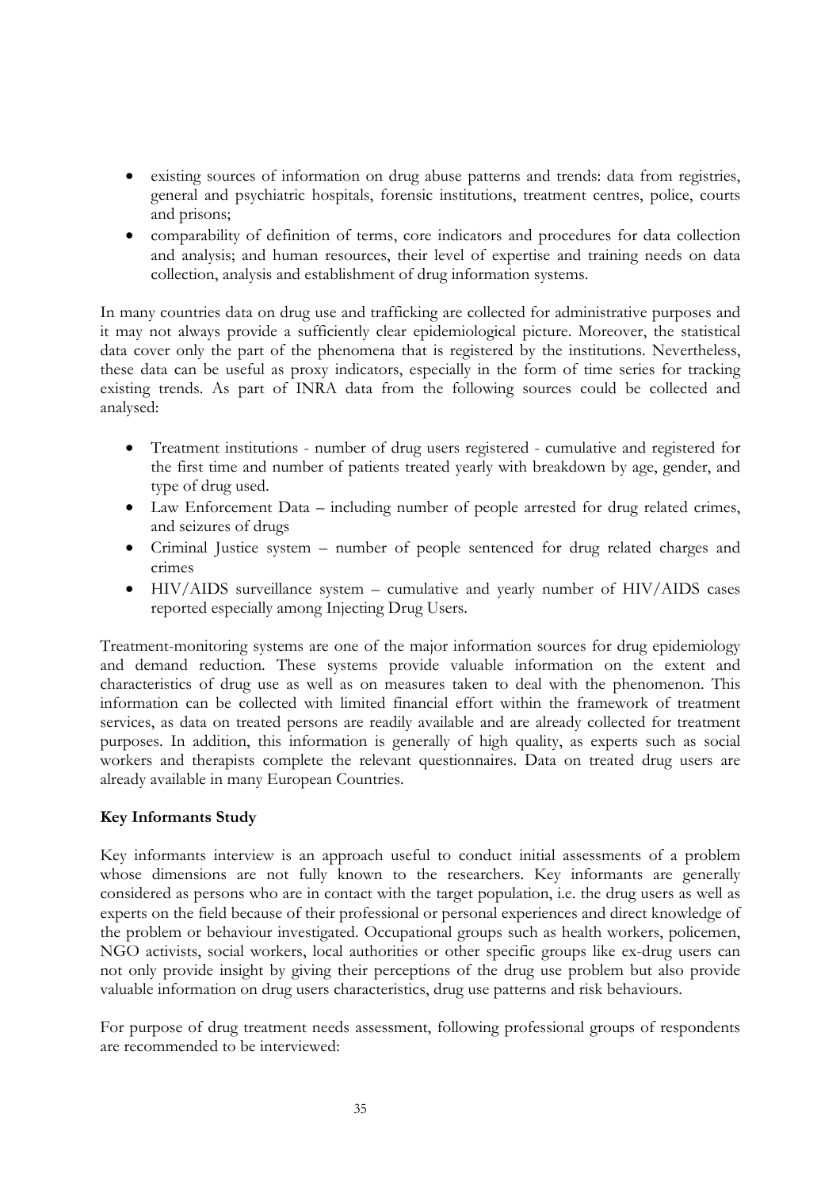- existing sources of information on drug abuse patterns and trends: data from registries, general and psychiatric hospitals, forensic institutions, treatment centres, police, courts and prisons;
- comparability of definition of terms, core indicators and procedures for data collection and analysis; and human resources, their level of expertise and training needs on data collection, analysis and establishment of drug information systems.

In many countries data on drug use and trafficking are collected for administrative purposes and it may not always provide a sufficiently clear epidemiological picture. Moreover, the statistical data cover only the part of the phenomena that is registered by the institutions. Nevertheless, these data can be useful as proxy indicators, especially in the form of time series for tracking existing trends. As part of INRA data from the following sources could be collected and analysed:

- Treatment institutions number of drug users registered cumulative and registered for the first time and number of patients treated yearly with breakdown by age, gender, and type of drug used.
- Law Enforcement Data including number of people arrested for drug related crimes, and seizures of drugs
- Criminal Justice system number of people sentenced for drug related charges and crimes
- HIV/AIDS surveillance system cumulative and yearly number of HIV/AIDS cases reported especially among Injecting Drug Users.

Treatment-monitoring systems are one of the major information sources for drug epidemiology and demand reduction. These systems provide valuable information on the extent and characteristics of drug use as well as on measures taken to deal with the phenomenon. This information can be collected with limited financial effort within the framework of treatment services, as data on treated persons are readily available and are already collected for treatment purposes. In addition, this information is generally of high quality, as experts such as social workers and therapists complete the relevant questionnaires. Data on treated drug users are already available in many European Countries.

# **Key Informants Study**

Key informants interview is an approach useful to conduct initial assessments of a problem whose dimensions are not fully known to the researchers. Key informants are generally considered as persons who are in contact with the target population, i.e. the drug users as well as experts on the field because of their professional or personal experiences and direct knowledge of the problem or behaviour investigated. Occupational groups such as health workers, policemen, NGO activists, social workers, local authorities or other specific groups like ex-drug users can not only provide insight by giving their perceptions of the drug use problem but also provide valuable information on drug users characteristics, drug use patterns and risk behaviours.

For purpose of drug treatment needs assessment, following professional groups of respondents are recommended to be interviewed: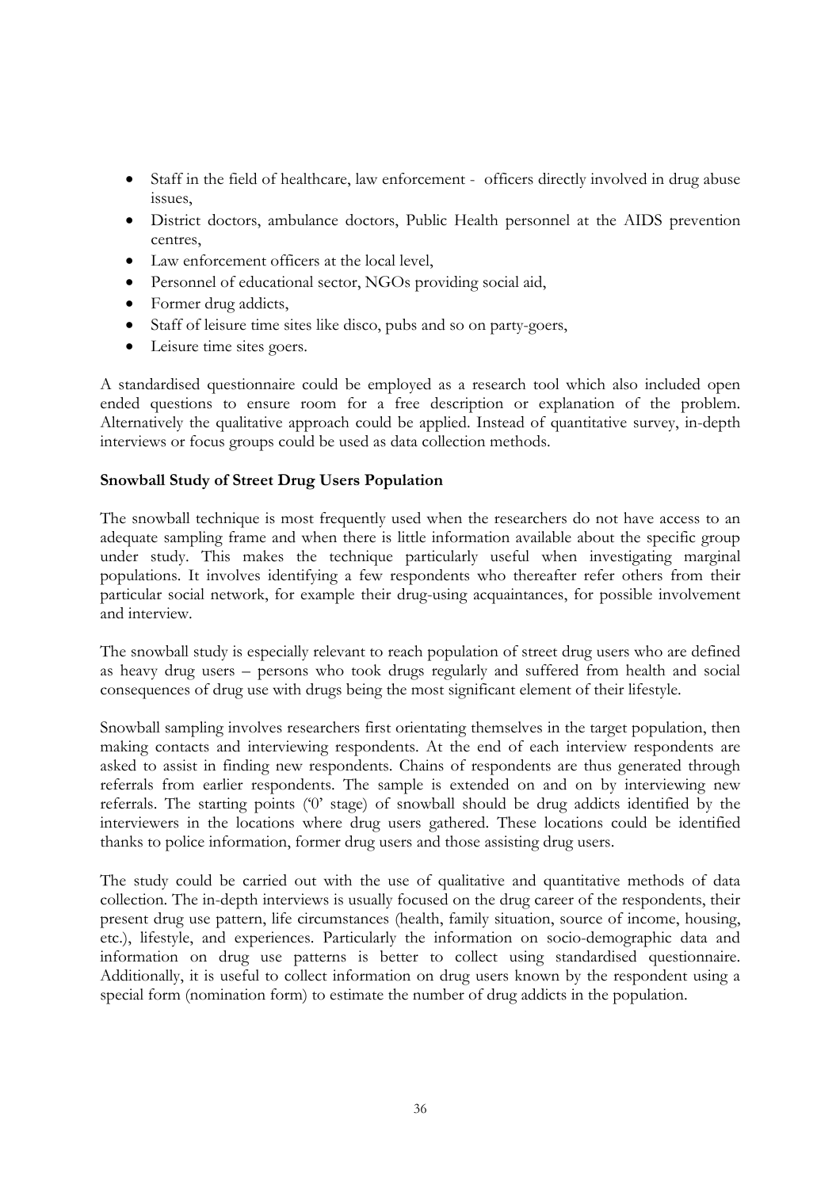- Staff in the field of healthcare, law enforcement officers directly involved in drug abuse issues,
- District doctors, ambulance doctors, Public Health personnel at the AIDS prevention centres,
- Law enforcement officers at the local level,
- Personnel of educational sector, NGOs providing social aid,
- Former drug addicts,
- Staff of leisure time sites like disco, pubs and so on party-goers,
- Leisure time sites goers.

A standardised questionnaire could be employed as a research tool which also included open ended questions to ensure room for a free description or explanation of the problem. Alternatively the qualitative approach could be applied. Instead of quantitative survey, in-depth interviews or focus groups could be used as data collection methods.

# **Snowball Study of Street Drug Users Population**

The snowball technique is most frequently used when the researchers do not have access to an adequate sampling frame and when there is little information available about the specific group under study. This makes the technique particularly useful when investigating marginal populations. It involves identifying a few respondents who thereafter refer others from their particular social network, for example their drug-using acquaintances, for possible involvement and interview.

The snowball study is especially relevant to reach population of street drug users who are defined as heavy drug users – persons who took drugs regularly and suffered from health and social consequences of drug use with drugs being the most significant element of their lifestyle.

Snowball sampling involves researchers first orientating themselves in the target population, then making contacts and interviewing respondents. At the end of each interview respondents are asked to assist in finding new respondents. Chains of respondents are thus generated through referrals from earlier respondents. The sample is extended on and on by interviewing new referrals. The starting points ('0' stage) of snowball should be drug addicts identified by the interviewers in the locations where drug users gathered. These locations could be identified thanks to police information, former drug users and those assisting drug users.

The study could be carried out with the use of qualitative and quantitative methods of data collection. The in-depth interviews is usually focused on the drug career of the respondents, their present drug use pattern, life circumstances (health, family situation, source of income, housing, etc.), lifestyle, and experiences. Particularly the information on socio-demographic data and information on drug use patterns is better to collect using standardised questionnaire. Additionally, it is useful to collect information on drug users known by the respondent using a special form (nomination form) to estimate the number of drug addicts in the population.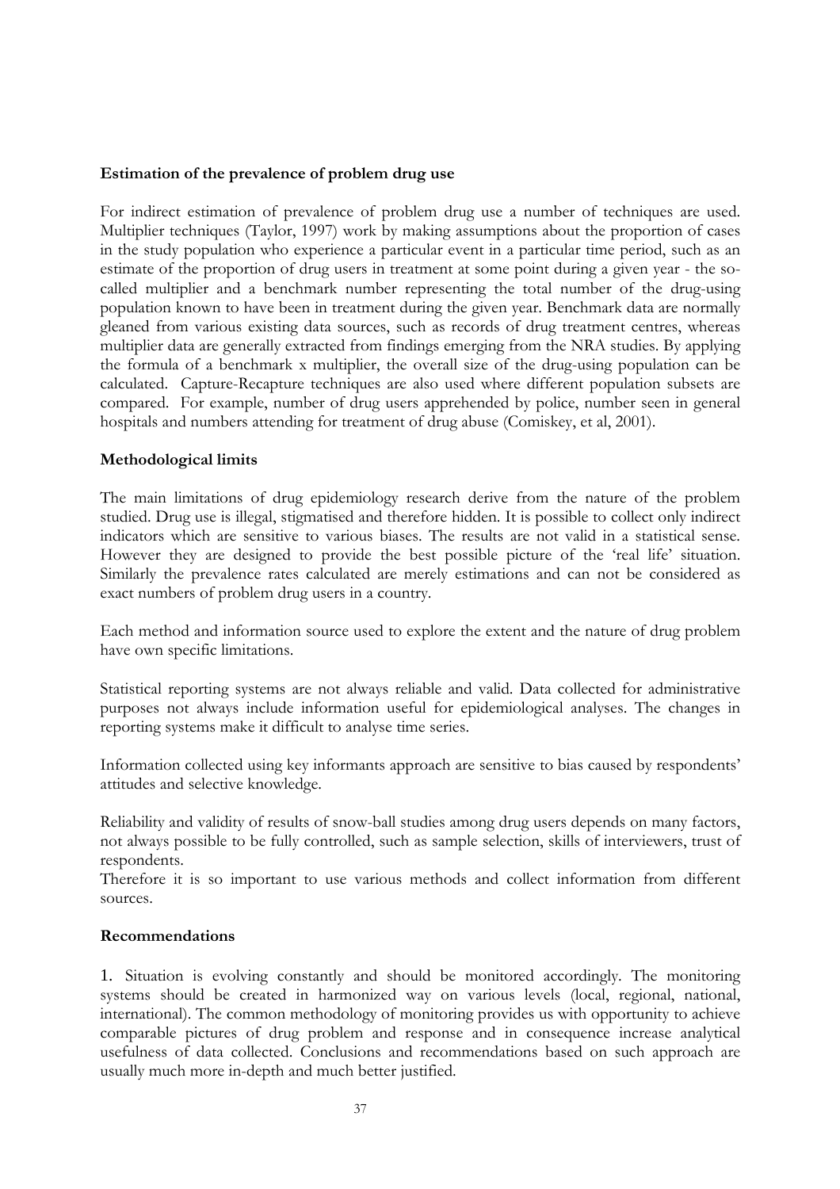# **Estimation of the prevalence of problem drug use**

For indirect estimation of prevalence of problem drug use a number of techniques are used. Multiplier techniques (Taylor, 1997) work by making assumptions about the proportion of cases in the study population who experience a particular event in a particular time period, such as an estimate of the proportion of drug users in treatment at some point during a given year - the socalled multiplier and a benchmark number representing the total number of the drug-using population known to have been in treatment during the given year. Benchmark data are normally gleaned from various existing data sources, such as records of drug treatment centres, whereas multiplier data are generally extracted from findings emerging from the NRA studies. By applying the formula of a benchmark x multiplier, the overall size of the drug-using population can be calculated. Capture-Recapture techniques are also used where different population subsets are compared. For example, number of drug users apprehended by police, number seen in general hospitals and numbers attending for treatment of drug abuse (Comiskey, et al, 2001).

# **Methodological limits**

The main limitations of drug epidemiology research derive from the nature of the problem studied. Drug use is illegal, stigmatised and therefore hidden. It is possible to collect only indirect indicators which are sensitive to various biases. The results are not valid in a statistical sense. However they are designed to provide the best possible picture of the 'real life' situation. Similarly the prevalence rates calculated are merely estimations and can not be considered as exact numbers of problem drug users in a country.

Each method and information source used to explore the extent and the nature of drug problem have own specific limitations.

Statistical reporting systems are not always reliable and valid. Data collected for administrative purposes not always include information useful for epidemiological analyses. The changes in reporting systems make it difficult to analyse time series.

Information collected using key informants approach are sensitive to bias caused by respondents' attitudes and selective knowledge.

Reliability and validity of results of snow-ball studies among drug users depends on many factors, not always possible to be fully controlled, such as sample selection, skills of interviewers, trust of respondents.

Therefore it is so important to use various methods and collect information from different sources.

# **Recommendations**

1. Situation is evolving constantly and should be monitored accordingly. The monitoring systems should be created in harmonized way on various levels (local, regional, national, international). The common methodology of monitoring provides us with opportunity to achieve comparable pictures of drug problem and response and in consequence increase analytical usefulness of data collected. Conclusions and recommendations based on such approach are usually much more in-depth and much better justified.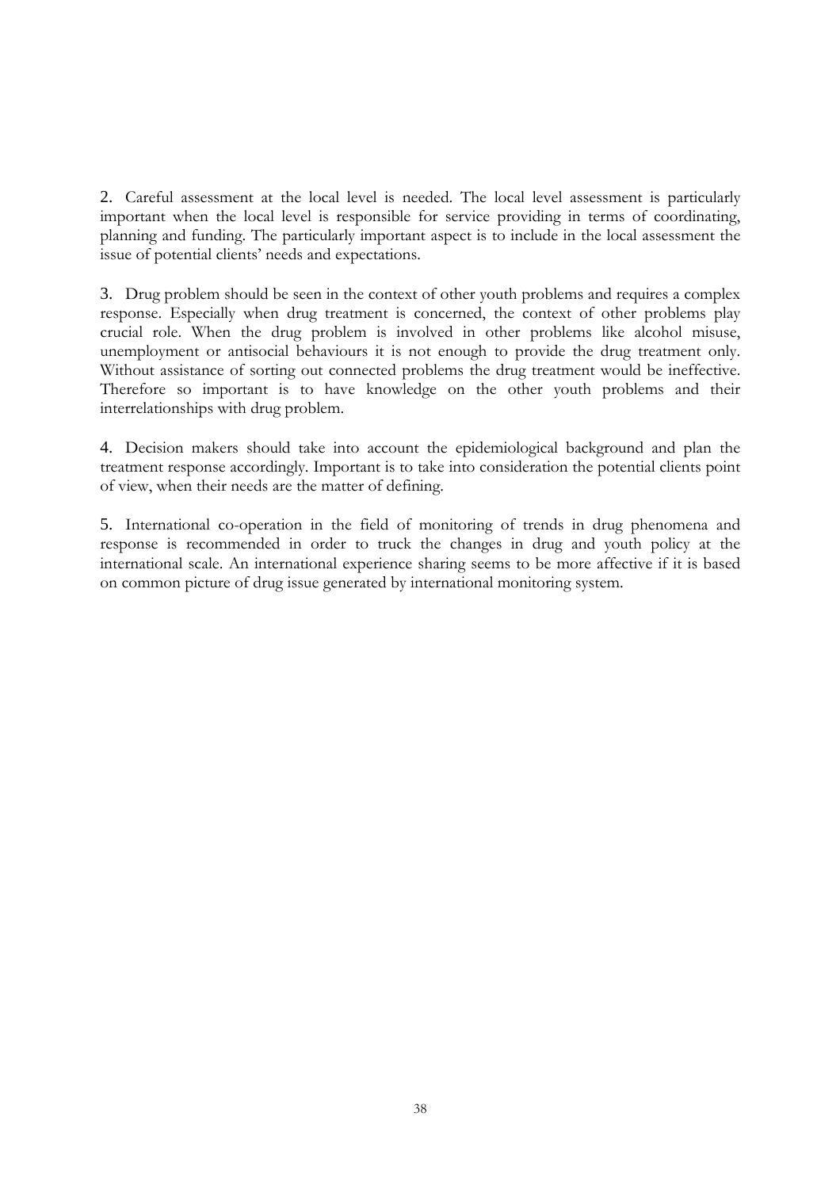2. Careful assessment at the local level is needed. The local level assessment is particularly important when the local level is responsible for service providing in terms of coordinating, planning and funding. The particularly important aspect is to include in the local assessment the issue of potential clients' needs and expectations.

3. Drug problem should be seen in the context of other youth problems and requires a complex response. Especially when drug treatment is concerned, the context of other problems play crucial role. When the drug problem is involved in other problems like alcohol misuse, unemployment or antisocial behaviours it is not enough to provide the drug treatment only. Without assistance of sorting out connected problems the drug treatment would be ineffective. Therefore so important is to have knowledge on the other youth problems and their interrelationships with drug problem.

4. Decision makers should take into account the epidemiological background and plan the treatment response accordingly. Important is to take into consideration the potential clients point of view, when their needs are the matter of defining.

5. International co-operation in the field of monitoring of trends in drug phenomena and response is recommended in order to truck the changes in drug and youth policy at the international scale. An international experience sharing seems to be more affective if it is based on common picture of drug issue generated by international monitoring system.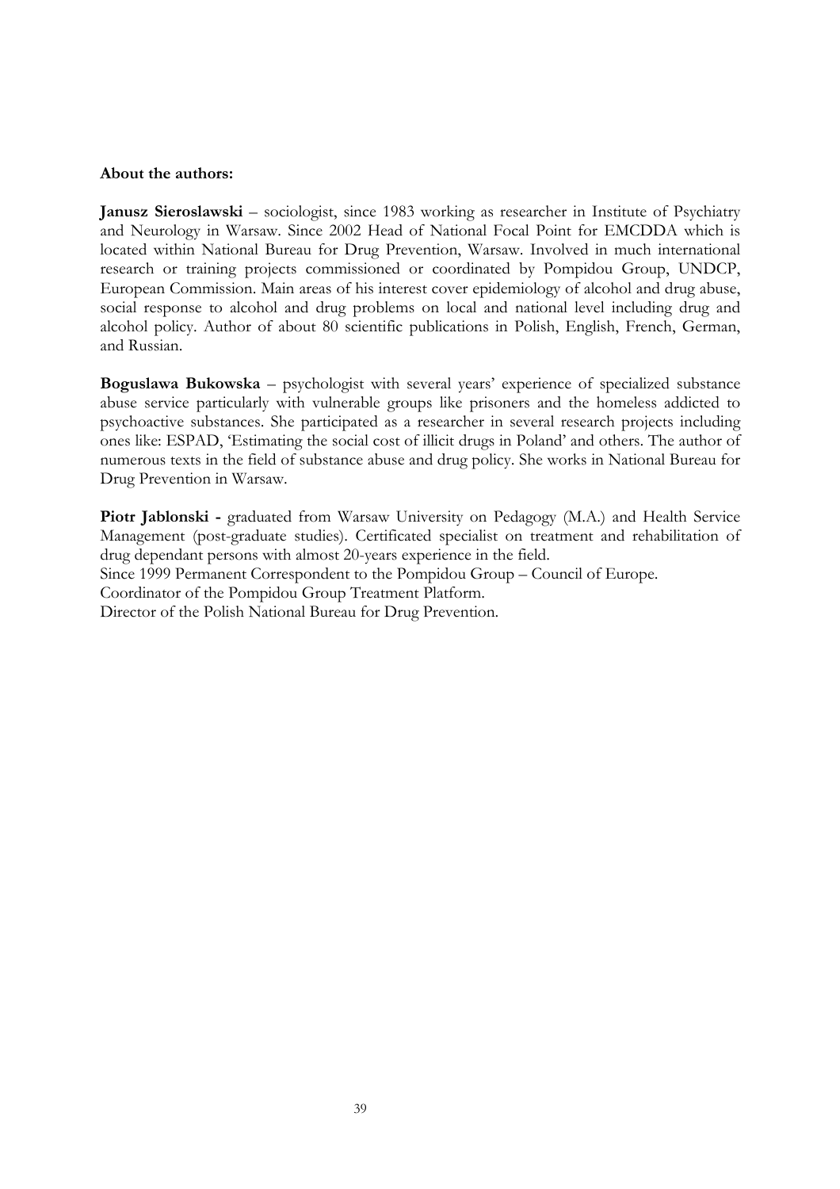## **About the authors:**

**Janusz Sieroslawski** – sociologist, since 1983 working as researcher in Institute of Psychiatry and Neurology in Warsaw. Since 2002 Head of National Focal Point for EMCDDA which is located within National Bureau for Drug Prevention, Warsaw. Involved in much international research or training projects commissioned or coordinated by Pompidou Group, UNDCP, European Commission. Main areas of his interest cover epidemiology of alcohol and drug abuse, social response to alcohol and drug problems on local and national level including drug and alcohol policy. Author of about 80 scientific publications in Polish, English, French, German, and Russian.

**Boguslawa Bukowska** – psychologist with several years' experience of specialized substance abuse service particularly with vulnerable groups like prisoners and the homeless addicted to psychoactive substances. She participated as a researcher in several research projects including ones like: ESPAD, 'Estimating the social cost of illicit drugs in Poland' and others. The author of numerous texts in the field of substance abuse and drug policy. She works in National Bureau for Drug Prevention in Warsaw.

**Piotr Jablonski -** graduated from Warsaw University on Pedagogy (M.A.) and Health Service Management (post-graduate studies). Certificated specialist on treatment and rehabilitation of drug dependant persons with almost 20-years experience in the field. Since 1999 Permanent Correspondent to the Pompidou Group – Council of Europe. Coordinator of the Pompidou Group Treatment Platform. Director of the Polish National Bureau for Drug Prevention.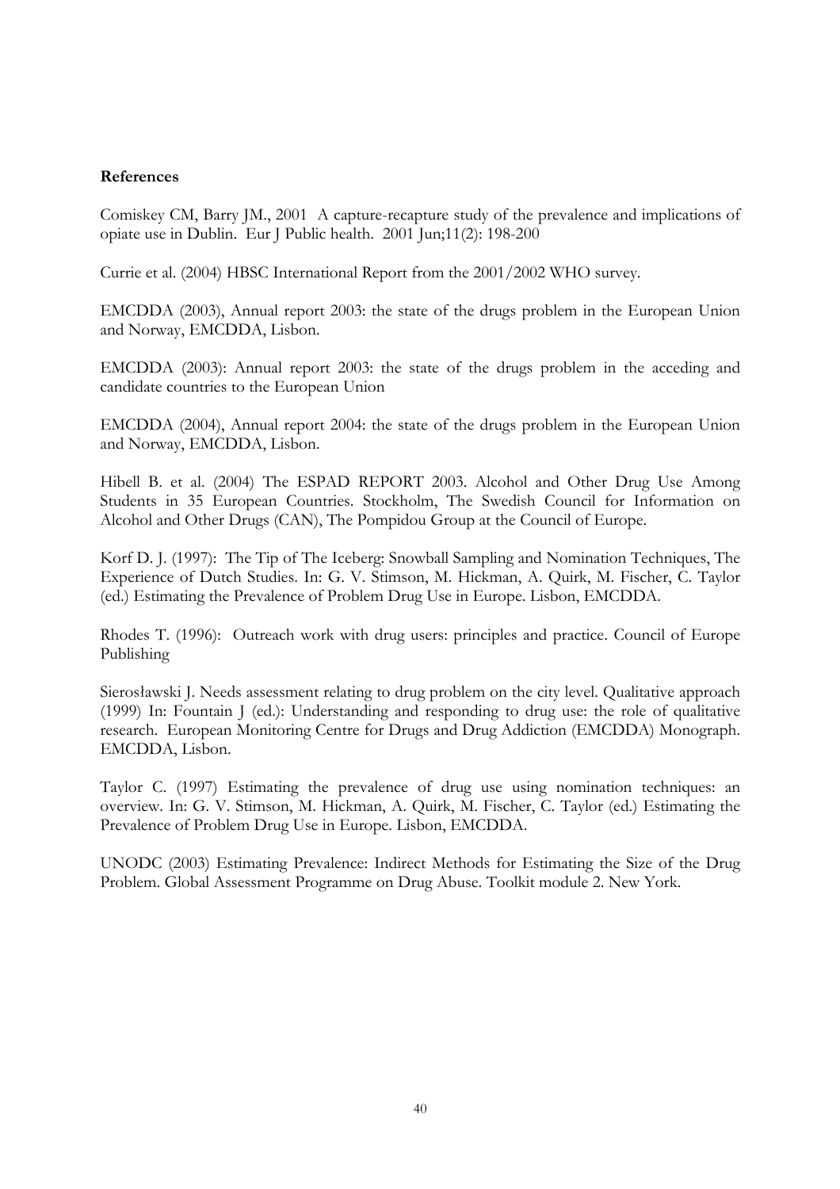# **References**

Comiskey CM, Barry JM., 2001 A capture-recapture study of the prevalence and implications of opiate use in Dublin. Eur J Public health. 2001 Jun;11(2): 198-200

Currie et al. (2004) HBSC International Report from the 2001/2002 WHO survey.

EMCDDA (2003), Annual report 2003: the state of the drugs problem in the European Union and Norway, EMCDDA, Lisbon.

EMCDDA (2003): Annual report 2003: the state of the drugs problem in the acceding and candidate countries to the European Union

EMCDDA (2004), Annual report 2004: the state of the drugs problem in the European Union and Norway, EMCDDA, Lisbon.

Hibell B. et al. (2004) The ESPAD REPORT 2003. Alcohol and Other Drug Use Among Students in 35 European Countries. Stockholm, The Swedish Council for Information on Alcohol and Other Drugs (CAN), The Pompidou Group at the Council of Europe.

Korf D. J. (1997): The Tip of The Iceberg: Snowball Sampling and Nomination Techniques, The Experience of Dutch Studies. In: G. V. Stimson, M. Hickman, A. Quirk, M. Fischer, C. Taylor (ed.) Estimating the Prevalence of Problem Drug Use in Europe. Lisbon, EMCDDA.

Rhodes T. (1996): Outreach work with drug users: principles and practice. Council of Europe Publishing

Sierosławski J. Needs assessment relating to drug problem on the city level. Qualitative approach (1999) In: Fountain J (ed.): Understanding and responding to drug use: the role of qualitative research. European Monitoring Centre for Drugs and Drug Addiction (EMCDDA) Monograph. EMCDDA, Lisbon.

Taylor C. (1997) Estimating the prevalence of drug use using nomination techniques: an overview. In: G. V. Stimson, M. Hickman, A. Quirk, M. Fischer, C. Taylor (ed.) Estimating the Prevalence of Problem Drug Use in Europe. Lisbon, EMCDDA.

UNODC (2003) Estimating Prevalence: Indirect Methods for Estimating the Size of the Drug Problem. Global Assessment Programme on Drug Abuse. Toolkit module 2. New York.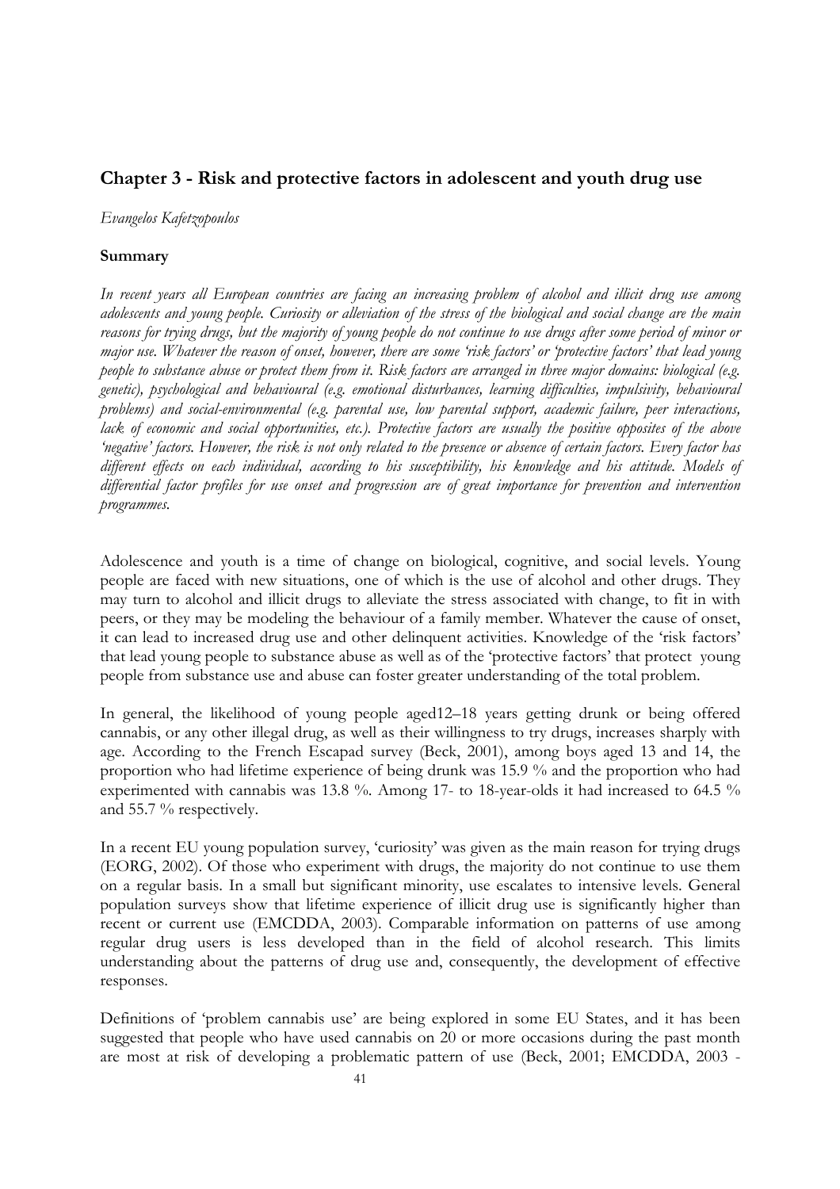# **Chapter 3 - Risk and protective factors in adolescent and youth drug use**

*Evangelos Kafetzopoulos* 

# **Summary**

*In recent years all European countries are facing an increasing problem of alcohol and illicit drug use among adolescents and young people. Curiosity or alleviation of the stress of the biological and social change are the main reasons for trying drugs, but the majority of young people do not continue to use drugs after some period of minor or major use. Whatever the reason of onset, however, there are some 'risk factors' or 'protective factors' that lead young people to substance abuse or protect them from it. Risk factors are arranged in three major domains: biological (e.g. genetic), psychological and behavioural (e.g. emotional disturbances, learning difficulties, impulsivity, behavioural problems) and social-environmental (e.g. parental use, low parental support, academic failure, peer interactions, lack of economic and social opportunities, etc.). Protective factors are usually the positive opposites of the above 'negative' factors. However, the risk is not only related to the presence or absence of certain factors. Every factor has different effects on each individual, according to his susceptibility, his knowledge and his attitude. Models of differential factor profiles for use onset and progression are of great importance for prevention and intervention programmes.* 

Adolescence and youth is a time of change on biological, cognitive, and social levels. Young people are faced with new situations, one of which is the use of alcohol and other drugs. They may turn to alcohol and illicit drugs to alleviate the stress associated with change, to fit in with peers, or they may be modeling the behaviour of a family member. Whatever the cause of onset, it can lead to increased drug use and other delinquent activities. Knowledge of the 'risk factors' that lead young people to substance abuse as well as of the 'protective factors' that protect young people from substance use and abuse can foster greater understanding of the total problem.

In general, the likelihood of young people aged12–18 years getting drunk or being offered cannabis, or any other illegal drug, as well as their willingness to try drugs, increases sharply with age. According to the French Escapad survey (Beck, 2001), among boys aged 13 and 14, the proportion who had lifetime experience of being drunk was 15.9 % and the proportion who had experimented with cannabis was 13.8 %. Among 17- to 18-year-olds it had increased to 64.5 % and 55.7 % respectively.

In a recent EU young population survey, 'curiosity' was given as the main reason for trying drugs (EORG, 2002). Of those who experiment with drugs, the majority do not continue to use them on a regular basis. In a small but significant minority, use escalates to intensive levels. General population surveys show that lifetime experience of illicit drug use is significantly higher than recent or current use (EMCDDA, 2003). Comparable information on patterns of use among regular drug users is less developed than in the field of alcohol research. This limits understanding about the patterns of drug use and, consequently, the development of effective responses.

Definitions of 'problem cannabis use' are being explored in some EU States, and it has been suggested that people who have used cannabis on 20 or more occasions during the past month are most at risk of developing a problematic pattern of use (Beck, 2001; EMCDDA, 2003 -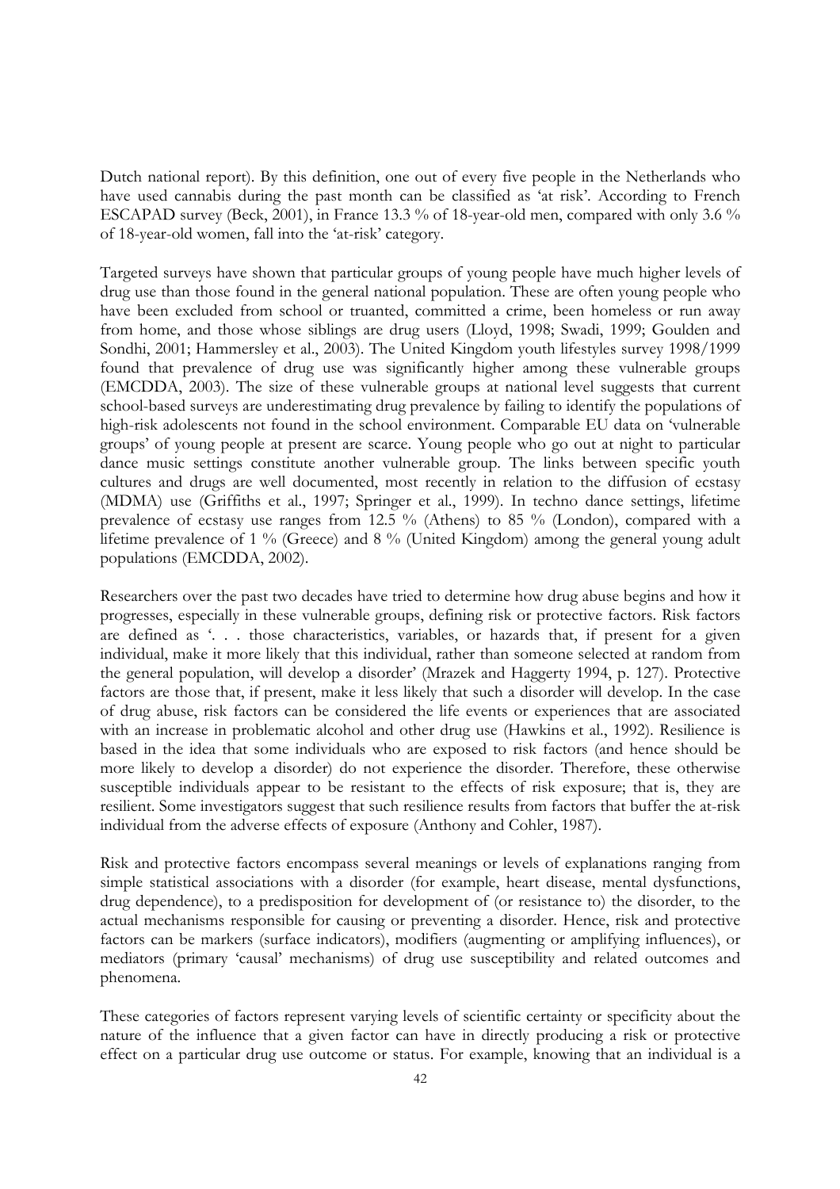Dutch national report). By this definition, one out of every five people in the Netherlands who have used cannabis during the past month can be classified as 'at risk'. According to French ESCAPAD survey (Beck, 2001), in France 13.3 % of 18-year-old men, compared with only 3.6 % of 18-year-old women, fall into the 'at-risk' category.

Targeted surveys have shown that particular groups of young people have much higher levels of drug use than those found in the general national population. These are often young people who have been excluded from school or truanted, committed a crime, been homeless or run away from home, and those whose siblings are drug users (Lloyd, 1998; Swadi, 1999; Goulden and Sondhi, 2001; Hammersley et al., 2003). The United Kingdom youth lifestyles survey 1998/1999 found that prevalence of drug use was significantly higher among these vulnerable groups (EMCDDA, 2003). The size of these vulnerable groups at national level suggests that current school-based surveys are underestimating drug prevalence by failing to identify the populations of high-risk adolescents not found in the school environment. Comparable EU data on 'vulnerable groups' of young people at present are scarce. Young people who go out at night to particular dance music settings constitute another vulnerable group. The links between specific youth cultures and drugs are well documented, most recently in relation to the diffusion of ecstasy (MDMA) use (Griffiths et al., 1997; Springer et al., 1999). In techno dance settings, lifetime prevalence of ecstasy use ranges from 12.5 % (Athens) to 85 % (London), compared with a lifetime prevalence of 1 % (Greece) and 8 % (United Kingdom) among the general young adult populations (EMCDDA, 2002).

Researchers over the past two decades have tried to determine how drug abuse begins and how it progresses, especially in these vulnerable groups, defining risk or protective factors. Risk factors are defined as '. . . those characteristics, variables, or hazards that, if present for a given individual, make it more likely that this individual, rather than someone selected at random from the general population, will develop a disorder' (Mrazek and Haggerty 1994, p. 127). Protective factors are those that, if present, make it less likely that such a disorder will develop. In the case of drug abuse, risk factors can be considered the life events or experiences that are associated with an increase in problematic alcohol and other drug use (Hawkins et al., 1992). Resilience is based in the idea that some individuals who are exposed to risk factors (and hence should be more likely to develop a disorder) do not experience the disorder. Therefore, these otherwise susceptible individuals appear to be resistant to the effects of risk exposure; that is, they are resilient. Some investigators suggest that such resilience results from factors that buffer the at-risk individual from the adverse effects of exposure (Anthony and Cohler, 1987).

Risk and protective factors encompass several meanings or levels of explanations ranging from simple statistical associations with a disorder (for example, heart disease, mental dysfunctions, drug dependence), to a predisposition for development of (or resistance to) the disorder, to the actual mechanisms responsible for causing or preventing a disorder. Hence, risk and protective factors can be markers (surface indicators), modifiers (augmenting or amplifying influences), or mediators (primary 'causal' mechanisms) of drug use susceptibility and related outcomes and phenomena.

These categories of factors represent varying levels of scientific certainty or specificity about the nature of the influence that a given factor can have in directly producing a risk or protective effect on a particular drug use outcome or status. For example, knowing that an individual is a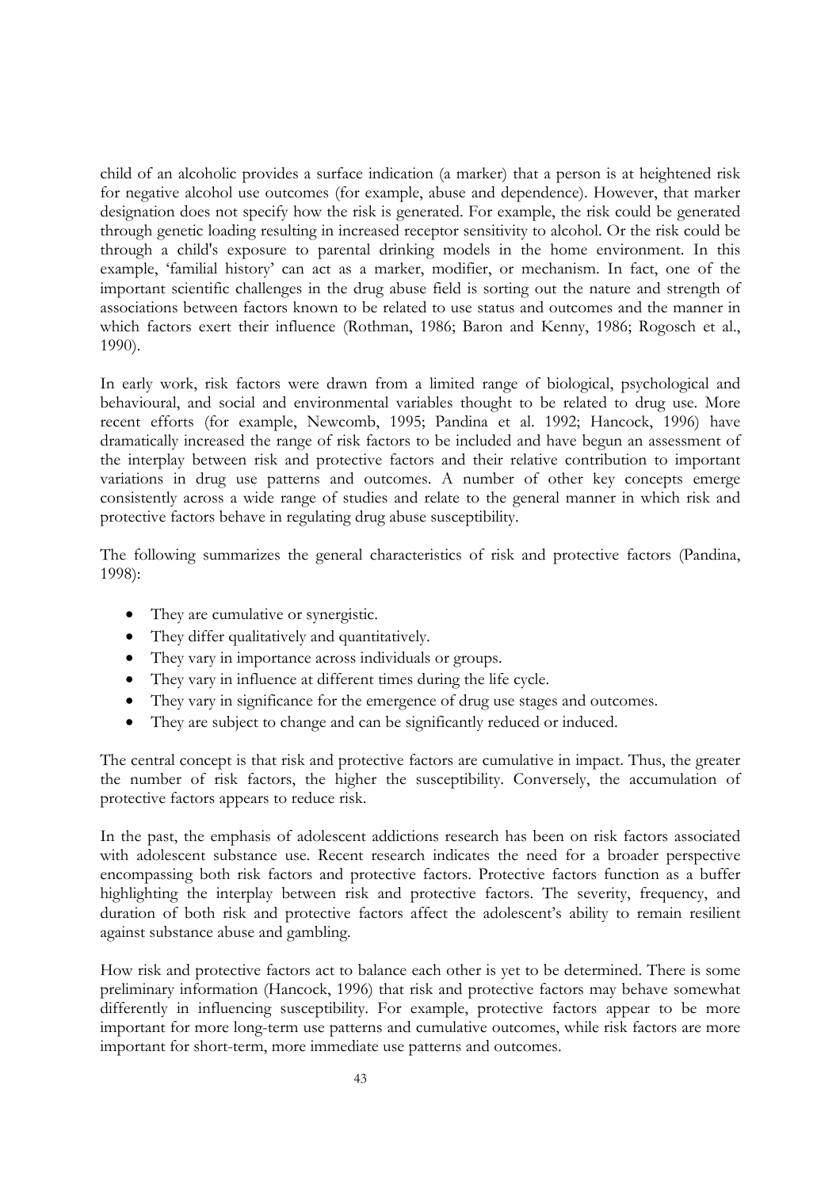child of an alcoholic provides a surface indication (a marker) that a person is at heightened risk for negative alcohol use outcomes (for example, abuse and dependence). However, that marker designation does not specify how the risk is generated. For example, the risk could be generated through genetic loading resulting in increased receptor sensitivity to alcohol. Or the risk could be through a child's exposure to parental drinking models in the home environment. In this example, 'familial history' can act as a marker, modifier, or mechanism. In fact, one of the important scientific challenges in the drug abuse field is sorting out the nature and strength of associations between factors known to be related to use status and outcomes and the manner in which factors exert their influence (Rothman, 1986; Baron and Kenny, 1986; Rogosch et al., 1990).

In early work, risk factors were drawn from a limited range of biological, psychological and behavioural, and social and environmental variables thought to be related to drug use. More recent efforts (for example, Newcomb, 1995; Pandina et al. 1992; Hancock, 1996) have dramatically increased the range of risk factors to be included and have begun an assessment of the interplay between risk and protective factors and their relative contribution to important variations in drug use patterns and outcomes. A number of other key concepts emerge consistently across a wide range of studies and relate to the general manner in which risk and protective factors behave in regulating drug abuse susceptibility.

The following summarizes the general characteristics of risk and protective factors (Pandina, 1998):

- They are cumulative or synergistic.
- They differ qualitatively and quantitatively.
- They vary in importance across individuals or groups.
- They vary in influence at different times during the life cycle.
- They vary in significance for the emergence of drug use stages and outcomes.
- They are subject to change and can be significantly reduced or induced.

The central concept is that risk and protective factors are cumulative in impact. Thus, the greater the number of risk factors, the higher the susceptibility. Conversely, the accumulation of protective factors appears to reduce risk.

In the past, the emphasis of adolescent addictions research has been on risk factors associated with adolescent substance use. Recent research indicates the need for a broader perspective encompassing both risk factors and protective factors. Protective factors function as a buffer highlighting the interplay between risk and protective factors. The severity, frequency, and duration of both risk and protective factors affect the adolescent's ability to remain resilient against substance abuse and gambling.

How risk and protective factors act to balance each other is yet to be determined. There is some preliminary information (Hancock, 1996) that risk and protective factors may behave somewhat differently in influencing susceptibility. For example, protective factors appear to be more important for more long-term use patterns and cumulative outcomes, while risk factors are more important for short-term, more immediate use patterns and outcomes.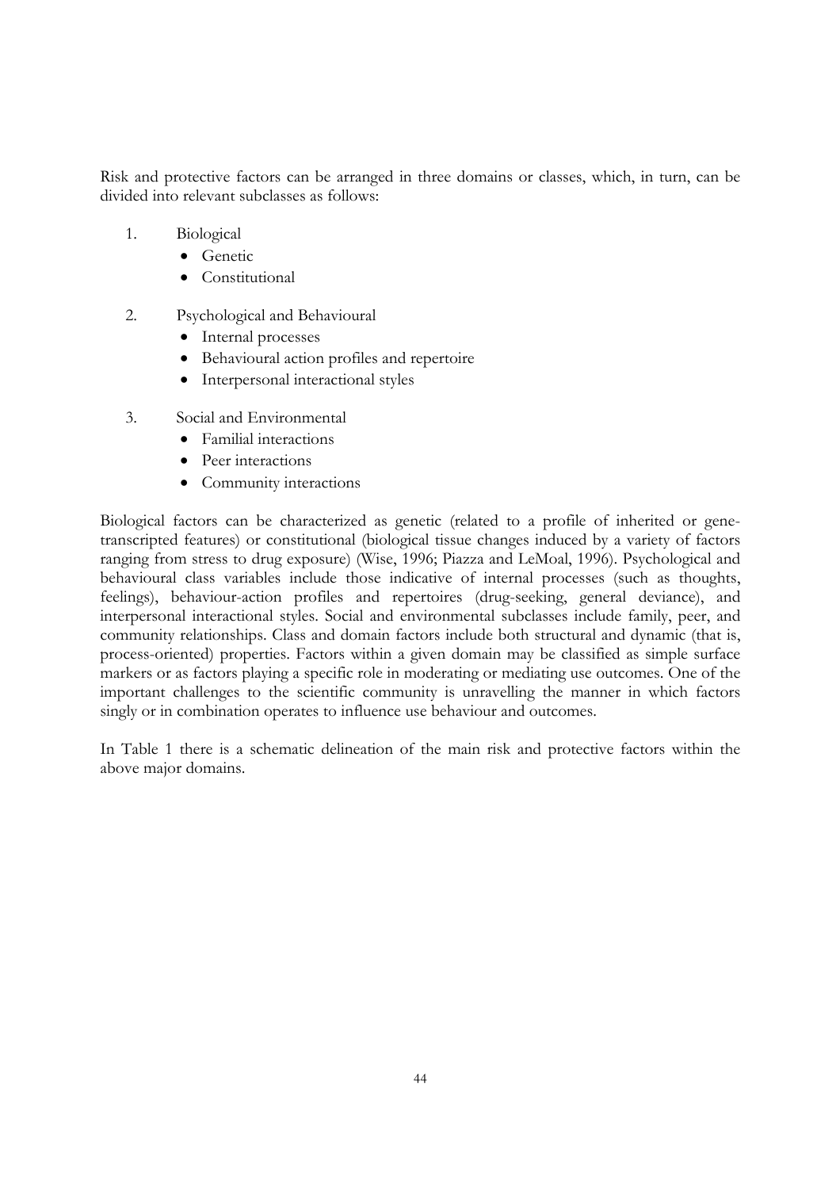Risk and protective factors can be arranged in three domains or classes, which, in turn, can be divided into relevant subclasses as follows:

- 1. Biological
	- Genetic
	- Constitutional
- 2. Psychological and Behavioural
	- Internal processes
	- Behavioural action profiles and repertoire
	- Interpersonal interactional styles
- 3. Social and Environmental
	- Familial interactions
	- Peer interactions
	- Community interactions

Biological factors can be characterized as genetic (related to a profile of inherited or genetranscripted features) or constitutional (biological tissue changes induced by a variety of factors ranging from stress to drug exposure) (Wise, 1996; Piazza and LeMoal, 1996). Psychological and behavioural class variables include those indicative of internal processes (such as thoughts, feelings), behaviour-action profiles and repertoires (drug-seeking, general deviance), and interpersonal interactional styles. Social and environmental subclasses include family, peer, and community relationships. Class and domain factors include both structural and dynamic (that is, process-oriented) properties. Factors within a given domain may be classified as simple surface markers or as factors playing a specific role in moderating or mediating use outcomes. One of the important challenges to the scientific community is unravelling the manner in which factors singly or in combination operates to influence use behaviour and outcomes.

In Table 1 there is a schematic delineation of the main risk and protective factors within the above major domains.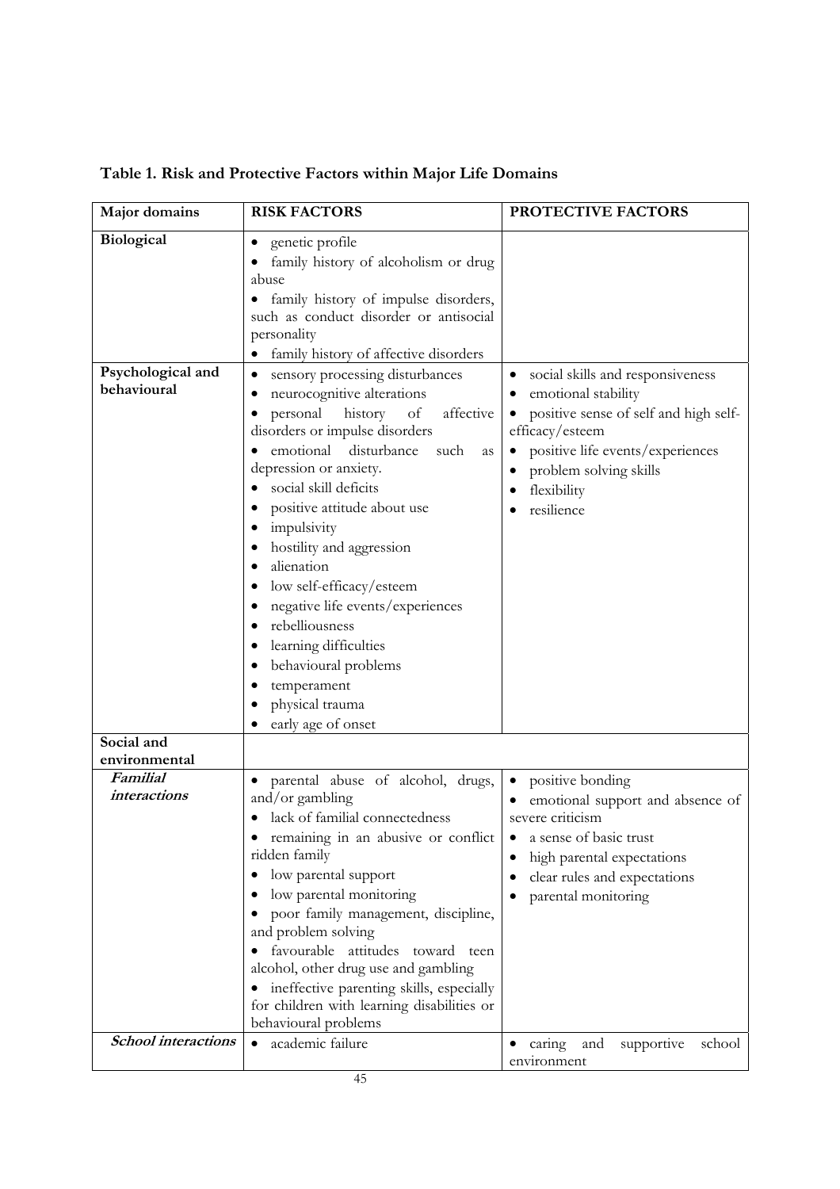| Major domains                   | <b>RISK FACTORS</b>                                                                                                                                                                                                                                                                                                                                                                                                                                                                                                             | PROTECTIVE FACTORS                                                                                                                                                                      |  |  |  |  |
|---------------------------------|---------------------------------------------------------------------------------------------------------------------------------------------------------------------------------------------------------------------------------------------------------------------------------------------------------------------------------------------------------------------------------------------------------------------------------------------------------------------------------------------------------------------------------|-----------------------------------------------------------------------------------------------------------------------------------------------------------------------------------------|--|--|--|--|
| Biological<br>Psychological and | genetic profile<br>٠<br>family history of alcoholism or drug<br>abuse<br>family history of impulse disorders,<br>$\bullet$<br>such as conduct disorder or antisocial<br>personality<br>family history of affective disorders<br>sensory processing disturbances<br>$\bullet$                                                                                                                                                                                                                                                    | social skills and responsiveness                                                                                                                                                        |  |  |  |  |
| behavioural<br>Social and       | neurocognitive alterations<br>$\bullet$<br>affective<br>personal<br>history<br>of<br>disorders or impulse disorders<br>emotional disturbance<br>such<br>as<br>depression or anxiety.<br>social skill deficits<br>positive attitude about use<br>impulsivity<br>hostility and aggression<br>٠<br>alienation<br>low self-efficacy/esteem<br>negative life events/experiences<br>$\bullet$<br>rebelliousness<br>$\bullet$<br>learning difficulties<br>behavioural problems<br>temperament<br>physical trauma<br>early age of onset | emotional stability<br>positive sense of self and high self-<br>efficacy/esteem<br>positive life events/experiences<br>problem solving skills<br>flexibility<br>resilience              |  |  |  |  |
| environmental                   |                                                                                                                                                                                                                                                                                                                                                                                                                                                                                                                                 |                                                                                                                                                                                         |  |  |  |  |
| Familial<br>interactions        | parental abuse of alcohol, drugs,<br>and/or gambling<br>lack of familial connectedness<br>remaining in an abusive or conflict<br>ridden family<br>low parental support<br>low parental monitoring<br>poor family management, discipline,<br>and problem solving<br>favourable attitudes toward teen<br>alcohol, other drug use and gambling<br>• ineffective parenting skills, especially<br>for children with learning disabilities or<br>behavioural problems                                                                 | positive bonding<br>emotional support and absence of<br>severe criticism<br>a sense of basic trust<br>high parental expectations<br>clear rules and expectations<br>parental monitoring |  |  |  |  |
| <b>School</b> interactions      | academic failure<br>$\bullet$                                                                                                                                                                                                                                                                                                                                                                                                                                                                                                   | caring<br>supportive<br>school<br>and<br>environment                                                                                                                                    |  |  |  |  |

**Table 1. Risk and Protective Factors within Major Life Domains**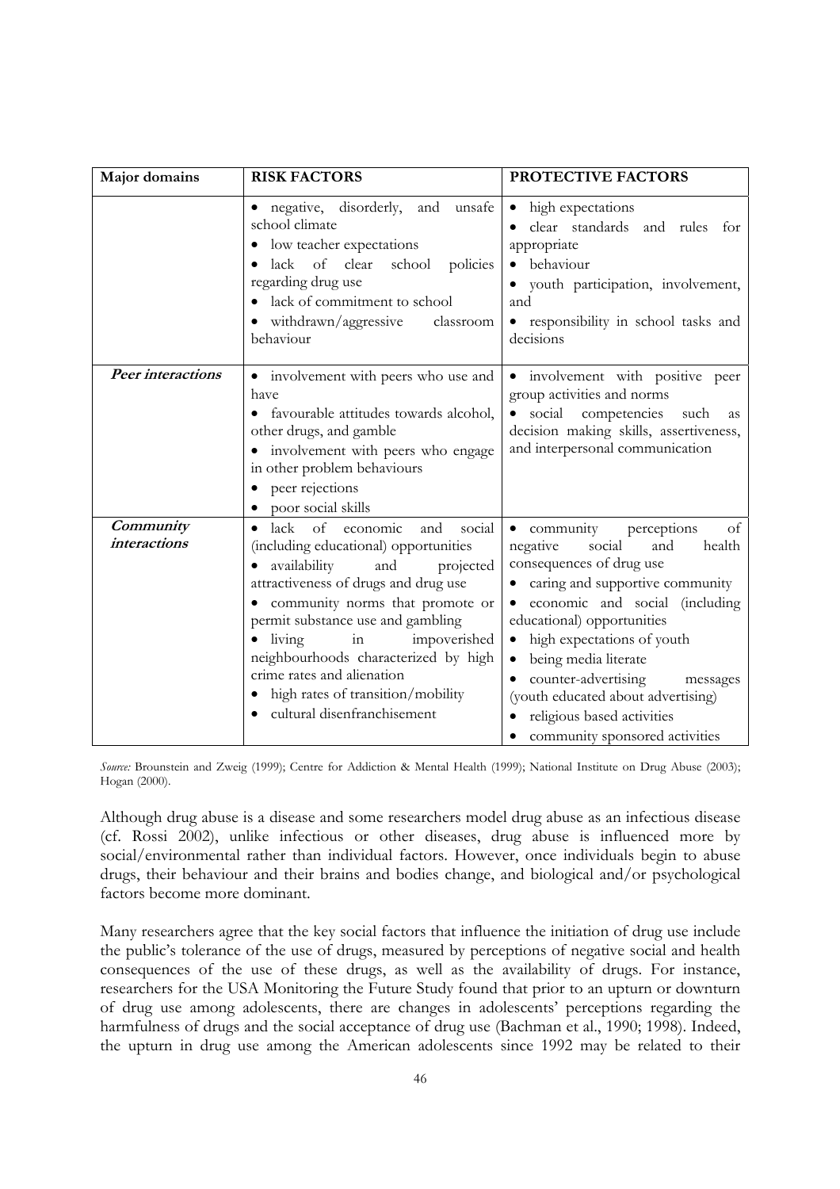| Major domains                    | <b>RISK FACTORS</b>                                                                                                                                                                                                                                                                                                                                                                                                   | PROTECTIVE FACTORS                                                                                                                                                                                                                                                                                                                                                                                                                           |  |  |  |
|----------------------------------|-----------------------------------------------------------------------------------------------------------------------------------------------------------------------------------------------------------------------------------------------------------------------------------------------------------------------------------------------------------------------------------------------------------------------|----------------------------------------------------------------------------------------------------------------------------------------------------------------------------------------------------------------------------------------------------------------------------------------------------------------------------------------------------------------------------------------------------------------------------------------------|--|--|--|
|                                  | negative, disorderly, and unsafe<br>school climate<br>low teacher expectations<br>lack of<br>clear<br>school<br>policies<br>regarding drug use<br>lack of commitment to school<br>withdrawn/aggressive<br>classroom<br>behaviour                                                                                                                                                                                      | high expectations<br>$\bullet$<br>clear standards and rules for<br>appropriate<br>behaviour<br>· youth participation, involvement,<br>and<br>• responsibility in school tasks and<br>decisions                                                                                                                                                                                                                                               |  |  |  |
| <b>Peer</b> interactions         | • involvement with peers who use and<br>have<br>favourable attitudes towards alcohol,<br>other drugs, and gamble<br>• involvement with peers who engage<br>in other problem behaviours<br>peer rejections<br>$\bullet$<br>poor social skills                                                                                                                                                                          | • involvement with positive peer<br>group activities and norms<br>social competencies<br>such<br><i>as</i><br>decision making skills, assertiveness,<br>and interpersonal communication                                                                                                                                                                                                                                                      |  |  |  |
| Community<br><i>interactions</i> | lack of economic<br>social<br>and<br>$\bullet$<br>(including educational) opportunities<br>availability<br>and<br>projected<br>attractiveness of drugs and drug use<br>community norms that promote or<br>permit substance use and gambling<br>living<br>impoverished<br>in<br>neighbourhoods characterized by high<br>crime rates and alienation<br>high rates of transition/mobility<br>cultural disenfranchisement | $\bullet$ community<br>perceptions<br>of<br>negative<br>social<br>and<br>health<br>consequences of drug use<br>caring and supportive community<br>economic and social (including<br>educational) opportunities<br>high expectations of youth<br>being media literate<br>$\bullet$<br>counter-advertising<br>٠<br>messages<br>(youth educated about advertising)<br>religious based activities<br>community sponsored activities<br>$\bullet$ |  |  |  |

*Source:* Brounstein and Zweig (1999); Centre for Addiction & Mental Health (1999); National Institute on Drug Abuse (2003); Hogan (2000).

Although drug abuse is a disease and some researchers model drug abuse as an infectious disease (cf. Rossi 2002), unlike infectious or other diseases, drug abuse is influenced more by social/environmental rather than individual factors. However, once individuals begin to abuse drugs, their behaviour and their brains and bodies change, and biological and/or psychological factors become more dominant.

Many researchers agree that the key social factors that influence the initiation of drug use include the public's tolerance of the use of drugs, measured by perceptions of negative social and health consequences of the use of these drugs, as well as the availability of drugs. For instance, researchers for the USA Monitoring the Future Study found that prior to an upturn or downturn of drug use among adolescents, there are changes in adolescents' perceptions regarding the harmfulness of drugs and the social acceptance of drug use (Bachman et al., 1990; 1998). Indeed, the upturn in drug use among the American adolescents since 1992 may be related to their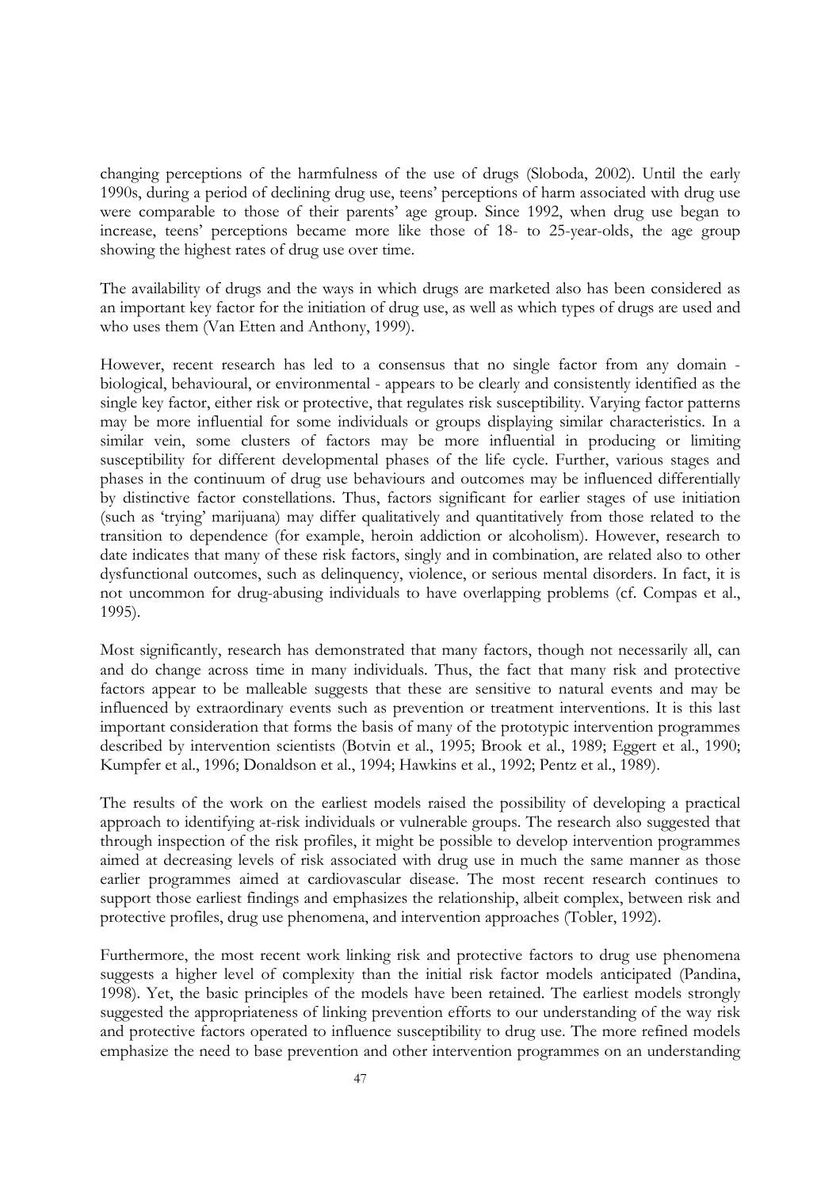changing perceptions of the harmfulness of the use of drugs (Sloboda, 2002). Until the early 1990s, during a period of declining drug use, teens' perceptions of harm associated with drug use were comparable to those of their parents' age group. Since 1992, when drug use began to increase, teens' perceptions became more like those of 18- to 25-year-olds, the age group showing the highest rates of drug use over time.

The availability of drugs and the ways in which drugs are marketed also has been considered as an important key factor for the initiation of drug use, as well as which types of drugs are used and who uses them (Van Etten and Anthony, 1999).

However, recent research has led to a consensus that no single factor from any domain biological, behavioural, or environmental - appears to be clearly and consistently identified as the single key factor, either risk or protective, that regulates risk susceptibility. Varying factor patterns may be more influential for some individuals or groups displaying similar characteristics. In a similar vein, some clusters of factors may be more influential in producing or limiting susceptibility for different developmental phases of the life cycle. Further, various stages and phases in the continuum of drug use behaviours and outcomes may be influenced differentially by distinctive factor constellations. Thus, factors significant for earlier stages of use initiation (such as 'trying' marijuana) may differ qualitatively and quantitatively from those related to the transition to dependence (for example, heroin addiction or alcoholism). However, research to date indicates that many of these risk factors, singly and in combination, are related also to other dysfunctional outcomes, such as delinquency, violence, or serious mental disorders. In fact, it is not uncommon for drug-abusing individuals to have overlapping problems (cf. Compas et al., 1995).

Most significantly, research has demonstrated that many factors, though not necessarily all, can and do change across time in many individuals. Thus, the fact that many risk and protective factors appear to be malleable suggests that these are sensitive to natural events and may be influenced by extraordinary events such as prevention or treatment interventions. It is this last important consideration that forms the basis of many of the prototypic intervention programmes described by intervention scientists (Botvin et al., 1995; Brook et al., 1989; Eggert et al., 1990; Kumpfer et al., 1996; Donaldson et al., 1994; Hawkins et al., 1992; Pentz et al., 1989).

The results of the work on the earliest models raised the possibility of developing a practical approach to identifying at-risk individuals or vulnerable groups. The research also suggested that through inspection of the risk profiles, it might be possible to develop intervention programmes aimed at decreasing levels of risk associated with drug use in much the same manner as those earlier programmes aimed at cardiovascular disease. The most recent research continues to support those earliest findings and emphasizes the relationship, albeit complex, between risk and protective profiles, drug use phenomena, and intervention approaches (Tobler, 1992).

Furthermore, the most recent work linking risk and protective factors to drug use phenomena suggests a higher level of complexity than the initial risk factor models anticipated (Pandina, 1998). Yet, the basic principles of the models have been retained. The earliest models strongly suggested the appropriateness of linking prevention efforts to our understanding of the way risk and protective factors operated to influence susceptibility to drug use. The more refined models emphasize the need to base prevention and other intervention programmes on an understanding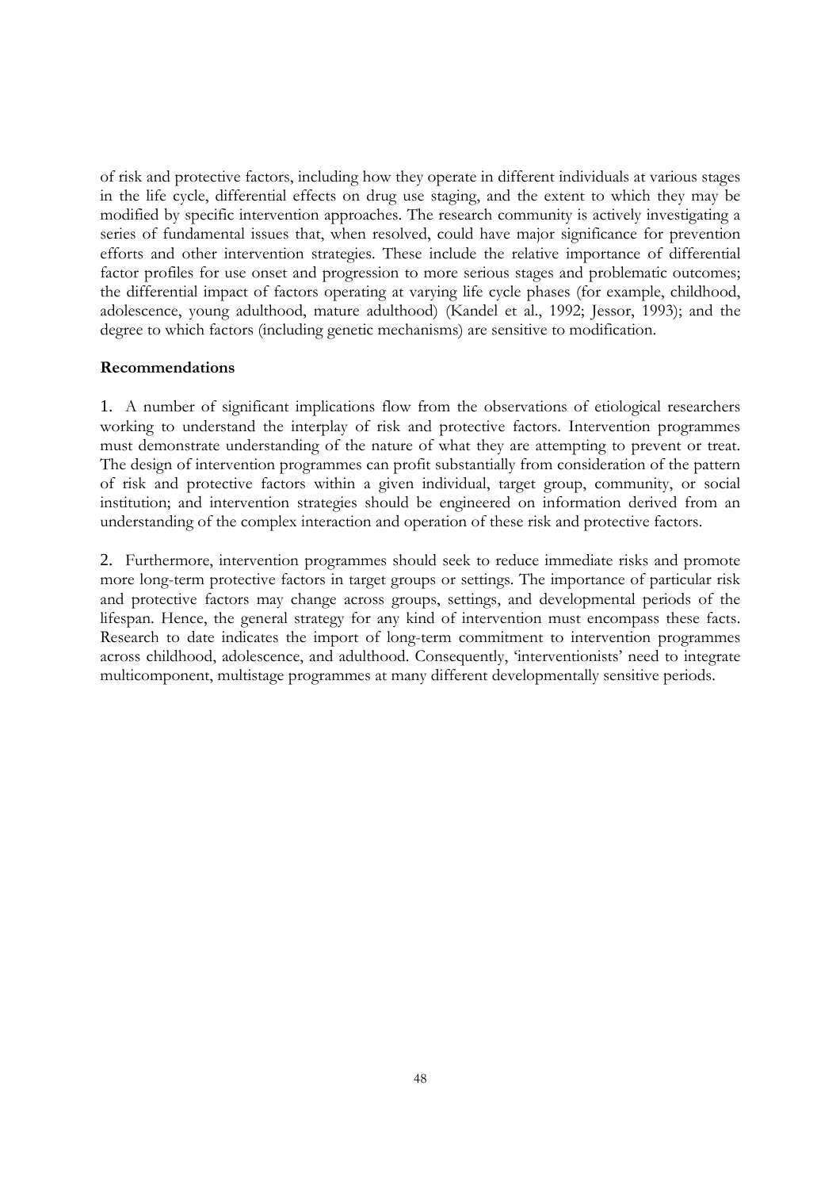of risk and protective factors, including how they operate in different individuals at various stages in the life cycle, differential effects on drug use staging, and the extent to which they may be modified by specific intervention approaches. The research community is actively investigating a series of fundamental issues that, when resolved, could have major significance for prevention efforts and other intervention strategies. These include the relative importance of differential factor profiles for use onset and progression to more serious stages and problematic outcomes; the differential impact of factors operating at varying life cycle phases (for example, childhood, adolescence, young adulthood, mature adulthood) (Kandel et al., 1992; Jessor, 1993); and the degree to which factors (including genetic mechanisms) are sensitive to modification.

# **Recommendations**

1. A number of significant implications flow from the observations of etiological researchers working to understand the interplay of risk and protective factors. Intervention programmes must demonstrate understanding of the nature of what they are attempting to prevent or treat. The design of intervention programmes can profit substantially from consideration of the pattern of risk and protective factors within a given individual, target group, community, or social institution; and intervention strategies should be engineered on information derived from an understanding of the complex interaction and operation of these risk and protective factors.

2. Furthermore, intervention programmes should seek to reduce immediate risks and promote more long-term protective factors in target groups or settings. The importance of particular risk and protective factors may change across groups, settings, and developmental periods of the lifespan. Hence, the general strategy for any kind of intervention must encompass these facts. Research to date indicates the import of long-term commitment to intervention programmes across childhood, adolescence, and adulthood. Consequently, 'interventionists' need to integrate multicomponent, multistage programmes at many different developmentally sensitive periods.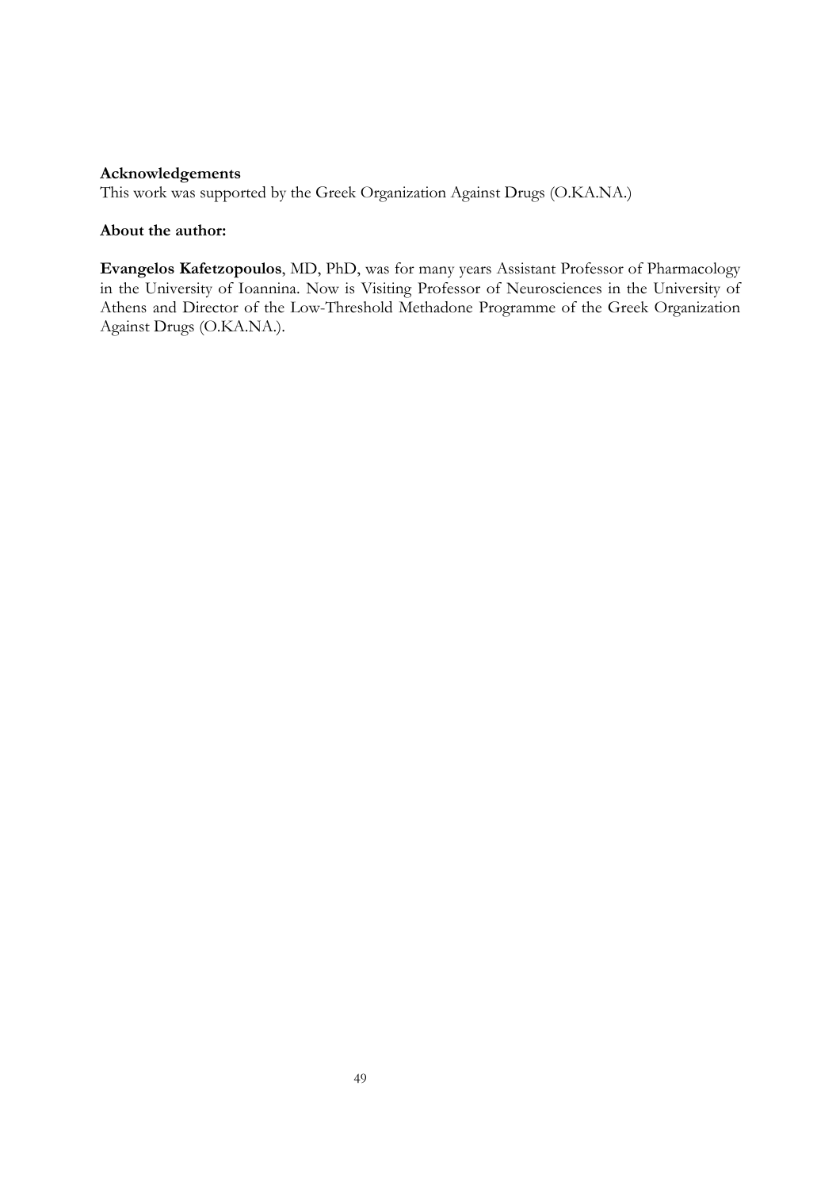# **Acknowledgements**

This work was supported by the Greek Organization Against Drugs (O.KA.NA.)

# **About the author:**

**Evangelos Kafetzopoulos**, MD, PhD, was for many years Assistant Professor of Pharmacology in the University of Ioannina. Now is Visiting Professor of Neurosciences in the University of Athens and Director of the Low-Threshold Methadone Programme of the Greek Organization Against Drugs (O.KA.NA.).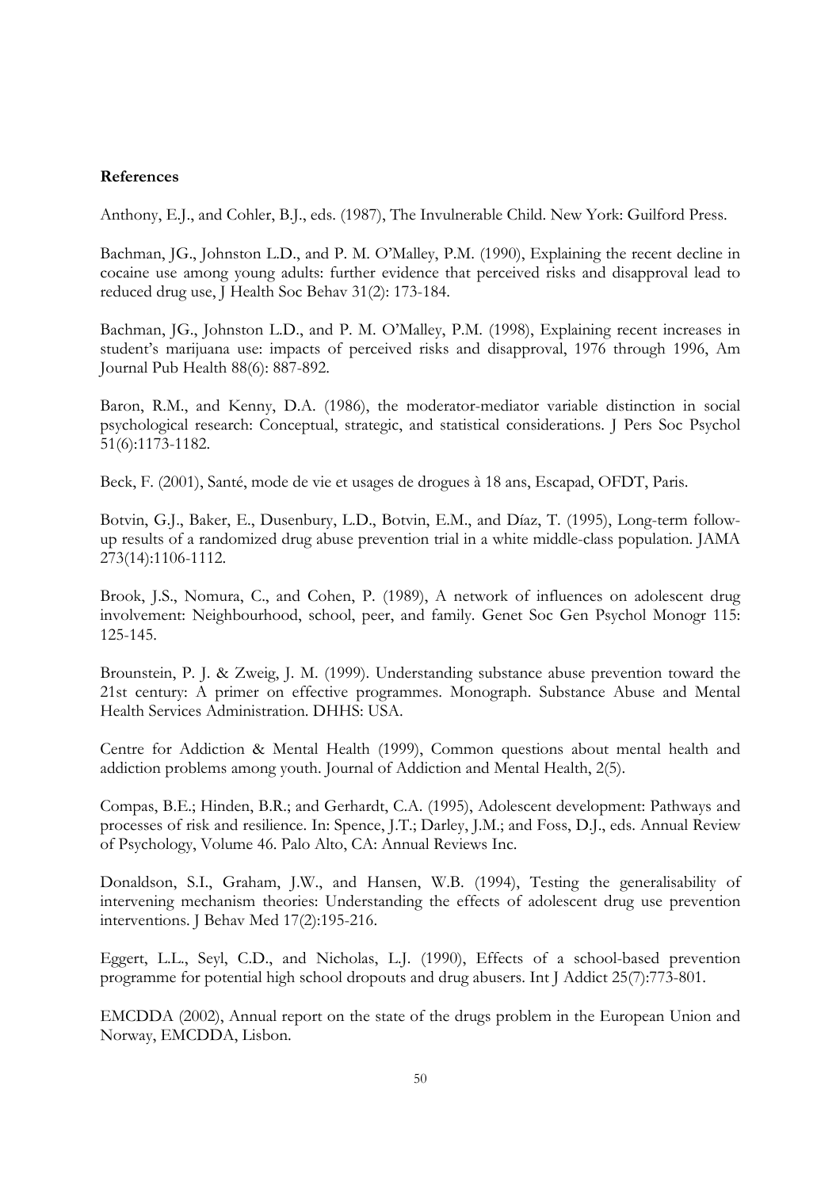### **References**

Anthony, E.J., and Cohler, B.J., eds. (1987), The Invulnerable Child. New York: Guilford Press.

Bachman, JG., Johnston L.D., and P. M. O'Malley, P.M. (1990), Explaining the recent decline in cocaine use among young adults: further evidence that perceived risks and disapproval lead to reduced drug use, J Health Soc Behav 31(2): 173-184.

Bachman, JG., Johnston L.D., and P. M. O'Malley, P.M. (1998), Explaining recent increases in student's marijuana use: impacts of perceived risks and disapproval, 1976 through 1996, Am Journal Pub Health 88(6): 887-892.

Baron, R.M., and Kenny, D.A. (1986), the moderator-mediator variable distinction in social psychological research: Conceptual, strategic, and statistical considerations. J Pers Soc Psychol 51(6):1173-1182.

Beck, F. (2001), Santé, mode de vie et usages de drogues à 18 ans, Escapad, OFDT, Paris.

Botvin, G.J., Baker, E., Dusenbury, L.D., Botvin, E.M., and Díaz, T. (1995), Long-term followup results of a randomized drug abuse prevention trial in a white middle-class population. JAMA 273(14):1106-1112.

Brook, J.S., Nomura, C., and Cohen, P. (1989), A network of influences on adolescent drug involvement: Neighbourhood, school, peer, and family. Genet Soc Gen Psychol Monogr 115: 125-145.

Brounstein, P. J. & Zweig, J. M. (1999). Understanding substance abuse prevention toward the 21st century: A primer on effective programmes. Monograph. Substance Abuse and Mental Health Services Administration. DHHS: USA.

Centre for Addiction & Mental Health (1999), Common questions about mental health and addiction problems among youth. Journal of Addiction and Mental Health, 2(5).

Compas, B.E.; Hinden, B.R.; and Gerhardt, C.A. (1995), Adolescent development: Pathways and processes of risk and resilience. In: Spence, J.T.; Darley, J.M.; and Foss, D.J., eds. Annual Review of Psychology, Volume 46. Palo Alto, CA: Annual Reviews Inc.

Donaldson, S.I., Graham, J.W., and Hansen, W.B. (1994), Testing the generalisability of intervening mechanism theories: Understanding the effects of adolescent drug use prevention interventions. J Behav Med 17(2):195-216.

Eggert, L.L., Seyl, C.D., and Nicholas, L.J. (1990), Effects of a school-based prevention programme for potential high school dropouts and drug abusers. Int J Addict 25(7):773-801.

EMCDDA (2002), Annual report on the state of the drugs problem in the European Union and Norway, EMCDDA, Lisbon.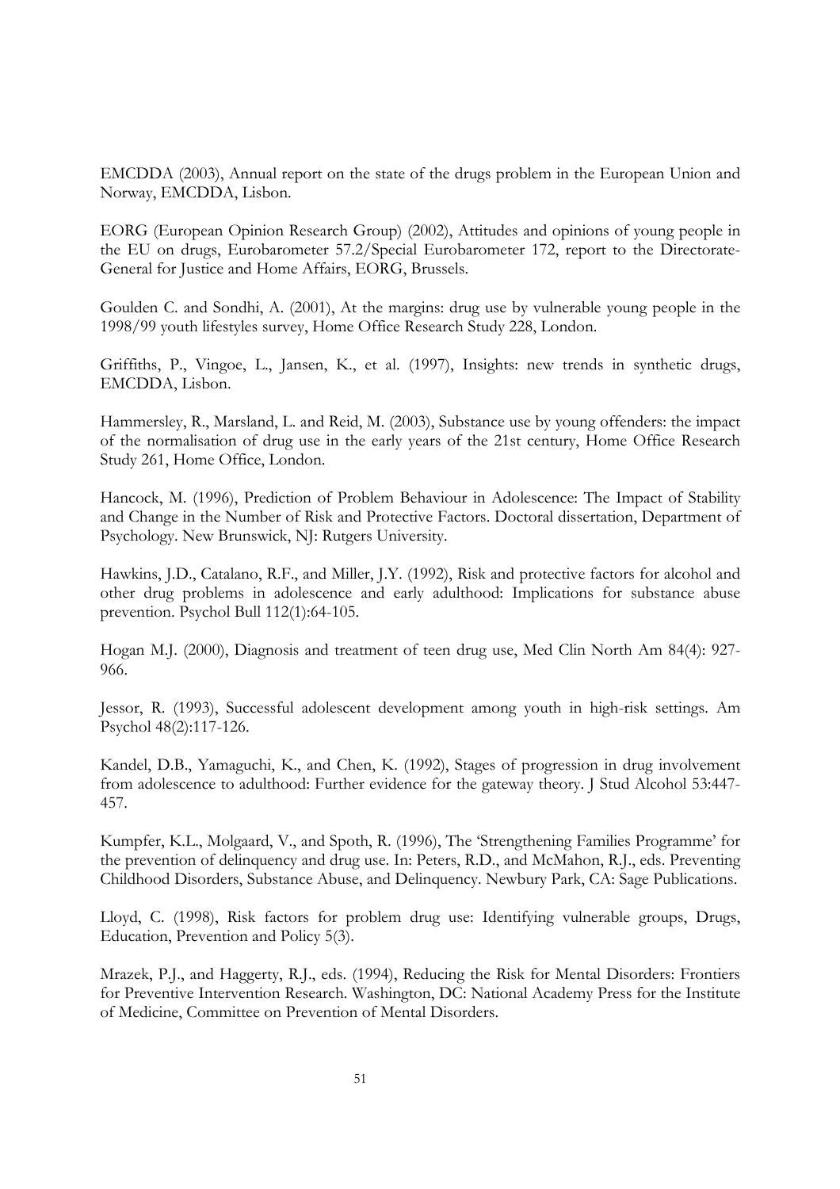EMCDDA (2003), Annual report on the state of the drugs problem in the European Union and Norway, EMCDDA, Lisbon.

EORG (European Opinion Research Group) (2002), Attitudes and opinions of young people in the EU on drugs, Eurobarometer 57.2/Special Eurobarometer 172, report to the Directorate-General for Justice and Home Affairs, EORG, Brussels.

Goulden C. and Sondhi, A. (2001), At the margins: drug use by vulnerable young people in the 1998/99 youth lifestyles survey, Home Office Research Study 228, London.

Griffiths, P., Vingoe, L., Jansen, K., et al. (1997), Insights: new trends in synthetic drugs, EMCDDA, Lisbon.

Hammersley, R., Marsland, L. and Reid, M. (2003), Substance use by young offenders: the impact of the normalisation of drug use in the early years of the 21st century, Home Office Research Study 261, Home Office, London.

Hancock, M. (1996), Prediction of Problem Behaviour in Adolescence: The Impact of Stability and Change in the Number of Risk and Protective Factors. Doctoral dissertation, Department of Psychology. New Brunswick, NJ: Rutgers University.

Hawkins, J.D., Catalano, R.F., and Miller, J.Y. (1992), Risk and protective factors for alcohol and other drug problems in adolescence and early adulthood: Implications for substance abuse prevention. Psychol Bull 112(1):64-105.

Hogan M.J. (2000), Diagnosis and treatment of teen drug use, Med Clin North Am 84(4): 927- 966.

Jessor, R. (1993), Successful adolescent development among youth in high-risk settings. Am Psychol 48(2):117-126.

Kandel, D.B., Yamaguchi, K., and Chen, K. (1992), Stages of progression in drug involvement from adolescence to adulthood: Further evidence for the gateway theory. J Stud Alcohol 53:447- 457.

Kumpfer, K.L., Molgaard, V., and Spoth, R. (1996), The 'Strengthening Families Programme' for the prevention of delinquency and drug use. In: Peters, R.D., and McMahon, R.J., eds. Preventing Childhood Disorders, Substance Abuse, and Delinquency. Newbury Park, CA: Sage Publications.

Lloyd, C. (1998), Risk factors for problem drug use: Identifying vulnerable groups, Drugs, Education, Prevention and Policy 5(3).

Mrazek, P.J., and Haggerty, R.J., eds. (1994), Reducing the Risk for Mental Disorders: Frontiers for Preventive Intervention Research. Washington, DC: National Academy Press for the Institute of Medicine, Committee on Prevention of Mental Disorders.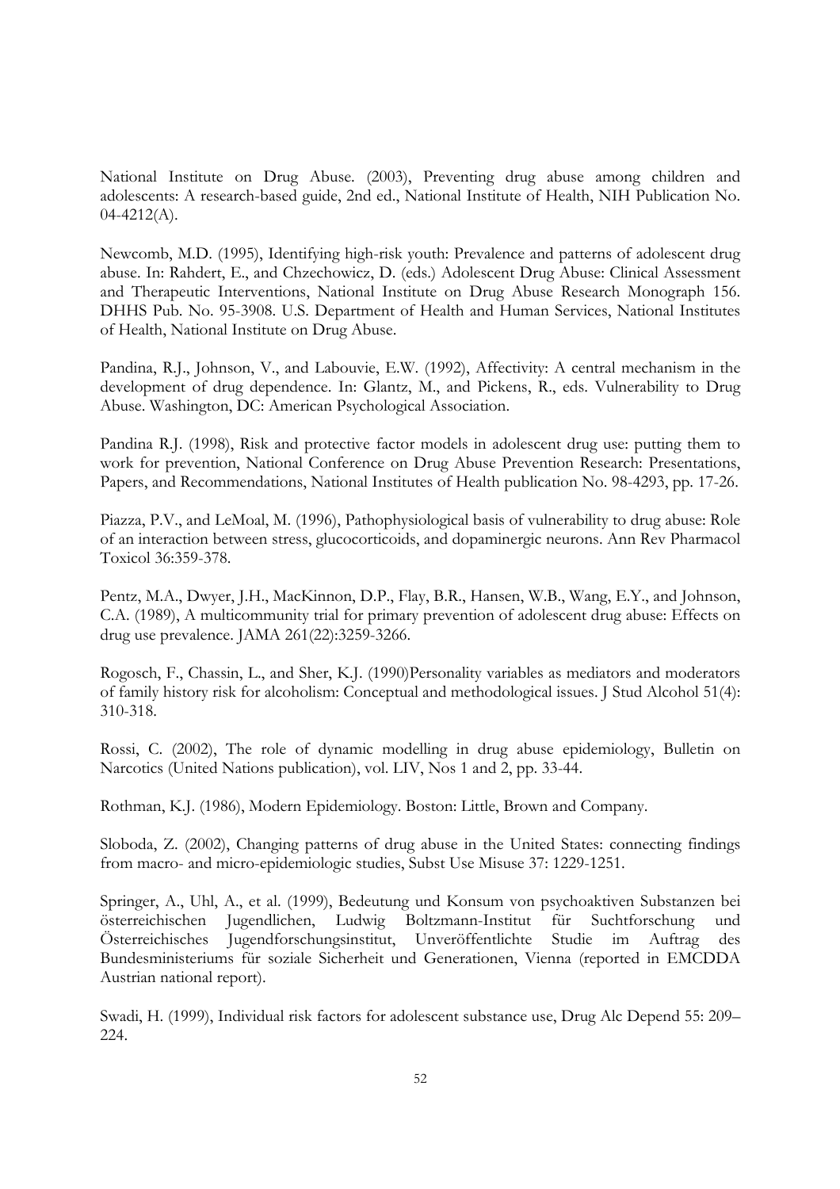National Institute on Drug Abuse. (2003), Preventing drug abuse among children and adolescents: A research-based guide, 2nd ed., National Institute of Health, NIH Publication No.  $04 - 4212(A)$ .

Newcomb, M.D. (1995), Identifying high-risk youth: Prevalence and patterns of adolescent drug abuse. In: Rahdert, E., and Chzechowicz, D. (eds.) Adolescent Drug Abuse: Clinical Assessment and Therapeutic Interventions, National Institute on Drug Abuse Research Monograph 156. DHHS Pub. No. 95-3908. U.S. Department of Health and Human Services, National Institutes of Health, National Institute on Drug Abuse.

Pandina, R.J., Johnson, V., and Labouvie, E.W. (1992), Affectivity: A central mechanism in the development of drug dependence. In: Glantz, M., and Pickens, R., eds. Vulnerability to Drug Abuse. Washington, DC: American Psychological Association.

Pandina R.J. (1998), Risk and protective factor models in adolescent drug use: putting them to work for prevention, National Conference on Drug Abuse Prevention Research: Presentations, Papers, and Recommendations, National Institutes of Health publication No. 98-4293, pp. 17-26.

Piazza, P.V., and LeMoal, M. (1996), Pathophysiological basis of vulnerability to drug abuse: Role of an interaction between stress, glucocorticoids, and dopaminergic neurons. Ann Rev Pharmacol Toxicol 36:359-378.

Pentz, M.A., Dwyer, J.H., MacKinnon, D.P., Flay, B.R., Hansen, W.B., Wang, E.Y., and Johnson, C.A. (1989), A multicommunity trial for primary prevention of adolescent drug abuse: Effects on drug use prevalence. JAMA 261(22):3259-3266.

Rogosch, F., Chassin, L., and Sher, K.J. (1990)Personality variables as mediators and moderators of family history risk for alcoholism: Conceptual and methodological issues. J Stud Alcohol 51(4): 310-318.

Rossi, C. (2002), The role of dynamic modelling in drug abuse epidemiology, Bulletin on Narcotics (United Nations publication), vol. LIV, Nos 1 and 2, pp. 33-44.

Rothman, K.J. (1986), Modern Epidemiology. Boston: Little, Brown and Company.

Sloboda, Z. (2002), Changing patterns of drug abuse in the United States: connecting findings from macro- and micro-epidemiologic studies, Subst Use Misuse 37: 1229-1251.

Springer, A., Uhl, A., et al. (1999), Bedeutung und Konsum von psychoaktiven Substanzen bei österreichischen Jugendlichen, Ludwig Boltzmann-Institut für Suchtforschung und Österreichisches Jugendforschungsinstitut, Unveröffentlichte Studie im Auftrag des Bundesministeriums für soziale Sicherheit und Generationen, Vienna (reported in EMCDDA Austrian national report).

Swadi, H. (1999), Individual risk factors for adolescent substance use, Drug Alc Depend 55: 209– 224.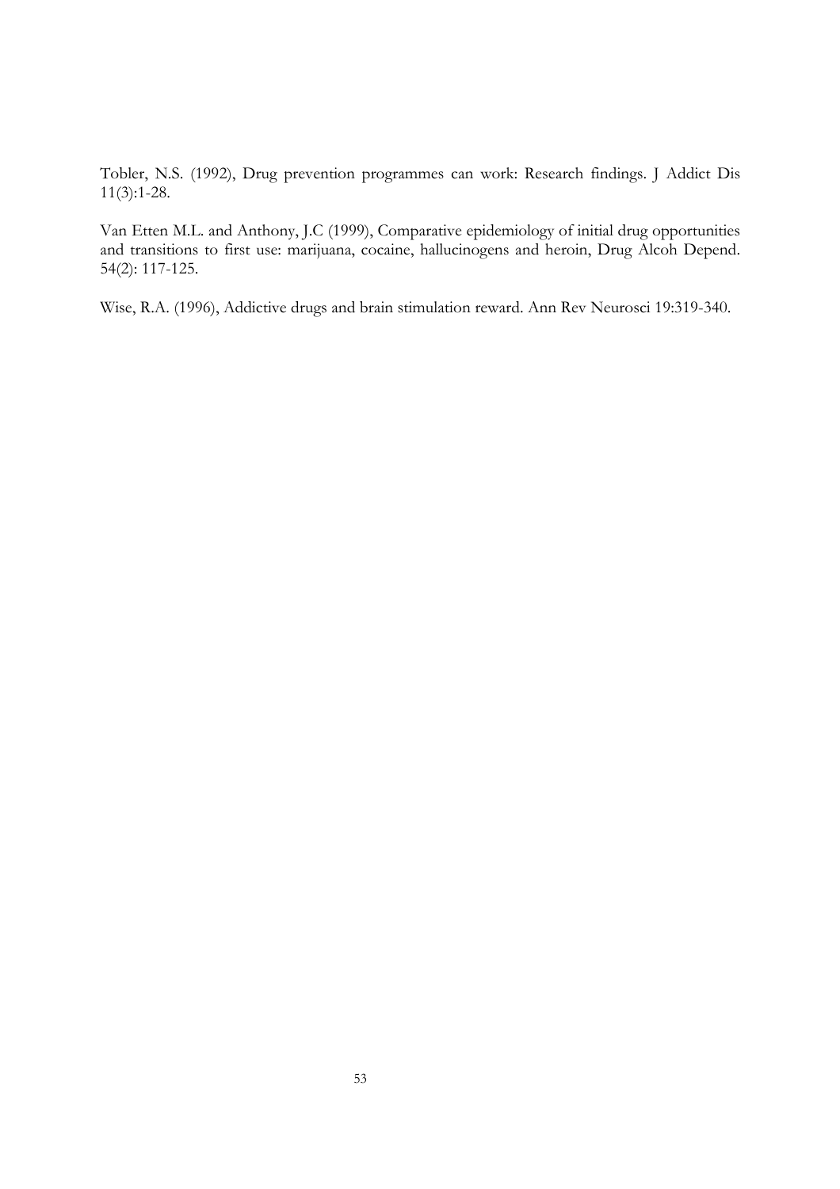Tobler, N.S. (1992), Drug prevention programmes can work: Research findings. J Addict Dis 11(3):1-28.

Van Etten M.L. and Anthony, J.C (1999), Comparative epidemiology of initial drug opportunities and transitions to first use: marijuana, cocaine, hallucinogens and heroin, Drug Alcoh Depend. 54(2): 117-125.

Wise, R.A. (1996), Addictive drugs and brain stimulation reward. Ann Rev Neurosci 19:319-340.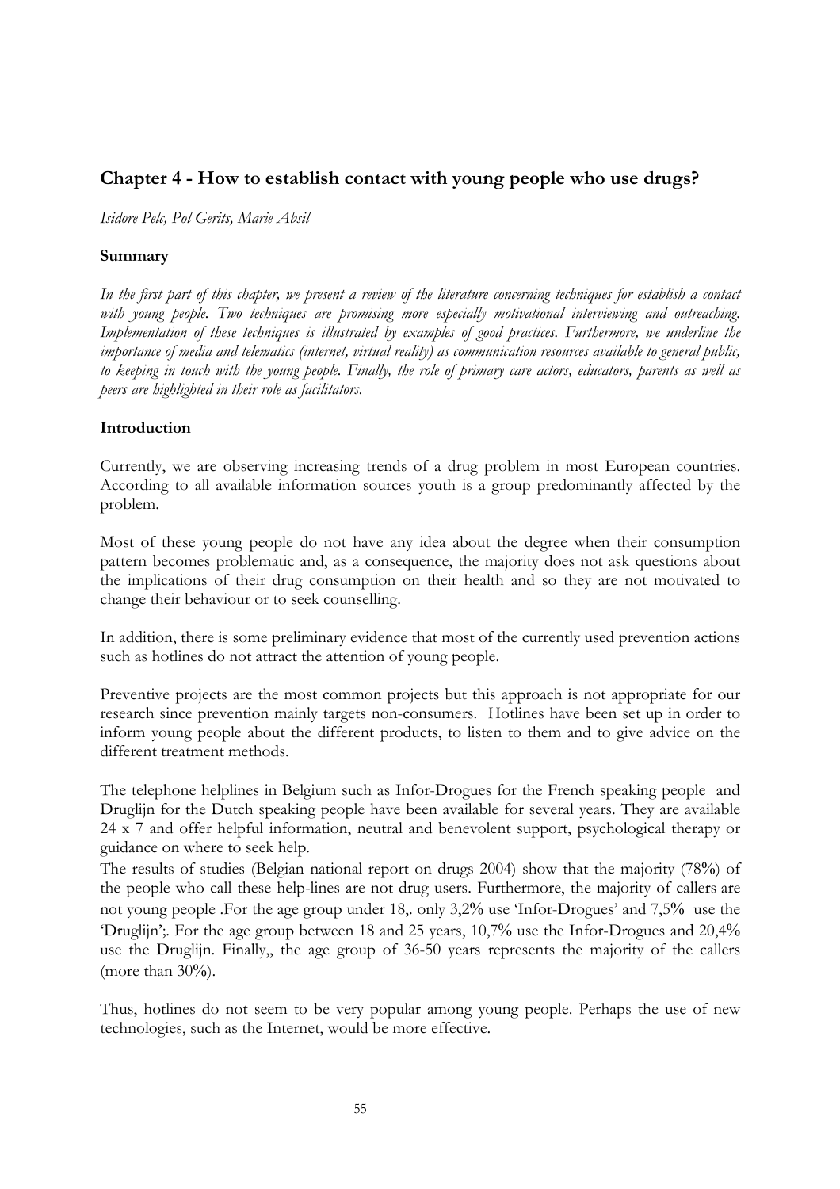# **Chapter 4 - How to establish contact with young people who use drugs?**

*Isidore Pelc, Pol Gerits, Marie Absil* 

# **Summary**

*In the first part of this chapter, we present a review of the literature concerning techniques for establish a contact with young people. Two techniques are promising more especially motivational interviewing and outreaching. Implementation of these techniques is illustrated by examples of good practices. Furthermore, we underline the importance of media and telematics (internet, virtual reality) as communication resources available to general public, to keeping in touch with the young people. Finally, the role of primary care actors, educators, parents as well as peers are highlighted in their role as facilitators.* 

# **Introduction**

Currently, we are observing increasing trends of a drug problem in most European countries. According to all available information sources youth is a group predominantly affected by the problem.

Most of these young people do not have any idea about the degree when their consumption pattern becomes problematic and, as a consequence, the majority does not ask questions about the implications of their drug consumption on their health and so they are not motivated to change their behaviour or to seek counselling.

In addition, there is some preliminary evidence that most of the currently used prevention actions such as hotlines do not attract the attention of young people.

Preventive projects are the most common projects but this approach is not appropriate for our research since prevention mainly targets non-consumers. Hotlines have been set up in order to inform young people about the different products, to listen to them and to give advice on the different treatment methods.

The telephone helplines in Belgium such as Infor-Drogues for the French speaking people and Druglijn for the Dutch speaking people have been available for several years. They are available 24 x 7 and offer helpful information, neutral and benevolent support, psychological therapy or guidance on where to seek help.

The results of studies (Belgian national report on drugs 2004) show that the majority (78%) of the people who call these help-lines are not drug users. Furthermore, the majority of callers are not young people .For the age group under 18,. only 3,2% use 'Infor-Drogues' and 7,5% use the 'Druglijn';. For the age group between 18 and 25 years, 10,7% use the Infor-Drogues and 20,4% use the Druglijn. Finally,, the age group of 36-50 years represents the majority of the callers (more than 30%).

Thus, hotlines do not seem to be very popular among young people. Perhaps the use of new technologies, such as the Internet, would be more effective.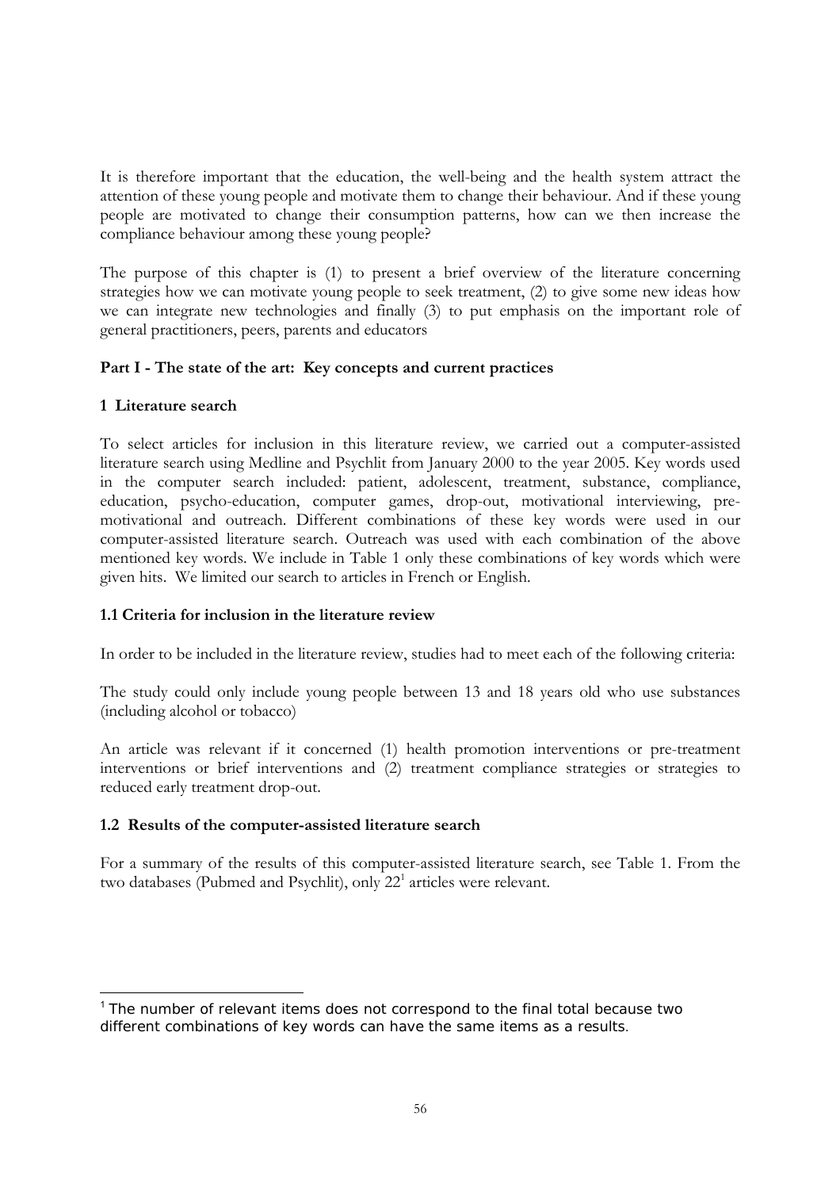It is therefore important that the education, the well-being and the health system attract the attention of these young people and motivate them to change their behaviour. And if these young people are motivated to change their consumption patterns, how can we then increase the compliance behaviour among these young people?

The purpose of this chapter is (1) to present a brief overview of the literature concerning strategies how we can motivate young people to seek treatment, (2) to give some new ideas how we can integrate new technologies and finally (3) to put emphasis on the important role of general practitioners, peers, parents and educators

# **Part I - The state of the art: Key concepts and current practices**

# **1 Literature search**

 $\overline{a}$ 

To select articles for inclusion in this literature review, we carried out a computer-assisted literature search using Medline and Psychlit from January 2000 to the year 2005. Key words used in the computer search included: patient, adolescent, treatment, substance, compliance, education, psycho-education, computer games, drop-out, motivational interviewing, premotivational and outreach. Different combinations of these key words were used in our computer-assisted literature search. Outreach was used with each combination of the above mentioned key words. We include in Table 1 only these combinations of key words which were given hits. We limited our search to articles in French or English.

# **1.1 Criteria for inclusion in the literature review**

In order to be included in the literature review, studies had to meet each of the following criteria:

The study could only include young people between 13 and 18 years old who use substances (including alcohol or tobacco)

An article was relevant if it concerned (1) health promotion interventions or pre-treatment interventions or brief interventions and (2) treatment compliance strategies or strategies to reduced early treatment drop-out.

# **1.2 Results of the computer-assisted literature search**

For a summary of the results of this computer-assisted literature search, see Table 1. From the two databases (Pubmed and Psychlit), only  $22<sup>1</sup>$  articles were relevant.

<sup>&</sup>lt;sup>1</sup> The number of relevant items does not correspond to the final total because two different combinations of key words can have the same items as a results.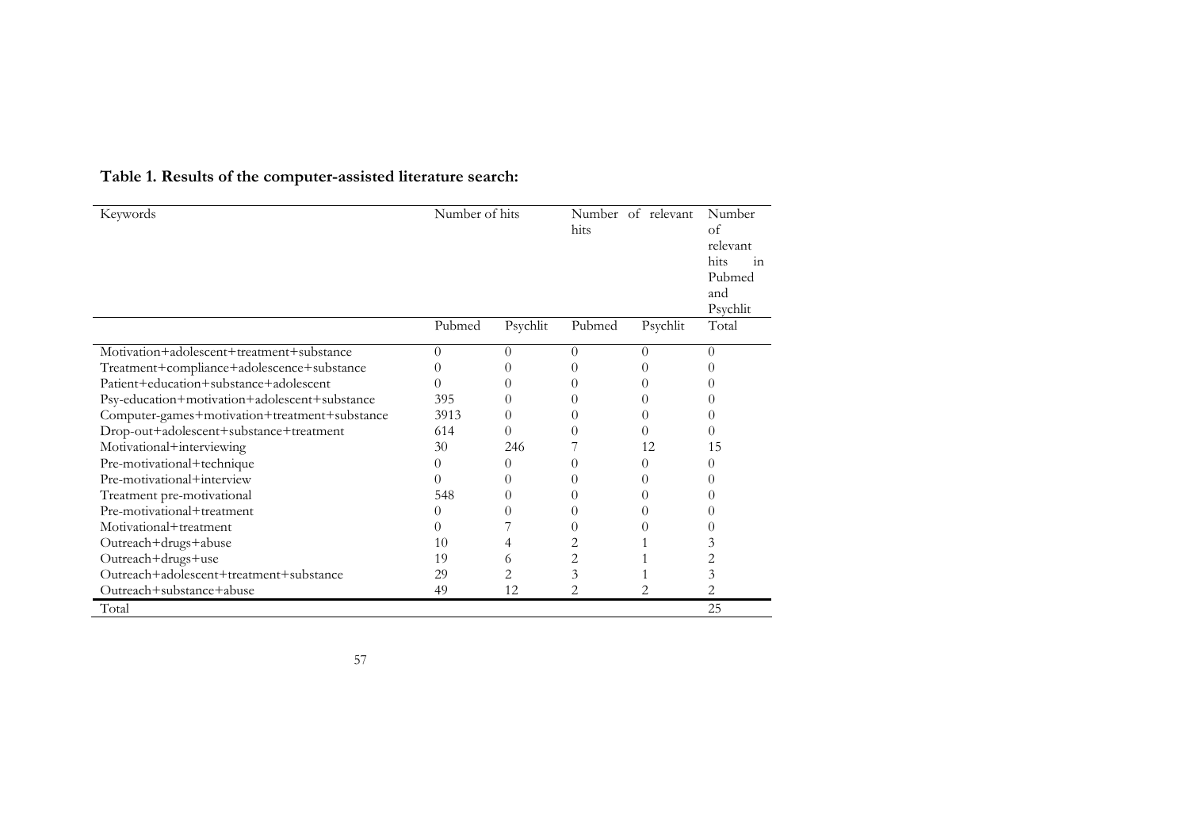| Keywords                                      | Number of hits |                  | Number of relevant<br>hits |          | Number<br>of<br>relevant<br>hits<br>in<br>Pubmed<br>and<br>Psychlit |
|-----------------------------------------------|----------------|------------------|----------------------------|----------|---------------------------------------------------------------------|
|                                               | Pubmed         | Psychlit         | Pubmed                     | Psychlit | Total                                                               |
| Motivation+adolescent+treatment+substance     | $\Omega$       | $\theta$         | $\Omega$                   | $\Omega$ | $\Omega$                                                            |
| Treatment+compliance+adolescence+substance    | 0              |                  | $\left( \right)$           |          | $\theta$                                                            |
| Patient+education+substance+adolescent        |                |                  | 0                          |          | $\theta$                                                            |
| Psy-education+motivation+adolescent+substance | 395            | $\left( \right)$ | $\left( \right)$           |          | $\theta$                                                            |
| Computer-games+motivation+treatment+substance | 3913           | $\theta$         |                            |          | $\left( \right)$                                                    |
| Drop-out+adolescent+substance+treatment       | 614            | $\theta$         | $\cup$                     |          | $\Omega$                                                            |
| Motivational+interviewing                     | 30             | 246              |                            | 12       | 15                                                                  |
| Pre-motivational+technique                    | 0              | $\theta$         | $\theta$                   | $\theta$ | 0                                                                   |
| Pre-motivational+interview                    |                | $\left( \right)$ | $\theta$                   |          | $\theta$                                                            |
| Treatment pre-motivational                    | 548            |                  | $\theta$                   |          | $\theta$                                                            |
| Pre-motivational+treatment                    | 0              | $\theta$         | $\theta$                   |          | $\theta$                                                            |
| Motivational+treatment                        | 0              |                  |                            |          | $\theta$                                                            |
| Outreach+drugs+abuse                          | 10             |                  |                            |          | 3                                                                   |
| Outreach+drugs+use                            | 19             | 6                | 2                          |          | 2                                                                   |
| Outreach+adolescent+treatment+substance       | 29             | 2                | 3                          |          | 3                                                                   |
| Outreach+substance+abuse                      | 49             | 12               | 2                          | 2        | 2                                                                   |
| Total                                         |                |                  |                            |          | 25                                                                  |

# **Table 1. Results of the computer-assisted literature search:**

57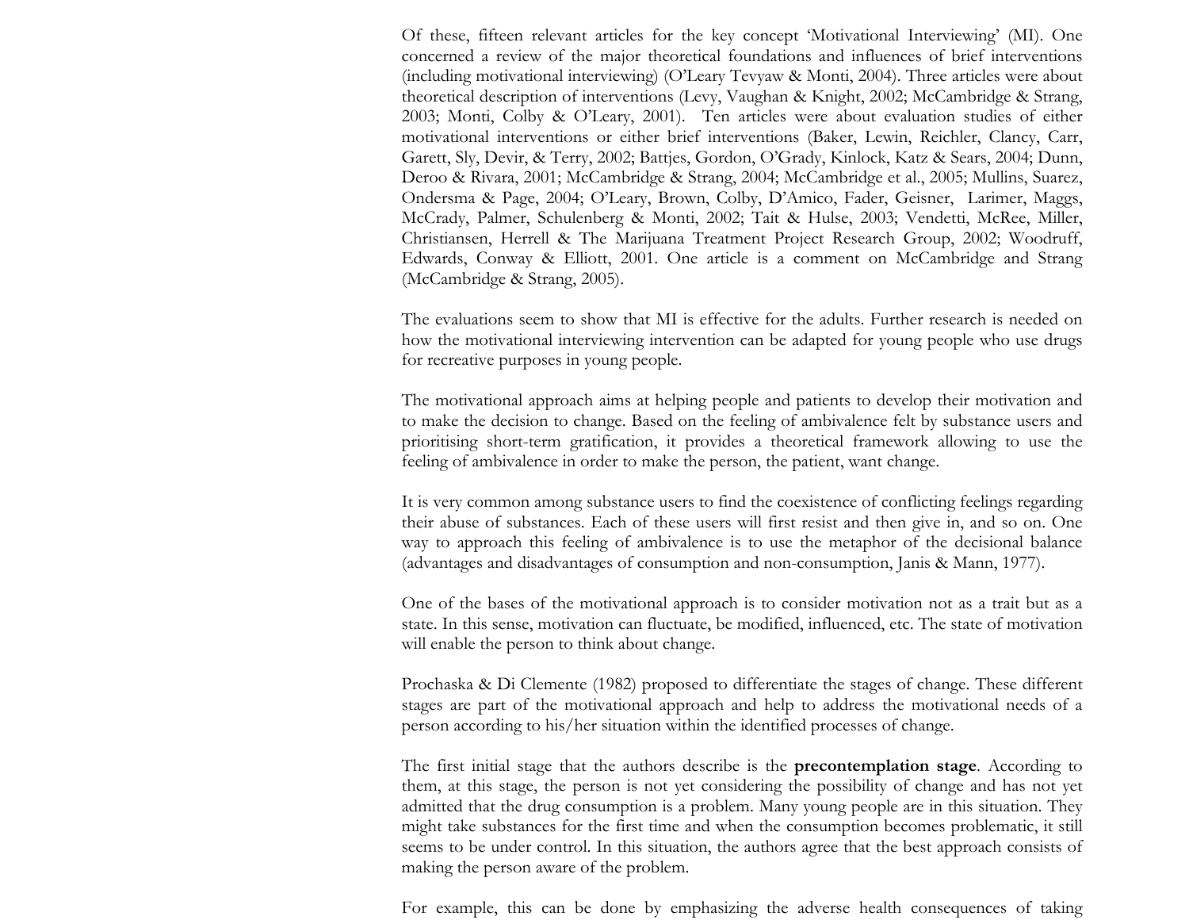Of these, fifteen relevant articles for the key concept 'Motivational Interviewing' (MI). One concerned a review of the major theoretical foundations and influences of brief interventions (including motivational interviewing) (O'Leary Tevyaw & Monti, 2004). Three articles were about theoretical description of interventions (Levy, Vaughan & Knight, 2002; McCambridge & Strang, 2003; Monti, Colby & O'Leary, 2001). Ten articles were about evaluation studies of either motivational interventions or either brief interventions (Baker, Lewin, Reichler, Clancy, Carr, Garett, Sly, Devir, & Terry, 2002; Battjes, Gordon, O'Grady, Kinlock, Katz & Sears, 2004; Dunn, Deroo & Rivara, 2001; McCambridge & Strang, 2004; McCambridge et al., 2005; Mullins, Suarez, Ondersma & Page, 2004; O'Leary, Brown, Colby, D'Amico, Fader, Geisner, Larimer, Maggs, McCrady, Palmer, Schulenberg & Monti, 2002; Tait & Hulse, 2003; Vendetti, McRee, Miller, Christiansen, Herrell & The Marijuana Treatment Project Research Group, 2002; Woodruff, Edwards, Conway & Elliott, 2001. One article is a comment on McCambridge and Strang (McCambridge & Strang, 2005).

The evaluations seem to show that MI is effective for the adults. Further research is needed on how the motivational interviewing intervention can be adapted for young people who use drugs for recreative purposes in young people.

The motivational approach aims at helping people and patients to develop their motivation and to make the decision to change. Based on the feeling of ambivalence felt by substance users and prioritising short-term gratification, it provides a theoretical framework allowing to use the feeling of ambivalence in order to make the person, the patient, want change.

It is very common among substance users to find the coexistence of conflicting feelings regarding their abuse of substances. Each of these users will first resist and then give in, and so on. One way to approach this feeling of ambivalence is to use the metaphor of the decisional balance (advantages and disadvantages of consumption and non-consumption, Janis & Mann, 1977).

One of the bases of the motivational approach is to consider motivation not as a trait but as a state. In this sense, motivation can fluctuate, be modified, influenced, etc. The state of motivation will enable the person to think about change.

Prochaska & Di Clemente (1982) proposed to differentiate the stages of change. These different stages are part of the motivational approach and help to address the motivational needs of a person according to his/her situation within the identified processes of change.

The first initial stage that the authors describe is the **precontemplation stage**. According to them, at this stage, the person is not yet considering the possibility of change and has not yet admitted that the drug consumption is a problem. Many young people are in this situation. They might take substances for the first time and when the consumption becomes problematic, it still seems to be under control. In this situation, the authors agree that the best approach consists of making the person aware of the problem.

For example, this can be done by emphasizing the adverse health consequences of taking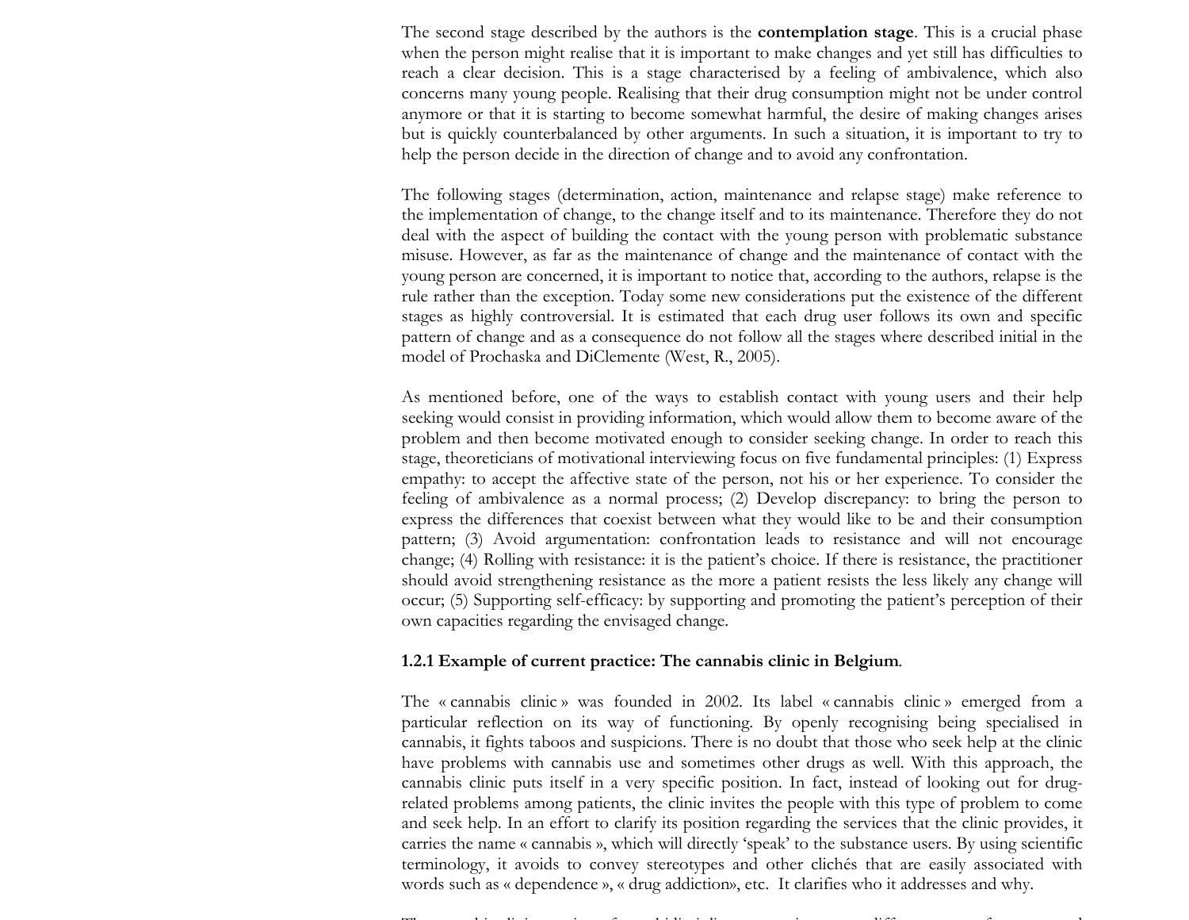The second stage described by the authors is the **contemplation stage**. This is a crucial phase when the person might realise that it is important to make changes and yet still has difficulties to reach a clear decision. This is a stage characterised by a feeling of ambivalence, which also concerns many young people. Realising that their drug consumption might not be under control anymore or that it is starting to become somewhat harmful, the desire of making changes arises but is quickly counterbalanced by other arguments. In such a situation, it is important to try to help the person decide in the direction of change and to avoid any confrontation.

The following stages (determination, action, maintenance and relapse stage) make reference to the implementation of change, to the change itself and to its maintenance. Therefore they do not deal with the aspect of building the contact with the young person with problematic substance misuse. However, as far as the maintenance of change and the maintenance of contact with the young person are concerned, it is important to notice that, according to the authors, relapse is the rule rather than the exception. Today some new considerations put the existence of the different stages as highly controversial. It is estimated that each drug user follows its own and specific pattern of change and as a consequence do not follow all the stages where described initial in the model of Prochaska and DiClemente (West, R., 2005).

As mentioned before, one of the ways to establish contact with young users and their help seeking would consist in providing information, which would allow them to become aware of the problem and then become motivated enough to consider seeking change. In order to reach this stage, theoreticians of motivational interviewing focus on five fundamental principles: (1) Express empathy: to accept the affective state of the person, not his or her experience. To consider the feeling of ambivalence as a normal process; (2) Develop discrepancy: to bring the person to express the differences that coexist between what they would like to be and their consumption pattern; (3) Avoid argumentation: confrontation leads to resistance and will not encourage change; (4) Rolling with resistance: it is the patient's choice. If there is resistance, the practitioner should avoid strengthening resistance as the more a patient resists the less likely any change will occur; (5) Supporting self-efficacy: by supporting and promoting the patient's perception of their own capacities regarding the envisaged change.

#### **1.2.1 Example of current practice: The cannabis clinic in Belgium***.*

The « cannabis clinic » was founded in 2002. Its label « cannabis clinic » emerged from a particular reflection on its way of functioning. By openly recognising being specialised in cannabis, it fights taboos and suspicions. There is no doubt that those who seek help at the clinic have problems with cannabis use and sometimes other drugs as well. With this approach, the cannabis clinic puts itself in a very specific position. In fact, instead of looking out for drugrelated problems among patients, the clinic invites the people with this type of problem to come and seek help. In an effort to clarify its position regarding the services that the clinic provides, it carries the name « cannabis », which will directly 'speak' to the substance users. By using scientific terminology, it avoids to convey stereotypes and other clichés that are easily associated with words such as « dependence », « drug addiction», etc. It clarifies who it addresses and why.

Thbi li i i f l idi i li i diff f d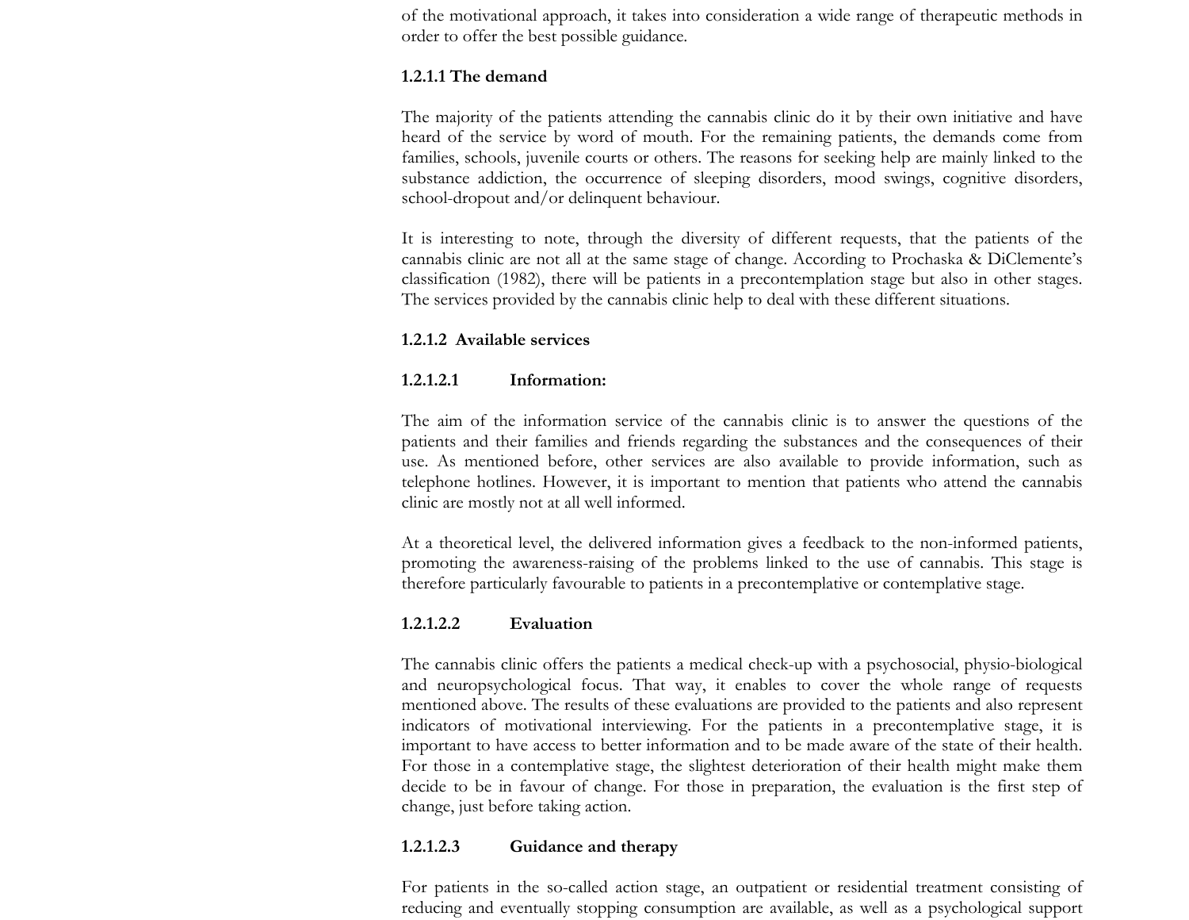of the motivational approach, it takes into consideration a wide range of therapeutic methods in order to offer the best possible guidance.

# **1.2.1.1 The demand**

The majority of the patients attending the cannabis clinic do it by their own initiative and have heard of the service by word of mouth. For the remaining patients, the demands come from families, schools, juvenile courts or others. The reasons for seeking help are mainly linked to the substance addiction, the occurrence of sleeping disorders, mood swings, cognitive disorders, school-dropout and/or delinquent behaviour.

It is interesting to note, through the diversity of different requests, that the patients of the cannabis clinic are not all at the same stage of change. According to Prochaska & DiClemente's classification (1982), there will be patients in a precontemplation stage but also in other stages. The services provided by the cannabis clinic help to deal with these different situations.

# **1.2.1.2 Available services**

# **1.2.1.2.1 Information:**

The aim of the information service of the cannabis clinic is to answer the questions of the patients and their families and friends regarding the substances and the consequences of their use. As mentioned before, other services are also available to provide information, such as telephone hotlines. However, it is important to mention that patients who attend the cannabis clinic are mostly not at all well informed.

At a theoretical level, the delivered information gives a feedback to the non-informed patients, promoting the awareness-raising of the problems linked to the use of cannabis. This stage is therefore particularly favourable to patients in a precontemplative or contemplative stage.

# **1.2.1.2.2 Evaluation**

The cannabis clinic offers the patients a medical check-up with a psychosocial, physio-biological and neuropsychological focus. That way, it enables to cover the whole range of requests mentioned above. The results of these evaluations are provided to the patients and also represent indicators of motivational interviewing. For the patients in a precontemplative stage, it is important to have access to better information and to be made aware of the state of their health. For those in a contemplative stage, the slightest deterioration of their health might make them decide to be in favour of change. For those in preparation, the evaluation is the first step of change, just before taking action.

# **1.2.1.2.3 Guidance and therapy**

For patients in the so-called action stage, an outpatient or residential treatment consisting of reducing and eventually stopping consumption are available, as well as a psychological support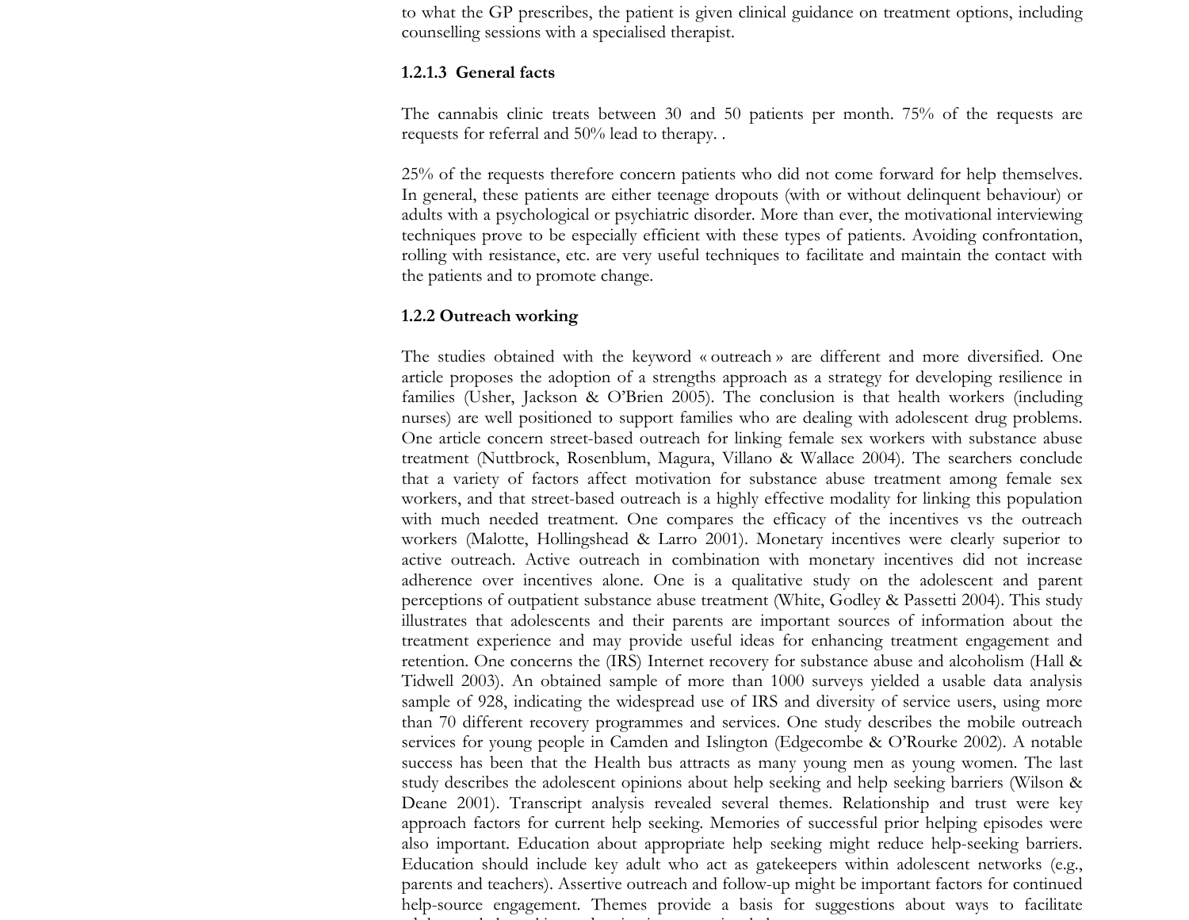to what the GP prescribes, the patient is given clinical guidance on treatment options, including counselling sessions with a specialised therapist.

#### **1.2.1.3 General facts**

The cannabis clinic treats between 30 and 50 patients per month. 75% of the requests are requests for referral and 50% lead to therapy. .

25% of the requests therefore concern patients who did not come forward for help themselves. In general, these patients are either teenage dropouts (with or without delinquent behaviour) or adults with a psychological or psychiatric disorder. More than ever, the motivational interviewing techniques prove to be especially efficient with these types of patients. Avoiding confrontation, rolling with resistance, etc. are very useful techniques to facilitate and maintain the contact with the patients and to promote change.

## **1.2.2 Outreach working**

The studies obtained with the keyword « outreach » are different and more diversified. One article proposes the adoption of a strengths approach as a strategy for developing resilience in families (Usher, Jackson & O'Brien 2005). The conclusion is that health workers (including nurses) are well positioned to support families who are dealing with adolescent drug problems. One article concern street-based outreach for linking female sex workers with substance abuse treatment (Nuttbrock, Rosenblum, Magura, Villano & Wallace 2004). The searchers conclude that a variety of factors affect motivation for substance abuse treatment among female sex workers, and that street-based outreach is a highly effective modality for linking this population with much needed treatment. One compares the efficacy of the incentives vs the outreach workers (Malotte, Hollingshead & Larro 2001). Monetary incentives were clearly superior to active outreach. Active outreach in combination with monetary incentives did not increase adherence over incentives alone. One is a qualitative study on the adolescent and parent perceptions of outpatient substance abuse treatment (White, Godley & Passetti 2004). This study illustrates that adolescents and their parents are important sources of information about the treatment experience and may provide useful ideas for enhancing treatment engagement and retention. One concerns the (IRS) Internet recovery for substance abuse and alcoholism (Hall & Tidwell 2003). An obtained sample of more than 1000 surveys yielded a usable data analysis sample of 928, indicating the widespread use of IRS and diversity of service users, using more than 70 different recovery programmes and services. One study describes the mobile outreach services for young people in Camden and Islington (Edgecombe & O'Rourke 2002). A notable success has been that the Health bus attracts as many young men as young women. The last study describes the adolescent opinions about help seeking and help seeking barriers (Wilson & Deane 2001). Transcript analysis revealed several themes. Relationship and trust were key approach factors for current help seeking. Memories of successful prior helping episodes were also important. Education about appropriate help seeking might reduce help-seeking barriers. Education should include key adult who act as gatekeepers within adolescent networks (e.g., parents and teachers). Assertive outreach and follow-up might be important factors for continued help-source engagement. Themes provide a basis for suggestions about ways to facilitate . . . . l ki d i i i h l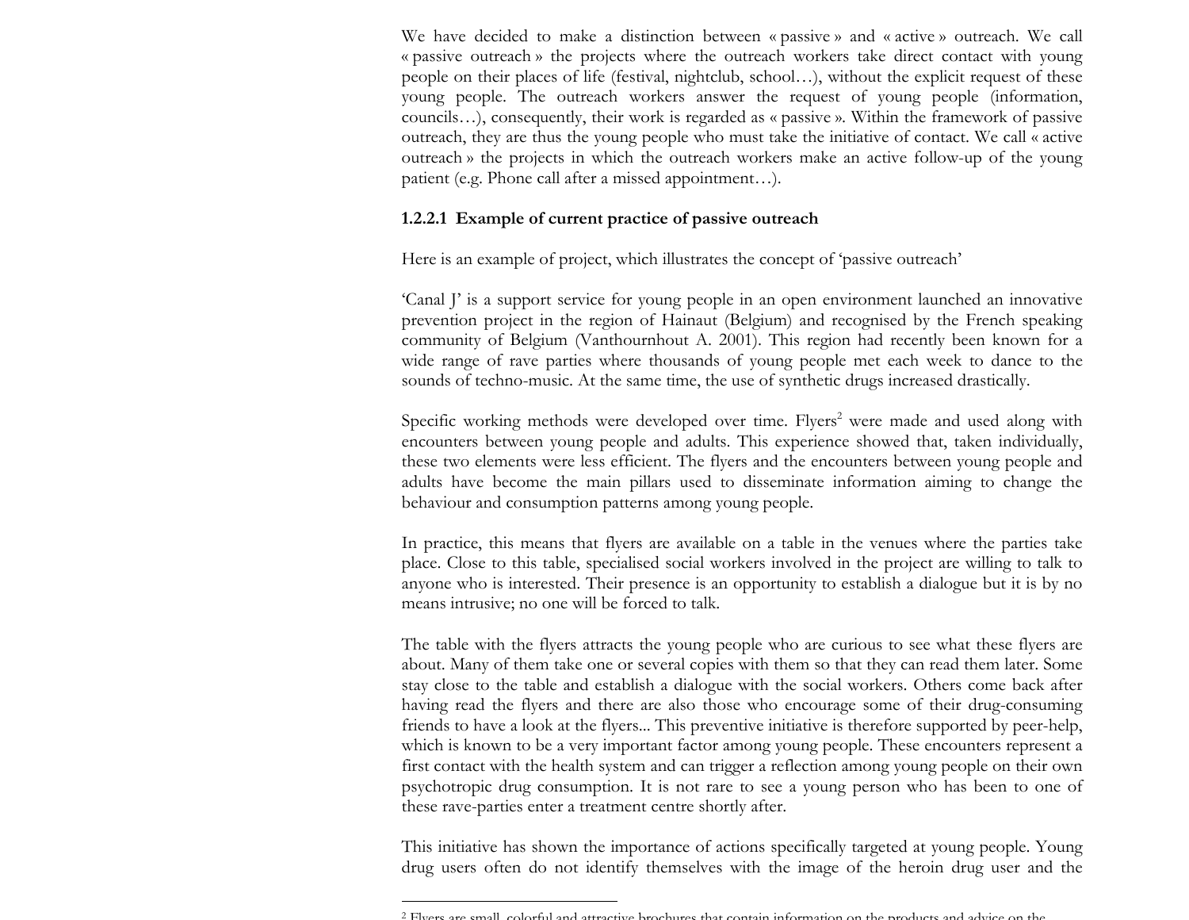We have decided to make a distinction between « passive » and « active » outreach. We call « passive outreach » the projects where the outreach workers take direct contact with young people on their places of life (festival, nightclub, school…), without the explicit request of these young people. The outreach workers answer the request of young people (information, councils…), consequently, their work is regarded as « passive ». Within the framework of passive outreach, they are thus the young people who must take the initiative of contact. We call « active outreach » the projects in which the outreach workers make an active follow-up of the young patient (e.g. Phone call after a missed appointment…).

### **1.2.2.1 Example of current practice of passive outreach**

Here is an example of project, which illustrates the concept of 'passive outreach'

'Canal J' is a support service for young people in an open environment launched an innovative prevention project in the region of Hainaut (Belgium) and recognised by the French speaking community of Belgium (Vanthournhout A. 2001). This region had recently been known for a wide range of rave parties where thousands of young people met each week to dance to the sounds of techno-music. At the same time, the use of synthetic drugs increased drastically.

Specific working methods were developed over time. Flyers<sup>2</sup> were made and used along with encounters between young people and adults. This experience showed that, taken individually, these two elements were less efficient. The flyers and the encounters between young people and adults have become the main pillars used to disseminate information aiming to change the behaviour and consumption patterns among young people.

In practice, this means that flyers are available on a table in the venues where the parties take place. Close to this table, specialised social workers involved in the project are willing to talk to anyone who is interested. Their presence is an opportunity to establish a dialogue but it is by no means intrusive; no one will be forced to talk.

The table with the flyers attracts the young people who are curious to see what these flyers are about. Many of them take one or several copies with them so that they can read them later. Some stay close to the table and establish a dialogue with the social workers. Others come back after having read the flyers and there are also those who encourage some of their drug-consuming friends to have a look at the flyers... This preventive initiative is therefore supported by peer-help, which is known to be a very important factor among young people. These encounters represent a first contact with the health system and can trigger a reflection among young people on their own psychotropic drug consumption. It is not rare to see a young person who has been to one of these rave-parties enter a treatment centre shortly after.

This initiative has shown the importance of actions specifically targeted at young people. Young drug users often do not identify themselves with the image of the heroin drug user and the

<sup>2</sup> Flyers are small colorful and attractive brochures that contain information on the pro ducts and advice on the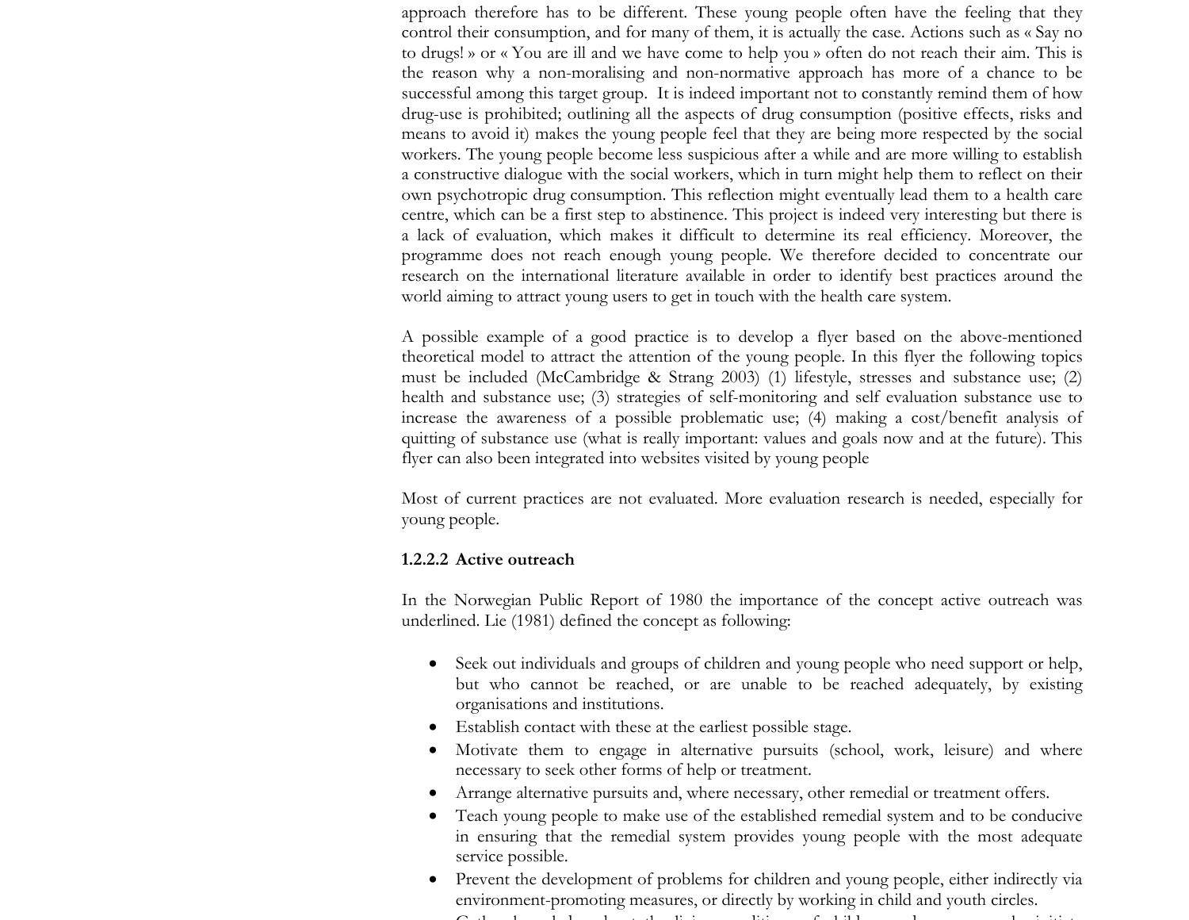approach therefore has to be different. These young people often have the feeling that they control their consumption, and for many of them, it is actually the case. Actions such as « Say no to drugs! » or « You are ill and we have come to help you » often do not reach their aim. This is the reason why a non-moralising and non-normative approach has more of a chance to be successful among this target group. It is indeed important not to constantly remind them of how drug-use is prohibited; outlining all the aspects of drug consumption (positive effects, risks and means to avoid it) makes the young people feel that they are being more respected by the social workers. The young people become less suspicious after a while and are more willing to establish a constructive dialogue with the social workers, which in turn might help them to reflect on their own psychotropic drug consumption. This reflection might eventually lead them to a health care centre, which can be a first step to abstinence. This project is indeed very interesting but there is a lack of evaluation, which makes it difficult to determine its real efficiency. Moreover, the programme does not reach enough young people. We therefore decided to concentrate our research on the international literature available in order to identify best practices around the world aiming to attract young users to get in touch with the health care system.

A possible example of a good practice is to develop a flyer based on the above-mentioned theoretical model to attract the attention of the young people. In this flyer the following topics must be included (McCambridge & Strang 2003) (1) lifestyle, stresses and substance use; (2) health and substance use; (3) strategies of self-monitoring and self evaluation substance use to increase the awareness of a possible problematic use; (4) making a cost/benefit analysis of quitting of substance use (what is really important: values and goals now and at the future). This flyer can also been integrated into websites visited by young people

Most of current practices are not evaluated. More evaluation research is needed, especially for young people.

### **1.2.2.2 Active outreach**

In the Norwegian Public Report of 1980 the importance of the concept active outreach was underlined. Lie (1981) defined the concept as following:

- Seek out individuals and groups of children and young people who need support or help, but who cannot be reached, or are unable to be reached adequately, by existing organisations and institutions.
- Establish contact with these at the earliest possible stage.
- Motivate them to engage in alternative pursuits (school, work, leisure) and where necessary to seek other forms of help or treatment.
- $\bullet$ Arrange alternative pursuits and, where necessary, other remedial or treatment offers.
- $\bullet$  Teach young people to make use of the established remedial system and to be conducive in ensuring that the remedial system provides young people with the most adequate service possible.
- $\bullet$  Prevent the development of problems for children and young people, either indirectly via environment-promoting measures, or directly by working in child and youth circles.  $\cap$ h1. l d $\blacksquare$ th line is the line of the line of the line of the line of the line of the line of the line of the line of the dl interesting to the contract of the contract of the contract of the contract of the contract of the contract of the contract of the contract of the contract of the contract of the contract of the contract of the contract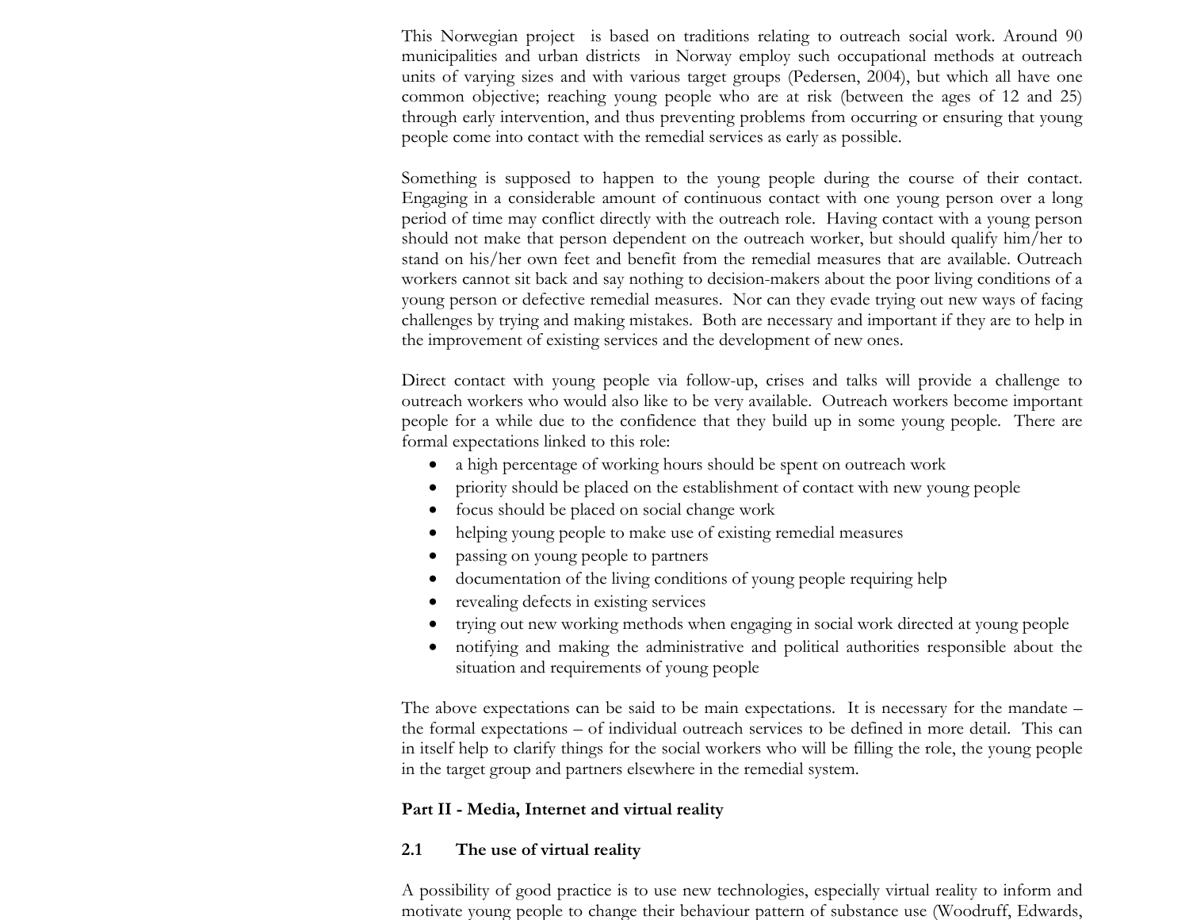This Norwegian project is based on traditions relating to outreach social work. Around 90 municipalities and urban districts in Norway employ such occupational methods at outreach units of varying sizes and with various target groups (Pedersen, 2004), but which all have one common objective; reaching young people who are at risk (between the ages of 12 and 25) through early intervention, and thus preventing problems from occurring or ensuring that young people come into contact with the remedial services as early as possible.

Something is supposed to happen to the young people during the course of their contact. Engaging in a considerable amount of continuous contact with one young person over a long period of time may conflict directly with the outreach role. Having contact with a young person should not make that person dependent on the outreach worker, but should qualify him/her to stand on his/her own feet and benefit from the remedial measures that are available. Outreach workers cannot sit back and say nothing to decision-makers about the poor living conditions of a young person or defective remedial measures. Nor can they evade trying out new ways of facing challenges by trying and making mistakes. Both are necessary and important if they are to help in the improvement of existing services and the development of new ones.

Direct contact with young people via follow-up, crises and talks will provide a challenge to outreach workers who would also like to be very available. Outreach workers become important people for a while due to the confidence that they build up in some young people. There are formal expectations linked to this role:

- a high percentage of working hours should be spent on outreach work
- $\bullet$ priority should be placed on the establishment of contact with new young people
- $\bullet$ focus should be placed on social change work
- •helping young people to make use of existing remedial measures
- •passing on young people to partners
- •documentation of the living conditions of young people requiring help
- •revealing defects in existing services
- •trying out new working methods when engaging in social work directed at young people
- $\bullet$  notifying and making the administrative and political authorities responsible about the situation and requirements of young people

The above expectations can be said to be main expectations. It is necessary for the mandate – the formal expectations – of individual outreach services to be defined in more detail. This can in itself help to clarify things for the social workers who will be filling the role, the young people in the target group and partners elsewhere in the remedial system.

## **Part II - Media, Internet and virtual reality**

### **2.1 The use of virtual reality**

A possibility of good practice is to use new technologies, especially virtual reality to inform and motivate youn g peo ple to chan ge their behaviour pattern of substance use (Woodruff, Edwards,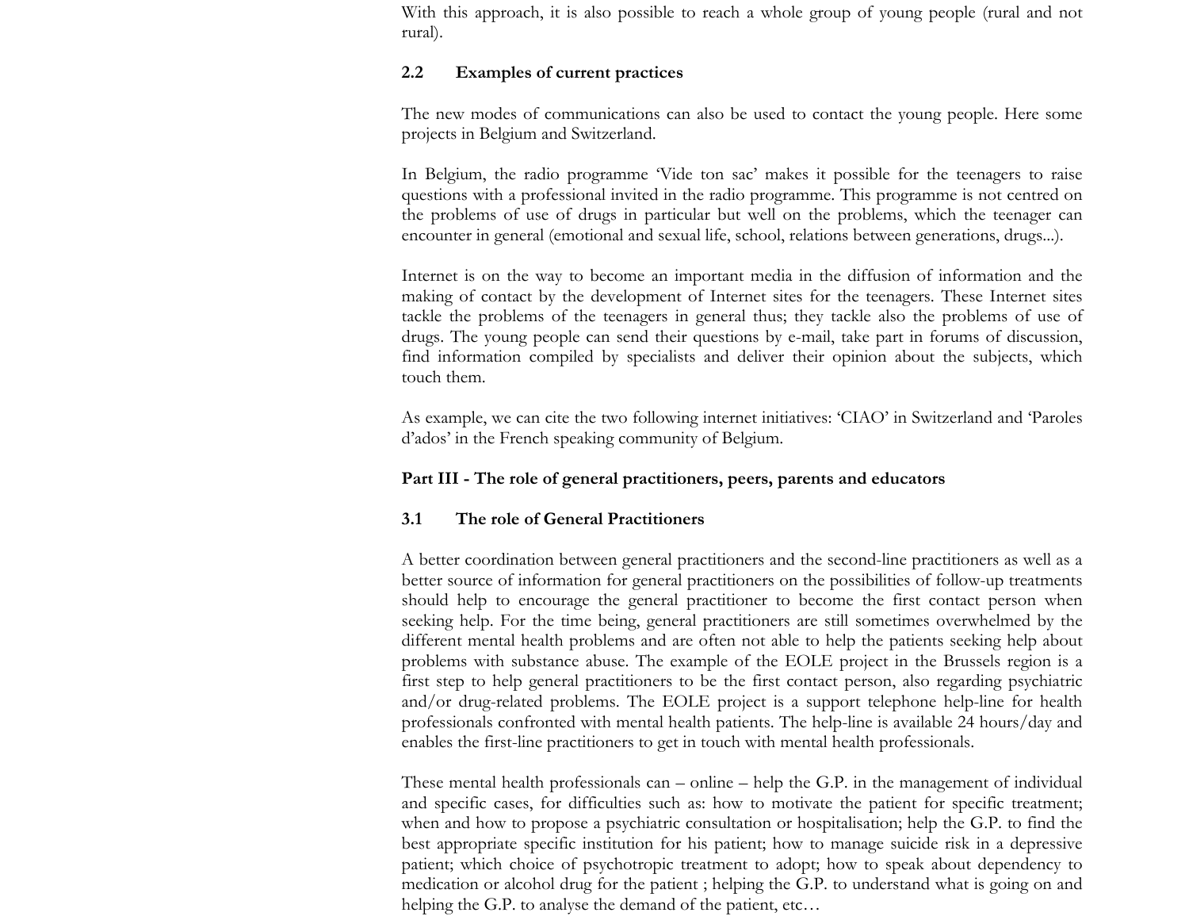With this approach, it is also possible to reach a whole group of young people (rural and not rural).

# **2.2 Examples of current practices**

The new modes of communications can also be used to contact the young people. Here some projects in Belgium and Switzerland.

In Belgium, the radio programme 'Vide ton sac' makes it possible for the teenagers to raise questions with a professional invited in the radio programme. This programme is not centred on the problems of use of drugs in particular but well on the problems, which the teenager can encounter in general (emotional and sexual life, school, relations between generations, drugs...).

Internet is on the way to become an important media in the diffusion of information and the making of contact by the development of Internet sites for the teenagers. These Internet sites tackle the problems of the teenagers in general thus; they tackle also the problems of use of drugs. The young people can send their questions by e-mail, take part in forums of discussion, find information compiled by specialists and deliver their opinion about the subjects, which touch them.

As example, we can cite the two following internet initiatives: 'CIAO' in Switzerland and 'Paroles d'ados' in the French speaking community of Belgium.

# **Part III - The role of general practitioners, peers, parents and educators**

# **3.1 The role of General Practitioners**

A better coordination between general practitioners and the second-line practitioners as well as a better source of information for general practitioners on the possibilities of follow-up treatments should help to encourage the general practitioner to become the first contact person when seeking help. For the time being, general practitioners are still sometimes overwhelmed by the different mental health problems and are often not able to help the patients seeking help about problems with substance abuse. The example of the EOLE project in the Brussels region is a first step to help general practitioners to be the first contact person, also regarding psychiatric and/or drug-related problems. The EOLE project is a support telephone help-line for health professionals confronted with mental health patients. The help-line is available 24 hours/day and enables the first-line practitioners to get in touch with mental health professionals.

These mental health professionals can – online – help the G.P. in the management of individual and specific cases, for difficulties such as: how to motivate the patient for specific treatment; when and how to propose a psychiatric consultation or hospitalisation; help the G.P. to find the best appropriate specific institution for his patient; how to manage suicide risk in a depressive patient; which choice of psychotropic treatment to adopt; how to speak about dependency to medication or alcohol drug for the patient ; helping the G.P. to understand what is going on and helping the G.P. to analyse the demand of the patient, etc...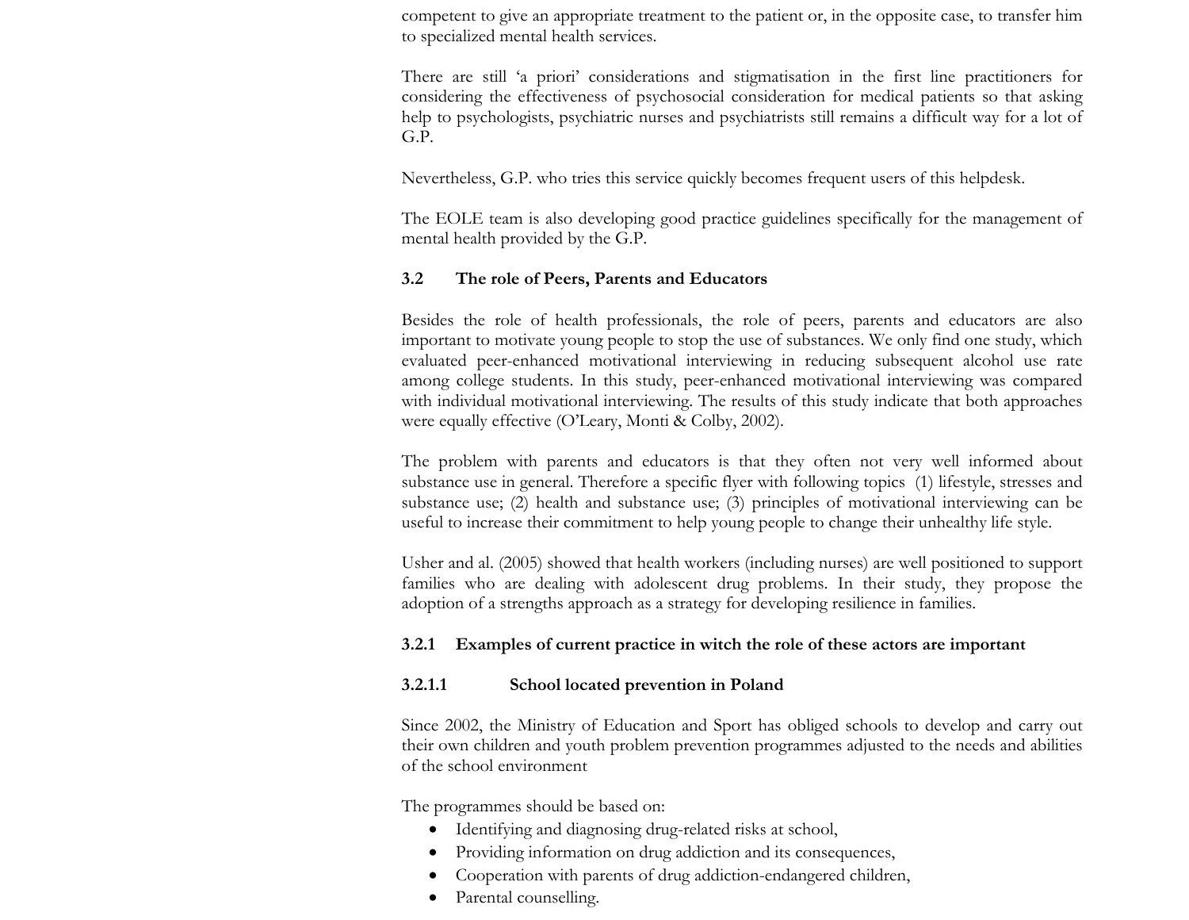competent to give an appropriate treatment to the patient or, in the opposite case, to transfer him to specialized mental health services.

There are still 'a priori' considerations and stigmatisation in the first line practitioners for considering the effectiveness of psychosocial consideration for medical patients so that asking help to psychologists, psychiatric nurses and psychiatrists still remains a difficult way for a lot of G.P.

Nevertheless, G.P. who tries this service quickly becomes frequent users of this helpdesk.

The EOLE team is also developing good practice guidelines specifically for the management of mental health provided by the G.P.

### **3.2 The role of Peers, Parents and Educators**

Besides the role of health professionals, the role of peers, parents and educators are also important to motivate young people to stop the use of substances. We only find one study, which evaluated peer-enhanced motivational interviewing in reducing subsequent alcohol use rate among college students. In this study, peer-enhanced motivational interviewing was compared with individual motivational interviewing. The results of this study indicate that both approaches were equally effective (O'Leary, Monti & Colby, 2002).

The problem with parents and educators is that they often not very well informed about substance use in general. Therefore a specific flyer with following topics (1) lifestyle, stresses and substance use; (2) health and substance use; (3) principles of motivational interviewing can be useful to increase their commitment to help young people to change their unhealthy life style.

Usher and al. (2005) showed that health workers (including nurses) are well positioned to support families who are dealing with adolescent drug problems. In their study, they propose the adoption of a strengths approach as a strategy for developing resilience in families.

### **3.2.1 Examples of current practice in witch the role of these actors are important**

#### **3.2.1.1 School located prevention in Poland**

Since 2002, the Ministry of Education and Sport has obliged schools to develop and carry out their own children and youth problem prevention programmes adjusted to the needs and abilities of the school environment

The programmes should be based on:

- Identifying and diagnosing drug-related risks at school,
- •Providing information on drug addiction and its consequences,
- •Cooperation with parents of drug addiction-endangered children,
- $\bullet$ Parental counselling.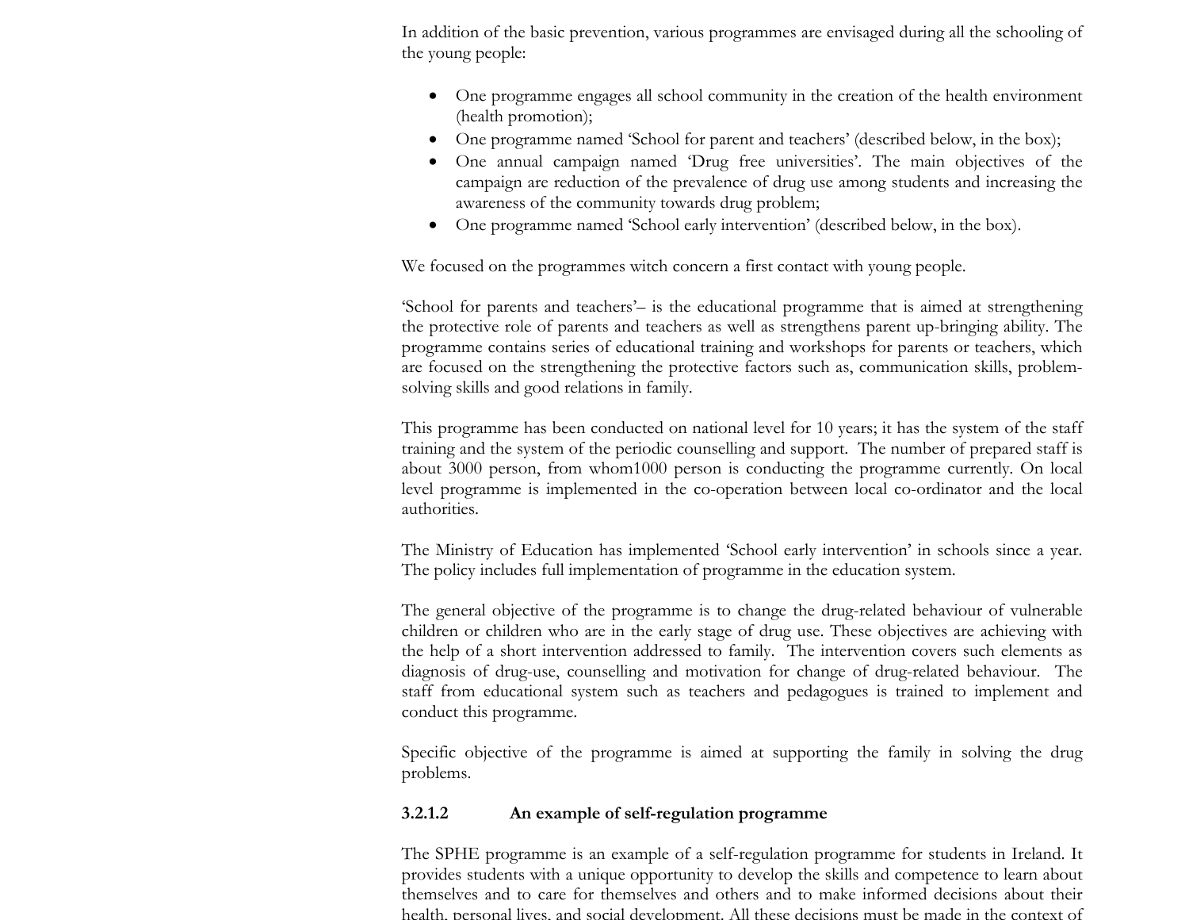In addition of the basic prevention, various programmes are envisaged during all the schooling of the young people:

- One programme engages all school community in the creation of the health environment (health promotion);
- One programme named 'School for parent and teachers' (described below, in the box);
- • One annual campaign named 'Drug free universities'. The main objectives of the campaign are reduction of the prevalence of drug use among students and increasing the awareness of the community towards drug problem;
- One programme named 'School early intervention' (described below, in the box).

We focused on the programmes witch concern a first contact with young people.

'School for parents and teachers'– is the educational programme that is aimed at strengthening the protective role of parents and teachers as well as strengthens parent up-bringing ability. The programme contains series of educational training and workshops for parents or teachers, which are focused on the strengthening the protective factors such as, communication skills, problemsolving skills and good relations in family.

This programme has been conducted on national level for 10 years; it has the system of the staff training and the system of the periodic counselling and support. The number of prepared staff is about 3000 person, from whom1000 person is conducting the programme currently. On local level programme is implemented in the co-operation between local co-ordinator and the local authorities.

The Ministry of Education has implemented 'School early intervention' in schools since a year. The policy includes full implementation of programme in the education system.

The general objective of the programme is to change the drug-related behaviour of vulnerable children or children who are in the early stage of drug use. These objectives are achieving with the help of a short intervention addressed to family. The intervention covers such elements as diagnosis of drug-use, counselling and motivation for change of drug-related behaviour. The staff from educational system such as teachers and pedagogues is trained to implement and conduct this programme.

Specific objective of the programme is aimed at supporting the family in solving the drug problems.

## **3.2.1.2 An example of self-regulation programme**

The SPHE programme is an example of a self-regulation programme for students in Ireland. It provides students with a unique opportunity to develop the skills and competence to learn about themselves and to care for themselves and others and to make informed decisions about their health, personal lives, and social development. All these decisions must be made in the context of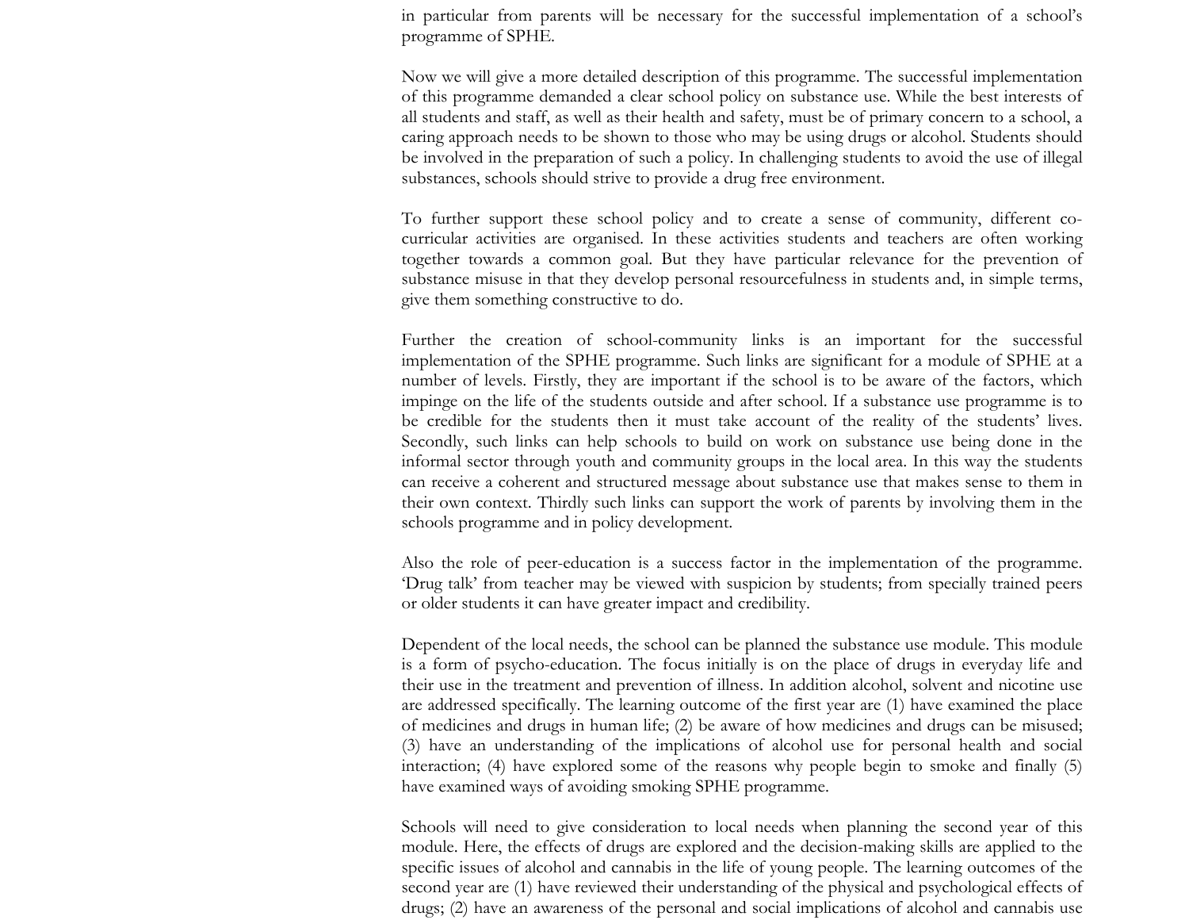in particular from parents will be necessary for the successful implementation of a school's programme of SPHE.

Now we will give a more detailed description of this programme. The successful implementation of this programme demanded a clear school policy on substance use. While the best interests of all students and staff, as well as their health and safety, must be of primary concern to a school, a caring approach needs to be shown to those who may be using drugs or alcohol. Students should be involved in the preparation of such a policy. In challenging students to avoid the use of illegal substances, schools should strive to provide a drug free environment.

To further support these school policy and to create a sense of community, different cocurricular activities are organised. In these activities students and teachers are often working together towards a common goal. But they have particular relevance for the prevention of substance misuse in that they develop personal resourcefulness in students and, in simple terms, give them something constructive to do.

Further the creation of school-community links is an important for the successful implementation of the SPHE programme. Such links are significant for a module of SPHE at a number of levels. Firstly, they are important if the school is to be aware of the factors, which impinge on the life of the students outside and after school. If a substance use programme is to be credible for the students then it must take account of the reality of the students' lives. Secondly, such links can help schools to build on work on substance use being done in the informal sector through youth and community groups in the local area. In this way the students can receive a coherent and structured message about substance use that makes sense to them in their own context. Thirdly such links can support the work of parents by involving them in the schools programme and in policy development.

Also the role of peer-education is a success factor in the implementation of the programme. 'Drug talk' from teacher may be viewed with suspicion by students; from specially trained peers or older students it can have greater impact and credibility.

Dependent of the local needs, the school can be planned the substance use module. This module is a form of psycho-education. The focus initially is on the place of drugs in everyday life and their use in the treatment and prevention of illness. In addition alcohol, solvent and nicotine use are addressed specifically. The learning outcome of the first year are (1) have examined the place of medicines and drugs in human life; (2) be aware of how medicines and drugs can be misused; (3) have an understanding of the implications of alcohol use for personal health and social interaction; (4) have explored some of the reasons why people begin to smoke and finally (5) have examined ways of avoiding smoking SPHE programme.

Schools will need to give consideration to local needs when planning the second year of this module. Here, the effects of drugs are explored and the decision-making skills are applied to the specific issues of alcohol and cannabis in the life of young people. The learning outcomes of the second year are (1) have reviewed their understanding of the physical and psychological effects of drugs; (2) have an awareness of the personal and social implications of alcohol and cannabis use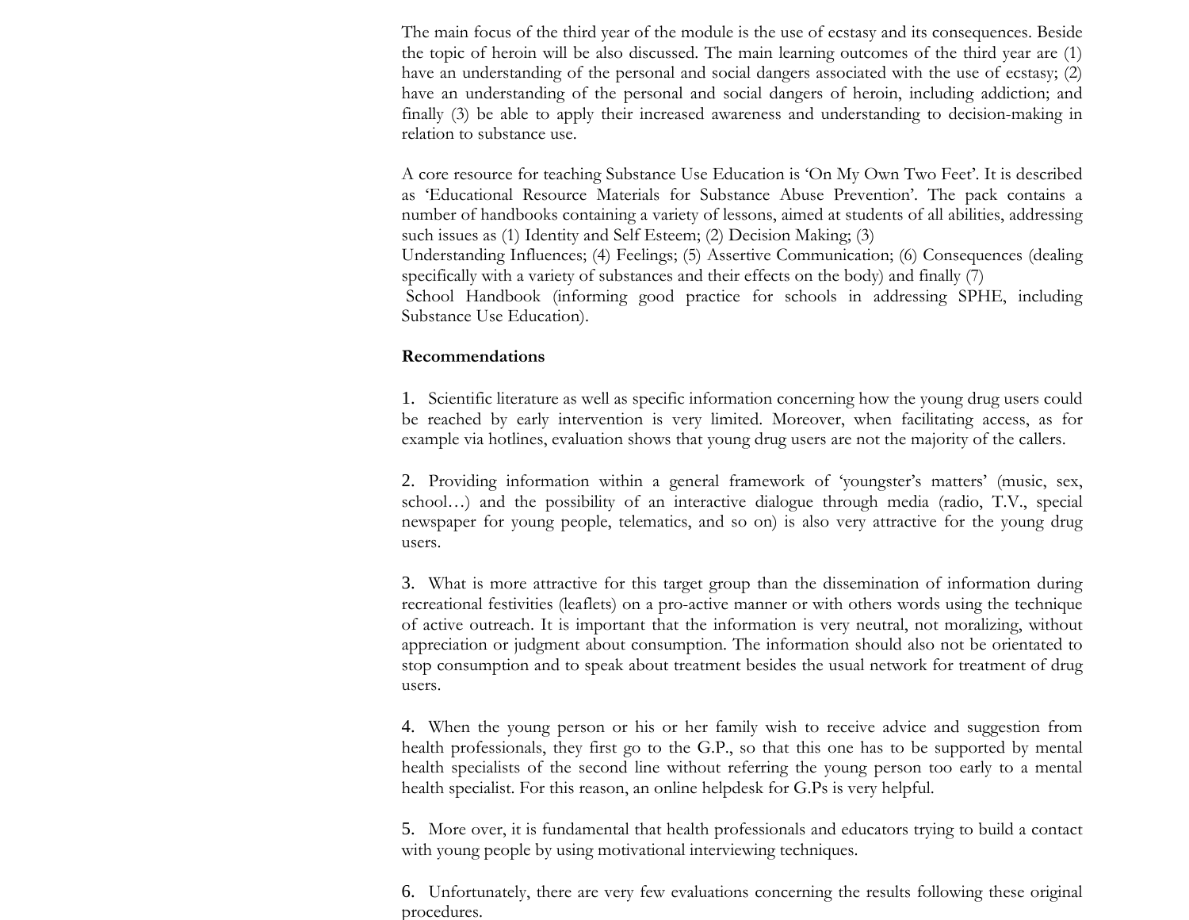The main focus of the third year of the module is the use of ecstasy and its consequences. Beside the topic of heroin will be also discussed. The main learning outcomes of the third year are (1) have an understanding of the personal and social dangers associated with the use of ecstasy; (2) have an understanding of the personal and social dangers of heroin, including addiction; and finally (3) be able to apply their increased awareness and understanding to decision-making in relation to substance use.

A core resource for teaching Substance Use Education is 'On My Own Two Feet'. It is described as 'Educational Resource Materials for Substance Abuse Prevention'. The pack contains a number of handbooks containing a variety of lessons, aimed at students of all abilities, addressing such issues as (1) Identity and Self Esteem; (2) Decision Making; (3)

Understanding Influences; (4) Feelings; (5) Assertive Communication; (6) Consequences (dealing specifically with a variety of substances and their effects on the body) and finally (7)

 School Handbook (informing good practice for schools in addressing SPHE, including Substance Use Education).

## **Recommendations**

1. Scientific literature as well as specific information concerning how the young drug users could be reached by early intervention is very limited. Moreover, when facilitating access, as for example via hotlines, evaluation shows that young drug users are not the majority of the callers.

2. Providing information within a general framework of 'youngster's matters' (music, sex, school…) and the possibility of an interactive dialogue through media (radio, T.V., special newspaper for young people, telematics, and so on) is also very attractive for the young drug users.

3. What is more attractive for this target group than the dissemination of information during recreational festivities (leaflets) on a pro-active manner or with others words using the technique of active outreach. It is important that the information is very neutral, not moralizing, without appreciation or judgment about consumption. The information should also not be orientated to stop consumption and to speak about treatment besides the usual network for treatment of drug users.

4. When the young person or his or her family wish to receive advice and suggestion from health professionals, they first go to the G.P., so that this one has to be supported by mental health specialists of the second line without referring the young person too early to a mental health specialist. For this reason, an online helpdesk for G.Ps is very helpful.

5. More over, it is fundamental that health professionals and educators trying to build a contact with young people by using motivational interviewing techniques.

6. Unfortunately, there are very few evaluations concerning the results following these original procedures.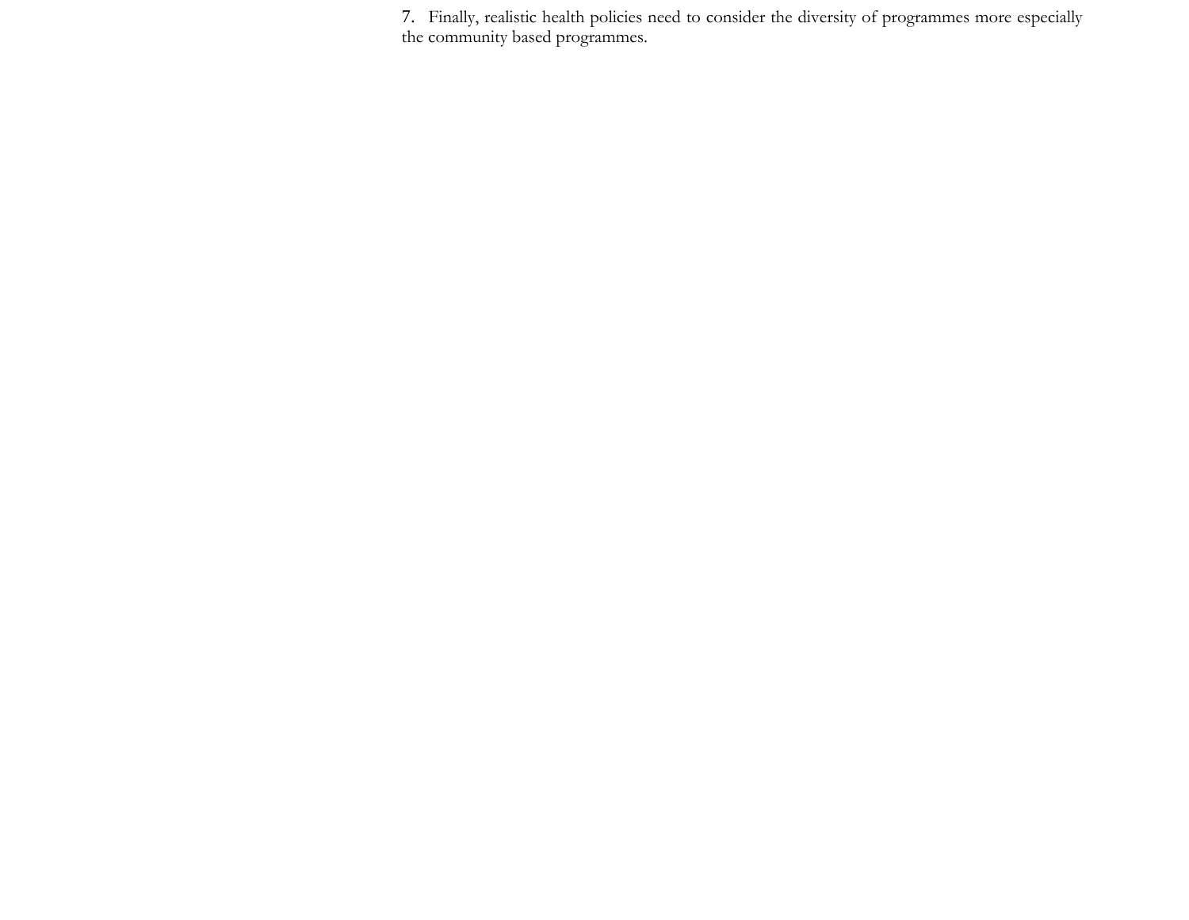7. Finally, realistic health policies need to consider the diversity of programmes more especially the community based programmes.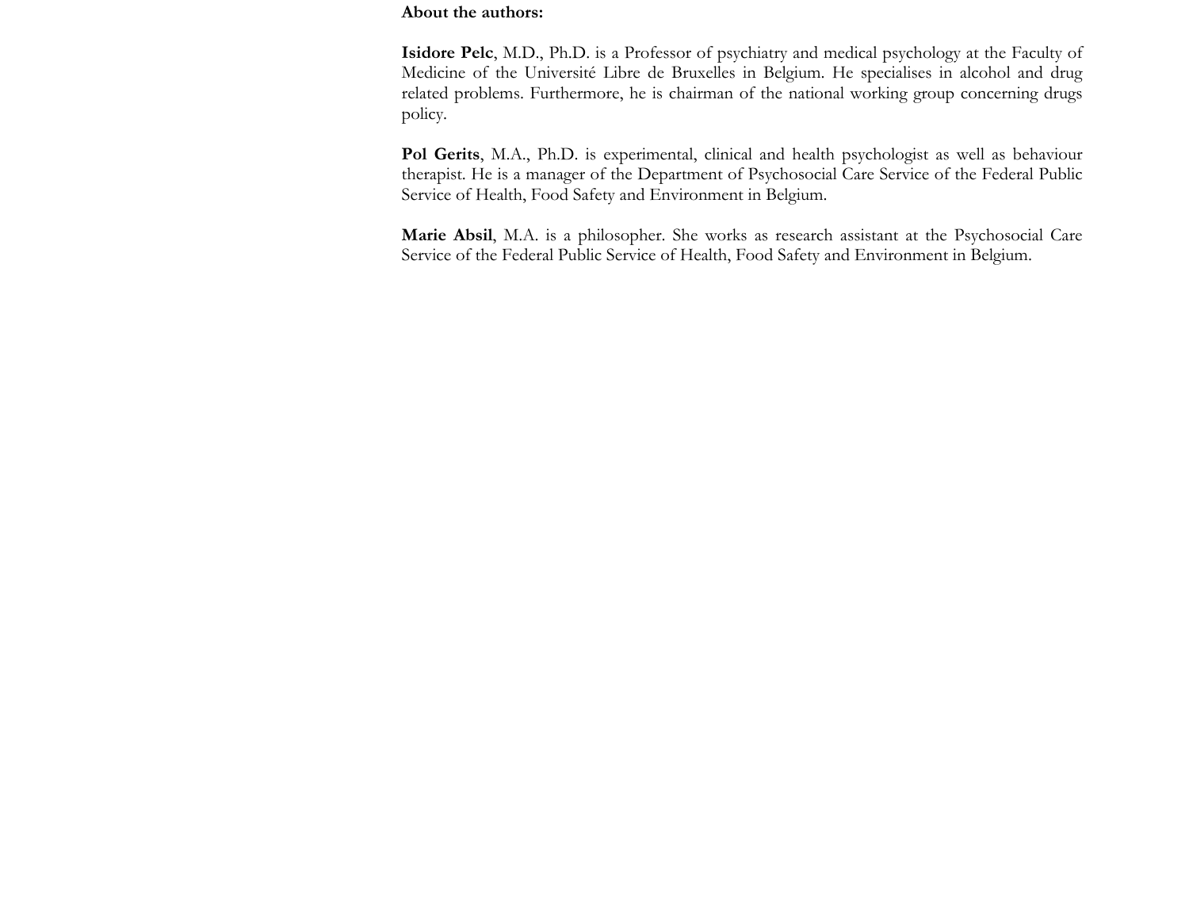### **About the authors:**

**Isidore Pelc**, M.D., Ph.D. is a Professor of psychiatry and medical psychology at the Faculty of Medicine of the Université Libre de Bruxelles in Belgium. He specialises in alcohol and drug related problems. Furthermore, he is chairman of the national working group concerning drugs policy.

**Pol Gerits**, M.A., Ph.D. is experimental, clinical and health psychologist as well as behaviour therapist. He is a manager of the Department of Psychosocial Care Service of the Federal Public Service of Health, Food Safety and Environment in Belgium.

**Marie Absil**, M.A. is a philosopher. She works as research assistant at the Psychosocial Care Service of the Federal Public Service of Health, Food Safety and Environment in Belgium.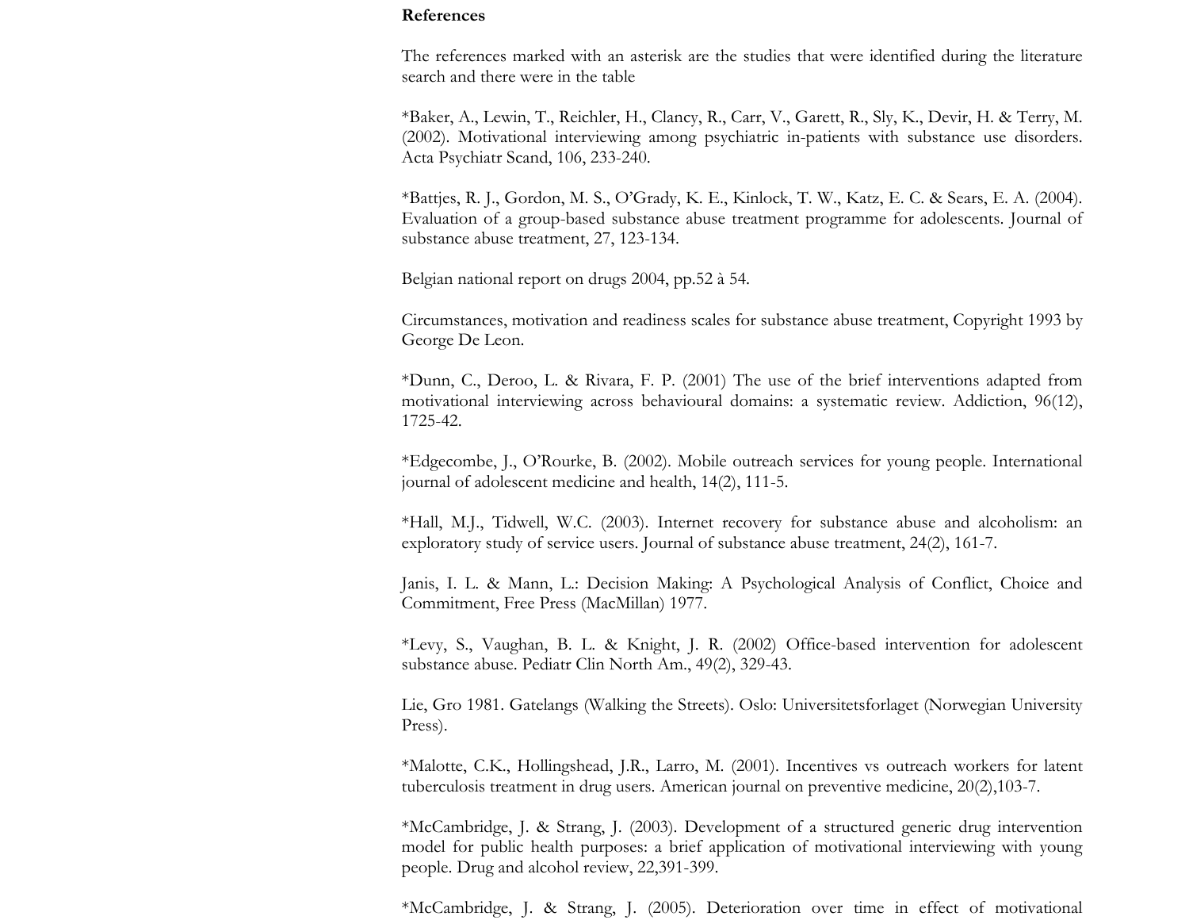#### **References**

The references marked with an asterisk are the studies that were identified during the literature search and there were in the table

\*Baker, A., Lewin, T., Reichler, H., Clancy, R., Carr, V., Garett, R., Sly, K., Devir, H. & Terry, M. (2002). Motivational interviewing among psychiatric in-patients with substance use disorders. Acta Psychiatr Scand, 106, 233-240.

\*Battjes, R. J., Gordon, M. S., O'Grady, K. E., Kinlock, T. W., Katz, E. C. & Sears, E. A. (2004). Evaluation of a group-based substance abuse treatment programme for adolescents. Journal of substance abuse treatment, 27, 123-134.

Belgian national report on drugs 2004, pp.52 à 54.

Circumstances, motivation and readiness scales for substance abuse treatment, Copyright 1993 by George De Leon.

\*Dunn, C., Deroo, L. & Rivara, F. P. (2001) The use of the brief interventions adapted from motivational interviewing across behavioural domains: a systematic review. Addiction, 96(12), 1725-42.

\*Edgecombe, J., O'Rourke, B. (2002). Mobile outreach services for young people. International journal of adolescent medicine and health, 14(2), 111-5.

\*Hall, M.J., Tidwell, W.C. (2003). Internet recovery for substance abuse and alcoholism: an exploratory study of service users. Journal of substance abuse treatment, 24(2), 161-7.

Janis, I. L. & Mann, L.: Decision Making: A Psychological Analysis of Conflict, Choice and Commitment, Free Press (MacMillan) 1977.

\*Levy, S., Vaughan, B. L. & Knight, J. R. (2002) Office-based intervention for adolescent substance abuse. Pediatr Clin North Am., 49(2), 329-43.

Lie, Gro 1981. Gatelangs (Walking the Streets). Oslo: Universitetsforlaget (Norwegian University Press).

\*Malotte, C.K., Hollingshead, J.R., Larro, M. (2001). Incentives vs outreach workers for latent tuberculosis treatment in drug users. American journal on preventive medicine, 20(2),103-7.

\*McCambridge, J. & Strang, J. (2003). Development of a structured generic drug intervention model for public health purposes: a brief application of motivational interviewing with young people. Drug and alcohol review, 22,391-399.

\*McCambridge, J. & Strang, J. (2005). Deterioration over time in effect of motivational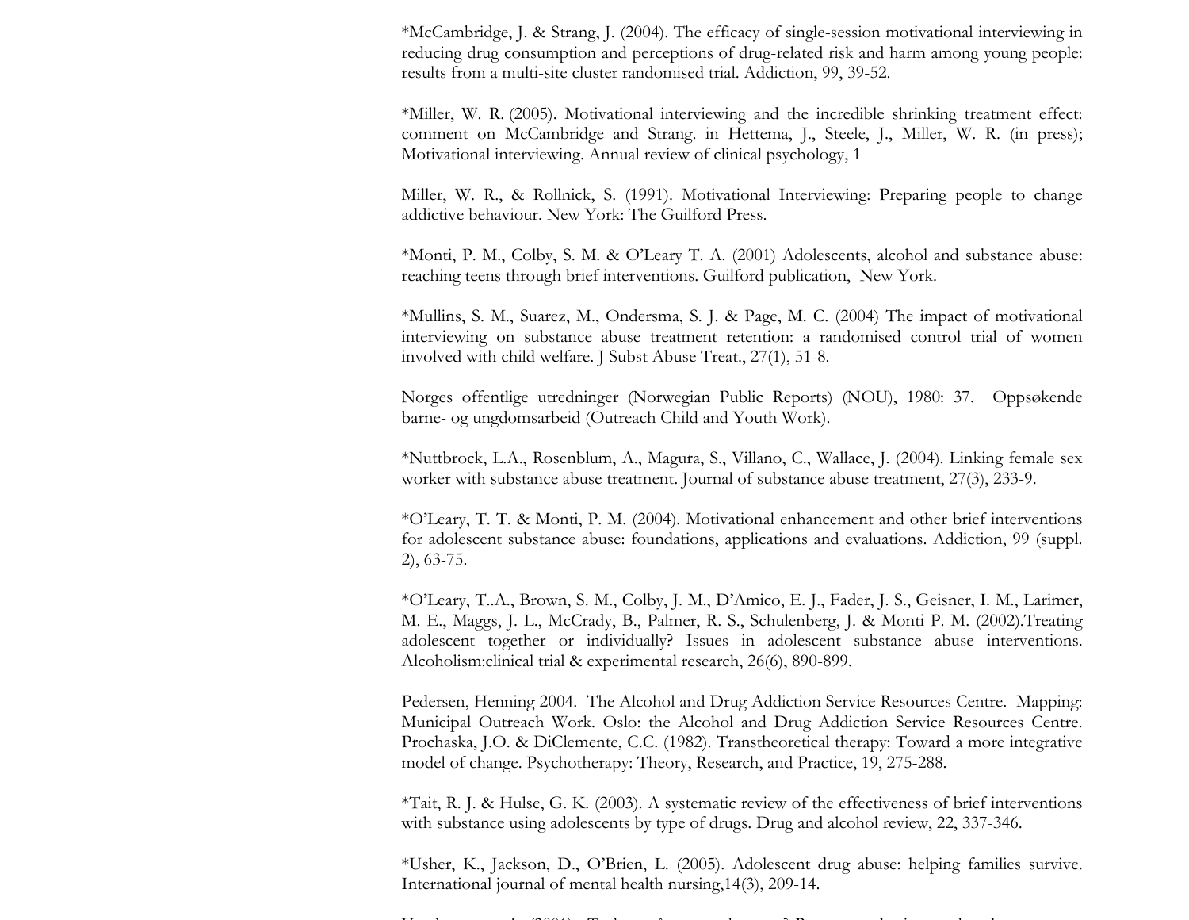\*McCambridge, J. & Strang, J. (2004). The efficacy of single-session motivational interviewing in reducing drug consumption and perceptions of drug-related risk and harm among young people: results from a multi-site cluster randomised trial. Addiction, 99, 39-52.

\*Miller, W. R. (2005). Motivational interviewing and the incredible shrinking treatment effect: comment on McCambridge and Strang. in Hettema, J., Steele, J., Miller, W. R. (in press); Motivational interviewing. Annual review of clinical psychology, 1

Miller, W. R., & Rollnick, S. (1991). Motivational Interviewing: Preparing people to change addictive behaviour. New York: The Guilford Press.

\*Monti, P. M., Colby, S. M. & O'Leary T. A. (2001) Adolescents, alcohol and substance abuse: reaching teens through brief interventions. Guilford publication, New York.

\*Mullins, S. M., Suarez, M., Ondersma, S. J. & Page, M. C. (2004) The impact of motivational interviewing on substance abuse treatment retention: a randomised control trial of women involved with child welfare. J Subst Abuse Treat., 27(1), 51-8.

Norges offentlige utredninger (Norwegian Public Reports) (NOU), 1980: 37. Oppsøkende barne- og ungdomsarbeid (Outreach Child and Youth Work).

\*Nuttbrock, L.A., Rosenblum, A., Magura, S., Villano, C., Wallace, J. (2004). Linking female sex worker with substance abuse treatment. Journal of substance abuse treatment, 27(3), 233-9.

\*O'Leary, T. T. & Monti, P. M. (2004). Motivational enhancement and other brief interventions for adolescent substance abuse: foundations, applications and evaluations. Addiction, 99 (suppl. 2), 63-75.

\*O'Leary, T..A., Brown, S. M., Colby, J. M., D'Amico, E. J., Fader, J. S., Geisner, I. M., Larimer, M. E., Maggs, J. L., McCrady, B., Palmer, R. S., Schulenberg, J. & Monti P. M. (2002).Treating adolescent together or individually? Issues in adolescent substance abuse interventions. Alcoholism:clinical trial & experimental research, 26(6), 890-899.

Pedersen, Henning 2004. The Alcohol and Drug Addiction Service Resources Centre. Mapping: Municipal Outreach Work. Oslo: the Alcohol and Drug Addiction Service Resources Centre. Prochaska, J.O. & DiClemente, C.C. (1982). Transtheoretical therapy: Toward a more integrative model of change. Psychotherapy: Theory, Research, and Practice, 19, 275-288.

\*Tait, R. J. & Hulse, G. K. (2003). A systematic review of the effectiveness of brief interventions with substance using adolescents by type of drugs. Drug and alcohol review, 22, 337-346.

\*Usher, K., Jackson, D., O'Brien, L. (2005). Adolescent drug abuse: helping families survive. International journal of mental health nursing,14(3), 209-14.

. . **A A A** (2001) The set of the set of the set of the  $\mathcal{A}$  set of the  $\mathcal{A}$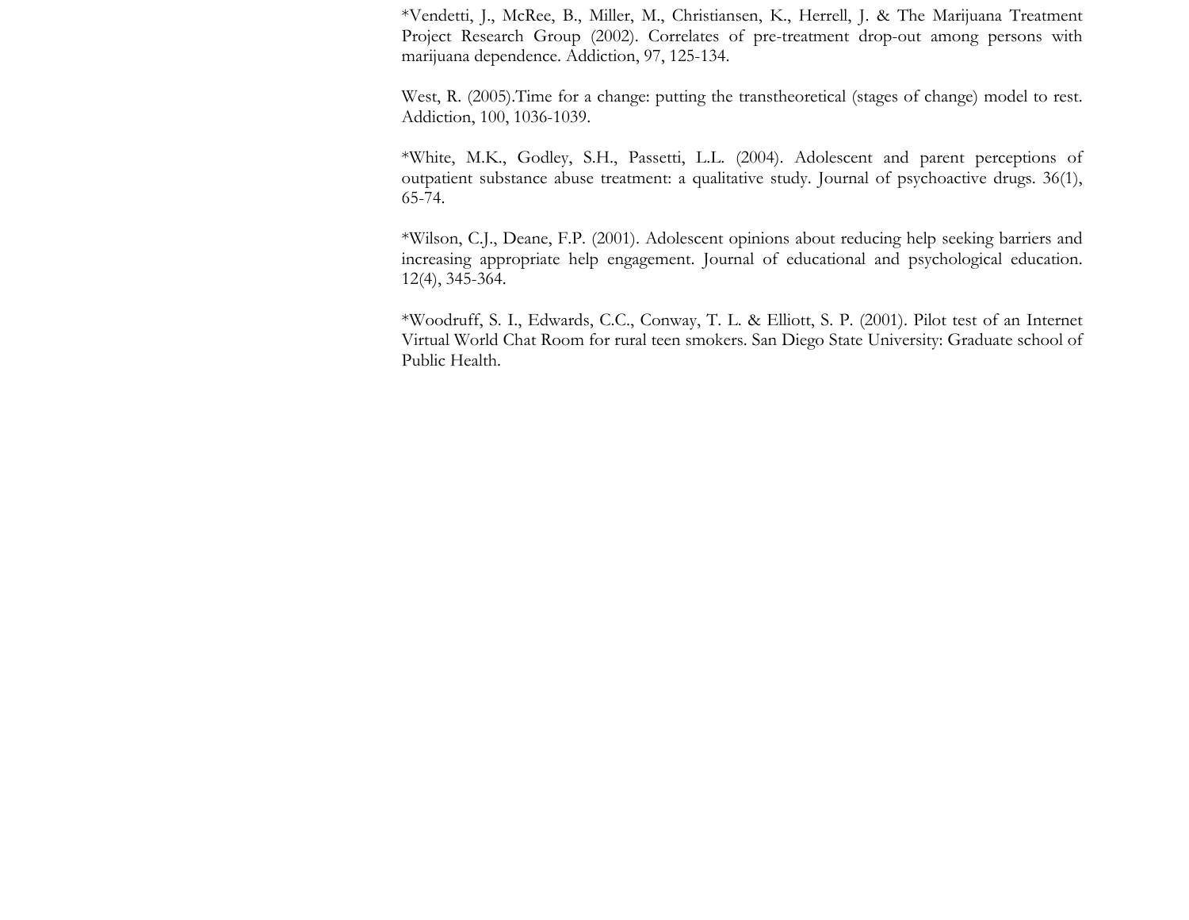\*Vendetti, J., McRee, B., Miller, M., Christiansen, K., Herrell, J. & The Marijuana Treatment Project Research Group (2002). Correlates of pre-treatment drop-out among persons with marijuana dependence. Addiction, 97, 125-134.

West, R. (2005).Time for a change: putting the transtheoretical (stages of change) model to rest. Addiction, 100, 1036-1039.

\*White, M.K., Godley, S.H., Passetti, L.L. (2004). Adolescent and parent perceptions of outpatient substance abuse treatment: a qualitative study. Journal of psychoactive drugs. 36(1), 65-74.

\*Wilson, C.J., Deane, F.P. (2001). Adolescent opinions about reducing help seeking barriers and increasing appropriate help engagement. Journal of educational and psychological education. 12(4), 345-364.

\*Woodruff, S. I., Edwards, C.C., Conway, T. L. & Elliott, S. P. (2001). Pilot test of an Internet Virtual World Chat Room for rural teen smokers. San Diego State University: Graduate school of Public Health.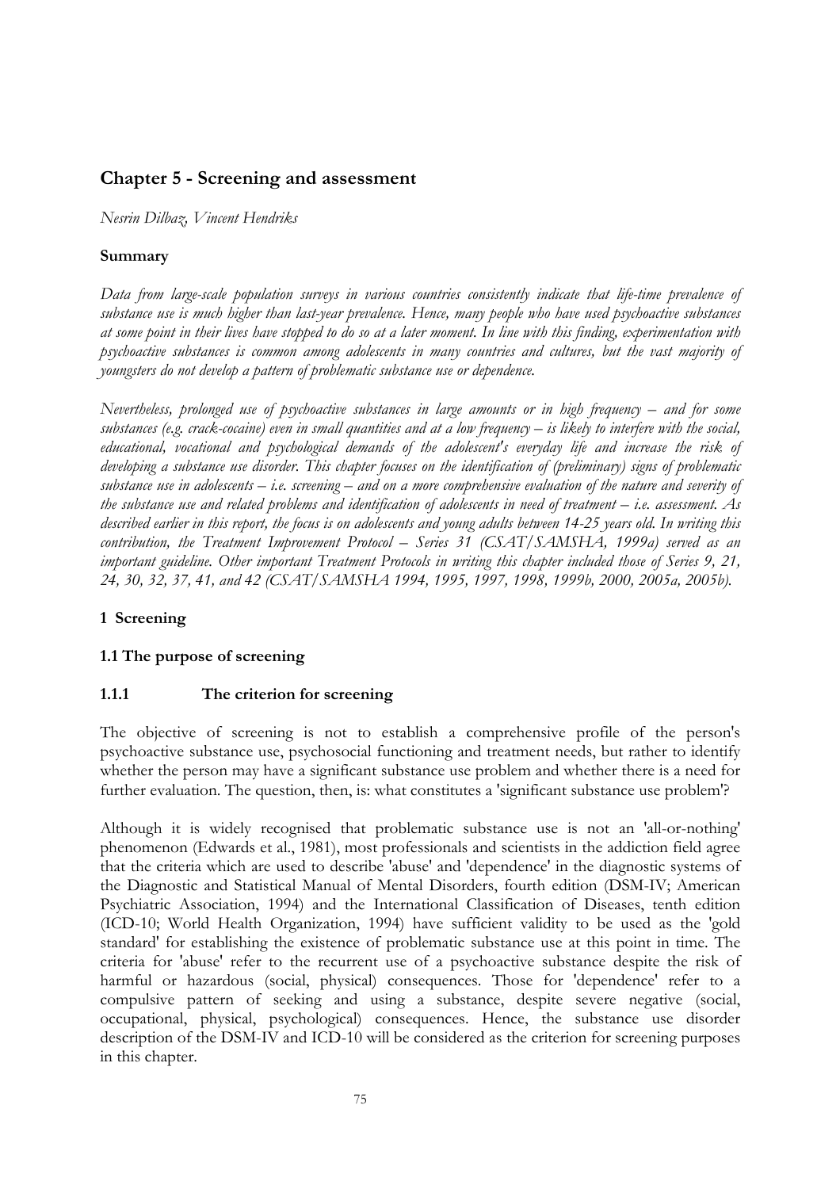# **Chapter 5 - Screening and assessment**

*Nesrin Dilbaz, Vincent Hendriks* 

# **Summary**

*Data from large-scale population surveys in various countries consistently indicate that life-time prevalence of substance use is much higher than last-year prevalence. Hence, many people who have used psychoactive substances at some point in their lives have stopped to do so at a later moment. In line with this finding, experimentation with psychoactive substances is common among adolescents in many countries and cultures, but the vast majority of youngsters do not develop a pattern of problematic substance use or dependence.* 

*Nevertheless, prolonged use of psychoactive substances in large amounts or in high frequency – and for some substances (e.g. crack-cocaine) even in small quantities and at a low frequency – is likely to interfere with the social, educational, vocational and psychological demands of the adolescent's everyday life and increase the risk of developing a substance use disorder. This chapter focuses on the identification of (preliminary) signs of problematic substance use in adolescents – i.e. screening – and on a more comprehensive evaluation of the nature and severity of the substance use and related problems and identification of adolescents in need of treatment – i.e. assessment. As described earlier in this report, the focus is on adolescents and young adults between 14-25 years old. In writing this contribution, the Treatment Improvement Protocol – Series 31 (CSAT/SAMSHA, 1999a) served as an important guideline. Other important Treatment Protocols in writing this chapter included those of Series 9, 21, 24, 30, 32, 37, 41, and 42 (CSAT/SAMSHA 1994, 1995, 1997, 1998, 1999b, 2000, 2005a, 2005b).* 

# **1 Screening**

# **1.1 The purpose of screening**

# **1.1.1 The criterion for screening**

The objective of screening is not to establish a comprehensive profile of the person's psychoactive substance use, psychosocial functioning and treatment needs, but rather to identify whether the person may have a significant substance use problem and whether there is a need for further evaluation. The question, then, is: what constitutes a 'significant substance use problem'?

Although it is widely recognised that problematic substance use is not an 'all-or-nothing' phenomenon (Edwards et al., 1981), most professionals and scientists in the addiction field agree that the criteria which are used to describe 'abuse' and 'dependence' in the diagnostic systems of the Diagnostic and Statistical Manual of Mental Disorders, fourth edition (DSM-IV; American Psychiatric Association, 1994) and the International Classification of Diseases, tenth edition (ICD-10; World Health Organization, 1994) have sufficient validity to be used as the 'gold standard' for establishing the existence of problematic substance use at this point in time. The criteria for 'abuse' refer to the recurrent use of a psychoactive substance despite the risk of harmful or hazardous (social, physical) consequences. Those for 'dependence' refer to a compulsive pattern of seeking and using a substance, despite severe negative (social, occupational, physical, psychological) consequences. Hence, the substance use disorder description of the DSM-IV and ICD-10 will be considered as the criterion for screening purposes in this chapter.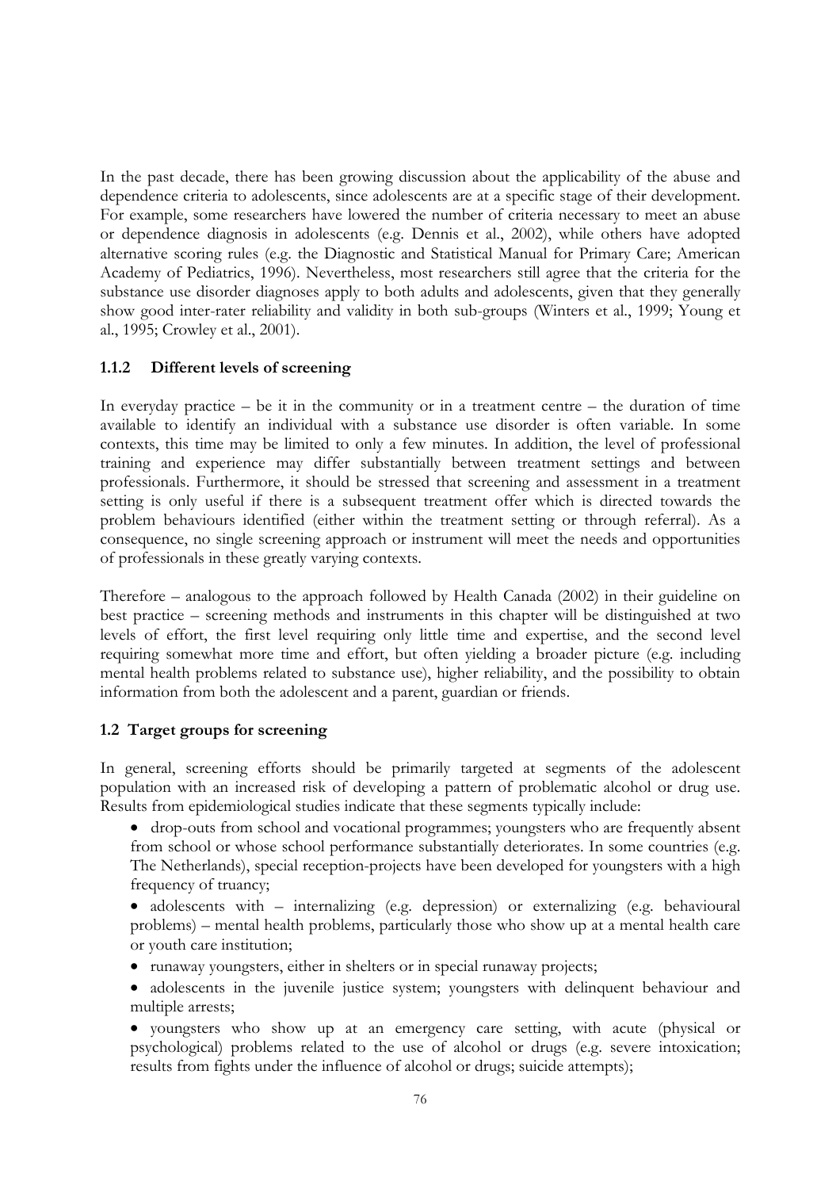In the past decade, there has been growing discussion about the applicability of the abuse and dependence criteria to adolescents, since adolescents are at a specific stage of their development. For example, some researchers have lowered the number of criteria necessary to meet an abuse or dependence diagnosis in adolescents (e.g. Dennis et al., 2002), while others have adopted alternative scoring rules (e.g. the Diagnostic and Statistical Manual for Primary Care; American Academy of Pediatrics, 1996). Nevertheless, most researchers still agree that the criteria for the substance use disorder diagnoses apply to both adults and adolescents, given that they generally show good inter-rater reliability and validity in both sub-groups (Winters et al., 1999; Young et al., 1995; Crowley et al., 2001).

# **1.1.2 Different levels of screening**

In everyday practice  $-$  be it in the community or in a treatment centre  $-$  the duration of time available to identify an individual with a substance use disorder is often variable. In some contexts, this time may be limited to only a few minutes. In addition, the level of professional training and experience may differ substantially between treatment settings and between professionals. Furthermore, it should be stressed that screening and assessment in a treatment setting is only useful if there is a subsequent treatment offer which is directed towards the problem behaviours identified (either within the treatment setting or through referral). As a consequence, no single screening approach or instrument will meet the needs and opportunities of professionals in these greatly varying contexts.

Therefore – analogous to the approach followed by Health Canada (2002) in their guideline on best practice – screening methods and instruments in this chapter will be distinguished at two levels of effort, the first level requiring only little time and expertise, and the second level requiring somewhat more time and effort, but often yielding a broader picture (e.g. including mental health problems related to substance use), higher reliability, and the possibility to obtain information from both the adolescent and a parent, guardian or friends.

# **1.2 Target groups for screening**

In general, screening efforts should be primarily targeted at segments of the adolescent population with an increased risk of developing a pattern of problematic alcohol or drug use. Results from epidemiological studies indicate that these segments typically include:

• drop-outs from school and vocational programmes; youngsters who are frequently absent from school or whose school performance substantially deteriorates. In some countries (e.g. The Netherlands), special reception-projects have been developed for youngsters with a high frequency of truancy;

• adolescents with – internalizing (e.g. depression) or externalizing (e.g. behavioural problems) – mental health problems, particularly those who show up at a mental health care or youth care institution;

- runaway youngsters, either in shelters or in special runaway projects;
- adolescents in the juvenile justice system; youngsters with delinquent behaviour and multiple arrests;

• youngsters who show up at an emergency care setting, with acute (physical or psychological) problems related to the use of alcohol or drugs (e.g. severe intoxication; results from fights under the influence of alcohol or drugs; suicide attempts);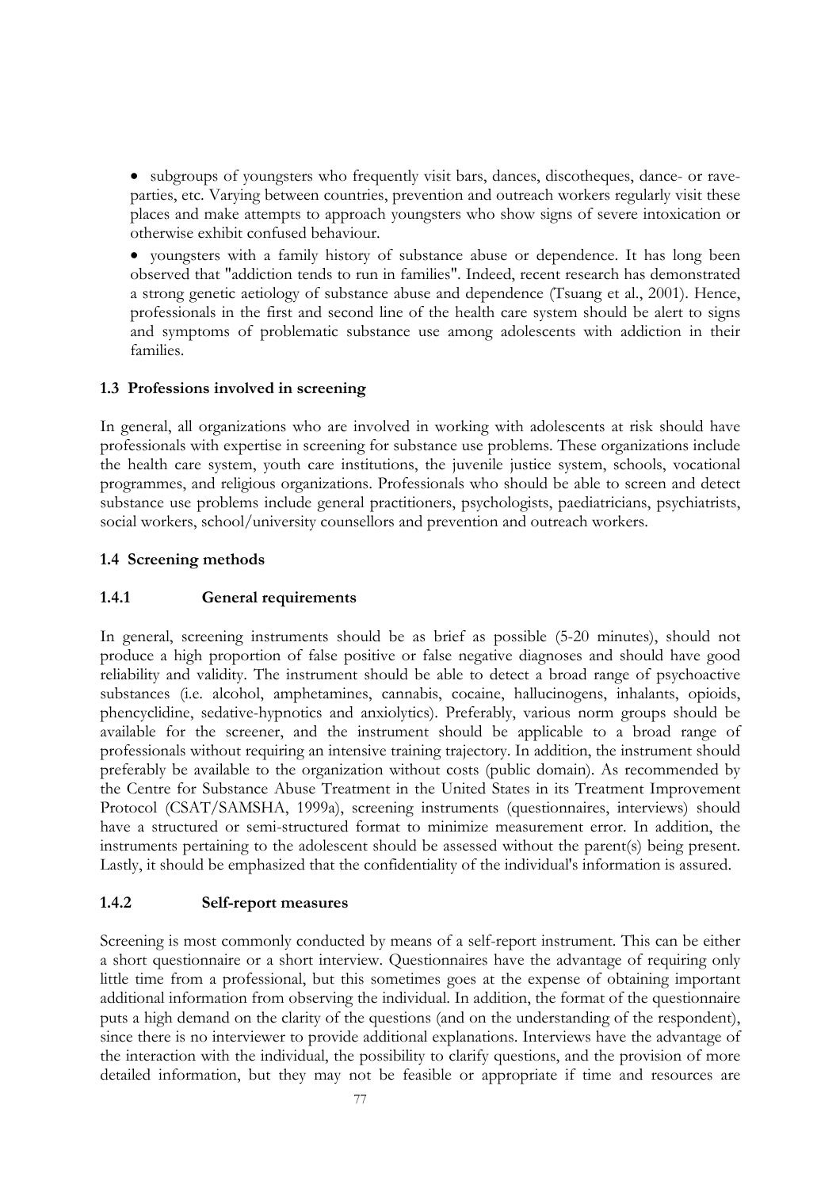• subgroups of youngsters who frequently visit bars, dances, discotheques, dance- or raveparties, etc. Varying between countries, prevention and outreach workers regularly visit these places and make attempts to approach youngsters who show signs of severe intoxication or otherwise exhibit confused behaviour.

• youngsters with a family history of substance abuse or dependence. It has long been observed that "addiction tends to run in families". Indeed, recent research has demonstrated a strong genetic aetiology of substance abuse and dependence (Tsuang et al., 2001). Hence, professionals in the first and second line of the health care system should be alert to signs and symptoms of problematic substance use among adolescents with addiction in their families.

# **1.3 Professions involved in screening**

In general, all organizations who are involved in working with adolescents at risk should have professionals with expertise in screening for substance use problems. These organizations include the health care system, youth care institutions, the juvenile justice system, schools, vocational programmes, and religious organizations. Professionals who should be able to screen and detect substance use problems include general practitioners, psychologists, paediatricians, psychiatrists, social workers, school/university counsellors and prevention and outreach workers.

### **1.4 Screening methods**

# **1.4.1 General requirements**

In general, screening instruments should be as brief as possible (5-20 minutes), should not produce a high proportion of false positive or false negative diagnoses and should have good reliability and validity. The instrument should be able to detect a broad range of psychoactive substances (i.e. alcohol, amphetamines, cannabis, cocaine, hallucinogens, inhalants, opioids, phencyclidine, sedative-hypnotics and anxiolytics). Preferably, various norm groups should be available for the screener, and the instrument should be applicable to a broad range of professionals without requiring an intensive training trajectory. In addition, the instrument should preferably be available to the organization without costs (public domain). As recommended by the Centre for Substance Abuse Treatment in the United States in its Treatment Improvement Protocol (CSAT/SAMSHA, 1999a), screening instruments (questionnaires, interviews) should have a structured or semi-structured format to minimize measurement error. In addition, the instruments pertaining to the adolescent should be assessed without the parent(s) being present. Lastly, it should be emphasized that the confidentiality of the individual's information is assured.

# **1.4.2 Self-report measures**

Screening is most commonly conducted by means of a self-report instrument. This can be either a short questionnaire or a short interview. Questionnaires have the advantage of requiring only little time from a professional, but this sometimes goes at the expense of obtaining important additional information from observing the individual. In addition, the format of the questionnaire puts a high demand on the clarity of the questions (and on the understanding of the respondent), since there is no interviewer to provide additional explanations. Interviews have the advantage of the interaction with the individual, the possibility to clarify questions, and the provision of more detailed information, but they may not be feasible or appropriate if time and resources are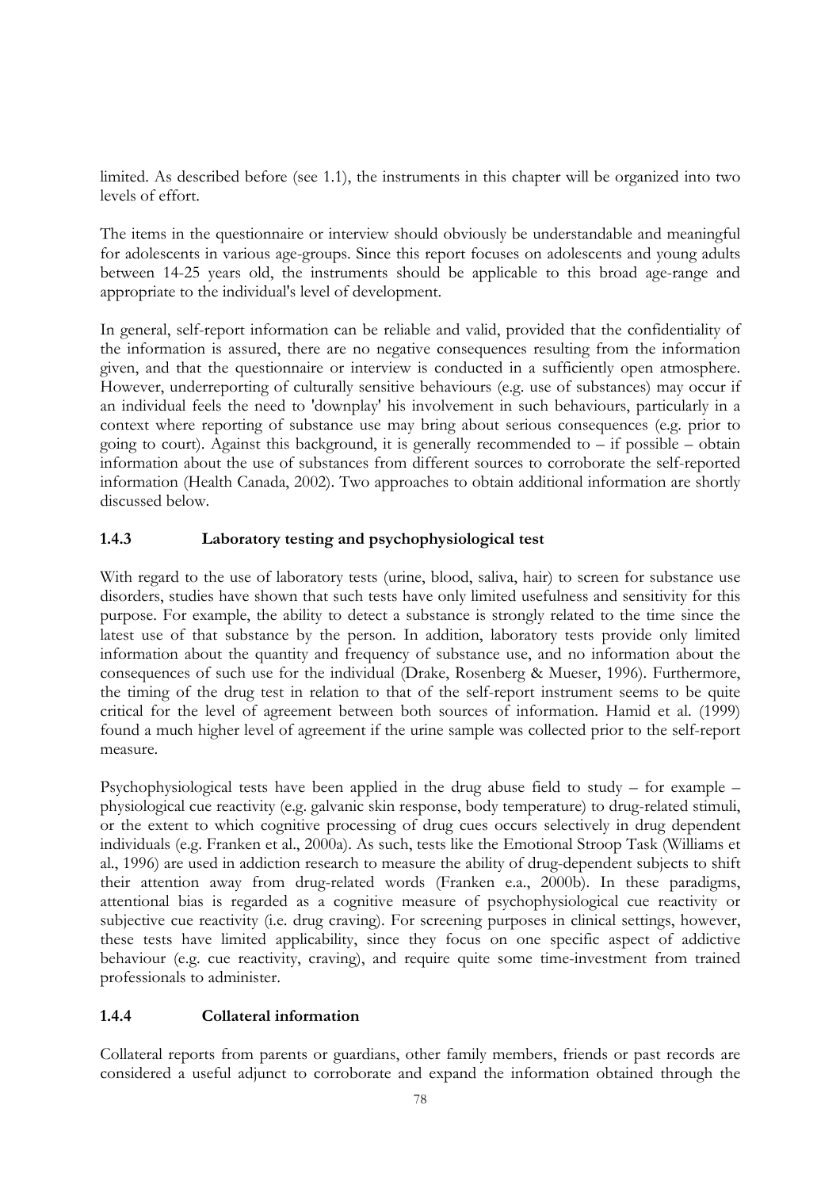limited. As described before (see 1.1), the instruments in this chapter will be organized into two levels of effort.

The items in the questionnaire or interview should obviously be understandable and meaningful for adolescents in various age-groups. Since this report focuses on adolescents and young adults between 14-25 years old, the instruments should be applicable to this broad age-range and appropriate to the individual's level of development.

In general, self-report information can be reliable and valid, provided that the confidentiality of the information is assured, there are no negative consequences resulting from the information given, and that the questionnaire or interview is conducted in a sufficiently open atmosphere. However, underreporting of culturally sensitive behaviours (e.g. use of substances) may occur if an individual feels the need to 'downplay' his involvement in such behaviours, particularly in a context where reporting of substance use may bring about serious consequences (e.g. prior to going to court). Against this background, it is generally recommended to – if possible – obtain information about the use of substances from different sources to corroborate the self-reported information (Health Canada, 2002). Two approaches to obtain additional information are shortly discussed below.

# **1.4.3 Laboratory testing and psychophysiological test**

With regard to the use of laboratory tests (urine, blood, saliva, hair) to screen for substance use disorders, studies have shown that such tests have only limited usefulness and sensitivity for this purpose. For example, the ability to detect a substance is strongly related to the time since the latest use of that substance by the person. In addition, laboratory tests provide only limited information about the quantity and frequency of substance use, and no information about the consequences of such use for the individual (Drake, Rosenberg & Mueser, 1996). Furthermore, the timing of the drug test in relation to that of the self-report instrument seems to be quite critical for the level of agreement between both sources of information. Hamid et al. (1999) found a much higher level of agreement if the urine sample was collected prior to the self-report measure.

Psychophysiological tests have been applied in the drug abuse field to study – for example – physiological cue reactivity (e.g. galvanic skin response, body temperature) to drug-related stimuli, or the extent to which cognitive processing of drug cues occurs selectively in drug dependent individuals (e.g. Franken et al., 2000a). As such, tests like the Emotional Stroop Task (Williams et al., 1996) are used in addiction research to measure the ability of drug-dependent subjects to shift their attention away from drug-related words (Franken e.a., 2000b). In these paradigms, attentional bias is regarded as a cognitive measure of psychophysiological cue reactivity or subjective cue reactivity (i.e. drug craving). For screening purposes in clinical settings, however, these tests have limited applicability, since they focus on one specific aspect of addictive behaviour (e.g. cue reactivity, craving), and require quite some time-investment from trained professionals to administer.

# **1.4.4 Collateral information**

Collateral reports from parents or guardians, other family members, friends or past records are considered a useful adjunct to corroborate and expand the information obtained through the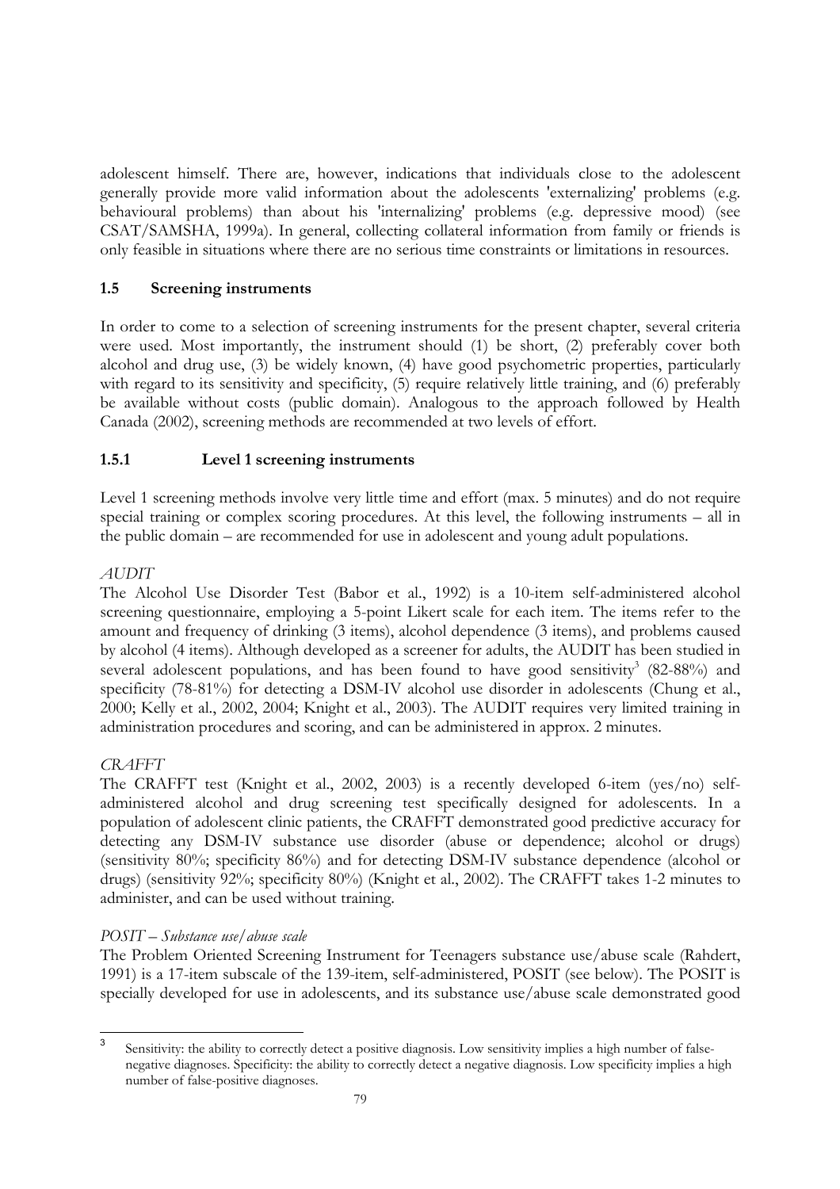adolescent himself. There are, however, indications that individuals close to the adolescent generally provide more valid information about the adolescents 'externalizing' problems (e.g. behavioural problems) than about his 'internalizing' problems (e.g. depressive mood) (see CSAT/SAMSHA, 1999a). In general, collecting collateral information from family or friends is only feasible in situations where there are no serious time constraints or limitations in resources.

# **1.5 Screening instruments**

In order to come to a selection of screening instruments for the present chapter, several criteria were used. Most importantly, the instrument should (1) be short, (2) preferably cover both alcohol and drug use, (3) be widely known, (4) have good psychometric properties, particularly with regard to its sensitivity and specificity, (5) require relatively little training, and (6) preferably be available without costs (public domain). Analogous to the approach followed by Health Canada (2002), screening methods are recommended at two levels of effort.

# **1.5.1 Level 1 screening instruments**

Level 1 screening methods involve very little time and effort (max. 5 minutes) and do not require special training or complex scoring procedures. At this level, the following instruments – all in the public domain – are recommended for use in adolescent and young adult populations.

# *AUDIT*

The Alcohol Use Disorder Test (Babor et al., 1992) is a 10-item self-administered alcohol screening questionnaire, employing a 5-point Likert scale for each item. The items refer to the amount and frequency of drinking (3 items), alcohol dependence (3 items), and problems caused by alcohol (4 items). Although developed as a screener for adults, the AUDIT has been studied in several adolescent populations, and has been found to have good sensitivity<sup>3</sup> (82-88%) and specificity (78-81%) for detecting a DSM-IV alcohol use disorder in adolescents (Chung et al., 2000; Kelly et al., 2002, 2004; Knight et al., 2003). The AUDIT requires very limited training in administration procedures and scoring, and can be administered in approx. 2 minutes.

# *CRAFFT*

The CRAFFT test (Knight et al., 2002, 2003) is a recently developed 6-item (yes/no) selfadministered alcohol and drug screening test specifically designed for adolescents. In a population of adolescent clinic patients, the CRAFFT demonstrated good predictive accuracy for detecting any DSM-IV substance use disorder (abuse or dependence; alcohol or drugs) (sensitivity 80%; specificity 86%) and for detecting DSM-IV substance dependence (alcohol or drugs) (sensitivity 92%; specificity 80%) (Knight et al., 2002). The CRAFFT takes 1-2 minutes to administer, and can be used without training.

# *POSIT – Substance use/abuse scale*

The Problem Oriented Screening Instrument for Teenagers substance use/abuse scale (Rahdert, 1991) is a 17-item subscale of the 139-item, self-administered, POSIT (see below). The POSIT is specially developed for use in adolescents, and its substance use/abuse scale demonstrated good

 $\frac{1}{3}$ Sensitivity: the ability to correctly detect a positive diagnosis. Low sensitivity implies a high number of falsenegative diagnoses. Specificity: the ability to correctly detect a negative diagnosis. Low specificity implies a high number of false-positive diagnoses.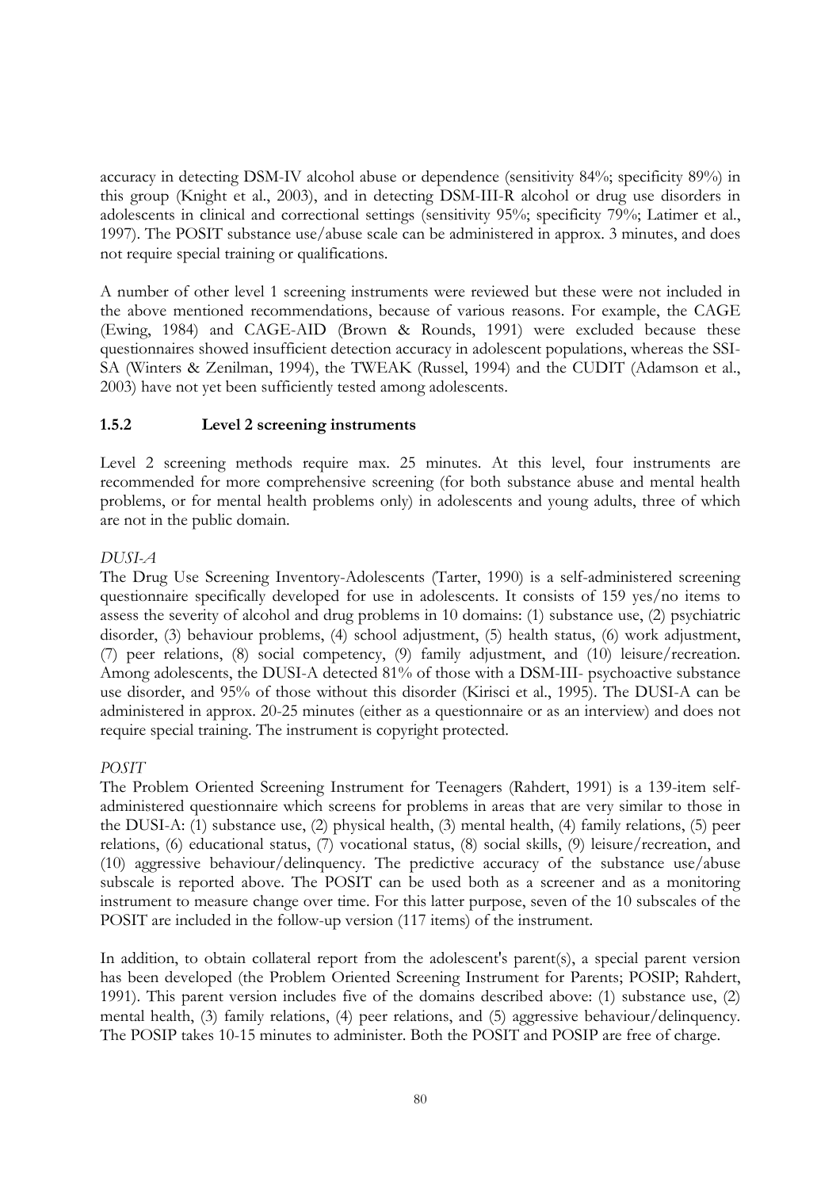accuracy in detecting DSM-IV alcohol abuse or dependence (sensitivity 84%; specificity 89%) in this group (Knight et al., 2003), and in detecting DSM-III-R alcohol or drug use disorders in adolescents in clinical and correctional settings (sensitivity 95%; specificity 79%; Latimer et al., 1997). The POSIT substance use/abuse scale can be administered in approx. 3 minutes, and does not require special training or qualifications.

A number of other level 1 screening instruments were reviewed but these were not included in the above mentioned recommendations, because of various reasons. For example, the CAGE (Ewing, 1984) and CAGE-AID (Brown & Rounds, 1991) were excluded because these questionnaires showed insufficient detection accuracy in adolescent populations, whereas the SSI-SA (Winters & Zenilman, 1994), the TWEAK (Russel, 1994) and the CUDIT (Adamson et al., 2003) have not yet been sufficiently tested among adolescents.

# **1.5.2 Level 2 screening instruments**

Level 2 screening methods require max. 25 minutes. At this level, four instruments are recommended for more comprehensive screening (for both substance abuse and mental health problems, or for mental health problems only) in adolescents and young adults, three of which are not in the public domain.

# *DUSI-A*

The Drug Use Screening Inventory-Adolescents (Tarter, 1990) is a self-administered screening questionnaire specifically developed for use in adolescents. It consists of 159 yes/no items to assess the severity of alcohol and drug problems in 10 domains: (1) substance use, (2) psychiatric disorder, (3) behaviour problems, (4) school adjustment, (5) health status, (6) work adjustment, (7) peer relations, (8) social competency, (9) family adjustment, and (10) leisure/recreation. Among adolescents, the DUSI-A detected 81% of those with a DSM-III- psychoactive substance use disorder, and 95% of those without this disorder (Kirisci et al., 1995). The DUSI-A can be administered in approx. 20-25 minutes (either as a questionnaire or as an interview) and does not require special training. The instrument is copyright protected.

# *POSIT*

The Problem Oriented Screening Instrument for Teenagers (Rahdert, 1991) is a 139-item selfadministered questionnaire which screens for problems in areas that are very similar to those in the DUSI-A: (1) substance use, (2) physical health, (3) mental health, (4) family relations, (5) peer relations, (6) educational status, (7) vocational status, (8) social skills, (9) leisure/recreation, and (10) aggressive behaviour/delinquency. The predictive accuracy of the substance use/abuse subscale is reported above. The POSIT can be used both as a screener and as a monitoring instrument to measure change over time. For this latter purpose, seven of the 10 subscales of the POSIT are included in the follow-up version (117 items) of the instrument.

In addition, to obtain collateral report from the adolescent's parent(s), a special parent version has been developed (the Problem Oriented Screening Instrument for Parents; POSIP; Rahdert, 1991). This parent version includes five of the domains described above: (1) substance use, (2) mental health, (3) family relations, (4) peer relations, and (5) aggressive behaviour/delinquency. The POSIP takes 10-15 minutes to administer. Both the POSIT and POSIP are free of charge.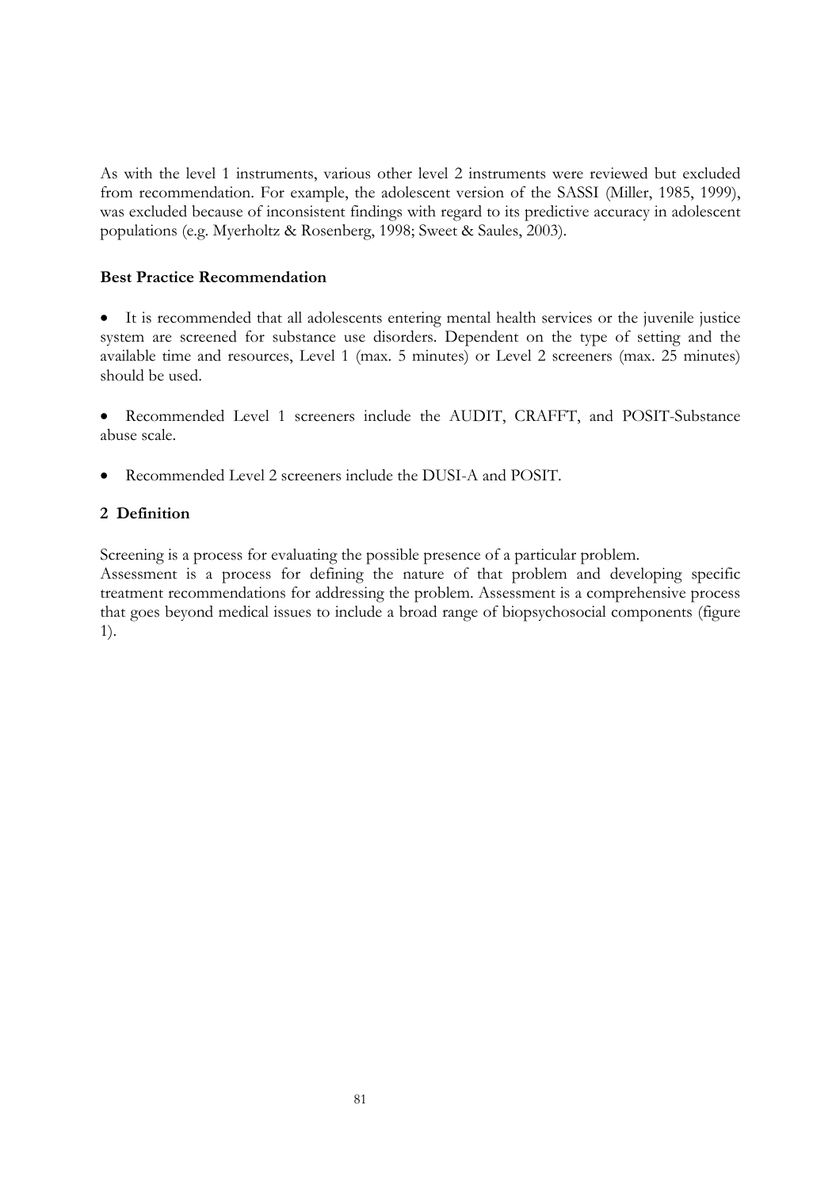As with the level 1 instruments, various other level 2 instruments were reviewed but excluded from recommendation. For example, the adolescent version of the SASSI (Miller, 1985, 1999), was excluded because of inconsistent findings with regard to its predictive accuracy in adolescent populations (e.g. Myerholtz & Rosenberg, 1998; Sweet & Saules, 2003).

# **Best Practice Recommendation**

• It is recommended that all adolescents entering mental health services or the juvenile justice system are screened for substance use disorders. Dependent on the type of setting and the available time and resources, Level 1 (max. 5 minutes) or Level 2 screeners (max. 25 minutes) should be used.

• Recommended Level 1 screeners include the AUDIT, CRAFFT, and POSIT-Substance abuse scale.

• Recommended Level 2 screeners include the DUSI-A and POSIT.

# **2 Definition**

Screening is a process for evaluating the possible presence of a particular problem.

Assessment is a process for defining the nature of that problem and developing specific treatment recommendations for addressing the problem. Assessment is a comprehensive process that goes beyond medical issues to include a broad range of biopsychosocial components (figure 1).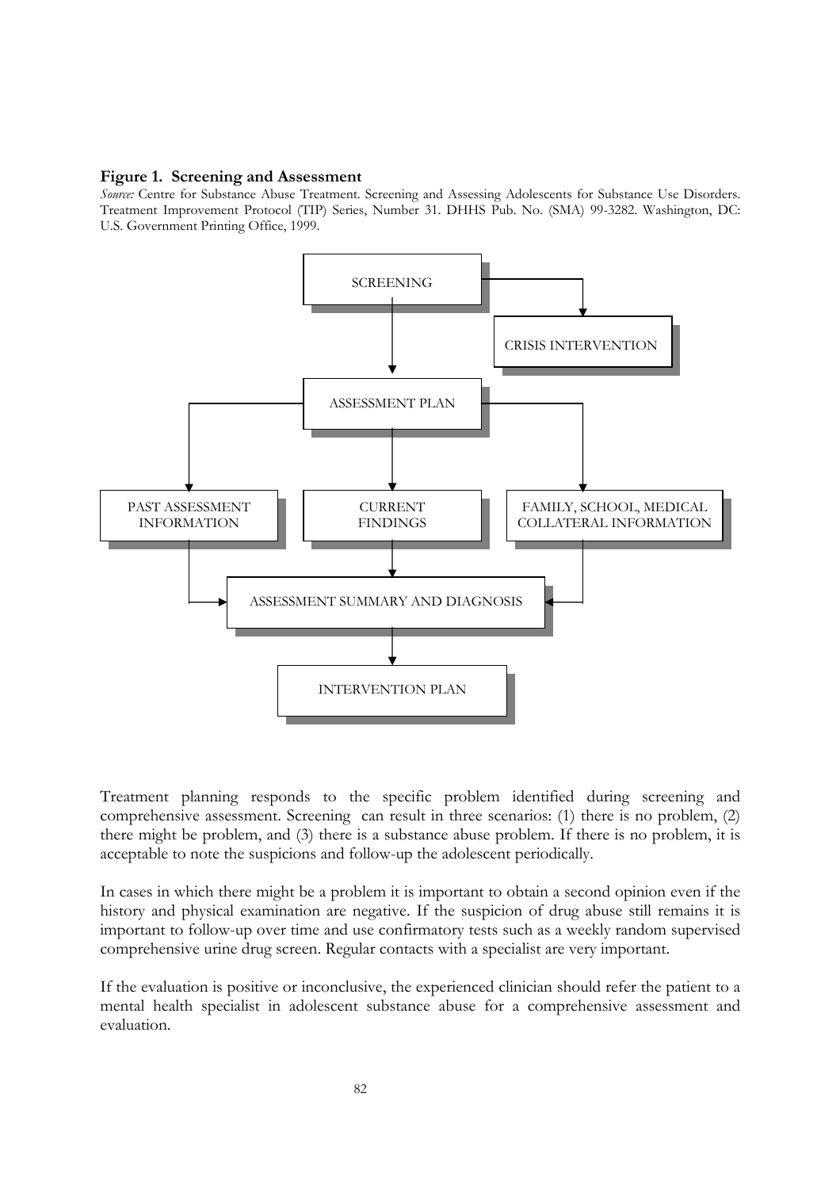#### **Figure 1. Screening and Assessment**

*Source:* Centre for Substance Abuse Treatment. Screening and Assessing Adolescents for Substance Use Disorders. Treatment Improvement Protocol (TIP) Series, Number 31. DHHS Pub. No. (SMA) 99-3282. Washington, DC: U.S. Government Printing Office, 1999.



Treatment planning responds to the specific problem identified during screening and comprehensive assessment. Screening can result in three scenarios: (1) there is no problem, (2) there might be problem, and (3) there is a substance abuse problem. If there is no problem, it is acceptable to note the suspicions and follow-up the adolescent periodically.

In cases in which there might be a problem it is important to obtain a second opinion even if the history and physical examination are negative. If the suspicion of drug abuse still remains it is important to follow-up over time and use confirmatory tests such as a weekly random supervised comprehensive urine drug screen. Regular contacts with a specialist are very important.

If the evaluation is positive or inconclusive, the experienced clinician should refer the patient to a mental health specialist in adolescent substance abuse for a comprehensive assessment and evaluation.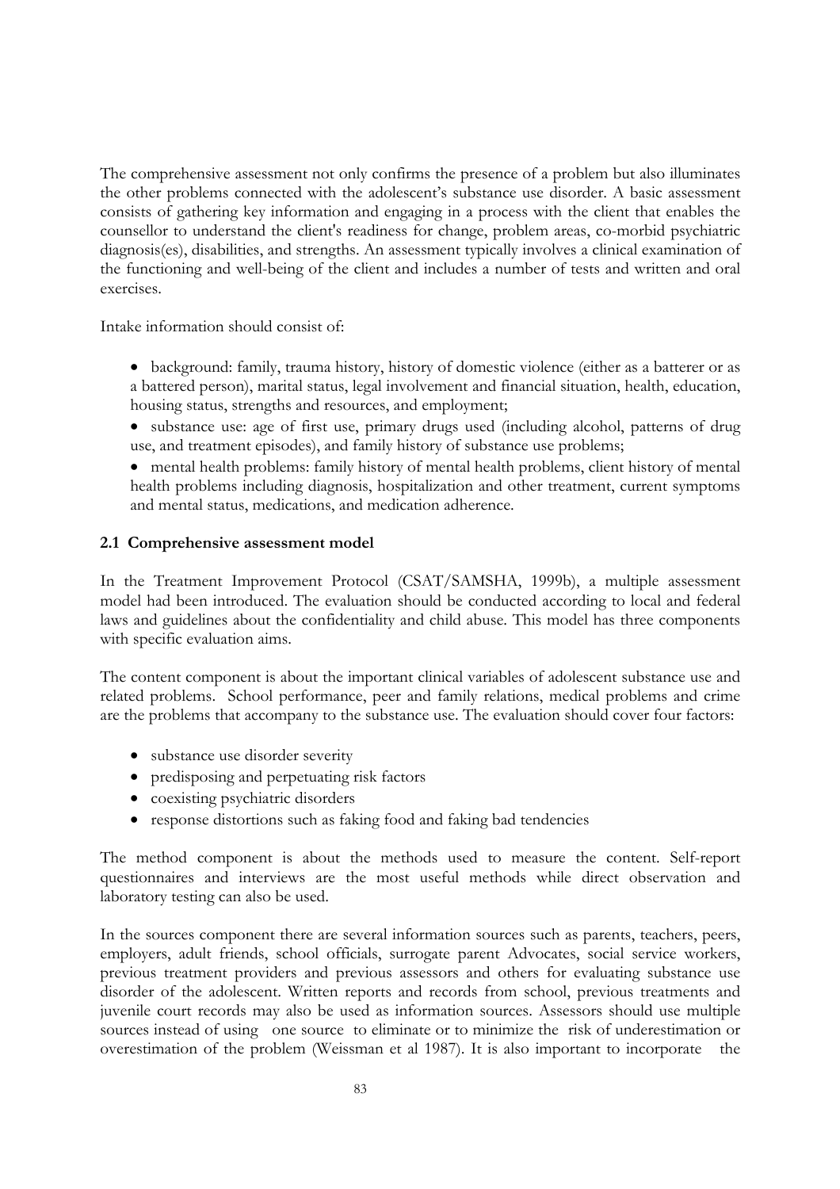The comprehensive assessment not only confirms the presence of a problem but also illuminates the other problems connected with the adolescent's substance use disorder. A basic assessment consists of gathering key information and engaging in a process with the client that enables the counsellor to understand the client's readiness for change, problem areas, co-morbid psychiatric diagnosis(es), disabilities, and strengths. An assessment typically involves a clinical examination of the functioning and well-being of the client and includes a number of tests and written and oral exercises.

Intake information should consist of:

- background: family, trauma history, history of domestic violence (either as a batterer or as a battered person), marital status, legal involvement and financial situation, health, education, housing status, strengths and resources, and employment;
- substance use: age of first use, primary drugs used (including alcohol, patterns of drug use, and treatment episodes), and family history of substance use problems;
- mental health problems: family history of mental health problems, client history of mental health problems including diagnosis, hospitalization and other treatment, current symptoms and mental status, medications, and medication adherence.

### **2.1 Comprehensive assessment model**

In the Treatment Improvement Protocol (CSAT/SAMSHA, 1999b), a multiple assessment model had been introduced. The evaluation should be conducted according to local and federal laws and guidelines about the confidentiality and child abuse. This model has three components with specific evaluation aims.

The content component is about the important clinical variables of adolescent substance use and related problems. School performance, peer and family relations, medical problems and crime are the problems that accompany to the substance use. The evaluation should cover four factors:

- substance use disorder severity
- predisposing and perpetuating risk factors
- coexisting psychiatric disorders
- response distortions such as faking food and faking bad tendencies

The method component is about the methods used to measure the content. Self-report questionnaires and interviews are the most useful methods while direct observation and laboratory testing can also be used.

In the sources component there are several information sources such as parents, teachers, peers, employers, adult friends, school officials, surrogate parent Advocates, social service workers, previous treatment providers and previous assessors and others for evaluating substance use disorder of the adolescent. Written reports and records from school, previous treatments and juvenile court records may also be used as information sources. Assessors should use multiple sources instead of using one source to eliminate or to minimize the risk of underestimation or overestimation of the problem (Weissman et al 1987). It is also important to incorporate the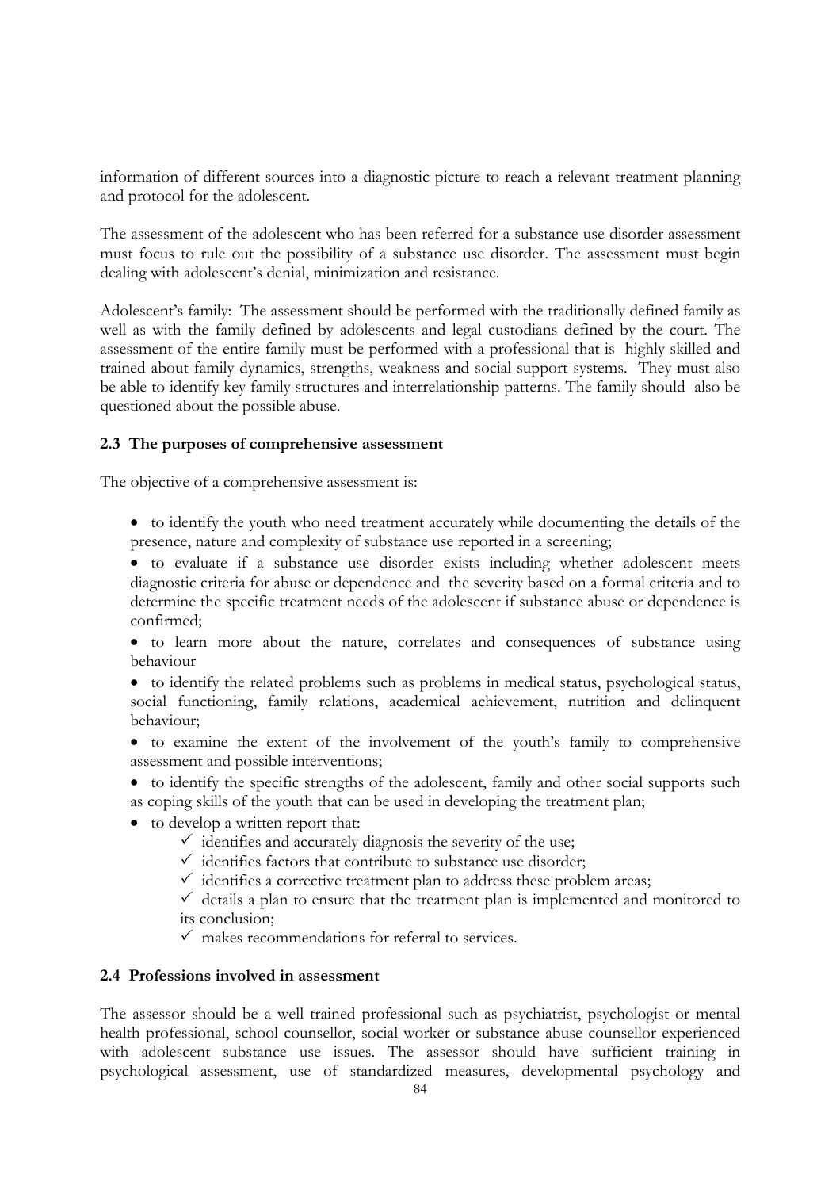information of different sources into a diagnostic picture to reach a relevant treatment planning and protocol for the adolescent.

The assessment of the adolescent who has been referred for a substance use disorder assessment must focus to rule out the possibility of a substance use disorder. The assessment must begin dealing with adolescent's denial, minimization and resistance.

Adolescent's family: The assessment should be performed with the traditionally defined family as well as with the family defined by adolescents and legal custodians defined by the court. The assessment of the entire family must be performed with a professional that is highly skilled and trained about family dynamics, strengths, weakness and social support systems. They must also be able to identify key family structures and interrelationship patterns. The family should also be questioned about the possible abuse.

### **2.3 The purposes of comprehensive assessment**

The objective of a comprehensive assessment is:

- to identify the youth who need treatment accurately while documenting the details of the presence, nature and complexity of substance use reported in a screening;
- to evaluate if a substance use disorder exists including whether adolescent meets diagnostic criteria for abuse or dependence and the severity based on a formal criteria and to determine the specific treatment needs of the adolescent if substance abuse or dependence is confirmed;
- to learn more about the nature, correlates and consequences of substance using behaviour
- to identify the related problems such as problems in medical status, psychological status, social functioning, family relations, academical achievement, nutrition and delinquent behaviour;
- to examine the extent of the involvement of the youth's family to comprehensive assessment and possible interventions;
- to identify the specific strengths of the adolescent, family and other social supports such as coping skills of the youth that can be used in developing the treatment plan;
- to develop a written report that:
	- $\checkmark$  identifies and accurately diagnosis the severity of the use;
	- $\checkmark$  identifies factors that contribute to substance use disorder;
	- $\checkmark$  identifies a corrective treatment plan to address these problem areas;

 $\checkmark$  details a plan to ensure that the treatment plan is implemented and monitored to its conclusion;

 $\checkmark$  makes recommendations for referral to services.

### **2.4 Professions involved in assessment**

The assessor should be a well trained professional such as psychiatrist, psychologist or mental health professional, school counsellor, social worker or substance abuse counsellor experienced with adolescent substance use issues. The assessor should have sufficient training in psychological assessment, use of standardized measures, developmental psychology and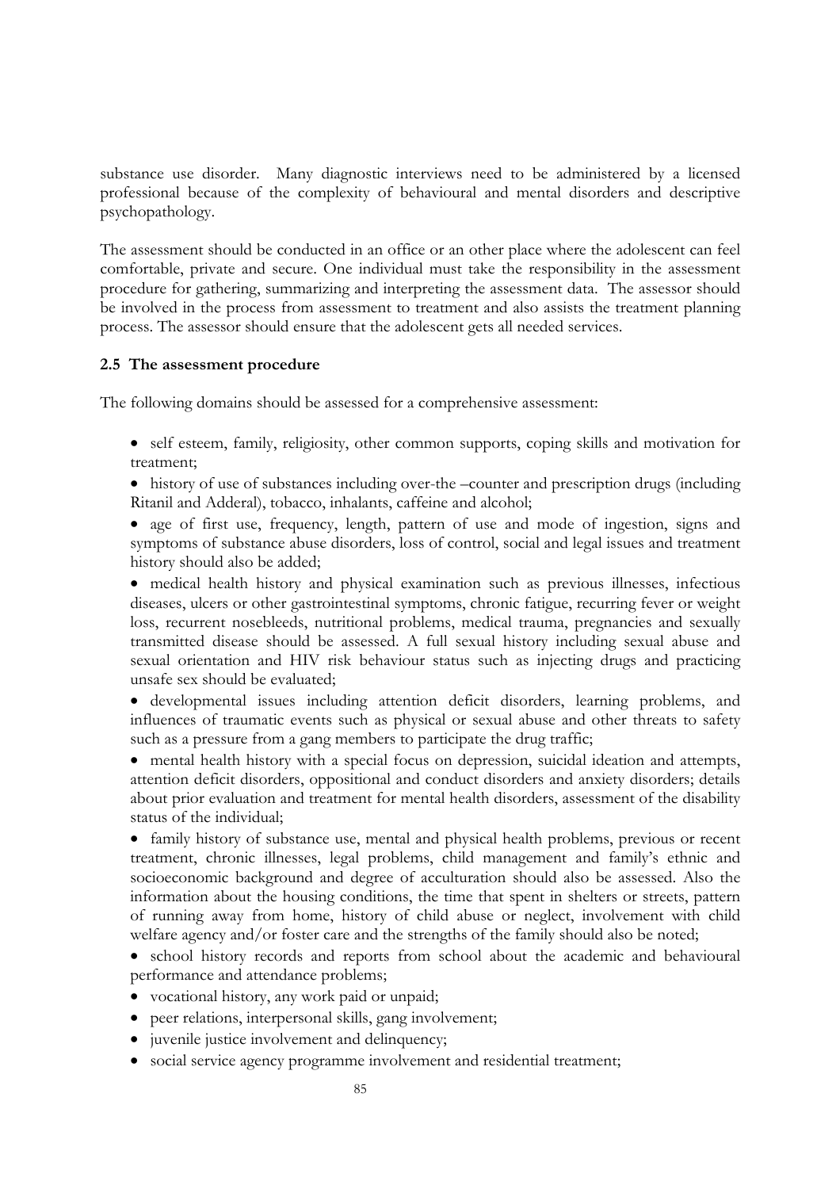substance use disorder. Many diagnostic interviews need to be administered by a licensed professional because of the complexity of behavioural and mental disorders and descriptive psychopathology.

The assessment should be conducted in an office or an other place where the adolescent can feel comfortable, private and secure. One individual must take the responsibility in the assessment procedure for gathering, summarizing and interpreting the assessment data. The assessor should be involved in the process from assessment to treatment and also assists the treatment planning process. The assessor should ensure that the adolescent gets all needed services.

### **2.5 The assessment procedure**

The following domains should be assessed for a comprehensive assessment:

- self esteem, family, religiosity, other common supports, coping skills and motivation for treatment;
- history of use of substances including over-the –counter and prescription drugs (including Ritanil and Adderal), tobacco, inhalants, caffeine and alcohol;
- age of first use, frequency, length, pattern of use and mode of ingestion, signs and symptoms of substance abuse disorders, loss of control, social and legal issues and treatment history should also be added;

• medical health history and physical examination such as previous illnesses, infectious diseases, ulcers or other gastrointestinal symptoms, chronic fatigue, recurring fever or weight loss, recurrent nosebleeds, nutritional problems, medical trauma, pregnancies and sexually transmitted disease should be assessed. A full sexual history including sexual abuse and sexual orientation and HIV risk behaviour status such as injecting drugs and practicing unsafe sex should be evaluated;

• developmental issues including attention deficit disorders, learning problems, and influences of traumatic events such as physical or sexual abuse and other threats to safety such as a pressure from a gang members to participate the drug traffic;

• mental health history with a special focus on depression, suicidal ideation and attempts, attention deficit disorders, oppositional and conduct disorders and anxiety disorders; details about prior evaluation and treatment for mental health disorders, assessment of the disability status of the individual;

• family history of substance use, mental and physical health problems, previous or recent treatment, chronic illnesses, legal problems, child management and family's ethnic and socioeconomic background and degree of acculturation should also be assessed. Also the information about the housing conditions, the time that spent in shelters or streets, pattern of running away from home, history of child abuse or neglect, involvement with child welfare agency and/or foster care and the strengths of the family should also be noted;

• school history records and reports from school about the academic and behavioural performance and attendance problems;

- vocational history, any work paid or unpaid;
- peer relations, interpersonal skills, gang involvement;
- juvenile justice involvement and delinquency;
- social service agency programme involvement and residential treatment;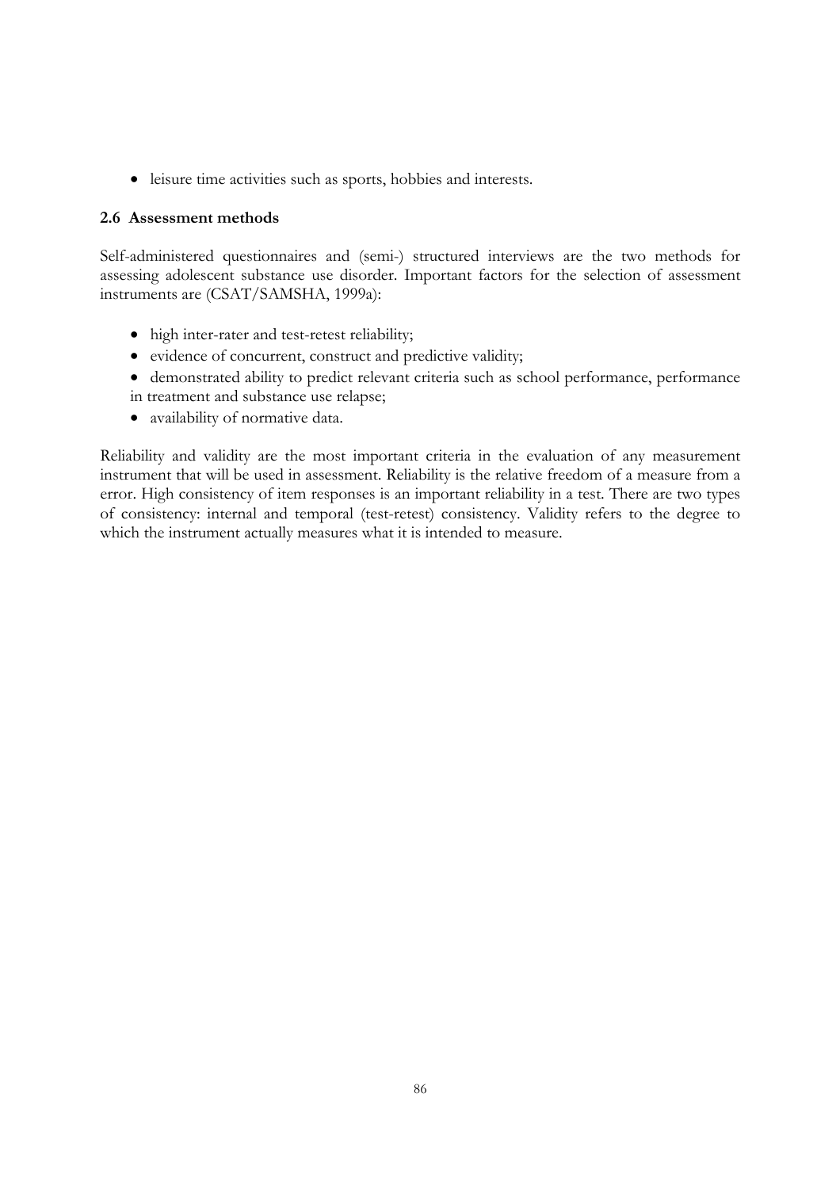• leisure time activities such as sports, hobbies and interests.

### **2.6 Assessment methods**

Self-administered questionnaires and (semi-) structured interviews are the two methods for assessing adolescent substance use disorder. Important factors for the selection of assessment instruments are (CSAT/SAMSHA, 1999a):

- high inter-rater and test-retest reliability;
- evidence of concurrent, construct and predictive validity;
- demonstrated ability to predict relevant criteria such as school performance, performance in treatment and substance use relapse;
- availability of normative data.

Reliability and validity are the most important criteria in the evaluation of any measurement instrument that will be used in assessment. Reliability is the relative freedom of a measure from a error. High consistency of item responses is an important reliability in a test. There are two types of consistency: internal and temporal (test-retest) consistency. Validity refers to the degree to which the instrument actually measures what it is intended to measure.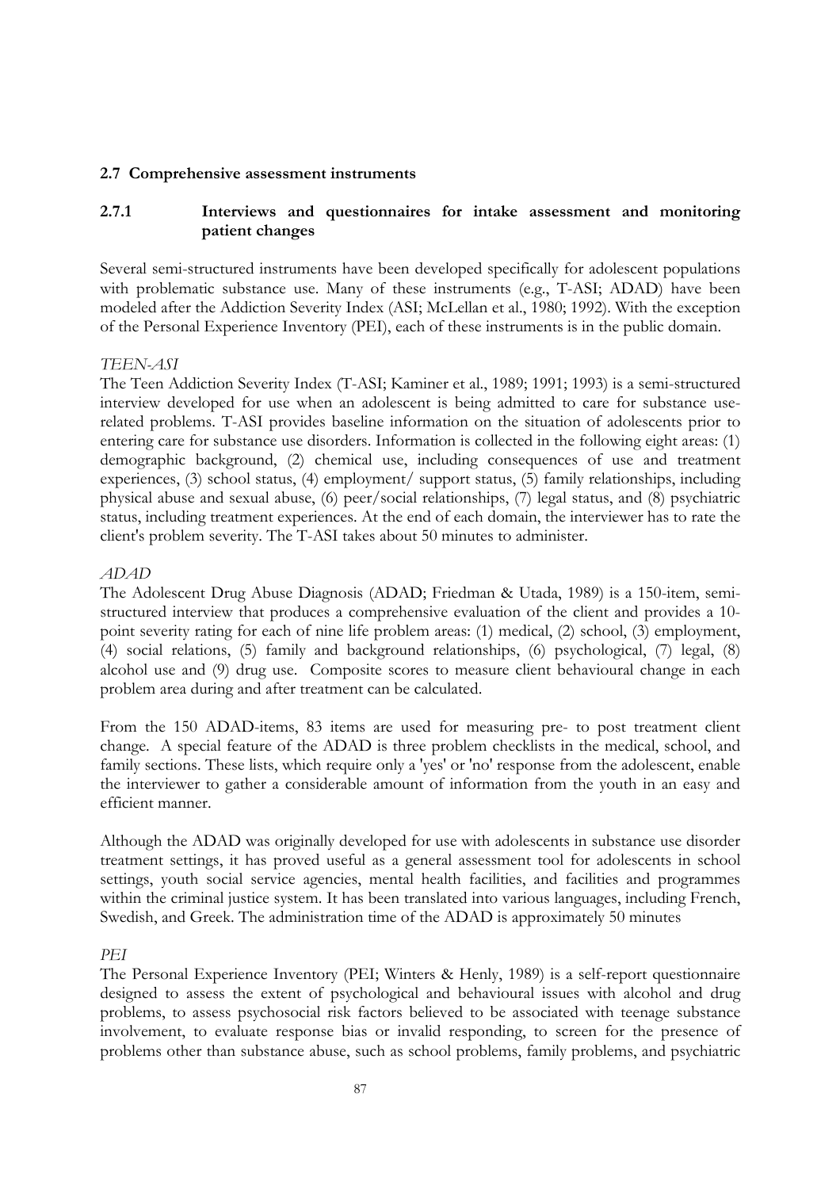### **2.7 Comprehensive assessment instruments**

# **2.7.1 Interviews and questionnaires for intake assessment and monitoring patient changes**

Several semi-structured instruments have been developed specifically for adolescent populations with problematic substance use. Many of these instruments (e.g., T-ASI; ADAD) have been modeled after the Addiction Severity Index (ASI; McLellan et al., 1980; 1992). With the exception of the Personal Experience Inventory (PEI), each of these instruments is in the public domain.

### *TEEN-ASI*

The Teen Addiction Severity Index (T-ASI; Kaminer et al., 1989; 1991; 1993) is a semi-structured interview developed for use when an adolescent is being admitted to care for substance userelated problems. T-ASI provides baseline information on the situation of adolescents prior to entering care for substance use disorders. Information is collected in the following eight areas: (1) demographic background, (2) chemical use, including consequences of use and treatment experiences, (3) school status, (4) employment/ support status, (5) family relationships, including physical abuse and sexual abuse, (6) peer/social relationships, (7) legal status, and (8) psychiatric status, including treatment experiences. At the end of each domain, the interviewer has to rate the client's problem severity. The T-ASI takes about 50 minutes to administer.

### *ADAD*

The Adolescent Drug Abuse Diagnosis (ADAD; Friedman & Utada, 1989) is a 150-item, semistructured interview that produces a comprehensive evaluation of the client and provides a 10 point severity rating for each of nine life problem areas: (1) medical, (2) school, (3) employment, (4) social relations, (5) family and background relationships, (6) psychological, (7) legal, (8) alcohol use and (9) drug use. Composite scores to measure client behavioural change in each problem area during and after treatment can be calculated.

From the 150 ADAD-items, 83 items are used for measuring pre- to post treatment client change. A special feature of the ADAD is three problem checklists in the medical, school, and family sections. These lists, which require only a 'yes' or 'no' response from the adolescent, enable the interviewer to gather a considerable amount of information from the youth in an easy and efficient manner.

Although the ADAD was originally developed for use with adolescents in substance use disorder treatment settings, it has proved useful as a general assessment tool for adolescents in school settings, youth social service agencies, mental health facilities, and facilities and programmes within the criminal justice system. It has been translated into various languages, including French, Swedish, and Greek. The administration time of the ADAD is approximately 50 minutes

### *PEI*

The Personal Experience Inventory (PEI; Winters & Henly, 1989) is a self-report questionnaire designed to assess the extent of psychological and behavioural issues with alcohol and drug problems, to assess psychosocial risk factors believed to be associated with teenage substance involvement, to evaluate response bias or invalid responding, to screen for the presence of problems other than substance abuse, such as school problems, family problems, and psychiatric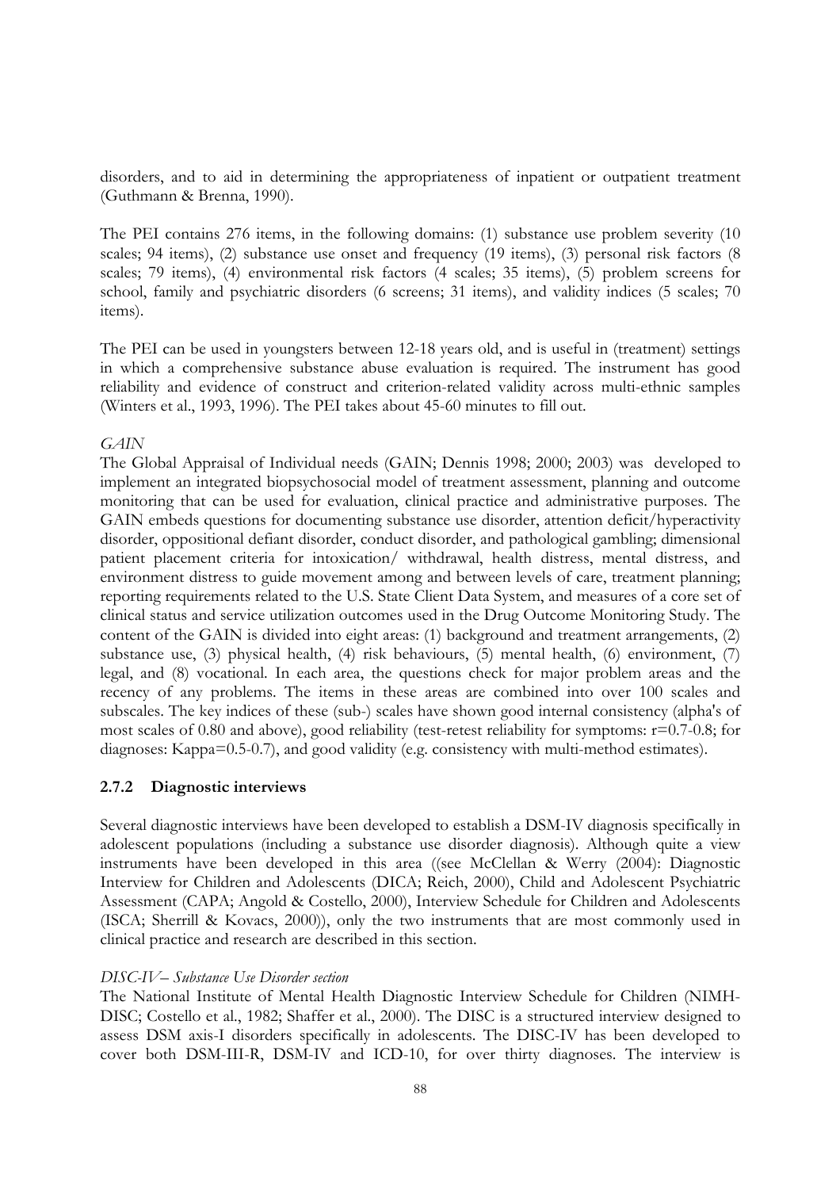disorders, and to aid in determining the appropriateness of inpatient or outpatient treatment (Guthmann & Brenna, 1990).

The PEI contains 276 items, in the following domains: (1) substance use problem severity (10 scales; 94 items), (2) substance use onset and frequency (19 items), (3) personal risk factors (8 scales; 79 items), (4) environmental risk factors (4 scales; 35 items), (5) problem screens for school, family and psychiatric disorders (6 screens; 31 items), and validity indices (5 scales; 70 items).

The PEI can be used in youngsters between 12-18 years old, and is useful in (treatment) settings in which a comprehensive substance abuse evaluation is required. The instrument has good reliability and evidence of construct and criterion-related validity across multi-ethnic samples (Winters et al., 1993, 1996). The PEI takes about 45-60 minutes to fill out.

#### *GAIN*

The Global Appraisal of Individual needs (GAIN; Dennis 1998; 2000; 2003) was developed to implement an integrated biopsychosocial model of treatment assessment, planning and outcome monitoring that can be used for evaluation, clinical practice and administrative purposes. The GAIN embeds questions for documenting substance use disorder, attention deficit/hyperactivity disorder, oppositional defiant disorder, conduct disorder, and pathological gambling; dimensional patient placement criteria for intoxication/ withdrawal, health distress, mental distress, and environment distress to guide movement among and between levels of care, treatment planning; reporting requirements related to the U.S. State Client Data System, and measures of a core set of clinical status and service utilization outcomes used in the Drug Outcome Monitoring Study. The content of the GAIN is divided into eight areas: (1) background and treatment arrangements, (2) substance use, (3) physical health, (4) risk behaviours, (5) mental health, (6) environment, (7) legal, and (8) vocational. In each area, the questions check for major problem areas and the recency of any problems. The items in these areas are combined into over 100 scales and subscales. The key indices of these (sub-) scales have shown good internal consistency (alpha's of most scales of 0.80 and above), good reliability (test-retest reliability for symptoms: r=0.7-0.8; for diagnoses: Kappa=0.5-0.7), and good validity (e.g. consistency with multi-method estimates).

#### **2.7.2 Diagnostic interviews**

Several diagnostic interviews have been developed to establish a DSM-IV diagnosis specifically in adolescent populations (including a substance use disorder diagnosis). Although quite a view instruments have been developed in this area ((see McClellan & Werry (2004): Diagnostic Interview for Children and Adolescents (DICA; Reich, 2000), Child and Adolescent Psychiatric Assessment (CAPA; Angold & Costello, 2000), Interview Schedule for Children and Adolescents (ISCA; Sherrill & Kovacs, 2000)), only the two instruments that are most commonly used in clinical practice and research are described in this section.

#### *DISC-IV– Substance Use Disorder section*

The National Institute of Mental Health Diagnostic Interview Schedule for Children (NIMH-DISC; Costello et al., 1982; Shaffer et al., 2000). The DISC is a structured interview designed to assess DSM axis-I disorders specifically in adolescents. The DISC-IV has been developed to cover both DSM-III-R, DSM-IV and ICD-10, for over thirty diagnoses. The interview is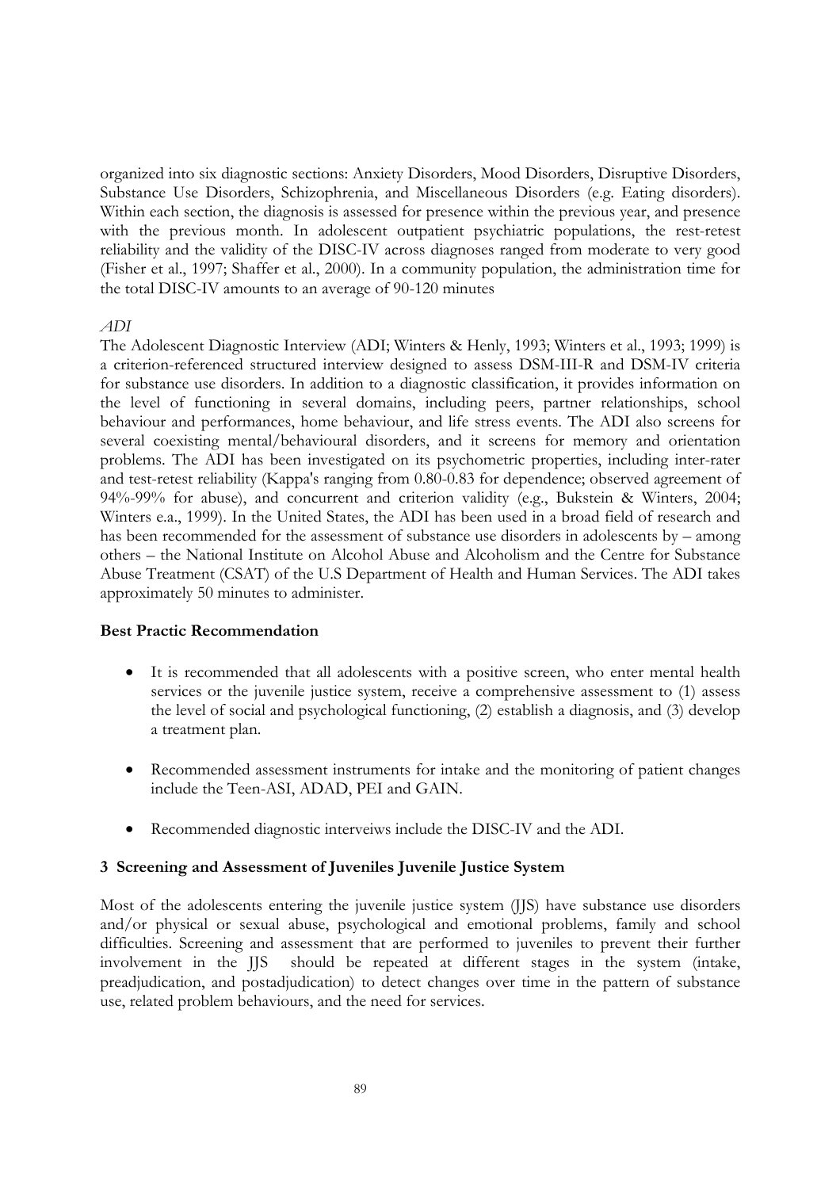organized into six diagnostic sections: Anxiety Disorders, Mood Disorders, Disruptive Disorders, Substance Use Disorders, Schizophrenia, and Miscellaneous Disorders (e.g. Eating disorders). Within each section, the diagnosis is assessed for presence within the previous year, and presence with the previous month. In adolescent outpatient psychiatric populations, the rest-retest reliability and the validity of the DISC-IV across diagnoses ranged from moderate to very good (Fisher et al., 1997; Shaffer et al., 2000). In a community population, the administration time for the total DISC-IV amounts to an average of 90-120 minutes

### *ADI*

The Adolescent Diagnostic Interview (ADI; Winters & Henly, 1993; Winters et al., 1993; 1999) is a criterion-referenced structured interview designed to assess DSM-III-R and DSM-IV criteria for substance use disorders. In addition to a diagnostic classification, it provides information on the level of functioning in several domains, including peers, partner relationships, school behaviour and performances, home behaviour, and life stress events. The ADI also screens for several coexisting mental/behavioural disorders, and it screens for memory and orientation problems. The ADI has been investigated on its psychometric properties, including inter-rater and test-retest reliability (Kappa's ranging from 0.80-0.83 for dependence; observed agreement of 94%-99% for abuse), and concurrent and criterion validity (e.g., Bukstein & Winters, 2004; Winters e.a., 1999). In the United States, the ADI has been used in a broad field of research and has been recommended for the assessment of substance use disorders in adolescents by – among others – the National Institute on Alcohol Abuse and Alcoholism and the Centre for Substance Abuse Treatment (CSAT) of the U.S Department of Health and Human Services. The ADI takes approximately 50 minutes to administer.

### **Best Practic Recommendation**

- It is recommended that all adolescents with a positive screen, who enter mental health services or the juvenile justice system, receive a comprehensive assessment to (1) assess the level of social and psychological functioning, (2) establish a diagnosis, and (3) develop a treatment plan.
- Recommended assessment instruments for intake and the monitoring of patient changes include the Teen-ASI, ADAD, PEI and GAIN.
- Recommended diagnostic interveiws include the DISC-IV and the ADI.

### **3 Screening and Assessment of Juveniles Juvenile Justice System**

Most of the adolescents entering the juvenile justice system (JJS) have substance use disorders and/or physical or sexual abuse, psychological and emotional problems, family and school difficulties. Screening and assessment that are performed to juveniles to prevent their further involvement in the JJS should be repeated at different stages in the system (intake, preadjudication, and postadjudication) to detect changes over time in the pattern of substance use, related problem behaviours, and the need for services.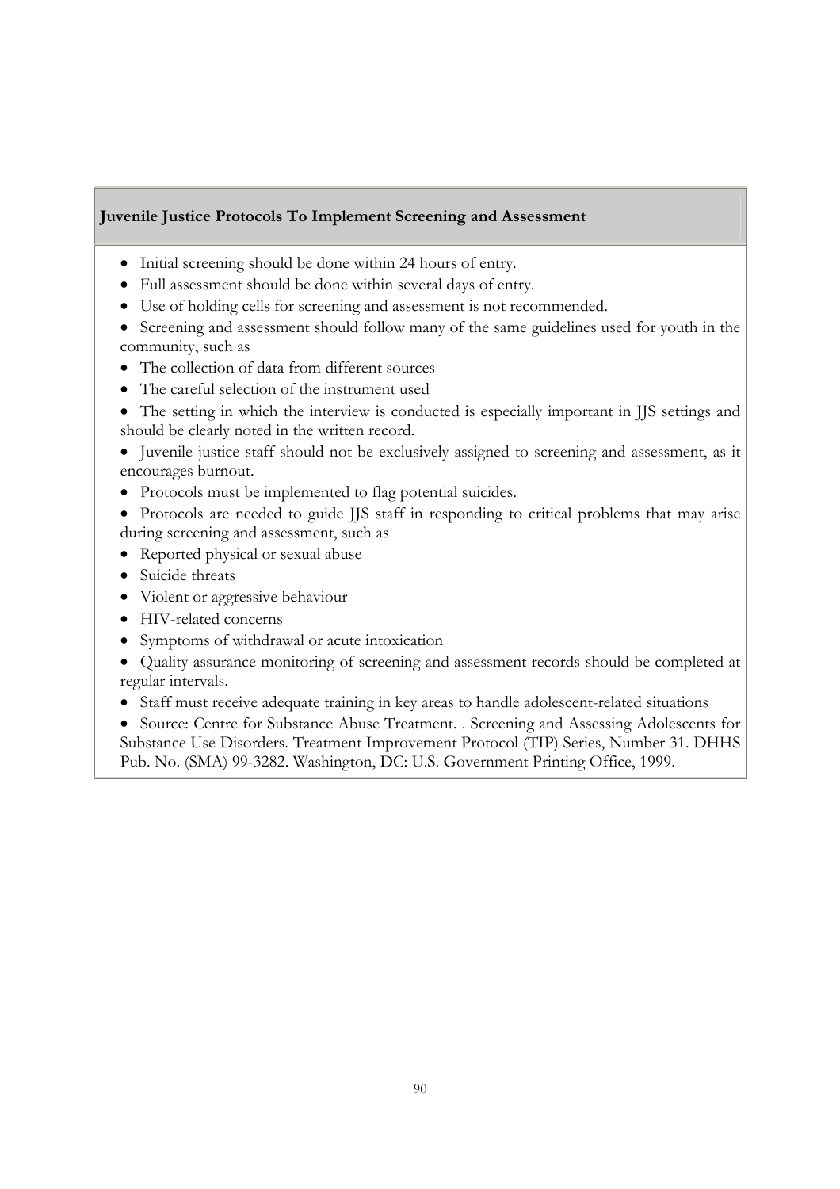# **Juvenile Justice Protocols To Implement Screening and Assessment**

- Initial screening should be done within 24 hours of entry.
- Full assessment should be done within several days of entry.
- Use of holding cells for screening and assessment is not recommended.
- Screening and assessment should follow many of the same guidelines used for youth in the community, such as
- The collection of data from different sources
- The careful selection of the instrument used
- The setting in which the interview is conducted is especially important in JJS settings and should be clearly noted in the written record.
- Juvenile justice staff should not be exclusively assigned to screening and assessment, as it encourages burnout.
- Protocols must be implemented to flag potential suicides.
- Protocols are needed to guide JJS staff in responding to critical problems that may arise during screening and assessment, such as
- Reported physical or sexual abuse
- Suicide threats
- Violent or aggressive behaviour
- HIV-related concerns
- Symptoms of withdrawal or acute intoxication
- Quality assurance monitoring of screening and assessment records should be completed at regular intervals.
- Staff must receive adequate training in key areas to handle adolescent-related situations

• Source: Centre for Substance Abuse Treatment. . Screening and Assessing Adolescents for Substance Use Disorders. Treatment Improvement Protocol (TIP) Series, Number 31. DHHS Pub. No. (SMA) 99-3282. Washington, DC: U.S. Government Printing Office, 1999.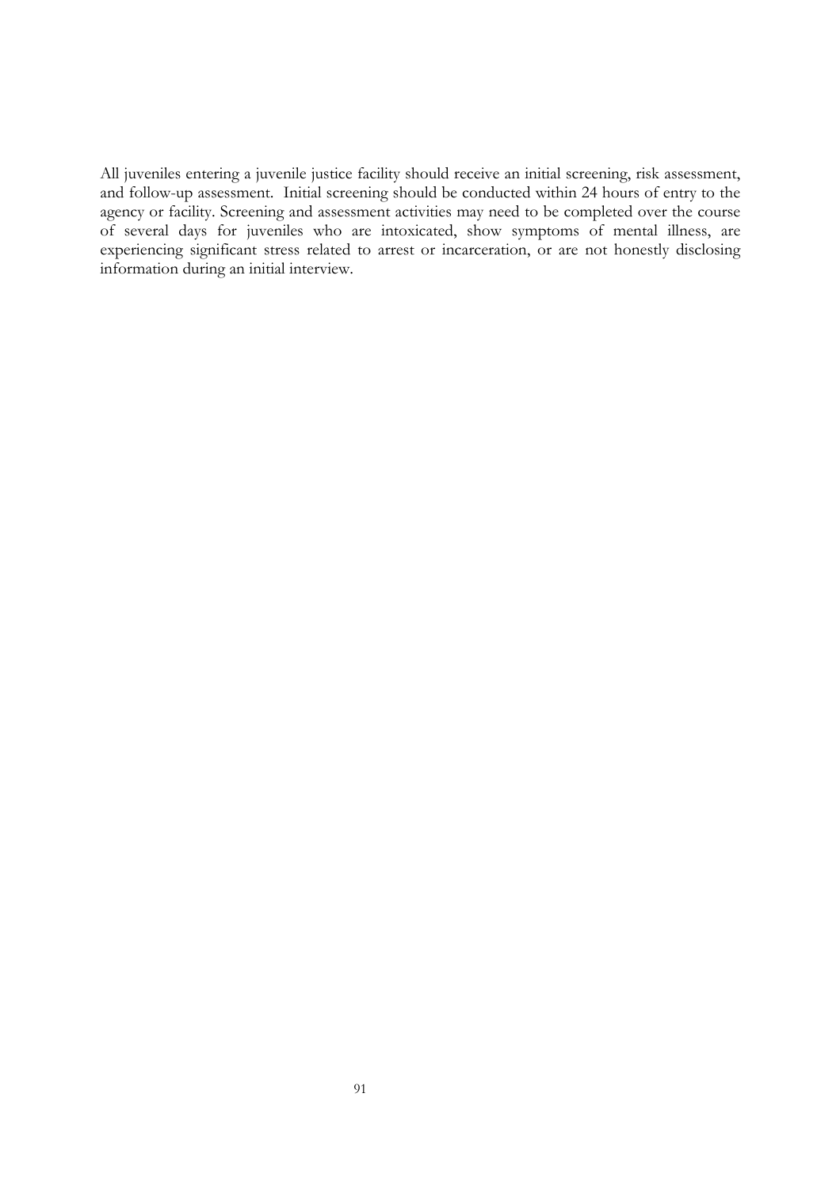All juveniles entering a juvenile justice facility should receive an initial screening, risk assessment, and follow-up assessment. Initial screening should be conducted within 24 hours of entry to the agency or facility. Screening and assessment activities may need to be completed over the course of several days for juveniles who are intoxicated, show symptoms of mental illness, are experiencing significant stress related to arrest or incarceration, or are not honestly disclosing information during an initial interview.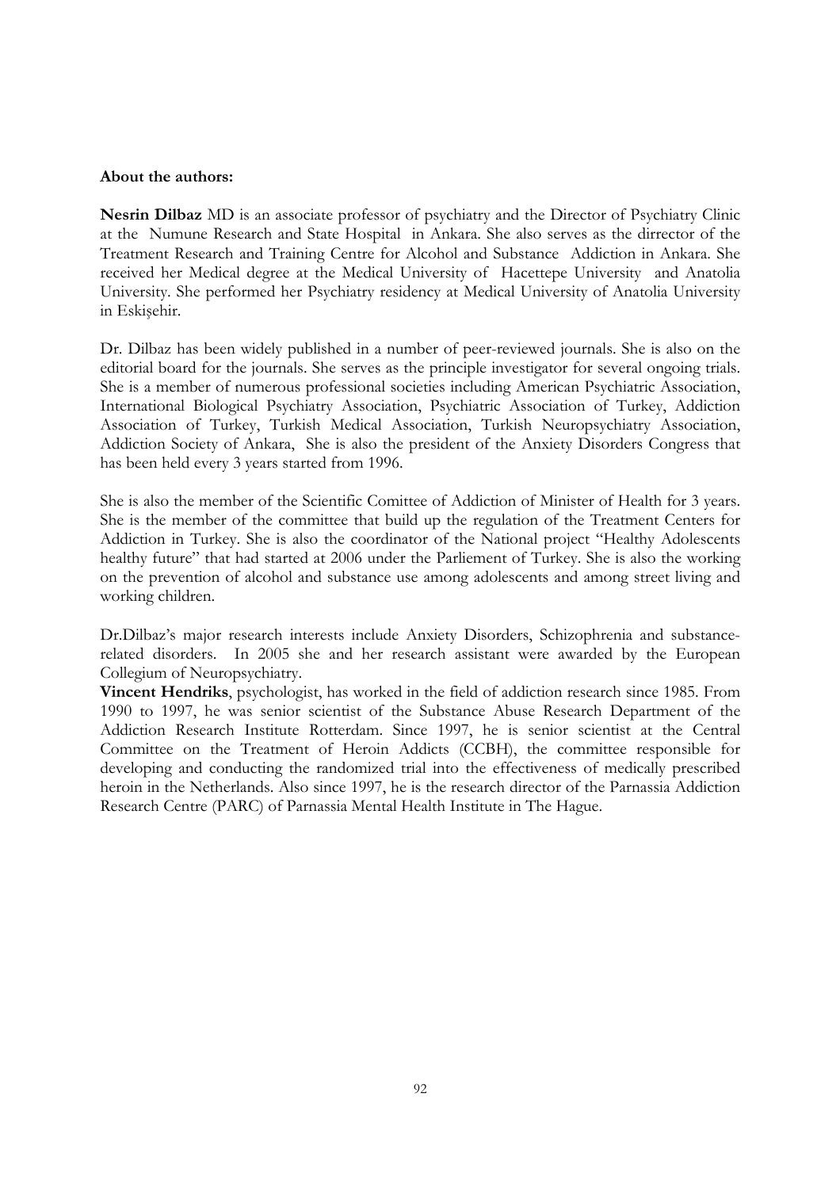## **About the authors:**

**Nesrin Dilbaz** MD is an associate professor of psychiatry and the Director of Psychiatry Clinic at the Numune Research and State Hospital in Ankara. She also serves as the dirrector of the Treatment Research and Training Centre for Alcohol and Substance Addiction in Ankara. She received her Medical degree at the Medical University of Hacettepe University and Anatolia University. She performed her Psychiatry residency at Medical University of Anatolia University in Eskişehir.

Dr. Dilbaz has been widely published in a number of peer-reviewed journals. She is also on the editorial board for the journals. She serves as the principle investigator for several ongoing trials. She is a member of numerous professional societies including American Psychiatric Association, International Biological Psychiatry Association, Psychiatric Association of Turkey, Addiction Association of Turkey, Turkish Medical Association, Turkish Neuropsychiatry Association, Addiction Society of Ankara, She is also the president of the Anxiety Disorders Congress that has been held every 3 years started from 1996.

She is also the member of the Scientific Comittee of Addiction of Minister of Health for 3 years. She is the member of the committee that build up the regulation of the Treatment Centers for Addiction in Turkey. She is also the coordinator of the National project "Healthy Adolescents healthy future" that had started at 2006 under the Parliement of Turkey. She is also the working on the prevention of alcohol and substance use among adolescents and among street living and working children.

Dr.Dilbaz's major research interests include Anxiety Disorders, Schizophrenia and substancerelated disorders. In 2005 she and her research assistant were awarded by the European Collegium of Neuropsychiatry.

**Vincent Hendriks**, psychologist, has worked in the field of addiction research since 1985. From 1990 to 1997, he was senior scientist of the Substance Abuse Research Department of the Addiction Research Institute Rotterdam. Since 1997, he is senior scientist at the Central Committee on the Treatment of Heroin Addicts (CCBH), the committee responsible for developing and conducting the randomized trial into the effectiveness of medically prescribed heroin in the Netherlands. Also since 1997, he is the research director of the Parnassia Addiction Research Centre (PARC) of Parnassia Mental Health Institute in The Hague.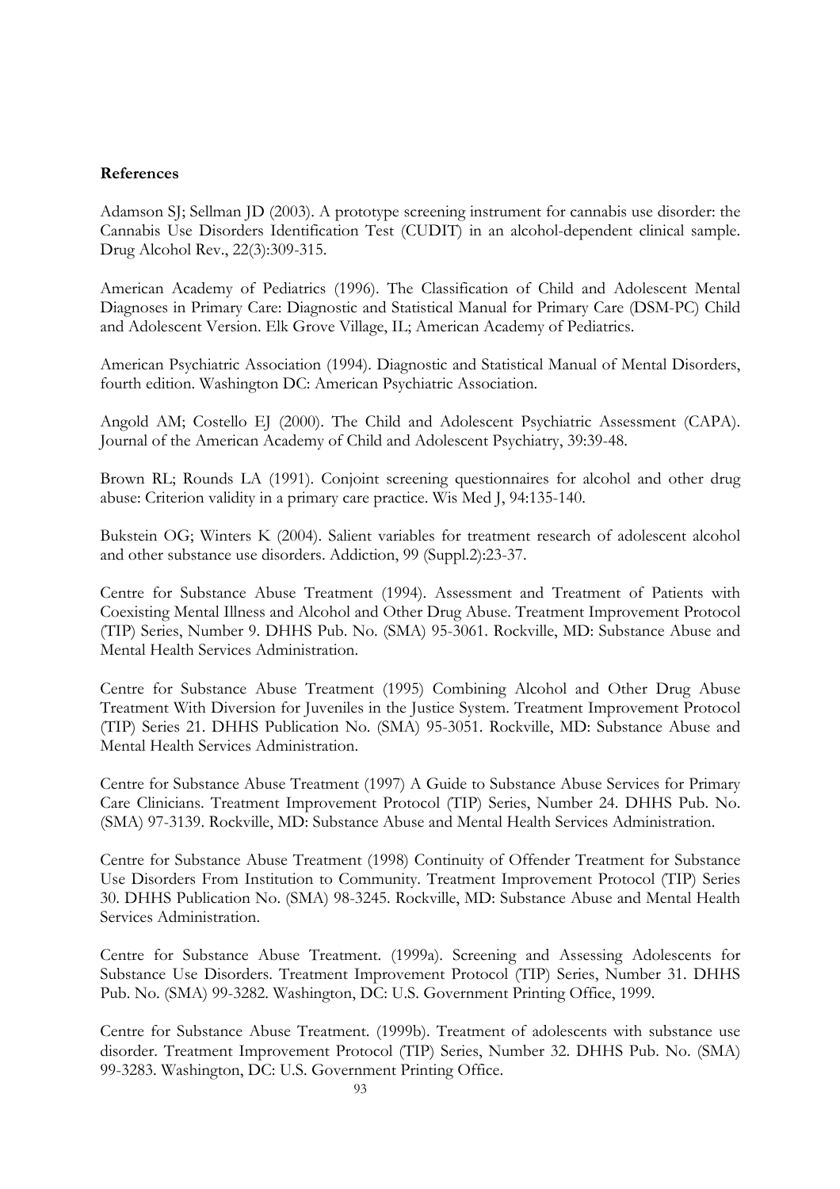### **References**

Adamson SJ; Sellman JD (2003). A prototype screening instrument for cannabis use disorder: the Cannabis Use Disorders Identification Test (CUDIT) in an alcohol-dependent clinical sample. Drug Alcohol Rev., 22(3):309-315.

American Academy of Pediatrics (1996). The Classification of Child and Adolescent Mental Diagnoses in Primary Care: Diagnostic and Statistical Manual for Primary Care (DSM-PC) Child and Adolescent Version. Elk Grove Village, IL; American Academy of Pediatrics.

American Psychiatric Association (1994). Diagnostic and Statistical Manual of Mental Disorders, fourth edition. Washington DC: American Psychiatric Association.

Angold AM; Costello EJ (2000). The Child and Adolescent Psychiatric Assessment (CAPA). Journal of the American Academy of Child and Adolescent Psychiatry, 39:39-48.

Brown RL; Rounds LA (1991). Conjoint screening questionnaires for alcohol and other drug abuse: Criterion validity in a primary care practice. Wis Med J, 94:135-140.

Bukstein OG; Winters K (2004). Salient variables for treatment research of adolescent alcohol and other substance use disorders. Addiction, 99 (Suppl.2):23-37.

Centre for Substance Abuse Treatment (1994). Assessment and Treatment of Patients with Coexisting Mental Illness and Alcohol and Other Drug Abuse. Treatment Improvement Protocol (TIP) Series, Number 9. DHHS Pub. No. (SMA) 95-3061. Rockville, MD: Substance Abuse and Mental Health Services Administration.

Centre for Substance Abuse Treatment (1995) Combining Alcohol and Other Drug Abuse Treatment With Diversion for Juveniles in the Justice System. Treatment Improvement Protocol (TIP) Series 21. DHHS Publication No. (SMA) 95-3051. Rockville, MD: Substance Abuse and Mental Health Services Administration.

Centre for Substance Abuse Treatment (1997) A Guide to Substance Abuse Services for Primary Care Clinicians. Treatment Improvement Protocol (TIP) Series, Number 24. DHHS Pub. No. (SMA) 97-3139. Rockville, MD: Substance Abuse and Mental Health Services Administration.

Centre for Substance Abuse Treatment (1998) Continuity of Offender Treatment for Substance Use Disorders From Institution to Community. Treatment Improvement Protocol (TIP) Series 30. DHHS Publication No. (SMA) 98-3245. Rockville, MD: Substance Abuse and Mental Health Services Administration.

Centre for Substance Abuse Treatment. (1999a). Screening and Assessing Adolescents for Substance Use Disorders. Treatment Improvement Protocol (TIP) Series, Number 31. DHHS Pub. No. (SMA) 99-3282. Washington, DC: U.S. Government Printing Office, 1999.

Centre for Substance Abuse Treatment. (1999b). Treatment of adolescents with substance use disorder. Treatment Improvement Protocol (TIP) Series, Number 32. DHHS Pub. No. (SMA) 99-3283. Washington, DC: U.S. Government Printing Office.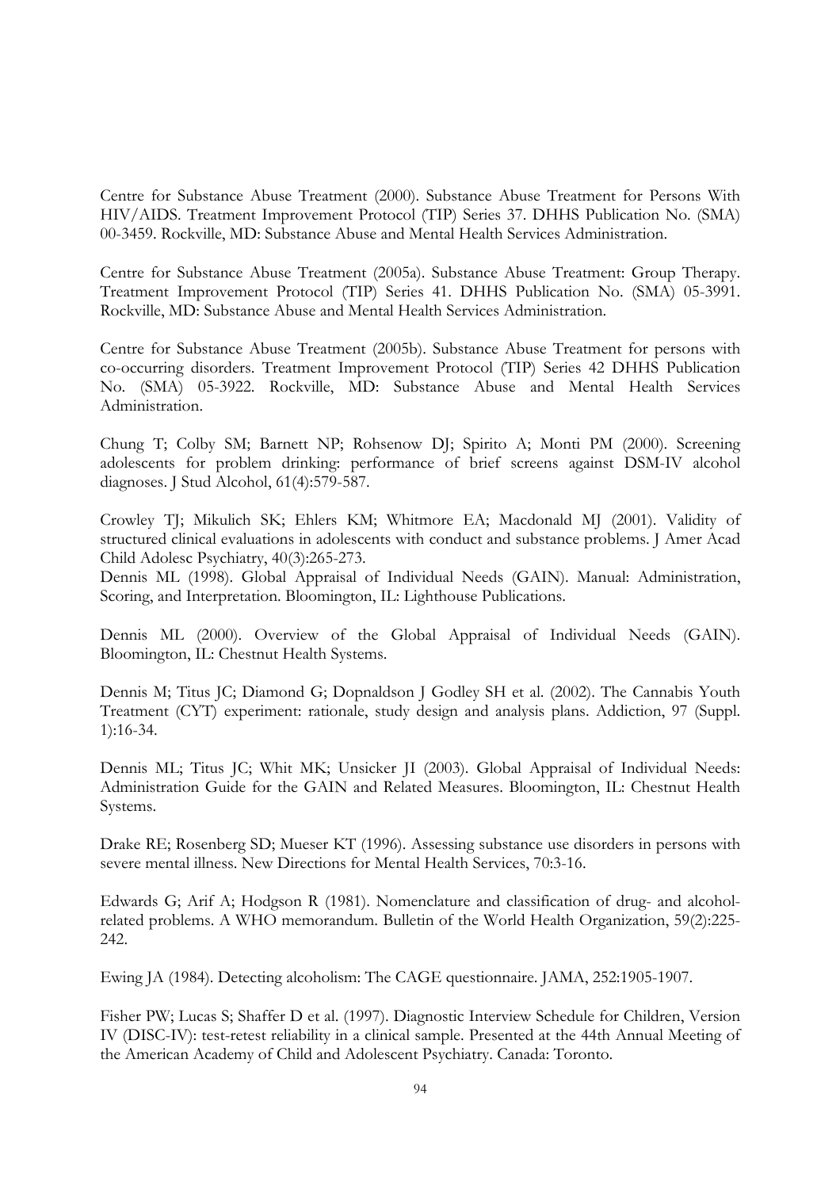Centre for Substance Abuse Treatment (2000). Substance Abuse Treatment for Persons With HIV/AIDS. Treatment Improvement Protocol (TIP) Series 37. DHHS Publication No. (SMA) 00-3459. Rockville, MD: Substance Abuse and Mental Health Services Administration.

Centre for Substance Abuse Treatment (2005a). Substance Abuse Treatment: Group Therapy. Treatment Improvement Protocol (TIP) Series 41. DHHS Publication No. (SMA) 05-3991. Rockville, MD: Substance Abuse and Mental Health Services Administration.

Centre for Substance Abuse Treatment (2005b). Substance Abuse Treatment for persons with co-occurring disorders. Treatment Improvement Protocol (TIP) Series 42 DHHS Publication No. (SMA) 05-3922. Rockville, MD: Substance Abuse and Mental Health Services Administration.

Chung T; Colby SM; Barnett NP; Rohsenow DJ; Spirito A; Monti PM (2000). Screening adolescents for problem drinking: performance of brief screens against DSM-IV alcohol diagnoses. J Stud Alcohol, 61(4):579-587.

Crowley TJ; Mikulich SK; Ehlers KM; Whitmore EA; Macdonald MJ (2001). Validity of structured clinical evaluations in adolescents with conduct and substance problems. J Amer Acad Child Adolesc Psychiatry, 40(3):265-273.

Dennis ML (1998). Global Appraisal of Individual Needs (GAIN). Manual: Administration, Scoring, and Interpretation. Bloomington, IL: Lighthouse Publications.

Dennis ML (2000). Overview of the Global Appraisal of Individual Needs (GAIN). Bloomington, IL: Chestnut Health Systems.

Dennis M; Titus JC; Diamond G; Dopnaldson J Godley SH et al. (2002). The Cannabis Youth Treatment (CYT) experiment: rationale, study design and analysis plans. Addiction, 97 (Suppl. 1):16-34.

Dennis ML; Titus JC; Whit MK; Unsicker JI (2003). Global Appraisal of Individual Needs: Administration Guide for the GAIN and Related Measures. Bloomington, IL: Chestnut Health Systems.

Drake RE; Rosenberg SD; Mueser KT (1996). Assessing substance use disorders in persons with severe mental illness. New Directions for Mental Health Services, 70:3-16.

Edwards G; Arif A; Hodgson R (1981). Nomenclature and classification of drug- and alcoholrelated problems. A WHO memorandum. Bulletin of the World Health Organization, 59(2):225- 242.

Ewing JA (1984). Detecting alcoholism: The CAGE questionnaire. JAMA, 252:1905-1907.

Fisher PW; Lucas S; Shaffer D et al. (1997). Diagnostic Interview Schedule for Children, Version IV (DISC-IV): test-retest reliability in a clinical sample. Presented at the 44th Annual Meeting of the American Academy of Child and Adolescent Psychiatry. Canada: Toronto.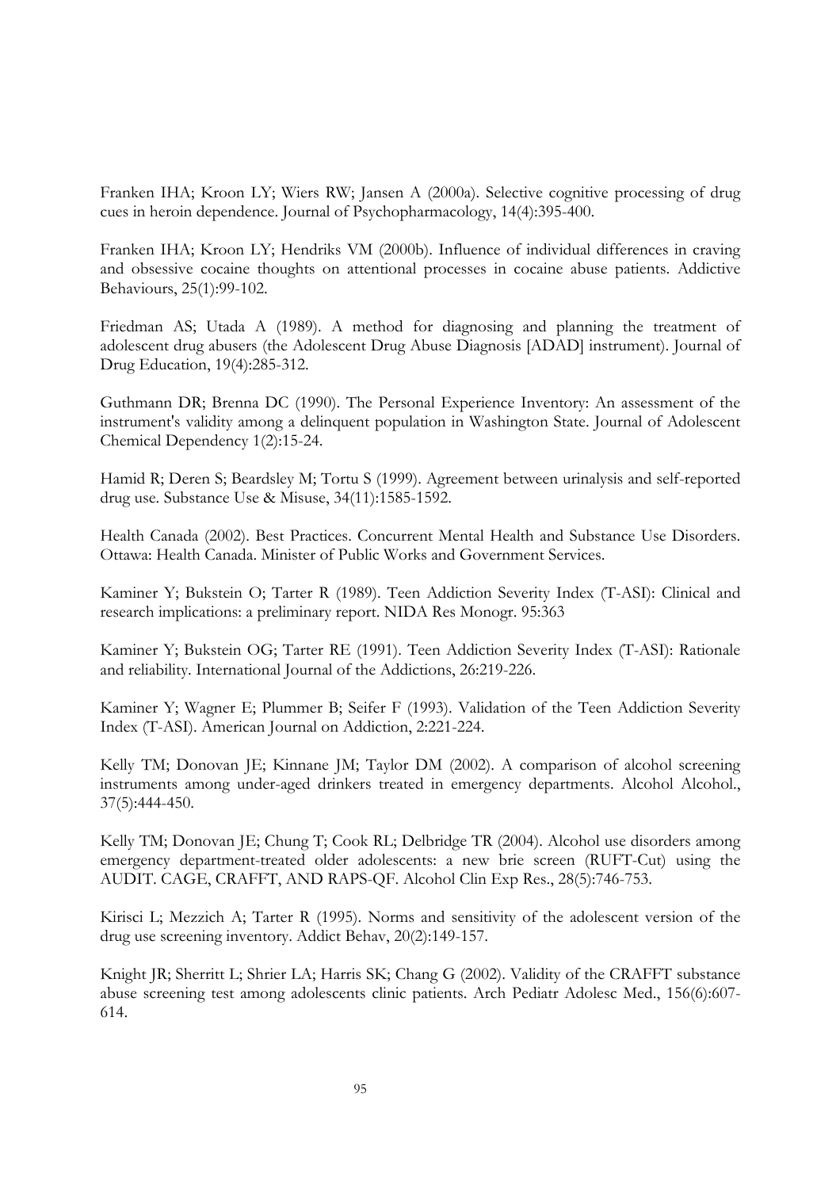Franken IHA; Kroon LY; Wiers RW; Jansen A (2000a). Selective cognitive processing of drug cues in heroin dependence. Journal of Psychopharmacology, 14(4):395-400.

Franken IHA; Kroon LY; Hendriks VM (2000b). Influence of individual differences in craving and obsessive cocaine thoughts on attentional processes in cocaine abuse patients. Addictive Behaviours, 25(1):99-102.

Friedman AS; Utada A (1989). A method for diagnosing and planning the treatment of adolescent drug abusers (the Adolescent Drug Abuse Diagnosis [ADAD] instrument). Journal of Drug Education, 19(4):285-312.

Guthmann DR; Brenna DC (1990). The Personal Experience Inventory: An assessment of the instrument's validity among a delinquent population in Washington State. Journal of Adolescent Chemical Dependency 1(2):15-24.

Hamid R; Deren S; Beardsley M; Tortu S (1999). Agreement between urinalysis and self-reported drug use. Substance Use & Misuse, 34(11):1585-1592.

Health Canada (2002). Best Practices. Concurrent Mental Health and Substance Use Disorders. Ottawa: Health Canada. Minister of Public Works and Government Services.

Kaminer Y; Bukstein O; Tarter R (1989). Teen Addiction Severity Index (T-ASI): Clinical and research implications: a preliminary report. NIDA Res Monogr. 95:363

Kaminer Y; Bukstein OG; Tarter RE (1991). Teen Addiction Severity Index (T-ASI): Rationale and reliability. International Journal of the Addictions, 26:219-226.

Kaminer Y; Wagner E; Plummer B; Seifer F (1993). Validation of the Teen Addiction Severity Index (T-ASI). American Journal on Addiction, 2:221-224.

Kelly TM; Donovan JE; Kinnane JM; Taylor DM (2002). A comparison of alcohol screening instruments among under-aged drinkers treated in emergency departments. Alcohol Alcohol., 37(5):444-450.

Kelly TM; Donovan JE; Chung T; Cook RL; Delbridge TR (2004). Alcohol use disorders among emergency department-treated older adolescents: a new brie screen (RUFT-Cut) using the AUDIT. CAGE, CRAFFT, AND RAPS-QF. Alcohol Clin Exp Res., 28(5):746-753.

Kirisci L; Mezzich A; Tarter R (1995). Norms and sensitivity of the adolescent version of the drug use screening inventory. Addict Behav, 20(2):149-157.

Knight JR; Sherritt L; Shrier LA; Harris SK; Chang G (2002). Validity of the CRAFFT substance abuse screening test among adolescents clinic patients. Arch Pediatr Adolesc Med., 156(6):607- 614.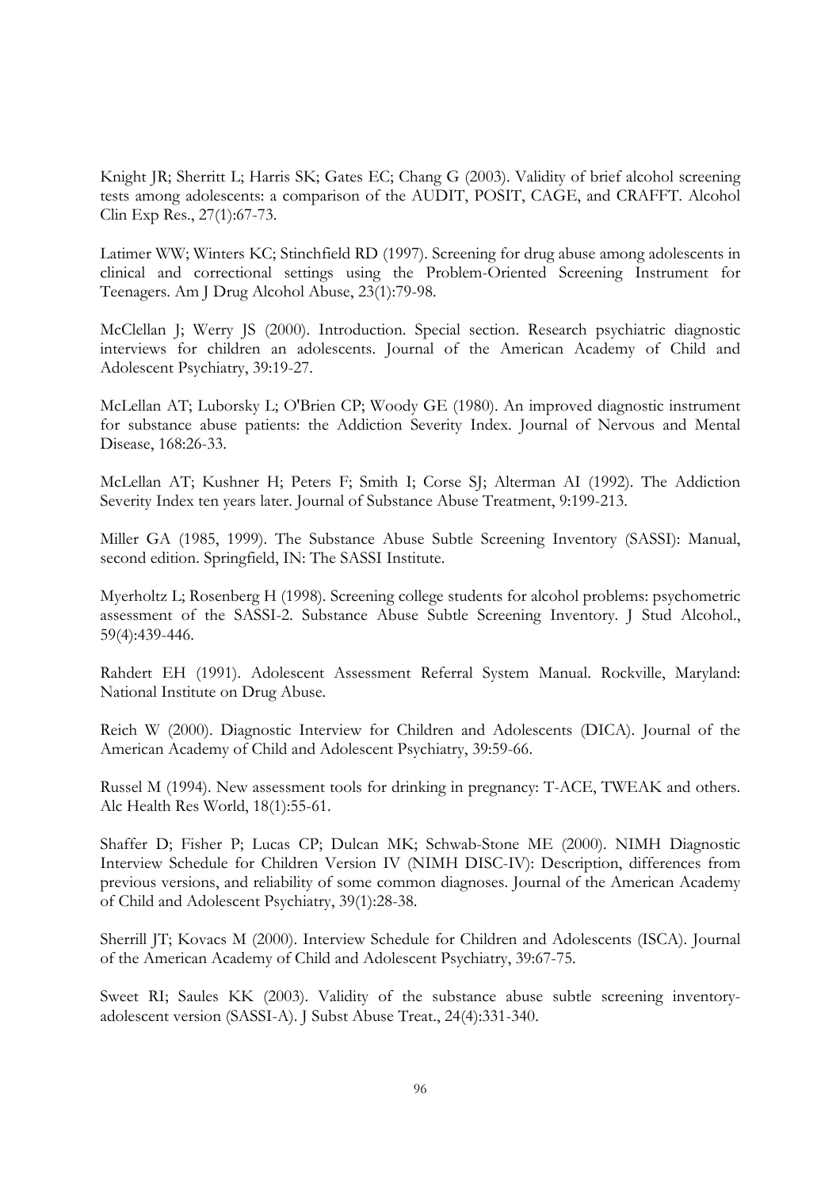Knight JR; Sherritt L; Harris SK; Gates EC; Chang G (2003). Validity of brief alcohol screening tests among adolescents: a comparison of the AUDIT, POSIT, CAGE, and CRAFFT. Alcohol Clin Exp Res., 27(1):67-73.

Latimer WW; Winters KC; Stinchfield RD (1997). Screening for drug abuse among adolescents in clinical and correctional settings using the Problem-Oriented Screening Instrument for Teenagers. Am J Drug Alcohol Abuse, 23(1):79-98.

McClellan J; Werry JS (2000). Introduction. Special section. Research psychiatric diagnostic interviews for children an adolescents. Journal of the American Academy of Child and Adolescent Psychiatry, 39:19-27.

McLellan AT; Luborsky L; O'Brien CP; Woody GE (1980). An improved diagnostic instrument for substance abuse patients: the Addiction Severity Index. Journal of Nervous and Mental Disease, 168:26-33.

McLellan AT; Kushner H; Peters F; Smith I; Corse SJ; Alterman AI (1992). The Addiction Severity Index ten years later. Journal of Substance Abuse Treatment, 9:199-213.

Miller GA (1985, 1999). The Substance Abuse Subtle Screening Inventory (SASSI): Manual, second edition. Springfield, IN: The SASSI Institute.

Myerholtz L; Rosenberg H (1998). Screening college students for alcohol problems: psychometric assessment of the SASSI-2. Substance Abuse Subtle Screening Inventory. J Stud Alcohol., 59(4):439-446.

Rahdert EH (1991). Adolescent Assessment Referral System Manual. Rockville, Maryland: National Institute on Drug Abuse.

Reich W (2000). Diagnostic Interview for Children and Adolescents (DICA). Journal of the American Academy of Child and Adolescent Psychiatry, 39:59-66.

Russel M (1994). New assessment tools for drinking in pregnancy: T-ACE, TWEAK and others. Alc Health Res World, 18(1):55-61.

Shaffer D; Fisher P; Lucas CP; Dulcan MK; Schwab-Stone ME (2000). NIMH Diagnostic Interview Schedule for Children Version IV (NIMH DISC-IV): Description, differences from previous versions, and reliability of some common diagnoses. Journal of the American Academy of Child and Adolescent Psychiatry, 39(1):28-38.

Sherrill JT; Kovacs M (2000). Interview Schedule for Children and Adolescents (ISCA). Journal of the American Academy of Child and Adolescent Psychiatry, 39:67-75.

Sweet RI; Saules KK (2003). Validity of the substance abuse subtle screening inventoryadolescent version (SASSI-A). J Subst Abuse Treat., 24(4):331-340.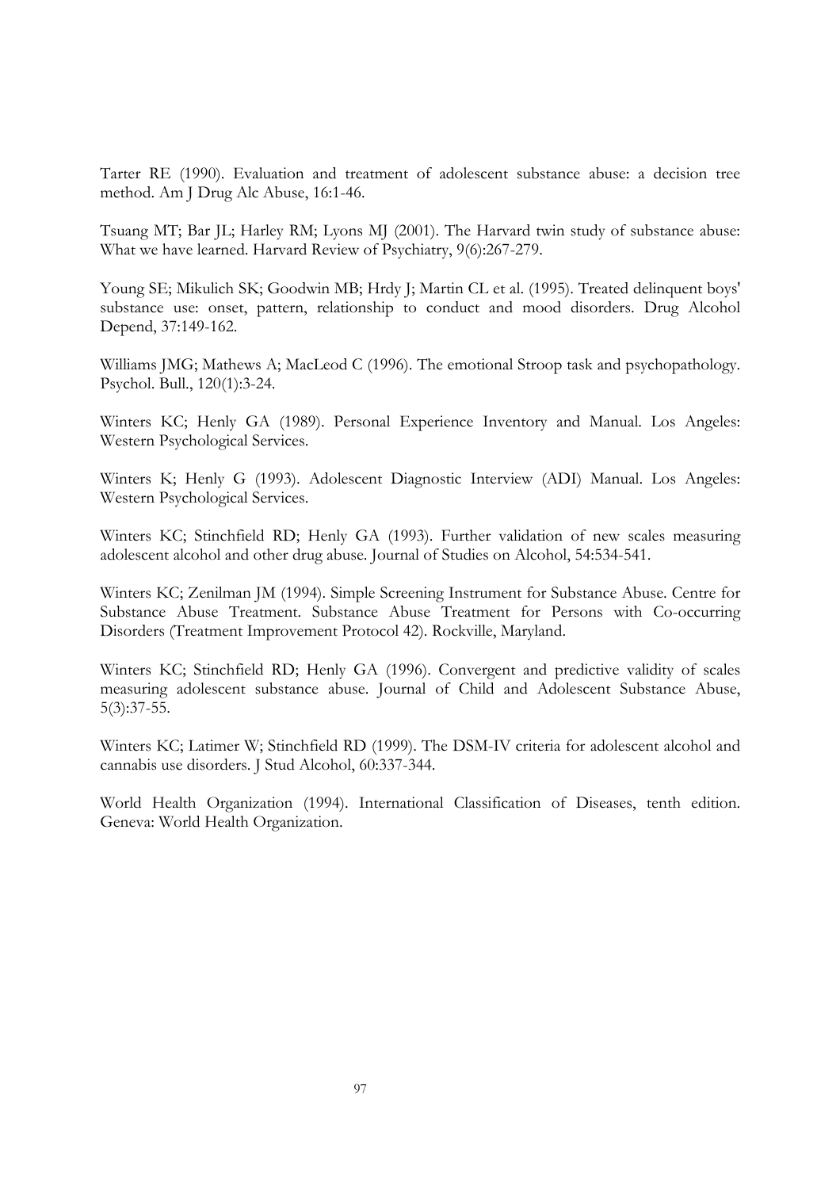Tarter RE (1990). Evaluation and treatment of adolescent substance abuse: a decision tree method. Am J Drug Alc Abuse, 16:1-46.

Tsuang MT; Bar JL; Harley RM; Lyons MJ (2001). The Harvard twin study of substance abuse: What we have learned. Harvard Review of Psychiatry, 9(6):267-279.

Young SE; Mikulich SK; Goodwin MB; Hrdy J; Martin CL et al. (1995). Treated delinquent boys' substance use: onset, pattern, relationship to conduct and mood disorders. Drug Alcohol Depend, 37:149-162.

Williams JMG; Mathews A; MacLeod C (1996). The emotional Stroop task and psychopathology. Psychol. Bull., 120(1):3-24.

Winters KC; Henly GA (1989). Personal Experience Inventory and Manual. Los Angeles: Western Psychological Services.

Winters K; Henly G (1993). Adolescent Diagnostic Interview (ADI) Manual. Los Angeles: Western Psychological Services.

Winters KC; Stinchfield RD; Henly GA (1993). Further validation of new scales measuring adolescent alcohol and other drug abuse. Journal of Studies on Alcohol, 54:534-541.

Winters KC; Zenilman JM (1994). Simple Screening Instrument for Substance Abuse. Centre for Substance Abuse Treatment. Substance Abuse Treatment for Persons with Co-occurring Disorders (Treatment Improvement Protocol 42). Rockville, Maryland.

Winters KC; Stinchfield RD; Henly GA (1996). Convergent and predictive validity of scales measuring adolescent substance abuse. Journal of Child and Adolescent Substance Abuse, 5(3):37-55.

Winters KC; Latimer W; Stinchfield RD (1999). The DSM-IV criteria for adolescent alcohol and cannabis use disorders. J Stud Alcohol, 60:337-344.

World Health Organization (1994). International Classification of Diseases, tenth edition. Geneva: World Health Organization.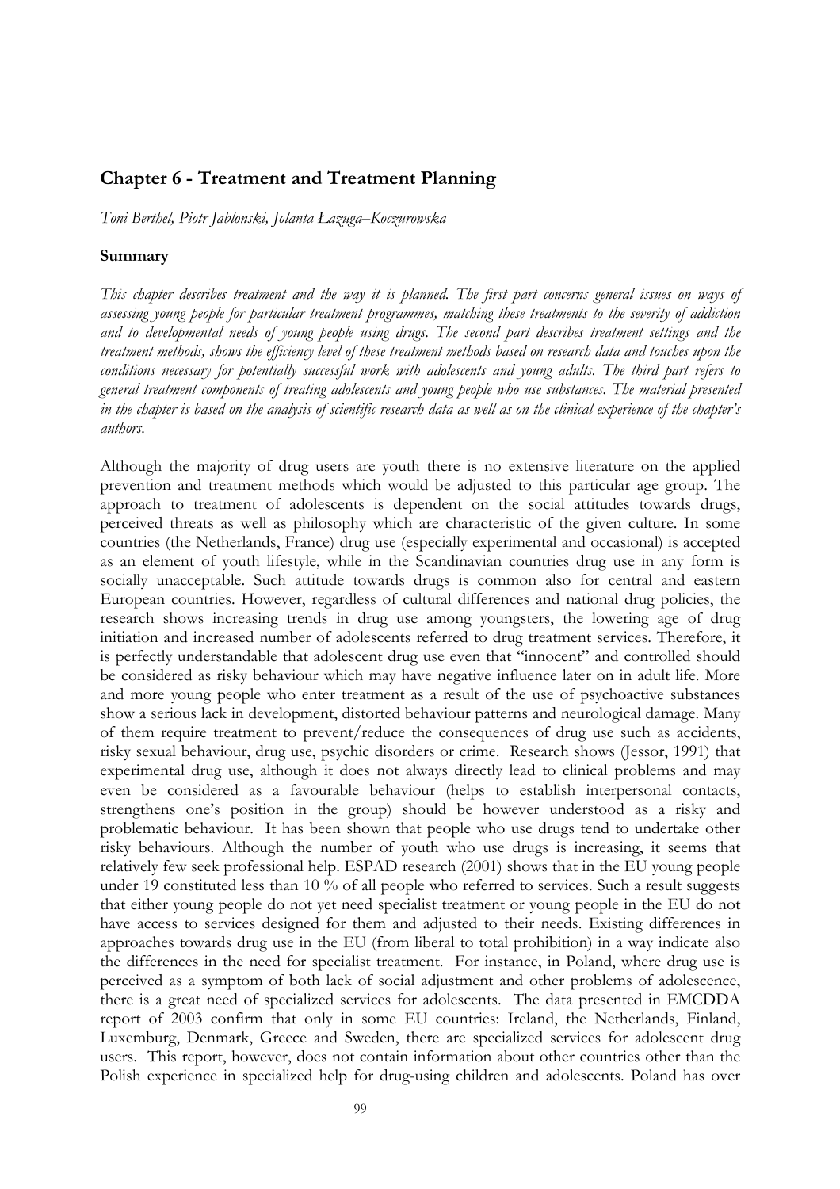# **Chapter 6 - Treatment and Treatment Planning**

*Toni Berthel, Piotr Jablonski, Jolanta Łazuga–Koczurowska* 

#### **Summary**

*This chapter describes treatment and the way it is planned. The first part concerns general issues on ways of assessing young people for particular treatment programmes, matching these treatments to the severity of addiction and to developmental needs of young people using drugs. The second part describes treatment settings and the treatment methods, shows the efficiency level of these treatment methods based on research data and touches upon the conditions necessary for potentially successful work with adolescents and young adults. The third part refers to general treatment components of treating adolescents and young people who use substances. The material presented in the chapter is based on the analysis of scientific research data as well as on the clinical experience of the chapter's authors.* 

Although the majority of drug users are youth there is no extensive literature on the applied prevention and treatment methods which would be adjusted to this particular age group. The approach to treatment of adolescents is dependent on the social attitudes towards drugs, perceived threats as well as philosophy which are characteristic of the given culture. In some countries (the Netherlands, France) drug use (especially experimental and occasional) is accepted as an element of youth lifestyle, while in the Scandinavian countries drug use in any form is socially unacceptable. Such attitude towards drugs is common also for central and eastern European countries. However, regardless of cultural differences and national drug policies, the research shows increasing trends in drug use among youngsters, the lowering age of drug initiation and increased number of adolescents referred to drug treatment services. Therefore, it is perfectly understandable that adolescent drug use even that "innocent" and controlled should be considered as risky behaviour which may have negative influence later on in adult life. More and more young people who enter treatment as a result of the use of psychoactive substances show a serious lack in development, distorted behaviour patterns and neurological damage. Many of them require treatment to prevent/reduce the consequences of drug use such as accidents, risky sexual behaviour, drug use, psychic disorders or crime. Research shows (Jessor, 1991) that experimental drug use, although it does not always directly lead to clinical problems and may even be considered as a favourable behaviour (helps to establish interpersonal contacts, strengthens one's position in the group) should be however understood as a risky and problematic behaviour. It has been shown that people who use drugs tend to undertake other risky behaviours. Although the number of youth who use drugs is increasing, it seems that relatively few seek professional help. ESPAD research (2001) shows that in the EU young people under 19 constituted less than 10 % of all people who referred to services. Such a result suggests that either young people do not yet need specialist treatment or young people in the EU do not have access to services designed for them and adjusted to their needs. Existing differences in approaches towards drug use in the EU (from liberal to total prohibition) in a way indicate also the differences in the need for specialist treatment. For instance, in Poland, where drug use is perceived as a symptom of both lack of social adjustment and other problems of adolescence, there is a great need of specialized services for adolescents. The data presented in EMCDDA report of 2003 confirm that only in some EU countries: Ireland, the Netherlands, Finland, Luxemburg, Denmark, Greece and Sweden, there are specialized services for adolescent drug users. This report, however, does not contain information about other countries other than the Polish experience in specialized help for drug-using children and adolescents. Poland has over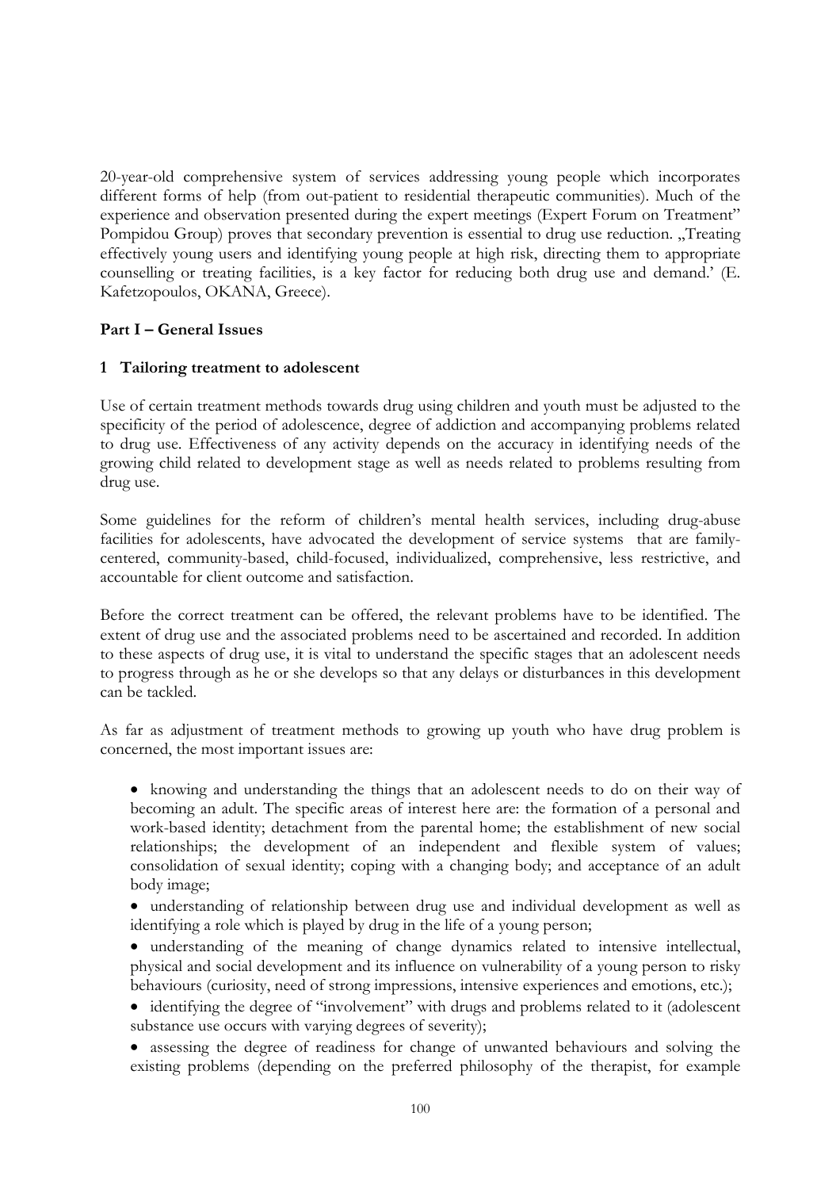20-year-old comprehensive system of services addressing young people which incorporates different forms of help (from out-patient to residential therapeutic communities). Much of the experience and observation presented during the expert meetings (Expert Forum on Treatment" Pompidou Group) proves that secondary prevention is essential to drug use reduction. "Treating effectively young users and identifying young people at high risk, directing them to appropriate counselling or treating facilities, is a key factor for reducing both drug use and demand.' (E. Kafetzopoulos, OKANA, Greece).

# **Part I – General Issues**

# **1 Tailoring treatment to adolescent**

Use of certain treatment methods towards drug using children and youth must be adjusted to the specificity of the period of adolescence, degree of addiction and accompanying problems related to drug use. Effectiveness of any activity depends on the accuracy in identifying needs of the growing child related to development stage as well as needs related to problems resulting from drug use.

Some guidelines for the reform of children's mental health services, including drug-abuse facilities for adolescents, have advocated the development of service systems that are familycentered, community-based, child-focused, individualized, comprehensive, less restrictive, and accountable for client outcome and satisfaction.

Before the correct treatment can be offered, the relevant problems have to be identified. The extent of drug use and the associated problems need to be ascertained and recorded. In addition to these aspects of drug use, it is vital to understand the specific stages that an adolescent needs to progress through as he or she develops so that any delays or disturbances in this development can be tackled.

As far as adjustment of treatment methods to growing up youth who have drug problem is concerned, the most important issues are:

• knowing and understanding the things that an adolescent needs to do on their way of becoming an adult. The specific areas of interest here are: the formation of a personal and work-based identity; detachment from the parental home; the establishment of new social relationships; the development of an independent and flexible system of values; consolidation of sexual identity; coping with a changing body; and acceptance of an adult body image;

• understanding of relationship between drug use and individual development as well as identifying a role which is played by drug in the life of a young person;

• understanding of the meaning of change dynamics related to intensive intellectual, physical and social development and its influence on vulnerability of a young person to risky behaviours (curiosity, need of strong impressions, intensive experiences and emotions, etc.);

• identifying the degree of "involvement" with drugs and problems related to it (adolescent substance use occurs with varying degrees of severity);

• assessing the degree of readiness for change of unwanted behaviours and solving the existing problems (depending on the preferred philosophy of the therapist, for example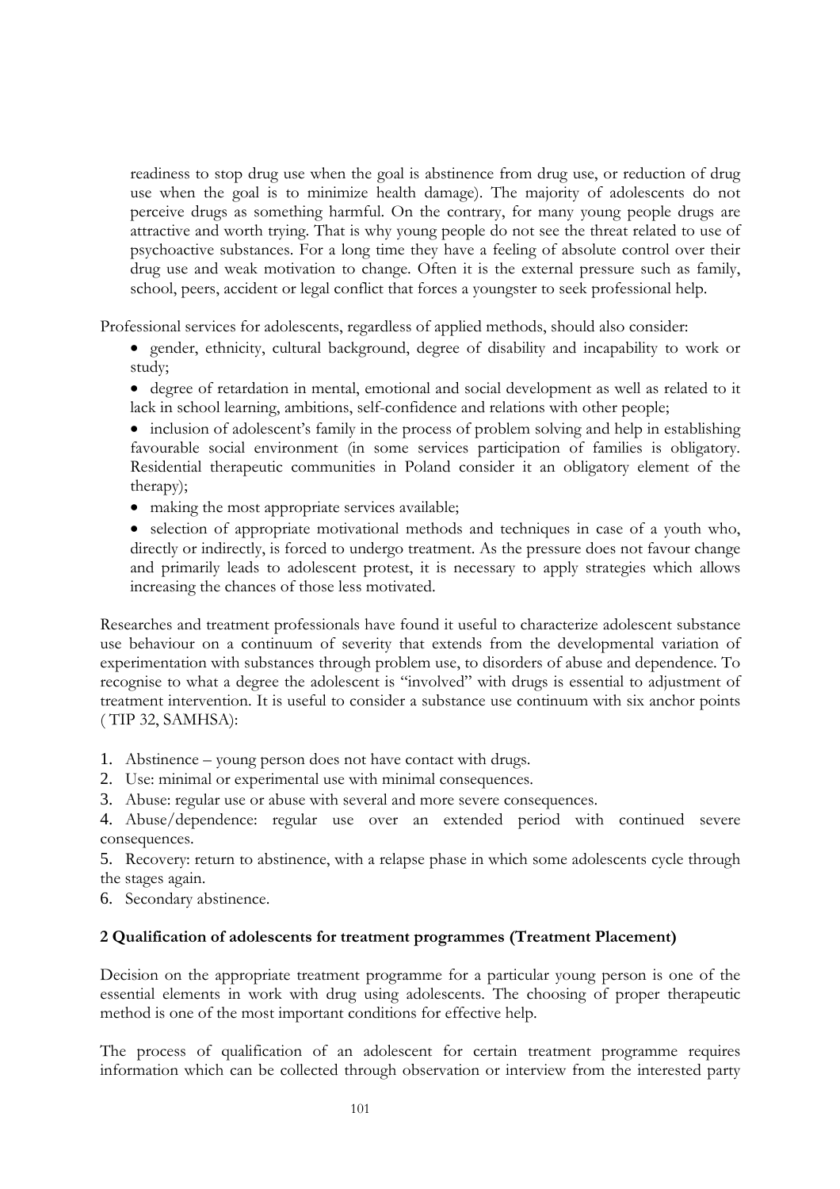readiness to stop drug use when the goal is abstinence from drug use, or reduction of drug use when the goal is to minimize health damage). The majority of adolescents do not perceive drugs as something harmful. On the contrary, for many young people drugs are attractive and worth trying. That is why young people do not see the threat related to use of psychoactive substances. For a long time they have a feeling of absolute control over their drug use and weak motivation to change. Often it is the external pressure such as family, school, peers, accident or legal conflict that forces a youngster to seek professional help.

Professional services for adolescents, regardless of applied methods, should also consider:

- gender, ethnicity, cultural background, degree of disability and incapability to work or study;
- degree of retardation in mental, emotional and social development as well as related to it lack in school learning, ambitions, self-confidence and relations with other people;
- inclusion of adolescent's family in the process of problem solving and help in establishing favourable social environment (in some services participation of families is obligatory. Residential therapeutic communities in Poland consider it an obligatory element of the therapy);
- making the most appropriate services available;
- selection of appropriate motivational methods and techniques in case of a youth who, directly or indirectly, is forced to undergo treatment. As the pressure does not favour change and primarily leads to adolescent protest, it is necessary to apply strategies which allows increasing the chances of those less motivated.

Researches and treatment professionals have found it useful to characterize adolescent substance use behaviour on a continuum of severity that extends from the developmental variation of experimentation with substances through problem use, to disorders of abuse and dependence. To recognise to what a degree the adolescent is "involved" with drugs is essential to adjustment of treatment intervention. It is useful to consider a substance use continuum with six anchor points ( TIP 32, SAMHSA):

- 1. Abstinence young person does not have contact with drugs.
- 2. Use: minimal or experimental use with minimal consequences.
- 3. Abuse: regular use or abuse with several and more severe consequences.

4. Abuse/dependence: regular use over an extended period with continued severe consequences.

5. Recovery: return to abstinence, with a relapse phase in which some adolescents cycle through the stages again.

6. Secondary abstinence.

# **2 Qualification of adolescents for treatment programmes (Treatment Placement)**

Decision on the appropriate treatment programme for a particular young person is one of the essential elements in work with drug using adolescents. The choosing of proper therapeutic method is one of the most important conditions for effective help.

The process of qualification of an adolescent for certain treatment programme requires information which can be collected through observation or interview from the interested party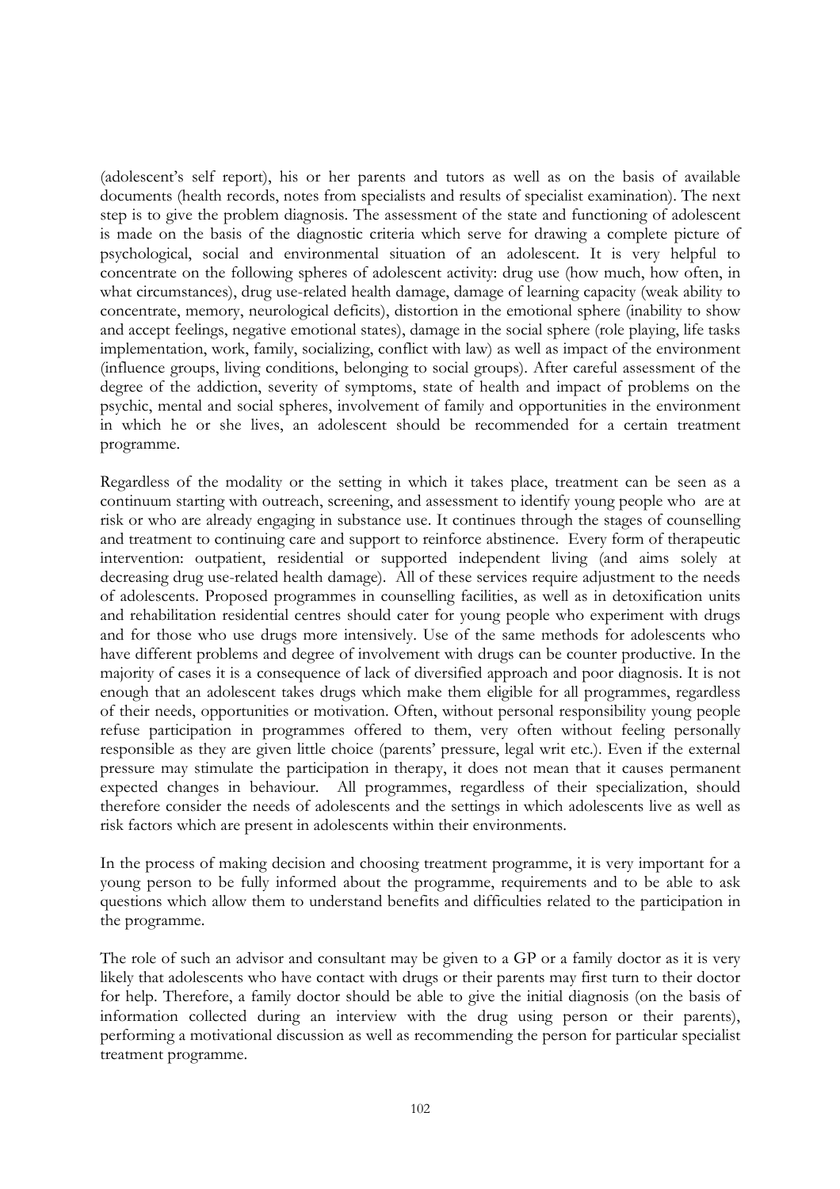(adolescent's self report), his or her parents and tutors as well as on the basis of available documents (health records, notes from specialists and results of specialist examination). The next step is to give the problem diagnosis. The assessment of the state and functioning of adolescent is made on the basis of the diagnostic criteria which serve for drawing a complete picture of psychological, social and environmental situation of an adolescent. It is very helpful to concentrate on the following spheres of adolescent activity: drug use (how much, how often, in what circumstances), drug use-related health damage, damage of learning capacity (weak ability to concentrate, memory, neurological deficits), distortion in the emotional sphere (inability to show and accept feelings, negative emotional states), damage in the social sphere (role playing, life tasks implementation, work, family, socializing, conflict with law) as well as impact of the environment (influence groups, living conditions, belonging to social groups). After careful assessment of the degree of the addiction, severity of symptoms, state of health and impact of problems on the psychic, mental and social spheres, involvement of family and opportunities in the environment in which he or she lives, an adolescent should be recommended for a certain treatment programme.

Regardless of the modality or the setting in which it takes place, treatment can be seen as a continuum starting with outreach, screening, and assessment to identify young people who are at risk or who are already engaging in substance use. It continues through the stages of counselling and treatment to continuing care and support to reinforce abstinence. Every form of therapeutic intervention: outpatient, residential or supported independent living (and aims solely at decreasing drug use-related health damage). All of these services require adjustment to the needs of adolescents. Proposed programmes in counselling facilities, as well as in detoxification units and rehabilitation residential centres should cater for young people who experiment with drugs and for those who use drugs more intensively. Use of the same methods for adolescents who have different problems and degree of involvement with drugs can be counter productive. In the majority of cases it is a consequence of lack of diversified approach and poor diagnosis. It is not enough that an adolescent takes drugs which make them eligible for all programmes, regardless of their needs, opportunities or motivation. Often, without personal responsibility young people refuse participation in programmes offered to them, very often without feeling personally responsible as they are given little choice (parents' pressure, legal writ etc.). Even if the external pressure may stimulate the participation in therapy, it does not mean that it causes permanent expected changes in behaviour. All programmes, regardless of their specialization, should therefore consider the needs of adolescents and the settings in which adolescents live as well as risk factors which are present in adolescents within their environments.

In the process of making decision and choosing treatment programme, it is very important for a young person to be fully informed about the programme, requirements and to be able to ask questions which allow them to understand benefits and difficulties related to the participation in the programme.

The role of such an advisor and consultant may be given to a GP or a family doctor as it is very likely that adolescents who have contact with drugs or their parents may first turn to their doctor for help. Therefore, a family doctor should be able to give the initial diagnosis (on the basis of information collected during an interview with the drug using person or their parents), performing a motivational discussion as well as recommending the person for particular specialist treatment programme.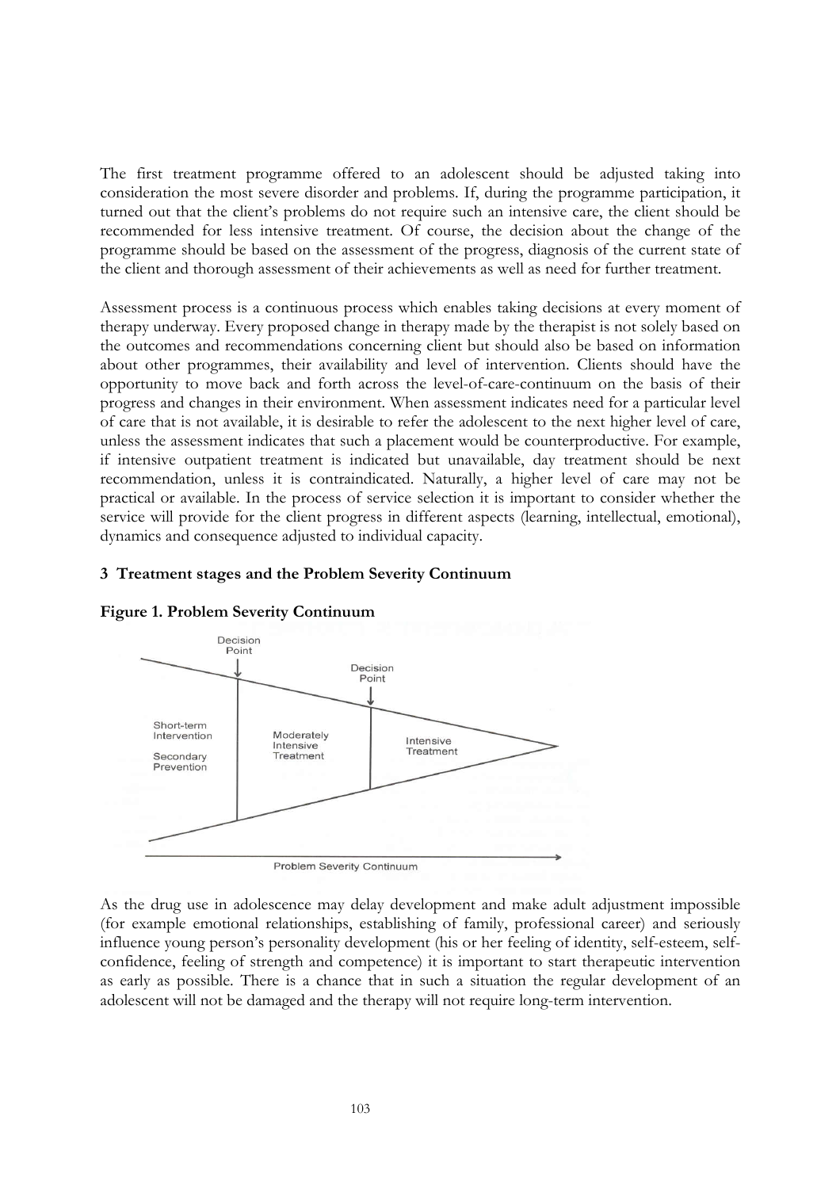The first treatment programme offered to an adolescent should be adjusted taking into consideration the most severe disorder and problems. If, during the programme participation, it turned out that the client's problems do not require such an intensive care, the client should be recommended for less intensive treatment. Of course, the decision about the change of the programme should be based on the assessment of the progress, diagnosis of the current state of the client and thorough assessment of their achievements as well as need for further treatment.

Assessment process is a continuous process which enables taking decisions at every moment of therapy underway. Every proposed change in therapy made by the therapist is not solely based on the outcomes and recommendations concerning client but should also be based on information about other programmes, their availability and level of intervention. Clients should have the opportunity to move back and forth across the level-of-care-continuum on the basis of their progress and changes in their environment. When assessment indicates need for a particular level of care that is not available, it is desirable to refer the adolescent to the next higher level of care, unless the assessment indicates that such a placement would be counterproductive. For example, if intensive outpatient treatment is indicated but unavailable, day treatment should be next recommendation, unless it is contraindicated. Naturally, a higher level of care may not be practical or available. In the process of service selection it is important to consider whether the service will provide for the client progress in different aspects (learning, intellectual, emotional), dynamics and consequence adjusted to individual capacity.

# **3 Treatment stages and the Problem Severity Continuum**



# **Figure 1. Problem Severity Continuum**

As the drug use in adolescence may delay development and make adult adjustment impossible (for example emotional relationships, establishing of family, professional career) and seriously influence young person's personality development (his or her feeling of identity, self-esteem, selfconfidence, feeling of strength and competence) it is important to start therapeutic intervention as early as possible. There is a chance that in such a situation the regular development of an adolescent will not be damaged and the therapy will not require long-term intervention.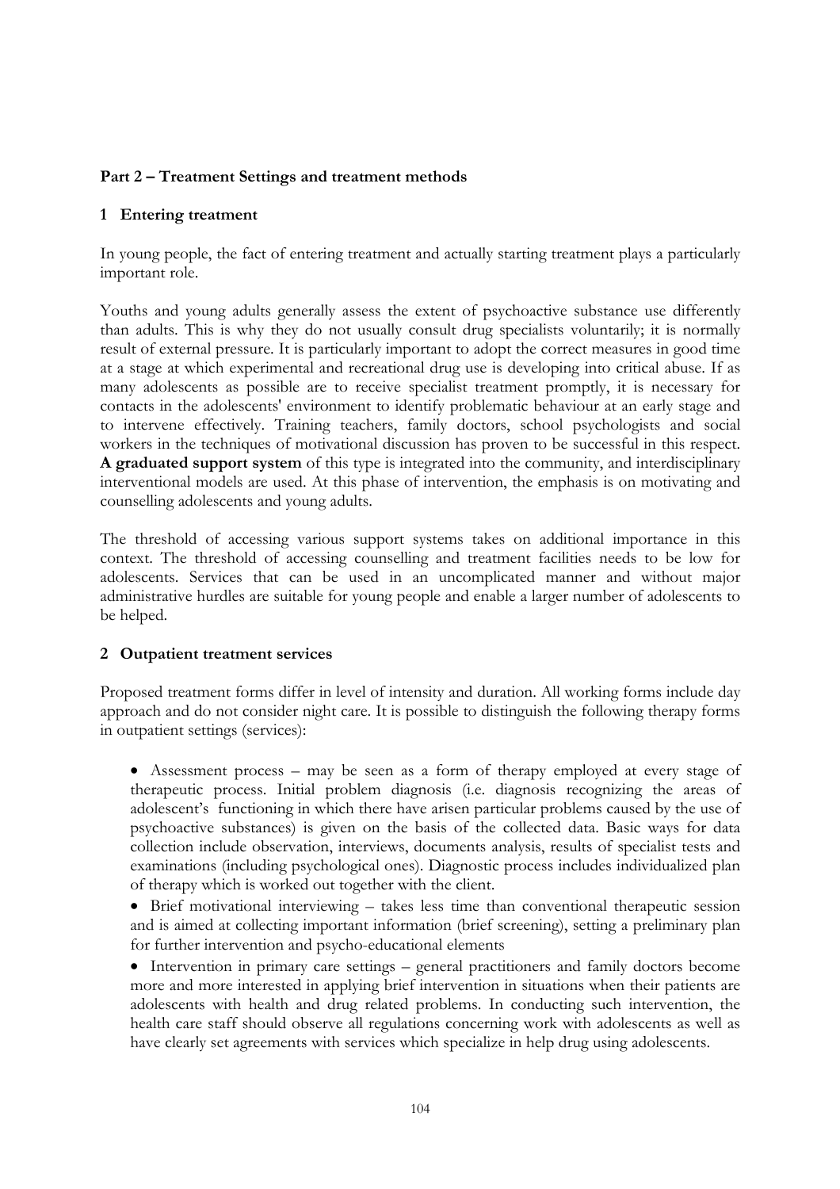# **Part 2 – Treatment Settings and treatment methods**

### **1 Entering treatment**

In young people, the fact of entering treatment and actually starting treatment plays a particularly important role.

Youths and young adults generally assess the extent of psychoactive substance use differently than adults. This is why they do not usually consult drug specialists voluntarily; it is normally result of external pressure. It is particularly important to adopt the correct measures in good time at a stage at which experimental and recreational drug use is developing into critical abuse. If as many adolescents as possible are to receive specialist treatment promptly, it is necessary for contacts in the adolescents' environment to identify problematic behaviour at an early stage and to intervene effectively. Training teachers, family doctors, school psychologists and social workers in the techniques of motivational discussion has proven to be successful in this respect. **A graduated support system** of this type is integrated into the community, and interdisciplinary interventional models are used. At this phase of intervention, the emphasis is on motivating and counselling adolescents and young adults.

The threshold of accessing various support systems takes on additional importance in this context. The threshold of accessing counselling and treatment facilities needs to be low for adolescents. Services that can be used in an uncomplicated manner and without major administrative hurdles are suitable for young people and enable a larger number of adolescents to be helped.

# **2 Outpatient treatment services**

Proposed treatment forms differ in level of intensity and duration. All working forms include day approach and do not consider night care. It is possible to distinguish the following therapy forms in outpatient settings (services):

• Assessment process – may be seen as a form of therapy employed at every stage of therapeutic process. Initial problem diagnosis (i.e. diagnosis recognizing the areas of adolescent's functioning in which there have arisen particular problems caused by the use of psychoactive substances) is given on the basis of the collected data. Basic ways for data collection include observation, interviews, documents analysis, results of specialist tests and examinations (including psychological ones). Diagnostic process includes individualized plan of therapy which is worked out together with the client.

• Brief motivational interviewing – takes less time than conventional therapeutic session and is aimed at collecting important information (brief screening), setting a preliminary plan for further intervention and psycho-educational elements

• Intervention in primary care settings – general practitioners and family doctors become more and more interested in applying brief intervention in situations when their patients are adolescents with health and drug related problems. In conducting such intervention, the health care staff should observe all regulations concerning work with adolescents as well as have clearly set agreements with services which specialize in help drug using adolescents.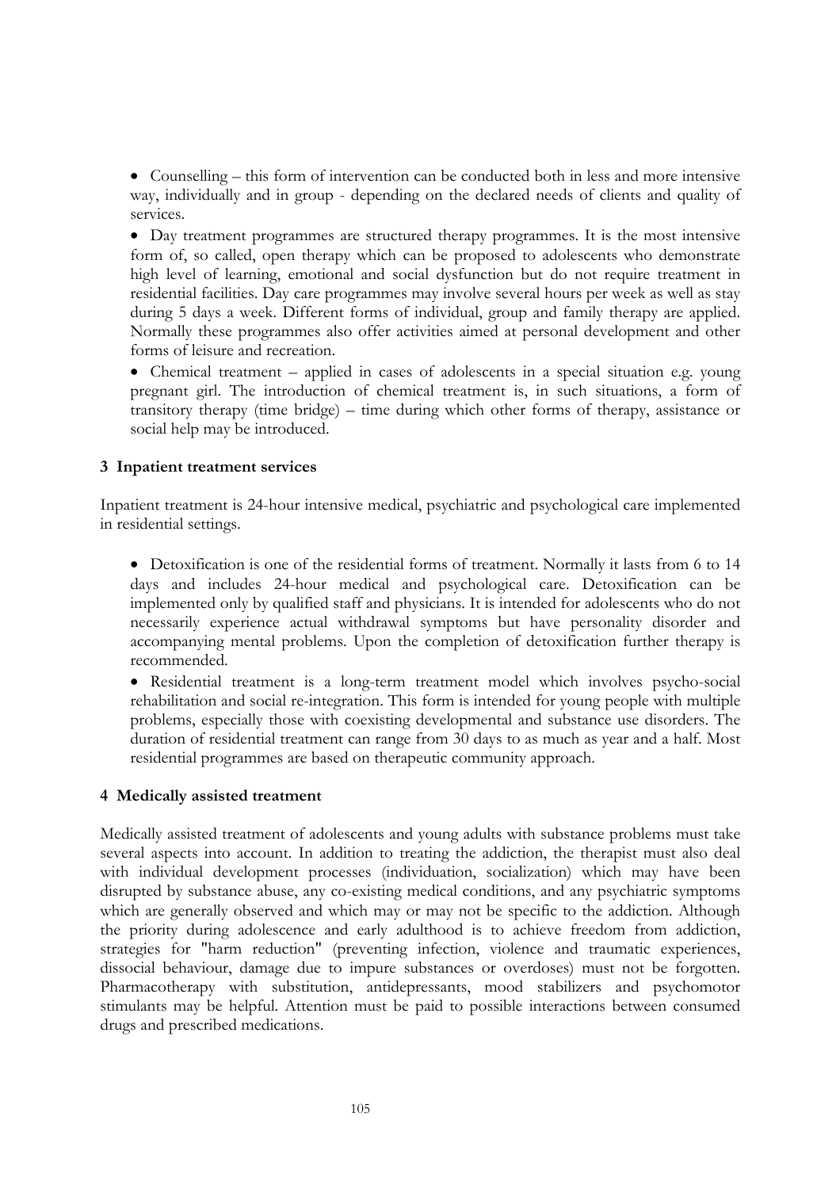• Counselling – this form of intervention can be conducted both in less and more intensive way, individually and in group - depending on the declared needs of clients and quality of services.

• Day treatment programmes are structured therapy programmes. It is the most intensive form of, so called, open therapy which can be proposed to adolescents who demonstrate high level of learning, emotional and social dysfunction but do not require treatment in residential facilities. Day care programmes may involve several hours per week as well as stay during 5 days a week. Different forms of individual, group and family therapy are applied. Normally these programmes also offer activities aimed at personal development and other forms of leisure and recreation.

• Chemical treatment – applied in cases of adolescents in a special situation e.g. young pregnant girl. The introduction of chemical treatment is, in such situations, a form of transitory therapy (time bridge) – time during which other forms of therapy, assistance or social help may be introduced.

### **3 Inpatient treatment services**

Inpatient treatment is 24-hour intensive medical, psychiatric and psychological care implemented in residential settings.

• Detoxification is one of the residential forms of treatment. Normally it lasts from 6 to 14 days and includes 24-hour medical and psychological care. Detoxification can be implemented only by qualified staff and physicians. It is intended for adolescents who do not necessarily experience actual withdrawal symptoms but have personality disorder and accompanying mental problems. Upon the completion of detoxification further therapy is recommended.

• Residential treatment is a long-term treatment model which involves psycho-social rehabilitation and social re-integration. This form is intended for young people with multiple problems, especially those with coexisting developmental and substance use disorders. The duration of residential treatment can range from 30 days to as much as year and a half. Most residential programmes are based on therapeutic community approach.

### **4 Medically assisted treatment**

Medically assisted treatment of adolescents and young adults with substance problems must take several aspects into account. In addition to treating the addiction, the therapist must also deal with individual development processes (individuation, socialization) which may have been disrupted by substance abuse, any co-existing medical conditions, and any psychiatric symptoms which are generally observed and which may or may not be specific to the addiction. Although the priority during adolescence and early adulthood is to achieve freedom from addiction, strategies for "harm reduction" (preventing infection, violence and traumatic experiences, dissocial behaviour, damage due to impure substances or overdoses) must not be forgotten. Pharmacotherapy with substitution, antidepressants, mood stabilizers and psychomotor stimulants may be helpful. Attention must be paid to possible interactions between consumed drugs and prescribed medications.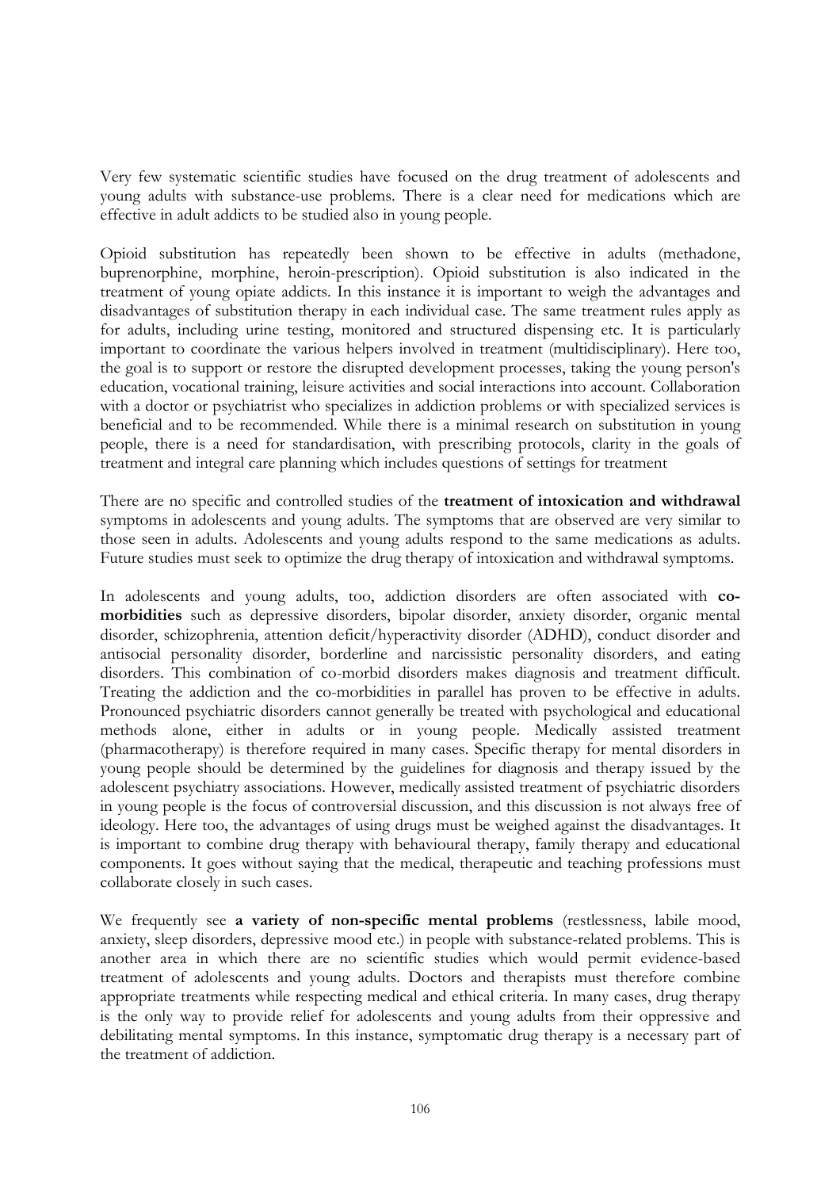Very few systematic scientific studies have focused on the drug treatment of adolescents and young adults with substance-use problems. There is a clear need for medications which are effective in adult addicts to be studied also in young people.

Opioid substitution has repeatedly been shown to be effective in adults (methadone, buprenorphine, morphine, heroin-prescription). Opioid substitution is also indicated in the treatment of young opiate addicts. In this instance it is important to weigh the advantages and disadvantages of substitution therapy in each individual case. The same treatment rules apply as for adults, including urine testing, monitored and structured dispensing etc. It is particularly important to coordinate the various helpers involved in treatment (multidisciplinary). Here too, the goal is to support or restore the disrupted development processes, taking the young person's education, vocational training, leisure activities and social interactions into account. Collaboration with a doctor or psychiatrist who specializes in addiction problems or with specialized services is beneficial and to be recommended. While there is a minimal research on substitution in young people, there is a need for standardisation, with prescribing protocols, clarity in the goals of treatment and integral care planning which includes questions of settings for treatment

There are no specific and controlled studies of the **treatment of intoxication and withdrawal** symptoms in adolescents and young adults. The symptoms that are observed are very similar to those seen in adults. Adolescents and young adults respond to the same medications as adults. Future studies must seek to optimize the drug therapy of intoxication and withdrawal symptoms.

In adolescents and young adults, too, addiction disorders are often associated with **comorbidities** such as depressive disorders, bipolar disorder, anxiety disorder, organic mental disorder, schizophrenia, attention deficit/hyperactivity disorder (ADHD), conduct disorder and antisocial personality disorder, borderline and narcissistic personality disorders, and eating disorders. This combination of co-morbid disorders makes diagnosis and treatment difficult. Treating the addiction and the co-morbidities in parallel has proven to be effective in adults. Pronounced psychiatric disorders cannot generally be treated with psychological and educational methods alone, either in adults or in young people. Medically assisted treatment (pharmacotherapy) is therefore required in many cases. Specific therapy for mental disorders in young people should be determined by the guidelines for diagnosis and therapy issued by the adolescent psychiatry associations. However, medically assisted treatment of psychiatric disorders in young people is the focus of controversial discussion, and this discussion is not always free of ideology. Here too, the advantages of using drugs must be weighed against the disadvantages. It is important to combine drug therapy with behavioural therapy, family therapy and educational components. It goes without saying that the medical, therapeutic and teaching professions must collaborate closely in such cases.

We frequently see **a variety of non-specific mental problems** (restlessness, labile mood, anxiety, sleep disorders, depressive mood etc.) in people with substance-related problems. This is another area in which there are no scientific studies which would permit evidence-based treatment of adolescents and young adults. Doctors and therapists must therefore combine appropriate treatments while respecting medical and ethical criteria. In many cases, drug therapy is the only way to provide relief for adolescents and young adults from their oppressive and debilitating mental symptoms. In this instance, symptomatic drug therapy is a necessary part of the treatment of addiction.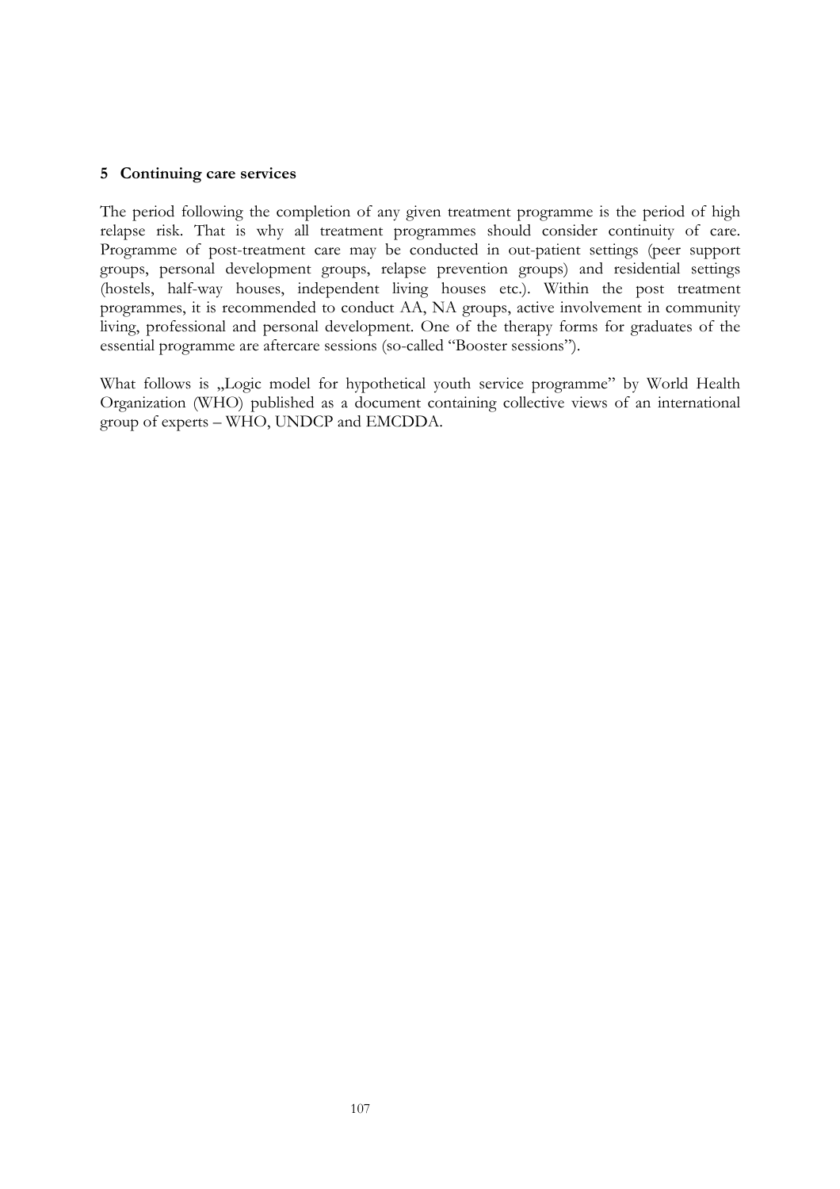## **5 Continuing care services**

The period following the completion of any given treatment programme is the period of high relapse risk. That is why all treatment programmes should consider continuity of care. Programme of post-treatment care may be conducted in out-patient settings (peer support groups, personal development groups, relapse prevention groups) and residential settings (hostels, half-way houses, independent living houses etc.). Within the post treatment programmes, it is recommended to conduct AA, NA groups, active involvement in community living, professional and personal development. One of the therapy forms for graduates of the essential programme are aftercare sessions (so-called "Booster sessions").

What follows is "Logic model for hypothetical youth service programme" by World Health Organization (WHO) published as a document containing collective views of an international group of experts – WHO, UNDCP and EMCDDA.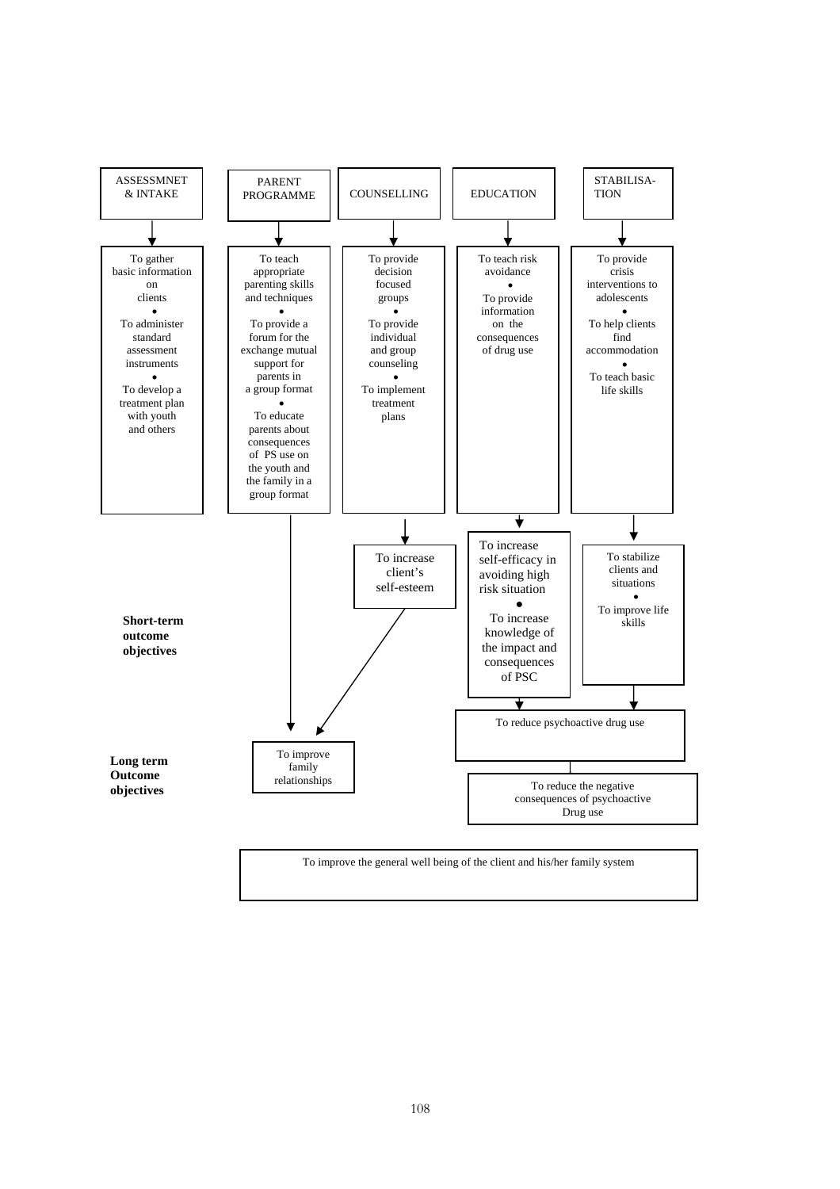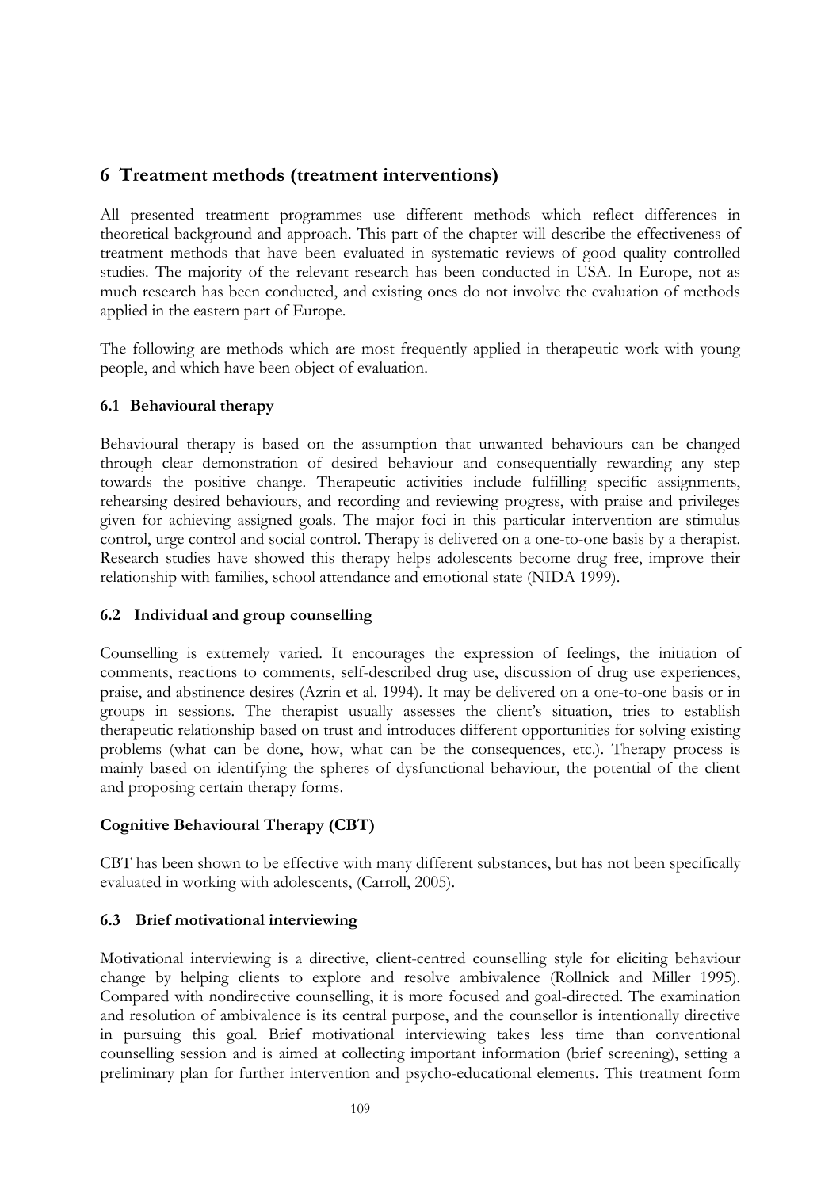# **6 Treatment methods (treatment interventions)**

All presented treatment programmes use different methods which reflect differences in theoretical background and approach. This part of the chapter will describe the effectiveness of treatment methods that have been evaluated in systematic reviews of good quality controlled studies. The majority of the relevant research has been conducted in USA. In Europe, not as much research has been conducted, and existing ones do not involve the evaluation of methods applied in the eastern part of Europe.

The following are methods which are most frequently applied in therapeutic work with young people, and which have been object of evaluation.

## **6.1 Behavioural therapy**

Behavioural therapy is based on the assumption that unwanted behaviours can be changed through clear demonstration of desired behaviour and consequentially rewarding any step towards the positive change. Therapeutic activities include fulfilling specific assignments, rehearsing desired behaviours, and recording and reviewing progress, with praise and privileges given for achieving assigned goals. The major foci in this particular intervention are stimulus control, urge control and social control. Therapy is delivered on a one-to-one basis by a therapist. Research studies have showed this therapy helps adolescents become drug free, improve their relationship with families, school attendance and emotional state (NIDA 1999).

## **6.2 Individual and group counselling**

Counselling is extremely varied. It encourages the expression of feelings, the initiation of comments, reactions to comments, self-described drug use, discussion of drug use experiences, praise, and abstinence desires (Azrin et al. 1994). It may be delivered on a one-to-one basis or in groups in sessions. The therapist usually assesses the client's situation, tries to establish therapeutic relationship based on trust and introduces different opportunities for solving existing problems (what can be done, how, what can be the consequences, etc.). Therapy process is mainly based on identifying the spheres of dysfunctional behaviour, the potential of the client and proposing certain therapy forms.

## **Cognitive Behavioural Therapy (CBT)**

CBT has been shown to be effective with many different substances, but has not been specifically evaluated in working with adolescents, (Carroll, 2005).

## **6.3 Brief motivational interviewing**

Motivational interviewing is a directive, client-centred counselling style for eliciting behaviour change by helping clients to explore and resolve ambivalence (Rollnick and Miller 1995). Compared with nondirective counselling, it is more focused and goal-directed. The examination and resolution of ambivalence is its central purpose, and the counsellor is intentionally directive in pursuing this goal. Brief motivational interviewing takes less time than conventional counselling session and is aimed at collecting important information (brief screening), setting a preliminary plan for further intervention and psycho-educational elements. This treatment form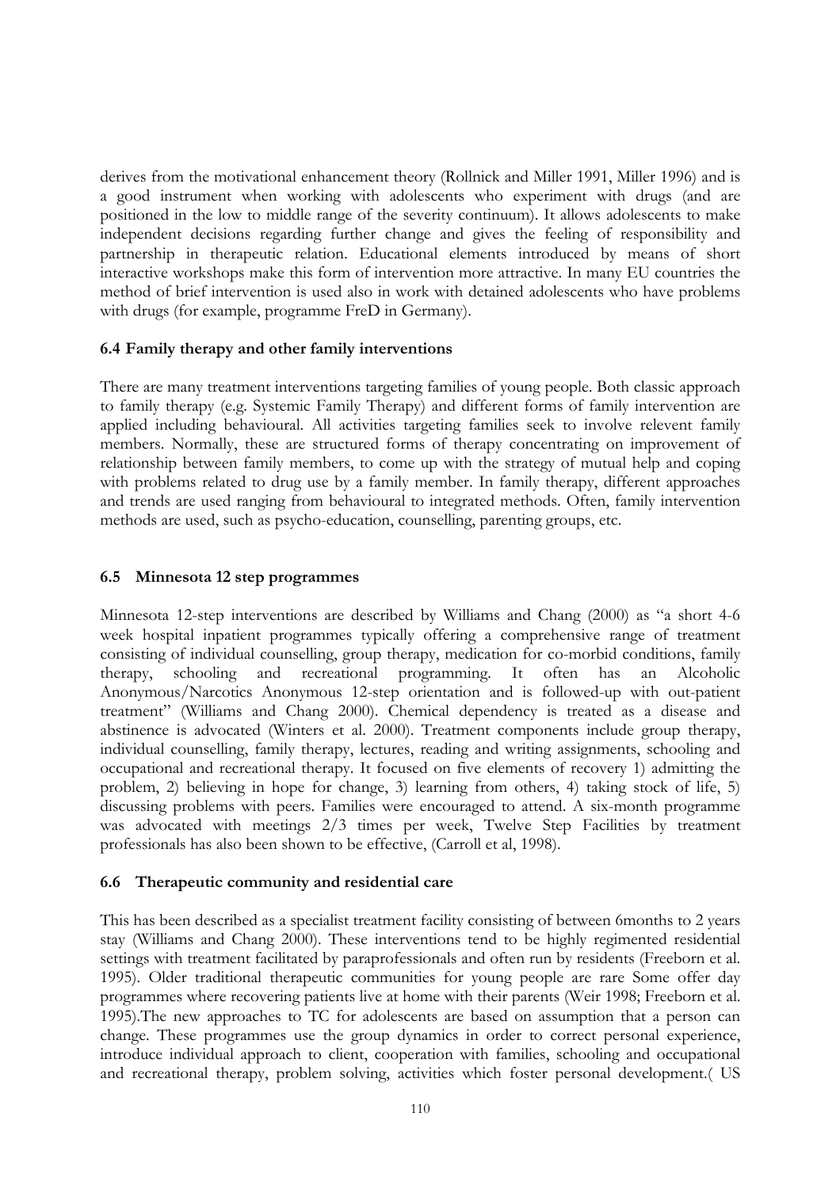derives from the motivational enhancement theory (Rollnick and Miller 1991, Miller 1996) and is a good instrument when working with adolescents who experiment with drugs (and are positioned in the low to middle range of the severity continuum). It allows adolescents to make independent decisions regarding further change and gives the feeling of responsibility and partnership in therapeutic relation. Educational elements introduced by means of short interactive workshops make this form of intervention more attractive. In many EU countries the method of brief intervention is used also in work with detained adolescents who have problems with drugs (for example, programme FreD in Germany).

## **6.4 Family therapy and other family interventions**

There are many treatment interventions targeting families of young people. Both classic approach to family therapy (e.g. Systemic Family Therapy) and different forms of family intervention are applied including behavioural. All activities targeting families seek to involve relevent family members. Normally, these are structured forms of therapy concentrating on improvement of relationship between family members, to come up with the strategy of mutual help and coping with problems related to drug use by a family member. In family therapy, different approaches and trends are used ranging from behavioural to integrated methods. Often, family intervention methods are used, such as psycho-education, counselling, parenting groups, etc.

## **6.5 Minnesota 12 step programmes**

Minnesota 12-step interventions are described by Williams and Chang (2000) as "a short 4-6 week hospital inpatient programmes typically offering a comprehensive range of treatment consisting of individual counselling, group therapy, medication for co-morbid conditions, family therapy, schooling and recreational programming. It often has an Alcoholic Anonymous/Narcotics Anonymous 12-step orientation and is followed-up with out-patient treatment" (Williams and Chang 2000). Chemical dependency is treated as a disease and abstinence is advocated (Winters et al. 2000). Treatment components include group therapy, individual counselling, family therapy, lectures, reading and writing assignments, schooling and occupational and recreational therapy. It focused on five elements of recovery 1) admitting the problem, 2) believing in hope for change, 3) learning from others, 4) taking stock of life, 5) discussing problems with peers. Families were encouraged to attend. A six-month programme was advocated with meetings 2/3 times per week, Twelve Step Facilities by treatment professionals has also been shown to be effective, (Carroll et al, 1998).

## **6.6 Therapeutic community and residential care**

This has been described as a specialist treatment facility consisting of between 6months to 2 years stay (Williams and Chang 2000). These interventions tend to be highly regimented residential settings with treatment facilitated by paraprofessionals and often run by residents (Freeborn et al. 1995). Older traditional therapeutic communities for young people are rare Some offer day programmes where recovering patients live at home with their parents (Weir 1998; Freeborn et al. 1995).The new approaches to TC for adolescents are based on assumption that a person can change. These programmes use the group dynamics in order to correct personal experience, introduce individual approach to client, cooperation with families, schooling and occupational and recreational therapy, problem solving, activities which foster personal development.( US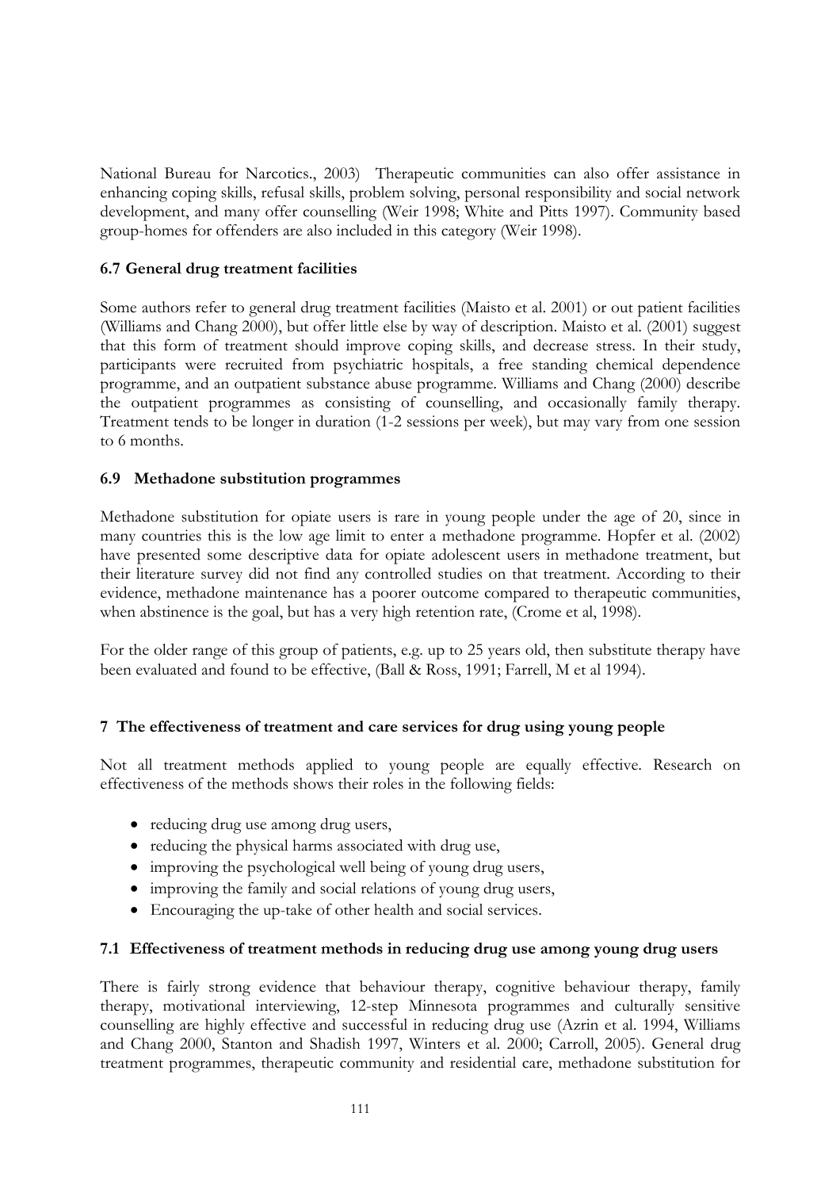National Bureau for Narcotics., 2003) Therapeutic communities can also offer assistance in enhancing coping skills, refusal skills, problem solving, personal responsibility and social network development, and many offer counselling (Weir 1998; White and Pitts 1997). Community based group-homes for offenders are also included in this category (Weir 1998).

## **6.7 General drug treatment facilities**

Some authors refer to general drug treatment facilities (Maisto et al. 2001) or out patient facilities (Williams and Chang 2000), but offer little else by way of description. Maisto et al. (2001) suggest that this form of treatment should improve coping skills, and decrease stress. In their study, participants were recruited from psychiatric hospitals, a free standing chemical dependence programme, and an outpatient substance abuse programme. Williams and Chang (2000) describe the outpatient programmes as consisting of counselling, and occasionally family therapy. Treatment tends to be longer in duration (1-2 sessions per week), but may vary from one session to 6 months.

## **6.9 Methadone substitution programmes**

Methadone substitution for opiate users is rare in young people under the age of 20, since in many countries this is the low age limit to enter a methadone programme. Hopfer et al. (2002) have presented some descriptive data for opiate adolescent users in methadone treatment, but their literature survey did not find any controlled studies on that treatment. According to their evidence, methadone maintenance has a poorer outcome compared to therapeutic communities, when abstinence is the goal, but has a very high retention rate, (Crome et al, 1998).

For the older range of this group of patients, e.g. up to 25 years old, then substitute therapy have been evaluated and found to be effective, (Ball & Ross, 1991; Farrell, M et al 1994).

## **7 The effectiveness of treatment and care services for drug using young people**

Not all treatment methods applied to young people are equally effective. Research on effectiveness of the methods shows their roles in the following fields:

- reducing drug use among drug users,
- reducing the physical harms associated with drug use,
- improving the psychological well being of young drug users,
- improving the family and social relations of young drug users,
- Encouraging the up-take of other health and social services.

## **7.1 Effectiveness of treatment methods in reducing drug use among young drug users**

There is fairly strong evidence that behaviour therapy, cognitive behaviour therapy, family therapy, motivational interviewing, 12-step Minnesota programmes and culturally sensitive counselling are highly effective and successful in reducing drug use (Azrin et al. 1994, Williams and Chang 2000, Stanton and Shadish 1997, Winters et al. 2000; Carroll, 2005). General drug treatment programmes, therapeutic community and residential care, methadone substitution for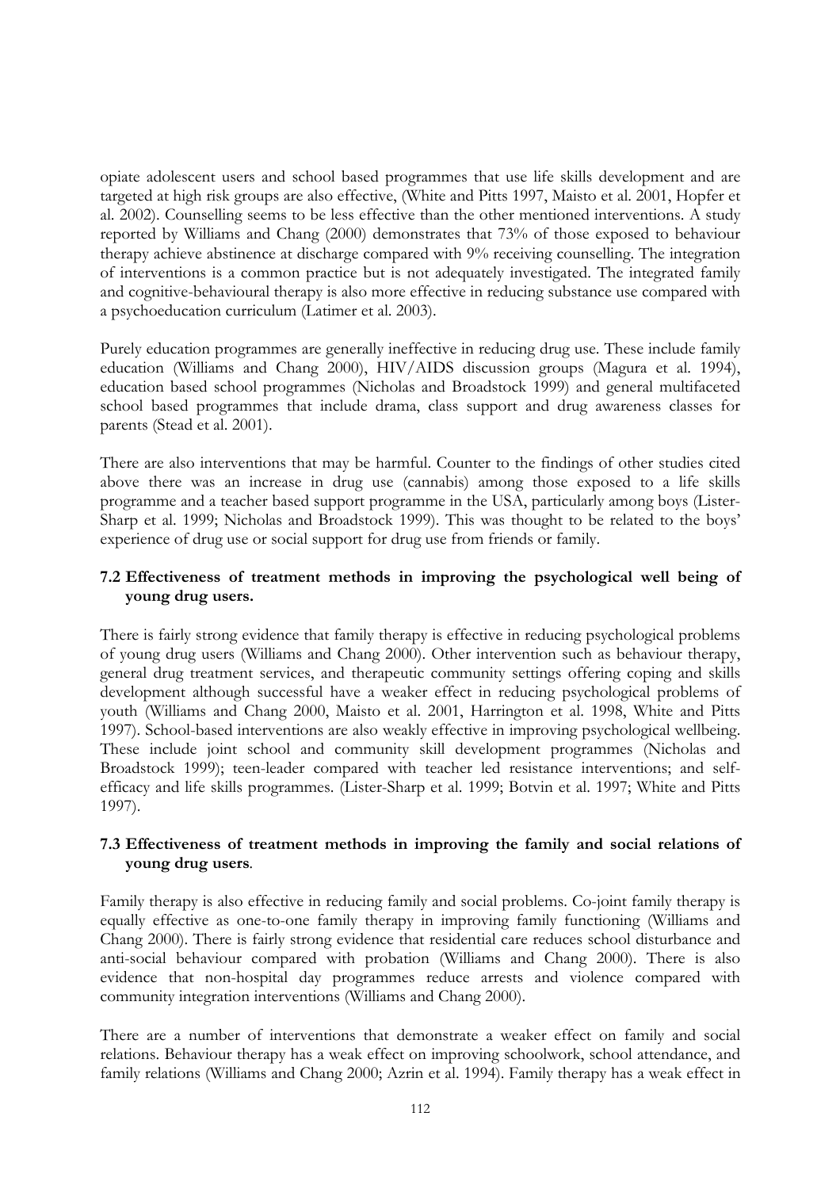opiate adolescent users and school based programmes that use life skills development and are targeted at high risk groups are also effective, (White and Pitts 1997, Maisto et al. 2001, Hopfer et al. 2002). Counselling seems to be less effective than the other mentioned interventions. A study reported by Williams and Chang (2000) demonstrates that 73% of those exposed to behaviour therapy achieve abstinence at discharge compared with 9% receiving counselling. The integration of interventions is a common practice but is not adequately investigated. The integrated family and cognitive-behavioural therapy is also more effective in reducing substance use compared with a psychoeducation curriculum (Latimer et al. 2003).

Purely education programmes are generally ineffective in reducing drug use. These include family education (Williams and Chang 2000), HIV/AIDS discussion groups (Magura et al. 1994), education based school programmes (Nicholas and Broadstock 1999) and general multifaceted school based programmes that include drama, class support and drug awareness classes for parents (Stead et al. 2001).

There are also interventions that may be harmful. Counter to the findings of other studies cited above there was an increase in drug use (cannabis) among those exposed to a life skills programme and a teacher based support programme in the USA, particularly among boys (Lister-Sharp et al. 1999; Nicholas and Broadstock 1999). This was thought to be related to the boys' experience of drug use or social support for drug use from friends or family.

## **7.2 Effectiveness of treatment methods in improving the psychological well being of young drug users.**

There is fairly strong evidence that family therapy is effective in reducing psychological problems of young drug users (Williams and Chang 2000). Other intervention such as behaviour therapy, general drug treatment services, and therapeutic community settings offering coping and skills development although successful have a weaker effect in reducing psychological problems of youth (Williams and Chang 2000, Maisto et al. 2001, Harrington et al. 1998, White and Pitts 1997). School-based interventions are also weakly effective in improving psychological wellbeing. These include joint school and community skill development programmes (Nicholas and Broadstock 1999); teen-leader compared with teacher led resistance interventions; and selfefficacy and life skills programmes. (Lister-Sharp et al. 1999; Botvin et al. 1997; White and Pitts 1997).

## **7.3 Effectiveness of treatment methods in improving the family and social relations of young drug users***.*

Family therapy is also effective in reducing family and social problems. Co-joint family therapy is equally effective as one-to-one family therapy in improving family functioning (Williams and Chang 2000). There is fairly strong evidence that residential care reduces school disturbance and anti-social behaviour compared with probation (Williams and Chang 2000). There is also evidence that non-hospital day programmes reduce arrests and violence compared with community integration interventions (Williams and Chang 2000).

There are a number of interventions that demonstrate a weaker effect on family and social relations. Behaviour therapy has a weak effect on improving schoolwork, school attendance, and family relations (Williams and Chang 2000; Azrin et al. 1994). Family therapy has a weak effect in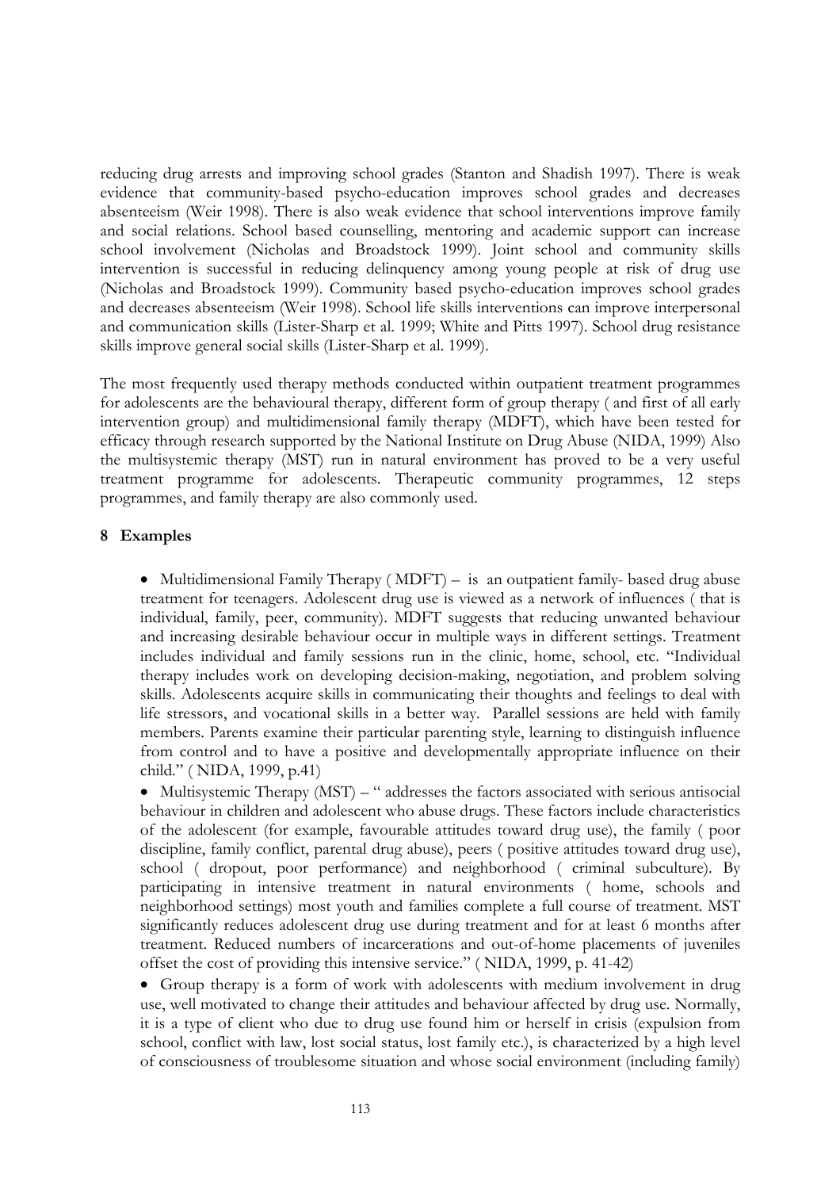reducing drug arrests and improving school grades (Stanton and Shadish 1997). There is weak evidence that community-based psycho-education improves school grades and decreases absenteeism (Weir 1998). There is also weak evidence that school interventions improve family and social relations. School based counselling, mentoring and academic support can increase school involvement (Nicholas and Broadstock 1999). Joint school and community skills intervention is successful in reducing delinquency among young people at risk of drug use (Nicholas and Broadstock 1999). Community based psycho-education improves school grades and decreases absenteeism (Weir 1998). School life skills interventions can improve interpersonal and communication skills (Lister-Sharp et al. 1999; White and Pitts 1997). School drug resistance skills improve general social skills (Lister-Sharp et al. 1999).

The most frequently used therapy methods conducted within outpatient treatment programmes for adolescents are the behavioural therapy, different form of group therapy ( and first of all early intervention group) and multidimensional family therapy (MDFT), which have been tested for efficacy through research supported by the National Institute on Drug Abuse (NIDA, 1999) Also the multisystemic therapy (MST) run in natural environment has proved to be a very useful treatment programme for adolescents. Therapeutic community programmes, 12 steps programmes, and family therapy are also commonly used.

## **8 Examples**

• Multidimensional Family Therapy (MDFT) – is an outpatient family- based drug abuse treatment for teenagers. Adolescent drug use is viewed as a network of influences ( that is individual, family, peer, community). MDFT suggests that reducing unwanted behaviour and increasing desirable behaviour occur in multiple ways in different settings. Treatment includes individual and family sessions run in the clinic, home, school, etc. "Individual therapy includes work on developing decision-making, negotiation, and problem solving skills. Adolescents acquire skills in communicating their thoughts and feelings to deal with life stressors, and vocational skills in a better way. Parallel sessions are held with family members. Parents examine their particular parenting style, learning to distinguish influence from control and to have a positive and developmentally appropriate influence on their child." ( NIDA, 1999, p.41)

• Multisystemic Therapy (MST) – " addresses the factors associated with serious antisocial behaviour in children and adolescent who abuse drugs. These factors include characteristics of the adolescent (for example, favourable attitudes toward drug use), the family ( poor discipline, family conflict, parental drug abuse), peers ( positive attitudes toward drug use), school ( dropout, poor performance) and neighborhood ( criminal subculture). By participating in intensive treatment in natural environments ( home, schools and neighborhood settings) most youth and families complete a full course of treatment. MST significantly reduces adolescent drug use during treatment and for at least 6 months after treatment. Reduced numbers of incarcerations and out-of-home placements of juveniles offset the cost of providing this intensive service." ( NIDA, 1999, p. 41-42)

• Group therapy is a form of work with adolescents with medium involvement in drug use, well motivated to change their attitudes and behaviour affected by drug use. Normally, it is a type of client who due to drug use found him or herself in crisis (expulsion from school, conflict with law, lost social status, lost family etc.), is characterized by a high level of consciousness of troublesome situation and whose social environment (including family)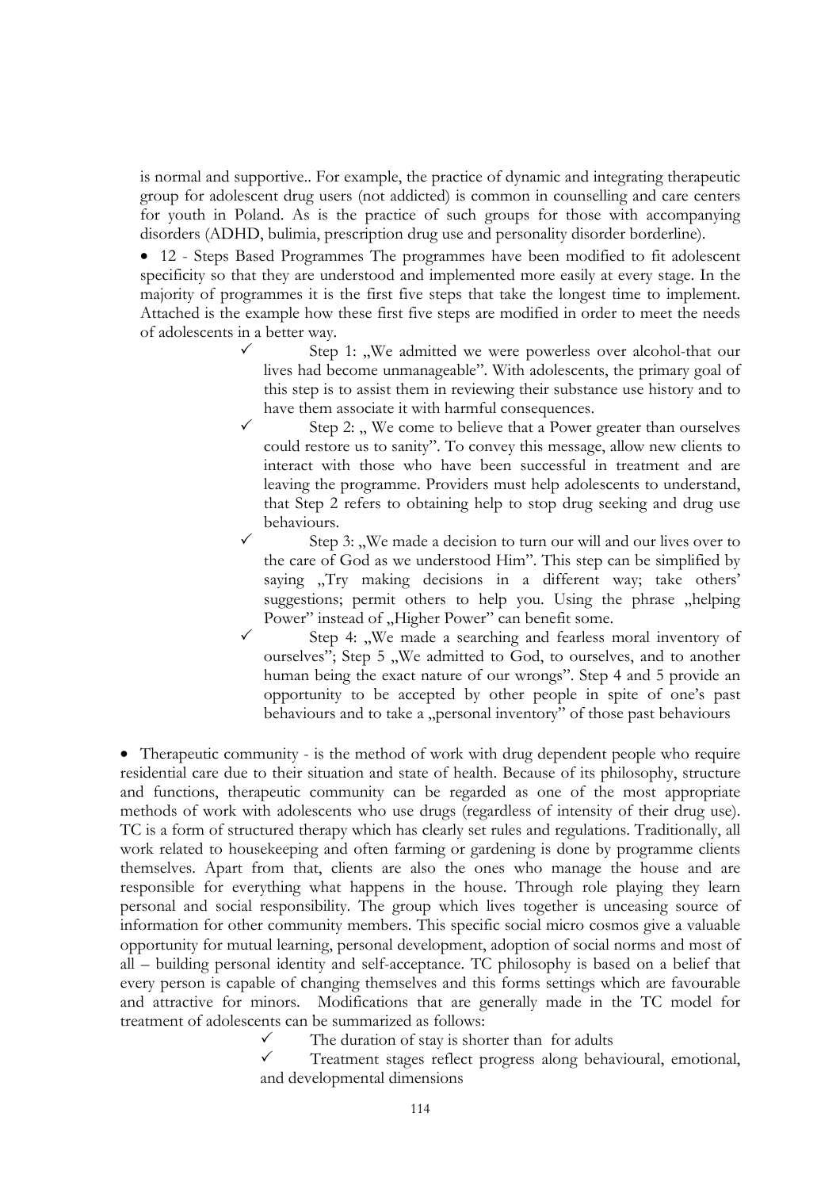is normal and supportive.. For example, the practice of dynamic and integrating therapeutic group for adolescent drug users (not addicted) is common in counselling and care centers for youth in Poland. As is the practice of such groups for those with accompanying disorders (ADHD, bulimia, prescription drug use and personality disorder borderline).

• 12 - Steps Based Programmes The programmes have been modified to fit adolescent specificity so that they are understood and implemented more easily at every stage. In the majority of programmes it is the first five steps that take the longest time to implement. Attached is the example how these first five steps are modified in order to meet the needs of adolescents in a better way.

- Step 1: "We admitted we were powerless over alcohol-that our lives had become unmanageable". With adolescents, the primary goal of this step is to assist them in reviewing their substance use history and to have them associate it with harmful consequences.
- $\checkmark$  Step 2: . We come to believe that a Power greater than ourselves could restore us to sanity". To convey this message, allow new clients to interact with those who have been successful in treatment and are leaving the programme. Providers must help adolescents to understand, that Step 2 refers to obtaining help to stop drug seeking and drug use behaviours.
- $\checkmark$  Step 3: "We made a decision to turn our will and our lives over to the care of God as we understood Him". This step can be simplified by saying "Try making decisions in a different way; take others' suggestions; permit others to help you. Using the phrase "helping Power" instead of "Higher Power" can benefit some.
- $\checkmark$  Step 4: "We made a searching and fearless moral inventory of ourselves"; Step 5, We admitted to God, to ourselves, and to another human being the exact nature of our wrongs". Step 4 and 5 provide an opportunity to be accepted by other people in spite of one's past behaviours and to take a "personal inventory" of those past behaviours

• Therapeutic community - is the method of work with drug dependent people who require residential care due to their situation and state of health. Because of its philosophy, structure and functions, therapeutic community can be regarded as one of the most appropriate methods of work with adolescents who use drugs (regardless of intensity of their drug use). TC is a form of structured therapy which has clearly set rules and regulations. Traditionally, all work related to housekeeping and often farming or gardening is done by programme clients themselves. Apart from that, clients are also the ones who manage the house and are responsible for everything what happens in the house. Through role playing they learn personal and social responsibility. The group which lives together is unceasing source of information for other community members. This specific social micro cosmos give a valuable opportunity for mutual learning, personal development, adoption of social norms and most of all – building personal identity and self-acceptance. TC philosophy is based on a belief that every person is capable of changing themselves and this forms settings which are favourable and attractive for minors. Modifications that are generally made in the TC model for treatment of adolescents can be summarized as follows:

 $\checkmark$  The duration of stay is shorter than for adults

 $\checkmark$  Treatment stages reflect progress along behavioural, emotional, and developmental dimensions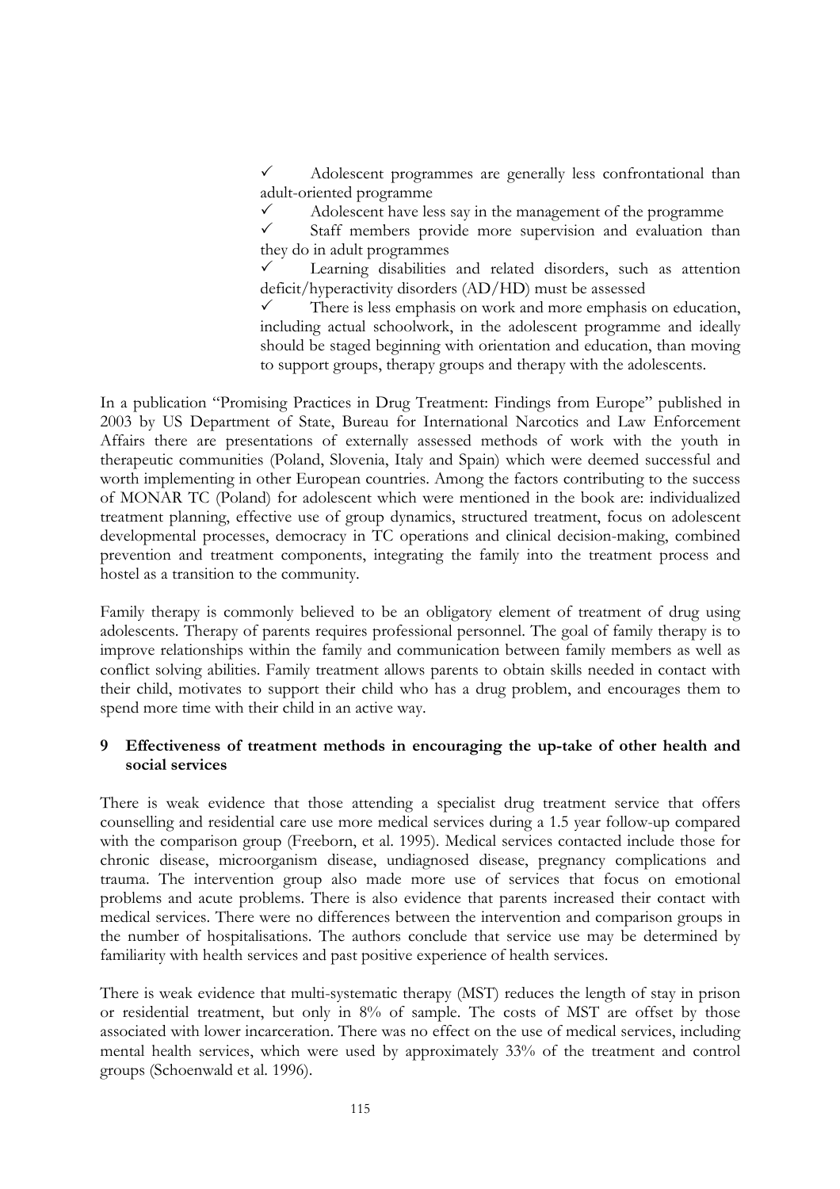$\checkmark$  Adolescent programmes are generally less confrontational than adult-oriented programme

 $\checkmark$  Adolescent have less say in the management of the programme  $\checkmark$  Staff members provide more supervision and evaluation that

Staff members provide more supervision and evaluation than they do in adult programmes

Learning disabilities and related disorders, such as attention deficit/hyperactivity disorders (AD/HD) must be assessed

There is less emphasis on work and more emphasis on education, including actual schoolwork, in the adolescent programme and ideally should be staged beginning with orientation and education, than moving to support groups, therapy groups and therapy with the adolescents.

In a publication "Promising Practices in Drug Treatment: Findings from Europe" published in 2003 by US Department of State, Bureau for International Narcotics and Law Enforcement Affairs there are presentations of externally assessed methods of work with the youth in therapeutic communities (Poland, Slovenia, Italy and Spain) which were deemed successful and worth implementing in other European countries. Among the factors contributing to the success of MONAR TC (Poland) for adolescent which were mentioned in the book are: individualized treatment planning, effective use of group dynamics, structured treatment, focus on adolescent developmental processes, democracy in TC operations and clinical decision-making, combined prevention and treatment components, integrating the family into the treatment process and hostel as a transition to the community.

Family therapy is commonly believed to be an obligatory element of treatment of drug using adolescents. Therapy of parents requires professional personnel. The goal of family therapy is to improve relationships within the family and communication between family members as well as conflict solving abilities. Family treatment allows parents to obtain skills needed in contact with their child, motivates to support their child who has a drug problem, and encourages them to spend more time with their child in an active way.

## **9 Effectiveness of treatment methods in encouraging the up-take of other health and social services**

There is weak evidence that those attending a specialist drug treatment service that offers counselling and residential care use more medical services during a 1.5 year follow-up compared with the comparison group (Freeborn, et al. 1995). Medical services contacted include those for chronic disease, microorganism disease, undiagnosed disease, pregnancy complications and trauma. The intervention group also made more use of services that focus on emotional problems and acute problems. There is also evidence that parents increased their contact with medical services. There were no differences between the intervention and comparison groups in the number of hospitalisations. The authors conclude that service use may be determined by familiarity with health services and past positive experience of health services.

There is weak evidence that multi-systematic therapy (MST) reduces the length of stay in prison or residential treatment, but only in 8% of sample. The costs of MST are offset by those associated with lower incarceration. There was no effect on the use of medical services, including mental health services, which were used by approximately 33% of the treatment and control groups (Schoenwald et al. 1996).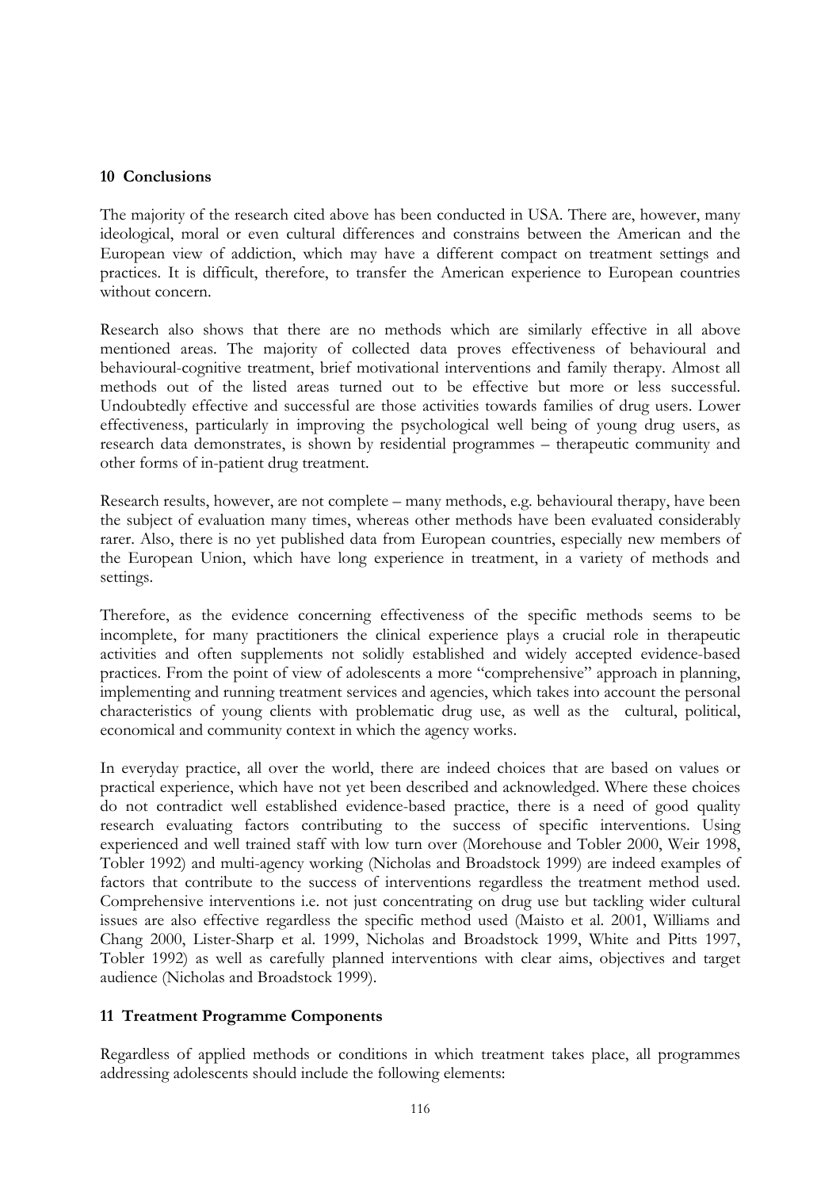## **10 Conclusions**

The majority of the research cited above has been conducted in USA. There are, however, many ideological, moral or even cultural differences and constrains between the American and the European view of addiction, which may have a different compact on treatment settings and practices. It is difficult, therefore, to transfer the American experience to European countries without concern.

Research also shows that there are no methods which are similarly effective in all above mentioned areas. The majority of collected data proves effectiveness of behavioural and behavioural-cognitive treatment, brief motivational interventions and family therapy. Almost all methods out of the listed areas turned out to be effective but more or less successful. Undoubtedly effective and successful are those activities towards families of drug users. Lower effectiveness, particularly in improving the psychological well being of young drug users, as research data demonstrates, is shown by residential programmes – therapeutic community and other forms of in-patient drug treatment.

Research results, however, are not complete – many methods, e.g. behavioural therapy, have been the subject of evaluation many times, whereas other methods have been evaluated considerably rarer. Also, there is no yet published data from European countries, especially new members of the European Union, which have long experience in treatment, in a variety of methods and settings.

Therefore, as the evidence concerning effectiveness of the specific methods seems to be incomplete, for many practitioners the clinical experience plays a crucial role in therapeutic activities and often supplements not solidly established and widely accepted evidence-based practices. From the point of view of adolescents a more "comprehensive" approach in planning, implementing and running treatment services and agencies, which takes into account the personal characteristics of young clients with problematic drug use, as well as the cultural, political, economical and community context in which the agency works.

In everyday practice, all over the world, there are indeed choices that are based on values or practical experience, which have not yet been described and acknowledged. Where these choices do not contradict well established evidence-based practice, there is a need of good quality research evaluating factors contributing to the success of specific interventions. Using experienced and well trained staff with low turn over (Morehouse and Tobler 2000, Weir 1998, Tobler 1992) and multi-agency working (Nicholas and Broadstock 1999) are indeed examples of factors that contribute to the success of interventions regardless the treatment method used. Comprehensive interventions i.e. not just concentrating on drug use but tackling wider cultural issues are also effective regardless the specific method used (Maisto et al. 2001, Williams and Chang 2000, Lister-Sharp et al. 1999, Nicholas and Broadstock 1999, White and Pitts 1997, Tobler 1992) as well as carefully planned interventions with clear aims, objectives and target audience (Nicholas and Broadstock 1999).

## **11 Treatment Programme Components**

Regardless of applied methods or conditions in which treatment takes place, all programmes addressing adolescents should include the following elements: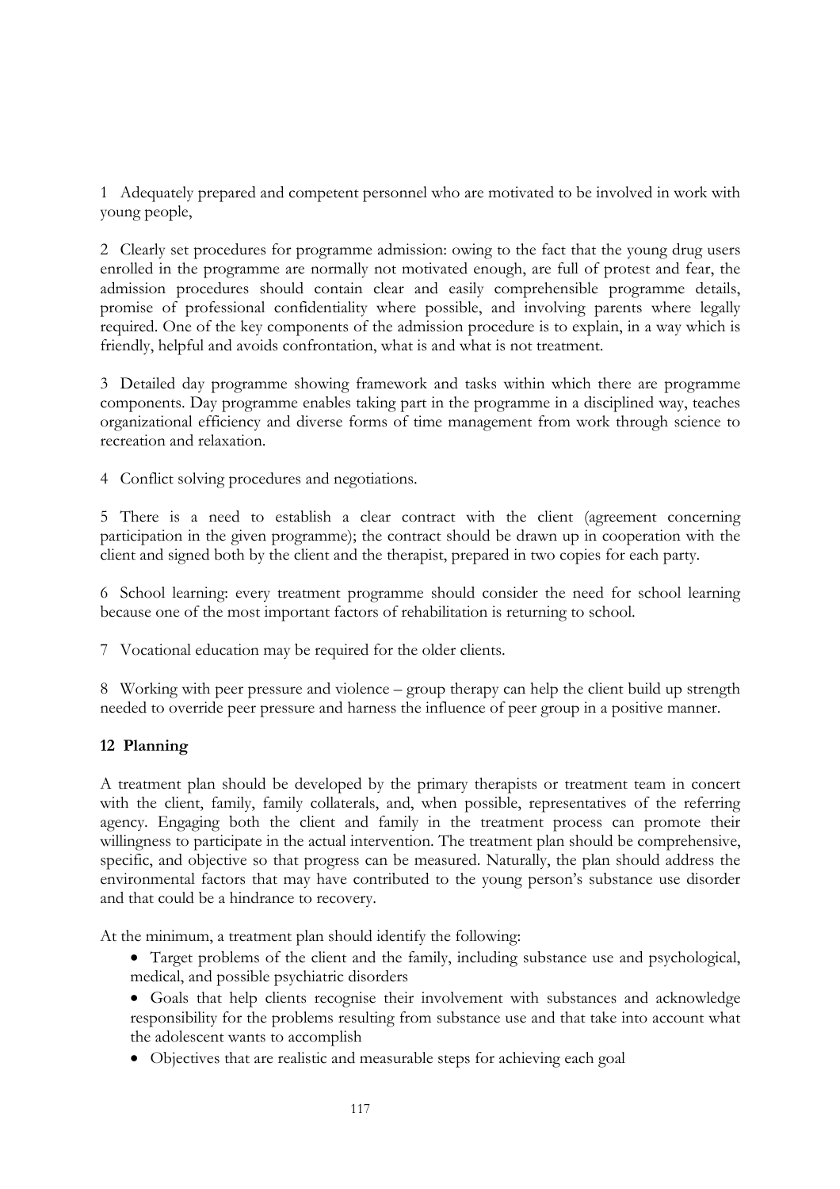1 Adequately prepared and competent personnel who are motivated to be involved in work with young people,

2 Clearly set procedures for programme admission: owing to the fact that the young drug users enrolled in the programme are normally not motivated enough, are full of protest and fear, the admission procedures should contain clear and easily comprehensible programme details, promise of professional confidentiality where possible, and involving parents where legally required. One of the key components of the admission procedure is to explain, in a way which is friendly, helpful and avoids confrontation, what is and what is not treatment.

3 Detailed day programme showing framework and tasks within which there are programme components. Day programme enables taking part in the programme in a disciplined way, teaches organizational efficiency and diverse forms of time management from work through science to recreation and relaxation.

4 Conflict solving procedures and negotiations.

5 There is a need to establish a clear contract with the client (agreement concerning participation in the given programme); the contract should be drawn up in cooperation with the client and signed both by the client and the therapist, prepared in two copies for each party.

6 School learning: every treatment programme should consider the need for school learning because one of the most important factors of rehabilitation is returning to school.

7 Vocational education may be required for the older clients.

8 Working with peer pressure and violence – group therapy can help the client build up strength needed to override peer pressure and harness the influence of peer group in a positive manner.

## **12 Planning**

A treatment plan should be developed by the primary therapists or treatment team in concert with the client, family, family collaterals, and, when possible, representatives of the referring agency. Engaging both the client and family in the treatment process can promote their willingness to participate in the actual intervention. The treatment plan should be comprehensive, specific, and objective so that progress can be measured. Naturally, the plan should address the environmental factors that may have contributed to the young person's substance use disorder and that could be a hindrance to recovery.

At the minimum, a treatment plan should identify the following:

- Target problems of the client and the family, including substance use and psychological, medical, and possible psychiatric disorders
- Goals that help clients recognise their involvement with substances and acknowledge responsibility for the problems resulting from substance use and that take into account what the adolescent wants to accomplish
- Objectives that are realistic and measurable steps for achieving each goal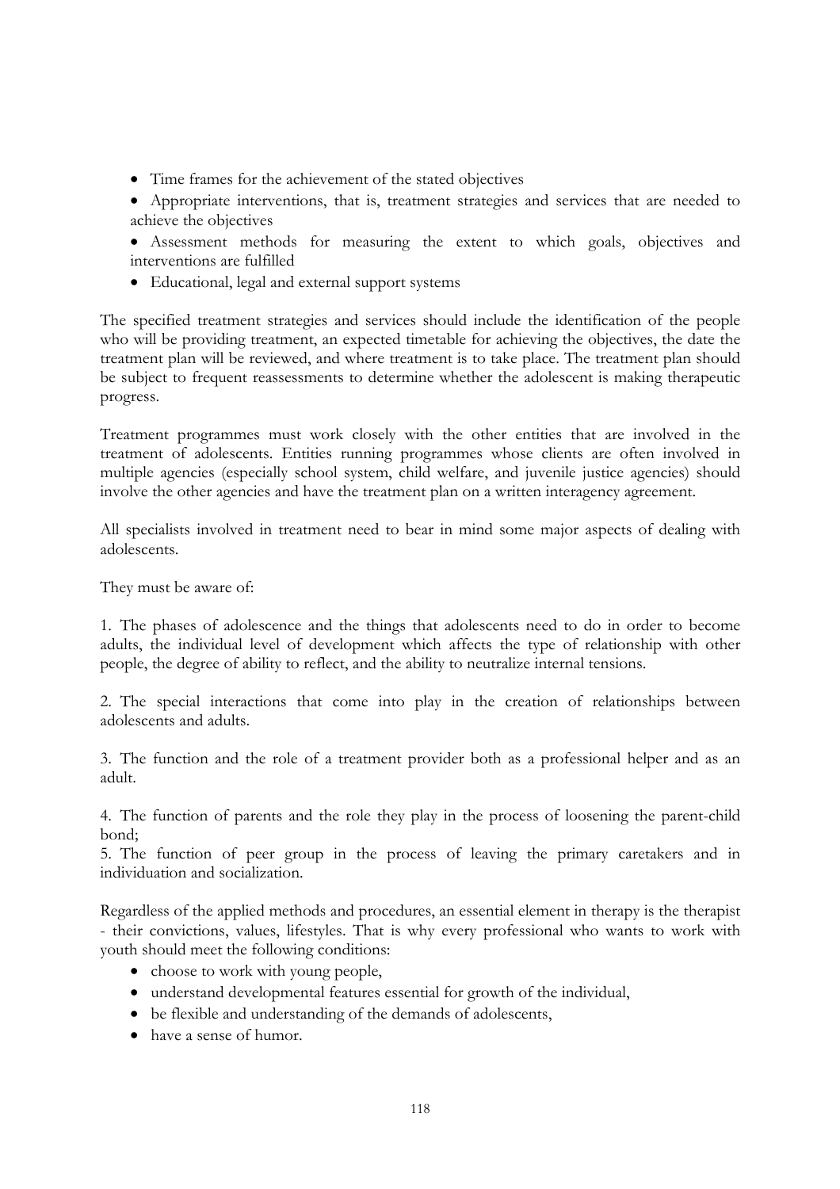- Time frames for the achievement of the stated objectives
- Appropriate interventions, that is, treatment strategies and services that are needed to achieve the objectives
- Assessment methods for measuring the extent to which goals, objectives and interventions are fulfilled
- Educational, legal and external support systems

The specified treatment strategies and services should include the identification of the people who will be providing treatment, an expected timetable for achieving the objectives, the date the treatment plan will be reviewed, and where treatment is to take place. The treatment plan should be subject to frequent reassessments to determine whether the adolescent is making therapeutic progress.

Treatment programmes must work closely with the other entities that are involved in the treatment of adolescents. Entities running programmes whose clients are often involved in multiple agencies (especially school system, child welfare, and juvenile justice agencies) should involve the other agencies and have the treatment plan on a written interagency agreement.

All specialists involved in treatment need to bear in mind some major aspects of dealing with adolescents.

They must be aware of:

1. The phases of adolescence and the things that adolescents need to do in order to become adults, the individual level of development which affects the type of relationship with other people, the degree of ability to reflect, and the ability to neutralize internal tensions.

2. The special interactions that come into play in the creation of relationships between adolescents and adults.

3. The function and the role of a treatment provider both as a professional helper and as an adult.

4. The function of parents and the role they play in the process of loosening the parent-child bond;

5. The function of peer group in the process of leaving the primary caretakers and in individuation and socialization.

Regardless of the applied methods and procedures, an essential element in therapy is the therapist - their convictions, values, lifestyles. That is why every professional who wants to work with youth should meet the following conditions:

- choose to work with young people,
- understand developmental features essential for growth of the individual,
- be flexible and understanding of the demands of adolescents,
- have a sense of humor.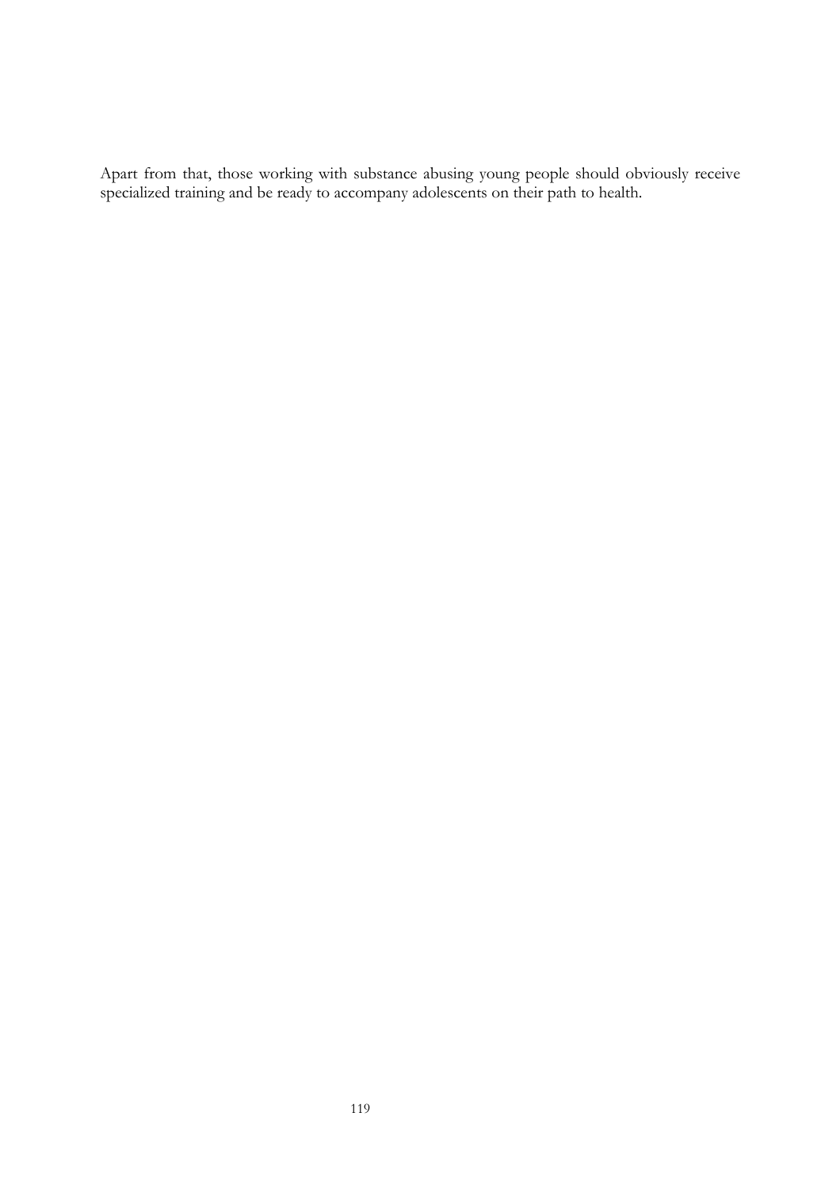Apart from that, those working with substance abusing young people should obviously receive specialized training and be ready to accompany adolescents on their path to health.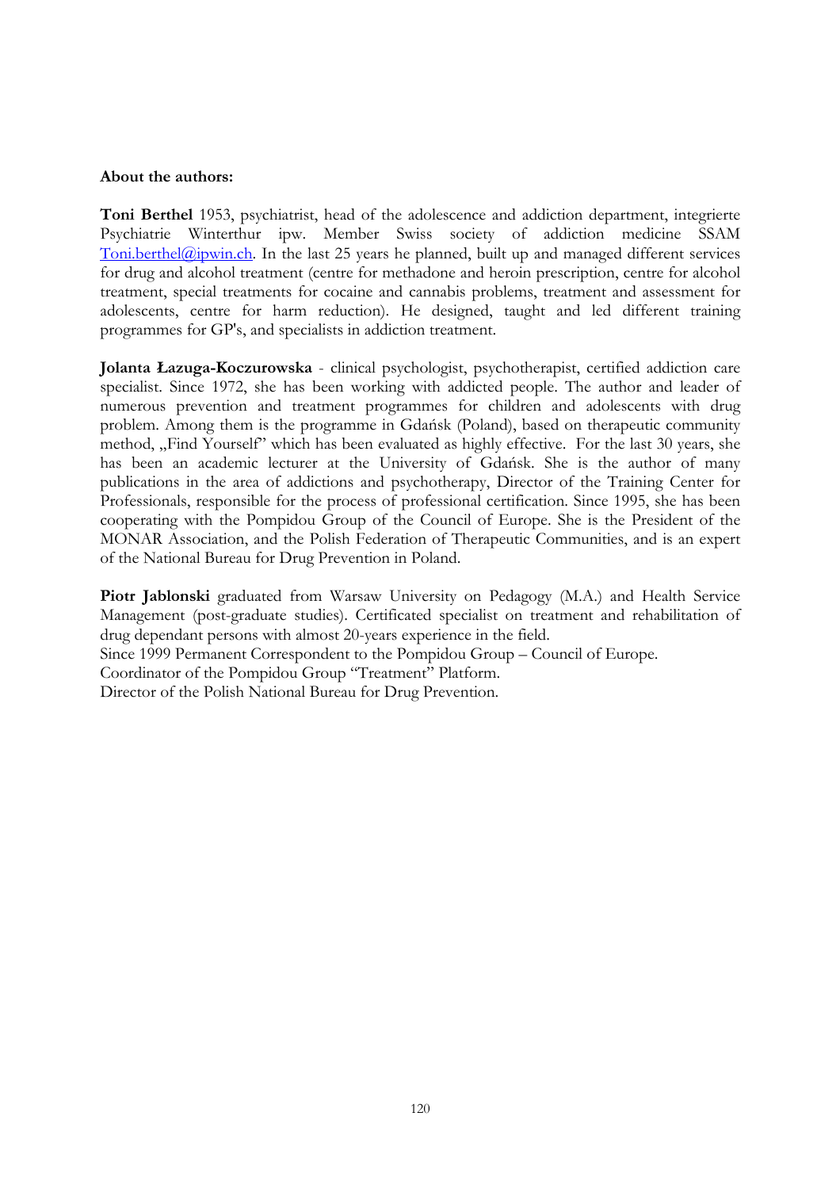## **About the authors:**

**Toni Berthel** 1953, psychiatrist, head of the adolescence and addiction department, integrierte Psychiatrie Winterthur ipw. Member Swiss society of addiction medicine SSAM Toni.berthel@ipwin.ch. In the last 25 years he planned, built up and managed different services for drug and alcohol treatment (centre for methadone and heroin prescription, centre for alcohol treatment, special treatments for cocaine and cannabis problems, treatment and assessment for adolescents, centre for harm reduction). He designed, taught and led different training programmes for GP's, and specialists in addiction treatment.

**Jolanta Łazuga-Koczurowska** - clinical psychologist, psychotherapist, certified addiction care specialist. Since 1972, she has been working with addicted people. The author and leader of numerous prevention and treatment programmes for children and adolescents with drug problem. Among them is the programme in Gdańsk (Poland), based on therapeutic community method, "Find Yourself" which has been evaluated as highly effective. For the last 30 years, she has been an academic lecturer at the University of Gdańsk. She is the author of many publications in the area of addictions and psychotherapy, Director of the Training Center for Professionals, responsible for the process of professional certification. Since 1995, she has been cooperating with the Pompidou Group of the Council of Europe. She is the President of the MONAR Association, and the Polish Federation of Therapeutic Communities, and is an expert of the National Bureau for Drug Prevention in Poland.

Piotr Jablonski graduated from Warsaw University on Pedagogy (M.A.) and Health Service Management (post-graduate studies). Certificated specialist on treatment and rehabilitation of drug dependant persons with almost 20-years experience in the field. Since 1999 Permanent Correspondent to the Pompidou Group – Council of Europe. Coordinator of the Pompidou Group "Treatment" Platform.

Director of the Polish National Bureau for Drug Prevention.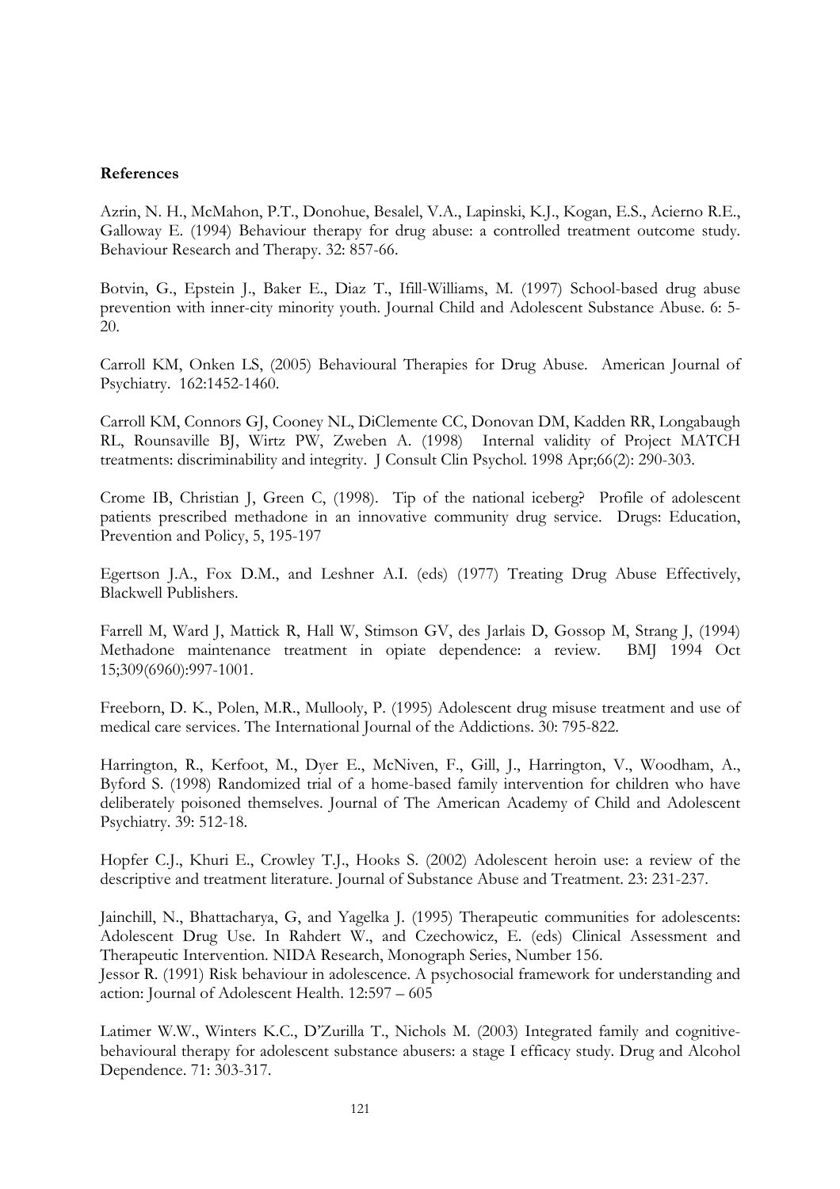#### **References**

Azrin, N. H., McMahon, P.T., Donohue, Besalel, V.A., Lapinski, K.J., Kogan, E.S., Acierno R.E., Galloway E. (1994) Behaviour therapy for drug abuse: a controlled treatment outcome study. Behaviour Research and Therapy. 32: 857-66.

Botvin, G., Epstein J., Baker E., Diaz T., Ifill-Williams, M. (1997) School-based drug abuse prevention with inner-city minority youth. Journal Child and Adolescent Substance Abuse. 6: 5- 20.

Carroll KM, Onken LS, (2005) Behavioural Therapies for Drug Abuse. American Journal of Psychiatry. 162:1452-1460.

Carroll KM, Connors GJ, Cooney NL, DiClemente CC, Donovan DM, Kadden RR, Longabaugh RL, Rounsaville BJ, Wirtz PW, Zweben A. (1998) Internal validity of Project MATCH treatments: discriminability and integrity. J Consult Clin Psychol. 1998 Apr;66(2): 290-303.

Crome IB, Christian J, Green C, (1998). Tip of the national iceberg? Profile of adolescent patients prescribed methadone in an innovative community drug service. Drugs: Education, Prevention and Policy, 5, 195-197

Egertson J.A., Fox D.M., and Leshner A.I. (eds) (1977) Treating Drug Abuse Effectively, Blackwell Publishers.

Farrell M, Ward J, Mattick R, Hall W, Stimson GV, des Jarlais D, Gossop M, Strang J, (1994) Methadone maintenance treatment in opiate dependence: a review. BMJ 1994 Oct 15;309(6960):997-1001.

Freeborn, D. K., Polen, M.R., Mullooly, P. (1995) Adolescent drug misuse treatment and use of medical care services. The International Journal of the Addictions. 30: 795-822.

Harrington, R., Kerfoot, M., Dyer E., McNiven, F., Gill, J., Harrington, V., Woodham, A., Byford S. (1998) Randomized trial of a home-based family intervention for children who have deliberately poisoned themselves. Journal of The American Academy of Child and Adolescent Psychiatry. 39: 512-18.

Hopfer C.J., Khuri E., Crowley T.J., Hooks S. (2002) Adolescent heroin use: a review of the descriptive and treatment literature. Journal of Substance Abuse and Treatment. 23: 231-237.

Jainchill, N., Bhattacharya, G, and Yagelka J. (1995) Therapeutic communities for adolescents: Adolescent Drug Use. In Rahdert W., and Czechowicz, E. (eds) Clinical Assessment and Therapeutic Intervention. NIDA Research, Monograph Series, Number 156.

Jessor R. (1991) Risk behaviour in adolescence. A psychosocial framework for understanding and action: Journal of Adolescent Health. 12:597 – 605

Latimer W.W., Winters K.C., D'Zurilla T., Nichols M. (2003) Integrated family and cognitivebehavioural therapy for adolescent substance abusers: a stage I efficacy study. Drug and Alcohol Dependence. 71: 303-317.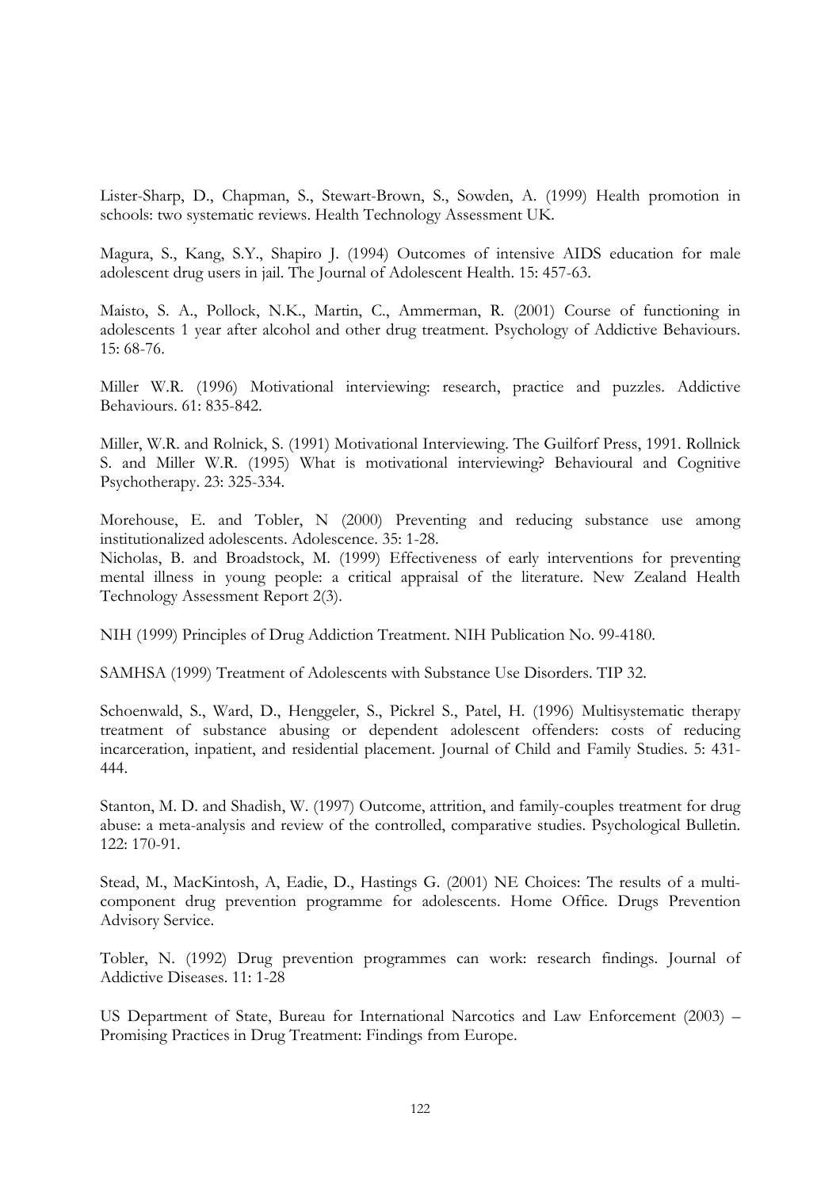Lister-Sharp, D., Chapman, S., Stewart-Brown, S., Sowden, A. (1999) Health promotion in schools: two systematic reviews. Health Technology Assessment UK.

Magura, S., Kang, S.Y., Shapiro J. (1994) Outcomes of intensive AIDS education for male adolescent drug users in jail. The Journal of Adolescent Health. 15: 457-63.

Maisto, S. A., Pollock, N.K., Martin, C., Ammerman, R. (2001) Course of functioning in adolescents 1 year after alcohol and other drug treatment. Psychology of Addictive Behaviours. 15: 68-76.

Miller W.R. (1996) Motivational interviewing: research, practice and puzzles. Addictive Behaviours. 61: 835-842.

Miller, W.R. and Rolnick, S. (1991) Motivational Interviewing. The Guilforf Press, 1991. Rollnick S. and Miller W.R. (1995) What is motivational interviewing? Behavioural and Cognitive Psychotherapy. 23: 325-334.

Morehouse, E. and Tobler, N (2000) Preventing and reducing substance use among institutionalized adolescents. Adolescence. 35: 1-28.

Nicholas, B. and Broadstock, M. (1999) Effectiveness of early interventions for preventing mental illness in young people: a critical appraisal of the literature. New Zealand Health Technology Assessment Report 2(3).

NIH (1999) Principles of Drug Addiction Treatment. NIH Publication No. 99-4180.

SAMHSA (1999) Treatment of Adolescents with Substance Use Disorders. TIP 32.

Schoenwald, S., Ward, D., Henggeler, S., Pickrel S., Patel, H. (1996) Multisystematic therapy treatment of substance abusing or dependent adolescent offenders: costs of reducing incarceration, inpatient, and residential placement. Journal of Child and Family Studies. 5: 431- 444.

Stanton, M. D. and Shadish, W. (1997) Outcome, attrition, and family-couples treatment for drug abuse: a meta-analysis and review of the controlled, comparative studies. Psychological Bulletin. 122: 170-91.

Stead, M., MacKintosh, A, Eadie, D., Hastings G. (2001) NE Choices: The results of a multicomponent drug prevention programme for adolescents. Home Office. Drugs Prevention Advisory Service.

Tobler, N. (1992) Drug prevention programmes can work: research findings. Journal of Addictive Diseases. 11: 1-28

US Department of State, Bureau for International Narcotics and Law Enforcement (2003) – Promising Practices in Drug Treatment: Findings from Europe.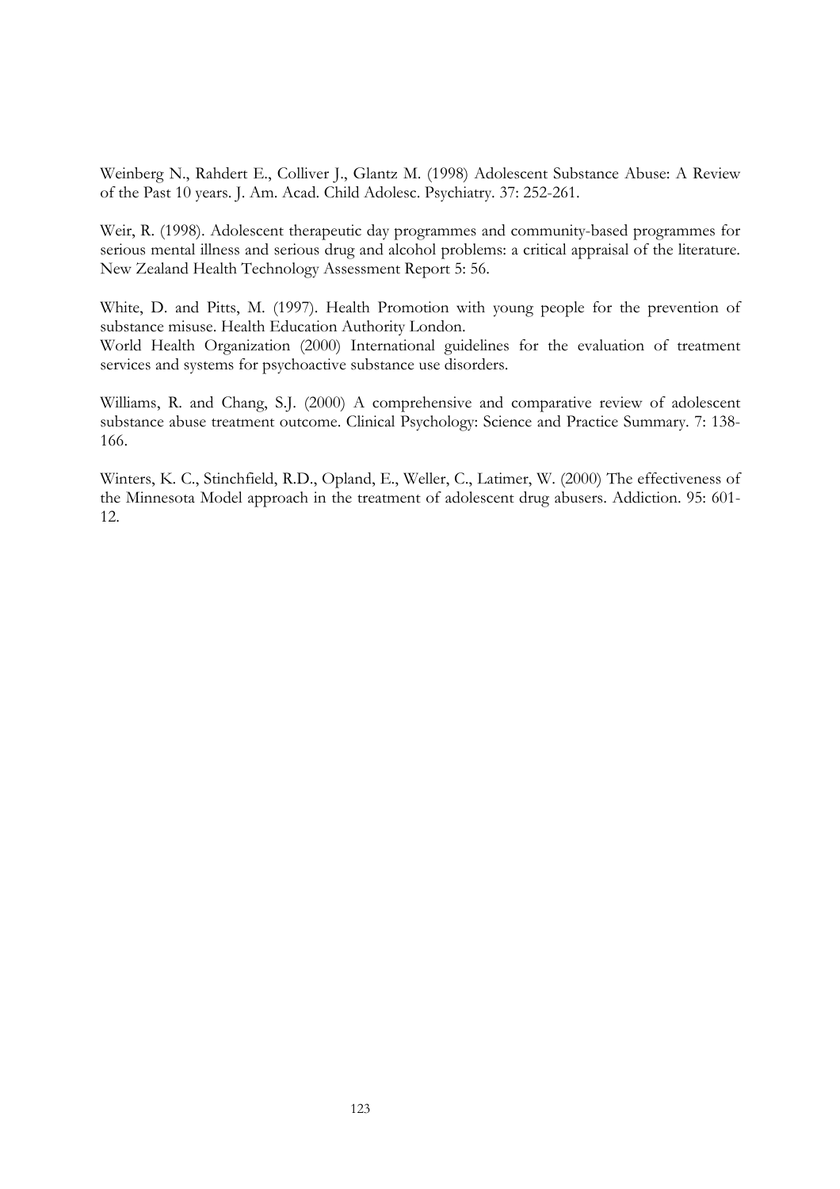Weinberg N., Rahdert E., Colliver J., Glantz M. (1998) Adolescent Substance Abuse: A Review of the Past 10 years. J. Am. Acad. Child Adolesc. Psychiatry. 37: 252-261.

Weir, R. (1998). Adolescent therapeutic day programmes and community-based programmes for serious mental illness and serious drug and alcohol problems: a critical appraisal of the literature. New Zealand Health Technology Assessment Report 5: 56.

White, D. and Pitts, M. (1997). Health Promotion with young people for the prevention of substance misuse. Health Education Authority London.

World Health Organization (2000) International guidelines for the evaluation of treatment services and systems for psychoactive substance use disorders.

Williams, R. and Chang, S.J. (2000) A comprehensive and comparative review of adolescent substance abuse treatment outcome. Clinical Psychology: Science and Practice Summary. 7: 138- 166.

Winters, K. C., Stinchfield, R.D., Opland, E., Weller, C., Latimer, W. (2000) The effectiveness of the Minnesota Model approach in the treatment of adolescent drug abusers. Addiction. 95: 601- 12.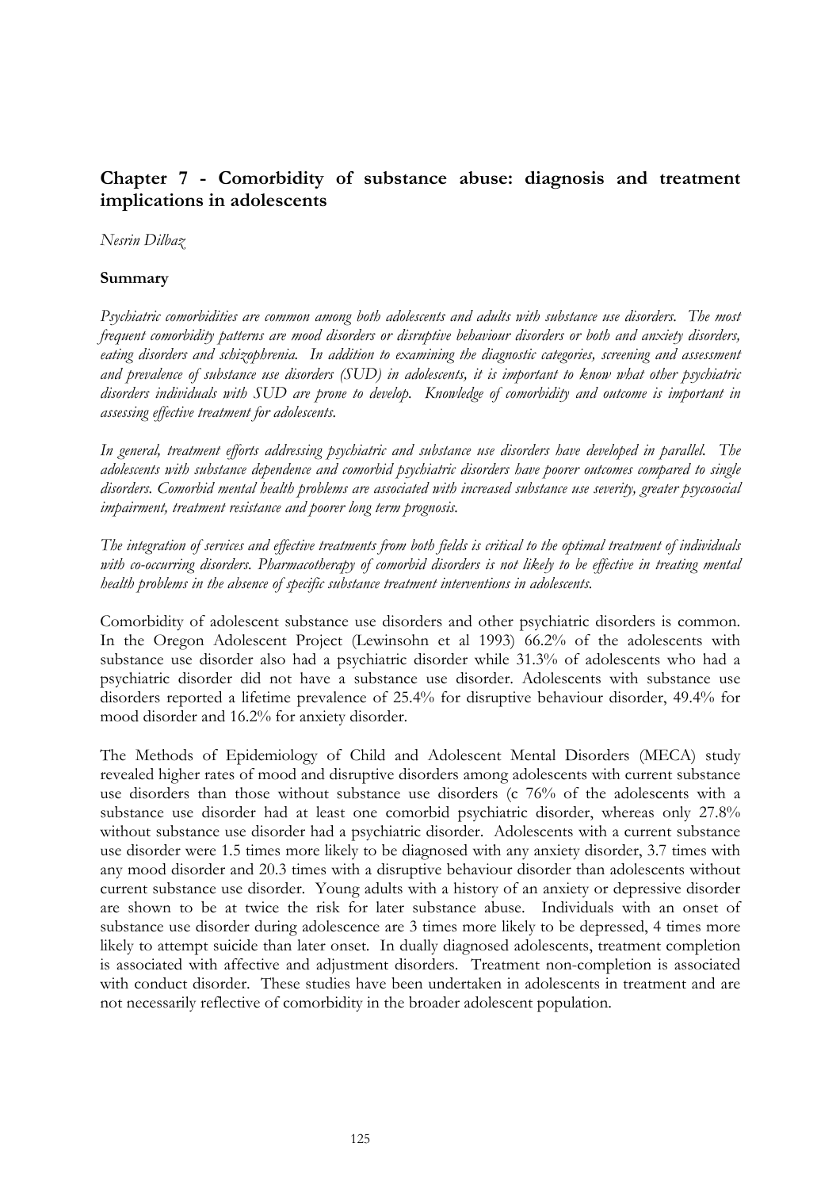# **Chapter 7 - Comorbidity of substance abuse: diagnosis and treatment implications in adolescents**

#### *Nesrin Dilbaz*

#### **Summary**

*Psychiatric comorbidities are common among both adolescents and adults with substance use disorders. The most frequent comorbidity patterns are mood disorders or disruptive behaviour disorders or both and anxiety disorders,*  eating disorders and schizophrenia. In addition to examining the diagnostic categories, screening and assessment *and prevalence of substance use disorders (SUD) in adolescents, it is important to know what other psychiatric disorders individuals with SUD are prone to develop. Knowledge of comorbidity and outcome is important in assessing effective treatment for adolescents.* 

*In general, treatment efforts addressing psychiatric and substance use disorders have developed in parallel. The adolescents with substance dependence and comorbid psychiatric disorders have poorer outcomes compared to single disorders. Comorbid mental health problems are associated with increased substance use severity, greater psycosocial impairment, treatment resistance and poorer long term prognosis.* 

*The integration of services and effective treatments from both fields is critical to the optimal treatment of individuals with co-occurring disorders. Pharmacotherapy of comorbid disorders is not likely to be effective in treating mental health problems in the absence of specific substance treatment interventions in adolescents.* 

Comorbidity of adolescent substance use disorders and other psychiatric disorders is common. In the Oregon Adolescent Project (Lewinsohn et al 1993) 66.2% of the adolescents with substance use disorder also had a psychiatric disorder while 31.3% of adolescents who had a psychiatric disorder did not have a substance use disorder. Adolescents with substance use disorders reported a lifetime prevalence of 25.4% for disruptive behaviour disorder, 49.4% for mood disorder and 16.2% for anxiety disorder.

The Methods of Epidemiology of Child and Adolescent Mental Disorders (MECA) study revealed higher rates of mood and disruptive disorders among adolescents with current substance use disorders than those without substance use disorders (c 76% of the adolescents with a substance use disorder had at least one comorbid psychiatric disorder, whereas only 27.8% without substance use disorder had a psychiatric disorder. Adolescents with a current substance use disorder were 1.5 times more likely to be diagnosed with any anxiety disorder, 3.7 times with any mood disorder and 20.3 times with a disruptive behaviour disorder than adolescents without current substance use disorder. Young adults with a history of an anxiety or depressive disorder are shown to be at twice the risk for later substance abuse. Individuals with an onset of substance use disorder during adolescence are 3 times more likely to be depressed, 4 times more likely to attempt suicide than later onset. In dually diagnosed adolescents, treatment completion is associated with affective and adjustment disorders. Treatment non-completion is associated with conduct disorder. These studies have been undertaken in adolescents in treatment and are not necessarily reflective of comorbidity in the broader adolescent population.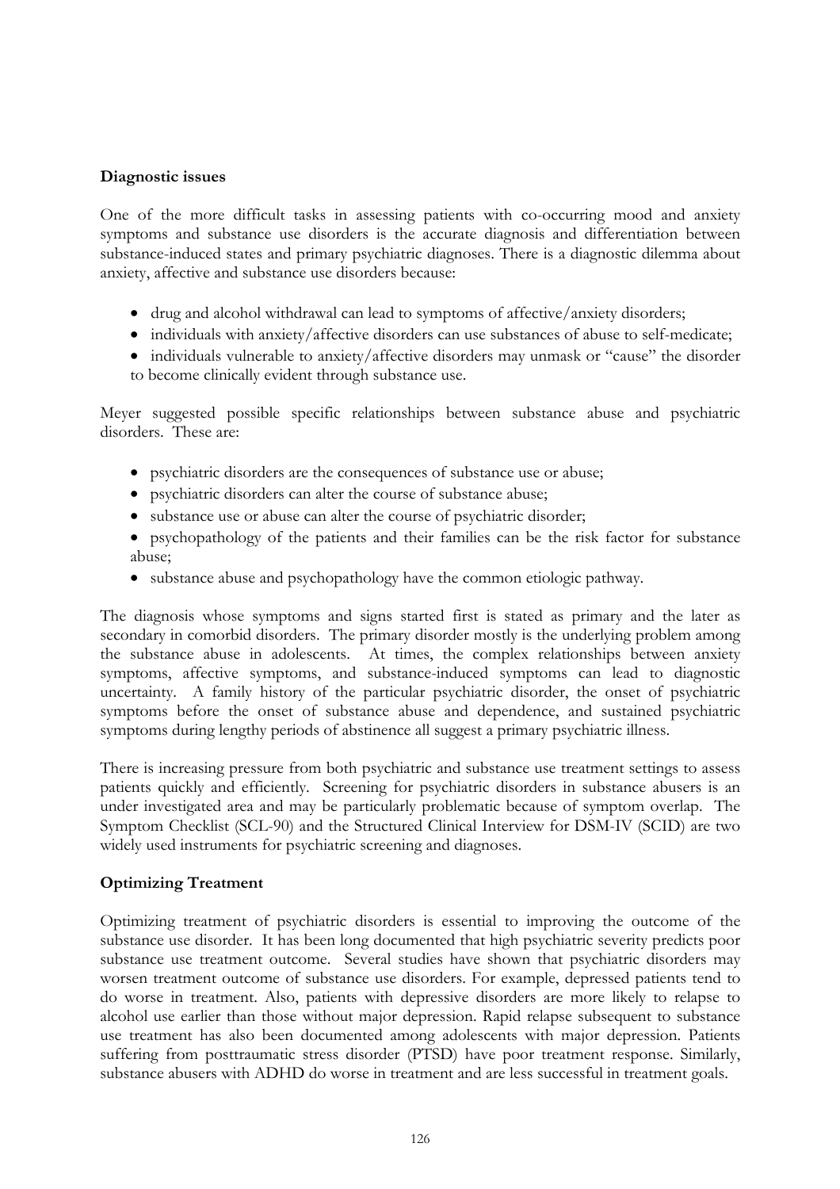## **Diagnostic issues**

One of the more difficult tasks in assessing patients with co-occurring mood and anxiety symptoms and substance use disorders is the accurate diagnosis and differentiation between substance-induced states and primary psychiatric diagnoses. There is a diagnostic dilemma about anxiety, affective and substance use disorders because:

- drug and alcohol withdrawal can lead to symptoms of affective/anxiety disorders;
- individuals with anxiety/affective disorders can use substances of abuse to self-medicate;
- individuals vulnerable to anxiety/affective disorders may unmask or "cause" the disorder to become clinically evident through substance use.

Meyer suggested possible specific relationships between substance abuse and psychiatric disorders. These are:

- psychiatric disorders are the consequences of substance use or abuse;
- psychiatric disorders can alter the course of substance abuse;
- substance use or abuse can alter the course of psychiatric disorder;
- psychopathology of the patients and their families can be the risk factor for substance abuse;
- substance abuse and psychopathology have the common etiologic pathway.

The diagnosis whose symptoms and signs started first is stated as primary and the later as secondary in comorbid disorders. The primary disorder mostly is the underlying problem among the substance abuse in adolescents. At times, the complex relationships between anxiety symptoms, affective symptoms, and substance-induced symptoms can lead to diagnostic uncertainty. A family history of the particular psychiatric disorder, the onset of psychiatric symptoms before the onset of substance abuse and dependence, and sustained psychiatric symptoms during lengthy periods of abstinence all suggest a primary psychiatric illness.

There is increasing pressure from both psychiatric and substance use treatment settings to assess patients quickly and efficiently. Screening for psychiatric disorders in substance abusers is an under investigated area and may be particularly problematic because of symptom overlap. The Symptom Checklist (SCL-90) and the Structured Clinical Interview for DSM-IV (SCID) are two widely used instruments for psychiatric screening and diagnoses.

## **Optimizing Treatment**

Optimizing treatment of psychiatric disorders is essential to improving the outcome of the substance use disorder. It has been long documented that high psychiatric severity predicts poor substance use treatment outcome. Several studies have shown that psychiatric disorders may worsen treatment outcome of substance use disorders. For example, depressed patients tend to do worse in treatment. Also, patients with depressive disorders are more likely to relapse to alcohol use earlier than those without major depression. Rapid relapse subsequent to substance use treatment has also been documented among adolescents with major depression. Patients suffering from posttraumatic stress disorder (PTSD) have poor treatment response. Similarly, substance abusers with ADHD do worse in treatment and are less successful in treatment goals.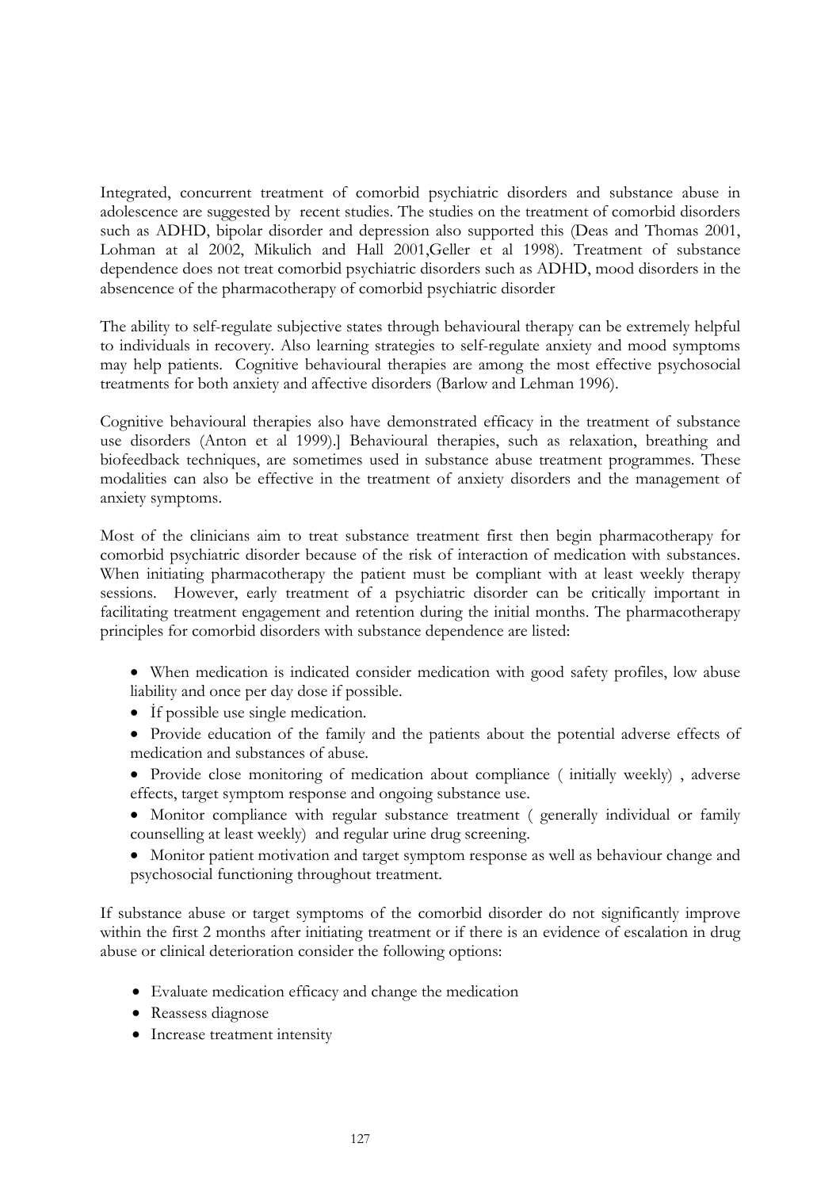Integrated, concurrent treatment of comorbid psychiatric disorders and substance abuse in adolescence are suggested by recent studies. The studies on the treatment of comorbid disorders such as ADHD, bipolar disorder and depression also supported this (Deas and Thomas 2001, Lohman at al 2002, Mikulich and Hall 2001,Geller et al 1998). Treatment of substance dependence does not treat comorbid psychiatric disorders such as ADHD, mood disorders in the absencence of the pharmacotherapy of comorbid psychiatric disorder

The ability to self-regulate subjective states through behavioural therapy can be extremely helpful to individuals in recovery. Also learning strategies to self-regulate anxiety and mood symptoms may help patients. Cognitive behavioural therapies are among the most effective psychosocial treatments for both anxiety and affective disorders (Barlow and Lehman 1996).

Cognitive behavioural therapies also have demonstrated efficacy in the treatment of substance use disorders (Anton et al 1999).] Behavioural therapies, such as relaxation, breathing and biofeedback techniques, are sometimes used in substance abuse treatment programmes. These modalities can also be effective in the treatment of anxiety disorders and the management of anxiety symptoms.

Most of the clinicians aim to treat substance treatment first then begin pharmacotherapy for comorbid psychiatric disorder because of the risk of interaction of medication with substances. When initiating pharmacotherapy the patient must be compliant with at least weekly therapy sessions. However, early treatment of a psychiatric disorder can be critically important in facilitating treatment engagement and retention during the initial months. The pharmacotherapy principles for comorbid disorders with substance dependence are listed:

- When medication is indicated consider medication with good safety profiles, low abuse liability and once per day dose if possible.
- If possible use single medication.
- Provide education of the family and the patients about the potential adverse effects of medication and substances of abuse.
- Provide close monitoring of medication about compliance ( initially weekly) , adverse effects, target symptom response and ongoing substance use.
- Monitor compliance with regular substance treatment ( generally individual or family counselling at least weekly) and regular urine drug screening.
- Monitor patient motivation and target symptom response as well as behaviour change and psychosocial functioning throughout treatment.

If substance abuse or target symptoms of the comorbid disorder do not significantly improve within the first 2 months after initiating treatment or if there is an evidence of escalation in drug abuse or clinical deterioration consider the following options:

- Evaluate medication efficacy and change the medication
- Reassess diagnose
- Increase treatment intensity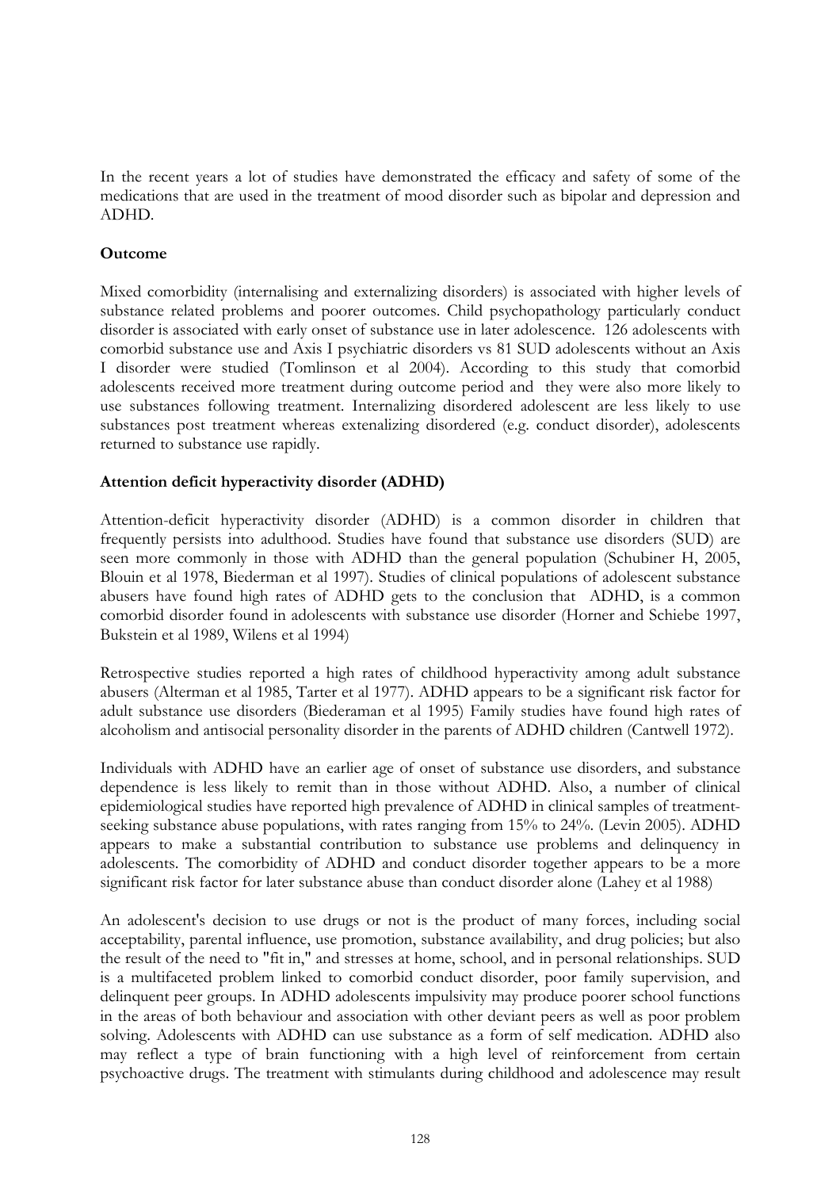In the recent years a lot of studies have demonstrated the efficacy and safety of some of the medications that are used in the treatment of mood disorder such as bipolar and depression and ADHD.

## **Outcome**

Mixed comorbidity (internalising and externalizing disorders) is associated with higher levels of substance related problems and poorer outcomes. Child psychopathology particularly conduct disorder is associated with early onset of substance use in later adolescence. 126 adolescents with comorbid substance use and Axis I psychiatric disorders vs 81 SUD adolescents without an Axis I disorder were studied (Tomlinson et al 2004). According to this study that comorbid adolescents received more treatment during outcome period and they were also more likely to use substances following treatment. Internalizing disordered adolescent are less likely to use substances post treatment whereas extenalizing disordered (e.g. conduct disorder), adolescents returned to substance use rapidly.

#### **Attention deficit hyperactivity disorder (ADHD)**

Attention-deficit hyperactivity disorder (ADHD) is a common disorder in children that frequently persists into adulthood. Studies have found that substance use disorders (SUD) are seen more commonly in those with ADHD than the general population (Schubiner H, 2005, Blouin et al 1978, Biederman et al 1997). Studies of clinical populations of adolescent substance abusers have found high rates of ADHD gets to the conclusion that ADHD, is a common comorbid disorder found in adolescents with substance use disorder (Horner and Schiebe 1997, Bukstein et al 1989, Wilens et al 1994)

Retrospective studies reported a high rates of childhood hyperactivity among adult substance abusers (Alterman et al 1985, Tarter et al 1977). ADHD appears to be a significant risk factor for adult substance use disorders (Biederaman et al 1995) Family studies have found high rates of alcoholism and antisocial personality disorder in the parents of ADHD children (Cantwell 1972).

Individuals with ADHD have an earlier age of onset of substance use disorders, and substance dependence is less likely to remit than in those without ADHD. Also, a number of clinical epidemiological studies have reported high prevalence of ADHD in clinical samples of treatmentseeking substance abuse populations, with rates ranging from 15% to 24%. (Levin 2005). ADHD appears to make a substantial contribution to substance use problems and delinquency in adolescents. The comorbidity of ADHD and conduct disorder together appears to be a more significant risk factor for later substance abuse than conduct disorder alone (Lahey et al 1988)

An adolescent's decision to use drugs or not is the product of many forces, including social acceptability, parental influence, use promotion, substance availability, and drug policies; but also the result of the need to "fit in," and stresses at home, school, and in personal relationships. SUD is a multifaceted problem linked to comorbid conduct disorder, poor family supervision, and delinquent peer groups. In ADHD adolescents impulsivity may produce poorer school functions in the areas of both behaviour and association with other deviant peers as well as poor problem solving. Adolescents with ADHD can use substance as a form of self medication. ADHD also may reflect a type of brain functioning with a high level of reinforcement from certain psychoactive drugs. The treatment with stimulants during childhood and adolescence may result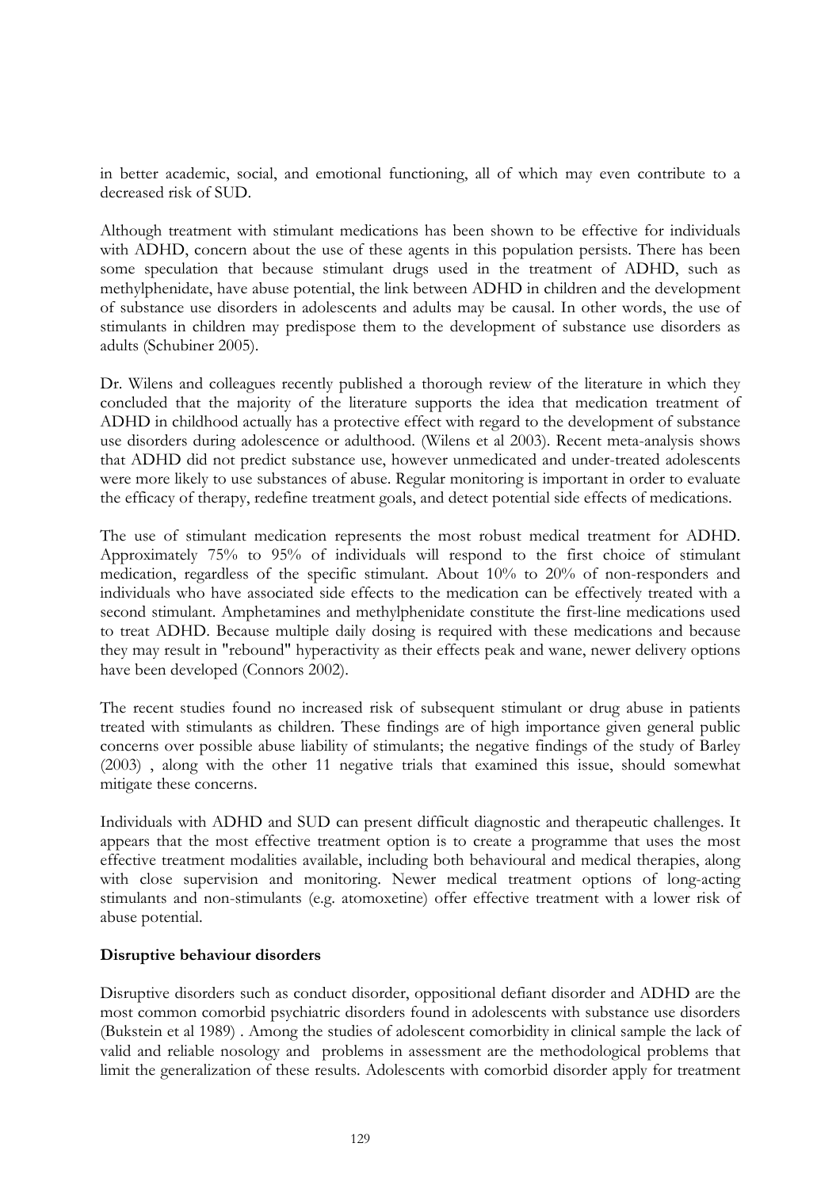in better academic, social, and emotional functioning, all of which may even contribute to a decreased risk of SUD.

Although treatment with stimulant medications has been shown to be effective for individuals with ADHD, concern about the use of these agents in this population persists. There has been some speculation that because stimulant drugs used in the treatment of ADHD, such as methylphenidate, have abuse potential, the link between ADHD in children and the development of substance use disorders in adolescents and adults may be causal. In other words, the use of stimulants in children may predispose them to the development of substance use disorders as adults (Schubiner 2005).

Dr. Wilens and colleagues recently published a thorough review of the literature in which they concluded that the majority of the literature supports the idea that medication treatment of ADHD in childhood actually has a protective effect with regard to the development of substance use disorders during adolescence or adulthood. (Wilens et al 2003). Recent meta-analysis shows that ADHD did not predict substance use, however unmedicated and under-treated adolescents were more likely to use substances of abuse. Regular monitoring is important in order to evaluate the efficacy of therapy, redefine treatment goals, and detect potential side effects of medications.

The use of stimulant medication represents the most robust medical treatment for ADHD. Approximately 75% to 95% of individuals will respond to the first choice of stimulant medication, regardless of the specific stimulant. About 10% to 20% of non-responders and individuals who have associated side effects to the medication can be effectively treated with a second stimulant. Amphetamines and methylphenidate constitute the first-line medications used to treat ADHD. Because multiple daily dosing is required with these medications and because they may result in "rebound" hyperactivity as their effects peak and wane, newer delivery options have been developed (Connors 2002).

The recent studies found no increased risk of subsequent stimulant or drug abuse in patients treated with stimulants as children. These findings are of high importance given general public concerns over possible abuse liability of stimulants; the negative findings of the study of Barley (2003) , along with the other 11 negative trials that examined this issue, should somewhat mitigate these concerns.

Individuals with ADHD and SUD can present difficult diagnostic and therapeutic challenges. It appears that the most effective treatment option is to create a programme that uses the most effective treatment modalities available, including both behavioural and medical therapies, along with close supervision and monitoring. Newer medical treatment options of long-acting stimulants and non-stimulants (e.g. atomoxetine) offer effective treatment with a lower risk of abuse potential.

## **Disruptive behaviour disorders**

Disruptive disorders such as conduct disorder, oppositional defiant disorder and ADHD are the most common comorbid psychiatric disorders found in adolescents with substance use disorders (Bukstein et al 1989) . Among the studies of adolescent comorbidity in clinical sample the lack of valid and reliable nosology and problems in assessment are the methodological problems that limit the generalization of these results. Adolescents with comorbid disorder apply for treatment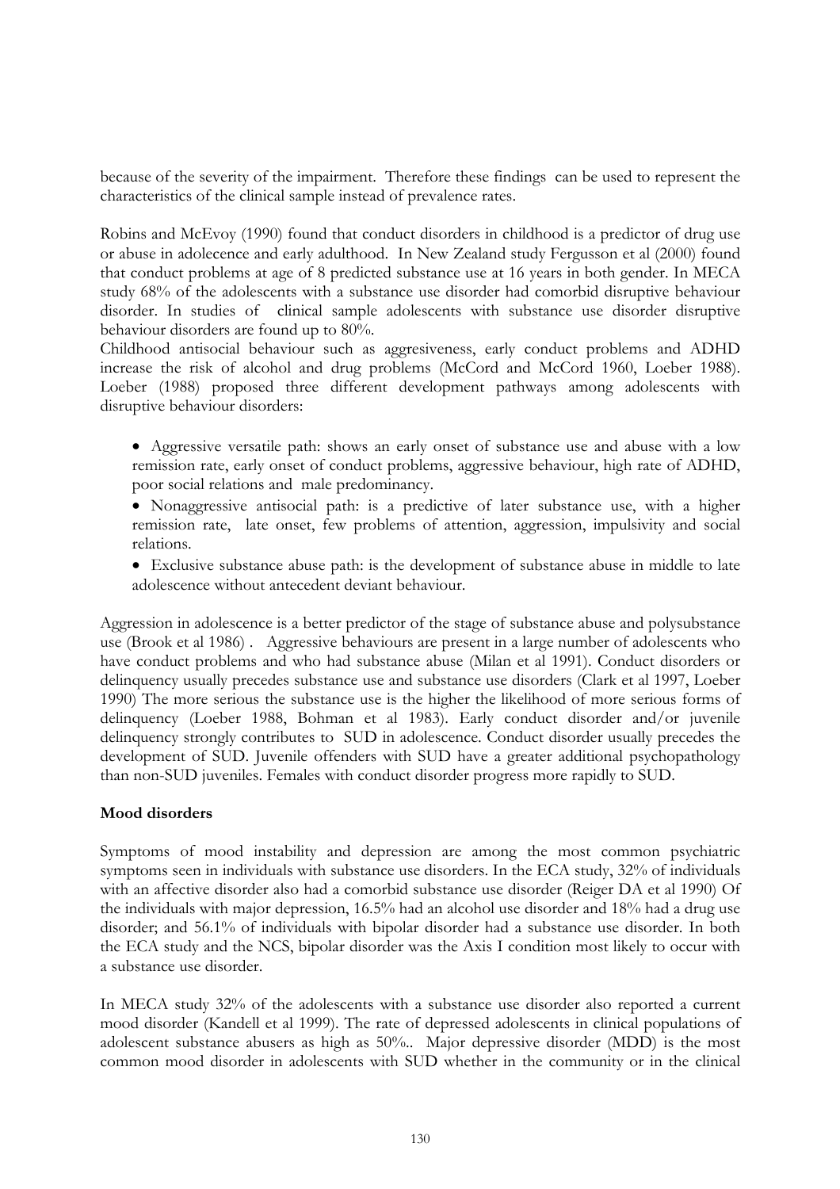because of the severity of the impairment. Therefore these findings can be used to represent the characteristics of the clinical sample instead of prevalence rates.

Robins and McEvoy (1990) found that conduct disorders in childhood is a predictor of drug use or abuse in adolecence and early adulthood. In New Zealand study Fergusson et al (2000) found that conduct problems at age of 8 predicted substance use at 16 years in both gender. In MECA study 68% of the adolescents with a substance use disorder had comorbid disruptive behaviour disorder. In studies of clinical sample adolescents with substance use disorder disruptive behaviour disorders are found up to 80%.

Childhood antisocial behaviour such as aggresiveness, early conduct problems and ADHD increase the risk of alcohol and drug problems (McCord and McCord 1960, Loeber 1988). Loeber (1988) proposed three different development pathways among adolescents with disruptive behaviour disorders:

- Aggressive versatile path: shows an early onset of substance use and abuse with a low remission rate, early onset of conduct problems, aggressive behaviour, high rate of ADHD, poor social relations and male predominancy.
- Nonaggressive antisocial path: is a predictive of later substance use, with a higher remission rate, late onset, few problems of attention, aggression, impulsivity and social relations.
- Exclusive substance abuse path: is the development of substance abuse in middle to late adolescence without antecedent deviant behaviour.

Aggression in adolescence is a better predictor of the stage of substance abuse and polysubstance use (Brook et al 1986) . Aggressive behaviours are present in a large number of adolescents who have conduct problems and who had substance abuse (Milan et al 1991). Conduct disorders or delinquency usually precedes substance use and substance use disorders (Clark et al 1997, Loeber 1990) The more serious the substance use is the higher the likelihood of more serious forms of delinquency (Loeber 1988, Bohman et al 1983). Early conduct disorder and/or juvenile delinquency strongly contributes to SUD in adolescence. Conduct disorder usually precedes the development of SUD. Juvenile offenders with SUD have a greater additional psychopathology than non-SUD juveniles. Females with conduct disorder progress more rapidly to SUD.

## **Mood disorders**

Symptoms of mood instability and depression are among the most common psychiatric symptoms seen in individuals with substance use disorders. In the ECA study, 32% of individuals with an affective disorder also had a comorbid substance use disorder (Reiger DA et al 1990) Of the individuals with major depression, 16.5% had an alcohol use disorder and 18% had a drug use disorder; and 56.1% of individuals with bipolar disorder had a substance use disorder. In both the ECA study and the NCS, bipolar disorder was the Axis I condition most likely to occur with a substance use disorder.

In MECA study 32% of the adolescents with a substance use disorder also reported a current mood disorder (Kandell et al 1999). The rate of depressed adolescents in clinical populations of adolescent substance abusers as high as 50%.. Major depressive disorder (MDD) is the most common mood disorder in adolescents with SUD whether in the community or in the clinical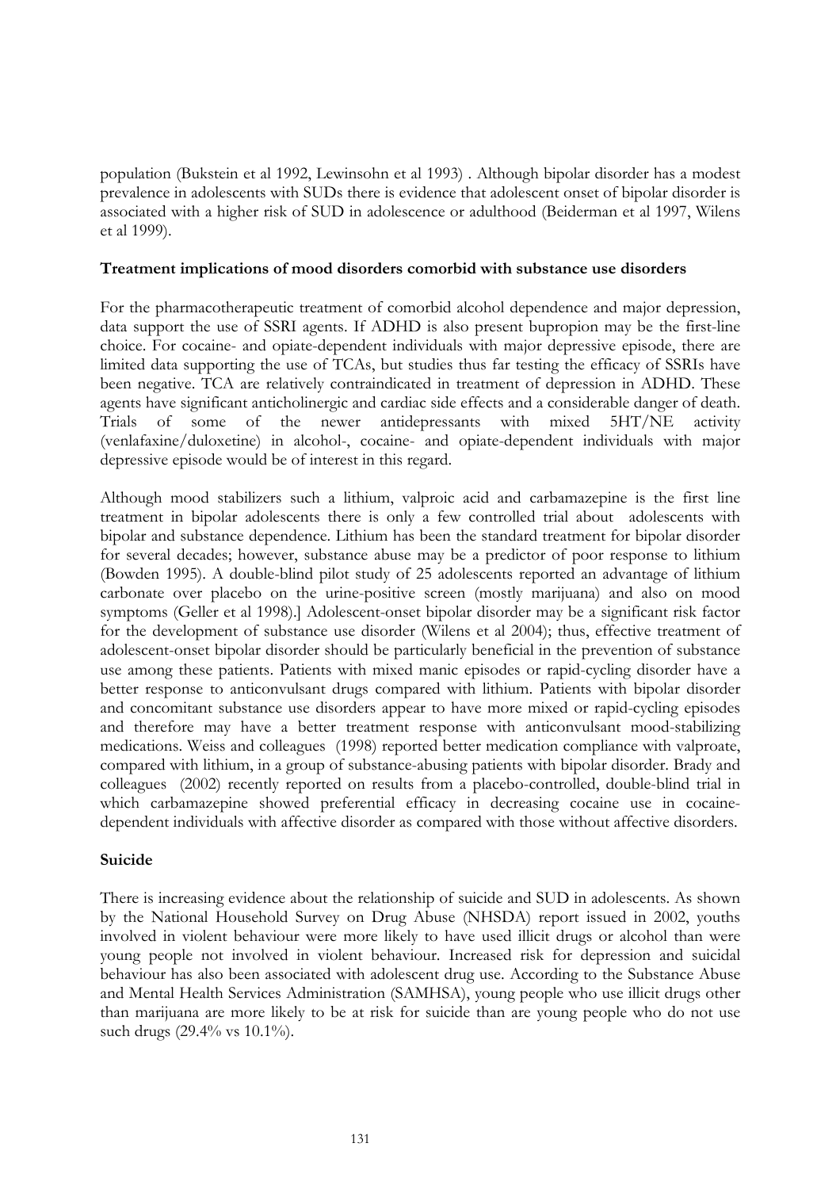population (Bukstein et al 1992, Lewinsohn et al 1993) . Although bipolar disorder has a modest prevalence in adolescents with SUDs there is evidence that adolescent onset of bipolar disorder is associated with a higher risk of SUD in adolescence or adulthood (Beiderman et al 1997, Wilens et al 1999).

#### **Treatment implications of mood disorders comorbid with substance use disorders**

For the pharmacotherapeutic treatment of comorbid alcohol dependence and major depression, data support the use of SSRI agents. If ADHD is also present bupropion may be the first-line choice. For cocaine- and opiate-dependent individuals with major depressive episode, there are limited data supporting the use of TCAs, but studies thus far testing the efficacy of SSRIs have been negative. TCA are relatively contraindicated in treatment of depression in ADHD. These agents have significant anticholinergic and cardiac side effects and a considerable danger of death. Trials of some of the newer antidepressants with mixed 5HT/NE activity (venlafaxine/duloxetine) in alcohol-, cocaine- and opiate-dependent individuals with major depressive episode would be of interest in this regard.

Although mood stabilizers such a lithium, valproic acid and carbamazepine is the first line treatment in bipolar adolescents there is only a few controlled trial about adolescents with bipolar and substance dependence. Lithium has been the standard treatment for bipolar disorder for several decades; however, substance abuse may be a predictor of poor response to lithium (Bowden 1995). A double-blind pilot study of 25 adolescents reported an advantage of lithium carbonate over placebo on the urine-positive screen (mostly marijuana) and also on mood symptoms (Geller et al 1998).] Adolescent-onset bipolar disorder may be a significant risk factor for the development of substance use disorder (Wilens et al 2004); thus, effective treatment of adolescent-onset bipolar disorder should be particularly beneficial in the prevention of substance use among these patients. Patients with mixed manic episodes or rapid-cycling disorder have a better response to anticonvulsant drugs compared with lithium. Patients with bipolar disorder and concomitant substance use disorders appear to have more mixed or rapid-cycling episodes and therefore may have a better treatment response with anticonvulsant mood-stabilizing medications. Weiss and colleagues (1998) reported better medication compliance with valproate, compared with lithium, in a group of substance-abusing patients with bipolar disorder. Brady and colleagues (2002) recently reported on results from a placebo-controlled, double-blind trial in which carbamazepine showed preferential efficacy in decreasing cocaine use in cocainedependent individuals with affective disorder as compared with those without affective disorders.

## **Suicide**

There is increasing evidence about the relationship of suicide and SUD in adolescents. As shown by the National Household Survey on Drug Abuse (NHSDA) report issued in 2002, youths involved in violent behaviour were more likely to have used illicit drugs or alcohol than were young people not involved in violent behaviour. Increased risk for depression and suicidal behaviour has also been associated with adolescent drug use. According to the Substance Abuse and Mental Health Services Administration (SAMHSA), young people who use illicit drugs other than marijuana are more likely to be at risk for suicide than are young people who do not use such drugs (29.4% vs 10.1%).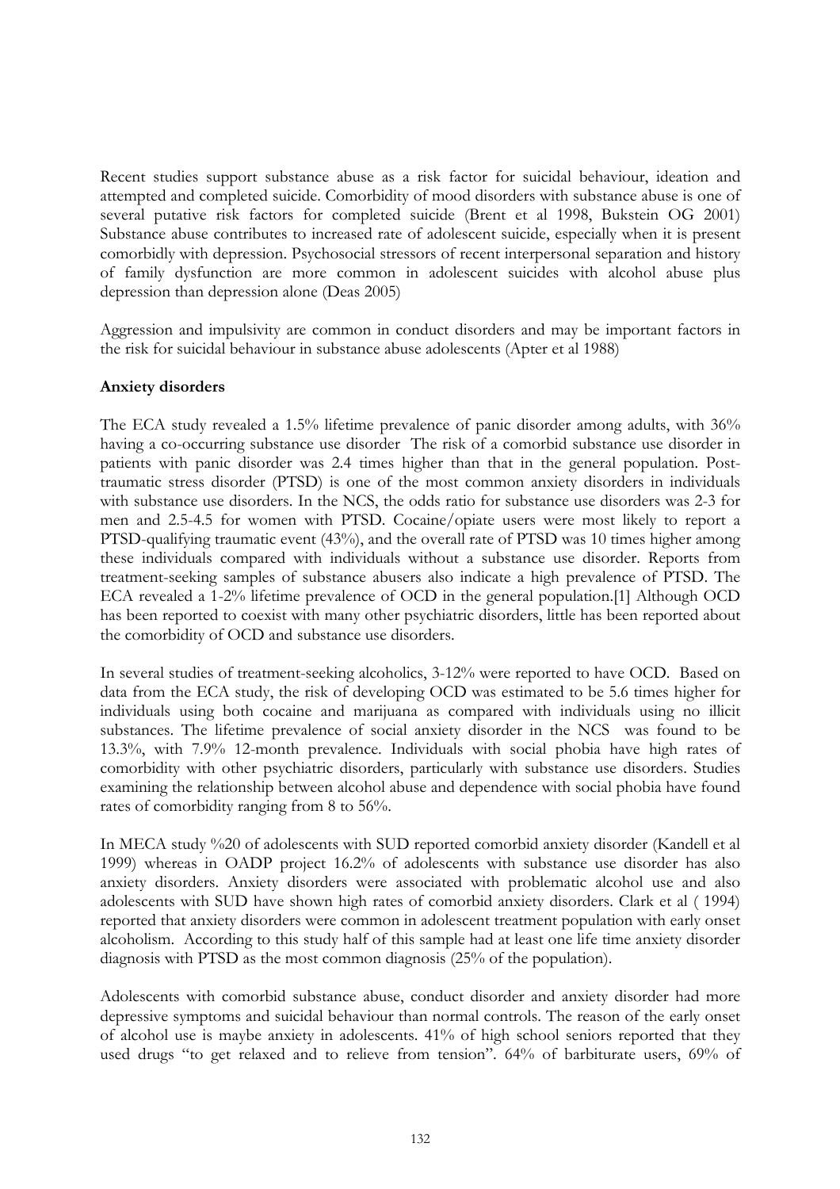Recent studies support substance abuse as a risk factor for suicidal behaviour, ideation and attempted and completed suicide. Comorbidity of mood disorders with substance abuse is one of several putative risk factors for completed suicide (Brent et al 1998, Bukstein OG 2001) Substance abuse contributes to increased rate of adolescent suicide, especially when it is present comorbidly with depression. Psychosocial stressors of recent interpersonal separation and history of family dysfunction are more common in adolescent suicides with alcohol abuse plus depression than depression alone (Deas 2005)

Aggression and impulsivity are common in conduct disorders and may be important factors in the risk for suicidal behaviour in substance abuse adolescents (Apter et al 1988)

## **Anxiety disorders**

The ECA study revealed a 1.5% lifetime prevalence of panic disorder among adults, with 36% having a co-occurring substance use disorder The risk of a comorbid substance use disorder in patients with panic disorder was 2.4 times higher than that in the general population. Posttraumatic stress disorder (PTSD) is one of the most common anxiety disorders in individuals with substance use disorders. In the NCS, the odds ratio for substance use disorders was 2-3 for men and 2.5-4.5 for women with PTSD. Cocaine/opiate users were most likely to report a PTSD-qualifying traumatic event (43%), and the overall rate of PTSD was 10 times higher among these individuals compared with individuals without a substance use disorder. Reports from treatment-seeking samples of substance abusers also indicate a high prevalence of PTSD. The ECA revealed a 1-2% lifetime prevalence of OCD in the general population.[1] Although OCD has been reported to coexist with many other psychiatric disorders, little has been reported about the comorbidity of OCD and substance use disorders.

In several studies of treatment-seeking alcoholics, 3-12% were reported to have OCD. Based on data from the ECA study, the risk of developing OCD was estimated to be 5.6 times higher for individuals using both cocaine and marijuana as compared with individuals using no illicit substances. The lifetime prevalence of social anxiety disorder in the NCS was found to be 13.3%, with 7.9% 12-month prevalence. Individuals with social phobia have high rates of comorbidity with other psychiatric disorders, particularly with substance use disorders. Studies examining the relationship between alcohol abuse and dependence with social phobia have found rates of comorbidity ranging from 8 to 56%.

In MECA study %20 of adolescents with SUD reported comorbid anxiety disorder (Kandell et al 1999) whereas in OADP project 16.2% of adolescents with substance use disorder has also anxiety disorders. Anxiety disorders were associated with problematic alcohol use and also adolescents with SUD have shown high rates of comorbid anxiety disorders. Clark et al ( 1994) reported that anxiety disorders were common in adolescent treatment population with early onset alcoholism. According to this study half of this sample had at least one life time anxiety disorder diagnosis with PTSD as the most common diagnosis (25% of the population).

Adolescents with comorbid substance abuse, conduct disorder and anxiety disorder had more depressive symptoms and suicidal behaviour than normal controls. The reason of the early onset of alcohol use is maybe anxiety in adolescents. 41% of high school seniors reported that they used drugs "to get relaxed and to relieve from tension". 64% of barbiturate users, 69% of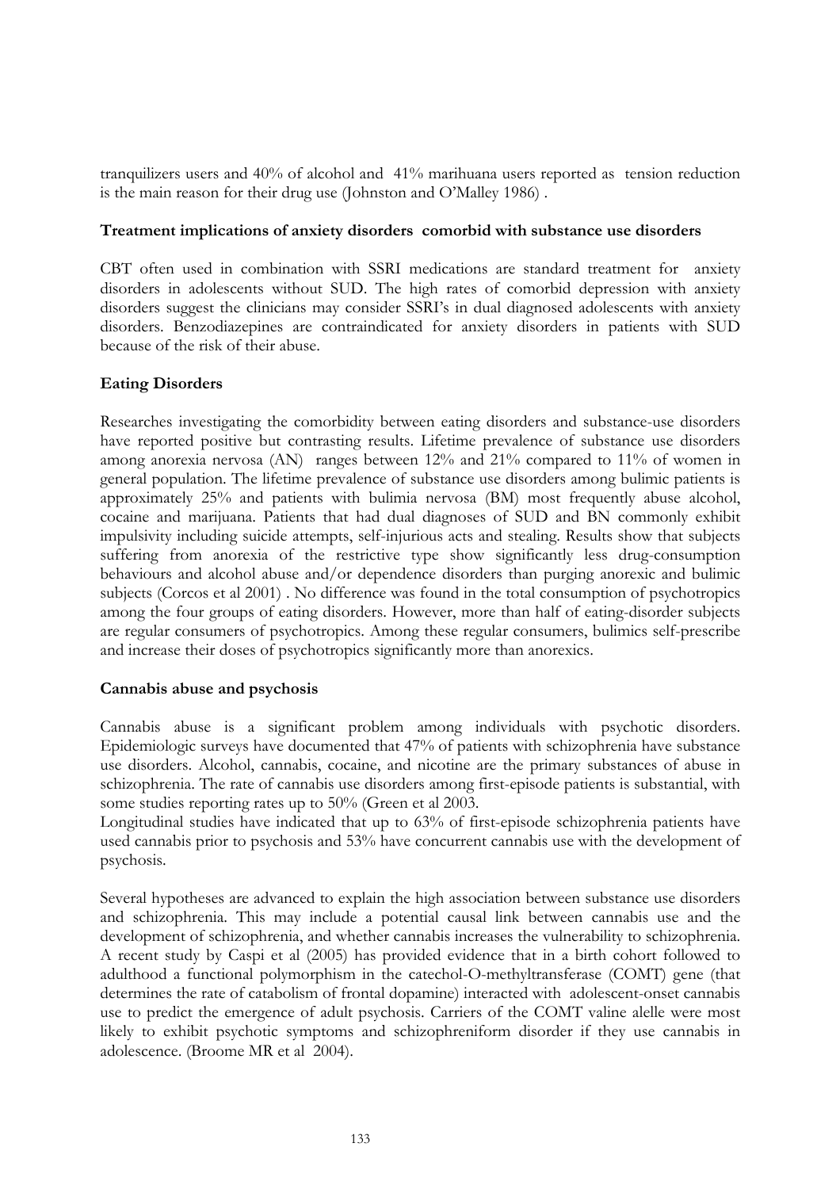tranquilizers users and 40% of alcohol and 41% marihuana users reported as tension reduction is the main reason for their drug use (Johnston and O'Malley 1986) .

#### **Treatment implications of anxiety disorders comorbid with substance use disorders**

CBT often used in combination with SSRI medications are standard treatment for anxiety disorders in adolescents without SUD. The high rates of comorbid depression with anxiety disorders suggest the clinicians may consider SSRI's in dual diagnosed adolescents with anxiety disorders. Benzodiazepines are contraindicated for anxiety disorders in patients with SUD because of the risk of their abuse.

## **Eating Disorders**

Researches investigating the comorbidity between eating disorders and substance-use disorders have reported positive but contrasting results. Lifetime prevalence of substance use disorders among anorexia nervosa (AN) ranges between 12% and 21% compared to 11% of women in general population. The lifetime prevalence of substance use disorders among bulimic patients is approximately 25% and patients with bulimia nervosa (BM) most frequently abuse alcohol, cocaine and marijuana. Patients that had dual diagnoses of SUD and BN commonly exhibit impulsivity including suicide attempts, self-injurious acts and stealing. Results show that subjects suffering from anorexia of the restrictive type show significantly less drug-consumption behaviours and alcohol abuse and/or dependence disorders than purging anorexic and bulimic subjects (Corcos et al 2001) . No difference was found in the total consumption of psychotropics among the four groups of eating disorders. However, more than half of eating-disorder subjects are regular consumers of psychotropics. Among these regular consumers, bulimics self-prescribe and increase their doses of psychotropics significantly more than anorexics.

## **Cannabis abuse and psychosis**

Cannabis abuse is a significant problem among individuals with psychotic disorders. Epidemiologic surveys have documented that 47% of patients with schizophrenia have substance use disorders. Alcohol, cannabis, cocaine, and nicotine are the primary substances of abuse in schizophrenia. The rate of cannabis use disorders among first-episode patients is substantial, with some studies reporting rates up to 50% (Green et al 2003.

Longitudinal studies have indicated that up to 63% of first-episode schizophrenia patients have used cannabis prior to psychosis and 53% have concurrent cannabis use with the development of psychosis.

Several hypotheses are advanced to explain the high association between substance use disorders and schizophrenia. This may include a potential causal link between cannabis use and the development of schizophrenia, and whether cannabis increases the vulnerability to schizophrenia. A recent study by Caspi et al (2005) has provided evidence that in a birth cohort followed to adulthood a functional polymorphism in the catechol-O-methyltransferase (COMT) gene (that determines the rate of catabolism of frontal dopamine) interacted with adolescent-onset cannabis use to predict the emergence of adult psychosis. Carriers of the COMT valine alelle were most likely to exhibit psychotic symptoms and schizophreniform disorder if they use cannabis in adolescence. (Broome MR et al 2004).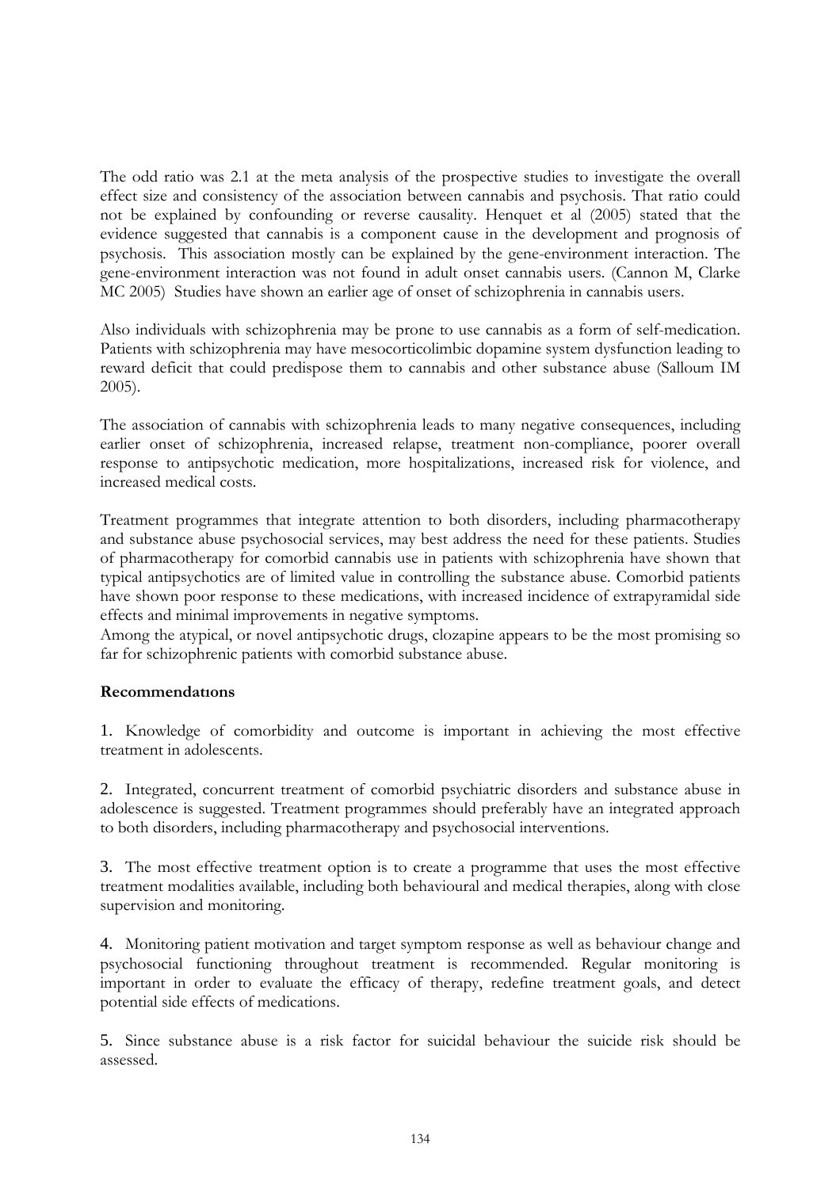The odd ratio was 2.1 at the meta analysis of the prospective studies to investigate the overall effect size and consistency of the association between cannabis and psychosis. That ratio could not be explained by confounding or reverse causality. Henquet et al (2005) stated that the evidence suggested that cannabis is a component cause in the development and prognosis of psychosis. This association mostly can be explained by the gene-environment interaction. The gene-environment interaction was not found in adult onset cannabis users. (Cannon M, Clarke MC 2005) Studies have shown an earlier age of onset of schizophrenia in cannabis users.

Also individuals with schizophrenia may be prone to use cannabis as a form of self-medication. Patients with schizophrenia may have mesocorticolimbic dopamine system dysfunction leading to reward deficit that could predispose them to cannabis and other substance abuse (Salloum IM 2005).

The association of cannabis with schizophrenia leads to many negative consequences, including earlier onset of schizophrenia, increased relapse, treatment non-compliance, poorer overall response to antipsychotic medication, more hospitalizations, increased risk for violence, and increased medical costs.

Treatment programmes that integrate attention to both disorders, including pharmacotherapy and substance abuse psychosocial services, may best address the need for these patients. Studies of pharmacotherapy for comorbid cannabis use in patients with schizophrenia have shown that typical antipsychotics are of limited value in controlling the substance abuse. Comorbid patients have shown poor response to these medications, with increased incidence of extrapyramidal side effects and minimal improvements in negative symptoms.

Among the atypical, or novel antipsychotic drugs, clozapine appears to be the most promising so far for schizophrenic patients with comorbid substance abuse.

## **Recommendatıons**

1. Knowledge of comorbidity and outcome is important in achieving the most effective treatment in adolescents.

2. Integrated, concurrent treatment of comorbid psychiatric disorders and substance abuse in adolescence is suggested. Treatment programmes should preferably have an integrated approach to both disorders, including pharmacotherapy and psychosocial interventions.

3. The most effective treatment option is to create a programme that uses the most effective treatment modalities available, including both behavioural and medical therapies, along with close supervision and monitoring.

4. Monitoring patient motivation and target symptom response as well as behaviour change and psychosocial functioning throughout treatment is recommended. Regular monitoring is important in order to evaluate the efficacy of therapy, redefine treatment goals, and detect potential side effects of medications.

5. Since substance abuse is a risk factor for suicidal behaviour the suicide risk should be assessed.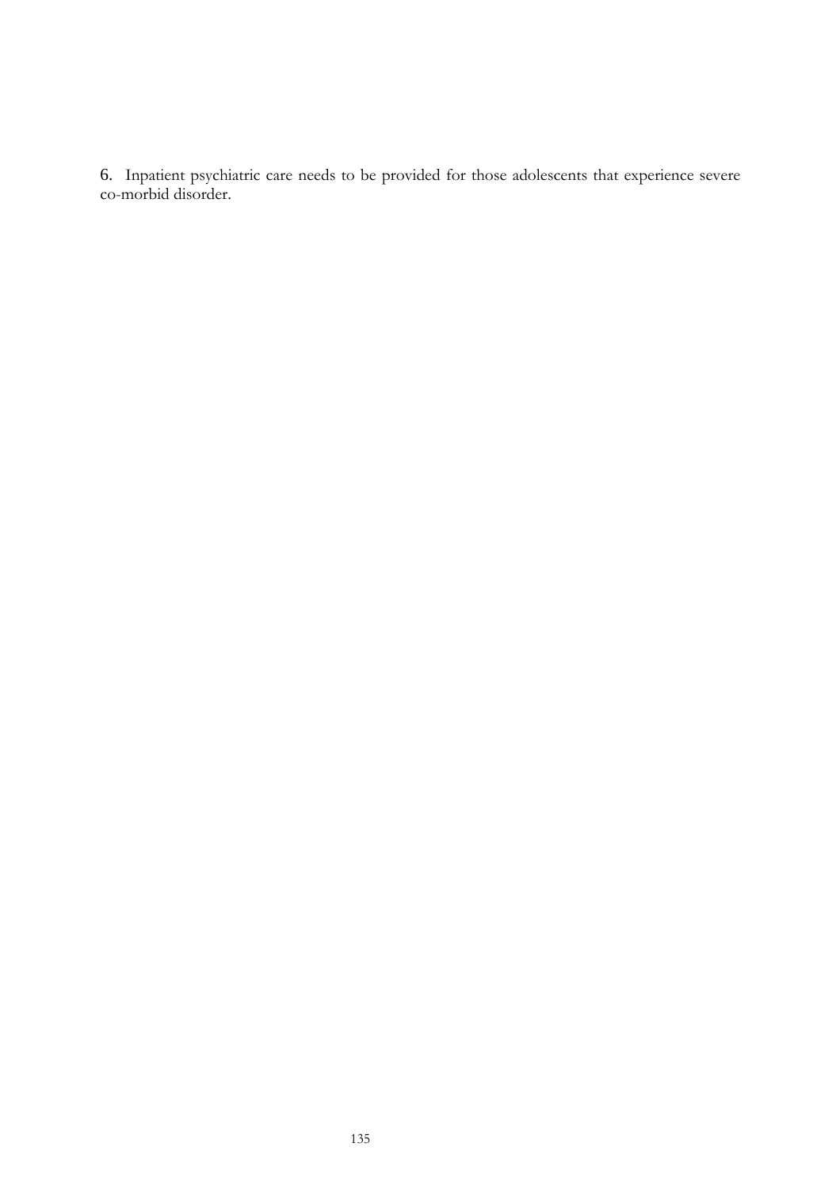6. Inpatient psychiatric care needs to be provided for those adolescents that experience severe co-morbid disorder.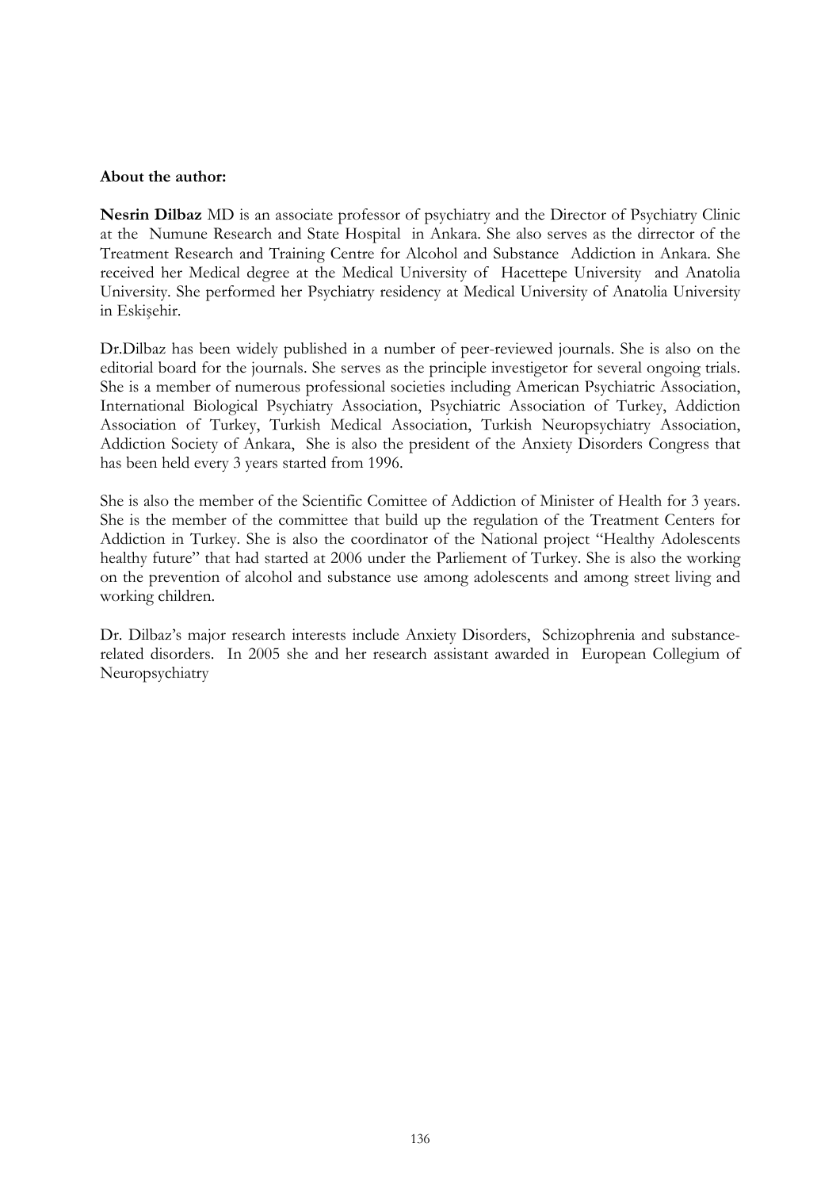## **About the author:**

**Nesrin Dilbaz** MD is an associate professor of psychiatry and the Director of Psychiatry Clinic at the Numune Research and State Hospital in Ankara. She also serves as the dirrector of the Treatment Research and Training Centre for Alcohol and Substance Addiction in Ankara. She received her Medical degree at the Medical University of Hacettepe University and Anatolia University. She performed her Psychiatry residency at Medical University of Anatolia University in Eskişehir.

Dr.Dilbaz has been widely published in a number of peer-reviewed journals. She is also on the editorial board for the journals. She serves as the principle investigetor for several ongoing trials. She is a member of numerous professional societies including American Psychiatric Association, International Biological Psychiatry Association, Psychiatric Association of Turkey, Addiction Association of Turkey, Turkish Medical Association, Turkish Neuropsychiatry Association, Addiction Society of Ankara, She is also the president of the Anxiety Disorders Congress that has been held every 3 years started from 1996.

She is also the member of the Scientific Comittee of Addiction of Minister of Health for 3 years. She is the member of the committee that build up the regulation of the Treatment Centers for Addiction in Turkey. She is also the coordinator of the National project "Healthy Adolescents healthy future" that had started at 2006 under the Parliement of Turkey. She is also the working on the prevention of alcohol and substance use among adolescents and among street living and working children.

Dr. Dilbaz's major research interests include Anxiety Disorders, Schizophrenia and substancerelated disorders. In 2005 she and her research assistant awarded in European Collegium of Neuropsychiatry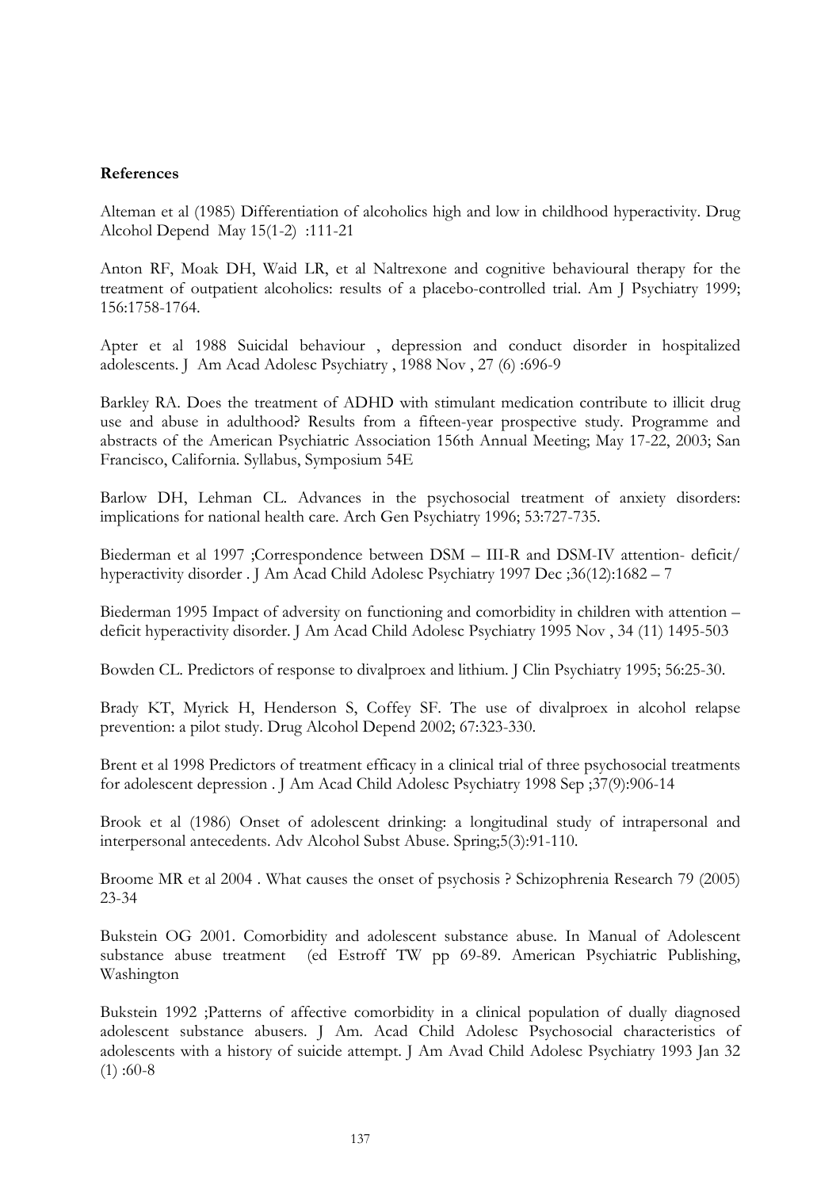#### **References**

Alteman et al (1985) Differentiation of alcoholics high and low in childhood hyperactivity. Drug Alcohol Depend May 15(1-2) :111-21

Anton RF, Moak DH, Waid LR, et al Naltrexone and cognitive behavioural therapy for the treatment of outpatient alcoholics: results of a placebo-controlled trial. Am J Psychiatry 1999; 156:1758-1764.

Apter et al 1988 Suicidal behaviour , depression and conduct disorder in hospitalized adolescents. J Am Acad Adolesc Psychiatry , 1988 Nov , 27 (6) :696-9

Barkley RA. Does the treatment of ADHD with stimulant medication contribute to illicit drug use and abuse in adulthood? Results from a fifteen-year prospective study. Programme and abstracts of the American Psychiatric Association 156th Annual Meeting; May 17-22, 2003; San Francisco, California. Syllabus, Symposium 54E

Barlow DH, Lehman CL. Advances in the psychosocial treatment of anxiety disorders: implications for national health care. Arch Gen Psychiatry 1996; 53:727-735.

Biederman et al 1997 ;Correspondence between DSM – III-R and DSM-IV attention- deficit/ hyperactivity disorder . J Am Acad Child Adolesc Psychiatry 1997 Dec ;36(12):1682 – 7

Biederman 1995 Impact of adversity on functioning and comorbidity in children with attention – deficit hyperactivity disorder. J Am Acad Child Adolesc Psychiatry 1995 Nov , 34 (11) 1495-503

Bowden CL. Predictors of response to divalproex and lithium. J Clin Psychiatry 1995; 56:25-30.

Brady KT, Myrick H, Henderson S, Coffey SF. The use of divalproex in alcohol relapse prevention: a pilot study. Drug Alcohol Depend 2002; 67:323-330.

Brent et al 1998 Predictors of treatment efficacy in a clinical trial of three psychosocial treatments for adolescent depression . J Am Acad Child Adolesc Psychiatry 1998 Sep ;37(9):906-14

Brook et al (1986) Onset of adolescent drinking: a longitudinal study of intrapersonal and interpersonal antecedents. Adv Alcohol Subst Abuse. Spring;5(3):91-110.

Broome MR et al 2004 . What causes the onset of psychosis ? Schizophrenia Research 79 (2005) 23-34

Bukstein OG 2001. Comorbidity and adolescent substance abuse. In Manual of Adolescent substance abuse treatment (ed Estroff TW pp 69-89. American Psychiatric Publishing, Washington

Bukstein 1992 ;Patterns of affective comorbidity in a clinical population of dually diagnosed adolescent substance abusers. J Am. Acad Child Adolesc Psychosocial characteristics of adolescents with a history of suicide attempt. J Am Avad Child Adolesc Psychiatry 1993 Jan 32  $(1)$ :60-8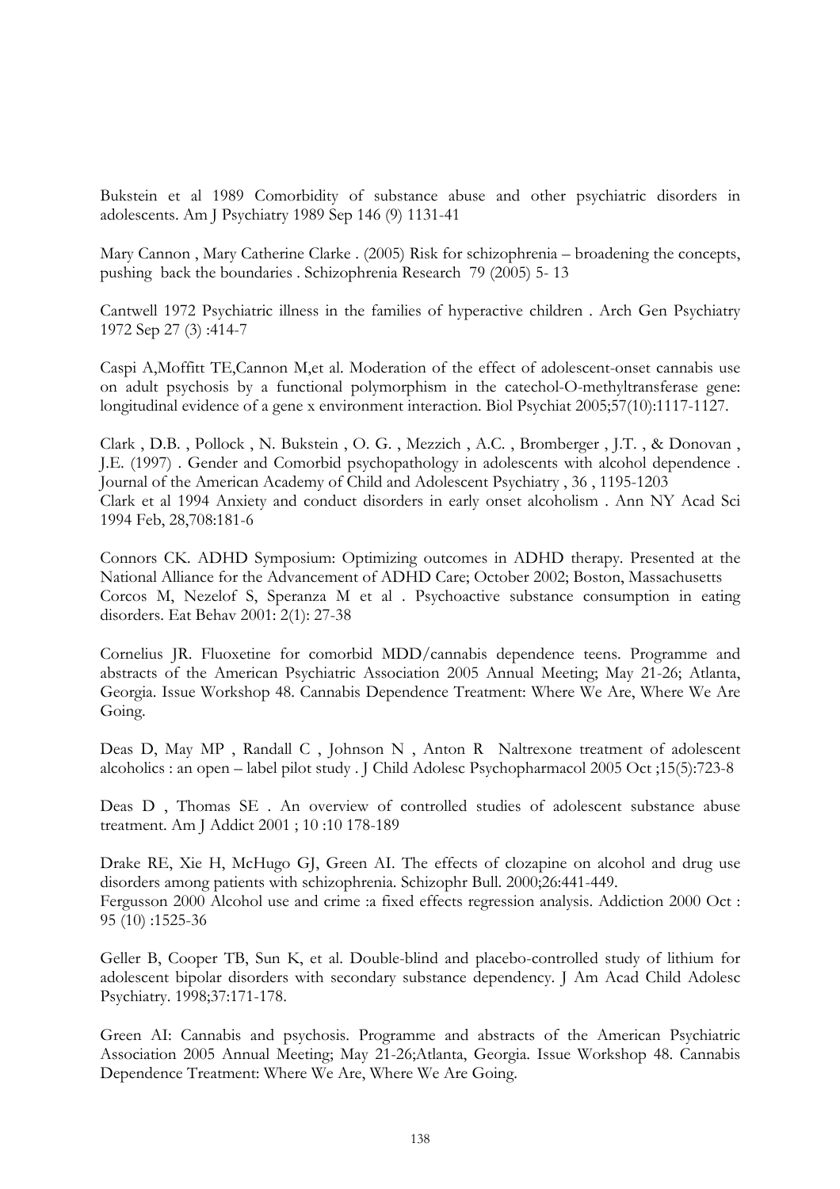Bukstein et al 1989 Comorbidity of substance abuse and other psychiatric disorders in adolescents. Am J Psychiatry 1989 Sep 146 (9) 1131-41

Mary Cannon , Mary Catherine Clarke . (2005) Risk for schizophrenia – broadening the concepts, pushing back the boundaries . Schizophrenia Research 79 (2005) 5- 13

Cantwell 1972 Psychiatric illness in the families of hyperactive children . Arch Gen Psychiatry 1972 Sep 27 (3) :414-7

Caspi A,Moffitt TE,Cannon M,et al. Moderation of the effect of adolescent-onset cannabis use on adult psychosis by a functional polymorphism in the catechol-O-methyltransferase gene: longitudinal evidence of a gene x environment interaction. Biol Psychiat 2005;57(10):1117-1127.

Clark , D.B. , Pollock , N. Bukstein , O. G. , Mezzich , A.C. , Bromberger , J.T. , & Donovan , J.E. (1997) . Gender and Comorbid psychopathology in adolescents with alcohol dependence . Journal of the American Academy of Child and Adolescent Psychiatry , 36 , 1195-1203 Clark et al 1994 Anxiety and conduct disorders in early onset alcoholism . Ann NY Acad Sci 1994 Feb, 28,708:181-6

Connors CK. ADHD Symposium: Optimizing outcomes in ADHD therapy. Presented at the National Alliance for the Advancement of ADHD Care; October 2002; Boston, Massachusetts Corcos M, Nezelof S, Speranza M et al . Psychoactive substance consumption in eating disorders. Eat Behav 2001: 2(1): 27-38

Cornelius JR. Fluoxetine for comorbid MDD/cannabis dependence teens. Programme and abstracts of the American Psychiatric Association 2005 Annual Meeting; May 21-26; Atlanta, Georgia. Issue Workshop 48. Cannabis Dependence Treatment: Where We Are, Where We Are Going.

Deas D, May MP , Randall C , Johnson N , Anton R Naltrexone treatment of adolescent alcoholics : an open – label pilot study . J Child Adolesc Psychopharmacol 2005 Oct ;15(5):723-8

Deas D , Thomas SE . An overview of controlled studies of adolescent substance abuse treatment. Am J Addict 2001 ; 10 :10 178-189

Drake RE, Xie H, McHugo GJ, Green AI. The effects of clozapine on alcohol and drug use disorders among patients with schizophrenia. Schizophr Bull. 2000;26:441-449. Fergusson 2000 Alcohol use and crime :a fixed effects regression analysis. Addiction 2000 Oct : 95 (10) :1525-36

Geller B, Cooper TB, Sun K, et al. Double-blind and placebo-controlled study of lithium for adolescent bipolar disorders with secondary substance dependency. J Am Acad Child Adolesc Psychiatry. 1998;37:171-178.

Green AI: Cannabis and psychosis. Programme and abstracts of the American Psychiatric Association 2005 Annual Meeting; May 21-26;Atlanta, Georgia. Issue Workshop 48. Cannabis Dependence Treatment: Where We Are, Where We Are Going.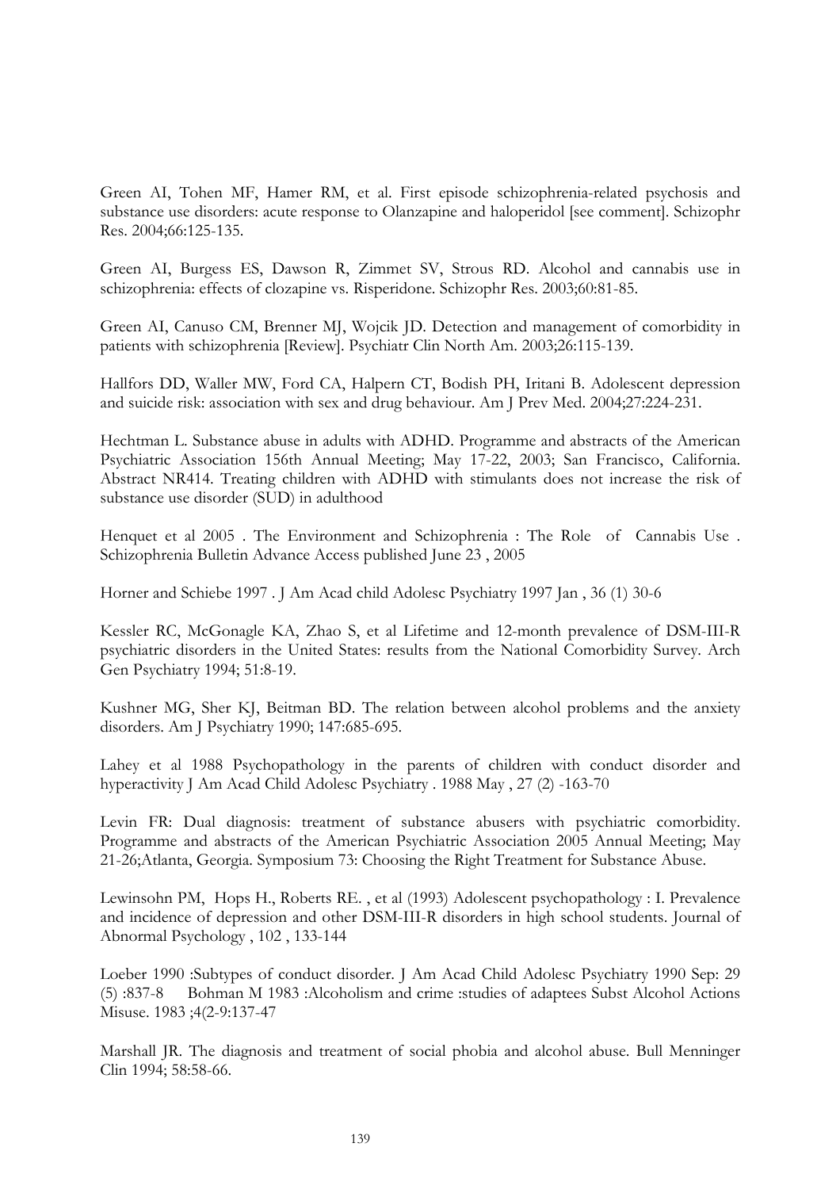Green AI, Tohen MF, Hamer RM, et al. First episode schizophrenia-related psychosis and substance use disorders: acute response to Olanzapine and haloperidol [see comment]. Schizophr Res. 2004;66:125-135.

Green AI, Burgess ES, Dawson R, Zimmet SV, Strous RD. Alcohol and cannabis use in schizophrenia: effects of clozapine vs. Risperidone. Schizophr Res. 2003;60:81-85.

Green AI, Canuso CM, Brenner MJ, Wojcik JD. Detection and management of comorbidity in patients with schizophrenia [Review]. Psychiatr Clin North Am. 2003;26:115-139.

Hallfors DD, Waller MW, Ford CA, Halpern CT, Bodish PH, Iritani B. Adolescent depression and suicide risk: association with sex and drug behaviour. Am J Prev Med. 2004;27:224-231.

Hechtman L. Substance abuse in adults with ADHD. Programme and abstracts of the American Psychiatric Association 156th Annual Meeting; May 17-22, 2003; San Francisco, California. Abstract NR414. Treating children with ADHD with stimulants does not increase the risk of substance use disorder (SUD) in adulthood

Henquet et al 2005 . The Environment and Schizophrenia : The Role of Cannabis Use . Schizophrenia Bulletin Advance Access published June 23 , 2005

Horner and Schiebe 1997 . J Am Acad child Adolesc Psychiatry 1997 Jan , 36 (1) 30-6

Kessler RC, McGonagle KA, Zhao S, et al Lifetime and 12-month prevalence of DSM-III-R psychiatric disorders in the United States: results from the National Comorbidity Survey. Arch Gen Psychiatry 1994; 51:8-19.

Kushner MG, Sher KJ, Beitman BD. The relation between alcohol problems and the anxiety disorders. Am J Psychiatry 1990; 147:685-695.

Lahey et al 1988 Psychopathology in the parents of children with conduct disorder and hyperactivity J Am Acad Child Adolesc Psychiatry . 1988 May , 27 (2) -163-70

Levin FR: Dual diagnosis: treatment of substance abusers with psychiatric comorbidity. Programme and abstracts of the American Psychiatric Association 2005 Annual Meeting; May 21-26;Atlanta, Georgia. Symposium 73: Choosing the Right Treatment for Substance Abuse.

Lewinsohn PM, Hops H., Roberts RE. , et al (1993) Adolescent psychopathology : I. Prevalence and incidence of depression and other DSM-III-R disorders in high school students. Journal of Abnormal Psychology , 102 , 133-144

Loeber 1990 :Subtypes of conduct disorder. J Am Acad Child Adolesc Psychiatry 1990 Sep: 29 (5) :837-8 Bohman M 1983 :Alcoholism and crime :studies of adaptees Subst Alcohol Actions Misuse. 1983 ;4(2-9:137-47

Marshall JR. The diagnosis and treatment of social phobia and alcohol abuse. Bull Menninger Clin 1994; 58:58-66.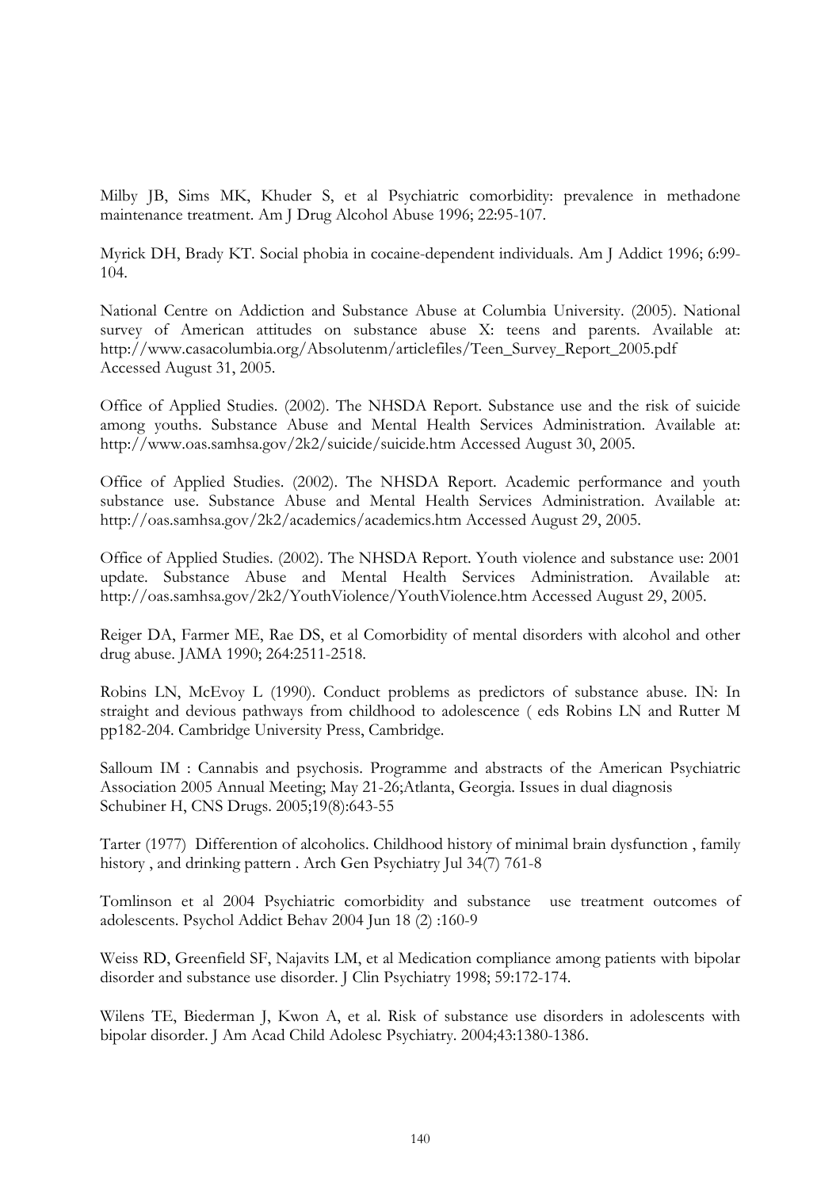Milby JB, Sims MK, Khuder S, et al Psychiatric comorbidity: prevalence in methadone maintenance treatment. Am J Drug Alcohol Abuse 1996; 22:95-107.

Myrick DH, Brady KT. Social phobia in cocaine-dependent individuals. Am J Addict 1996; 6:99- 104.

National Centre on Addiction and Substance Abuse at Columbia University. (2005). National survey of American attitudes on substance abuse X: teens and parents. Available at: http://www.casacolumbia.org/Absolutenm/articlefiles/Teen\_Survey\_Report\_2005.pdf Accessed August 31, 2005.

Office of Applied Studies. (2002). The NHSDA Report. Substance use and the risk of suicide among youths. Substance Abuse and Mental Health Services Administration. Available at: http://www.oas.samhsa.gov/2k2/suicide/suicide.htm Accessed August 30, 2005.

Office of Applied Studies. (2002). The NHSDA Report. Academic performance and youth substance use. Substance Abuse and Mental Health Services Administration. Available at: http://oas.samhsa.gov/2k2/academics/academics.htm Accessed August 29, 2005.

Office of Applied Studies. (2002). The NHSDA Report. Youth violence and substance use: 2001 update. Substance Abuse and Mental Health Services Administration. Available at: http://oas.samhsa.gov/2k2/YouthViolence/YouthViolence.htm Accessed August 29, 2005.

Reiger DA, Farmer ME, Rae DS, et al Comorbidity of mental disorders with alcohol and other drug abuse. JAMA 1990; 264:2511-2518.

Robins LN, McEvoy L (1990). Conduct problems as predictors of substance abuse. IN: In straight and devious pathways from childhood to adolescence ( eds Robins LN and Rutter M pp182-204. Cambridge University Press, Cambridge.

Salloum IM : Cannabis and psychosis. Programme and abstracts of the American Psychiatric Association 2005 Annual Meeting; May 21-26;Atlanta, Georgia. Issues in dual diagnosis Schubiner H, CNS Drugs. 2005;19(8):643-55

Tarter (1977) Differention of alcoholics. Childhood history of minimal brain dysfunction , family history , and drinking pattern . Arch Gen Psychiatry Jul 34(7) 761-8

Tomlinson et al 2004 Psychiatric comorbidity and substance use treatment outcomes of adolescents. Psychol Addict Behav 2004 Jun 18 (2) :160-9

Weiss RD, Greenfield SF, Najavits LM, et al Medication compliance among patients with bipolar disorder and substance use disorder. J Clin Psychiatry 1998; 59:172-174.

Wilens TE, Biederman J, Kwon A, et al. Risk of substance use disorders in adolescents with bipolar disorder. J Am Acad Child Adolesc Psychiatry. 2004;43:1380-1386.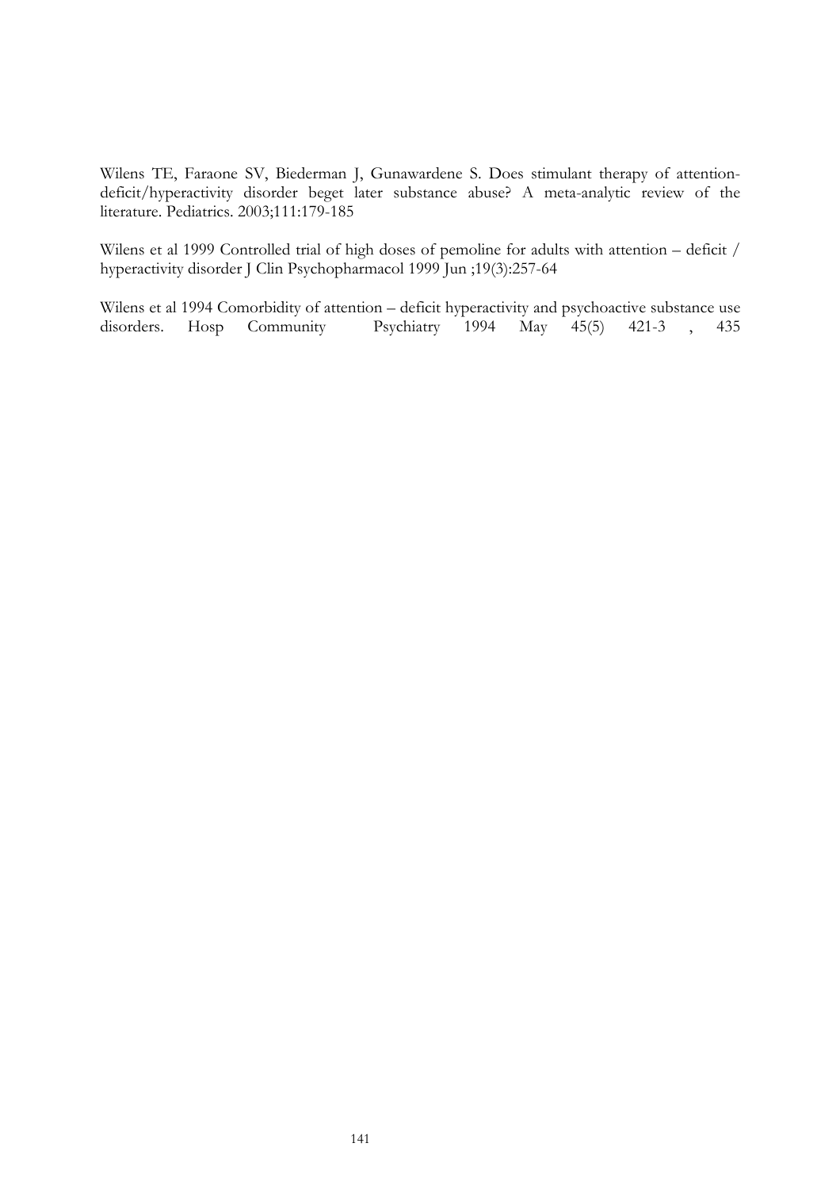Wilens TE, Faraone SV, Biederman J, Gunawardene S. Does stimulant therapy of attentiondeficit/hyperactivity disorder beget later substance abuse? A meta-analytic review of the literature. Pediatrics. 2003;111:179-185

Wilens et al 1999 Controlled trial of high doses of pemoline for adults with attention – deficit / hyperactivity disorder J Clin Psychopharmacol 1999 Jun ;19(3):257-64

Wilens et al 1994 Comorbidity of attention – deficit hyperactivity and psychoactive substance use disorders. Hosp Community Psychiatry 1994 May 45(5) 421-3 , 435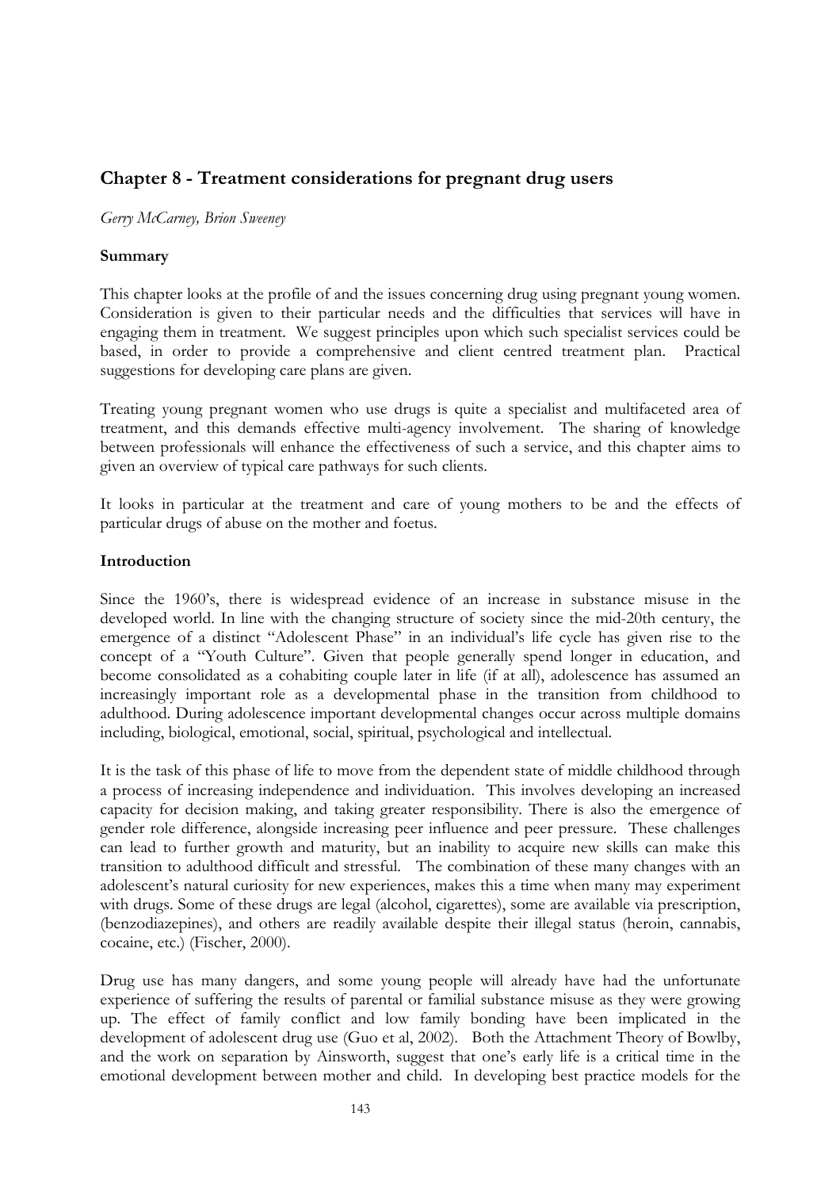# **Chapter 8 - Treatment considerations for pregnant drug users**

*Gerry McCarney, Brion Sweeney* 

#### **Summary**

This chapter looks at the profile of and the issues concerning drug using pregnant young women. Consideration is given to their particular needs and the difficulties that services will have in engaging them in treatment. We suggest principles upon which such specialist services could be based, in order to provide a comprehensive and client centred treatment plan. Practical suggestions for developing care plans are given.

Treating young pregnant women who use drugs is quite a specialist and multifaceted area of treatment, and this demands effective multi-agency involvement. The sharing of knowledge between professionals will enhance the effectiveness of such a service, and this chapter aims to given an overview of typical care pathways for such clients.

It looks in particular at the treatment and care of young mothers to be and the effects of particular drugs of abuse on the mother and foetus.

#### **Introduction**

Since the 1960's, there is widespread evidence of an increase in substance misuse in the developed world. In line with the changing structure of society since the mid-20th century, the emergence of a distinct "Adolescent Phase" in an individual's life cycle has given rise to the concept of a "Youth Culture". Given that people generally spend longer in education, and become consolidated as a cohabiting couple later in life (if at all), adolescence has assumed an increasingly important role as a developmental phase in the transition from childhood to adulthood. During adolescence important developmental changes occur across multiple domains including, biological, emotional, social, spiritual, psychological and intellectual.

It is the task of this phase of life to move from the dependent state of middle childhood through a process of increasing independence and individuation. This involves developing an increased capacity for decision making, and taking greater responsibility. There is also the emergence of gender role difference, alongside increasing peer influence and peer pressure. These challenges can lead to further growth and maturity, but an inability to acquire new skills can make this transition to adulthood difficult and stressful. The combination of these many changes with an adolescent's natural curiosity for new experiences, makes this a time when many may experiment with drugs. Some of these drugs are legal (alcohol, cigarettes), some are available via prescription, (benzodiazepines), and others are readily available despite their illegal status (heroin, cannabis, cocaine, etc.) (Fischer, 2000).

Drug use has many dangers, and some young people will already have had the unfortunate experience of suffering the results of parental or familial substance misuse as they were growing up. The effect of family conflict and low family bonding have been implicated in the development of adolescent drug use (Guo et al, 2002). Both the Attachment Theory of Bowlby, and the work on separation by Ainsworth, suggest that one's early life is a critical time in the emotional development between mother and child. In developing best practice models for the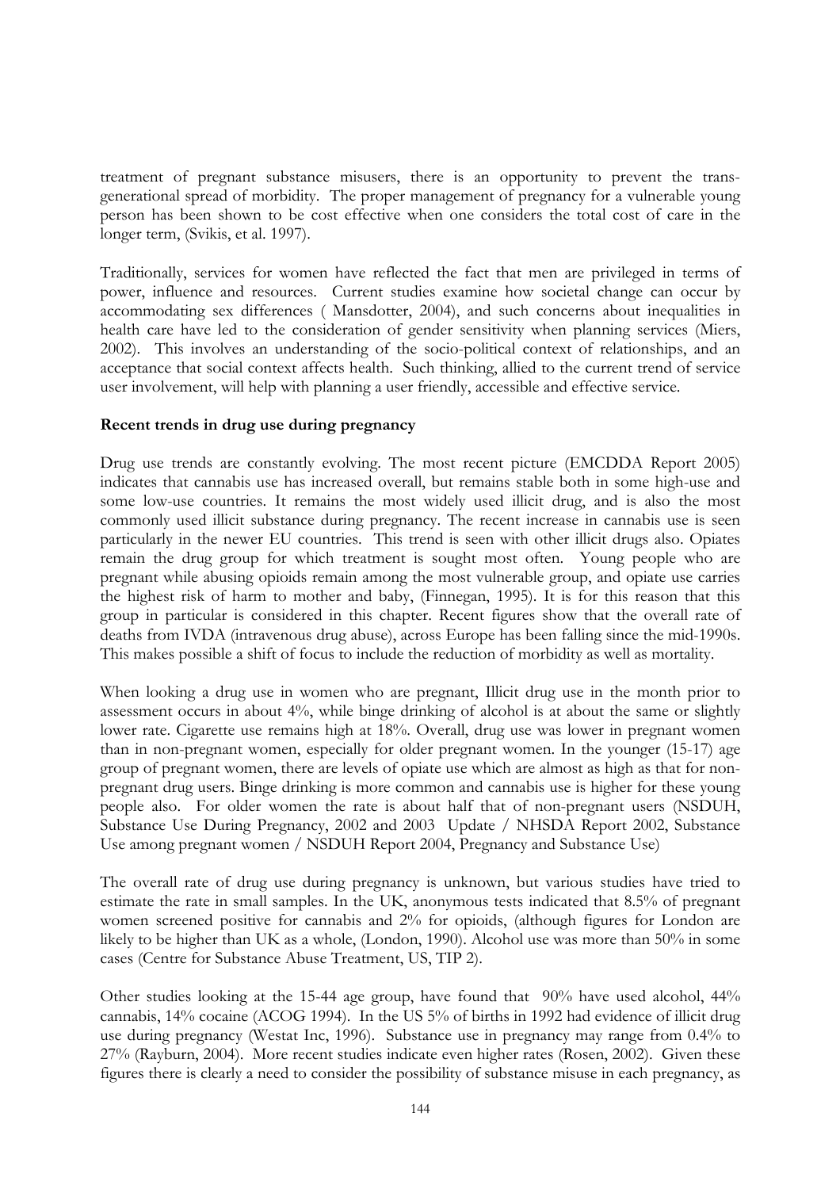treatment of pregnant substance misusers, there is an opportunity to prevent the transgenerational spread of morbidity. The proper management of pregnancy for a vulnerable young person has been shown to be cost effective when one considers the total cost of care in the longer term, (Svikis, et al. 1997).

Traditionally, services for women have reflected the fact that men are privileged in terms of power, influence and resources. Current studies examine how societal change can occur by accommodating sex differences ( Mansdotter, 2004), and such concerns about inequalities in health care have led to the consideration of gender sensitivity when planning services (Miers, 2002). This involves an understanding of the socio-political context of relationships, and an acceptance that social context affects health. Such thinking, allied to the current trend of service user involvement, will help with planning a user friendly, accessible and effective service.

## **Recent trends in drug use during pregnancy**

Drug use trends are constantly evolving. The most recent picture (EMCDDA Report 2005) indicates that cannabis use has increased overall, but remains stable both in some high-use and some low-use countries. It remains the most widely used illicit drug, and is also the most commonly used illicit substance during pregnancy. The recent increase in cannabis use is seen particularly in the newer EU countries. This trend is seen with other illicit drugs also. Opiates remain the drug group for which treatment is sought most often. Young people who are pregnant while abusing opioids remain among the most vulnerable group, and opiate use carries the highest risk of harm to mother and baby, (Finnegan, 1995). It is for this reason that this group in particular is considered in this chapter. Recent figures show that the overall rate of deaths from IVDA (intravenous drug abuse), across Europe has been falling since the mid-1990s. This makes possible a shift of focus to include the reduction of morbidity as well as mortality.

When looking a drug use in women who are pregnant, Illicit drug use in the month prior to assessment occurs in about 4%, while binge drinking of alcohol is at about the same or slightly lower rate. Cigarette use remains high at 18%. Overall, drug use was lower in pregnant women than in non-pregnant women, especially for older pregnant women. In the younger (15-17) age group of pregnant women, there are levels of opiate use which are almost as high as that for nonpregnant drug users. Binge drinking is more common and cannabis use is higher for these young people also. For older women the rate is about half that of non-pregnant users (NSDUH, Substance Use During Pregnancy, 2002 and 2003 Update / NHSDA Report 2002, Substance Use among pregnant women / NSDUH Report 2004, Pregnancy and Substance Use)

The overall rate of drug use during pregnancy is unknown, but various studies have tried to estimate the rate in small samples. In the UK, anonymous tests indicated that 8.5% of pregnant women screened positive for cannabis and 2% for opioids, (although figures for London are likely to be higher than UK as a whole, (London, 1990). Alcohol use was more than 50% in some cases (Centre for Substance Abuse Treatment, US, TIP 2).

Other studies looking at the 15-44 age group, have found that 90% have used alcohol, 44% cannabis, 14% cocaine (ACOG 1994). In the US 5% of births in 1992 had evidence of illicit drug use during pregnancy (Westat Inc, 1996). Substance use in pregnancy may range from 0.4% to 27% (Rayburn, 2004). More recent studies indicate even higher rates (Rosen, 2002). Given these figures there is clearly a need to consider the possibility of substance misuse in each pregnancy, as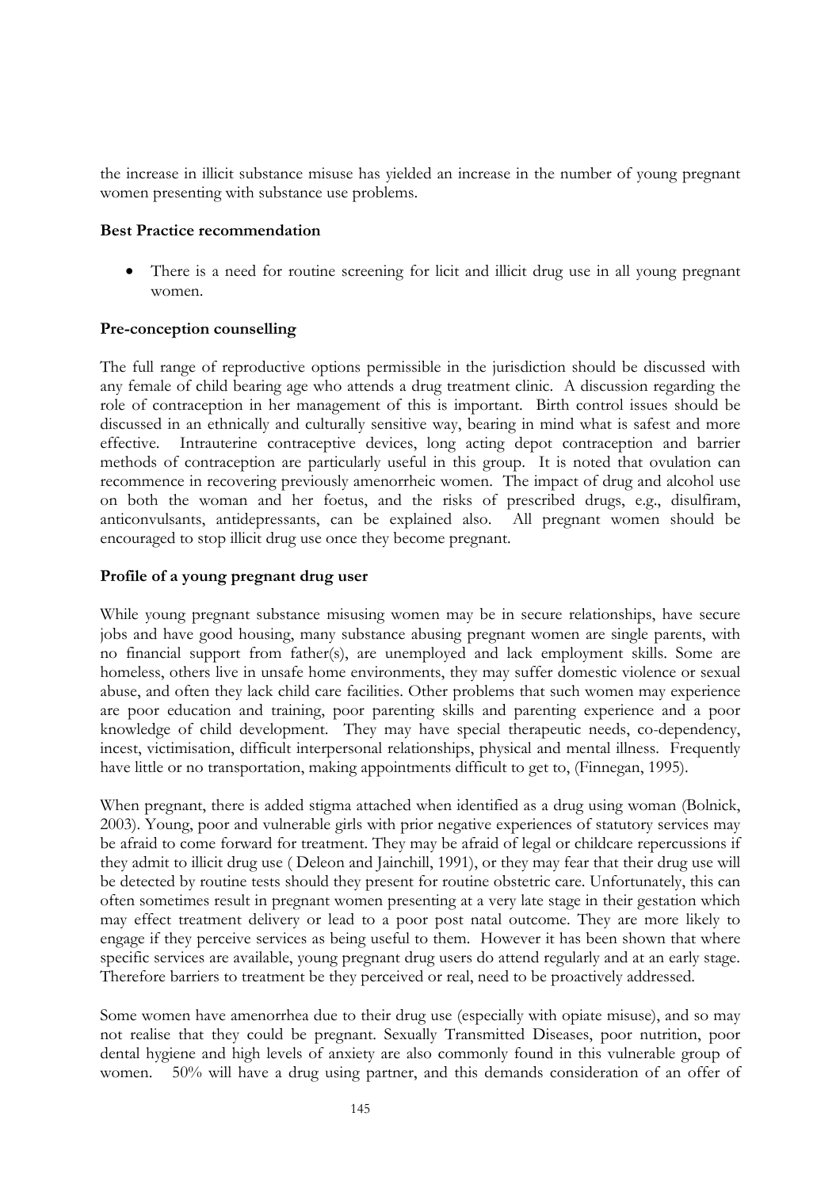the increase in illicit substance misuse has yielded an increase in the number of young pregnant women presenting with substance use problems.

## **Best Practice recommendation**

• There is a need for routine screening for licit and illicit drug use in all young pregnant women.

#### **Pre-conception counselling**

The full range of reproductive options permissible in the jurisdiction should be discussed with any female of child bearing age who attends a drug treatment clinic. A discussion regarding the role of contraception in her management of this is important. Birth control issues should be discussed in an ethnically and culturally sensitive way, bearing in mind what is safest and more effective. Intrauterine contraceptive devices, long acting depot contraception and barrier methods of contraception are particularly useful in this group. It is noted that ovulation can recommence in recovering previously amenorrheic women. The impact of drug and alcohol use on both the woman and her foetus, and the risks of prescribed drugs, e.g., disulfiram, anticonvulsants, antidepressants, can be explained also. All pregnant women should be encouraged to stop illicit drug use once they become pregnant.

#### **Profile of a young pregnant drug user**

While young pregnant substance misusing women may be in secure relationships, have secure jobs and have good housing, many substance abusing pregnant women are single parents, with no financial support from father(s), are unemployed and lack employment skills. Some are homeless, others live in unsafe home environments, they may suffer domestic violence or sexual abuse, and often they lack child care facilities. Other problems that such women may experience are poor education and training, poor parenting skills and parenting experience and a poor knowledge of child development. They may have special therapeutic needs, co-dependency, incest, victimisation, difficult interpersonal relationships, physical and mental illness. Frequently have little or no transportation, making appointments difficult to get to, (Finnegan, 1995).

When pregnant, there is added stigma attached when identified as a drug using woman (Bolnick, 2003). Young, poor and vulnerable girls with prior negative experiences of statutory services may be afraid to come forward for treatment. They may be afraid of legal or childcare repercussions if they admit to illicit drug use ( Deleon and Jainchill, 1991), or they may fear that their drug use will be detected by routine tests should they present for routine obstetric care. Unfortunately, this can often sometimes result in pregnant women presenting at a very late stage in their gestation which may effect treatment delivery or lead to a poor post natal outcome. They are more likely to engage if they perceive services as being useful to them. However it has been shown that where specific services are available, young pregnant drug users do attend regularly and at an early stage. Therefore barriers to treatment be they perceived or real, need to be proactively addressed.

Some women have amenorrhea due to their drug use (especially with opiate misuse), and so may not realise that they could be pregnant. Sexually Transmitted Diseases, poor nutrition, poor dental hygiene and high levels of anxiety are also commonly found in this vulnerable group of women. 50% will have a drug using partner, and this demands consideration of an offer of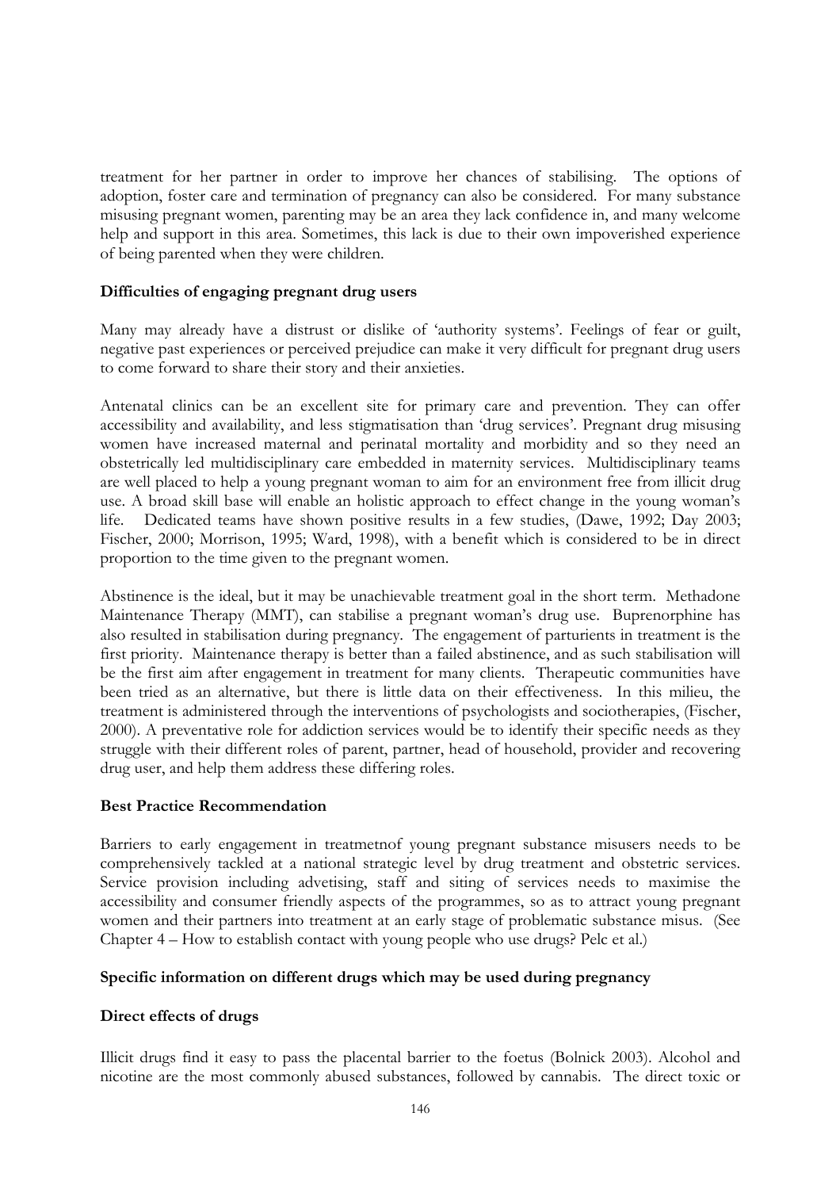treatment for her partner in order to improve her chances of stabilising. The options of adoption, foster care and termination of pregnancy can also be considered. For many substance misusing pregnant women, parenting may be an area they lack confidence in, and many welcome help and support in this area. Sometimes, this lack is due to their own impoverished experience of being parented when they were children.

## **Difficulties of engaging pregnant drug users**

Many may already have a distrust or dislike of 'authority systems'. Feelings of fear or guilt, negative past experiences or perceived prejudice can make it very difficult for pregnant drug users to come forward to share their story and their anxieties.

Antenatal clinics can be an excellent site for primary care and prevention. They can offer accessibility and availability, and less stigmatisation than 'drug services'. Pregnant drug misusing women have increased maternal and perinatal mortality and morbidity and so they need an obstetrically led multidisciplinary care embedded in maternity services. Multidisciplinary teams are well placed to help a young pregnant woman to aim for an environment free from illicit drug use. A broad skill base will enable an holistic approach to effect change in the young woman's life. Dedicated teams have shown positive results in a few studies, (Dawe, 1992; Day 2003; Fischer, 2000; Morrison, 1995; Ward, 1998), with a benefit which is considered to be in direct proportion to the time given to the pregnant women.

Abstinence is the ideal, but it may be unachievable treatment goal in the short term. Methadone Maintenance Therapy (MMT), can stabilise a pregnant woman's drug use. Buprenorphine has also resulted in stabilisation during pregnancy. The engagement of parturients in treatment is the first priority. Maintenance therapy is better than a failed abstinence, and as such stabilisation will be the first aim after engagement in treatment for many clients. Therapeutic communities have been tried as an alternative, but there is little data on their effectiveness. In this milieu, the treatment is administered through the interventions of psychologists and sociotherapies, (Fischer, 2000). A preventative role for addiction services would be to identify their specific needs as they struggle with their different roles of parent, partner, head of household, provider and recovering drug user, and help them address these differing roles.

#### **Best Practice Recommendation**

Barriers to early engagement in treatmetnof young pregnant substance misusers needs to be comprehensively tackled at a national strategic level by drug treatment and obstetric services. Service provision including advetising, staff and siting of services needs to maximise the accessibility and consumer friendly aspects of the programmes, so as to attract young pregnant women and their partners into treatment at an early stage of problematic substance misus. (See Chapter 4 – How to establish contact with young people who use drugs? Pelc et al.)

## **Specific information on different drugs which may be used during pregnancy**

## **Direct effects of drugs**

Illicit drugs find it easy to pass the placental barrier to the foetus (Bolnick 2003). Alcohol and nicotine are the most commonly abused substances, followed by cannabis. The direct toxic or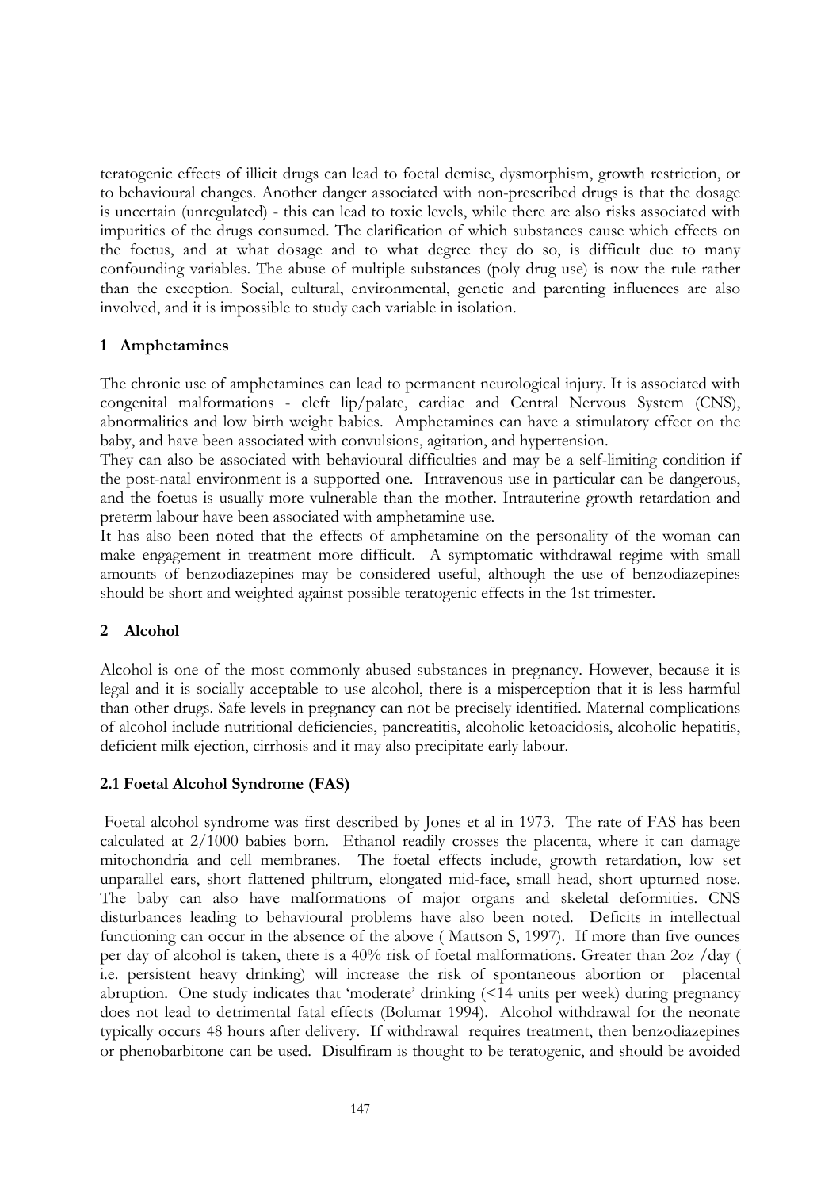teratogenic effects of illicit drugs can lead to foetal demise, dysmorphism, growth restriction, or to behavioural changes. Another danger associated with non-prescribed drugs is that the dosage is uncertain (unregulated) - this can lead to toxic levels, while there are also risks associated with impurities of the drugs consumed. The clarification of which substances cause which effects on the foetus, and at what dosage and to what degree they do so, is difficult due to many confounding variables. The abuse of multiple substances (poly drug use) is now the rule rather than the exception. Social, cultural, environmental, genetic and parenting influences are also involved, and it is impossible to study each variable in isolation.

## **1 Amphetamines**

The chronic use of amphetamines can lead to permanent neurological injury. It is associated with congenital malformations - cleft lip/palate, cardiac and Central Nervous System (CNS), abnormalities and low birth weight babies. Amphetamines can have a stimulatory effect on the baby, and have been associated with convulsions, agitation, and hypertension.

They can also be associated with behavioural difficulties and may be a self-limiting condition if the post-natal environment is a supported one. Intravenous use in particular can be dangerous, and the foetus is usually more vulnerable than the mother. Intrauterine growth retardation and preterm labour have been associated with amphetamine use.

It has also been noted that the effects of amphetamine on the personality of the woman can make engagement in treatment more difficult. A symptomatic withdrawal regime with small amounts of benzodiazepines may be considered useful, although the use of benzodiazepines should be short and weighted against possible teratogenic effects in the 1st trimester.

## **2 Alcohol**

Alcohol is one of the most commonly abused substances in pregnancy. However, because it is legal and it is socially acceptable to use alcohol, there is a misperception that it is less harmful than other drugs. Safe levels in pregnancy can not be precisely identified. Maternal complications of alcohol include nutritional deficiencies, pancreatitis, alcoholic ketoacidosis, alcoholic hepatitis, deficient milk ejection, cirrhosis and it may also precipitate early labour.

#### **2.1 Foetal Alcohol Syndrome (FAS)**

 Foetal alcohol syndrome was first described by Jones et al in 1973. The rate of FAS has been calculated at 2/1000 babies born. Ethanol readily crosses the placenta, where it can damage mitochondria and cell membranes. The foetal effects include, growth retardation, low set unparallel ears, short flattened philtrum, elongated mid-face, small head, short upturned nose. The baby can also have malformations of major organs and skeletal deformities. CNS disturbances leading to behavioural problems have also been noted. Deficits in intellectual functioning can occur in the absence of the above ( Mattson S, 1997). If more than five ounces per day of alcohol is taken, there is a 40% risk of foetal malformations. Greater than 2oz /day ( i.e. persistent heavy drinking) will increase the risk of spontaneous abortion or placental abruption. One study indicates that 'moderate' drinking (<14 units per week) during pregnancy does not lead to detrimental fatal effects (Bolumar 1994). Alcohol withdrawal for the neonate typically occurs 48 hours after delivery. If withdrawal requires treatment, then benzodiazepines or phenobarbitone can be used. Disulfiram is thought to be teratogenic, and should be avoided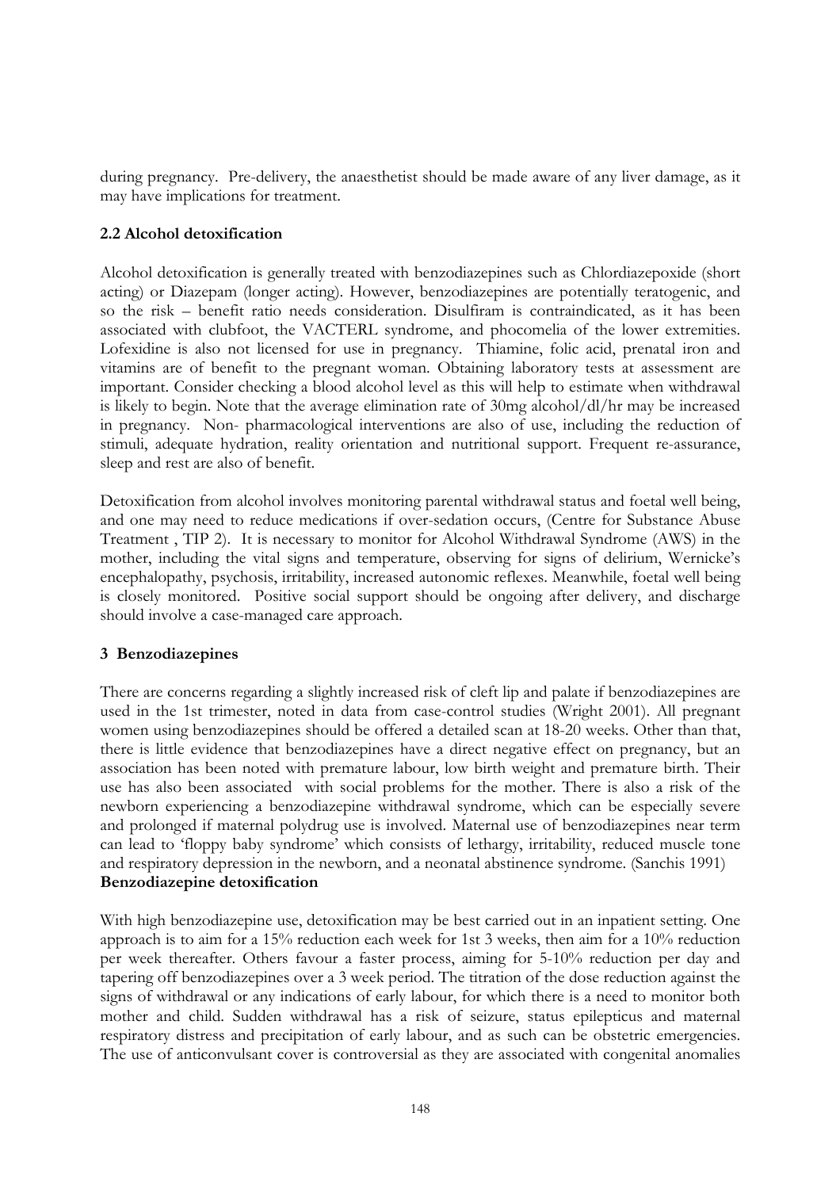during pregnancy. Pre-delivery, the anaesthetist should be made aware of any liver damage, as it may have implications for treatment.

## **2.2 Alcohol detoxification**

Alcohol detoxification is generally treated with benzodiazepines such as Chlordiazepoxide (short acting) or Diazepam (longer acting). However, benzodiazepines are potentially teratogenic, and so the risk – benefit ratio needs consideration. Disulfiram is contraindicated, as it has been associated with clubfoot, the VACTERL syndrome, and phocomelia of the lower extremities. Lofexidine is also not licensed for use in pregnancy. Thiamine, folic acid, prenatal iron and vitamins are of benefit to the pregnant woman. Obtaining laboratory tests at assessment are important. Consider checking a blood alcohol level as this will help to estimate when withdrawal is likely to begin. Note that the average elimination rate of 30mg alcohol/dl/hr may be increased in pregnancy. Non- pharmacological interventions are also of use, including the reduction of stimuli, adequate hydration, reality orientation and nutritional support. Frequent re-assurance, sleep and rest are also of benefit.

Detoxification from alcohol involves monitoring parental withdrawal status and foetal well being, and one may need to reduce medications if over-sedation occurs, (Centre for Substance Abuse Treatment , TIP 2). It is necessary to monitor for Alcohol Withdrawal Syndrome (AWS) in the mother, including the vital signs and temperature, observing for signs of delirium, Wernicke's encephalopathy, psychosis, irritability, increased autonomic reflexes. Meanwhile, foetal well being is closely monitored. Positive social support should be ongoing after delivery, and discharge should involve a case-managed care approach.

## **3 Benzodiazepines**

There are concerns regarding a slightly increased risk of cleft lip and palate if benzodiazepines are used in the 1st trimester, noted in data from case-control studies (Wright 2001). All pregnant women using benzodiazepines should be offered a detailed scan at 18-20 weeks. Other than that, there is little evidence that benzodiazepines have a direct negative effect on pregnancy, but an association has been noted with premature labour, low birth weight and premature birth. Their use has also been associated with social problems for the mother. There is also a risk of the newborn experiencing a benzodiazepine withdrawal syndrome, which can be especially severe and prolonged if maternal polydrug use is involved. Maternal use of benzodiazepines near term can lead to 'floppy baby syndrome' which consists of lethargy, irritability, reduced muscle tone and respiratory depression in the newborn, and a neonatal abstinence syndrome. (Sanchis 1991) **Benzodiazepine detoxification** 

With high benzodiazepine use, detoxification may be best carried out in an inpatient setting. One approach is to aim for a 15% reduction each week for 1st 3 weeks, then aim for a 10% reduction per week thereafter. Others favour a faster process, aiming for 5-10% reduction per day and tapering off benzodiazepines over a 3 week period. The titration of the dose reduction against the signs of withdrawal or any indications of early labour, for which there is a need to monitor both mother and child. Sudden withdrawal has a risk of seizure, status epilepticus and maternal respiratory distress and precipitation of early labour, and as such can be obstetric emergencies. The use of anticonvulsant cover is controversial as they are associated with congenital anomalies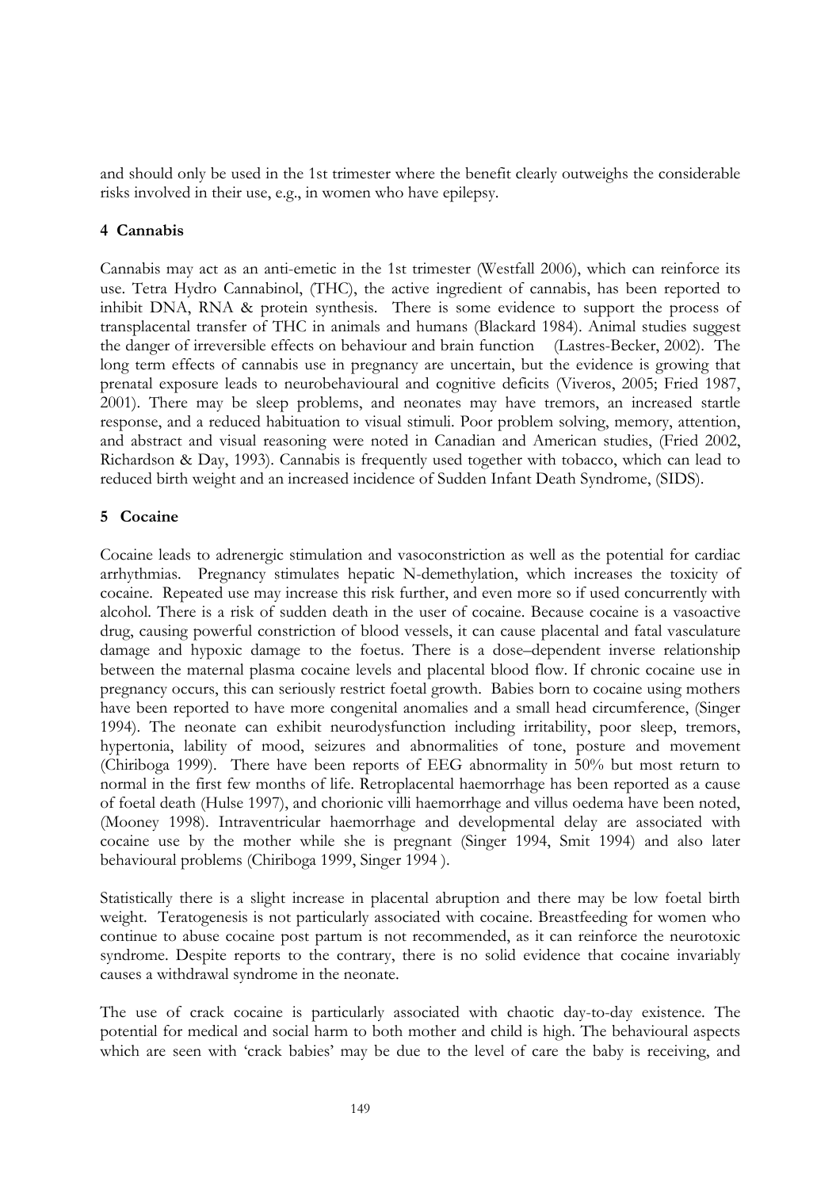and should only be used in the 1st trimester where the benefit clearly outweighs the considerable risks involved in their use, e.g., in women who have epilepsy.

## **4 Cannabis**

Cannabis may act as an anti-emetic in the 1st trimester (Westfall 2006), which can reinforce its use. Tetra Hydro Cannabinol, (THC), the active ingredient of cannabis, has been reported to inhibit DNA, RNA & protein synthesis. There is some evidence to support the process of transplacental transfer of THC in animals and humans (Blackard 1984). Animal studies suggest the danger of irreversible effects on behaviour and brain function (Lastres-Becker, 2002). The long term effects of cannabis use in pregnancy are uncertain, but the evidence is growing that prenatal exposure leads to neurobehavioural and cognitive deficits (Viveros, 2005; Fried 1987, 2001). There may be sleep problems, and neonates may have tremors, an increased startle response, and a reduced habituation to visual stimuli. Poor problem solving, memory, attention, and abstract and visual reasoning were noted in Canadian and American studies, (Fried 2002, Richardson & Day, 1993). Cannabis is frequently used together with tobacco, which can lead to reduced birth weight and an increased incidence of Sudden Infant Death Syndrome, (SIDS).

# **5 Cocaine**

Cocaine leads to adrenergic stimulation and vasoconstriction as well as the potential for cardiac arrhythmias. Pregnancy stimulates hepatic N-demethylation, which increases the toxicity of cocaine. Repeated use may increase this risk further, and even more so if used concurrently with alcohol. There is a risk of sudden death in the user of cocaine. Because cocaine is a vasoactive drug, causing powerful constriction of blood vessels, it can cause placental and fatal vasculature damage and hypoxic damage to the foetus. There is a dose–dependent inverse relationship between the maternal plasma cocaine levels and placental blood flow. If chronic cocaine use in pregnancy occurs, this can seriously restrict foetal growth. Babies born to cocaine using mothers have been reported to have more congenital anomalies and a small head circumference, (Singer 1994). The neonate can exhibit neurodysfunction including irritability, poor sleep, tremors, hypertonia, lability of mood, seizures and abnormalities of tone, posture and movement (Chiriboga 1999). There have been reports of EEG abnormality in 50% but most return to normal in the first few months of life. Retroplacental haemorrhage has been reported as a cause of foetal death (Hulse 1997), and chorionic villi haemorrhage and villus oedema have been noted, (Mooney 1998). Intraventricular haemorrhage and developmental delay are associated with cocaine use by the mother while she is pregnant (Singer 1994, Smit 1994) and also later behavioural problems (Chiriboga 1999, Singer 1994 ).

Statistically there is a slight increase in placental abruption and there may be low foetal birth weight. Teratogenesis is not particularly associated with cocaine. Breastfeeding for women who continue to abuse cocaine post partum is not recommended, as it can reinforce the neurotoxic syndrome. Despite reports to the contrary, there is no solid evidence that cocaine invariably causes a withdrawal syndrome in the neonate.

The use of crack cocaine is particularly associated with chaotic day-to-day existence. The potential for medical and social harm to both mother and child is high. The behavioural aspects which are seen with 'crack babies' may be due to the level of care the baby is receiving, and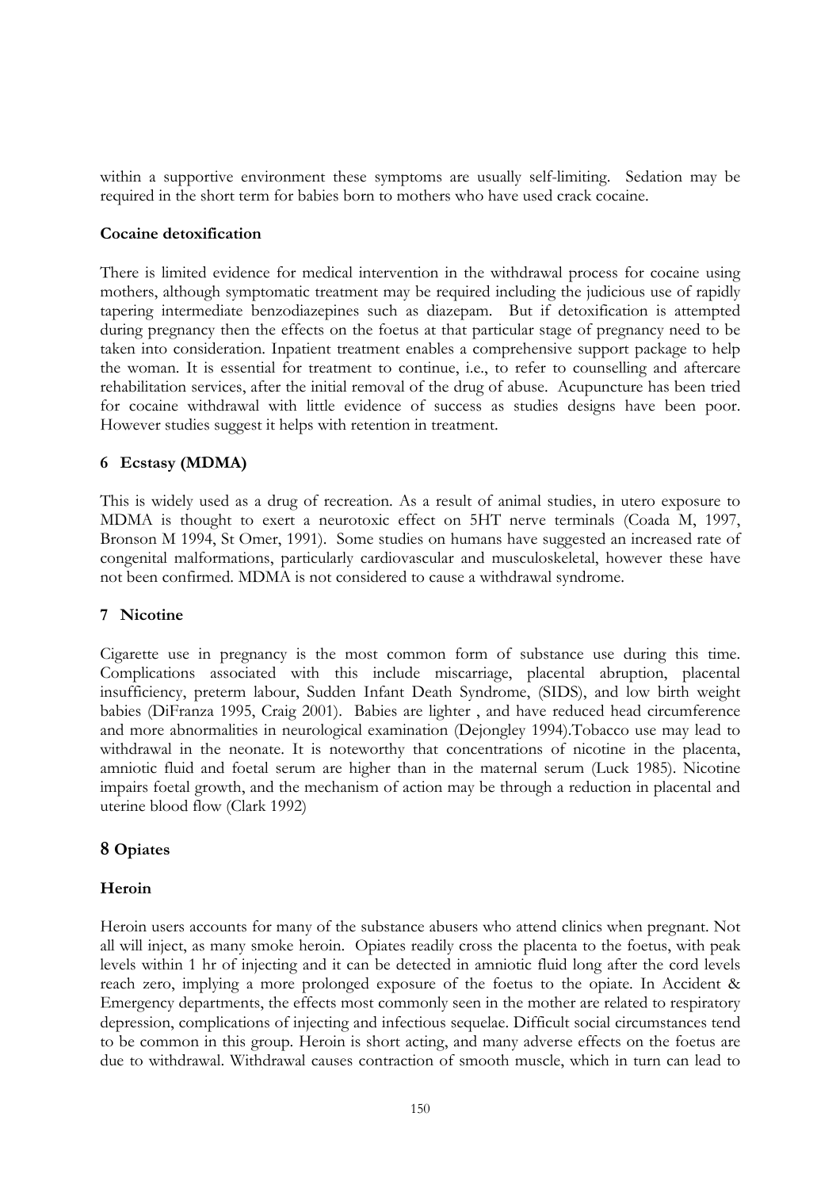within a supportive environment these symptoms are usually self-limiting. Sedation may be required in the short term for babies born to mothers who have used crack cocaine.

#### **Cocaine detoxification**

There is limited evidence for medical intervention in the withdrawal process for cocaine using mothers, although symptomatic treatment may be required including the judicious use of rapidly tapering intermediate benzodiazepines such as diazepam. But if detoxification is attempted during pregnancy then the effects on the foetus at that particular stage of pregnancy need to be taken into consideration. Inpatient treatment enables a comprehensive support package to help the woman. It is essential for treatment to continue, i.e., to refer to counselling and aftercare rehabilitation services, after the initial removal of the drug of abuse. Acupuncture has been tried for cocaine withdrawal with little evidence of success as studies designs have been poor. However studies suggest it helps with retention in treatment.

## **6 Ecstasy (MDMA)**

This is widely used as a drug of recreation. As a result of animal studies, in utero exposure to MDMA is thought to exert a neurotoxic effect on 5HT nerve terminals (Coada M, 1997, Bronson M 1994, St Omer, 1991). Some studies on humans have suggested an increased rate of congenital malformations, particularly cardiovascular and musculoskeletal, however these have not been confirmed. MDMA is not considered to cause a withdrawal syndrome.

#### **7 Nicotine**

Cigarette use in pregnancy is the most common form of substance use during this time. Complications associated with this include miscarriage, placental abruption, placental insufficiency, preterm labour, Sudden Infant Death Syndrome, (SIDS), and low birth weight babies (DiFranza 1995, Craig 2001). Babies are lighter , and have reduced head circumference and more abnormalities in neurological examination (Dejongley 1994).Tobacco use may lead to withdrawal in the neonate. It is noteworthy that concentrations of nicotine in the placenta, amniotic fluid and foetal serum are higher than in the maternal serum (Luck 1985). Nicotine impairs foetal growth, and the mechanism of action may be through a reduction in placental and uterine blood flow (Clark 1992)

## **8 Opiates**

#### **Heroin**

Heroin users accounts for many of the substance abusers who attend clinics when pregnant. Not all will inject, as many smoke heroin. Opiates readily cross the placenta to the foetus, with peak levels within 1 hr of injecting and it can be detected in amniotic fluid long after the cord levels reach zero, implying a more prolonged exposure of the foetus to the opiate. In Accident & Emergency departments, the effects most commonly seen in the mother are related to respiratory depression, complications of injecting and infectious sequelae. Difficult social circumstances tend to be common in this group. Heroin is short acting, and many adverse effects on the foetus are due to withdrawal. Withdrawal causes contraction of smooth muscle, which in turn can lead to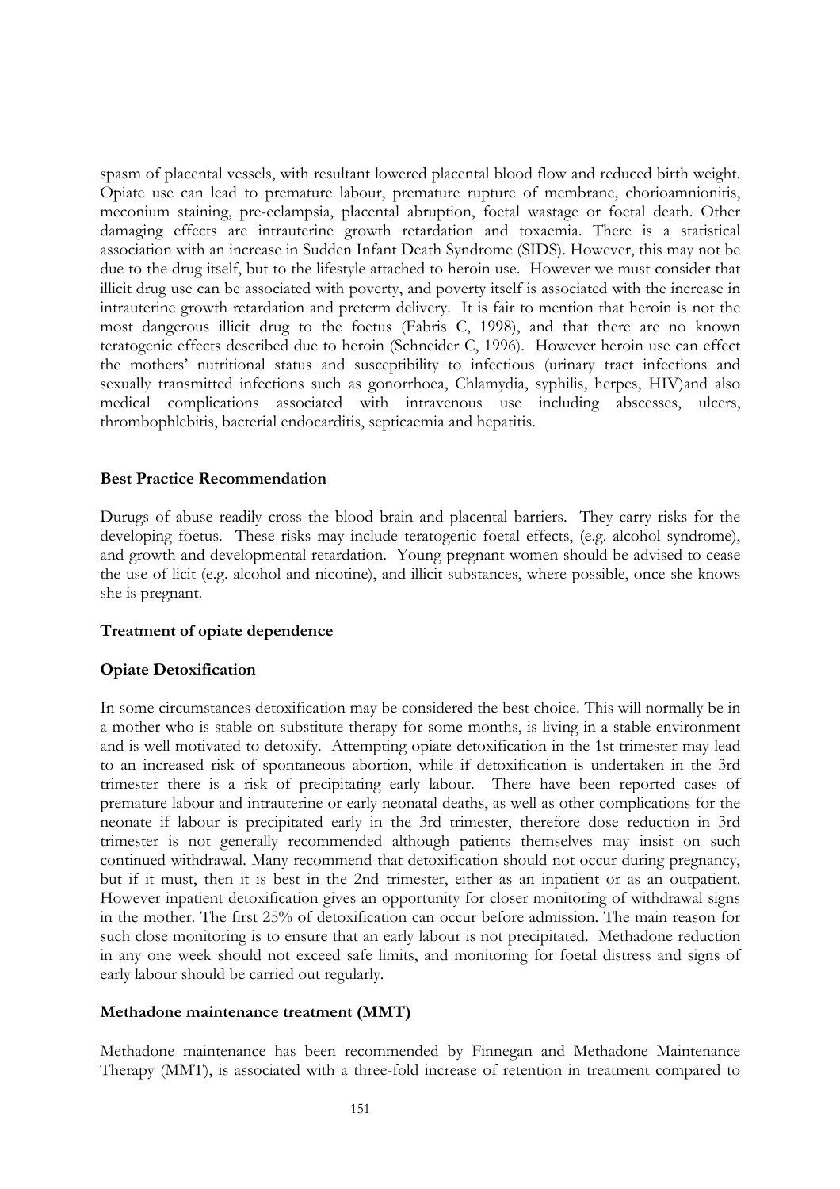spasm of placental vessels, with resultant lowered placental blood flow and reduced birth weight. Opiate use can lead to premature labour, premature rupture of membrane, chorioamnionitis, meconium staining, pre-eclampsia, placental abruption, foetal wastage or foetal death. Other damaging effects are intrauterine growth retardation and toxaemia. There is a statistical association with an increase in Sudden Infant Death Syndrome (SIDS). However, this may not be due to the drug itself, but to the lifestyle attached to heroin use. However we must consider that illicit drug use can be associated with poverty, and poverty itself is associated with the increase in intrauterine growth retardation and preterm delivery. It is fair to mention that heroin is not the most dangerous illicit drug to the foetus (Fabris C, 1998), and that there are no known teratogenic effects described due to heroin (Schneider C, 1996). However heroin use can effect the mothers' nutritional status and susceptibility to infectious (urinary tract infections and sexually transmitted infections such as gonorrhoea, Chlamydia, syphilis, herpes, HIV)and also medical complications associated with intravenous use including abscesses, ulcers, thrombophlebitis, bacterial endocarditis, septicaemia and hepatitis.

#### **Best Practice Recommendation**

Durugs of abuse readily cross the blood brain and placental barriers. They carry risks for the developing foetus. These risks may include teratogenic foetal effects, (e.g. alcohol syndrome), and growth and developmental retardation. Young pregnant women should be advised to cease the use of licit (e.g. alcohol and nicotine), and illicit substances, where possible, once she knows she is pregnant.

#### **Treatment of opiate dependence**

#### **Opiate Detoxification**

In some circumstances detoxification may be considered the best choice. This will normally be in a mother who is stable on substitute therapy for some months, is living in a stable environment and is well motivated to detoxify. Attempting opiate detoxification in the 1st trimester may lead to an increased risk of spontaneous abortion, while if detoxification is undertaken in the 3rd trimester there is a risk of precipitating early labour. There have been reported cases of premature labour and intrauterine or early neonatal deaths, as well as other complications for the neonate if labour is precipitated early in the 3rd trimester, therefore dose reduction in 3rd trimester is not generally recommended although patients themselves may insist on such continued withdrawal. Many recommend that detoxification should not occur during pregnancy, but if it must, then it is best in the 2nd trimester, either as an inpatient or as an outpatient. However inpatient detoxification gives an opportunity for closer monitoring of withdrawal signs in the mother. The first 25% of detoxification can occur before admission. The main reason for such close monitoring is to ensure that an early labour is not precipitated. Methadone reduction in any one week should not exceed safe limits, and monitoring for foetal distress and signs of early labour should be carried out regularly.

#### **Methadone maintenance treatment (MMT)**

Methadone maintenance has been recommended by Finnegan and Methadone Maintenance Therapy (MMT), is associated with a three-fold increase of retention in treatment compared to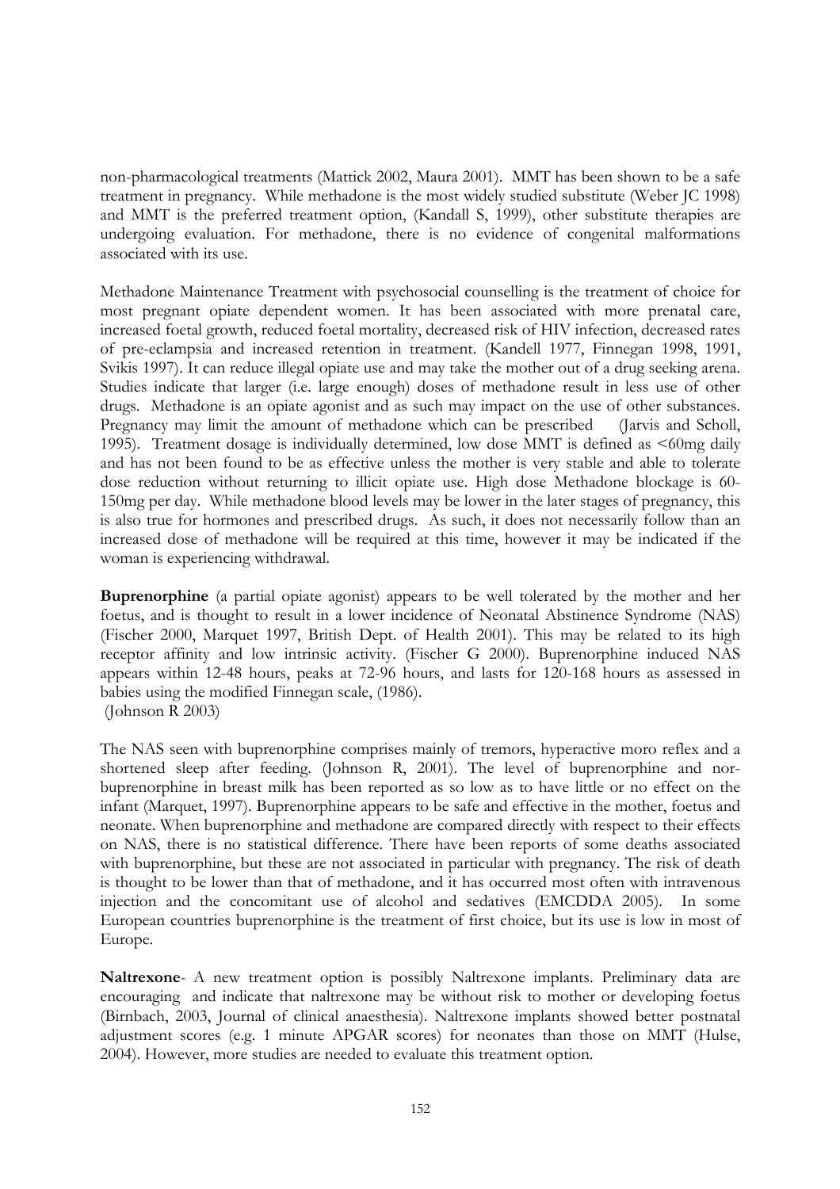non-pharmacological treatments (Mattick 2002, Maura 2001). MMT has been shown to be a safe treatment in pregnancy. While methadone is the most widely studied substitute (Weber JC 1998) and MMT is the preferred treatment option, (Kandall S, 1999), other substitute therapies are undergoing evaluation. For methadone, there is no evidence of congenital malformations associated with its use.

Methadone Maintenance Treatment with psychosocial counselling is the treatment of choice for most pregnant opiate dependent women. It has been associated with more prenatal care, increased foetal growth, reduced foetal mortality, decreased risk of HIV infection, decreased rates of pre-eclampsia and increased retention in treatment. (Kandell 1977, Finnegan 1998, 1991, Svikis 1997). It can reduce illegal opiate use and may take the mother out of a drug seeking arena. Studies indicate that larger (i.e. large enough) doses of methadone result in less use of other drugs. Methadone is an opiate agonist and as such may impact on the use of other substances. Pregnancy may limit the amount of methadone which can be prescribed (Jarvis and Scholl, 1995). Treatment dosage is individually determined, low dose MMT is defined as <60mg daily and has not been found to be as effective unless the mother is very stable and able to tolerate dose reduction without returning to illicit opiate use. High dose Methadone blockage is 60- 150mg per day. While methadone blood levels may be lower in the later stages of pregnancy, this is also true for hormones and prescribed drugs. As such, it does not necessarily follow than an increased dose of methadone will be required at this time, however it may be indicated if the woman is experiencing withdrawal.

**Buprenorphine** (a partial opiate agonist) appears to be well tolerated by the mother and her foetus, and is thought to result in a lower incidence of Neonatal Abstinence Syndrome (NAS) (Fischer 2000, Marquet 1997, British Dept. of Health 2001). This may be related to its high receptor affinity and low intrinsic activity. (Fischer G 2000). Buprenorphine induced NAS appears within 12-48 hours, peaks at 72-96 hours, and lasts for 120-168 hours as assessed in babies using the modified Finnegan scale, (1986). (Johnson R 2003)

The NAS seen with buprenorphine comprises mainly of tremors, hyperactive moro reflex and a shortened sleep after feeding. (Johnson R, 2001). The level of buprenorphine and norbuprenorphine in breast milk has been reported as so low as to have little or no effect on the infant (Marquet, 1997). Buprenorphine appears to be safe and effective in the mother, foetus and neonate. When buprenorphine and methadone are compared directly with respect to their effects on NAS, there is no statistical difference. There have been reports of some deaths associated with buprenorphine, but these are not associated in particular with pregnancy. The risk of death is thought to be lower than that of methadone, and it has occurred most often with intravenous injection and the concomitant use of alcohol and sedatives (EMCDDA 2005). In some European countries buprenorphine is the treatment of first choice, but its use is low in most of Europe.

**Naltrexone***-* A new treatment option is possibly Naltrexone implants. Preliminary data are encouraging and indicate that naltrexone may be without risk to mother or developing foetus (Birnbach, 2003, Journal of clinical anaesthesia). Naltrexone implants showed better postnatal adjustment scores (e.g. 1 minute APGAR scores) for neonates than those on MMT (Hulse, 2004). However, more studies are needed to evaluate this treatment option.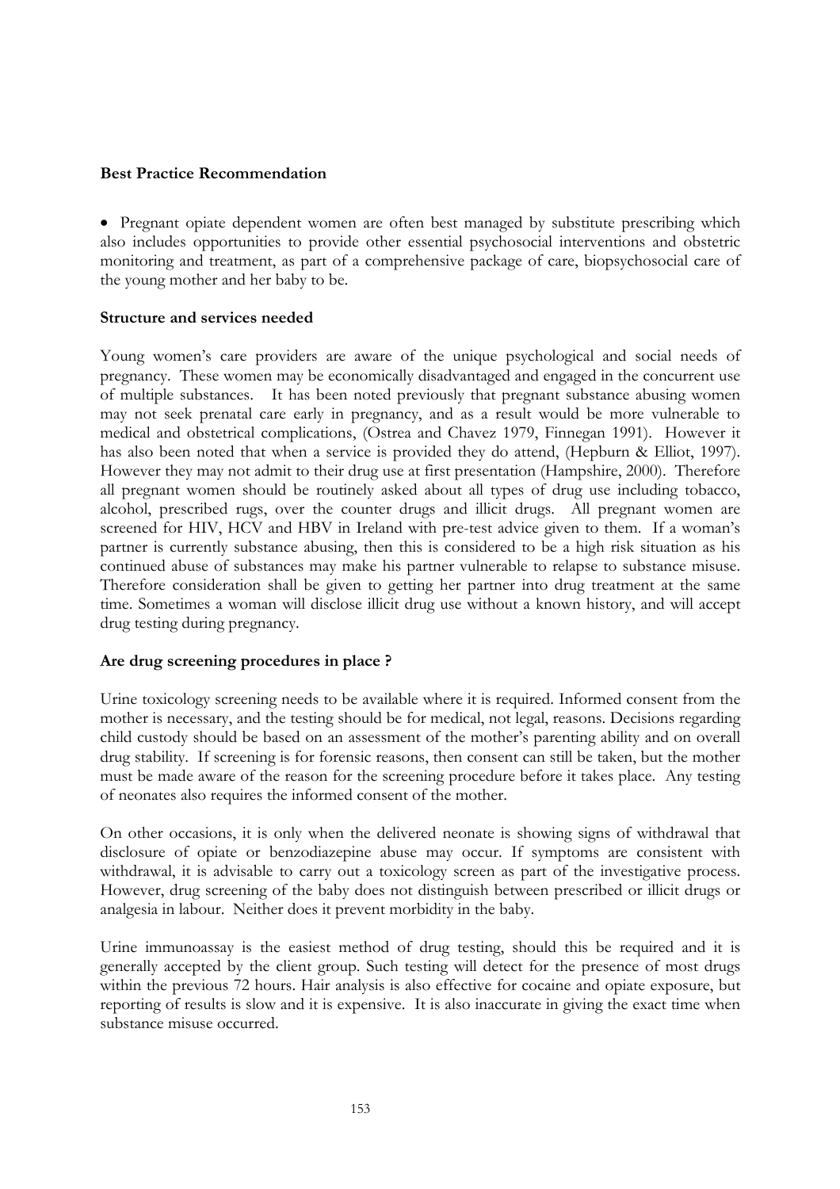## **Best Practice Recommendation**

• Pregnant opiate dependent women are often best managed by substitute prescribing which also includes opportunities to provide other essential psychosocial interventions and obstetric monitoring and treatment, as part of a comprehensive package of care, biopsychosocial care of the young mother and her baby to be.

## **Structure and services needed**

Young women's care providers are aware of the unique psychological and social needs of pregnancy. These women may be economically disadvantaged and engaged in the concurrent use of multiple substances. It has been noted previously that pregnant substance abusing women may not seek prenatal care early in pregnancy, and as a result would be more vulnerable to medical and obstetrical complications, (Ostrea and Chavez 1979, Finnegan 1991). However it has also been noted that when a service is provided they do attend, (Hepburn & Elliot, 1997). However they may not admit to their drug use at first presentation (Hampshire, 2000). Therefore all pregnant women should be routinely asked about all types of drug use including tobacco, alcohol, prescribed rugs, over the counter drugs and illicit drugs. All pregnant women are screened for HIV, HCV and HBV in Ireland with pre-test advice given to them. If a woman's partner is currently substance abusing, then this is considered to be a high risk situation as his continued abuse of substances may make his partner vulnerable to relapse to substance misuse. Therefore consideration shall be given to getting her partner into drug treatment at the same time. Sometimes a woman will disclose illicit drug use without a known history, and will accept drug testing during pregnancy.

## **Are drug screening procedures in place ?**

Urine toxicology screening needs to be available where it is required. Informed consent from the mother is necessary, and the testing should be for medical, not legal, reasons. Decisions regarding child custody should be based on an assessment of the mother's parenting ability and on overall drug stability. If screening is for forensic reasons, then consent can still be taken, but the mother must be made aware of the reason for the screening procedure before it takes place. Any testing of neonates also requires the informed consent of the mother.

On other occasions, it is only when the delivered neonate is showing signs of withdrawal that disclosure of opiate or benzodiazepine abuse may occur. If symptoms are consistent with withdrawal, it is advisable to carry out a toxicology screen as part of the investigative process. However, drug screening of the baby does not distinguish between prescribed or illicit drugs or analgesia in labour. Neither does it prevent morbidity in the baby.

Urine immunoassay is the easiest method of drug testing, should this be required and it is generally accepted by the client group. Such testing will detect for the presence of most drugs within the previous 72 hours. Hair analysis is also effective for cocaine and opiate exposure, but reporting of results is slow and it is expensive. It is also inaccurate in giving the exact time when substance misuse occurred.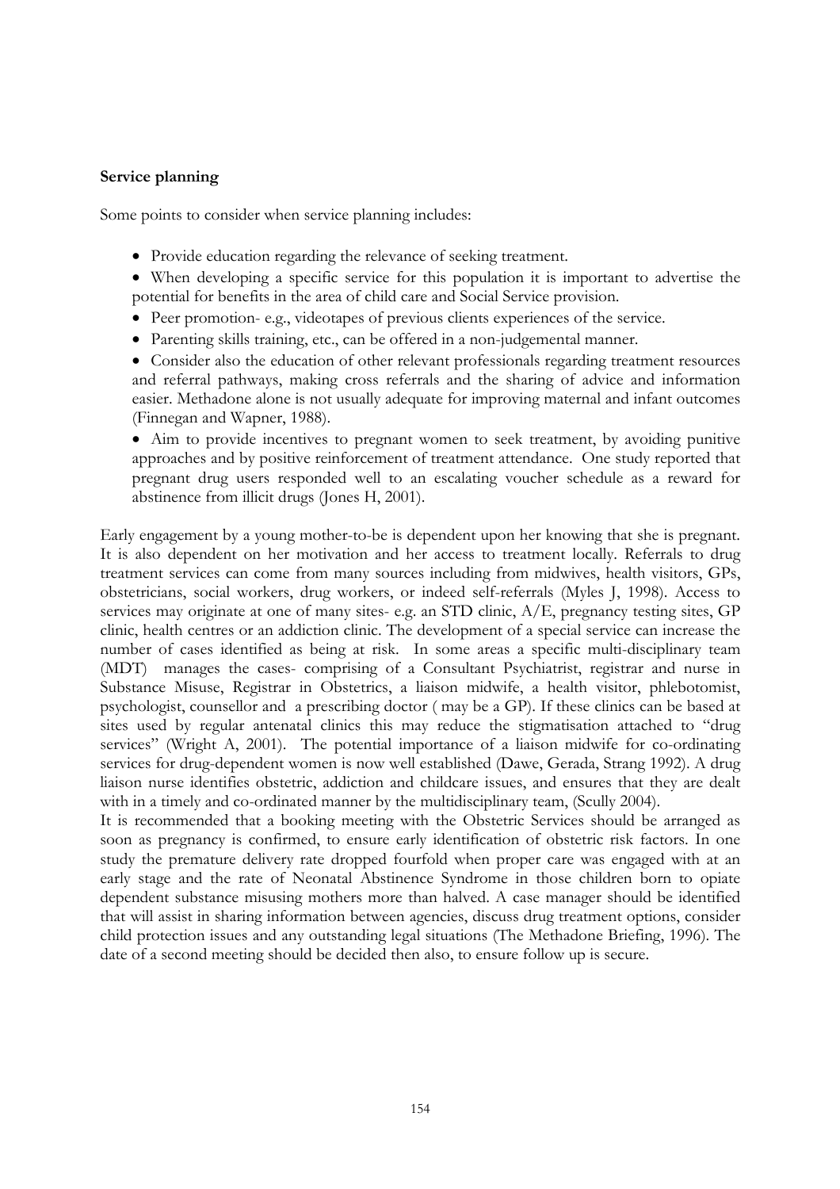#### **Service planning**

Some points to consider when service planning includes:

- Provide education regarding the relevance of seeking treatment.
- When developing a specific service for this population it is important to advertise the potential for benefits in the area of child care and Social Service provision.
- Peer promotion- e.g., videotapes of previous clients experiences of the service.
- Parenting skills training, etc., can be offered in a non-judgemental manner.

• Consider also the education of other relevant professionals regarding treatment resources and referral pathways, making cross referrals and the sharing of advice and information easier. Methadone alone is not usually adequate for improving maternal and infant outcomes (Finnegan and Wapner, 1988).

• Aim to provide incentives to pregnant women to seek treatment, by avoiding punitive approaches and by positive reinforcement of treatment attendance. One study reported that pregnant drug users responded well to an escalating voucher schedule as a reward for abstinence from illicit drugs (Jones H, 2001).

Early engagement by a young mother-to-be is dependent upon her knowing that she is pregnant. It is also dependent on her motivation and her access to treatment locally. Referrals to drug treatment services can come from many sources including from midwives, health visitors, GPs, obstetricians, social workers, drug workers, or indeed self-referrals (Myles J, 1998). Access to services may originate at one of many sites- e.g. an STD clinic,  $A/E$ , pregnancy testing sites, GP clinic, health centres or an addiction clinic. The development of a special service can increase the number of cases identified as being at risk. In some areas a specific multi-disciplinary team (MDT) manages the cases- comprising of a Consultant Psychiatrist, registrar and nurse in Substance Misuse, Registrar in Obstetrics, a liaison midwife, a health visitor, phlebotomist, psychologist, counsellor and a prescribing doctor ( may be a GP). If these clinics can be based at sites used by regular antenatal clinics this may reduce the stigmatisation attached to "drug services" (Wright A, 2001). The potential importance of a liaison midwife for co-ordinating services for drug-dependent women is now well established (Dawe, Gerada, Strang 1992). A drug liaison nurse identifies obstetric, addiction and childcare issues, and ensures that they are dealt with in a timely and co-ordinated manner by the multidisciplinary team, (Scully 2004).

It is recommended that a booking meeting with the Obstetric Services should be arranged as soon as pregnancy is confirmed, to ensure early identification of obstetric risk factors. In one study the premature delivery rate dropped fourfold when proper care was engaged with at an early stage and the rate of Neonatal Abstinence Syndrome in those children born to opiate dependent substance misusing mothers more than halved. A case manager should be identified that will assist in sharing information between agencies, discuss drug treatment options, consider child protection issues and any outstanding legal situations (The Methadone Briefing, 1996). The date of a second meeting should be decided then also, to ensure follow up is secure.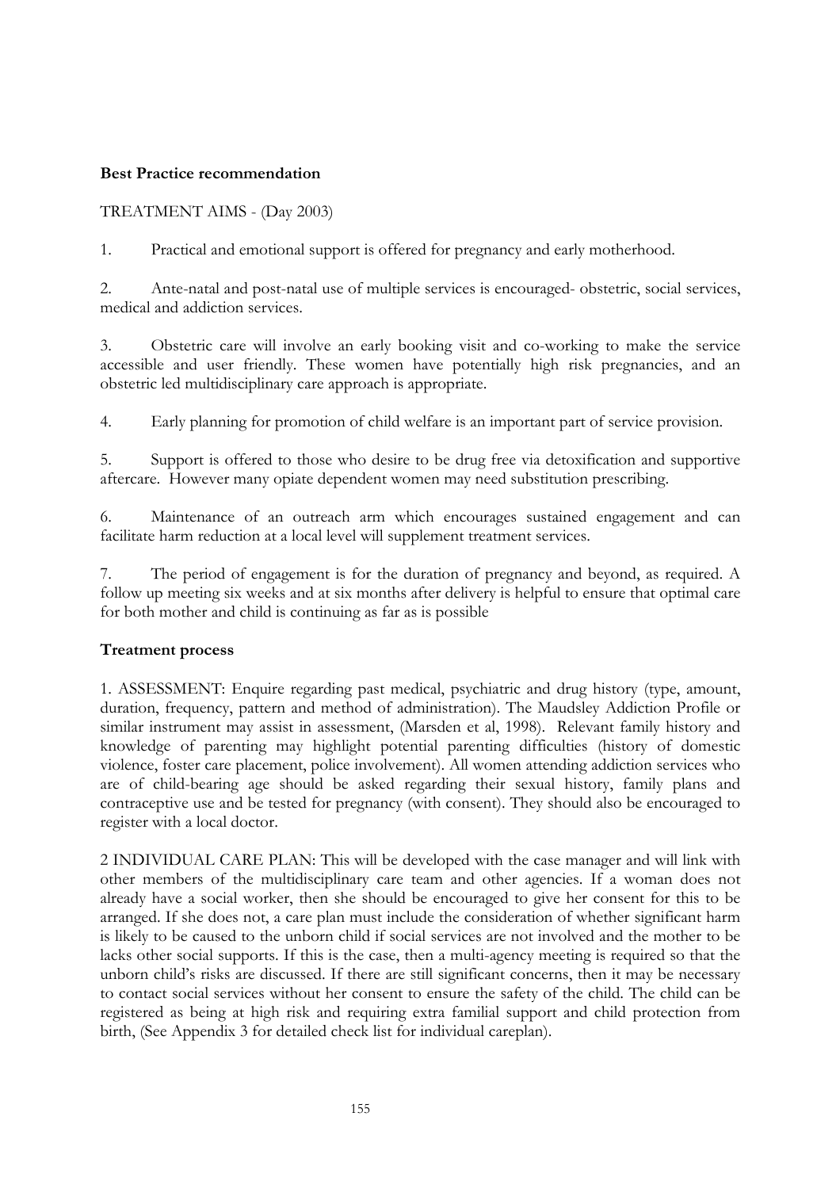# **Best Practice recommendation**

## TREATMENT AIMS - (Day 2003)

1. Practical and emotional support is offered for pregnancy and early motherhood.

2. Ante-natal and post-natal use of multiple services is encouraged- obstetric, social services, medical and addiction services.

3. Obstetric care will involve an early booking visit and co-working to make the service accessible and user friendly. These women have potentially high risk pregnancies, and an obstetric led multidisciplinary care approach is appropriate.

4. Early planning for promotion of child welfare is an important part of service provision.

5. Support is offered to those who desire to be drug free via detoxification and supportive aftercare. However many opiate dependent women may need substitution prescribing.

6. Maintenance of an outreach arm which encourages sustained engagement and can facilitate harm reduction at a local level will supplement treatment services.

7. The period of engagement is for the duration of pregnancy and beyond, as required. A follow up meeting six weeks and at six months after delivery is helpful to ensure that optimal care for both mother and child is continuing as far as is possible

## **Treatment process**

1. ASSESSMENT: Enquire regarding past medical, psychiatric and drug history (type, amount, duration, frequency, pattern and method of administration). The Maudsley Addiction Profile or similar instrument may assist in assessment, (Marsden et al, 1998). Relevant family history and knowledge of parenting may highlight potential parenting difficulties (history of domestic violence, foster care placement, police involvement). All women attending addiction services who are of child-bearing age should be asked regarding their sexual history, family plans and contraceptive use and be tested for pregnancy (with consent). They should also be encouraged to register with a local doctor.

2 INDIVIDUAL CARE PLAN: This will be developed with the case manager and will link with other members of the multidisciplinary care team and other agencies. If a woman does not already have a social worker, then she should be encouraged to give her consent for this to be arranged. If she does not, a care plan must include the consideration of whether significant harm is likely to be caused to the unborn child if social services are not involved and the mother to be lacks other social supports. If this is the case, then a multi-agency meeting is required so that the unborn child's risks are discussed. If there are still significant concerns, then it may be necessary to contact social services without her consent to ensure the safety of the child. The child can be registered as being at high risk and requiring extra familial support and child protection from birth, (See Appendix 3 for detailed check list for individual careplan).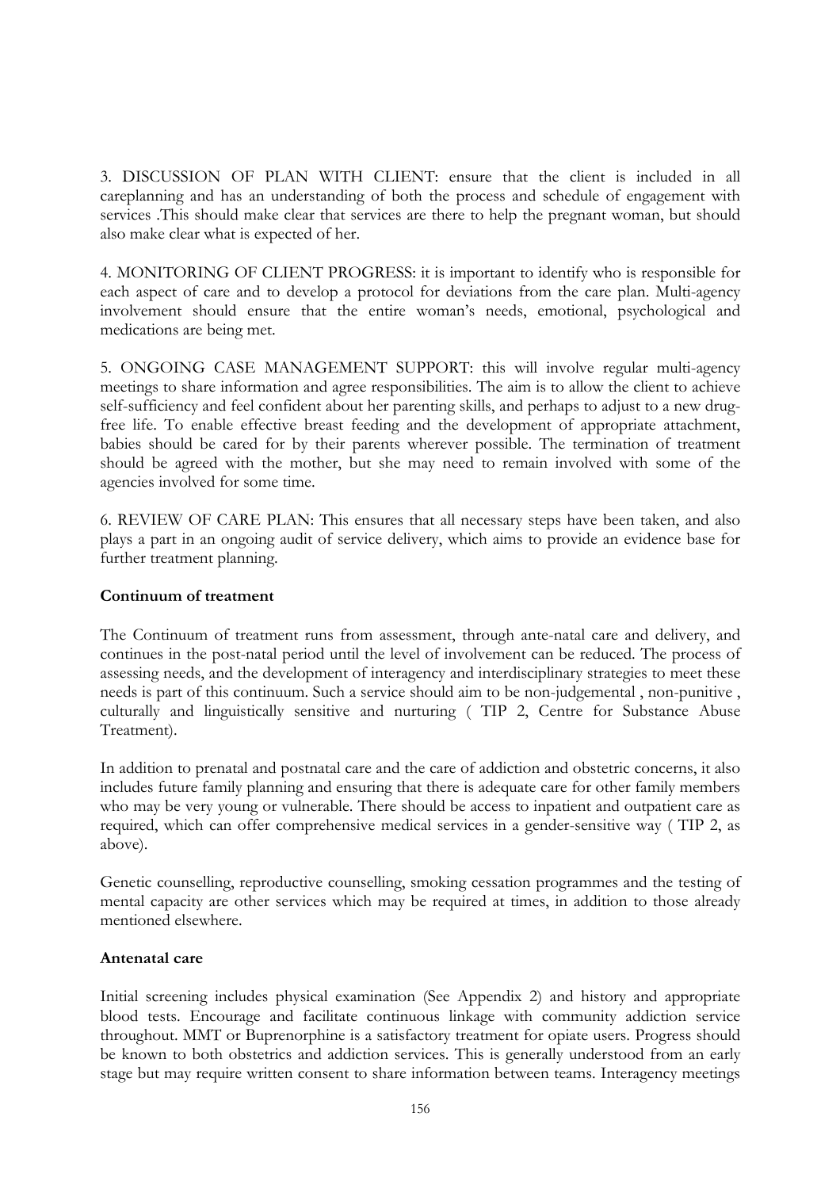3. DISCUSSION OF PLAN WITH CLIENT: ensure that the client is included in all careplanning and has an understanding of both the process and schedule of engagement with services .This should make clear that services are there to help the pregnant woman, but should also make clear what is expected of her.

4. MONITORING OF CLIENT PROGRESS: it is important to identify who is responsible for each aspect of care and to develop a protocol for deviations from the care plan. Multi-agency involvement should ensure that the entire woman's needs, emotional, psychological and medications are being met.

5. ONGOING CASE MANAGEMENT SUPPORT: this will involve regular multi-agency meetings to share information and agree responsibilities. The aim is to allow the client to achieve self-sufficiency and feel confident about her parenting skills, and perhaps to adjust to a new drugfree life. To enable effective breast feeding and the development of appropriate attachment, babies should be cared for by their parents wherever possible. The termination of treatment should be agreed with the mother, but she may need to remain involved with some of the agencies involved for some time.

6. REVIEW OF CARE PLAN: This ensures that all necessary steps have been taken, and also plays a part in an ongoing audit of service delivery, which aims to provide an evidence base for further treatment planning.

## **Continuum of treatment**

The Continuum of treatment runs from assessment, through ante-natal care and delivery, and continues in the post-natal period until the level of involvement can be reduced. The process of assessing needs, and the development of interagency and interdisciplinary strategies to meet these needs is part of this continuum. Such a service should aim to be non-judgemental , non-punitive , culturally and linguistically sensitive and nurturing ( TIP 2, Centre for Substance Abuse Treatment).

In addition to prenatal and postnatal care and the care of addiction and obstetric concerns, it also includes future family planning and ensuring that there is adequate care for other family members who may be very young or vulnerable. There should be access to inpatient and outpatient care as required, which can offer comprehensive medical services in a gender-sensitive way ( TIP 2, as above).

Genetic counselling, reproductive counselling, smoking cessation programmes and the testing of mental capacity are other services which may be required at times, in addition to those already mentioned elsewhere.

## **Antenatal care**

Initial screening includes physical examination (See Appendix 2) and history and appropriate blood tests. Encourage and facilitate continuous linkage with community addiction service throughout. MMT or Buprenorphine is a satisfactory treatment for opiate users. Progress should be known to both obstetrics and addiction services. This is generally understood from an early stage but may require written consent to share information between teams. Interagency meetings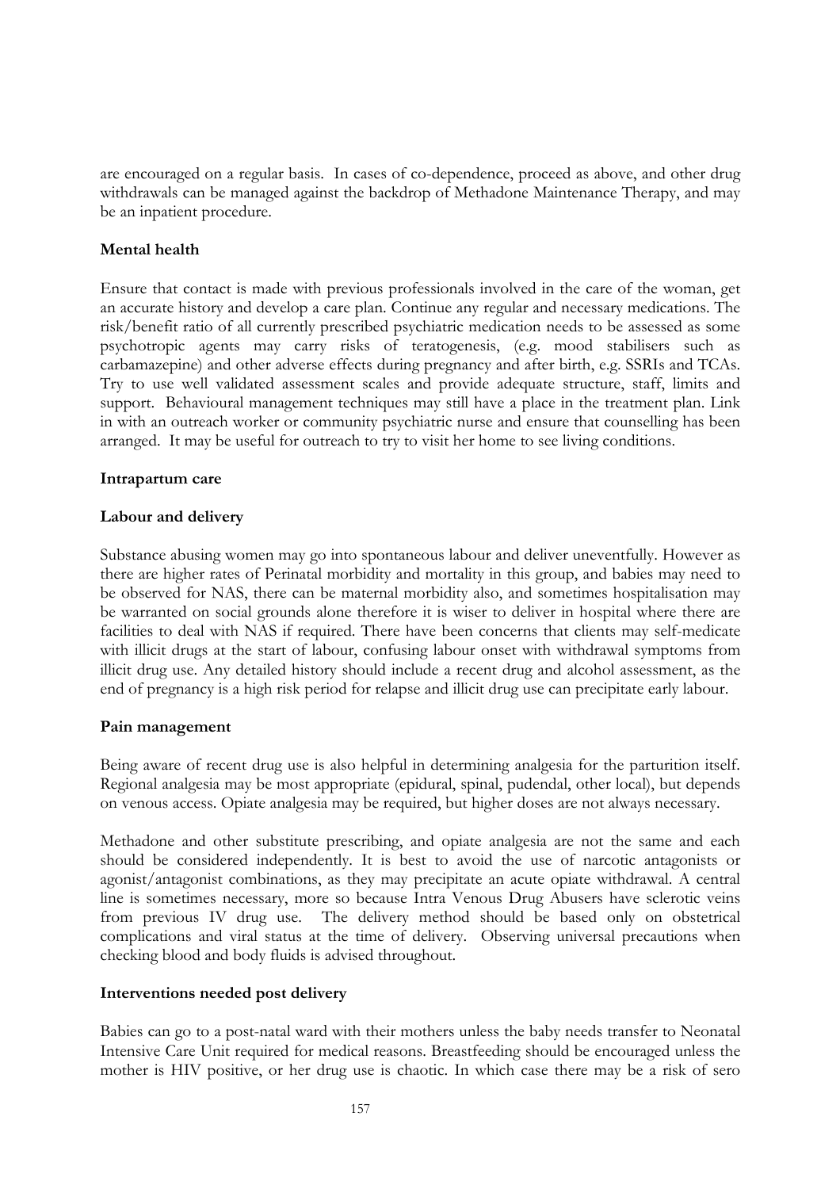are encouraged on a regular basis. In cases of co-dependence, proceed as above, and other drug withdrawals can be managed against the backdrop of Methadone Maintenance Therapy, and may be an inpatient procedure.

## **Mental health**

Ensure that contact is made with previous professionals involved in the care of the woman, get an accurate history and develop a care plan. Continue any regular and necessary medications. The risk/benefit ratio of all currently prescribed psychiatric medication needs to be assessed as some psychotropic agents may carry risks of teratogenesis, (e.g. mood stabilisers such as carbamazepine) and other adverse effects during pregnancy and after birth, e.g. SSRIs and TCAs. Try to use well validated assessment scales and provide adequate structure, staff, limits and support. Behavioural management techniques may still have a place in the treatment plan. Link in with an outreach worker or community psychiatric nurse and ensure that counselling has been arranged. It may be useful for outreach to try to visit her home to see living conditions.

## **Intrapartum care**

#### **Labour and delivery**

Substance abusing women may go into spontaneous labour and deliver uneventfully. However as there are higher rates of Perinatal morbidity and mortality in this group, and babies may need to be observed for NAS, there can be maternal morbidity also, and sometimes hospitalisation may be warranted on social grounds alone therefore it is wiser to deliver in hospital where there are facilities to deal with NAS if required. There have been concerns that clients may self-medicate with illicit drugs at the start of labour, confusing labour onset with withdrawal symptoms from illicit drug use. Any detailed history should include a recent drug and alcohol assessment, as the end of pregnancy is a high risk period for relapse and illicit drug use can precipitate early labour.

## **Pain management**

Being aware of recent drug use is also helpful in determining analgesia for the parturition itself. Regional analgesia may be most appropriate (epidural, spinal, pudendal, other local), but depends on venous access. Opiate analgesia may be required, but higher doses are not always necessary.

Methadone and other substitute prescribing, and opiate analgesia are not the same and each should be considered independently. It is best to avoid the use of narcotic antagonists or agonist/antagonist combinations, as they may precipitate an acute opiate withdrawal. A central line is sometimes necessary, more so because Intra Venous Drug Abusers have sclerotic veins from previous IV drug use. The delivery method should be based only on obstetrical complications and viral status at the time of delivery. Observing universal precautions when checking blood and body fluids is advised throughout.

## **Interventions needed post delivery**

Babies can go to a post-natal ward with their mothers unless the baby needs transfer to Neonatal Intensive Care Unit required for medical reasons. Breastfeeding should be encouraged unless the mother is HIV positive, or her drug use is chaotic. In which case there may be a risk of sero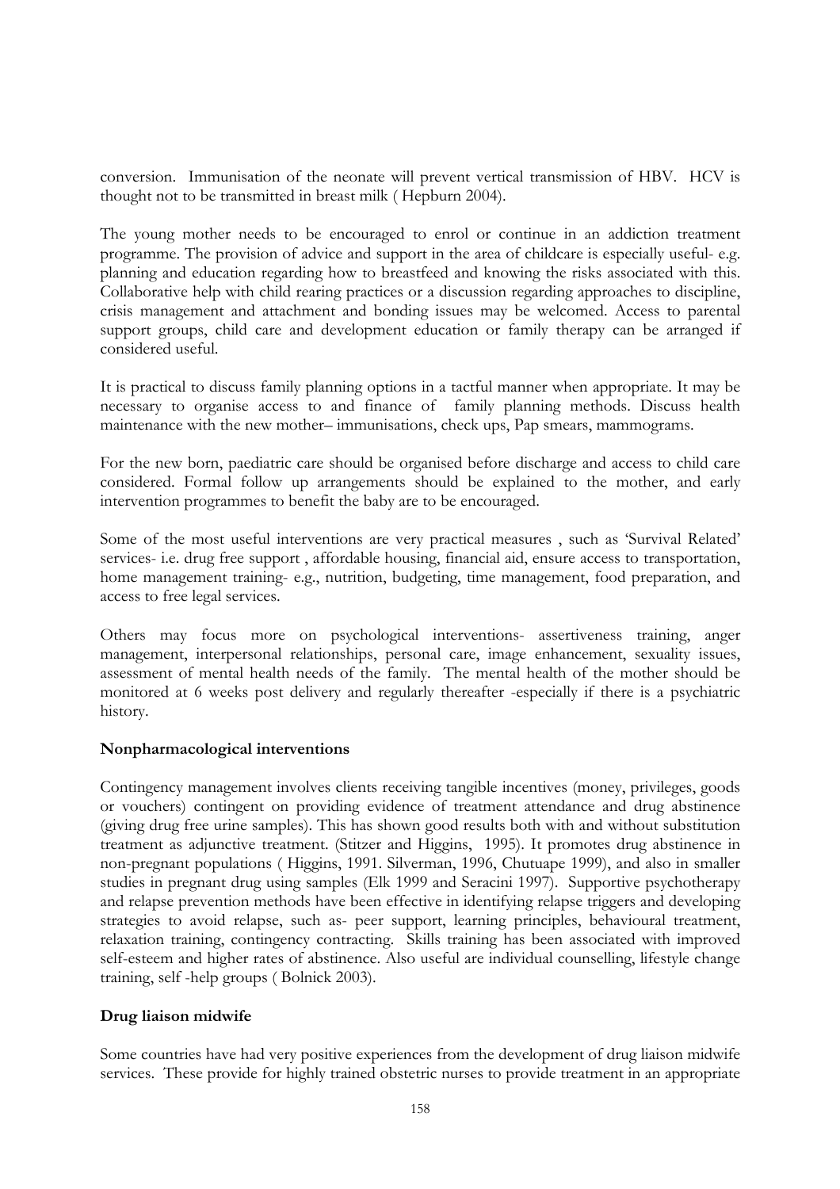conversion. Immunisation of the neonate will prevent vertical transmission of HBV. HCV is thought not to be transmitted in breast milk ( Hepburn 2004).

The young mother needs to be encouraged to enrol or continue in an addiction treatment programme. The provision of advice and support in the area of childcare is especially useful- e.g. planning and education regarding how to breastfeed and knowing the risks associated with this. Collaborative help with child rearing practices or a discussion regarding approaches to discipline, crisis management and attachment and bonding issues may be welcomed. Access to parental support groups, child care and development education or family therapy can be arranged if considered useful.

It is practical to discuss family planning options in a tactful manner when appropriate. It may be necessary to organise access to and finance of family planning methods. Discuss health maintenance with the new mother– immunisations, check ups, Pap smears, mammograms.

For the new born, paediatric care should be organised before discharge and access to child care considered. Formal follow up arrangements should be explained to the mother, and early intervention programmes to benefit the baby are to be encouraged.

Some of the most useful interventions are very practical measures , such as 'Survival Related' services- i.e. drug free support , affordable housing, financial aid, ensure access to transportation, home management training- e.g., nutrition, budgeting, time management, food preparation, and access to free legal services.

Others may focus more on psychological interventions- assertiveness training, anger management, interpersonal relationships, personal care, image enhancement, sexuality issues, assessment of mental health needs of the family. The mental health of the mother should be monitored at 6 weeks post delivery and regularly thereafter -especially if there is a psychiatric history.

## **Nonpharmacological interventions**

Contingency management involves clients receiving tangible incentives (money, privileges, goods or vouchers) contingent on providing evidence of treatment attendance and drug abstinence (giving drug free urine samples). This has shown good results both with and without substitution treatment as adjunctive treatment. (Stitzer and Higgins, 1995). It promotes drug abstinence in non-pregnant populations ( Higgins, 1991. Silverman, 1996, Chutuape 1999), and also in smaller studies in pregnant drug using samples (Elk 1999 and Seracini 1997). Supportive psychotherapy and relapse prevention methods have been effective in identifying relapse triggers and developing strategies to avoid relapse, such as- peer support, learning principles, behavioural treatment, relaxation training, contingency contracting. Skills training has been associated with improved self-esteem and higher rates of abstinence. Also useful are individual counselling, lifestyle change training, self -help groups ( Bolnick 2003).

#### **Drug liaison midwife**

Some countries have had very positive experiences from the development of drug liaison midwife services. These provide for highly trained obstetric nurses to provide treatment in an appropriate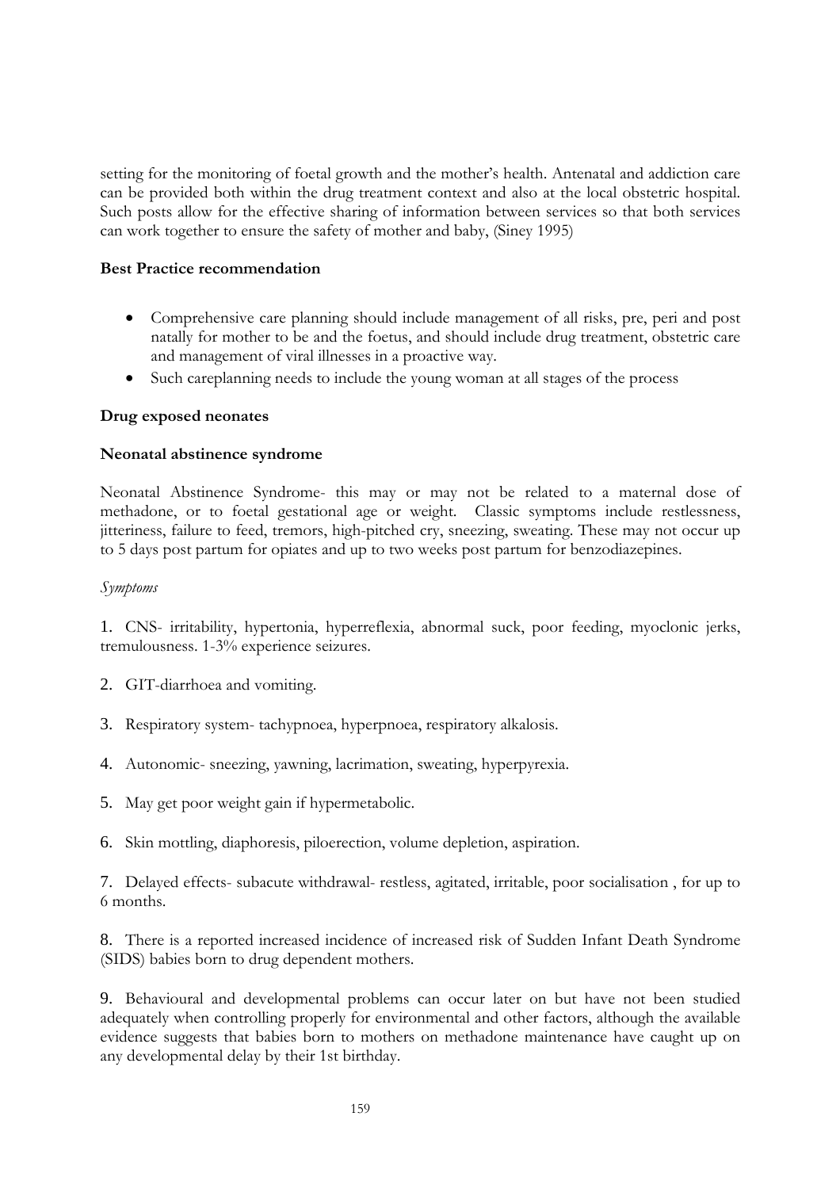setting for the monitoring of foetal growth and the mother's health. Antenatal and addiction care can be provided both within the drug treatment context and also at the local obstetric hospital. Such posts allow for the effective sharing of information between services so that both services can work together to ensure the safety of mother and baby, (Siney 1995)

## **Best Practice recommendation**

- Comprehensive care planning should include management of all risks, pre, peri and post natally for mother to be and the foetus, and should include drug treatment, obstetric care and management of viral illnesses in a proactive way.
- Such careplanning needs to include the young woman at all stages of the process

## **Drug exposed neonates**

#### **Neonatal abstinence syndrome**

Neonatal Abstinence Syndrome- this may or may not be related to a maternal dose of methadone, or to foetal gestational age or weight. Classic symptoms include restlessness, jitteriness, failure to feed, tremors, high-pitched cry, sneezing, sweating. These may not occur up to 5 days post partum for opiates and up to two weeks post partum for benzodiazepines.

#### *Symptoms*

1. CNS- irritability, hypertonia, hyperreflexia, abnormal suck, poor feeding, myoclonic jerks, tremulousness. 1-3% experience seizures.

- 2. GIT-diarrhoea and vomiting.
- 3. Respiratory system- tachypnoea, hyperpnoea, respiratory alkalosis.
- 4. Autonomic- sneezing, yawning, lacrimation, sweating, hyperpyrexia.
- 5. May get poor weight gain if hypermetabolic.
- 6. Skin mottling, diaphoresis, piloerection, volume depletion, aspiration.

7. Delayed effects- subacute withdrawal- restless, agitated, irritable, poor socialisation , for up to 6 months.

8. There is a reported increased incidence of increased risk of Sudden Infant Death Syndrome (SIDS) babies born to drug dependent mothers.

9. Behavioural and developmental problems can occur later on but have not been studied adequately when controlling properly for environmental and other factors, although the available evidence suggests that babies born to mothers on methadone maintenance have caught up on any developmental delay by their 1st birthday.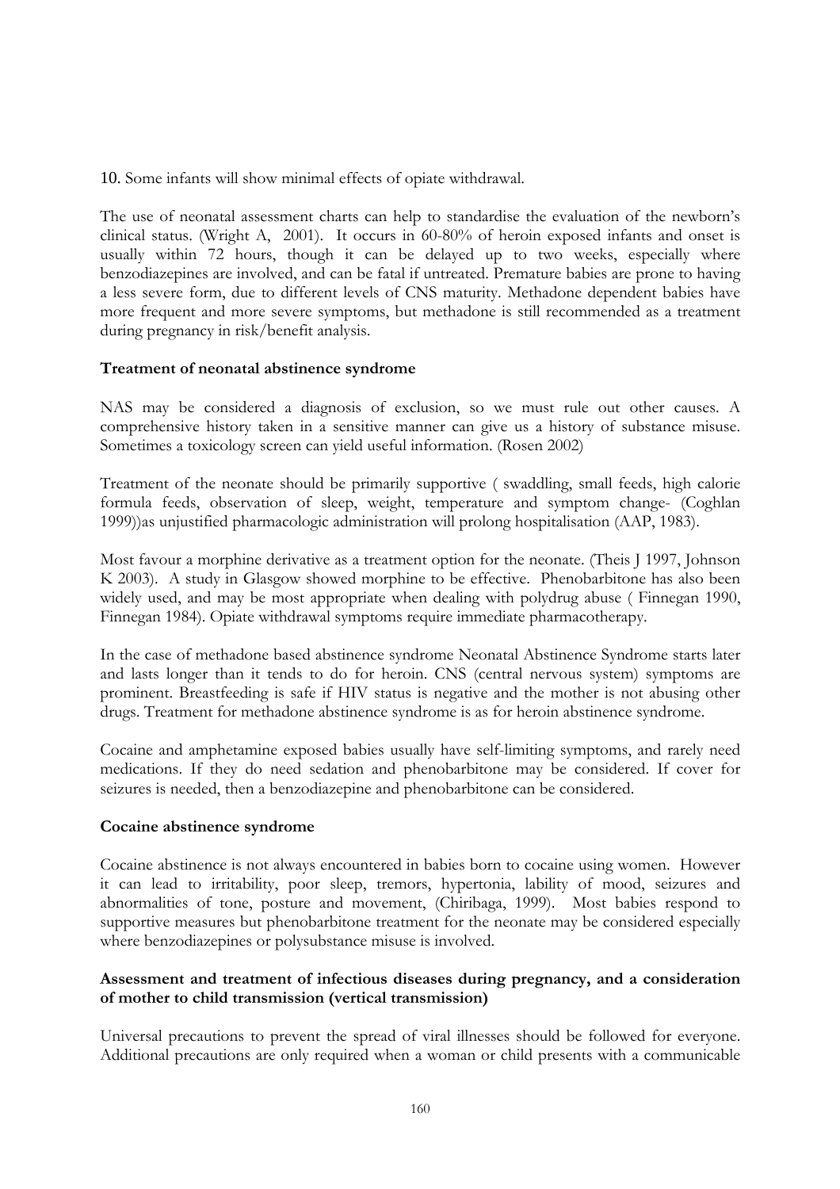10. Some infants will show minimal effects of opiate withdrawal.

The use of neonatal assessment charts can help to standardise the evaluation of the newborn's clinical status. (Wright A, 2001). It occurs in 60-80% of heroin exposed infants and onset is usually within  $72$  hours, though it can be delayed up to two weeks, especially where benzodiazepines are involved, and can be fatal if untreated. Premature babies are prone to having a less severe form, due to different levels of CNS maturity. Methadone dependent babies have more frequent and more severe symptoms, but methadone is still recommended as a treatment during pregnancy in risk/benefit analysis.

#### **Treatment of neonatal abstinence syndrome**

NAS may be considered a diagnosis of exclusion, so we must rule out other causes. A comprehensive history taken in a sensitive manner can give us a history of substance misuse. Sometimes a toxicology screen can yield useful information. (Rosen 2002)

Treatment of the neonate should be primarily supportive ( swaddling, small feeds, high calorie formula feeds, observation of sleep, weight, temperature and symptom change- (Coghlan 1999))as unjustified pharmacologic administration will prolong hospitalisation (AAP, 1983).

Most favour a morphine derivative as a treatment option for the neonate. (Theis J 1997, Johnson K 2003). A study in Glasgow showed morphine to be effective. Phenobarbitone has also been widely used, and may be most appropriate when dealing with polydrug abuse ( Finnegan 1990, Finnegan 1984). Opiate withdrawal symptoms require immediate pharmacotherapy.

In the case of methadone based abstinence syndrome Neonatal Abstinence Syndrome starts later and lasts longer than it tends to do for heroin. CNS (central nervous system) symptoms are prominent. Breastfeeding is safe if HIV status is negative and the mother is not abusing other drugs. Treatment for methadone abstinence syndrome is as for heroin abstinence syndrome.

Cocaine and amphetamine exposed babies usually have self-limiting symptoms, and rarely need medications. If they do need sedation and phenobarbitone may be considered. If cover for seizures is needed, then a benzodiazepine and phenobarbitone can be considered.

#### **Cocaine abstinence syndrome**

Cocaine abstinence is not always encountered in babies born to cocaine using women. However it can lead to irritability, poor sleep, tremors, hypertonia, lability of mood, seizures and abnormalities of tone, posture and movement, (Chiribaga, 1999). Most babies respond to supportive measures but phenobarbitone treatment for the neonate may be considered especially where benzodiazepines or polysubstance misuse is involved.

## **Assessment and treatment of infectious diseases during pregnancy, and a consideration of mother to child transmission (vertical transmission)**

Universal precautions to prevent the spread of viral illnesses should be followed for everyone. Additional precautions are only required when a woman or child presents with a communicable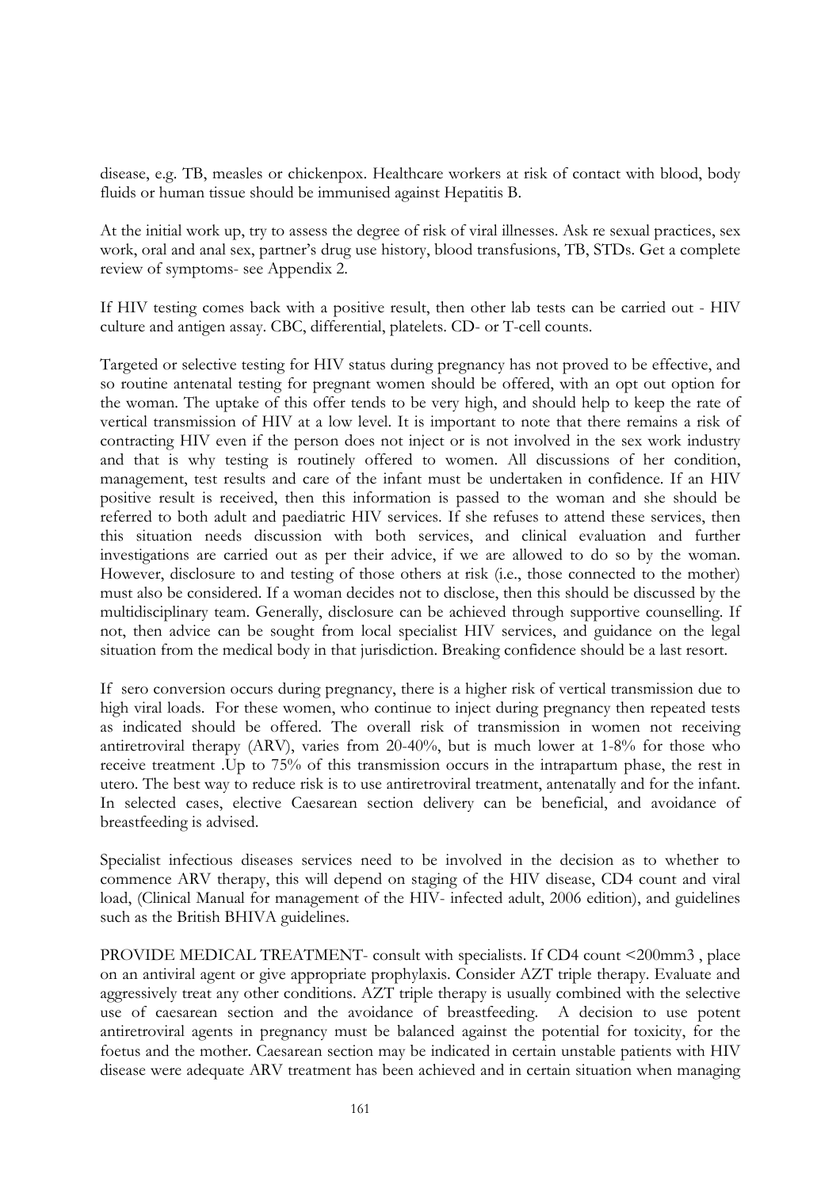disease, e.g. TB, measles or chickenpox. Healthcare workers at risk of contact with blood, body fluids or human tissue should be immunised against Hepatitis B.

At the initial work up, try to assess the degree of risk of viral illnesses. Ask re sexual practices, sex work, oral and anal sex, partner's drug use history, blood transfusions, TB, STDs. Get a complete review of symptoms- see Appendix 2.

If HIV testing comes back with a positive result, then other lab tests can be carried out - HIV culture and antigen assay. CBC, differential, platelets. CD- or T-cell counts.

Targeted or selective testing for HIV status during pregnancy has not proved to be effective, and so routine antenatal testing for pregnant women should be offered, with an opt out option for the woman. The uptake of this offer tends to be very high, and should help to keep the rate of vertical transmission of HIV at a low level. It is important to note that there remains a risk of contracting HIV even if the person does not inject or is not involved in the sex work industry and that is why testing is routinely offered to women. All discussions of her condition, management, test results and care of the infant must be undertaken in confidence. If an HIV positive result is received, then this information is passed to the woman and she should be referred to both adult and paediatric HIV services. If she refuses to attend these services, then this situation needs discussion with both services, and clinical evaluation and further investigations are carried out as per their advice, if we are allowed to do so by the woman. However, disclosure to and testing of those others at risk (i.e., those connected to the mother) must also be considered. If a woman decides not to disclose, then this should be discussed by the multidisciplinary team. Generally, disclosure can be achieved through supportive counselling. If not, then advice can be sought from local specialist HIV services, and guidance on the legal situation from the medical body in that jurisdiction. Breaking confidence should be a last resort.

If sero conversion occurs during pregnancy, there is a higher risk of vertical transmission due to high viral loads. For these women, who continue to inject during pregnancy then repeated tests as indicated should be offered. The overall risk of transmission in women not receiving antiretroviral therapy (ARV), varies from 20-40%, but is much lower at 1-8% for those who receive treatment .Up to 75% of this transmission occurs in the intrapartum phase, the rest in utero. The best way to reduce risk is to use antiretroviral treatment, antenatally and for the infant. In selected cases, elective Caesarean section delivery can be beneficial, and avoidance of breastfeeding is advised.

Specialist infectious diseases services need to be involved in the decision as to whether to commence ARV therapy, this will depend on staging of the HIV disease, CD4 count and viral load, (Clinical Manual for management of the HIV- infected adult, 2006 edition), and guidelines such as the British BHIVA guidelines.

PROVIDE MEDICAL TREATMENT- consult with specialists. If CD4 count <200mm3 , place on an antiviral agent or give appropriate prophylaxis. Consider AZT triple therapy. Evaluate and aggressively treat any other conditions. AZT triple therapy is usually combined with the selective use of caesarean section and the avoidance of breastfeeding. A decision to use potent antiretroviral agents in pregnancy must be balanced against the potential for toxicity, for the foetus and the mother. Caesarean section may be indicated in certain unstable patients with HIV disease were adequate ARV treatment has been achieved and in certain situation when managing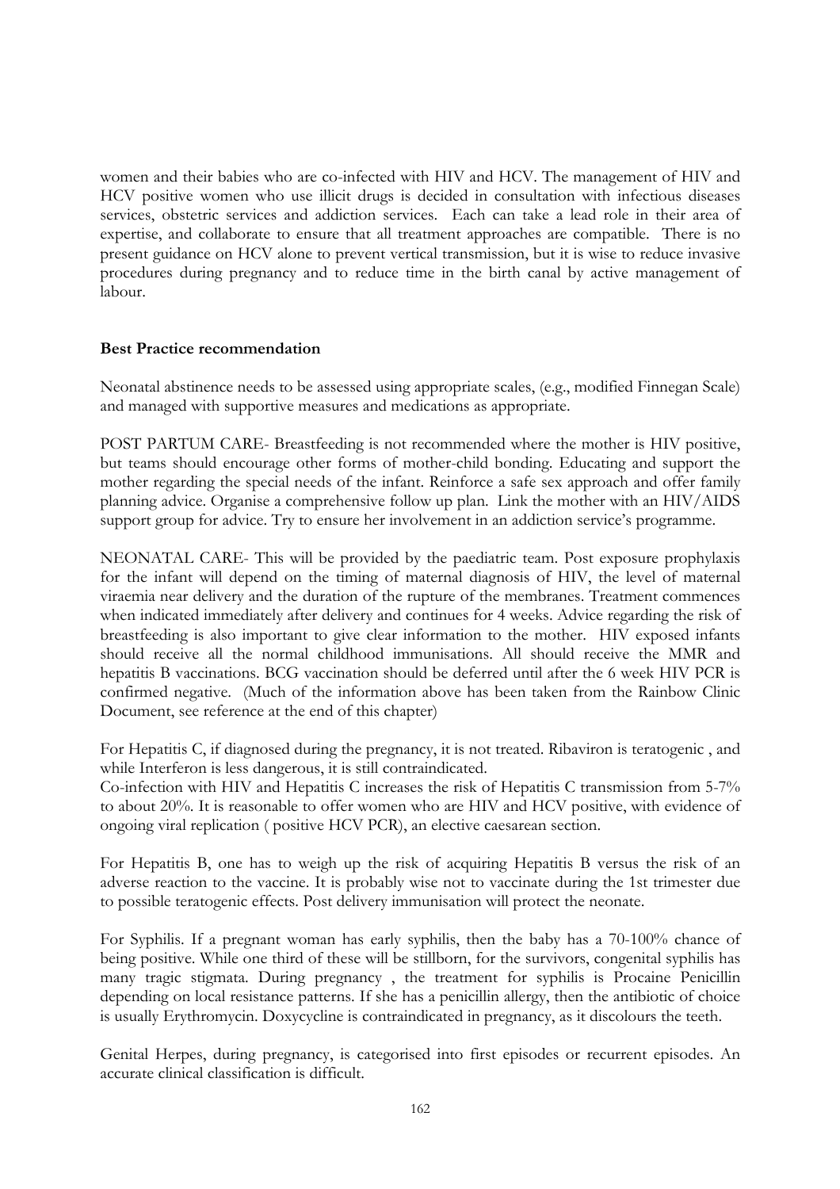women and their babies who are co-infected with HIV and HCV. The management of HIV and HCV positive women who use illicit drugs is decided in consultation with infectious diseases services, obstetric services and addiction services. Each can take a lead role in their area of expertise, and collaborate to ensure that all treatment approaches are compatible. There is no present guidance on HCV alone to prevent vertical transmission, but it is wise to reduce invasive procedures during pregnancy and to reduce time in the birth canal by active management of labour.

## **Best Practice recommendation**

Neonatal abstinence needs to be assessed using appropriate scales, (e.g., modified Finnegan Scale) and managed with supportive measures and medications as appropriate.

POST PARTUM CARE- Breastfeeding is not recommended where the mother is HIV positive, but teams should encourage other forms of mother-child bonding. Educating and support the mother regarding the special needs of the infant. Reinforce a safe sex approach and offer family planning advice. Organise a comprehensive follow up plan. Link the mother with an HIV/AIDS support group for advice. Try to ensure her involvement in an addiction service's programme.

NEONATAL CARE- This will be provided by the paediatric team. Post exposure prophylaxis for the infant will depend on the timing of maternal diagnosis of HIV, the level of maternal viraemia near delivery and the duration of the rupture of the membranes. Treatment commences when indicated immediately after delivery and continues for 4 weeks. Advice regarding the risk of breastfeeding is also important to give clear information to the mother. HIV exposed infants should receive all the normal childhood immunisations. All should receive the MMR and hepatitis B vaccinations. BCG vaccination should be deferred until after the 6 week HIV PCR is confirmed negative. (Much of the information above has been taken from the Rainbow Clinic Document, see reference at the end of this chapter)

For Hepatitis C, if diagnosed during the pregnancy, it is not treated. Ribaviron is teratogenic , and while Interferon is less dangerous, it is still contraindicated.

Co-infection with HIV and Hepatitis C increases the risk of Hepatitis C transmission from 5-7% to about 20%. It is reasonable to offer women who are HIV and HCV positive, with evidence of ongoing viral replication ( positive HCV PCR), an elective caesarean section.

For Hepatitis B, one has to weigh up the risk of acquiring Hepatitis B versus the risk of an adverse reaction to the vaccine. It is probably wise not to vaccinate during the 1st trimester due to possible teratogenic effects. Post delivery immunisation will protect the neonate.

For Syphilis. If a pregnant woman has early syphilis, then the baby has a 70-100% chance of being positive. While one third of these will be stillborn, for the survivors, congenital syphilis has many tragic stigmata. During pregnancy , the treatment for syphilis is Procaine Penicillin depending on local resistance patterns. If she has a penicillin allergy, then the antibiotic of choice is usually Erythromycin. Doxycycline is contraindicated in pregnancy, as it discolours the teeth.

Genital Herpes, during pregnancy, is categorised into first episodes or recurrent episodes. An accurate clinical classification is difficult.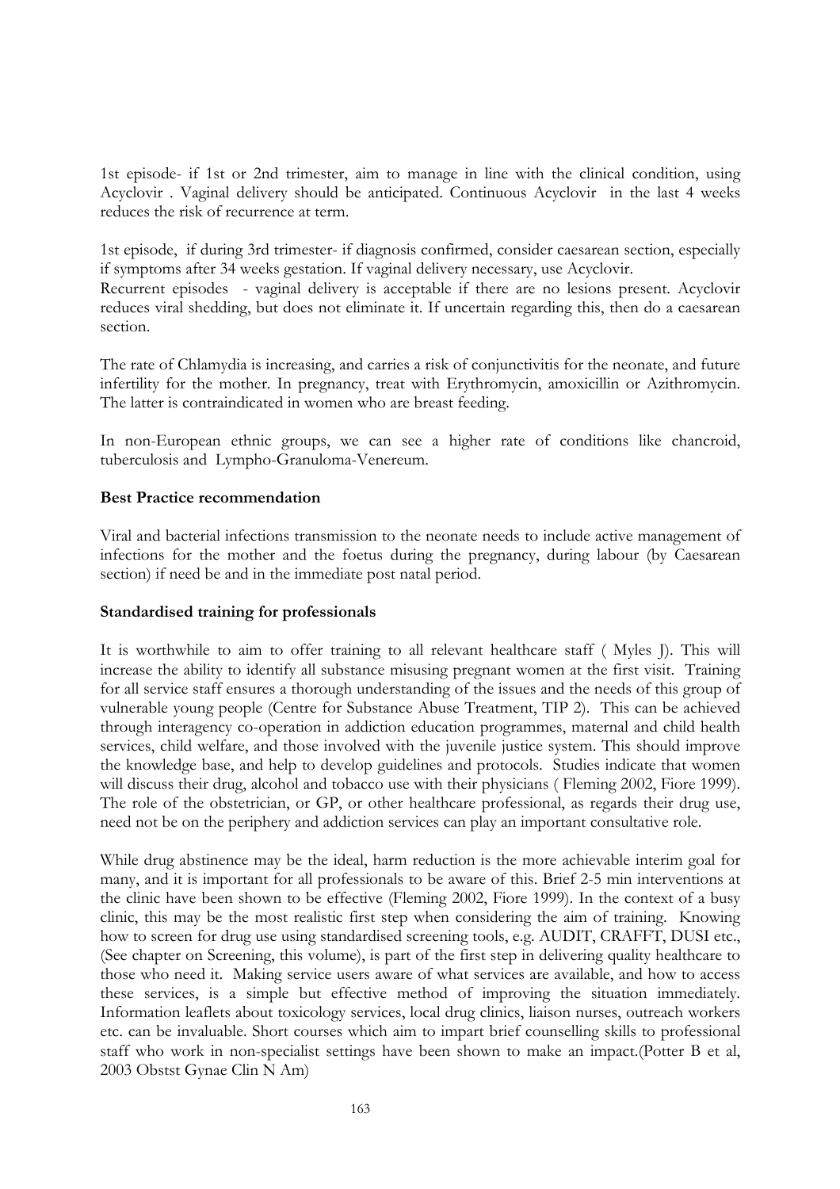1st episode- if 1st or 2nd trimester, aim to manage in line with the clinical condition, using Acyclovir . Vaginal delivery should be anticipated. Continuous Acyclovir in the last 4 weeks reduces the risk of recurrence at term.

1st episode, if during 3rd trimester- if diagnosis confirmed, consider caesarean section, especially if symptoms after 34 weeks gestation. If vaginal delivery necessary, use Acyclovir. Recurrent episodes - vaginal delivery is acceptable if there are no lesions present. Acyclovir

reduces viral shedding, but does not eliminate it. If uncertain regarding this, then do a caesarean section.

The rate of Chlamydia is increasing, and carries a risk of conjunctivitis for the neonate, and future infertility for the mother. In pregnancy, treat with Erythromycin, amoxicillin or Azithromycin. The latter is contraindicated in women who are breast feeding.

In non-European ethnic groups, we can see a higher rate of conditions like chancroid, tuberculosis and Lympho-Granuloma-Venereum.

# **Best Practice recommendation**

Viral and bacterial infections transmission to the neonate needs to include active management of infections for the mother and the foetus during the pregnancy, during labour (by Caesarean section) if need be and in the immediate post natal period.

## **Standardised training for professionals**

It is worthwhile to aim to offer training to all relevant healthcare staff ( Myles J). This will increase the ability to identify all substance misusing pregnant women at the first visit. Training for all service staff ensures a thorough understanding of the issues and the needs of this group of vulnerable young people (Centre for Substance Abuse Treatment, TIP 2). This can be achieved through interagency co-operation in addiction education programmes, maternal and child health services, child welfare, and those involved with the juvenile justice system. This should improve the knowledge base, and help to develop guidelines and protocols. Studies indicate that women will discuss their drug, alcohol and tobacco use with their physicians ( Fleming 2002, Fiore 1999). The role of the obstetrician, or GP, or other healthcare professional, as regards their drug use, need not be on the periphery and addiction services can play an important consultative role.

While drug abstinence may be the ideal, harm reduction is the more achievable interim goal for many, and it is important for all professionals to be aware of this. Brief 2-5 min interventions at the clinic have been shown to be effective (Fleming 2002, Fiore 1999). In the context of a busy clinic, this may be the most realistic first step when considering the aim of training. Knowing how to screen for drug use using standardised screening tools, e.g. AUDIT, CRAFFT, DUSI etc., (See chapter on Screening, this volume), is part of the first step in delivering quality healthcare to those who need it. Making service users aware of what services are available, and how to access these services, is a simple but effective method of improving the situation immediately. Information leaflets about toxicology services, local drug clinics, liaison nurses, outreach workers etc. can be invaluable. Short courses which aim to impart brief counselling skills to professional staff who work in non-specialist settings have been shown to make an impact.(Potter B et al, 2003 Obstst Gynae Clin N Am)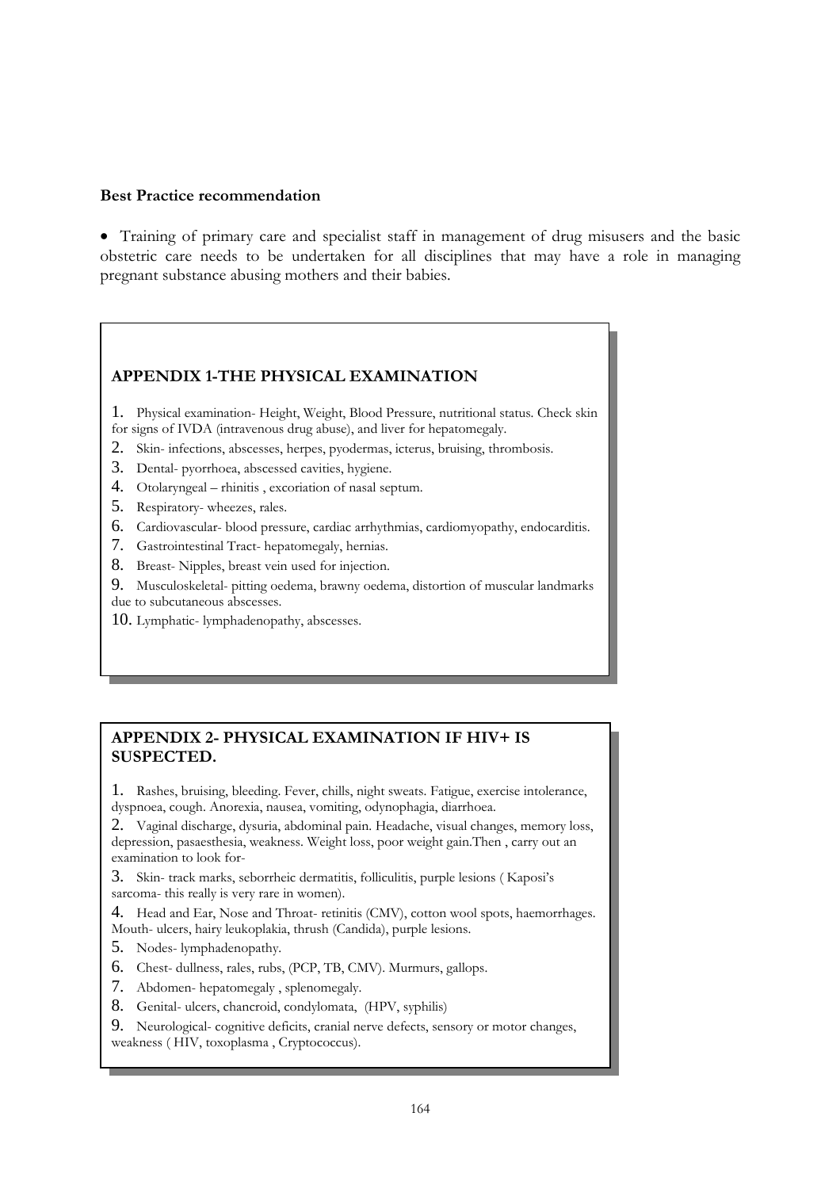#### **Best Practice recommendation**

• Training of primary care and specialist staff in management of drug misusers and the basic obstetric care needs to be undertaken for all disciplines that may have a role in managing pregnant substance abusing mothers and their babies.

# **APPENDIX 1-THE PHYSICAL EXAMINATION**

1. Physical examination- Height, Weight, Blood Pressure, nutritional status. Check skin for signs of IVDA (intravenous drug abuse), and liver for hepatomegaly.

- 2. Skin- infections, abscesses, herpes, pyodermas, icterus, bruising, thrombosis.
- 3. Dental- pyorrhoea, abscessed cavities, hygiene.
- 4. Otolaryngeal rhinitis , excoriation of nasal septum.
- 5. Respiratory- wheezes, rales.
- 6. Cardiovascular- blood pressure, cardiac arrhythmias, cardiomyopathy, endocarditis.
- 7. Gastrointestinal Tract- hepatomegaly, hernias.
- 8. Breast- Nipples, breast vein used for injection.
- 9. Musculoskeletal- pitting oedema, brawny oedema, distortion of muscular landmarks due to subcutaneous abscesses.
- 10. Lymphatic- lymphadenopathy, abscesses.

# **APPENDIX 2- PHYSICAL EXAMINATION IF HIV+ IS SUSPECTED.**

1. Rashes, bruising, bleeding. Fever, chills, night sweats. Fatigue, exercise intolerance, dyspnoea, cough. Anorexia, nausea, vomiting, odynophagia, diarrhoea.

2. Vaginal discharge, dysuria, abdominal pain. Headache, visual changes, memory loss, depression, pasaesthesia, weakness. Weight loss, poor weight gain.Then , carry out an examination to look for-

3. Skin- track marks, seborrheic dermatitis, folliculitis, purple lesions ( Kaposi's sarcoma- this really is very rare in women).

- 4. Head and Ear, Nose and Throat- retinitis (CMV), cotton wool spots, haemorrhages. Mouth- ulcers, hairy leukoplakia, thrush (Candida), purple lesions.
- 5. Nodes- lymphadenopathy.
- 6. Chest- dullness, rales, rubs, (PCP, TB, CMV). Murmurs, gallops.
- 7. Abdomen- hepatomegaly , splenomegaly.
- 8. Genital- ulcers, chancroid, condylomata, (HPV, syphilis)

9. Neurological- cognitive deficits, cranial nerve defects, sensory or motor changes, weakness ( HIV, toxoplasma , Cryptococcus).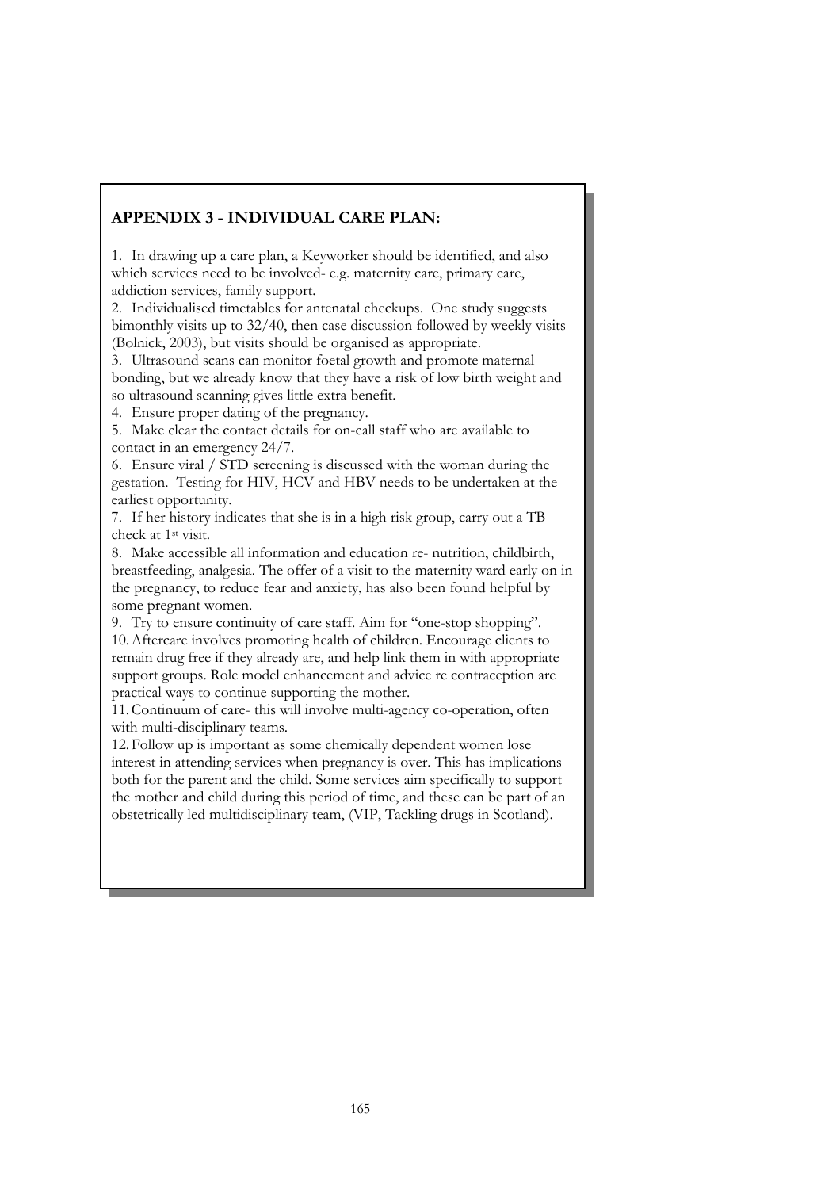# **APPENDIX 3 - INDIVIDUAL CARE PLAN:**

1. In drawing up a care plan, a Keyworker should be identified, and also which services need to be involved- e.g. maternity care, primary care, addiction services, family support.

2. Individualised timetables for antenatal checkups. One study suggests bimonthly visits up to 32/40, then case discussion followed by weekly visits (Bolnick, 2003), but visits should be organised as appropriate.

3. Ultrasound scans can monitor foetal growth and promote maternal bonding, but we already know that they have a risk of low birth weight and so ultrasound scanning gives little extra benefit.

4. Ensure proper dating of the pregnancy.

5. Make clear the contact details for on-call staff who are available to contact in an emergency 24/7.

6. Ensure viral / STD screening is discussed with the woman during the gestation. Testing for HIV, HCV and HBV needs to be undertaken at the earliest opportunity.

7. If her history indicates that she is in a high risk group, carry out a TB check at 1st visit.

8. Make accessible all information and education re- nutrition, childbirth, breastfeeding, analgesia. The offer of a visit to the maternity ward early on in the pregnancy, to reduce fear and anxiety, has also been found helpful by some pregnant women.

9. Try to ensure continuity of care staff. Aim for "one-stop shopping". 10.Aftercare involves promoting health of children. Encourage clients to remain drug free if they already are, and help link them in with appropriate support groups. Role model enhancement and advice re contraception are practical ways to continue supporting the mother.

11.Continuum of care- this will involve multi-agency co-operation, often with multi-disciplinary teams.

12.Follow up is important as some chemically dependent women lose interest in attending services when pregnancy is over. This has implications both for the parent and the child. Some services aim specifically to support the mother and child during this period of time, and these can be part of an obstetrically led multidisciplinary team, (VIP, Tackling drugs in Scotland).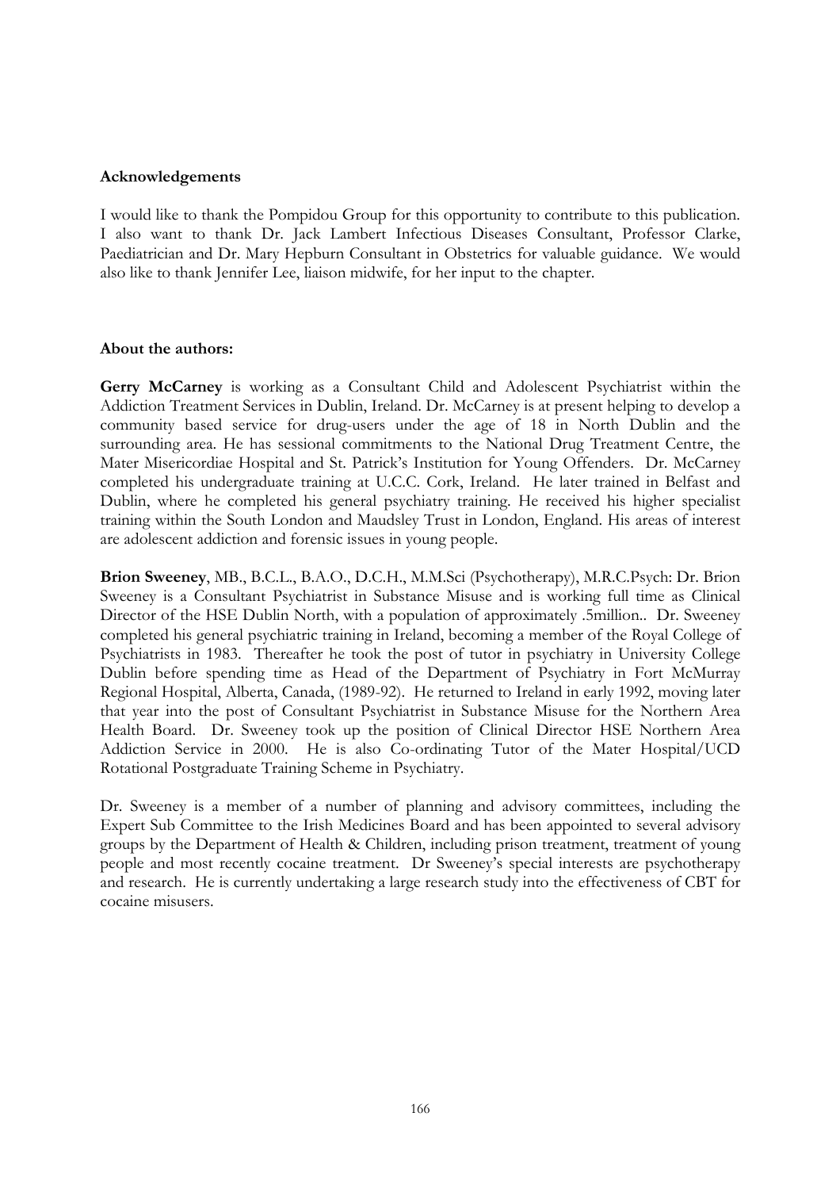#### **Acknowledgements**

I would like to thank the Pompidou Group for this opportunity to contribute to this publication. I also want to thank Dr. Jack Lambert Infectious Diseases Consultant, Professor Clarke, Paediatrician and Dr. Mary Hepburn Consultant in Obstetrics for valuable guidance. We would also like to thank Jennifer Lee, liaison midwife, for her input to the chapter.

#### **About the authors:**

**Gerry McCarney** is working as a Consultant Child and Adolescent Psychiatrist within the Addiction Treatment Services in Dublin, Ireland. Dr. McCarney is at present helping to develop a community based service for drug-users under the age of 18 in North Dublin and the surrounding area. He has sessional commitments to the National Drug Treatment Centre, the Mater Misericordiae Hospital and St. Patrick's Institution for Young Offenders. Dr. McCarney completed his undergraduate training at U.C.C. Cork, Ireland. He later trained in Belfast and Dublin, where he completed his general psychiatry training. He received his higher specialist training within the South London and Maudsley Trust in London, England. His areas of interest are adolescent addiction and forensic issues in young people.

**Brion Sweeney**, MB., B.C.L., B.A.O., D.C.H., M.M.Sci (Psychotherapy), M.R.C.Psych: Dr. Brion Sweeney is a Consultant Psychiatrist in Substance Misuse and is working full time as Clinical Director of the HSE Dublin North, with a population of approximately .5million.. Dr. Sweeney completed his general psychiatric training in Ireland, becoming a member of the Royal College of Psychiatrists in 1983. Thereafter he took the post of tutor in psychiatry in University College Dublin before spending time as Head of the Department of Psychiatry in Fort McMurray Regional Hospital, Alberta, Canada, (1989-92). He returned to Ireland in early 1992, moving later that year into the post of Consultant Psychiatrist in Substance Misuse for the Northern Area Health Board. Dr. Sweeney took up the position of Clinical Director HSE Northern Area Addiction Service in 2000. He is also Co-ordinating Tutor of the Mater Hospital/UCD Rotational Postgraduate Training Scheme in Psychiatry.

Dr. Sweeney is a member of a number of planning and advisory committees, including the Expert Sub Committee to the Irish Medicines Board and has been appointed to several advisory groups by the Department of Health & Children, including prison treatment, treatment of young people and most recently cocaine treatment. Dr Sweeney's special interests are psychotherapy and research. He is currently undertaking a large research study into the effectiveness of CBT for cocaine misusers.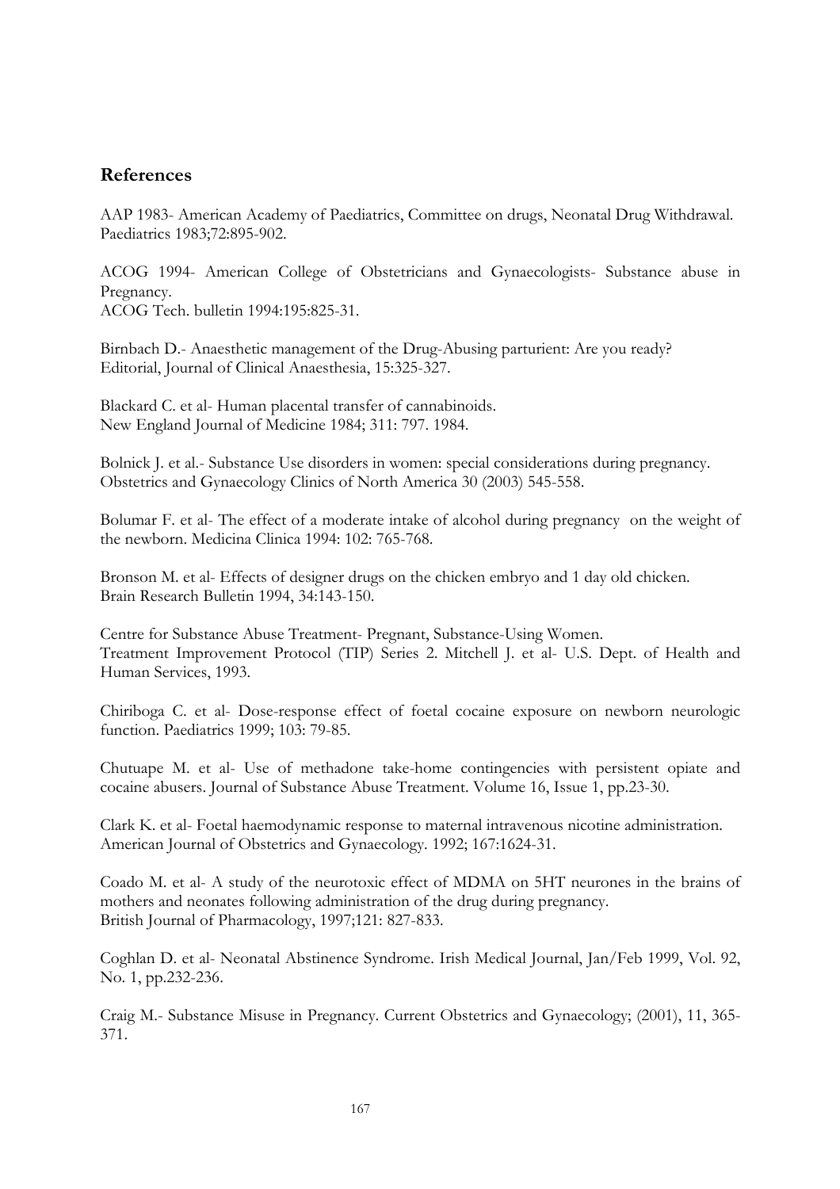# **References**

AAP 1983- American Academy of Paediatrics, Committee on drugs, Neonatal Drug Withdrawal. Paediatrics 1983;72:895-902.

ACOG 1994- American College of Obstetricians and Gynaecologists- Substance abuse in Pregnancy.

ACOG Tech. bulletin 1994:195:825-31.

Birnbach D.- Anaesthetic management of the Drug-Abusing parturient: Are you ready? Editorial, Journal of Clinical Anaesthesia, 15:325-327.

Blackard C. et al- Human placental transfer of cannabinoids. New England Journal of Medicine 1984; 311: 797. 1984.

Bolnick J. et al.- Substance Use disorders in women: special considerations during pregnancy. Obstetrics and Gynaecology Clinics of North America 30 (2003) 545-558.

Bolumar F. et al- The effect of a moderate intake of alcohol during pregnancy on the weight of the newborn. Medicina Clinica 1994: 102: 765-768.

Bronson M. et al- Effects of designer drugs on the chicken embryo and 1 day old chicken. Brain Research Bulletin 1994, 34:143-150.

Centre for Substance Abuse Treatment- Pregnant, Substance-Using Women. Treatment Improvement Protocol (TIP) Series 2. Mitchell J. et al- U.S. Dept. of Health and Human Services, 1993.

Chiriboga C. et al- Dose-response effect of foetal cocaine exposure on newborn neurologic function. Paediatrics 1999; 103: 79-85.

Chutuape M. et al- Use of methadone take-home contingencies with persistent opiate and cocaine abusers. Journal of Substance Abuse Treatment. Volume 16, Issue 1, pp.23-30.

Clark K. et al- Foetal haemodynamic response to maternal intravenous nicotine administration. American Journal of Obstetrics and Gynaecology. 1992; 167:1624-31.

Coado M. et al- A study of the neurotoxic effect of MDMA on 5HT neurones in the brains of mothers and neonates following administration of the drug during pregnancy. British Journal of Pharmacology, 1997;121: 827-833.

Coghlan D. et al- Neonatal Abstinence Syndrome. Irish Medical Journal, Jan/Feb 1999, Vol. 92, No. 1, pp.232-236.

Craig M.- Substance Misuse in Pregnancy. Current Obstetrics and Gynaecology; (2001), 11, 365- 371.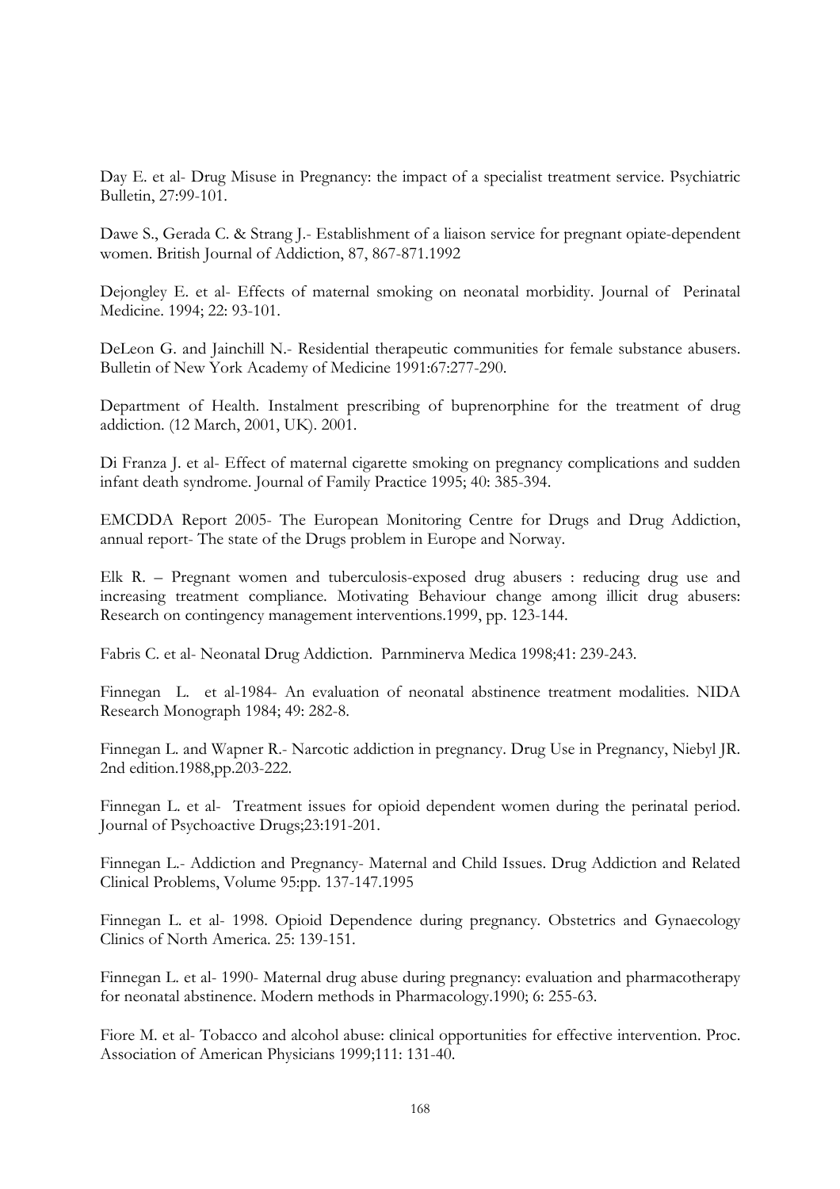Day E. et al- Drug Misuse in Pregnancy: the impact of a specialist treatment service. Psychiatric Bulletin, 27:99-101.

Dawe S., Gerada C. & Strang J.- Establishment of a liaison service for pregnant opiate-dependent women. British Journal of Addiction, 87, 867-871.1992

Dejongley E. et al- Effects of maternal smoking on neonatal morbidity. Journal of Perinatal Medicine. 1994; 22: 93-101.

DeLeon G. and Jainchill N.- Residential therapeutic communities for female substance abusers. Bulletin of New York Academy of Medicine 1991:67:277-290.

Department of Health. Instalment prescribing of buprenorphine for the treatment of drug addiction. (12 March, 2001, UK). 2001.

Di Franza J. et al- Effect of maternal cigarette smoking on pregnancy complications and sudden infant death syndrome. Journal of Family Practice 1995; 40: 385-394.

EMCDDA Report 2005- The European Monitoring Centre for Drugs and Drug Addiction, annual report- The state of the Drugs problem in Europe and Norway.

Elk R. – Pregnant women and tuberculosis-exposed drug abusers : reducing drug use and increasing treatment compliance. Motivating Behaviour change among illicit drug abusers: Research on contingency management interventions.1999, pp. 123-144.

Fabris C. et al- Neonatal Drug Addiction. Parnminerva Medica 1998;41: 239-243.

Finnegan L. et al-1984- An evaluation of neonatal abstinence treatment modalities. NIDA Research Monograph 1984; 49: 282-8.

Finnegan L. and Wapner R.- Narcotic addiction in pregnancy. Drug Use in Pregnancy, Niebyl JR. 2nd edition.1988,pp.203-222.

Finnegan L. et al- Treatment issues for opioid dependent women during the perinatal period. Journal of Psychoactive Drugs;23:191-201.

Finnegan L.- Addiction and Pregnancy- Maternal and Child Issues. Drug Addiction and Related Clinical Problems, Volume 95:pp. 137-147.1995

Finnegan L. et al- 1998. Opioid Dependence during pregnancy. Obstetrics and Gynaecology Clinics of North America. 25: 139-151.

Finnegan L. et al- 1990- Maternal drug abuse during pregnancy: evaluation and pharmacotherapy for neonatal abstinence. Modern methods in Pharmacology.1990; 6: 255-63.

Fiore M. et al- Tobacco and alcohol abuse: clinical opportunities for effective intervention. Proc. Association of American Physicians 1999;111: 131-40.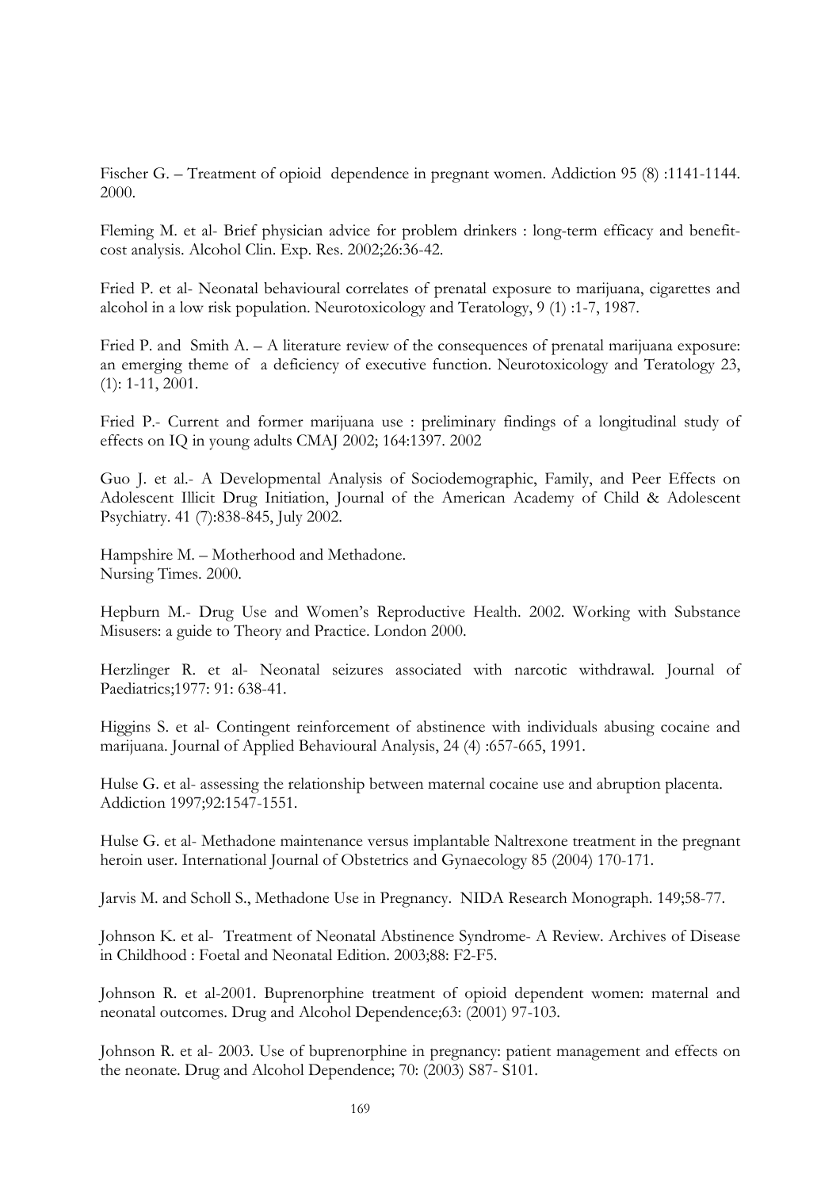Fischer G. – Treatment of opioid dependence in pregnant women. Addiction 95 (8) :1141-1144. 2000.

Fleming M. et al- Brief physician advice for problem drinkers : long-term efficacy and benefitcost analysis. Alcohol Clin. Exp. Res. 2002;26:36-42.

Fried P. et al- Neonatal behavioural correlates of prenatal exposure to marijuana, cigarettes and alcohol in a low risk population. Neurotoxicology and Teratology, 9 (1) :1-7, 1987.

Fried P. and Smith  $A - A$  literature review of the consequences of prenatal marijuana exposure: an emerging theme of a deficiency of executive function. Neurotoxicology and Teratology 23, (1): 1-11, 2001.

Fried P.- Current and former marijuana use : preliminary findings of a longitudinal study of effects on IQ in young adults CMAJ 2002; 164:1397. 2002

Guo J. et al.- A Developmental Analysis of Sociodemographic, Family, and Peer Effects on Adolescent Illicit Drug Initiation, Journal of the American Academy of Child & Adolescent Psychiatry. 41 (7):838-845, July 2002.

Hampshire M. – Motherhood and Methadone. Nursing Times. 2000.

Hepburn M.- Drug Use and Women's Reproductive Health. 2002. Working with Substance Misusers: a guide to Theory and Practice. London 2000.

Herzlinger R. et al- Neonatal seizures associated with narcotic withdrawal. Journal of Paediatrics;1977: 91: 638-41.

Higgins S. et al- Contingent reinforcement of abstinence with individuals abusing cocaine and marijuana. Journal of Applied Behavioural Analysis, 24 (4) :657-665, 1991.

Hulse G. et al- assessing the relationship between maternal cocaine use and abruption placenta. Addiction 1997;92:1547-1551.

Hulse G. et al- Methadone maintenance versus implantable Naltrexone treatment in the pregnant heroin user. International Journal of Obstetrics and Gynaecology 85 (2004) 170-171.

Jarvis M. and Scholl S., Methadone Use in Pregnancy. NIDA Research Monograph. 149;58-77.

Johnson K. et al- Treatment of Neonatal Abstinence Syndrome- A Review. Archives of Disease in Childhood : Foetal and Neonatal Edition. 2003;88: F2-F5.

Johnson R. et al-2001. Buprenorphine treatment of opioid dependent women: maternal and neonatal outcomes. Drug and Alcohol Dependence;63: (2001) 97-103.

Johnson R. et al- 2003. Use of buprenorphine in pregnancy: patient management and effects on the neonate. Drug and Alcohol Dependence; 70: (2003) S87- S101.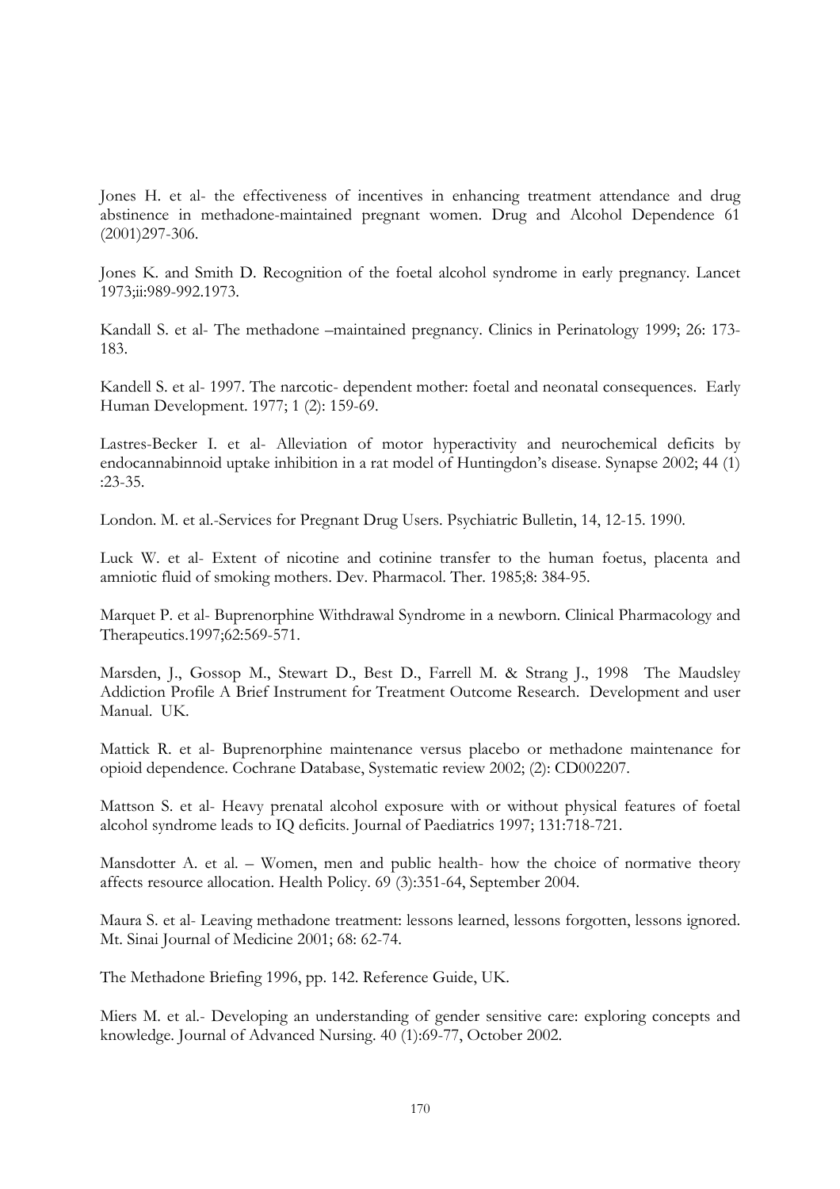Jones H. et al- the effectiveness of incentives in enhancing treatment attendance and drug abstinence in methadone-maintained pregnant women. Drug and Alcohol Dependence 61 (2001)297-306.

Jones K. and Smith D. Recognition of the foetal alcohol syndrome in early pregnancy. Lancet 1973;ii:989-992.1973.

Kandall S. et al- The methadone –maintained pregnancy. Clinics in Perinatology 1999; 26: 173- 183.

Kandell S. et al- 1997. The narcotic- dependent mother: foetal and neonatal consequences. Early Human Development. 1977; 1 (2): 159-69.

Lastres-Becker I. et al- Alleviation of motor hyperactivity and neurochemical deficits by endocannabinnoid uptake inhibition in a rat model of Huntingdon's disease. Synapse 2002; 44 (1) :23-35.

London. M. et al.-Services for Pregnant Drug Users. Psychiatric Bulletin, 14, 12-15. 1990.

Luck W. et al- Extent of nicotine and cotinine transfer to the human foetus, placenta and amniotic fluid of smoking mothers. Dev. Pharmacol. Ther. 1985;8: 384-95.

Marquet P. et al- Buprenorphine Withdrawal Syndrome in a newborn. Clinical Pharmacology and Therapeutics.1997;62:569-571.

Marsden, J., Gossop M., Stewart D., Best D., Farrell M. & Strang J., 1998 The Maudsley Addiction Profile A Brief Instrument for Treatment Outcome Research. Development and user Manual. UK.

Mattick R. et al- Buprenorphine maintenance versus placebo or methadone maintenance for opioid dependence. Cochrane Database, Systematic review 2002; (2): CD002207.

Mattson S. et al- Heavy prenatal alcohol exposure with or without physical features of foetal alcohol syndrome leads to IQ deficits. Journal of Paediatrics 1997; 131:718-721.

Mansdotter A. et al. – Women, men and public health- how the choice of normative theory affects resource allocation. Health Policy. 69 (3):351-64, September 2004.

Maura S. et al- Leaving methadone treatment: lessons learned, lessons forgotten, lessons ignored. Mt. Sinai Journal of Medicine 2001; 68: 62-74.

The Methadone Briefing 1996, pp. 142. Reference Guide, UK.

Miers M. et al.- Developing an understanding of gender sensitive care: exploring concepts and knowledge. Journal of Advanced Nursing. 40 (1):69-77, October 2002.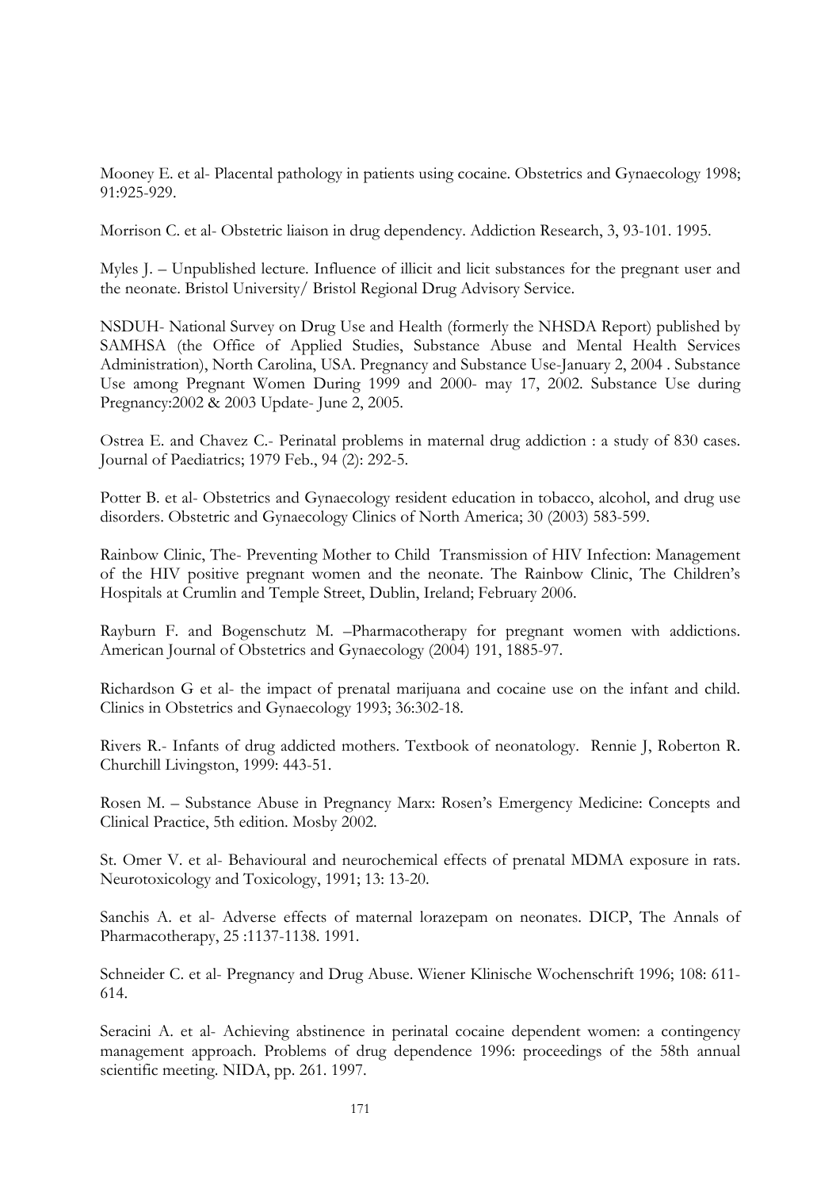Mooney E. et al- Placental pathology in patients using cocaine. Obstetrics and Gynaecology 1998; 91:925-929.

Morrison C. et al- Obstetric liaison in drug dependency. Addiction Research, 3, 93-101. 1995.

Myles J. – Unpublished lecture. Influence of illicit and licit substances for the pregnant user and the neonate. Bristol University/ Bristol Regional Drug Advisory Service.

NSDUH- National Survey on Drug Use and Health (formerly the NHSDA Report) published by SAMHSA (the Office of Applied Studies, Substance Abuse and Mental Health Services Administration), North Carolina, USA. Pregnancy and Substance Use-January 2, 2004 . Substance Use among Pregnant Women During 1999 and 2000- may 17, 2002. Substance Use during Pregnancy:2002 & 2003 Update- June 2, 2005.

Ostrea E. and Chavez C.- Perinatal problems in maternal drug addiction : a study of 830 cases. Journal of Paediatrics; 1979 Feb., 94 (2): 292-5.

Potter B. et al- Obstetrics and Gynaecology resident education in tobacco, alcohol, and drug use disorders. Obstetric and Gynaecology Clinics of North America; 30 (2003) 583-599.

Rainbow Clinic, The- Preventing Mother to Child Transmission of HIV Infection: Management of the HIV positive pregnant women and the neonate. The Rainbow Clinic, The Children's Hospitals at Crumlin and Temple Street, Dublin, Ireland; February 2006.

Rayburn F. and Bogenschutz M. –Pharmacotherapy for pregnant women with addictions. American Journal of Obstetrics and Gynaecology (2004) 191, 1885-97.

Richardson G et al- the impact of prenatal marijuana and cocaine use on the infant and child. Clinics in Obstetrics and Gynaecology 1993; 36:302-18.

Rivers R.- Infants of drug addicted mothers. Textbook of neonatology. Rennie J, Roberton R. Churchill Livingston, 1999: 443-51.

Rosen M. – Substance Abuse in Pregnancy Marx: Rosen's Emergency Medicine: Concepts and Clinical Practice, 5th edition. Mosby 2002.

St. Omer V. et al- Behavioural and neurochemical effects of prenatal MDMA exposure in rats. Neurotoxicology and Toxicology, 1991; 13: 13-20.

Sanchis A. et al- Adverse effects of maternal lorazepam on neonates. DICP, The Annals of Pharmacotherapy, 25 :1137-1138. 1991.

Schneider C. et al- Pregnancy and Drug Abuse. Wiener Klinische Wochenschrift 1996; 108: 611- 614.

Seracini A. et al- Achieving abstinence in perinatal cocaine dependent women: a contingency management approach. Problems of drug dependence 1996: proceedings of the 58th annual scientific meeting. NIDA, pp. 261. 1997.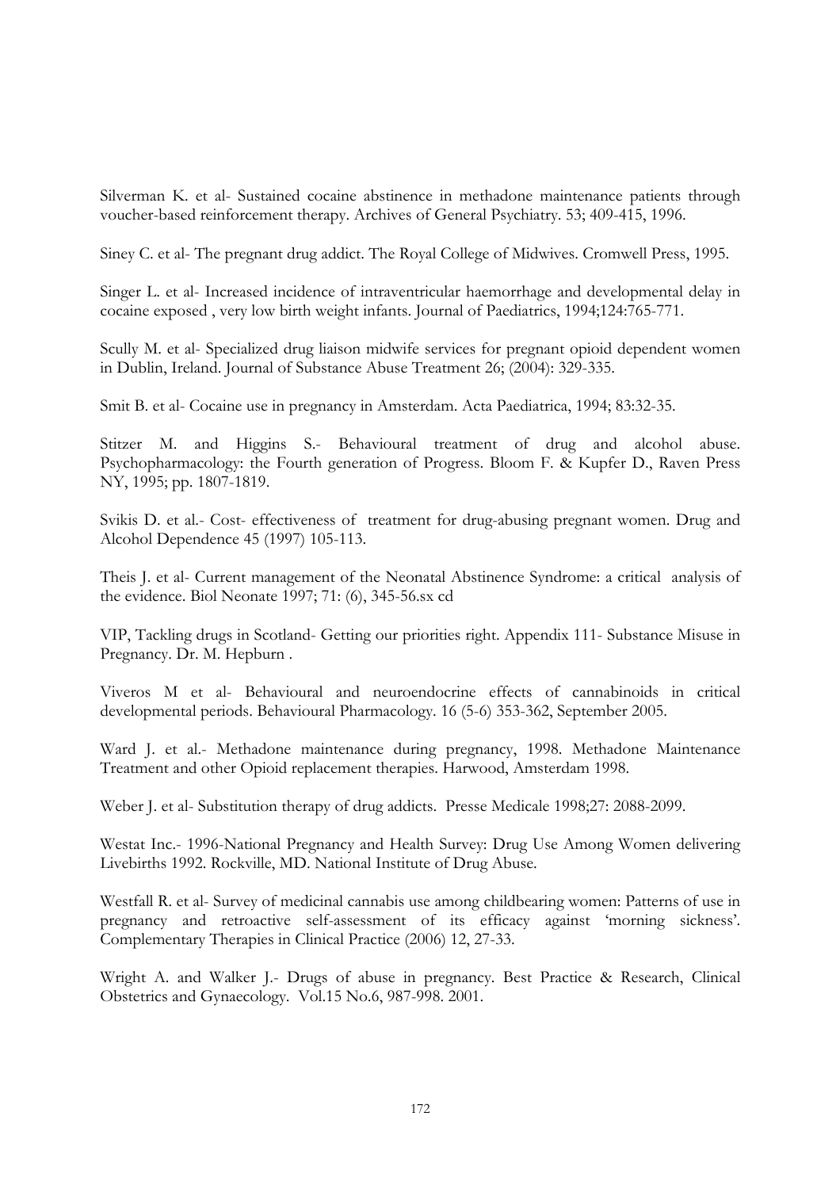Silverman K. et al- Sustained cocaine abstinence in methadone maintenance patients through voucher-based reinforcement therapy. Archives of General Psychiatry. 53; 409-415, 1996.

Siney C. et al- The pregnant drug addict. The Royal College of Midwives. Cromwell Press, 1995.

Singer L. et al- Increased incidence of intraventricular haemorrhage and developmental delay in cocaine exposed , very low birth weight infants. Journal of Paediatrics, 1994;124:765-771.

Scully M. et al- Specialized drug liaison midwife services for pregnant opioid dependent women in Dublin, Ireland. Journal of Substance Abuse Treatment 26; (2004): 329-335.

Smit B. et al- Cocaine use in pregnancy in Amsterdam. Acta Paediatrica, 1994; 83:32-35.

Stitzer M. and Higgins S.- Behavioural treatment of drug and alcohol abuse. Psychopharmacology: the Fourth generation of Progress. Bloom F. & Kupfer D., Raven Press NY, 1995; pp. 1807-1819.

Svikis D. et al.- Cost- effectiveness of treatment for drug-abusing pregnant women. Drug and Alcohol Dependence 45 (1997) 105-113.

Theis J. et al- Current management of the Neonatal Abstinence Syndrome: a critical analysis of the evidence. Biol Neonate 1997; 71: (6), 345-56.sx cd

VIP, Tackling drugs in Scotland- Getting our priorities right. Appendix 111- Substance Misuse in Pregnancy. Dr. M. Hepburn .

Viveros M et al- Behavioural and neuroendocrine effects of cannabinoids in critical developmental periods. Behavioural Pharmacology. 16 (5-6) 353-362, September 2005.

Ward J. et al.- Methadone maintenance during pregnancy, 1998. Methadone Maintenance Treatment and other Opioid replacement therapies. Harwood, Amsterdam 1998.

Weber J. et al- Substitution therapy of drug addicts. Presse Medicale 1998;27: 2088-2099.

Westat Inc.- 1996-National Pregnancy and Health Survey: Drug Use Among Women delivering Livebirths 1992. Rockville, MD. National Institute of Drug Abuse.

Westfall R. et al- Survey of medicinal cannabis use among childbearing women: Patterns of use in pregnancy and retroactive self-assessment of its efficacy against 'morning sickness'. Complementary Therapies in Clinical Practice (2006) 12, 27-33.

Wright A. and Walker J.- Drugs of abuse in pregnancy. Best Practice & Research, Clinical Obstetrics and Gynaecology. Vol.15 No.6, 987-998. 2001.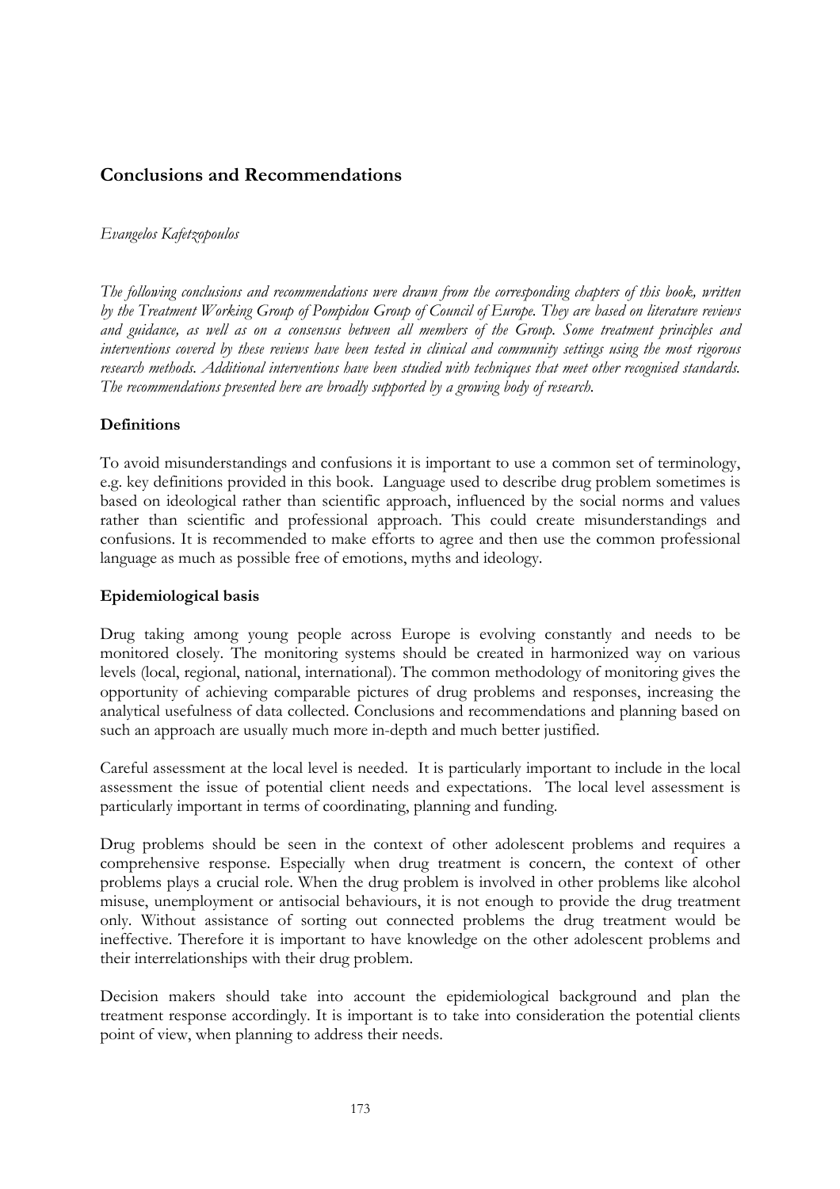# **Conclusions and Recommendations**

## *Evangelos Kafetzopoulos*

*The following conclusions and recommendations were drawn from the corresponding chapters of this book, written by the Treatment Working Group of Pompidou Group of Council of Europe. They are based on literature reviews and guidance, as well as on a consensus between all members of the Group. Some treatment principles and interventions covered by these reviews have been tested in clinical and community settings using the most rigorous research methods. Additional interventions have been studied with techniques that meet other recognised standards. The recommendations presented here are broadly supported by a growing body of research.* 

# **Definitions**

To avoid misunderstandings and confusions it is important to use a common set of terminology, e.g. key definitions provided in this book. Language used to describe drug problem sometimes is based on ideological rather than scientific approach, influenced by the social norms and values rather than scientific and professional approach. This could create misunderstandings and confusions. It is recommended to make efforts to agree and then use the common professional language as much as possible free of emotions, myths and ideology.

# **Epidemiological basis**

Drug taking among young people across Europe is evolving constantly and needs to be monitored closely. The monitoring systems should be created in harmonized way on various levels (local, regional, national, international). The common methodology of monitoring gives the opportunity of achieving comparable pictures of drug problems and responses, increasing the analytical usefulness of data collected. Conclusions and recommendations and planning based on such an approach are usually much more in-depth and much better justified.

Careful assessment at the local level is needed. It is particularly important to include in the local assessment the issue of potential client needs and expectations. The local level assessment is particularly important in terms of coordinating, planning and funding.

Drug problems should be seen in the context of other adolescent problems and requires a comprehensive response. Especially when drug treatment is concern, the context of other problems plays a crucial role. When the drug problem is involved in other problems like alcohol misuse, unemployment or antisocial behaviours, it is not enough to provide the drug treatment only. Without assistance of sorting out connected problems the drug treatment would be ineffective. Therefore it is important to have knowledge on the other adolescent problems and their interrelationships with their drug problem.

Decision makers should take into account the epidemiological background and plan the treatment response accordingly. It is important is to take into consideration the potential clients point of view, when planning to address their needs.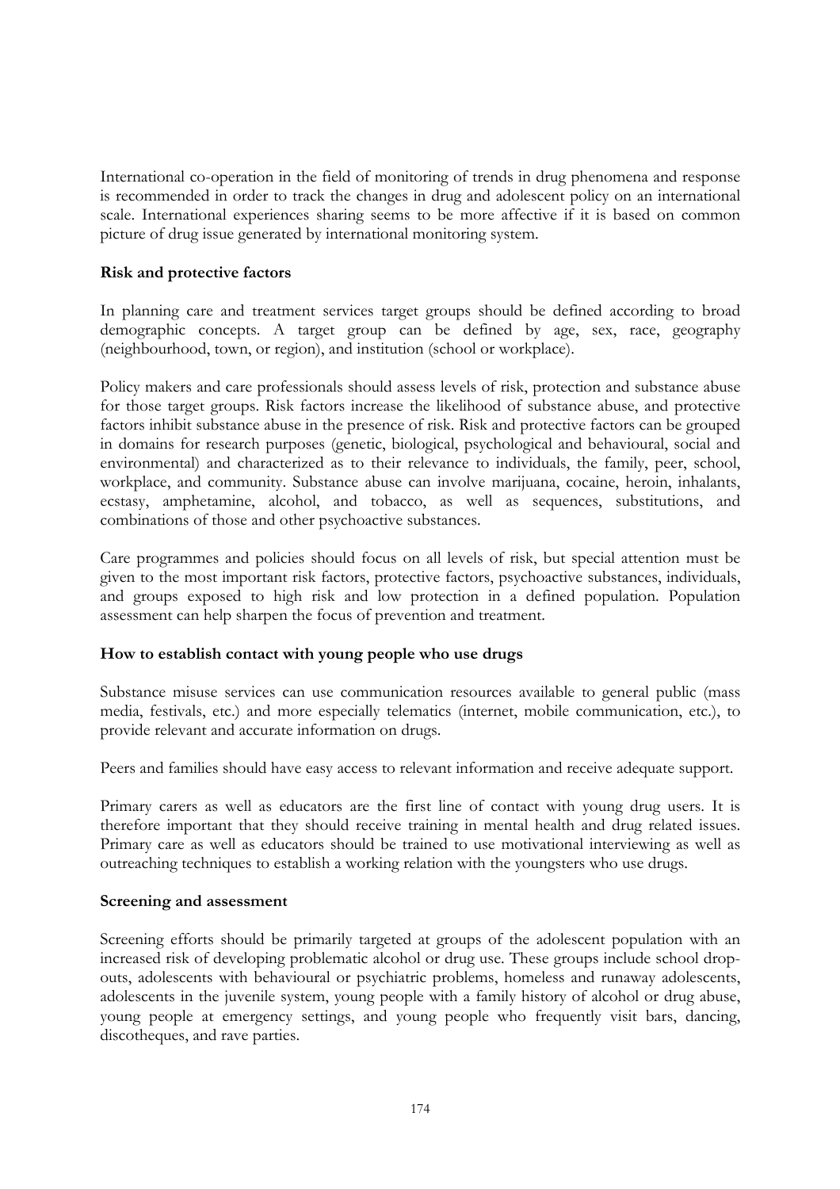International co-operation in the field of monitoring of trends in drug phenomena and response is recommended in order to track the changes in drug and adolescent policy on an international scale. International experiences sharing seems to be more affective if it is based on common picture of drug issue generated by international monitoring system.

## **Risk and protective factors**

In planning care and treatment services target groups should be defined according to broad demographic concepts. A target group can be defined by age, sex, race, geography (neighbourhood, town, or region), and institution (school or workplace).

Policy makers and care professionals should assess levels of risk, protection and substance abuse for those target groups. Risk factors increase the likelihood of substance abuse, and protective factors inhibit substance abuse in the presence of risk. Risk and protective factors can be grouped in domains for research purposes (genetic, biological, psychological and behavioural, social and environmental) and characterized as to their relevance to individuals, the family, peer, school, workplace, and community. Substance abuse can involve marijuana, cocaine, heroin, inhalants, ecstasy, amphetamine, alcohol, and tobacco, as well as sequences, substitutions, and combinations of those and other psychoactive substances.

Care programmes and policies should focus on all levels of risk, but special attention must be given to the most important risk factors, protective factors, psychoactive substances, individuals, and groups exposed to high risk and low protection in a defined population. Population assessment can help sharpen the focus of prevention and treatment.

## **How to establish contact with young people who use drugs**

Substance misuse services can use communication resources available to general public (mass media, festivals, etc.) and more especially telematics (internet, mobile communication, etc.), to provide relevant and accurate information on drugs.

Peers and families should have easy access to relevant information and receive adequate support.

Primary carers as well as educators are the first line of contact with young drug users. It is therefore important that they should receive training in mental health and drug related issues. Primary care as well as educators should be trained to use motivational interviewing as well as outreaching techniques to establish a working relation with the youngsters who use drugs.

## **Screening and assessment**

Screening efforts should be primarily targeted at groups of the adolescent population with an increased risk of developing problematic alcohol or drug use. These groups include school dropouts, adolescents with behavioural or psychiatric problems, homeless and runaway adolescents, adolescents in the juvenile system, young people with a family history of alcohol or drug abuse, young people at emergency settings, and young people who frequently visit bars, dancing, discotheques, and rave parties.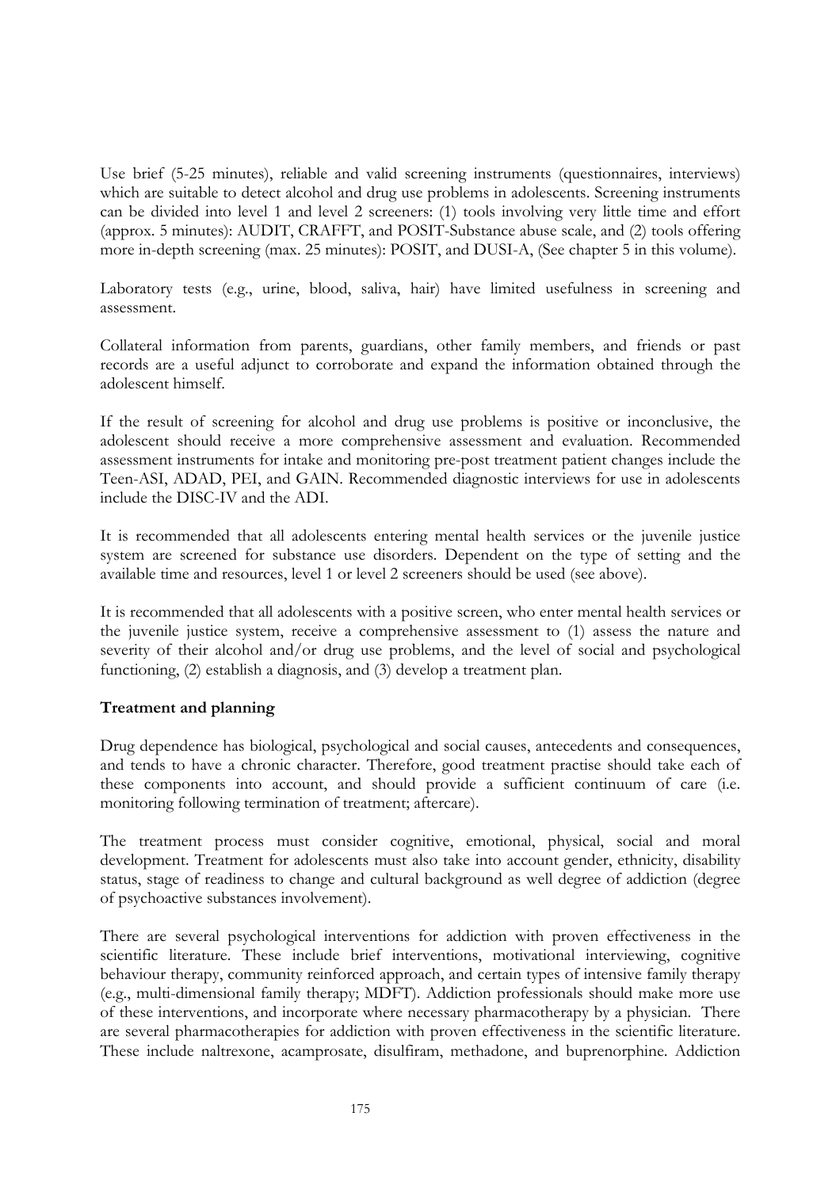Use brief (5-25 minutes), reliable and valid screening instruments (questionnaires, interviews) which are suitable to detect alcohol and drug use problems in adolescents. Screening instruments can be divided into level 1 and level 2 screeners: (1) tools involving very little time and effort (approx. 5 minutes): AUDIT, CRAFFT, and POSIT-Substance abuse scale, and (2) tools offering more in-depth screening (max. 25 minutes): POSIT, and DUSI-A, (See chapter 5 in this volume).

Laboratory tests (e.g., urine, blood, saliva, hair) have limited usefulness in screening and assessment.

Collateral information from parents, guardians, other family members, and friends or past records are a useful adjunct to corroborate and expand the information obtained through the adolescent himself.

If the result of screening for alcohol and drug use problems is positive or inconclusive, the adolescent should receive a more comprehensive assessment and evaluation. Recommended assessment instruments for intake and monitoring pre-post treatment patient changes include the Teen-ASI, ADAD, PEI, and GAIN. Recommended diagnostic interviews for use in adolescents include the DISC-IV and the ADI.

It is recommended that all adolescents entering mental health services or the juvenile justice system are screened for substance use disorders. Dependent on the type of setting and the available time and resources, level 1 or level 2 screeners should be used (see above).

It is recommended that all adolescents with a positive screen, who enter mental health services or the juvenile justice system, receive a comprehensive assessment to (1) assess the nature and severity of their alcohol and/or drug use problems, and the level of social and psychological functioning, (2) establish a diagnosis, and (3) develop a treatment plan.

## **Treatment and planning**

Drug dependence has biological, psychological and social causes, antecedents and consequences, and tends to have a chronic character. Therefore, good treatment practise should take each of these components into account, and should provide a sufficient continuum of care (i.e. monitoring following termination of treatment; aftercare).

The treatment process must consider cognitive, emotional, physical, social and moral development. Treatment for adolescents must also take into account gender, ethnicity, disability status, stage of readiness to change and cultural background as well degree of addiction (degree of psychoactive substances involvement).

There are several psychological interventions for addiction with proven effectiveness in the scientific literature. These include brief interventions, motivational interviewing, cognitive behaviour therapy, community reinforced approach, and certain types of intensive family therapy (e.g., multi-dimensional family therapy; MDFT). Addiction professionals should make more use of these interventions, and incorporate where necessary pharmacotherapy by a physician. There are several pharmacotherapies for addiction with proven effectiveness in the scientific literature. These include naltrexone, acamprosate, disulfiram, methadone, and buprenorphine. Addiction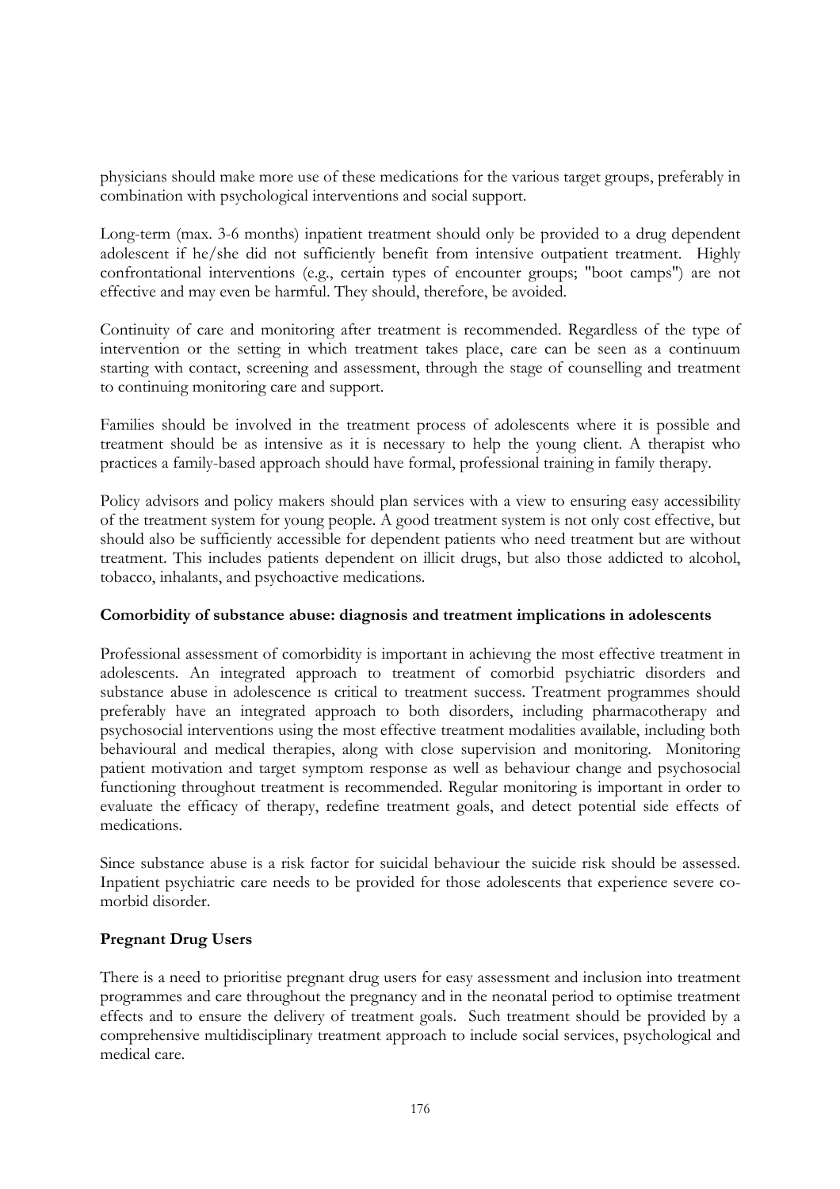physicians should make more use of these medications for the various target groups, preferably in combination with psychological interventions and social support.

Long-term (max. 3-6 months) inpatient treatment should only be provided to a drug dependent adolescent if he/she did not sufficiently benefit from intensive outpatient treatment. Highly confrontational interventions (e.g., certain types of encounter groups; "boot camps") are not effective and may even be harmful. They should, therefore, be avoided.

Continuity of care and monitoring after treatment is recommended. Regardless of the type of intervention or the setting in which treatment takes place, care can be seen as a continuum starting with contact, screening and assessment, through the stage of counselling and treatment to continuing monitoring care and support.

Families should be involved in the treatment process of adolescents where it is possible and treatment should be as intensive as it is necessary to help the young client. A therapist who practices a family-based approach should have formal, professional training in family therapy.

Policy advisors and policy makers should plan services with a view to ensuring easy accessibility of the treatment system for young people. A good treatment system is not only cost effective, but should also be sufficiently accessible for dependent patients who need treatment but are without treatment. This includes patients dependent on illicit drugs, but also those addicted to alcohol, tobacco, inhalants, and psychoactive medications.

## **Comorbidity of substance abuse: diagnosis and treatment implications in adolescents**

Professional assessment of comorbidity is important in achievıng the most effective treatment in adolescents. An integrated approach to treatment of comorbid psychiatric disorders and substance abuse in adolescence ıs critical to treatment success. Treatment programmes should preferably have an integrated approach to both disorders, including pharmacotherapy and psychosocial interventions using the most effective treatment modalities available, including both behavioural and medical therapies, along with close supervision and monitoring. Monitoring patient motivation and target symptom response as well as behaviour change and psychosocial functioning throughout treatment is recommended. Regular monitoring is important in order to evaluate the efficacy of therapy, redefine treatment goals, and detect potential side effects of medications.

Since substance abuse is a risk factor for suicidal behaviour the suicide risk should be assessed. Inpatient psychiatric care needs to be provided for those adolescents that experience severe comorbid disorder.

# **Pregnant Drug Users**

There is a need to prioritise pregnant drug users for easy assessment and inclusion into treatment programmes and care throughout the pregnancy and in the neonatal period to optimise treatment effects and to ensure the delivery of treatment goals. Such treatment should be provided by a comprehensive multidisciplinary treatment approach to include social services, psychological and medical care.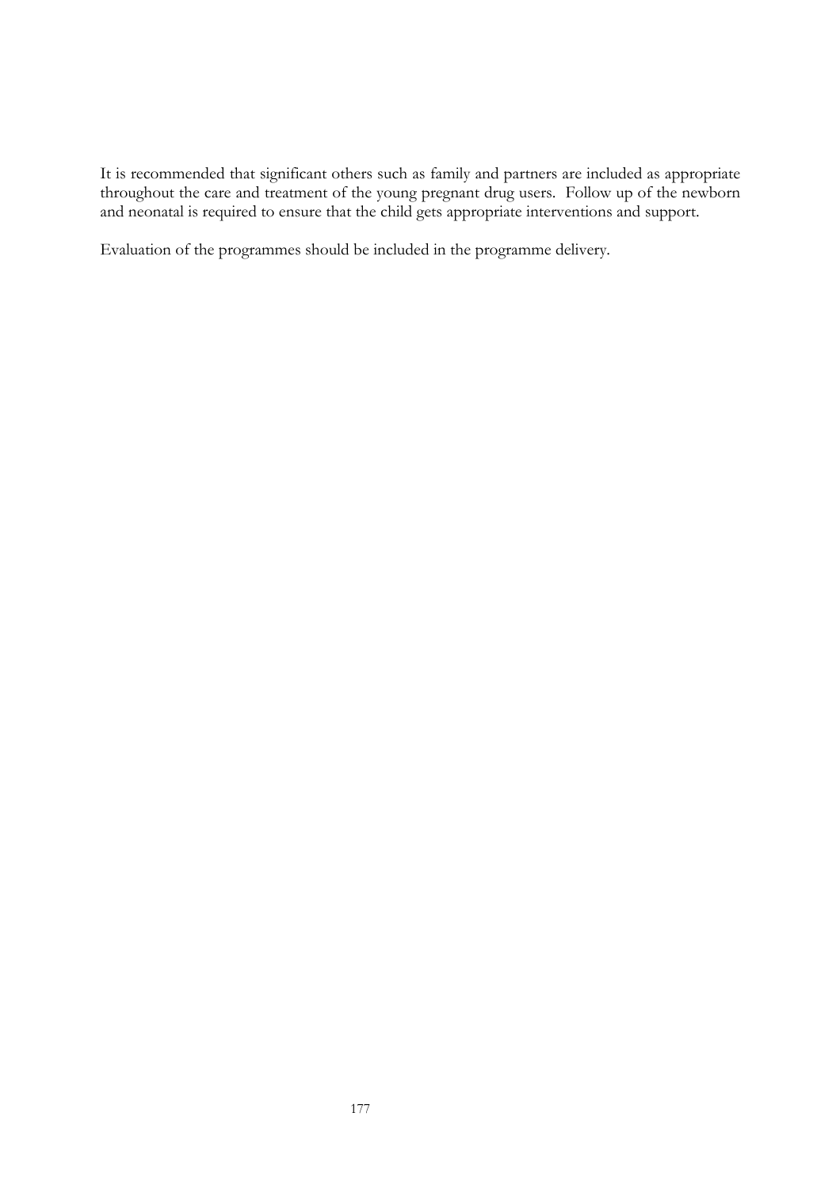It is recommended that significant others such as family and partners are included as appropriate throughout the care and treatment of the young pregnant drug users. Follow up of the newborn and neonatal is required to ensure that the child gets appropriate interventions and support.

Evaluation of the programmes should be included in the programme delivery.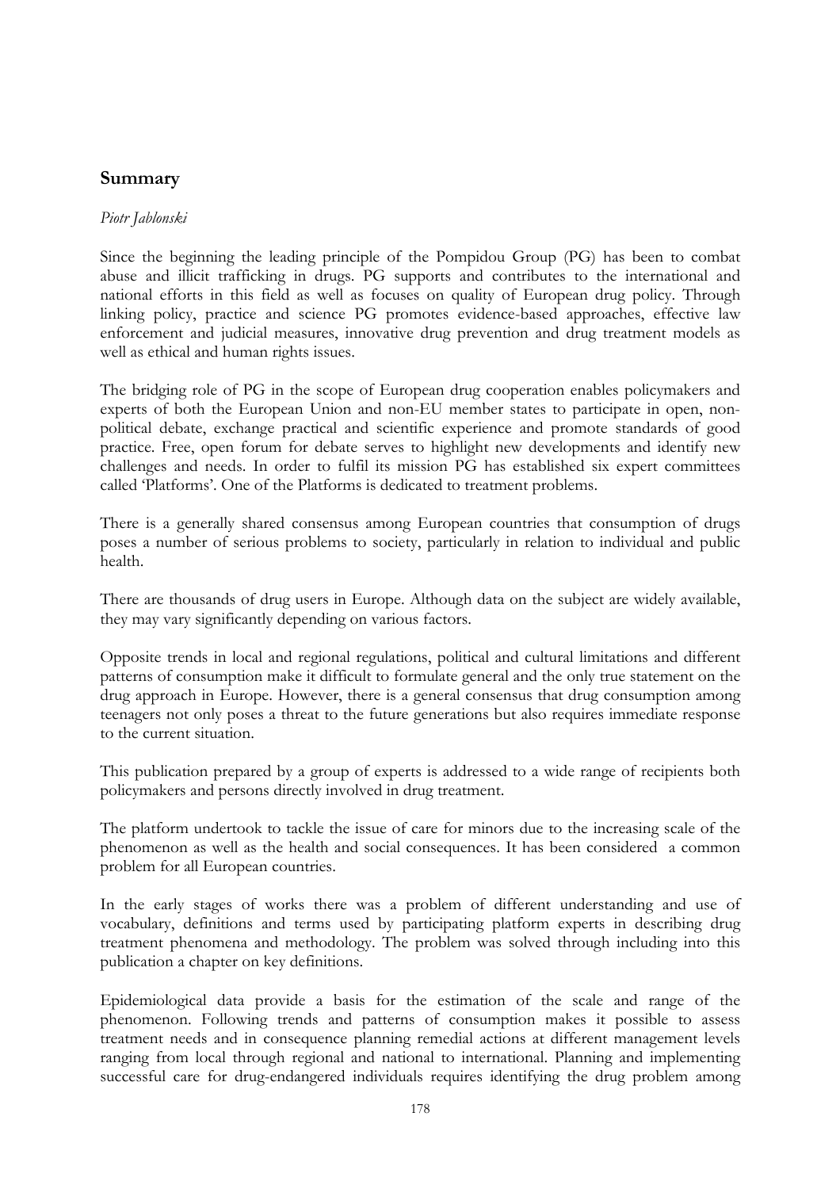# **Summary**

#### *Piotr Jablonski*

Since the beginning the leading principle of the Pompidou Group (PG) has been to combat abuse and illicit trafficking in drugs. PG supports and contributes to the international and national efforts in this field as well as focuses on quality of European drug policy. Through linking policy, practice and science PG promotes evidence-based approaches, effective law enforcement and judicial measures, innovative drug prevention and drug treatment models as well as ethical and human rights issues.

The bridging role of PG in the scope of European drug cooperation enables policymakers and experts of both the European Union and non-EU member states to participate in open, nonpolitical debate, exchange practical and scientific experience and promote standards of good practice. Free, open forum for debate serves to highlight new developments and identify new challenges and needs. In order to fulfil its mission PG has established six expert committees called 'Platforms'. One of the Platforms is dedicated to treatment problems.

There is a generally shared consensus among European countries that consumption of drugs poses a number of serious problems to society, particularly in relation to individual and public health.

There are thousands of drug users in Europe. Although data on the subject are widely available, they may vary significantly depending on various factors.

Opposite trends in local and regional regulations, political and cultural limitations and different patterns of consumption make it difficult to formulate general and the only true statement on the drug approach in Europe. However, there is a general consensus that drug consumption among teenagers not only poses a threat to the future generations but also requires immediate response to the current situation.

This publication prepared by a group of experts is addressed to a wide range of recipients both policymakers and persons directly involved in drug treatment.

The platform undertook to tackle the issue of care for minors due to the increasing scale of the phenomenon as well as the health and social consequences. It has been considered a common problem for all European countries.

In the early stages of works there was a problem of different understanding and use of vocabulary, definitions and terms used by participating platform experts in describing drug treatment phenomena and methodology. The problem was solved through including into this publication a chapter on key definitions.

Epidemiological data provide a basis for the estimation of the scale and range of the phenomenon. Following trends and patterns of consumption makes it possible to assess treatment needs and in consequence planning remedial actions at different management levels ranging from local through regional and national to international. Planning and implementing successful care for drug-endangered individuals requires identifying the drug problem among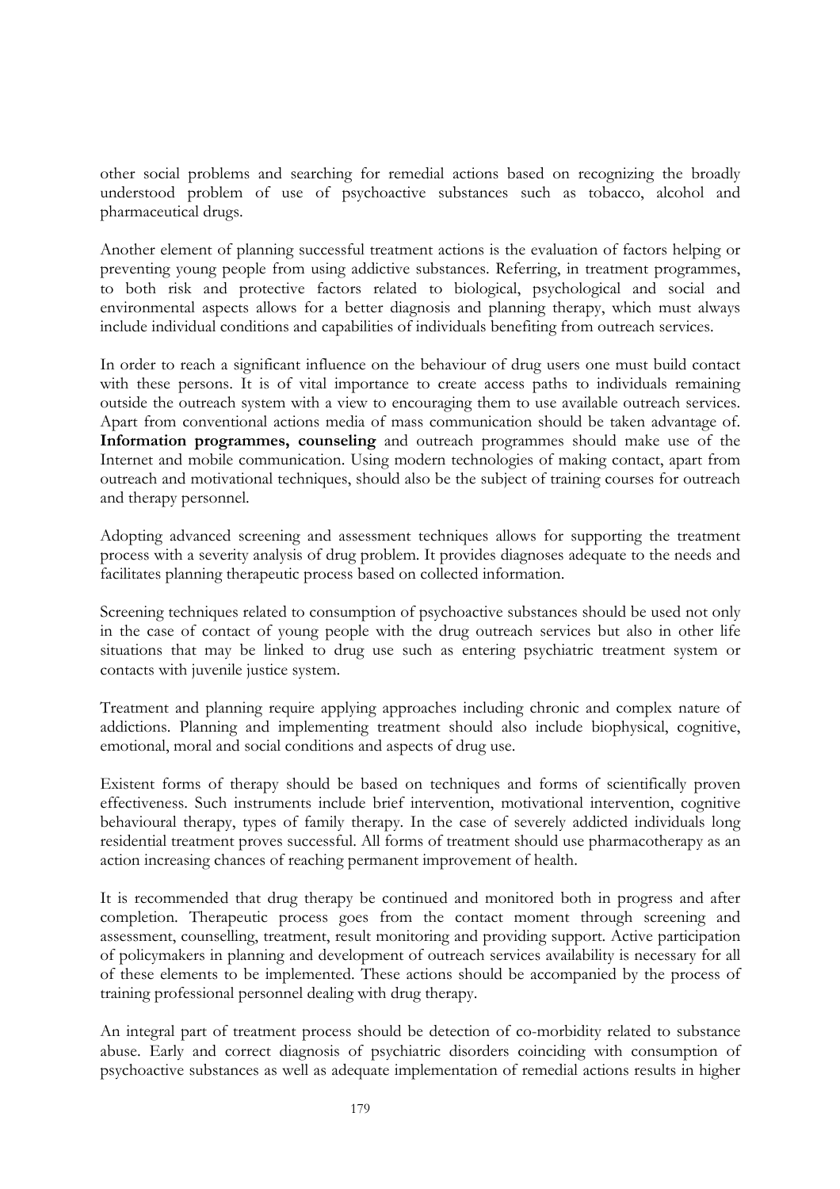other social problems and searching for remedial actions based on recognizing the broadly understood problem of use of psychoactive substances such as tobacco, alcohol and pharmaceutical drugs.

Another element of planning successful treatment actions is the evaluation of factors helping or preventing young people from using addictive substances. Referring, in treatment programmes, to both risk and protective factors related to biological, psychological and social and environmental aspects allows for a better diagnosis and planning therapy, which must always include individual conditions and capabilities of individuals benefiting from outreach services.

In order to reach a significant influence on the behaviour of drug users one must build contact with these persons. It is of vital importance to create access paths to individuals remaining outside the outreach system with a view to encouraging them to use available outreach services. Apart from conventional actions media of mass communication should be taken advantage of. **Information programmes, counseling** and outreach programmes should make use of the Internet and mobile communication. Using modern technologies of making contact, apart from outreach and motivational techniques, should also be the subject of training courses for outreach and therapy personnel.

Adopting advanced screening and assessment techniques allows for supporting the treatment process with a severity analysis of drug problem. It provides diagnoses adequate to the needs and facilitates planning therapeutic process based on collected information.

Screening techniques related to consumption of psychoactive substances should be used not only in the case of contact of young people with the drug outreach services but also in other life situations that may be linked to drug use such as entering psychiatric treatment system or contacts with juvenile justice system.

Treatment and planning require applying approaches including chronic and complex nature of addictions. Planning and implementing treatment should also include biophysical, cognitive, emotional, moral and social conditions and aspects of drug use.

Existent forms of therapy should be based on techniques and forms of scientifically proven effectiveness. Such instruments include brief intervention, motivational intervention, cognitive behavioural therapy, types of family therapy. In the case of severely addicted individuals long residential treatment proves successful. All forms of treatment should use pharmacotherapy as an action increasing chances of reaching permanent improvement of health.

It is recommended that drug therapy be continued and monitored both in progress and after completion. Therapeutic process goes from the contact moment through screening and assessment, counselling, treatment, result monitoring and providing support. Active participation of policymakers in planning and development of outreach services availability is necessary for all of these elements to be implemented. These actions should be accompanied by the process of training professional personnel dealing with drug therapy.

An integral part of treatment process should be detection of co-morbidity related to substance abuse. Early and correct diagnosis of psychiatric disorders coinciding with consumption of psychoactive substances as well as adequate implementation of remedial actions results in higher